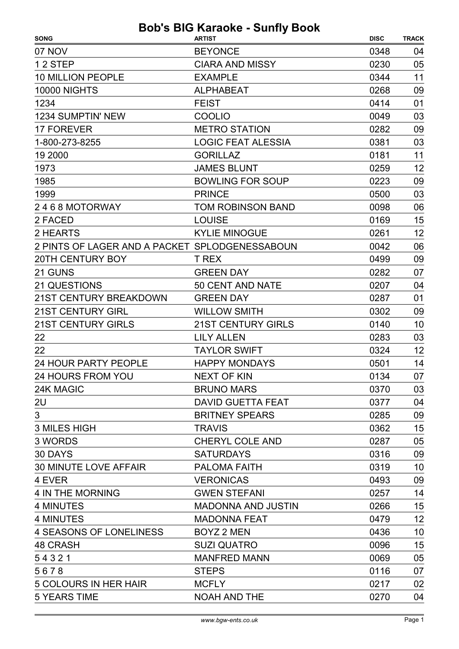| 07 NOV<br><b>BEYONCE</b><br>0348<br>04<br><b>CIARA AND MISSY</b><br>12 STEP<br>0230<br>05<br>11<br><b>10 MILLION PEOPLE</b><br><b>EXAMPLE</b><br>0344<br><b>10000 NIGHTS</b><br><b>ALPHABEAT</b><br>0268<br>09<br>1234<br>01<br><b>FEIST</b><br>0414<br><b>1234 SUMPTIN' NEW</b><br><b>COOLIO</b><br>03<br>0049<br><b>METRO STATION</b><br>09<br><b>17 FOREVER</b><br>0282<br>1-800-273-8255<br><b>LOGIC FEAT ALESSIA</b><br>0381<br>03<br><b>GORILLAZ</b><br>11<br>19 2000<br>0181<br>12<br>1973<br><b>JAMES BLUNT</b><br>0259<br><b>BOWLING FOR SOUP</b><br>1985<br>0223<br>09<br>1999<br><b>PRINCE</b><br>0500<br>03<br><b>TOM ROBINSON BAND</b><br>0098<br>06<br>2468 MOTORWAY<br>15<br>2 FACED<br><b>LOUISE</b><br>0169<br>12<br><b>KYLIE MINOGUE</b><br>0261<br>2 HEARTS<br>2 PINTS OF LAGER AND A PACKET SPLODGENESSABOUN<br>0042<br>06<br><b>20TH CENTURY BOY</b><br>T REX<br>0499<br>09<br>21 GUNS<br>0282<br>07<br><b>GREEN DAY</b><br>21 QUESTIONS<br><b>50 CENT AND NATE</b><br>04<br>0207<br>21ST CENTURY BREAKDOWN<br>0287<br>01<br><b>GREEN DAY</b><br><b>21ST CENTURY GIRL</b><br><b>WILLOW SMITH</b><br>09<br>0302<br><b>21ST CENTURY GIRLS</b><br><b>21ST CENTURY GIRLS</b><br>0140<br>10<br><b>LILY ALLEN</b><br>03<br>0283<br>22<br>12<br>22<br><b>TAYLOR SWIFT</b><br>0324<br>14<br><b>24 HOUR PARTY PEOPLE</b><br><b>HAPPY MONDAYS</b><br>0501<br>24 HOURS FROM YOU<br>0134<br>07<br><b>NEXT OF KIN</b><br>24K MAGIC<br><b>BRUNO MARS</b><br>0370<br>03<br>2U<br><b>DAVID GUETTA FEAT</b><br>04<br>0377<br>3<br><b>BRITNEY SPEARS</b><br>0285<br>09<br>15<br><b>3 MILES HIGH</b><br><b>TRAVIS</b><br>0362<br>3 WORDS<br><b>CHERYL COLE AND</b><br>0287<br>05<br>30 DAYS<br><b>SATURDAYS</b><br>0316<br>09<br>30 MINUTE LOVE AFFAIR<br>10<br><b>PALOMA FAITH</b><br>0319<br><b>VERONICAS</b><br>0493<br>09<br>4 EVER<br>14<br>4 IN THE MORNING<br><b>GWEN STEFANI</b><br>0257<br>15<br>4 MINUTES<br><b>MADONNA AND JUSTIN</b><br>0266<br>12<br><b>4 MINUTES</b><br><b>MADONNA FEAT</b><br>0479<br>10<br><b>4 SEASONS OF LONELINESS</b><br><b>BOYZ 2 MEN</b><br>0436<br>15<br><b>SUZI QUATRO</b><br>0096<br>48 CRASH<br>05<br>54321<br><b>MANFRED MANN</b><br>0069<br>5678<br><b>STEPS</b><br>0116<br>07<br>5 COLOURS IN HER HAIR<br><b>MCFLY</b><br>02<br>0217 | <b>SONG</b>         | <b>ARTIST</b>       | <b>DISC</b> | <b>TRACK</b> |
|-------------------------------------------------------------------------------------------------------------------------------------------------------------------------------------------------------------------------------------------------------------------------------------------------------------------------------------------------------------------------------------------------------------------------------------------------------------------------------------------------------------------------------------------------------------------------------------------------------------------------------------------------------------------------------------------------------------------------------------------------------------------------------------------------------------------------------------------------------------------------------------------------------------------------------------------------------------------------------------------------------------------------------------------------------------------------------------------------------------------------------------------------------------------------------------------------------------------------------------------------------------------------------------------------------------------------------------------------------------------------------------------------------------------------------------------------------------------------------------------------------------------------------------------------------------------------------------------------------------------------------------------------------------------------------------------------------------------------------------------------------------------------------------------------------------------------------------------------------------------------------------------------------------------------------------------------------------------------------------------------------------------------------------------------------------------------------------------------------------------------------------------------------------------------------------------------------------------------------------------------------------------------------------|---------------------|---------------------|-------------|--------------|
|                                                                                                                                                                                                                                                                                                                                                                                                                                                                                                                                                                                                                                                                                                                                                                                                                                                                                                                                                                                                                                                                                                                                                                                                                                                                                                                                                                                                                                                                                                                                                                                                                                                                                                                                                                                                                                                                                                                                                                                                                                                                                                                                                                                                                                                                                     |                     |                     |             |              |
|                                                                                                                                                                                                                                                                                                                                                                                                                                                                                                                                                                                                                                                                                                                                                                                                                                                                                                                                                                                                                                                                                                                                                                                                                                                                                                                                                                                                                                                                                                                                                                                                                                                                                                                                                                                                                                                                                                                                                                                                                                                                                                                                                                                                                                                                                     |                     |                     |             |              |
|                                                                                                                                                                                                                                                                                                                                                                                                                                                                                                                                                                                                                                                                                                                                                                                                                                                                                                                                                                                                                                                                                                                                                                                                                                                                                                                                                                                                                                                                                                                                                                                                                                                                                                                                                                                                                                                                                                                                                                                                                                                                                                                                                                                                                                                                                     |                     |                     |             |              |
|                                                                                                                                                                                                                                                                                                                                                                                                                                                                                                                                                                                                                                                                                                                                                                                                                                                                                                                                                                                                                                                                                                                                                                                                                                                                                                                                                                                                                                                                                                                                                                                                                                                                                                                                                                                                                                                                                                                                                                                                                                                                                                                                                                                                                                                                                     |                     |                     |             |              |
|                                                                                                                                                                                                                                                                                                                                                                                                                                                                                                                                                                                                                                                                                                                                                                                                                                                                                                                                                                                                                                                                                                                                                                                                                                                                                                                                                                                                                                                                                                                                                                                                                                                                                                                                                                                                                                                                                                                                                                                                                                                                                                                                                                                                                                                                                     |                     |                     |             |              |
|                                                                                                                                                                                                                                                                                                                                                                                                                                                                                                                                                                                                                                                                                                                                                                                                                                                                                                                                                                                                                                                                                                                                                                                                                                                                                                                                                                                                                                                                                                                                                                                                                                                                                                                                                                                                                                                                                                                                                                                                                                                                                                                                                                                                                                                                                     |                     |                     |             |              |
|                                                                                                                                                                                                                                                                                                                                                                                                                                                                                                                                                                                                                                                                                                                                                                                                                                                                                                                                                                                                                                                                                                                                                                                                                                                                                                                                                                                                                                                                                                                                                                                                                                                                                                                                                                                                                                                                                                                                                                                                                                                                                                                                                                                                                                                                                     |                     |                     |             |              |
|                                                                                                                                                                                                                                                                                                                                                                                                                                                                                                                                                                                                                                                                                                                                                                                                                                                                                                                                                                                                                                                                                                                                                                                                                                                                                                                                                                                                                                                                                                                                                                                                                                                                                                                                                                                                                                                                                                                                                                                                                                                                                                                                                                                                                                                                                     |                     |                     |             |              |
|                                                                                                                                                                                                                                                                                                                                                                                                                                                                                                                                                                                                                                                                                                                                                                                                                                                                                                                                                                                                                                                                                                                                                                                                                                                                                                                                                                                                                                                                                                                                                                                                                                                                                                                                                                                                                                                                                                                                                                                                                                                                                                                                                                                                                                                                                     |                     |                     |             |              |
|                                                                                                                                                                                                                                                                                                                                                                                                                                                                                                                                                                                                                                                                                                                                                                                                                                                                                                                                                                                                                                                                                                                                                                                                                                                                                                                                                                                                                                                                                                                                                                                                                                                                                                                                                                                                                                                                                                                                                                                                                                                                                                                                                                                                                                                                                     |                     |                     |             |              |
|                                                                                                                                                                                                                                                                                                                                                                                                                                                                                                                                                                                                                                                                                                                                                                                                                                                                                                                                                                                                                                                                                                                                                                                                                                                                                                                                                                                                                                                                                                                                                                                                                                                                                                                                                                                                                                                                                                                                                                                                                                                                                                                                                                                                                                                                                     |                     |                     |             |              |
|                                                                                                                                                                                                                                                                                                                                                                                                                                                                                                                                                                                                                                                                                                                                                                                                                                                                                                                                                                                                                                                                                                                                                                                                                                                                                                                                                                                                                                                                                                                                                                                                                                                                                                                                                                                                                                                                                                                                                                                                                                                                                                                                                                                                                                                                                     |                     |                     |             |              |
|                                                                                                                                                                                                                                                                                                                                                                                                                                                                                                                                                                                                                                                                                                                                                                                                                                                                                                                                                                                                                                                                                                                                                                                                                                                                                                                                                                                                                                                                                                                                                                                                                                                                                                                                                                                                                                                                                                                                                                                                                                                                                                                                                                                                                                                                                     |                     |                     |             |              |
|                                                                                                                                                                                                                                                                                                                                                                                                                                                                                                                                                                                                                                                                                                                                                                                                                                                                                                                                                                                                                                                                                                                                                                                                                                                                                                                                                                                                                                                                                                                                                                                                                                                                                                                                                                                                                                                                                                                                                                                                                                                                                                                                                                                                                                                                                     |                     |                     |             |              |
|                                                                                                                                                                                                                                                                                                                                                                                                                                                                                                                                                                                                                                                                                                                                                                                                                                                                                                                                                                                                                                                                                                                                                                                                                                                                                                                                                                                                                                                                                                                                                                                                                                                                                                                                                                                                                                                                                                                                                                                                                                                                                                                                                                                                                                                                                     |                     |                     |             |              |
|                                                                                                                                                                                                                                                                                                                                                                                                                                                                                                                                                                                                                                                                                                                                                                                                                                                                                                                                                                                                                                                                                                                                                                                                                                                                                                                                                                                                                                                                                                                                                                                                                                                                                                                                                                                                                                                                                                                                                                                                                                                                                                                                                                                                                                                                                     |                     |                     |             |              |
|                                                                                                                                                                                                                                                                                                                                                                                                                                                                                                                                                                                                                                                                                                                                                                                                                                                                                                                                                                                                                                                                                                                                                                                                                                                                                                                                                                                                                                                                                                                                                                                                                                                                                                                                                                                                                                                                                                                                                                                                                                                                                                                                                                                                                                                                                     |                     |                     |             |              |
|                                                                                                                                                                                                                                                                                                                                                                                                                                                                                                                                                                                                                                                                                                                                                                                                                                                                                                                                                                                                                                                                                                                                                                                                                                                                                                                                                                                                                                                                                                                                                                                                                                                                                                                                                                                                                                                                                                                                                                                                                                                                                                                                                                                                                                                                                     |                     |                     |             |              |
|                                                                                                                                                                                                                                                                                                                                                                                                                                                                                                                                                                                                                                                                                                                                                                                                                                                                                                                                                                                                                                                                                                                                                                                                                                                                                                                                                                                                                                                                                                                                                                                                                                                                                                                                                                                                                                                                                                                                                                                                                                                                                                                                                                                                                                                                                     |                     |                     |             |              |
|                                                                                                                                                                                                                                                                                                                                                                                                                                                                                                                                                                                                                                                                                                                                                                                                                                                                                                                                                                                                                                                                                                                                                                                                                                                                                                                                                                                                                                                                                                                                                                                                                                                                                                                                                                                                                                                                                                                                                                                                                                                                                                                                                                                                                                                                                     |                     |                     |             |              |
|                                                                                                                                                                                                                                                                                                                                                                                                                                                                                                                                                                                                                                                                                                                                                                                                                                                                                                                                                                                                                                                                                                                                                                                                                                                                                                                                                                                                                                                                                                                                                                                                                                                                                                                                                                                                                                                                                                                                                                                                                                                                                                                                                                                                                                                                                     |                     |                     |             |              |
|                                                                                                                                                                                                                                                                                                                                                                                                                                                                                                                                                                                                                                                                                                                                                                                                                                                                                                                                                                                                                                                                                                                                                                                                                                                                                                                                                                                                                                                                                                                                                                                                                                                                                                                                                                                                                                                                                                                                                                                                                                                                                                                                                                                                                                                                                     |                     |                     |             |              |
|                                                                                                                                                                                                                                                                                                                                                                                                                                                                                                                                                                                                                                                                                                                                                                                                                                                                                                                                                                                                                                                                                                                                                                                                                                                                                                                                                                                                                                                                                                                                                                                                                                                                                                                                                                                                                                                                                                                                                                                                                                                                                                                                                                                                                                                                                     |                     |                     |             |              |
|                                                                                                                                                                                                                                                                                                                                                                                                                                                                                                                                                                                                                                                                                                                                                                                                                                                                                                                                                                                                                                                                                                                                                                                                                                                                                                                                                                                                                                                                                                                                                                                                                                                                                                                                                                                                                                                                                                                                                                                                                                                                                                                                                                                                                                                                                     |                     |                     |             |              |
|                                                                                                                                                                                                                                                                                                                                                                                                                                                                                                                                                                                                                                                                                                                                                                                                                                                                                                                                                                                                                                                                                                                                                                                                                                                                                                                                                                                                                                                                                                                                                                                                                                                                                                                                                                                                                                                                                                                                                                                                                                                                                                                                                                                                                                                                                     |                     |                     |             |              |
|                                                                                                                                                                                                                                                                                                                                                                                                                                                                                                                                                                                                                                                                                                                                                                                                                                                                                                                                                                                                                                                                                                                                                                                                                                                                                                                                                                                                                                                                                                                                                                                                                                                                                                                                                                                                                                                                                                                                                                                                                                                                                                                                                                                                                                                                                     |                     |                     |             |              |
|                                                                                                                                                                                                                                                                                                                                                                                                                                                                                                                                                                                                                                                                                                                                                                                                                                                                                                                                                                                                                                                                                                                                                                                                                                                                                                                                                                                                                                                                                                                                                                                                                                                                                                                                                                                                                                                                                                                                                                                                                                                                                                                                                                                                                                                                                     |                     |                     |             |              |
|                                                                                                                                                                                                                                                                                                                                                                                                                                                                                                                                                                                                                                                                                                                                                                                                                                                                                                                                                                                                                                                                                                                                                                                                                                                                                                                                                                                                                                                                                                                                                                                                                                                                                                                                                                                                                                                                                                                                                                                                                                                                                                                                                                                                                                                                                     |                     |                     |             |              |
|                                                                                                                                                                                                                                                                                                                                                                                                                                                                                                                                                                                                                                                                                                                                                                                                                                                                                                                                                                                                                                                                                                                                                                                                                                                                                                                                                                                                                                                                                                                                                                                                                                                                                                                                                                                                                                                                                                                                                                                                                                                                                                                                                                                                                                                                                     |                     |                     |             |              |
|                                                                                                                                                                                                                                                                                                                                                                                                                                                                                                                                                                                                                                                                                                                                                                                                                                                                                                                                                                                                                                                                                                                                                                                                                                                                                                                                                                                                                                                                                                                                                                                                                                                                                                                                                                                                                                                                                                                                                                                                                                                                                                                                                                                                                                                                                     |                     |                     |             |              |
|                                                                                                                                                                                                                                                                                                                                                                                                                                                                                                                                                                                                                                                                                                                                                                                                                                                                                                                                                                                                                                                                                                                                                                                                                                                                                                                                                                                                                                                                                                                                                                                                                                                                                                                                                                                                                                                                                                                                                                                                                                                                                                                                                                                                                                                                                     |                     |                     |             |              |
|                                                                                                                                                                                                                                                                                                                                                                                                                                                                                                                                                                                                                                                                                                                                                                                                                                                                                                                                                                                                                                                                                                                                                                                                                                                                                                                                                                                                                                                                                                                                                                                                                                                                                                                                                                                                                                                                                                                                                                                                                                                                                                                                                                                                                                                                                     |                     |                     |             |              |
|                                                                                                                                                                                                                                                                                                                                                                                                                                                                                                                                                                                                                                                                                                                                                                                                                                                                                                                                                                                                                                                                                                                                                                                                                                                                                                                                                                                                                                                                                                                                                                                                                                                                                                                                                                                                                                                                                                                                                                                                                                                                                                                                                                                                                                                                                     |                     |                     |             |              |
|                                                                                                                                                                                                                                                                                                                                                                                                                                                                                                                                                                                                                                                                                                                                                                                                                                                                                                                                                                                                                                                                                                                                                                                                                                                                                                                                                                                                                                                                                                                                                                                                                                                                                                                                                                                                                                                                                                                                                                                                                                                                                                                                                                                                                                                                                     |                     |                     |             |              |
|                                                                                                                                                                                                                                                                                                                                                                                                                                                                                                                                                                                                                                                                                                                                                                                                                                                                                                                                                                                                                                                                                                                                                                                                                                                                                                                                                                                                                                                                                                                                                                                                                                                                                                                                                                                                                                                                                                                                                                                                                                                                                                                                                                                                                                                                                     |                     |                     |             |              |
|                                                                                                                                                                                                                                                                                                                                                                                                                                                                                                                                                                                                                                                                                                                                                                                                                                                                                                                                                                                                                                                                                                                                                                                                                                                                                                                                                                                                                                                                                                                                                                                                                                                                                                                                                                                                                                                                                                                                                                                                                                                                                                                                                                                                                                                                                     |                     |                     |             |              |
|                                                                                                                                                                                                                                                                                                                                                                                                                                                                                                                                                                                                                                                                                                                                                                                                                                                                                                                                                                                                                                                                                                                                                                                                                                                                                                                                                                                                                                                                                                                                                                                                                                                                                                                                                                                                                                                                                                                                                                                                                                                                                                                                                                                                                                                                                     |                     |                     |             |              |
|                                                                                                                                                                                                                                                                                                                                                                                                                                                                                                                                                                                                                                                                                                                                                                                                                                                                                                                                                                                                                                                                                                                                                                                                                                                                                                                                                                                                                                                                                                                                                                                                                                                                                                                                                                                                                                                                                                                                                                                                                                                                                                                                                                                                                                                                                     |                     |                     |             |              |
|                                                                                                                                                                                                                                                                                                                                                                                                                                                                                                                                                                                                                                                                                                                                                                                                                                                                                                                                                                                                                                                                                                                                                                                                                                                                                                                                                                                                                                                                                                                                                                                                                                                                                                                                                                                                                                                                                                                                                                                                                                                                                                                                                                                                                                                                                     |                     |                     |             |              |
|                                                                                                                                                                                                                                                                                                                                                                                                                                                                                                                                                                                                                                                                                                                                                                                                                                                                                                                                                                                                                                                                                                                                                                                                                                                                                                                                                                                                                                                                                                                                                                                                                                                                                                                                                                                                                                                                                                                                                                                                                                                                                                                                                                                                                                                                                     |                     |                     |             |              |
|                                                                                                                                                                                                                                                                                                                                                                                                                                                                                                                                                                                                                                                                                                                                                                                                                                                                                                                                                                                                                                                                                                                                                                                                                                                                                                                                                                                                                                                                                                                                                                                                                                                                                                                                                                                                                                                                                                                                                                                                                                                                                                                                                                                                                                                                                     |                     |                     |             |              |
|                                                                                                                                                                                                                                                                                                                                                                                                                                                                                                                                                                                                                                                                                                                                                                                                                                                                                                                                                                                                                                                                                                                                                                                                                                                                                                                                                                                                                                                                                                                                                                                                                                                                                                                                                                                                                                                                                                                                                                                                                                                                                                                                                                                                                                                                                     |                     |                     |             |              |
|                                                                                                                                                                                                                                                                                                                                                                                                                                                                                                                                                                                                                                                                                                                                                                                                                                                                                                                                                                                                                                                                                                                                                                                                                                                                                                                                                                                                                                                                                                                                                                                                                                                                                                                                                                                                                                                                                                                                                                                                                                                                                                                                                                                                                                                                                     | <b>5 YEARS TIME</b> | <b>NOAH AND THE</b> | 0270        | 04           |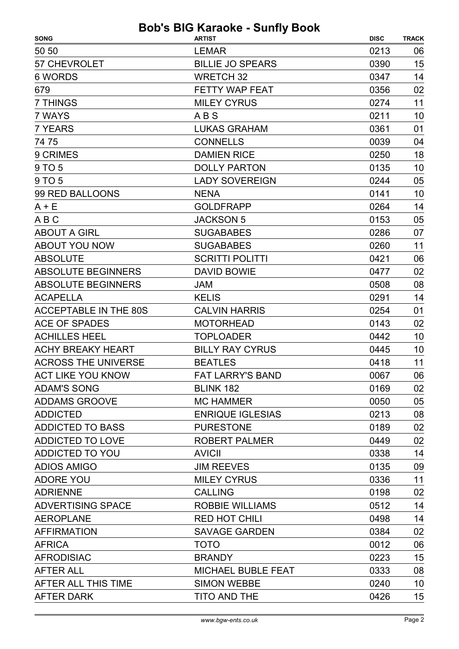| <b>SONG</b>                  | <b>ARTIST</b>             | <b>DISC</b> | <b>TRACK</b> |
|------------------------------|---------------------------|-------------|--------------|
| 50 50                        | <b>LEMAR</b>              | 0213        | 06           |
| 57 CHEVROLET                 | <b>BILLIE JO SPEARS</b>   | 0390        | 15           |
| 6 WORDS                      | <b>WRETCH 32</b>          | 0347        | 14           |
| 679                          | FETTY WAP FEAT            | 0356        | 02           |
| 7 THINGS                     | <b>MILEY CYRUS</b>        | 0274        | 11           |
| 7 WAYS                       | <b>ABS</b>                | 0211        | 10           |
| <b>7 YEARS</b>               | <b>LUKAS GRAHAM</b>       | 0361        | 01           |
| 74 75                        | <b>CONNELLS</b>           | 0039        | 04           |
| 9 CRIMES                     | <b>DAMIEN RICE</b>        | 0250        | 18           |
| 9 TO 5                       | <b>DOLLY PARTON</b>       | 0135        | 10           |
| 9 TO 5                       | <b>LADY SOVEREIGN</b>     | 0244        | 05           |
| 99 RED BALLOONS              | <b>NENA</b>               | 0141        | 10           |
| $A + E$                      | <b>GOLDFRAPP</b>          | 0264        | 14           |
| A B C                        | <b>JACKSON 5</b>          | 0153        | 05           |
| <b>ABOUT A GIRL</b>          | <b>SUGABABES</b>          | 0286        | 07           |
| ABOUT YOU NOW                | <b>SUGABABES</b>          | 0260        | 11           |
| <b>ABSOLUTE</b>              | <b>SCRITTI POLITTI</b>    | 0421        | 06           |
| <b>ABSOLUTE BEGINNERS</b>    | <b>DAVID BOWIE</b>        | 0477        | 02           |
| <b>ABSOLUTE BEGINNERS</b>    | <b>JAM</b>                | 0508        | 08           |
| <b>ACAPELLA</b>              | <b>KELIS</b>              | 0291        | 14           |
| <b>ACCEPTABLE IN THE 80S</b> | <b>CALVIN HARRIS</b>      | 0254        | 01           |
| <b>ACE OF SPADES</b>         | <b>MOTORHEAD</b>          | 0143        | 02           |
| <b>ACHILLES HEEL</b>         | <b>TOPLOADER</b>          | 0442        | 10           |
| <b>ACHY BREAKY HEART</b>     | <b>BILLY RAY CYRUS</b>    | 0445        | 10           |
| <b>ACROSS THE UNIVERSE</b>   | <b>BEATLES</b>            | 0418        | 11           |
| ACT LIKE YOU KNOW            | <b>FAT LARRY'S BAND</b>   | 0067        | 06           |
| <b>ADAM'S SONG</b>           | <b>BLINK 182</b>          | 0169        | 02           |
| ADDAMS GROOVE                | <b>MC HAMMER</b>          | 0050        | 05           |
| <b>ADDICTED</b>              | <b>ENRIQUE IGLESIAS</b>   | 0213        | 08           |
| <b>ADDICTED TO BASS</b>      | <b>PURESTONE</b>          | 0189        | 02           |
| ADDICTED TO LOVE             | <b>ROBERT PALMER</b>      | 0449        | 02           |
| ADDICTED TO YOU              | <b>AVICII</b>             | 0338        | 14           |
| <b>ADIOS AMIGO</b>           | <b>JIM REEVES</b>         | 0135        | 09           |
| <b>ADORE YOU</b>             | <b>MILEY CYRUS</b>        | 0336        | 11           |
| <b>ADRIENNE</b>              | <b>CALLING</b>            | 0198        | 02           |
| ADVERTISING SPACE            | <b>ROBBIE WILLIAMS</b>    | 0512        | 14           |
| <b>AEROPLANE</b>             | <b>RED HOT CHILI</b>      | 0498        | 14           |
| <b>AFFIRMATION</b>           | <b>SAVAGE GARDEN</b>      | 0384        | 02           |
| <b>AFRICA</b>                | <b>TOTO</b>               | 0012        | 06           |
| <b>AFRODISIAC</b>            | <b>BRANDY</b>             | 0223        | 15           |
| <b>AFTER ALL</b>             | <b>MICHAEL BUBLE FEAT</b> | 0333        | 08           |
| AFTER ALL THIS TIME          | <b>SIMON WEBBE</b>        | 0240        | 10           |
| <b>AFTER DARK</b>            | <b>TITO AND THE</b>       | 0426        | 15           |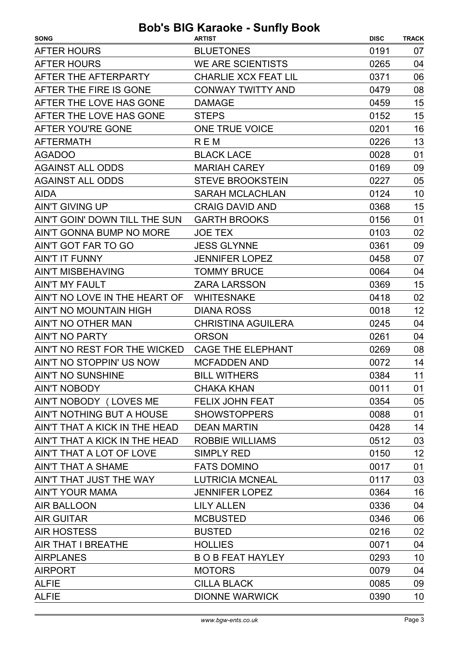| <b>BLUETONES</b><br>0191<br>07<br><b>WE ARE SCIENTISTS</b><br>0265<br>04<br><b>CHARLIE XCX FEAT LIL</b><br>0371<br>06<br><b>CONWAY TWITTY AND</b><br>08<br>0479<br>15<br><b>DAMAGE</b><br>0459<br>15<br><b>STEPS</b><br>0152<br>16<br>ONE TRUE VOICE<br>0201<br>13<br><b>REM</b><br>0226<br>0028<br>01<br><b>BLACK LACE</b><br><b>MARIAH CAREY</b><br>0169<br>09<br><b>STEVE BROOKSTEIN</b><br>05<br>0227<br>10<br><b>SARAH MCLACHLAN</b><br>0124<br>15<br><b>CRAIG DAVID AND</b><br>0368<br>01<br><b>GARTH BROOKS</b><br>0156<br><b>JOE TEX</b><br>0103<br>02 | <b>SONG</b>                   | <b>ARTIST</b> | <b>DISC</b> | <b>TRACK</b> |
|----------------------------------------------------------------------------------------------------------------------------------------------------------------------------------------------------------------------------------------------------------------------------------------------------------------------------------------------------------------------------------------------------------------------------------------------------------------------------------------------------------------------------------------------------------------|-------------------------------|---------------|-------------|--------------|
|                                                                                                                                                                                                                                                                                                                                                                                                                                                                                                                                                                | <b>AFTER HOURS</b>            |               |             |              |
|                                                                                                                                                                                                                                                                                                                                                                                                                                                                                                                                                                | <b>AFTER HOURS</b>            |               |             |              |
|                                                                                                                                                                                                                                                                                                                                                                                                                                                                                                                                                                | AFTER THE AFTERPARTY          |               |             |              |
|                                                                                                                                                                                                                                                                                                                                                                                                                                                                                                                                                                | AFTER THE FIRE IS GONE        |               |             |              |
|                                                                                                                                                                                                                                                                                                                                                                                                                                                                                                                                                                | AFTER THE LOVE HAS GONE       |               |             |              |
|                                                                                                                                                                                                                                                                                                                                                                                                                                                                                                                                                                | AFTER THE LOVE HAS GONE       |               |             |              |
|                                                                                                                                                                                                                                                                                                                                                                                                                                                                                                                                                                | AFTER YOU'RE GONE             |               |             |              |
|                                                                                                                                                                                                                                                                                                                                                                                                                                                                                                                                                                | <b>AFTERMATH</b>              |               |             |              |
|                                                                                                                                                                                                                                                                                                                                                                                                                                                                                                                                                                | <b>AGADOO</b>                 |               |             |              |
|                                                                                                                                                                                                                                                                                                                                                                                                                                                                                                                                                                | <b>AGAINST ALL ODDS</b>       |               |             |              |
|                                                                                                                                                                                                                                                                                                                                                                                                                                                                                                                                                                | <b>AGAINST ALL ODDS</b>       |               |             |              |
|                                                                                                                                                                                                                                                                                                                                                                                                                                                                                                                                                                | <b>AIDA</b>                   |               |             |              |
|                                                                                                                                                                                                                                                                                                                                                                                                                                                                                                                                                                | <b>AIN'T GIVING UP</b>        |               |             |              |
|                                                                                                                                                                                                                                                                                                                                                                                                                                                                                                                                                                | AIN'T GOIN' DOWN TILL THE SUN |               |             |              |
|                                                                                                                                                                                                                                                                                                                                                                                                                                                                                                                                                                | AIN'T GONNA BUMP NO MORE      |               |             |              |
| <b>JESS GLYNNE</b><br>0361<br>09                                                                                                                                                                                                                                                                                                                                                                                                                                                                                                                               | AIN'T GOT FAR TO GO           |               |             |              |
| 07<br><b>JENNIFER LOPEZ</b><br>0458                                                                                                                                                                                                                                                                                                                                                                                                                                                                                                                            | <b>AIN'T IT FUNNY</b>         |               |             |              |
| <b>TOMMY BRUCE</b><br>0064<br>04                                                                                                                                                                                                                                                                                                                                                                                                                                                                                                                               | <b>AIN'T MISBEHAVING</b>      |               |             |              |
| 15<br><b>ZARA LARSSON</b><br>0369                                                                                                                                                                                                                                                                                                                                                                                                                                                                                                                              | <b>AIN'T MY FAULT</b>         |               |             |              |
| AIN'T NO LOVE IN THE HEART OF WHITESNAKE<br>0418<br>02                                                                                                                                                                                                                                                                                                                                                                                                                                                                                                         |                               |               |             |              |
| 12<br>0018<br><b>DIANA ROSS</b>                                                                                                                                                                                                                                                                                                                                                                                                                                                                                                                                | AIN'T NO MOUNTAIN HIGH        |               |             |              |
| 04<br><b>CHRISTINA AGUILERA</b><br>0245                                                                                                                                                                                                                                                                                                                                                                                                                                                                                                                        | AIN'T NO OTHER MAN            |               |             |              |
| <b>ORSON</b><br>0261<br>04                                                                                                                                                                                                                                                                                                                                                                                                                                                                                                                                     | <b>AIN'T NO PARTY</b>         |               |             |              |
| 0269<br>08<br><b>CAGE THE ELEPHANT</b>                                                                                                                                                                                                                                                                                                                                                                                                                                                                                                                         | AIN'T NO REST FOR THE WICKED  |               |             |              |
| <b>MCFADDEN AND</b><br>0072<br>14                                                                                                                                                                                                                                                                                                                                                                                                                                                                                                                              | AIN'T NO STOPPIN' US NOW      |               |             |              |
| <b>BILL WITHERS</b><br>0384<br>11                                                                                                                                                                                                                                                                                                                                                                                                                                                                                                                              | <b>AIN'T NO SUNSHINE</b>      |               |             |              |
| <b>CHAKA KHAN</b><br>0011<br>01                                                                                                                                                                                                                                                                                                                                                                                                                                                                                                                                | AIN'T NOBODY                  |               |             |              |
| 0354<br>05<br><b>FELIX JOHN FEAT</b>                                                                                                                                                                                                                                                                                                                                                                                                                                                                                                                           | AIN'T NOBODY (LOVES ME        |               |             |              |
| 01<br><b>SHOWSTOPPERS</b><br>0088                                                                                                                                                                                                                                                                                                                                                                                                                                                                                                                              | AIN'T NOTHING BUT A HOUSE     |               |             |              |
| 14<br><b>DEAN MARTIN</b><br>0428                                                                                                                                                                                                                                                                                                                                                                                                                                                                                                                               | AIN'T THAT A KICK IN THE HEAD |               |             |              |
| 03<br>ROBBIE WILLIAMS<br>0512                                                                                                                                                                                                                                                                                                                                                                                                                                                                                                                                  | AIN'T THAT A KICK IN THE HEAD |               |             |              |
| 12<br><b>SIMPLY RED</b><br>0150                                                                                                                                                                                                                                                                                                                                                                                                                                                                                                                                | AIN'T THAT A LOT OF LOVE      |               |             |              |
| 01<br><b>FATS DOMINO</b><br>0017                                                                                                                                                                                                                                                                                                                                                                                                                                                                                                                               | AIN'T THAT A SHAME            |               |             |              |
| 03<br><b>LUTRICIA MCNEAL</b><br>0117                                                                                                                                                                                                                                                                                                                                                                                                                                                                                                                           | AIN'T THAT JUST THE WAY       |               |             |              |
| 16<br><b>JENNIFER LOPEZ</b><br>0364                                                                                                                                                                                                                                                                                                                                                                                                                                                                                                                            | <b>AIN'T YOUR MAMA</b>        |               |             |              |
| 04<br><b>LILY ALLEN</b><br>0336                                                                                                                                                                                                                                                                                                                                                                                                                                                                                                                                | <b>AIR BALLOON</b>            |               |             |              |
| <b>MCBUSTED</b><br>06<br>0346                                                                                                                                                                                                                                                                                                                                                                                                                                                                                                                                  | <b>AIR GUITAR</b>             |               |             |              |
| 02<br><b>BUSTED</b><br>0216                                                                                                                                                                                                                                                                                                                                                                                                                                                                                                                                    | <b>AIR HOSTESS</b>            |               |             |              |
| 04<br><b>HOLLIES</b><br>0071                                                                                                                                                                                                                                                                                                                                                                                                                                                                                                                                   | AIR THAT I BREATHE            |               |             |              |
| 10<br><b>BOBFEAT HAYLEY</b><br>0293                                                                                                                                                                                                                                                                                                                                                                                                                                                                                                                            | <b>AIRPLANES</b>              |               |             |              |
| <b>MOTORS</b><br>0079<br>04                                                                                                                                                                                                                                                                                                                                                                                                                                                                                                                                    | <b>AIRPORT</b>                |               |             |              |
| <b>CILLA BLACK</b><br>0085<br>09                                                                                                                                                                                                                                                                                                                                                                                                                                                                                                                               | <b>ALFIE</b>                  |               |             |              |
| <b>DIONNE WARWICK</b><br>0390<br>10                                                                                                                                                                                                                                                                                                                                                                                                                                                                                                                            | <b>ALFIE</b>                  |               |             |              |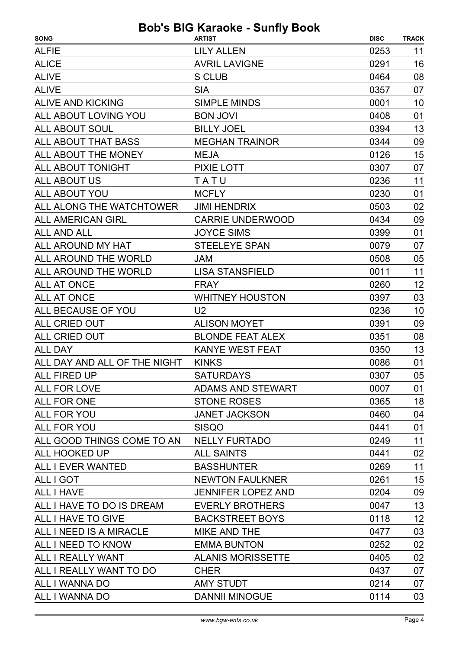| <b>SONG</b>                              | <b>ARTIST</b>             | <b>DISC</b> | <b>TRACK</b> |
|------------------------------------------|---------------------------|-------------|--------------|
| <b>ALFIE</b>                             | <b>LILY ALLEN</b>         | 0253        | 11           |
| <b>ALICE</b>                             | <b>AVRIL LAVIGNE</b>      | 0291        | 16           |
| <b>ALIVE</b>                             | <b>S CLUB</b>             | 0464        | 08           |
| <b>ALIVE</b>                             | <b>SIA</b>                | 0357        | 07           |
| <b>ALIVE AND KICKING</b>                 | <b>SIMPLE MINDS</b>       | 0001        | 10           |
| <b>ALL ABOUT LOVING YOU</b>              | <b>BON JOVI</b>           | 0408        | 01           |
| <b>ALL ABOUT SOUL</b>                    | <b>BILLY JOEL</b>         | 0394        | 13           |
| ALL ABOUT THAT BASS                      | <b>MEGHAN TRAINOR</b>     | 0344        | 09           |
| ALL ABOUT THE MONEY                      | <b>MEJA</b>               | 0126        | 15           |
| ALL ABOUT TONIGHT                        | PIXIE LOTT                | 0307        | 07           |
| <b>ALL ABOUT US</b>                      | TATU                      | 0236        | 11           |
| ALL ABOUT YOU                            | <b>MCFLY</b>              | 0230        | 01           |
| ALL ALONG THE WATCHTOWER                 | <b>JIMI HENDRIX</b>       | 0503        | 02           |
| <b>ALL AMERICAN GIRL</b>                 | <b>CARRIE UNDERWOOD</b>   | 0434        | 09           |
| <b>ALL AND ALL</b>                       | <b>JOYCE SIMS</b>         | 0399        | 01           |
| ALL AROUND MY HAT                        | <b>STEELEYE SPAN</b>      | 0079        | 07           |
| ALL AROUND THE WORLD                     | JAM                       | 0508        | 05           |
| ALL AROUND THE WORLD                     | <b>LISA STANSFIELD</b>    | 0011        | 11           |
| <b>ALL AT ONCE</b>                       | <b>FRAY</b>               | 0260        | 12           |
| ALL AT ONCE                              | <b>WHITNEY HOUSTON</b>    | 0397        | 03           |
| ALL BECAUSE OF YOU                       | U <sub>2</sub>            | 0236        | 10           |
| <b>ALL CRIED OUT</b>                     | <b>ALISON MOYET</b>       | 0391        | 09           |
| ALL CRIED OUT                            | <b>BLONDE FEAT ALEX</b>   | 0351        | 08           |
| <b>ALL DAY</b>                           | <b>KANYE WEST FEAT</b>    | 0350        | 13           |
| ALL DAY AND ALL OF THE NIGHT             | <b>KINKS</b>              | 0086        | 01           |
| ALL FIRED UP                             | <b>SATURDAYS</b>          | 0307        | 05           |
| <b>ALL FOR LOVE</b>                      | ADAMS AND STEWART         | 0007        | 01           |
| ALL FOR ONE                              | <b>STONE ROSES</b>        | 0365        | 18           |
| ALL FOR YOU                              | <b>JANET JACKSON</b>      | 0460        | 04           |
| ALL FOR YOU                              | <b>SISQO</b>              | 0441        | 01           |
| ALL GOOD THINGS COME TO AN NELLY FURTADO |                           | 0249        | 11           |
| ALL HOOKED UP                            | <b>ALL SAINTS</b>         | 0441        | 02           |
| ALL I EVER WANTED                        | <b>BASSHUNTER</b>         | 0269        | 11           |
| ALL I GOT                                | <b>NEWTON FAULKNER</b>    | 0261        | 15           |
| <b>ALL I HAVE</b>                        | <b>JENNIFER LOPEZ AND</b> | 0204        | 09           |
| ALL I HAVE TO DO IS DREAM                | <b>EVERLY BROTHERS</b>    | 0047        | 13           |
| ALL I HAVE TO GIVE                       | <b>BACKSTREET BOYS</b>    | 0118        | 12           |
| ALL I NEED IS A MIRACLE                  | MIKE AND THE              | 0477        | 03           |
| ALL I NEED TO KNOW                       | <b>EMMA BUNTON</b>        | 0252        | 02           |
| ALL I REALLY WANT                        | <b>ALANIS MORISSETTE</b>  | 0405        | 02           |
| ALL I REALLY WANT TO DO                  | <b>CHER</b>               | 0437        | 07           |
| ALL I WANNA DO                           | AMY STUDT                 | 0214        | 07           |
| ALL I WANNA DO                           | <b>DANNII MINOGUE</b>     | 0114        | 03           |
|                                          |                           |             |              |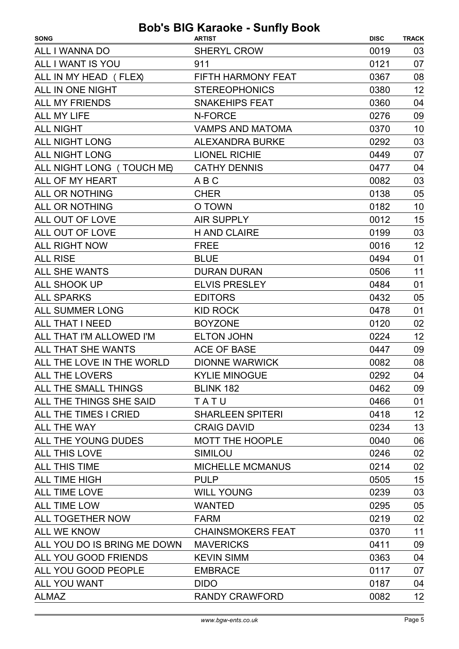| <b>SONG</b>                           | <b>ARTIST</b>            | <b>DISC</b> | <b>TRACK</b> |
|---------------------------------------|--------------------------|-------------|--------------|
| ALL I WANNA DO                        | SHERYL CROW              | 0019        | 03           |
| ALL I WANT IS YOU                     | 911                      | 0121        | 07           |
| ALL IN MY HEAD (FLEX)                 | FIFTH HARMONY FEAT       | 0367        | 08           |
| ALL IN ONE NIGHT                      | <b>STEREOPHONICS</b>     | 0380        | 12           |
| <b>ALL MY FRIENDS</b>                 | <b>SNAKEHIPS FEAT</b>    | 0360        | 04           |
| <b>ALL MY LIFE</b>                    | N-FORCE                  | 0276        | 09           |
| <b>ALL NIGHT</b>                      | <b>VAMPS AND MATOMA</b>  | 0370        | 10           |
| <b>ALL NIGHT LONG</b>                 | <b>ALEXANDRA BURKE</b>   | 0292        | 03           |
| <b>ALL NIGHT LONG</b>                 | <b>LIONEL RICHIE</b>     | 0449        | 07           |
| ALL NIGHT LONG (TOUCH ME)             | <b>CATHY DENNIS</b>      | 0477        | 04           |
| ALL OF MY HEART                       | A B C                    | 0082        | 03           |
| <b>ALL OR NOTHING</b>                 | <b>CHER</b>              | 0138        | 05           |
| <b>ALL OR NOTHING</b>                 | O TOWN                   | 0182        | 10           |
| ALL OUT OF LOVE                       | <b>AIR SUPPLY</b>        | 0012        | 15           |
| ALL OUT OF LOVE                       | <b>H AND CLAIRE</b>      | 0199        | 03           |
| <b>ALL RIGHT NOW</b>                  | <b>FREE</b>              | 0016        | 12           |
| <b>ALL RISE</b>                       | <b>BLUE</b>              | 0494        | 01           |
| <b>ALL SHE WANTS</b>                  | <b>DURAN DURAN</b>       | 0506        | 11           |
| ALL SHOOK UP                          | <b>ELVIS PRESLEY</b>     | 0484        | 01           |
| <b>ALL SPARKS</b>                     | <b>EDITORS</b>           | 0432        | 05           |
| <b>ALL SUMMER LONG</b>                | <b>KID ROCK</b>          | 0478        | 01           |
| <b>ALL THAT I NEED</b>                | <b>BOYZONE</b>           | 0120        | 02           |
| ALL THAT I'M ALLOWED I'M              | <b>ELTON JOHN</b>        | 0224        | 12           |
| ALL THAT SHE WANTS                    | <b>ACE OF BASE</b>       | 0447        | 09           |
| ALL THE LOVE IN THE WORLD             | <b>DIONNE WARWICK</b>    | 0082        | 08           |
| ALL THE LOVERS                        | <b>KYLIE MINOGUE</b>     | 0292        | 04           |
| ALL THE SMALL THINGS                  | <b>BLINK 182</b>         | 0462        | 09           |
| ALL THE THINGS SHE SAID               | TATU                     | 0466        | 01           |
| ALL THE TIMES I CRIED                 | <b>SHARLEEN SPITERI</b>  | 0418        | 12           |
| ALL THE WAY                           | <b>CRAIG DAVID</b>       | 0234        | 13           |
| ALL THE YOUNG DUDES                   | MOTT THE HOOPLE          | 0040        | 06           |
| <b>ALL THIS LOVE</b>                  | <b>SIMILOU</b>           | 0246        | 02           |
| <b>ALL THIS TIME</b>                  | <b>MICHELLE MCMANUS</b>  | 0214        | 02           |
| <b>ALL TIME HIGH</b>                  | <b>PULP</b>              | 0505        | 15           |
| <b>ALL TIME LOVE</b>                  | <b>WILL YOUNG</b>        | 0239        | 03           |
| ALL TIME LOW                          | <b>WANTED</b>            | 0295        | 05           |
| ALL TOGETHER NOW                      | <b>FARM</b>              | 0219        | 02           |
| ALL WE KNOW                           | <b>CHAINSMOKERS FEAT</b> | 0370        | 11           |
| ALL YOU DO IS BRING ME DOWN MAVERICKS |                          | 0411        | 09           |
| ALL YOU GOOD FRIENDS                  | <b>KEVIN SIMM</b>        | 0363        | 04           |
| ALL YOU GOOD PEOPLE                   | <b>EMBRACE</b>           | 0117        | 07           |
| ALL YOU WANT                          | <b>DIDO</b>              | 0187        | 04           |
| <b>ALMAZ</b>                          | <b>RANDY CRAWFORD</b>    | 0082        | 12           |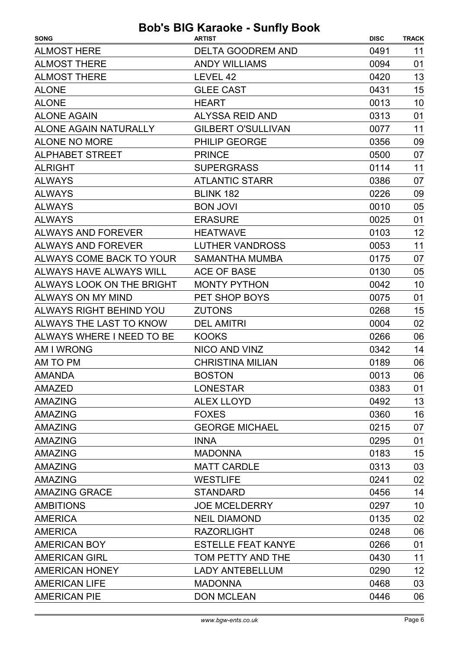| <b>SONG</b>                    | <b>ARTIST</b>             | <b>DISC</b> | <b>TRACK</b> |
|--------------------------------|---------------------------|-------------|--------------|
| <b>ALMOST HERE</b>             | <b>DELTA GOODREM AND</b>  | 0491        | 11           |
| <b>ALMOST THERE</b>            | <b>ANDY WILLIAMS</b>      | 0094        | 01           |
| <b>ALMOST THERE</b>            | LEVEL 42                  | 0420        | 13           |
| <b>ALONE</b>                   | <b>GLEE CAST</b>          | 0431        | 15           |
| <b>ALONE</b>                   | <b>HEART</b>              | 0013        | 10           |
| <b>ALONE AGAIN</b>             | <b>ALYSSA REID AND</b>    | 0313        | 01           |
| <b>ALONE AGAIN NATURALLY</b>   | <b>GILBERT O'SULLIVAN</b> | 0077        | 11           |
| <b>ALONE NO MORE</b>           | PHILIP GEORGE             | 0356        | 09           |
| <b>ALPHABET STREET</b>         | <b>PRINCE</b>             | 0500        | 07           |
| <b>ALRIGHT</b>                 | <b>SUPERGRASS</b>         | 0114        | 11           |
| <b>ALWAYS</b>                  | <b>ATLANTIC STARR</b>     | 0386        | 07           |
| <b>ALWAYS</b>                  | BLINK 182                 | 0226        | 09           |
| <b>ALWAYS</b>                  | <b>BON JOVI</b>           | 0010        | 05           |
| <b>ALWAYS</b>                  | <b>ERASURE</b>            | 0025        | 01           |
| ALWAYS AND FOREVER             | <b>HEATWAVE</b>           | 0103        | 12           |
| <b>ALWAYS AND FOREVER</b>      | LUTHER VANDROSS           | 0053        | 11           |
| ALWAYS COME BACK TO YOUR       | <b>SAMANTHA MUMBA</b>     | 0175        | 07           |
| ALWAYS HAVE ALWAYS WILL        | ACE OF BASE               | 0130        | 05           |
| ALWAYS LOOK ON THE BRIGHT      | <b>MONTY PYTHON</b>       | 0042        | 10           |
| ALWAYS ON MY MIND              | PET SHOP BOYS             | 0075        | 01           |
| <b>ALWAYS RIGHT BEHIND YOU</b> | <b>ZUTONS</b>             | 0268        | 15           |
| ALWAYS THE LAST TO KNOW        | <b>DEL AMITRI</b>         | 0004        | 02           |
| ALWAYS WHERE I NEED TO BE      | <b>KOOKS</b>              | 0266        | 06           |
| <b>AM I WRONG</b>              | NICO AND VINZ             | 0342        | 14           |
| AM TO PM                       | <b>CHRISTINA MILIAN</b>   | 0189        | 06           |
| <b>AMANDA</b>                  | <b>BOSTON</b>             | 0013        | 06           |
| AMAZED                         | LONESTAR                  | 0383        | 01           |
| <b>AMAZING</b>                 | <b>ALEX LLOYD</b>         | 0492        | 13           |
| <b>AMAZING</b>                 | <b>FOXES</b>              | 0360        | 16           |
| <b>AMAZING</b>                 | <b>GEORGE MICHAEL</b>     | 0215        | 07           |
| <b>AMAZING</b>                 | <b>INNA</b>               | 0295        | 01           |
| <b>AMAZING</b>                 | <b>MADONNA</b>            | 0183        | 15           |
| <b>AMAZING</b>                 | <b>MATT CARDLE</b>        | 0313        | 03           |
| <b>AMAZING</b>                 | <b>WESTLIFE</b>           | 0241        | 02           |
| <b>AMAZING GRACE</b>           | <b>STANDARD</b>           | 0456        | 14           |
| <b>AMBITIONS</b>               | <b>JOE MCELDERRY</b>      | 0297        | 10           |
| <b>AMERICA</b>                 | <b>NEIL DIAMOND</b>       | 0135        | 02           |
| <b>AMERICA</b>                 | <b>RAZORLIGHT</b>         | 0248        | 06           |
| <b>AMERICAN BOY</b>            | <b>ESTELLE FEAT KANYE</b> | 0266        | 01           |
| <b>AMERICAN GIRL</b>           | TOM PETTY AND THE         | 0430        | 11           |
| <b>AMERICAN HONEY</b>          | <b>LADY ANTEBELLUM</b>    | 0290        | 12           |
| <b>AMERICAN LIFE</b>           | <b>MADONNA</b>            | 0468        | 03           |
| <b>AMERICAN PIE</b>            | <b>DON MCLEAN</b>         | 0446        | 06           |
|                                |                           |             |              |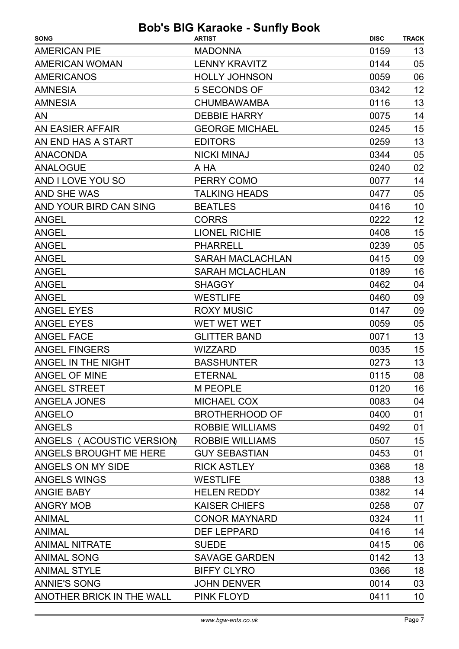| <b>AMERICAN PIE</b><br><b>MADONNA</b><br>0159<br>13<br><b>AMERICAN WOMAN</b><br><b>LENNY KRAVITZ</b><br>05<br>0144<br><b>AMERICANOS</b><br><b>HOLLY JOHNSON</b><br>0059<br>06<br>12<br><b>AMNESIA</b><br>5 SECONDS OF<br>0342<br>13<br><b>CHUMBAWAMBA</b><br>0116<br><b>AMNESIA</b><br>14<br><b>AN</b><br><b>DEBBIE HARRY</b><br>0075<br>15<br><b>GEORGE MICHAEL</b><br>0245<br>AN EASIER AFFAIR<br>13<br>AN END HAS A START<br><b>EDITORS</b><br>0259<br><b>ANACONDA</b><br><b>NICKI MINAJ</b><br>0344<br>05<br>02<br><b>ANALOGUE</b><br>A HA<br>0240<br>14<br>AND I LOVE YOU SO<br>0077<br>PERRY COMO<br><b>AND SHE WAS</b><br><b>TALKING HEADS</b><br>05<br>0477<br>AND YOUR BIRD CAN SING<br>10<br><b>BEATLES</b><br>0416<br>12<br><b>ANGEL</b><br><b>CORRS</b><br>0222<br><b>LIONEL RICHIE</b><br>0408<br>15<br><b>ANGEL</b><br>05<br><b>ANGEL</b><br><b>PHARRELL</b><br>0239<br><b>ANGEL</b><br><b>SARAH MACLACHLAN</b><br>09<br>0415<br><b>ANGEL</b><br><b>SARAH MCLACHLAN</b><br>0189<br>16<br><b>ANGEL</b><br><b>SHAGGY</b><br>0462<br>04<br><b>ANGEL</b><br><b>WESTLIFE</b><br>0460<br>09<br><b>ANGEL EYES</b><br><b>ROXY MUSIC</b><br>09<br>0147<br>05<br><b>ANGEL EYES</b><br>WET WET WET<br>0059<br>13<br><b>ANGEL FACE</b><br><b>GLITTER BAND</b><br>0071<br><b>ANGEL FINGERS</b><br>0035<br>15<br><b>WIZZARD</b><br>13<br>ANGEL IN THE NIGHT<br><b>BASSHUNTER</b><br>0273<br>0115<br>08<br><b>ANGEL OF MINE</b><br><b>ETERNAL</b><br>0120<br>16<br><b>ANGEL STREET</b><br><b>M PEOPLE</b><br>ANGELA JONES<br><b>MICHAEL COX</b><br>0083<br>04<br>01<br><b>BROTHERHOOD OF</b><br>0400<br><b>ANGELO</b> |
|----------------------------------------------------------------------------------------------------------------------------------------------------------------------------------------------------------------------------------------------------------------------------------------------------------------------------------------------------------------------------------------------------------------------------------------------------------------------------------------------------------------------------------------------------------------------------------------------------------------------------------------------------------------------------------------------------------------------------------------------------------------------------------------------------------------------------------------------------------------------------------------------------------------------------------------------------------------------------------------------------------------------------------------------------------------------------------------------------------------------------------------------------------------------------------------------------------------------------------------------------------------------------------------------------------------------------------------------------------------------------------------------------------------------------------------------------------------------------------------------------------------------------------------------------------------------------------------------------------------------|
|                                                                                                                                                                                                                                                                                                                                                                                                                                                                                                                                                                                                                                                                                                                                                                                                                                                                                                                                                                                                                                                                                                                                                                                                                                                                                                                                                                                                                                                                                                                                                                                                                      |
|                                                                                                                                                                                                                                                                                                                                                                                                                                                                                                                                                                                                                                                                                                                                                                                                                                                                                                                                                                                                                                                                                                                                                                                                                                                                                                                                                                                                                                                                                                                                                                                                                      |
|                                                                                                                                                                                                                                                                                                                                                                                                                                                                                                                                                                                                                                                                                                                                                                                                                                                                                                                                                                                                                                                                                                                                                                                                                                                                                                                                                                                                                                                                                                                                                                                                                      |
|                                                                                                                                                                                                                                                                                                                                                                                                                                                                                                                                                                                                                                                                                                                                                                                                                                                                                                                                                                                                                                                                                                                                                                                                                                                                                                                                                                                                                                                                                                                                                                                                                      |
|                                                                                                                                                                                                                                                                                                                                                                                                                                                                                                                                                                                                                                                                                                                                                                                                                                                                                                                                                                                                                                                                                                                                                                                                                                                                                                                                                                                                                                                                                                                                                                                                                      |
|                                                                                                                                                                                                                                                                                                                                                                                                                                                                                                                                                                                                                                                                                                                                                                                                                                                                                                                                                                                                                                                                                                                                                                                                                                                                                                                                                                                                                                                                                                                                                                                                                      |
|                                                                                                                                                                                                                                                                                                                                                                                                                                                                                                                                                                                                                                                                                                                                                                                                                                                                                                                                                                                                                                                                                                                                                                                                                                                                                                                                                                                                                                                                                                                                                                                                                      |
|                                                                                                                                                                                                                                                                                                                                                                                                                                                                                                                                                                                                                                                                                                                                                                                                                                                                                                                                                                                                                                                                                                                                                                                                                                                                                                                                                                                                                                                                                                                                                                                                                      |
|                                                                                                                                                                                                                                                                                                                                                                                                                                                                                                                                                                                                                                                                                                                                                                                                                                                                                                                                                                                                                                                                                                                                                                                                                                                                                                                                                                                                                                                                                                                                                                                                                      |
|                                                                                                                                                                                                                                                                                                                                                                                                                                                                                                                                                                                                                                                                                                                                                                                                                                                                                                                                                                                                                                                                                                                                                                                                                                                                                                                                                                                                                                                                                                                                                                                                                      |
|                                                                                                                                                                                                                                                                                                                                                                                                                                                                                                                                                                                                                                                                                                                                                                                                                                                                                                                                                                                                                                                                                                                                                                                                                                                                                                                                                                                                                                                                                                                                                                                                                      |
|                                                                                                                                                                                                                                                                                                                                                                                                                                                                                                                                                                                                                                                                                                                                                                                                                                                                                                                                                                                                                                                                                                                                                                                                                                                                                                                                                                                                                                                                                                                                                                                                                      |
|                                                                                                                                                                                                                                                                                                                                                                                                                                                                                                                                                                                                                                                                                                                                                                                                                                                                                                                                                                                                                                                                                                                                                                                                                                                                                                                                                                                                                                                                                                                                                                                                                      |
|                                                                                                                                                                                                                                                                                                                                                                                                                                                                                                                                                                                                                                                                                                                                                                                                                                                                                                                                                                                                                                                                                                                                                                                                                                                                                                                                                                                                                                                                                                                                                                                                                      |
|                                                                                                                                                                                                                                                                                                                                                                                                                                                                                                                                                                                                                                                                                                                                                                                                                                                                                                                                                                                                                                                                                                                                                                                                                                                                                                                                                                                                                                                                                                                                                                                                                      |
|                                                                                                                                                                                                                                                                                                                                                                                                                                                                                                                                                                                                                                                                                                                                                                                                                                                                                                                                                                                                                                                                                                                                                                                                                                                                                                                                                                                                                                                                                                                                                                                                                      |
|                                                                                                                                                                                                                                                                                                                                                                                                                                                                                                                                                                                                                                                                                                                                                                                                                                                                                                                                                                                                                                                                                                                                                                                                                                                                                                                                                                                                                                                                                                                                                                                                                      |
|                                                                                                                                                                                                                                                                                                                                                                                                                                                                                                                                                                                                                                                                                                                                                                                                                                                                                                                                                                                                                                                                                                                                                                                                                                                                                                                                                                                                                                                                                                                                                                                                                      |
|                                                                                                                                                                                                                                                                                                                                                                                                                                                                                                                                                                                                                                                                                                                                                                                                                                                                                                                                                                                                                                                                                                                                                                                                                                                                                                                                                                                                                                                                                                                                                                                                                      |
|                                                                                                                                                                                                                                                                                                                                                                                                                                                                                                                                                                                                                                                                                                                                                                                                                                                                                                                                                                                                                                                                                                                                                                                                                                                                                                                                                                                                                                                                                                                                                                                                                      |
|                                                                                                                                                                                                                                                                                                                                                                                                                                                                                                                                                                                                                                                                                                                                                                                                                                                                                                                                                                                                                                                                                                                                                                                                                                                                                                                                                                                                                                                                                                                                                                                                                      |
|                                                                                                                                                                                                                                                                                                                                                                                                                                                                                                                                                                                                                                                                                                                                                                                                                                                                                                                                                                                                                                                                                                                                                                                                                                                                                                                                                                                                                                                                                                                                                                                                                      |
|                                                                                                                                                                                                                                                                                                                                                                                                                                                                                                                                                                                                                                                                                                                                                                                                                                                                                                                                                                                                                                                                                                                                                                                                                                                                                                                                                                                                                                                                                                                                                                                                                      |
|                                                                                                                                                                                                                                                                                                                                                                                                                                                                                                                                                                                                                                                                                                                                                                                                                                                                                                                                                                                                                                                                                                                                                                                                                                                                                                                                                                                                                                                                                                                                                                                                                      |
|                                                                                                                                                                                                                                                                                                                                                                                                                                                                                                                                                                                                                                                                                                                                                                                                                                                                                                                                                                                                                                                                                                                                                                                                                                                                                                                                                                                                                                                                                                                                                                                                                      |
|                                                                                                                                                                                                                                                                                                                                                                                                                                                                                                                                                                                                                                                                                                                                                                                                                                                                                                                                                                                                                                                                                                                                                                                                                                                                                                                                                                                                                                                                                                                                                                                                                      |
|                                                                                                                                                                                                                                                                                                                                                                                                                                                                                                                                                                                                                                                                                                                                                                                                                                                                                                                                                                                                                                                                                                                                                                                                                                                                                                                                                                                                                                                                                                                                                                                                                      |
|                                                                                                                                                                                                                                                                                                                                                                                                                                                                                                                                                                                                                                                                                                                                                                                                                                                                                                                                                                                                                                                                                                                                                                                                                                                                                                                                                                                                                                                                                                                                                                                                                      |
|                                                                                                                                                                                                                                                                                                                                                                                                                                                                                                                                                                                                                                                                                                                                                                                                                                                                                                                                                                                                                                                                                                                                                                                                                                                                                                                                                                                                                                                                                                                                                                                                                      |
| <b>ANGELS</b><br><b>ROBBIE WILLIAMS</b><br>0492<br>01                                                                                                                                                                                                                                                                                                                                                                                                                                                                                                                                                                                                                                                                                                                                                                                                                                                                                                                                                                                                                                                                                                                                                                                                                                                                                                                                                                                                                                                                                                                                                                |
| <b>ROBBIE WILLIAMS</b><br>15<br>ANGELS (ACOUSTIC VERSION)<br>0507                                                                                                                                                                                                                                                                                                                                                                                                                                                                                                                                                                                                                                                                                                                                                                                                                                                                                                                                                                                                                                                                                                                                                                                                                                                                                                                                                                                                                                                                                                                                                    |
| 01<br>ANGELS BROUGHT ME HERE<br><b>GUY SEBASTIAN</b><br>0453                                                                                                                                                                                                                                                                                                                                                                                                                                                                                                                                                                                                                                                                                                                                                                                                                                                                                                                                                                                                                                                                                                                                                                                                                                                                                                                                                                                                                                                                                                                                                         |
| 18<br>ANGELS ON MY SIDE<br><b>RICK ASTLEY</b><br>0368                                                                                                                                                                                                                                                                                                                                                                                                                                                                                                                                                                                                                                                                                                                                                                                                                                                                                                                                                                                                                                                                                                                                                                                                                                                                                                                                                                                                                                                                                                                                                                |
| 13<br><b>ANGELS WINGS</b><br><b>WESTLIFE</b><br>0388                                                                                                                                                                                                                                                                                                                                                                                                                                                                                                                                                                                                                                                                                                                                                                                                                                                                                                                                                                                                                                                                                                                                                                                                                                                                                                                                                                                                                                                                                                                                                                 |
| <b>HELEN REDDY</b><br>14<br><b>ANGIE BABY</b><br>0382                                                                                                                                                                                                                                                                                                                                                                                                                                                                                                                                                                                                                                                                                                                                                                                                                                                                                                                                                                                                                                                                                                                                                                                                                                                                                                                                                                                                                                                                                                                                                                |
| <b>KAISER CHIEFS</b><br>07<br><b>ANGRY MOB</b><br>0258                                                                                                                                                                                                                                                                                                                                                                                                                                                                                                                                                                                                                                                                                                                                                                                                                                                                                                                                                                                                                                                                                                                                                                                                                                                                                                                                                                                                                                                                                                                                                               |
| 0324<br>11<br><b>ANIMAL</b><br><b>CONOR MAYNARD</b>                                                                                                                                                                                                                                                                                                                                                                                                                                                                                                                                                                                                                                                                                                                                                                                                                                                                                                                                                                                                                                                                                                                                                                                                                                                                                                                                                                                                                                                                                                                                                                  |
| 14<br><b>ANIMAL</b><br><b>DEF LEPPARD</b><br>0416                                                                                                                                                                                                                                                                                                                                                                                                                                                                                                                                                                                                                                                                                                                                                                                                                                                                                                                                                                                                                                                                                                                                                                                                                                                                                                                                                                                                                                                                                                                                                                    |
| <b>ANIMAL NITRATE</b><br>0415<br>06<br><b>SUEDE</b>                                                                                                                                                                                                                                                                                                                                                                                                                                                                                                                                                                                                                                                                                                                                                                                                                                                                                                                                                                                                                                                                                                                                                                                                                                                                                                                                                                                                                                                                                                                                                                  |
| <b>ANIMAL SONG</b><br>0142<br>13<br><b>SAVAGE GARDEN</b>                                                                                                                                                                                                                                                                                                                                                                                                                                                                                                                                                                                                                                                                                                                                                                                                                                                                                                                                                                                                                                                                                                                                                                                                                                                                                                                                                                                                                                                                                                                                                             |
| 18<br><b>ANIMAL STYLE</b><br><b>BIFFY CLYRO</b><br>0366                                                                                                                                                                                                                                                                                                                                                                                                                                                                                                                                                                                                                                                                                                                                                                                                                                                                                                                                                                                                                                                                                                                                                                                                                                                                                                                                                                                                                                                                                                                                                              |
| <b>ANNIE'S SONG</b><br>03<br>0014<br><b>JOHN DENVER</b>                                                                                                                                                                                                                                                                                                                                                                                                                                                                                                                                                                                                                                                                                                                                                                                                                                                                                                                                                                                                                                                                                                                                                                                                                                                                                                                                                                                                                                                                                                                                                              |
| ANOTHER BRICK IN THE WALL<br><b>PINK FLOYD</b><br>0411<br>10                                                                                                                                                                                                                                                                                                                                                                                                                                                                                                                                                                                                                                                                                                                                                                                                                                                                                                                                                                                                                                                                                                                                                                                                                                                                                                                                                                                                                                                                                                                                                         |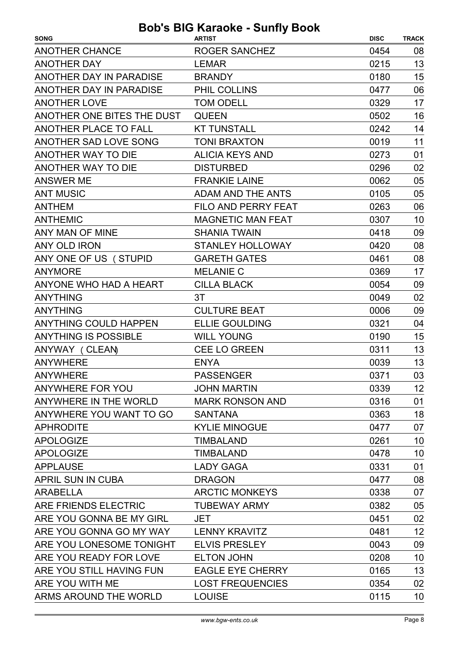| <b>SONG</b>                  | <b>ARTIST</b>            | <b>DISC</b> | <b>TRACK</b> |
|------------------------------|--------------------------|-------------|--------------|
| <b>ANOTHER CHANCE</b>        | <b>ROGER SANCHEZ</b>     | 0454        | 08           |
| <b>ANOTHER DAY</b>           | <b>LEMAR</b>             | 0215        | 13           |
| ANOTHER DAY IN PARADISE      | <b>BRANDY</b>            | 0180        | 15           |
| ANOTHER DAY IN PARADISE      | PHIL COLLINS             | 0477        | 06           |
| <b>ANOTHER LOVE</b>          | <b>TOM ODELL</b>         | 0329        | 17           |
| ANOTHER ONE BITES THE DUST   | <b>QUEEN</b>             | 0502        | 16           |
| <b>ANOTHER PLACE TO FALL</b> | <b>KT TUNSTALL</b>       | 0242        | 14           |
| ANOTHER SAD LOVE SONG        | <b>TONI BRAXTON</b>      | 0019        | 11           |
| <b>ANOTHER WAY TO DIE</b>    | <b>ALICIA KEYS AND</b>   | 0273        | 01           |
| ANOTHER WAY TO DIE           | <b>DISTURBED</b>         | 0296        | 02           |
| <b>ANSWER ME</b>             | <b>FRANKIE LAINE</b>     | 0062        | 05           |
| <b>ANT MUSIC</b>             | <b>ADAM AND THE ANTS</b> | 0105        | 05           |
| <b>ANTHEM</b>                | FILO AND PERRY FEAT      | 0263        | 06           |
| <b>ANTHEMIC</b>              | <b>MAGNETIC MAN FEAT</b> | 0307        | 10           |
| ANY MAN OF MINE              | <b>SHANIA TWAIN</b>      | 0418        | 09           |
| ANY OLD IRON                 | <b>STANLEY HOLLOWAY</b>  | 0420        | 08           |
| ANY ONE OF US (STUPID        | <b>GARETH GATES</b>      | 0461        | 08           |
| <b>ANYMORE</b>               | <b>MELANIE C</b>         | 0369        | 17           |
| ANYONE WHO HAD A HEART       | <b>CILLA BLACK</b>       | 0054        | 09           |
| <b>ANYTHING</b>              | 3T                       | 0049        | 02           |
| <b>ANYTHING</b>              | <b>CULTURE BEAT</b>      | 0006        | 09           |
| <b>ANYTHING COULD HAPPEN</b> | <b>ELLIE GOULDING</b>    | 0321        | 04           |
| <b>ANYTHING IS POSSIBLE</b>  | <b>WILL YOUNG</b>        | 0190        | 15           |
| ANYWAY (CLEAN)               | <b>CEE LO GREEN</b>      | 0311        | 13           |
| <b>ANYWHERE</b>              | <b>ENYA</b>              | 0039        | 13           |
| <b>ANYWHERE</b>              | <b>PASSENGER</b>         | 0371        | 03           |
| <b>ANYWHERE FOR YOU</b>      | <b>JOHN MARTIN</b>       | 0339        | 12           |
| ANYWHERE IN THE WORLD        | <b>MARK RONSON AND</b>   | 0316        | 01           |
| ANYWHERE YOU WANT TO GO      | <b>SANTANA</b>           | 0363        | 18           |
| <b>APHRODITE</b>             | <b>KYLIE MINOGUE</b>     | 0477        | 07           |
| <b>APOLOGIZE</b>             | <b>TIMBALAND</b>         | 0261        | 10           |
| <b>APOLOGIZE</b>             | <b>TIMBALAND</b>         | 0478        | 10           |
| <b>APPLAUSE</b>              | <b>LADY GAGA</b>         | 0331        | 01           |
| APRIL SUN IN CUBA            | <b>DRAGON</b>            | 0477        | 08           |
| <b>ARABELLA</b>              | <b>ARCTIC MONKEYS</b>    | 0338        | 07           |
| ARE FRIENDS ELECTRIC         | <b>TUBEWAY ARMY</b>      | 0382        | 05           |
| ARE YOU GONNA BE MY GIRL     | JET                      | 0451        | 02           |
| ARE YOU GONNA GO MY WAY      | <b>LENNY KRAVITZ</b>     | 0481        | 12           |
| ARE YOU LONESOME TONIGHT     | <b>ELVIS PRESLEY</b>     | 0043        | 09           |
| ARE YOU READY FOR LOVE       | <b>ELTON JOHN</b>        | 0208        | 10           |
| ARE YOU STILL HAVING FUN     | <b>EAGLE EYE CHERRY</b>  | 0165        | 13           |
| ARE YOU WITH ME              | <b>LOST FREQUENCIES</b>  | 0354        | 02           |
| ARMS AROUND THE WORLD        | <b>LOUISE</b>            | 0115        | 10           |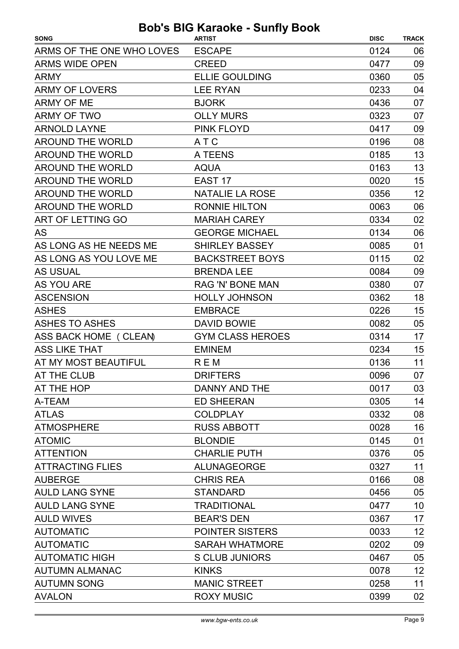| <b>SONG</b>               | <b>ARTIST</b>           | <b>DISC</b> | <b>TRACK</b> |
|---------------------------|-------------------------|-------------|--------------|
| ARMS OF THE ONE WHO LOVES | <b>ESCAPE</b>           | 0124        | 06           |
| <b>ARMS WIDE OPEN</b>     | <b>CREED</b>            | 0477        | 09           |
| <b>ARMY</b>               | <b>ELLIE GOULDING</b>   | 0360        | 05           |
| <b>ARMY OF LOVERS</b>     | <b>LEE RYAN</b>         | 0233        | 04           |
| ARMY OF ME                | <b>BJORK</b>            | 0436        | 07           |
| <b>ARMY OF TWO</b>        | <b>OLLY MURS</b>        | 0323        | 07           |
| <b>ARNOLD LAYNE</b>       | <b>PINK FLOYD</b>       | 0417        | 09           |
| <b>AROUND THE WORLD</b>   | A T C                   | 0196        | 08           |
| <b>AROUND THE WORLD</b>   | A TEENS                 | 0185        | 13           |
| <b>AROUND THE WORLD</b>   | <b>AQUA</b>             | 0163        | 13           |
| <b>AROUND THE WORLD</b>   | EAST <sub>17</sub>      | 0020        | 15           |
| <b>AROUND THE WORLD</b>   | <b>NATALIE LA ROSE</b>  | 0356        | 12           |
| <b>AROUND THE WORLD</b>   | <b>RONNIE HILTON</b>    | 0063        | 06           |
| ART OF LETTING GO         | <b>MARIAH CAREY</b>     | 0334        | 02           |
| <b>AS</b>                 | <b>GEORGE MICHAEL</b>   | 0134        | 06           |
| AS LONG AS HE NEEDS ME    | <b>SHIRLEY BASSEY</b>   | 0085        | 01           |
| AS LONG AS YOU LOVE ME    | <b>BACKSTREET BOYS</b>  | 0115        | 02           |
| <b>AS USUAL</b>           | <b>BRENDA LEE</b>       | 0084        | 09           |
| <b>AS YOU ARE</b>         | <b>RAG 'N' BONE MAN</b> | 0380        | 07           |
| <b>ASCENSION</b>          | <b>HOLLY JOHNSON</b>    | 0362        | 18           |
| <b>ASHES</b>              | <b>EMBRACE</b>          | 0226        | 15           |
| <b>ASHES TO ASHES</b>     | <b>DAVID BOWIE</b>      | 0082        | 05           |
| ASS BACK HOME ( CLEAN)    | <b>GYM CLASS HEROES</b> | 0314        | 17           |
| <b>ASS LIKE THAT</b>      | <b>EMINEM</b>           | 0234        | 15           |
| AT MY MOST BEAUTIFUL      | R E M                   | 0136        | 11           |
| AT THE CLUB               | <b>DRIFTERS</b>         | 0096        | 07           |
| AT THE HOP                | DANNY AND THE           | 0017        | 03           |
| A-TEAM                    | <b>ED SHEERAN</b>       | 0305        | 14           |
| <b>ATLAS</b>              | <b>COLDPLAY</b>         | 0332        | 08           |
| <b>ATMOSPHERE</b>         | <b>RUSS ABBOTT</b>      | 0028        | 16           |
| <b>ATOMIC</b>             | <b>BLONDIE</b>          | 0145        | 01           |
| <b>ATTENTION</b>          | <b>CHARLIE PUTH</b>     | 0376        | 05           |
| <b>ATTRACTING FLIES</b>   | <b>ALUNAGEORGE</b>      | 0327        | 11           |
| <b>AUBERGE</b>            | <b>CHRIS REA</b>        | 0166        | 08           |
| <b>AULD LANG SYNE</b>     | <b>STANDARD</b>         | 0456        | 05           |
| <b>AULD LANG SYNE</b>     | <b>TRADITIONAL</b>      | 0477        | 10           |
| <b>AULD WIVES</b>         | <b>BEAR'S DEN</b>       | 0367        | 17           |
| <b>AUTOMATIC</b>          | <b>POINTER SISTERS</b>  | 0033        | 12           |
| <b>AUTOMATIC</b>          | <b>SARAH WHATMORE</b>   | 0202        | 09           |
| <b>AUTOMATIC HIGH</b>     | <b>S CLUB JUNIORS</b>   | 0467        | 05           |
| <b>AUTUMN ALMANAC</b>     | <b>KINKS</b>            | 0078        | 12           |
| <b>AUTUMN SONG</b>        | <b>MANIC STREET</b>     | 0258        | 11           |
| <b>AVALON</b>             | <b>ROXY MUSIC</b>       | 0399        | 02           |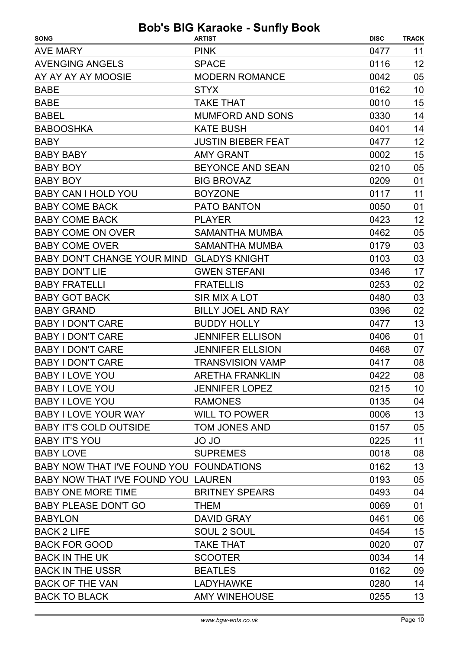| <b>SONG</b>                               | <b>ARTIST</b>             | <b>DISC</b> | <b>TRACK</b> |
|-------------------------------------------|---------------------------|-------------|--------------|
| <b>AVE MARY</b>                           | <b>PINK</b>               | 0477        | 11           |
| <b>AVENGING ANGELS</b>                    | <b>SPACE</b>              | 0116        | 12           |
| AY AY AY AY MOOSIE                        | <b>MODERN ROMANCE</b>     | 0042        | 05           |
| <b>BABE</b>                               | <b>STYX</b>               | 0162        | 10           |
| <b>BABE</b>                               | <b>TAKE THAT</b>          | 0010        | 15           |
| <b>BABEL</b>                              | <b>MUMFORD AND SONS</b>   | 0330        | 14           |
| <b>BABOOSHKA</b>                          | <b>KATE BUSH</b>          | 0401        | 14           |
| <b>BABY</b>                               | <b>JUSTIN BIEBER FEAT</b> | 0477        | 12           |
| <b>BABY BABY</b>                          | <b>AMY GRANT</b>          | 0002        | 15           |
| <b>BABY BOY</b>                           | <b>BEYONCE AND SEAN</b>   | 0210        | 05           |
| <b>BABY BOY</b>                           | <b>BIG BROVAZ</b>         | 0209        | 01           |
| <b>BABY CAN I HOLD YOU</b>                | <b>BOYZONE</b>            | 0117        | 11           |
| <b>BABY COME BACK</b>                     | <b>PATO BANTON</b>        | 0050        | 01           |
| <b>BABY COME BACK</b>                     | <b>PLAYER</b>             | 0423        | 12           |
| <b>BABY COME ON OVER</b>                  | <b>SAMANTHA MUMBA</b>     | 0462        | 05           |
| <b>BABY COME OVER</b>                     | <b>SAMANTHA MUMBA</b>     | 0179        | 03           |
| BABY DON'T CHANGE YOUR MIND GLADYS KNIGHT |                           | 0103        | 03           |
| <b>BABY DON'T LIE</b>                     | <b>GWEN STEFANI</b>       | 0346        | 17           |
| <b>BABY FRATELLI</b>                      | <b>FRATELLIS</b>          | 0253        | 02           |
| <b>BABY GOT BACK</b>                      | <b>SIR MIX A LOT</b>      | 0480        | 03           |
| <b>BABY GRAND</b>                         | <b>BILLY JOEL AND RAY</b> | 0396        | 02           |
| <b>BABY I DON'T CARE</b>                  | <b>BUDDY HOLLY</b>        | 0477        | 13           |
| <b>BABY I DON'T CARE</b>                  | <b>JENNIFER ELLISON</b>   | 0406        | 01           |
| <b>BABY I DON'T CARE</b>                  | <b>JENNIFER ELLSION</b>   | 0468        | 07           |
| <b>BABY I DON'T CARE</b>                  | <b>TRANSVISION VAMP</b>   | 0417        | 08           |
| <b>BABY I LOVE YOU</b>                    | ARETHA FRANKLIN           | 0422        | 08           |
| BABY I LOVE YOU                           | <b>JENNIFER LOPEZ</b>     | 0215        | 10           |
| BABY I LOVE YOU                           | <b>RAMONES</b>            | 0135        | 04           |
| BABY I LOVE YOUR WAY                      | <b>WILL TO POWER</b>      | 0006        | 13           |
| <b>BABY IT'S COLD OUTSIDE</b>             | TOM JONES AND             | 0157        | 05           |
| <b>BABY IT'S YOU</b>                      | JO JO                     | 0225        | 11           |
| <b>BABY LOVE</b>                          | <b>SUPREMES</b>           | 0018        | 08           |
| BABY NOW THAT I'VE FOUND YOU FOUNDATIONS  |                           | 0162        | 13           |
| BABY NOW THAT I'VE FOUND YOU LAUREN       |                           | 0193        | 05           |
| <b>BABY ONE MORE TIME</b>                 | <b>BRITNEY SPEARS</b>     | 0493        | 04           |
| BABY PLEASE DON'T GO                      | <b>THEM</b>               | 0069        | 01           |
| <b>BABYLON</b>                            | DAVID GRAY                | 0461        | 06           |
| <b>BACK 2 LIFE</b>                        | SOUL 2 SOUL               | 0454        | 15           |
| <b>BACK FOR GOOD</b>                      | <b>TAKE THAT</b>          | 0020        | 07           |
| <b>BACK IN THE UK</b>                     | <b>SCOOTER</b>            | 0034        | 14           |
| <b>BACK IN THE USSR</b>                   | <b>BEATLES</b>            | 0162        | 09           |
| <b>BACK OF THE VAN</b>                    | <b>LADYHAWKE</b>          | 0280        | 14           |
| <b>BACK TO BLACK</b>                      | AMY WINEHOUSE             | 0255        | 13           |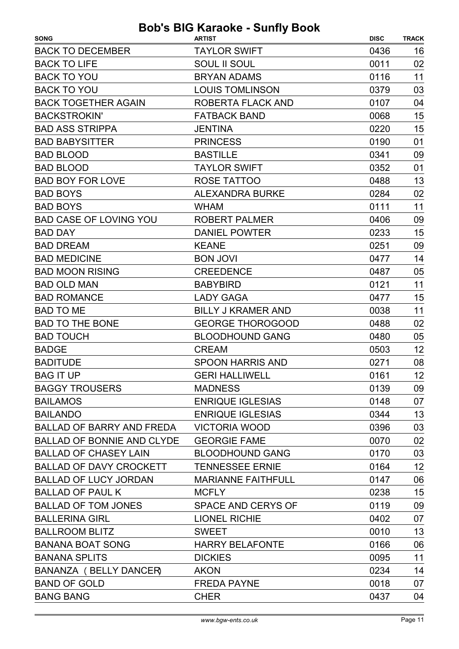| <b>SONG</b>                       | <b>ARTIST</b>             | <b>DISC</b> | <b>TRACK</b> |
|-----------------------------------|---------------------------|-------------|--------------|
| <b>BACK TO DECEMBER</b>           | <b>TAYLOR SWIFT</b>       | 0436        | 16           |
| <b>BACK TO LIFE</b>               | <b>SOUL II SOUL</b>       | 0011        | 02           |
| <b>BACK TO YOU</b>                | <b>BRYAN ADAMS</b>        | 0116        | 11           |
| <b>BACK TO YOU</b>                | <b>LOUIS TOMLINSON</b>    | 0379        | 03           |
| <b>BACK TOGETHER AGAIN</b>        | ROBERTA FLACK AND         | 0107        | 04           |
| <b>BACKSTROKIN'</b>               | <b>FATBACK BAND</b>       | 0068        | 15           |
| <b>BAD ASS STRIPPA</b>            | <b>JENTINA</b>            | 0220        | 15           |
| <b>BAD BABYSITTER</b>             | <b>PRINCESS</b>           | 0190        | 01           |
| <b>BAD BLOOD</b>                  | <b>BASTILLE</b>           | 0341        | 09           |
| <b>BAD BLOOD</b>                  | <b>TAYLOR SWIFT</b>       | 0352        | 01           |
| <b>BAD BOY FOR LOVE</b>           | ROSE TATTOO               | 0488        | 13           |
| <b>BAD BOYS</b>                   | <b>ALEXANDRA BURKE</b>    | 0284        | 02           |
| <b>BAD BOYS</b>                   | <b>WHAM</b>               | 0111        | 11           |
| <b>BAD CASE OF LOVING YOU</b>     | <b>ROBERT PALMER</b>      | 0406        | 09           |
| <b>BAD DAY</b>                    | <b>DANIEL POWTER</b>      | 0233        | 15           |
| <b>BAD DREAM</b>                  | <b>KEANE</b>              | 0251        | 09           |
| <b>BAD MEDICINE</b>               | <b>BON JOVI</b>           | 0477        | 14           |
| <b>BAD MOON RISING</b>            | <b>CREEDENCE</b>          | 0487        | 05           |
| <b>BAD OLD MAN</b>                | <b>BABYBIRD</b>           | 0121        | 11           |
| <b>BAD ROMANCE</b>                | <b>LADY GAGA</b>          | 0477        | 15           |
| <b>BAD TO ME</b>                  | <b>BILLY J KRAMER AND</b> | 0038        | 11           |
| <b>BAD TO THE BONE</b>            | <b>GEORGE THOROGOOD</b>   | 0488        | 02           |
| <b>BAD TOUCH</b>                  | <b>BLOODHOUND GANG</b>    | 0480        | 05           |
| <b>BADGE</b>                      | <b>CREAM</b>              | 0503        | 12           |
| <b>BADITUDE</b>                   | <b>SPOON HARRIS AND</b>   | 0271        | 08           |
| <b>BAG IT UP</b>                  | <b>GERI HALLIWELL</b>     | 0161        | 12           |
| <b>BAGGY TROUSERS</b>             | <b>MADNESS</b>            | 0139        | 09           |
| <b>BAILAMOS</b>                   | <b>ENRIQUE IGLESIAS</b>   | 0148        | 07           |
| <b>BAILANDO</b>                   | <b>ENRIQUE IGLESIAS</b>   | 0344        | 13           |
| <b>BALLAD OF BARRY AND FREDA</b>  | <b>VICTORIA WOOD</b>      | 0396        | 03           |
| <b>BALLAD OF BONNIE AND CLYDE</b> | <b>GEORGIE FAME</b>       | 0070        | 02           |
| <b>BALLAD OF CHASEY LAIN</b>      | <b>BLOODHOUND GANG</b>    | 0170        | 03           |
| <b>BALLAD OF DAVY CROCKETT</b>    | <b>TENNESSEE ERNIE</b>    | 0164        | 12           |
| <b>BALLAD OF LUCY JORDAN</b>      | <b>MARIANNE FAITHFULL</b> | 0147        | 06           |
| <b>BALLAD OF PAUL K</b>           | <b>MCFLY</b>              | 0238        | 15           |
| <b>BALLAD OF TOM JONES</b>        | SPACE AND CERYS OF        | 0119        | 09           |
| <b>BALLERINA GIRL</b>             | <b>LIONEL RICHIE</b>      | 0402        | 07           |
| <b>BALLROOM BLITZ</b>             | <b>SWEET</b>              | 0010        | 13           |
| <b>BANANA BOAT SONG</b>           | <b>HARRY BELAFONTE</b>    | 0166        | 06           |
| <b>BANANA SPLITS</b>              | <b>DICKIES</b>            | 0095        | 11           |
| BANANZA (BELLY DANCER)            | <b>AKON</b>               | 0234        | 14           |
| <b>BAND OF GOLD</b>               | <b>FREDA PAYNE</b>        | 0018        | 07           |
| <b>BANG BANG</b>                  | <b>CHER</b>               | 0437        | 04           |
|                                   |                           |             |              |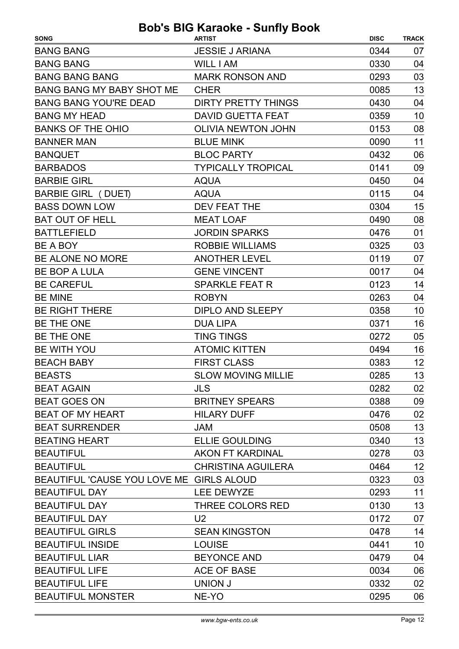| <b>SONG</b>                              | <b>ARTIST</b>              | <b>DISC</b> | <b>TRACK</b> |
|------------------------------------------|----------------------------|-------------|--------------|
| <b>BANG BANG</b>                         | <b>JESSIE J ARIANA</b>     | 0344        | 07           |
| <b>BANG BANG</b>                         | <b>WILL I AM</b>           | 0330        | 04           |
| <b>BANG BANG BANG</b>                    | <b>MARK RONSON AND</b>     | 0293        | 03           |
| <b>BANG BANG MY BABY SHOT ME</b>         | <b>CHER</b>                | 0085        | 13           |
| <b>BANG BANG YOU'RE DEAD</b>             | <b>DIRTY PRETTY THINGS</b> | 0430        | 04           |
| <b>BANG MY HEAD</b>                      | <b>DAVID GUETTA FEAT</b>   | 0359        | 10           |
| <b>BANKS OF THE OHIO</b>                 | <b>OLIVIA NEWTON JOHN</b>  | 0153        | 08           |
| <b>BANNER MAN</b>                        | <b>BLUE MINK</b>           | 0090        | 11           |
| <b>BANQUET</b>                           | <b>BLOC PARTY</b>          | 0432        | 06           |
| <b>BARBADOS</b>                          | <b>TYPICALLY TROPICAL</b>  | 0141        | 09           |
| <b>BARBIE GIRL</b>                       | <b>AQUA</b>                | 0450        | 04           |
| <b>BARBIE GIRL (DUET)</b>                | <b>AQUA</b>                | 0115        | 04           |
| <b>BASS DOWN LOW</b>                     | DEV FEAT THE               | 0304        | 15           |
| <b>BAT OUT OF HELL</b>                   | <b>MEAT LOAF</b>           | 0490        | 08           |
| <b>BATTLEFIELD</b>                       | <b>JORDIN SPARKS</b>       | 0476        | 01           |
| BE A BOY                                 | <b>ROBBIE WILLIAMS</b>     | 0325        | 03           |
| <b>BE ALONE NO MORE</b>                  | <b>ANOTHER LEVEL</b>       | 0119        | 07           |
| <b>BE BOP A LULA</b>                     | <b>GENE VINCENT</b>        | 0017        | 04           |
| <b>BE CAREFUL</b>                        | <b>SPARKLE FEAT R</b>      | 0123        | 14           |
| <b>BE MINE</b>                           | <b>ROBYN</b>               | 0263        | 04           |
| <b>BE RIGHT THERE</b>                    | <b>DIPLO AND SLEEPY</b>    | 0358        | 10           |
| BE THE ONE                               | <b>DUA LIPA</b>            | 0371        | 16           |
| BE THE ONE                               | <b>TING TINGS</b>          | 0272        | 05           |
| <b>BE WITH YOU</b>                       | <b>ATOMIC KITTEN</b>       | 0494        | 16           |
| <b>BEACH BABY</b>                        | <b>FIRST CLASS</b>         | 0383        | 12           |
| <b>BEASTS</b>                            | <b>SLOW MOVING MILLIE</b>  | 0285        | 13           |
| <b>BEAT AGAIN</b>                        | <b>JLS</b>                 | 0282        | 02           |
| <b>BEAT GOES ON</b>                      | <b>BRITNEY SPEARS</b>      | 0388        | 09           |
| <b>BEAT OF MY HEART</b>                  | <b>HILARY DUFF</b>         | 0476        | 02           |
| <b>BEAT SURRENDER</b>                    | <b>JAM</b>                 | 0508        | 13           |
| <b>BEATING HEART</b>                     | <b>ELLIE GOULDING</b>      | 0340        | 13           |
| <b>BEAUTIFUL</b>                         | <b>AKON FT KARDINAL</b>    | 0278        | 03           |
| <b>BEAUTIFUL</b>                         | <b>CHRISTINA AGUILERA</b>  | 0464        | 12           |
| BEAUTIFUL 'CAUSE YOU LOVE ME GIRLS ALOUD |                            | 0323        | 03           |
| <b>BEAUTIFUL DAY</b>                     | LEE DEWYZE                 | 0293        | 11           |
| <b>BEAUTIFUL DAY</b>                     | THREE COLORS RED           | 0130        | 13           |
| <b>BEAUTIFUL DAY</b>                     | U <sub>2</sub>             | 0172        | 07           |
| <b>BEAUTIFUL GIRLS</b>                   | <b>SEAN KINGSTON</b>       | 0478        | 14           |
| <b>BEAUTIFUL INSIDE</b>                  | <b>LOUISE</b>              | 0441        | 10           |
| <b>BEAUTIFUL LIAR</b>                    | <b>BEYONCE AND</b>         | 0479        | 04           |
| <b>BEAUTIFUL LIFE</b>                    | <b>ACE OF BASE</b>         | 0034        | 06           |
| <b>BEAUTIFUL LIFE</b>                    | <b>UNION J</b>             | 0332        | 02           |
| <b>BEAUTIFUL MONSTER</b>                 | NE-YO                      | 0295        | 06           |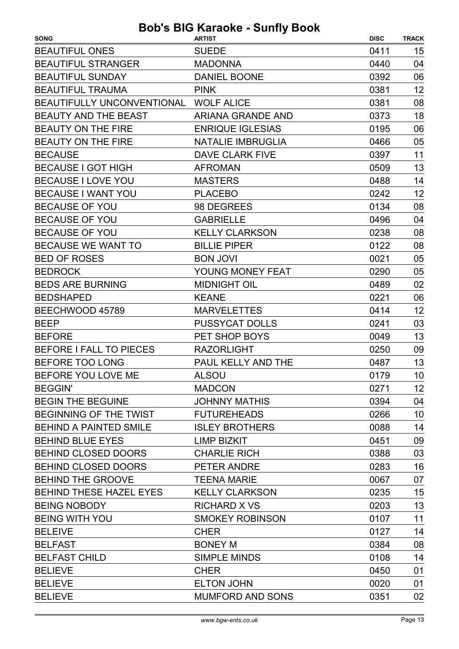| <b>SONG</b>                    | <b>ARTIST</b>            | <b>DISC</b> | <b>TRACK</b> |
|--------------------------------|--------------------------|-------------|--------------|
| <b>BEAUTIFUL ONES</b>          | <b>SUEDE</b>             | 0411        | 15           |
| <b>BEAUTIFUL STRANGER</b>      | <b>MADONNA</b>           | 0440        | 04           |
| <b>BEAUTIFUL SUNDAY</b>        | <b>DANIEL BOONE</b>      | 0392        | 06           |
| <b>BEAUTIFUL TRAUMA</b>        | <b>PINK</b>              | 0381        | 12           |
| BEAUTIFULLY UNCONVENTIONAL     | <b>WOLF ALICE</b>        | 0381        | 08           |
| <b>BEAUTY AND THE BEAST</b>    | <b>ARIANA GRANDE AND</b> | 0373        | 18           |
| <b>BEAUTY ON THE FIRE</b>      | <b>ENRIQUE IGLESIAS</b>  | 0195        | 06           |
| <b>BEAUTY ON THE FIRE</b>      | <b>NATALIE IMBRUGLIA</b> | 0466        | 05           |
| <b>BECAUSE</b>                 | <b>DAVE CLARK FIVE</b>   | 0397        | 11           |
| <b>BECAUSE I GOT HIGH</b>      | <b>AFROMAN</b>           | 0509        | 13           |
| BECAUSE I LOVE YOU             | <b>MASTERS</b>           | 0488        | 14           |
| <b>BECAUSE I WANT YOU</b>      | <b>PLACEBO</b>           | 0242        | 12           |
| <b>BECAUSE OF YOU</b>          | 98 DEGREES               | 0134        | 08           |
| <b>BECAUSE OF YOU</b>          | <b>GABRIELLE</b>         | 0496        | 04           |
| <b>BECAUSE OF YOU</b>          | <b>KELLY CLARKSON</b>    | 0238        | 08           |
| <b>BECAUSE WE WANT TO</b>      | <b>BILLIE PIPER</b>      | 0122        | 08           |
| <b>BED OF ROSES</b>            | <b>BON JOVI</b>          | 0021        | 05           |
| <b>BEDROCK</b>                 | YOUNG MONEY FEAT         | 0290        | 05           |
| <b>BEDS ARE BURNING</b>        | <b>MIDNIGHT OIL</b>      | 0489        | 02           |
| <b>BEDSHAPED</b>               | <b>KEANE</b>             | 0221        | 06           |
| BEECHWOOD 45789                | <b>MARVELETTES</b>       | 0414        | 12           |
| <b>BEEP</b>                    | <b>PUSSYCAT DOLLS</b>    | 0241        | 03           |
| <b>BEFORE</b>                  | PET SHOP BOYS            | 0049        | 13           |
| BEFORE I FALL TO PIECES        | <b>RAZORLIGHT</b>        | 0250        | 09           |
| BEFORE TOO LONG                | PAUL KELLY AND THE       | 0487        | 13           |
| BEFORE YOU LOVE ME             | <b>ALSOU</b>             | 0179        | 10           |
| <b>BEGGIN'</b>                 | <b>MADCON</b>            | 0271        | 12           |
| <b>BEGIN THE BEGUINE</b>       | <b>JOHNNY MATHIS</b>     | 0394        | 04           |
| BEGINNING OF THE TWIST         | <b>FUTUREHEADS</b>       | 0266        | 10           |
| <b>BEHIND A PAINTED SMILE</b>  | <b>ISLEY BROTHERS</b>    | 0088        | 14           |
| <b>BEHIND BLUE EYES</b>        | <b>LIMP BIZKIT</b>       | 0451        | 09           |
| <b>BEHIND CLOSED DOORS</b>     | <b>CHARLIE RICH</b>      | 0388        | 03           |
| <b>BEHIND CLOSED DOORS</b>     | PETER ANDRE              | 0283        | 16           |
| <b>BEHIND THE GROOVE</b>       | <b>TEENA MARIE</b>       | 0067        | 07           |
| <b>BEHIND THESE HAZEL EYES</b> | <b>KELLY CLARKSON</b>    | 0235        | 15           |
| <b>BEING NOBODY</b>            | <b>RICHARD X VS</b>      | 0203        | 13           |
| <b>BEING WITH YOU</b>          | <b>SMOKEY ROBINSON</b>   | 0107        | 11           |
| <b>BELEIVE</b>                 | <b>CHER</b>              | 0127        | 14           |
| <b>BELFAST</b>                 | <b>BONEY M</b>           | 0384        | 08           |
| <b>BELFAST CHILD</b>           | <b>SIMPLE MINDS</b>      | 0108        | 14           |
| <b>BELIEVE</b>                 | <b>CHER</b>              | 0450        | 01           |
| <b>BELIEVE</b>                 | <b>ELTON JOHN</b>        | 0020        | 01           |
| <b>BELIEVE</b>                 | <b>MUMFORD AND SONS</b>  | 0351        | 02           |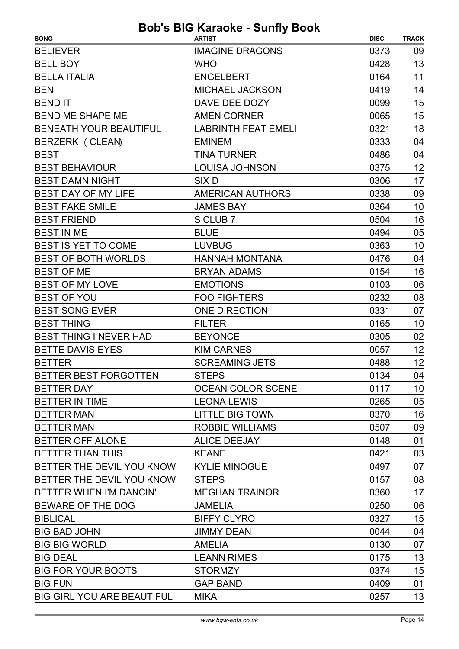| <b>SONG</b>                       | <b>ARTIST</b>              | <b>DISC</b> | <b>TRACK</b> |
|-----------------------------------|----------------------------|-------------|--------------|
| <b>BELIEVER</b>                   | <b>IMAGINE DRAGONS</b>     | 0373        | 09           |
| <b>BELL BOY</b>                   | <b>WHO</b>                 | 0428        | 13           |
| <b>BELLA ITALIA</b>               | <b>ENGELBERT</b>           | 0164        | 11           |
| <b>BEN</b>                        | <b>MICHAEL JACKSON</b>     | 0419        | 14           |
| <b>BEND IT</b>                    | DAVE DEE DOZY              | 0099        | 15           |
| <b>BEND ME SHAPE ME</b>           | <b>AMEN CORNER</b>         | 0065        | 15           |
| <b>BENEATH YOUR BEAUTIFUL</b>     | <b>LABRINTH FEAT EMELI</b> | 0321        | 18           |
| BERZERK (CLEAN)                   | <b>EMINEM</b>              | 0333        | 04           |
| <b>BEST</b>                       | <b>TINA TURNER</b>         | 0486        | 04           |
| <b>BEST BEHAVIOUR</b>             | <b>LOUISA JOHNSON</b>      | 0375        | 12           |
| <b>BEST DAMN NIGHT</b>            | SIX <sub>D</sub>           | 0306        | 17           |
| <b>BEST DAY OF MY LIFE</b>        | <b>AMERICAN AUTHORS</b>    | 0338        | 09           |
| <b>BEST FAKE SMILE</b>            | <b>JAMES BAY</b>           | 0364        | 10           |
| <b>BEST FRIEND</b>                | S CLUB 7                   | 0504        | 16           |
| <b>BEST IN ME</b>                 | <b>BLUE</b>                | 0494        | 05           |
| BEST IS YET TO COME               | <b>LUVBUG</b>              | 0363        | 10           |
| <b>BEST OF BOTH WORLDS</b>        | <b>HANNAH MONTANA</b>      | 0476        | 04           |
| <b>BEST OF ME</b>                 | <b>BRYAN ADAMS</b>         | 0154        | 16           |
| <b>BEST OF MY LOVE</b>            | <b>EMOTIONS</b>            | 0103        | 06           |
| <b>BEST OF YOU</b>                | <b>FOO FIGHTERS</b>        | 0232        | 08           |
| <b>BEST SONG EVER</b>             | <b>ONE DIRECTION</b>       | 0331        | 07           |
| <b>BEST THING</b>                 | <b>FILTER</b>              | 0165        | 10           |
| <b>BEST THING I NEVER HAD</b>     | <b>BEYONCE</b>             | 0305        | 02           |
| <b>BETTE DAVIS EYES</b>           | <b>KIM CARNES</b>          | 0057        | 12           |
| <b>BETTER</b>                     | <b>SCREAMING JETS</b>      | 0488        | 12           |
| <b>BETTER BEST FORGOTTEN</b>      | <b>STEPS</b>               | 0134        | 04           |
| <b>BETTER DAY</b>                 | <b>OCEAN COLOR SCENE</b>   | 0117        | 10           |
| <b>BETTER IN TIME</b>             | <b>LEONA LEWIS</b>         | 0265        | 05           |
| <b>BETTER MAN</b>                 | <b>LITTLE BIG TOWN</b>     | 0370        | 16           |
| <b>BETTER MAN</b>                 | <b>ROBBIE WILLIAMS</b>     | 0507        | 09           |
| <b>BETTER OFF ALONE</b>           | <b>ALICE DEEJAY</b>        | 0148        | 01           |
| <b>BETTER THAN THIS</b>           | <b>KEANE</b>               | 0421        | 03           |
| BETTER THE DEVIL YOU KNOW         | <b>KYLIE MINOGUE</b>       | 0497        | 07           |
| BETTER THE DEVIL YOU KNOW         | <b>STEPS</b>               | 0157        | 08           |
| BETTER WHEN I'M DANCIN'           | <b>MEGHAN TRAINOR</b>      | 0360        | 17           |
| BEWARE OF THE DOG                 | <b>JAMELIA</b>             | 0250        | 06           |
| <b>BIBLICAL</b>                   | <b>BIFFY CLYRO</b>         | 0327        | 15           |
| <b>BIG BAD JOHN</b>               | <b>JIMMY DEAN</b>          | 0044        | 04           |
| <b>BIG BIG WORLD</b>              | <b>AMELIA</b>              | 0130        | 07           |
| <b>BIG DEAL</b>                   | <b>LEANN RIMES</b>         | 0175        | 13           |
| <b>BIG FOR YOUR BOOTS</b>         | <b>STORMZY</b>             | 0374        | 15           |
| <b>BIG FUN</b>                    | <b>GAP BAND</b>            | 0409        | 01           |
| <b>BIG GIRL YOU ARE BEAUTIFUL</b> | <b>MIKA</b>                | 0257        | 13           |
|                                   |                            |             |              |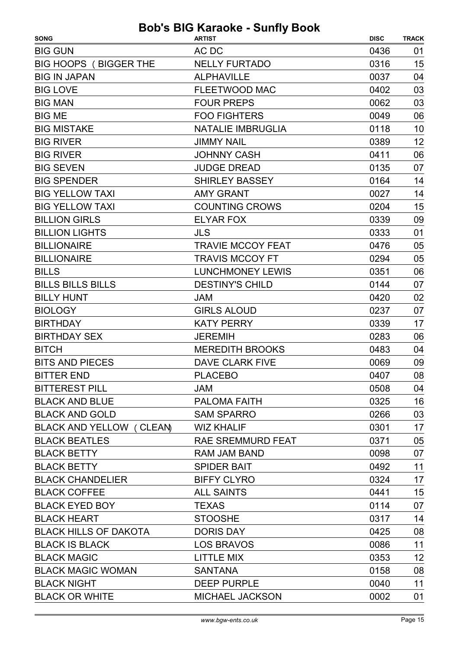| AC DC<br><b>BIG GUN</b><br>0436<br>01<br><b>BIG HOOPS (BIGGER THE</b><br><b>NELLY FURTADO</b><br>15<br>0316<br><b>BIG IN JAPAN</b><br><b>ALPHAVILLE</b><br>0037<br>04<br><b>FLEETWOOD MAC</b><br><b>BIG LOVE</b><br>0402<br>03<br>03<br><b>BIG MAN</b><br><b>FOUR PREPS</b><br>0062<br><b>BIG ME</b><br><b>FOO FIGHTERS</b><br>0049<br>06<br>10<br><b>BIG MISTAKE</b><br><b>NATALIE IMBRUGLIA</b><br>0118<br>12<br><b>BIG RIVER</b><br><b>JIMMY NAIL</b><br>0389<br><b>BIG RIVER</b><br><b>JOHNNY CASH</b><br>0411<br>06<br><b>JUDGE DREAD</b><br>07<br><b>BIG SEVEN</b><br>0135<br>14<br><b>BIG SPENDER</b><br><b>SHIRLEY BASSEY</b><br>0164<br>14<br><b>BIG YELLOW TAXI</b><br><b>AMY GRANT</b><br>0027<br><b>COUNTING CROWS</b><br>15<br><b>BIG YELLOW TAXI</b><br>0204<br><b>BILLION GIRLS</b><br><b>ELYAR FOX</b><br>0339<br>09<br><b>BILLION LIGHTS</b><br><b>JLS</b><br>01<br>0333<br><b>BILLIONAIRE</b><br>0476<br>05<br><b>TRAVIE MCCOY FEAT</b><br><b>TRAVIS MCCOY FT</b><br>05<br><b>BILLIONAIRE</b><br>0294<br><b>BILLS</b><br><b>LUNCHMONEY LEWIS</b><br>0351<br>06<br><b>BILLS BILLS BILLS</b><br><b>DESTINY'S CHILD</b><br>07<br>0144<br><b>BILLY HUNT</b><br>0420<br>02<br><b>JAM</b><br><b>BIOLOGY</b><br>07<br><b>GIRLS ALOUD</b><br>0237<br><b>BIRTHDAY</b><br><b>KATY PERRY</b><br>0339<br>17<br><b>BIRTHDAY SEX</b><br>0283<br>06<br><b>JEREMIH</b><br><b>BITCH</b><br><b>MEREDITH BROOKS</b><br>0483<br>04<br><b>DAVE CLARK FIVE</b><br><b>BITS AND PIECES</b><br>0069<br>09<br>0407<br>08<br><b>BITTER END</b><br><b>PLACEBO</b><br><b>JAM</b><br>0508<br>04<br><b>BITTEREST PILL</b><br>16<br><b>BLACK AND BLUE</b><br><b>PALOMA FAITH</b><br>0325<br>03<br><b>BLACK AND GOLD</b><br><b>SAM SPARRO</b><br>0266<br>BLACK AND YELLOW (CLEAN)<br>17<br><b>WIZ KHALIF</b><br>0301<br><b>BLACK BEATLES</b><br><b>RAE SREMMURD FEAT</b><br>05<br>0371<br>07<br><b>BLACK BETTY</b><br><b>RAM JAM BAND</b><br>0098<br>11<br><b>BLACK BETTY</b><br><b>SPIDER BAIT</b><br>0492<br>17<br><b>BLACK CHANDELIER</b><br><b>BIFFY CLYRO</b><br>0324<br><b>BLACK COFFEE</b><br>15<br><b>ALL SAINTS</b><br>0441<br><b>BLACK EYED BOY</b><br>07<br><b>TEXAS</b><br>0114<br>14<br><b>BLACK HEART</b><br><b>STOOSHE</b><br>0317<br><b>DORIS DAY</b><br>08<br><b>BLACK HILLS OF DAKOTA</b><br>0425<br>11<br><b>BLACK IS BLACK</b><br><b>LOS BRAVOS</b><br>0086<br><b>BLACK MAGIC</b><br><b>LITTLE MIX</b><br>0353<br>12<br><b>BLACK MAGIC WOMAN</b><br><b>SANTANA</b><br>0158<br>08<br><b>BLACK NIGHT</b><br><b>DEEP PURPLE</b><br>11<br>0040 | <b>SONG</b>           | <b>ARTIST</b>          | <b>DISC</b> | <b>TRACK</b> |
|-------------------------------------------------------------------------------------------------------------------------------------------------------------------------------------------------------------------------------------------------------------------------------------------------------------------------------------------------------------------------------------------------------------------------------------------------------------------------------------------------------------------------------------------------------------------------------------------------------------------------------------------------------------------------------------------------------------------------------------------------------------------------------------------------------------------------------------------------------------------------------------------------------------------------------------------------------------------------------------------------------------------------------------------------------------------------------------------------------------------------------------------------------------------------------------------------------------------------------------------------------------------------------------------------------------------------------------------------------------------------------------------------------------------------------------------------------------------------------------------------------------------------------------------------------------------------------------------------------------------------------------------------------------------------------------------------------------------------------------------------------------------------------------------------------------------------------------------------------------------------------------------------------------------------------------------------------------------------------------------------------------------------------------------------------------------------------------------------------------------------------------------------------------------------------------------------------------------------------------------------------------------------------------------------------------------------------------------------------------------------------------------------------------------------------------------------------------------------------------------------------------------------------------------------|-----------------------|------------------------|-------------|--------------|
|                                                                                                                                                                                                                                                                                                                                                                                                                                                                                                                                                                                                                                                                                                                                                                                                                                                                                                                                                                                                                                                                                                                                                                                                                                                                                                                                                                                                                                                                                                                                                                                                                                                                                                                                                                                                                                                                                                                                                                                                                                                                                                                                                                                                                                                                                                                                                                                                                                                                                                                                                 |                       |                        |             |              |
|                                                                                                                                                                                                                                                                                                                                                                                                                                                                                                                                                                                                                                                                                                                                                                                                                                                                                                                                                                                                                                                                                                                                                                                                                                                                                                                                                                                                                                                                                                                                                                                                                                                                                                                                                                                                                                                                                                                                                                                                                                                                                                                                                                                                                                                                                                                                                                                                                                                                                                                                                 |                       |                        |             |              |
|                                                                                                                                                                                                                                                                                                                                                                                                                                                                                                                                                                                                                                                                                                                                                                                                                                                                                                                                                                                                                                                                                                                                                                                                                                                                                                                                                                                                                                                                                                                                                                                                                                                                                                                                                                                                                                                                                                                                                                                                                                                                                                                                                                                                                                                                                                                                                                                                                                                                                                                                                 |                       |                        |             |              |
|                                                                                                                                                                                                                                                                                                                                                                                                                                                                                                                                                                                                                                                                                                                                                                                                                                                                                                                                                                                                                                                                                                                                                                                                                                                                                                                                                                                                                                                                                                                                                                                                                                                                                                                                                                                                                                                                                                                                                                                                                                                                                                                                                                                                                                                                                                                                                                                                                                                                                                                                                 |                       |                        |             |              |
|                                                                                                                                                                                                                                                                                                                                                                                                                                                                                                                                                                                                                                                                                                                                                                                                                                                                                                                                                                                                                                                                                                                                                                                                                                                                                                                                                                                                                                                                                                                                                                                                                                                                                                                                                                                                                                                                                                                                                                                                                                                                                                                                                                                                                                                                                                                                                                                                                                                                                                                                                 |                       |                        |             |              |
|                                                                                                                                                                                                                                                                                                                                                                                                                                                                                                                                                                                                                                                                                                                                                                                                                                                                                                                                                                                                                                                                                                                                                                                                                                                                                                                                                                                                                                                                                                                                                                                                                                                                                                                                                                                                                                                                                                                                                                                                                                                                                                                                                                                                                                                                                                                                                                                                                                                                                                                                                 |                       |                        |             |              |
|                                                                                                                                                                                                                                                                                                                                                                                                                                                                                                                                                                                                                                                                                                                                                                                                                                                                                                                                                                                                                                                                                                                                                                                                                                                                                                                                                                                                                                                                                                                                                                                                                                                                                                                                                                                                                                                                                                                                                                                                                                                                                                                                                                                                                                                                                                                                                                                                                                                                                                                                                 |                       |                        |             |              |
|                                                                                                                                                                                                                                                                                                                                                                                                                                                                                                                                                                                                                                                                                                                                                                                                                                                                                                                                                                                                                                                                                                                                                                                                                                                                                                                                                                                                                                                                                                                                                                                                                                                                                                                                                                                                                                                                                                                                                                                                                                                                                                                                                                                                                                                                                                                                                                                                                                                                                                                                                 |                       |                        |             |              |
|                                                                                                                                                                                                                                                                                                                                                                                                                                                                                                                                                                                                                                                                                                                                                                                                                                                                                                                                                                                                                                                                                                                                                                                                                                                                                                                                                                                                                                                                                                                                                                                                                                                                                                                                                                                                                                                                                                                                                                                                                                                                                                                                                                                                                                                                                                                                                                                                                                                                                                                                                 |                       |                        |             |              |
|                                                                                                                                                                                                                                                                                                                                                                                                                                                                                                                                                                                                                                                                                                                                                                                                                                                                                                                                                                                                                                                                                                                                                                                                                                                                                                                                                                                                                                                                                                                                                                                                                                                                                                                                                                                                                                                                                                                                                                                                                                                                                                                                                                                                                                                                                                                                                                                                                                                                                                                                                 |                       |                        |             |              |
|                                                                                                                                                                                                                                                                                                                                                                                                                                                                                                                                                                                                                                                                                                                                                                                                                                                                                                                                                                                                                                                                                                                                                                                                                                                                                                                                                                                                                                                                                                                                                                                                                                                                                                                                                                                                                                                                                                                                                                                                                                                                                                                                                                                                                                                                                                                                                                                                                                                                                                                                                 |                       |                        |             |              |
|                                                                                                                                                                                                                                                                                                                                                                                                                                                                                                                                                                                                                                                                                                                                                                                                                                                                                                                                                                                                                                                                                                                                                                                                                                                                                                                                                                                                                                                                                                                                                                                                                                                                                                                                                                                                                                                                                                                                                                                                                                                                                                                                                                                                                                                                                                                                                                                                                                                                                                                                                 |                       |                        |             |              |
|                                                                                                                                                                                                                                                                                                                                                                                                                                                                                                                                                                                                                                                                                                                                                                                                                                                                                                                                                                                                                                                                                                                                                                                                                                                                                                                                                                                                                                                                                                                                                                                                                                                                                                                                                                                                                                                                                                                                                                                                                                                                                                                                                                                                                                                                                                                                                                                                                                                                                                                                                 |                       |                        |             |              |
|                                                                                                                                                                                                                                                                                                                                                                                                                                                                                                                                                                                                                                                                                                                                                                                                                                                                                                                                                                                                                                                                                                                                                                                                                                                                                                                                                                                                                                                                                                                                                                                                                                                                                                                                                                                                                                                                                                                                                                                                                                                                                                                                                                                                                                                                                                                                                                                                                                                                                                                                                 |                       |                        |             |              |
|                                                                                                                                                                                                                                                                                                                                                                                                                                                                                                                                                                                                                                                                                                                                                                                                                                                                                                                                                                                                                                                                                                                                                                                                                                                                                                                                                                                                                                                                                                                                                                                                                                                                                                                                                                                                                                                                                                                                                                                                                                                                                                                                                                                                                                                                                                                                                                                                                                                                                                                                                 |                       |                        |             |              |
|                                                                                                                                                                                                                                                                                                                                                                                                                                                                                                                                                                                                                                                                                                                                                                                                                                                                                                                                                                                                                                                                                                                                                                                                                                                                                                                                                                                                                                                                                                                                                                                                                                                                                                                                                                                                                                                                                                                                                                                                                                                                                                                                                                                                                                                                                                                                                                                                                                                                                                                                                 |                       |                        |             |              |
|                                                                                                                                                                                                                                                                                                                                                                                                                                                                                                                                                                                                                                                                                                                                                                                                                                                                                                                                                                                                                                                                                                                                                                                                                                                                                                                                                                                                                                                                                                                                                                                                                                                                                                                                                                                                                                                                                                                                                                                                                                                                                                                                                                                                                                                                                                                                                                                                                                                                                                                                                 |                       |                        |             |              |
|                                                                                                                                                                                                                                                                                                                                                                                                                                                                                                                                                                                                                                                                                                                                                                                                                                                                                                                                                                                                                                                                                                                                                                                                                                                                                                                                                                                                                                                                                                                                                                                                                                                                                                                                                                                                                                                                                                                                                                                                                                                                                                                                                                                                                                                                                                                                                                                                                                                                                                                                                 |                       |                        |             |              |
|                                                                                                                                                                                                                                                                                                                                                                                                                                                                                                                                                                                                                                                                                                                                                                                                                                                                                                                                                                                                                                                                                                                                                                                                                                                                                                                                                                                                                                                                                                                                                                                                                                                                                                                                                                                                                                                                                                                                                                                                                                                                                                                                                                                                                                                                                                                                                                                                                                                                                                                                                 |                       |                        |             |              |
|                                                                                                                                                                                                                                                                                                                                                                                                                                                                                                                                                                                                                                                                                                                                                                                                                                                                                                                                                                                                                                                                                                                                                                                                                                                                                                                                                                                                                                                                                                                                                                                                                                                                                                                                                                                                                                                                                                                                                                                                                                                                                                                                                                                                                                                                                                                                                                                                                                                                                                                                                 |                       |                        |             |              |
|                                                                                                                                                                                                                                                                                                                                                                                                                                                                                                                                                                                                                                                                                                                                                                                                                                                                                                                                                                                                                                                                                                                                                                                                                                                                                                                                                                                                                                                                                                                                                                                                                                                                                                                                                                                                                                                                                                                                                                                                                                                                                                                                                                                                                                                                                                                                                                                                                                                                                                                                                 |                       |                        |             |              |
|                                                                                                                                                                                                                                                                                                                                                                                                                                                                                                                                                                                                                                                                                                                                                                                                                                                                                                                                                                                                                                                                                                                                                                                                                                                                                                                                                                                                                                                                                                                                                                                                                                                                                                                                                                                                                                                                                                                                                                                                                                                                                                                                                                                                                                                                                                                                                                                                                                                                                                                                                 |                       |                        |             |              |
|                                                                                                                                                                                                                                                                                                                                                                                                                                                                                                                                                                                                                                                                                                                                                                                                                                                                                                                                                                                                                                                                                                                                                                                                                                                                                                                                                                                                                                                                                                                                                                                                                                                                                                                                                                                                                                                                                                                                                                                                                                                                                                                                                                                                                                                                                                                                                                                                                                                                                                                                                 |                       |                        |             |              |
|                                                                                                                                                                                                                                                                                                                                                                                                                                                                                                                                                                                                                                                                                                                                                                                                                                                                                                                                                                                                                                                                                                                                                                                                                                                                                                                                                                                                                                                                                                                                                                                                                                                                                                                                                                                                                                                                                                                                                                                                                                                                                                                                                                                                                                                                                                                                                                                                                                                                                                                                                 |                       |                        |             |              |
|                                                                                                                                                                                                                                                                                                                                                                                                                                                                                                                                                                                                                                                                                                                                                                                                                                                                                                                                                                                                                                                                                                                                                                                                                                                                                                                                                                                                                                                                                                                                                                                                                                                                                                                                                                                                                                                                                                                                                                                                                                                                                                                                                                                                                                                                                                                                                                                                                                                                                                                                                 |                       |                        |             |              |
|                                                                                                                                                                                                                                                                                                                                                                                                                                                                                                                                                                                                                                                                                                                                                                                                                                                                                                                                                                                                                                                                                                                                                                                                                                                                                                                                                                                                                                                                                                                                                                                                                                                                                                                                                                                                                                                                                                                                                                                                                                                                                                                                                                                                                                                                                                                                                                                                                                                                                                                                                 |                       |                        |             |              |
|                                                                                                                                                                                                                                                                                                                                                                                                                                                                                                                                                                                                                                                                                                                                                                                                                                                                                                                                                                                                                                                                                                                                                                                                                                                                                                                                                                                                                                                                                                                                                                                                                                                                                                                                                                                                                                                                                                                                                                                                                                                                                                                                                                                                                                                                                                                                                                                                                                                                                                                                                 |                       |                        |             |              |
|                                                                                                                                                                                                                                                                                                                                                                                                                                                                                                                                                                                                                                                                                                                                                                                                                                                                                                                                                                                                                                                                                                                                                                                                                                                                                                                                                                                                                                                                                                                                                                                                                                                                                                                                                                                                                                                                                                                                                                                                                                                                                                                                                                                                                                                                                                                                                                                                                                                                                                                                                 |                       |                        |             |              |
|                                                                                                                                                                                                                                                                                                                                                                                                                                                                                                                                                                                                                                                                                                                                                                                                                                                                                                                                                                                                                                                                                                                                                                                                                                                                                                                                                                                                                                                                                                                                                                                                                                                                                                                                                                                                                                                                                                                                                                                                                                                                                                                                                                                                                                                                                                                                                                                                                                                                                                                                                 |                       |                        |             |              |
|                                                                                                                                                                                                                                                                                                                                                                                                                                                                                                                                                                                                                                                                                                                                                                                                                                                                                                                                                                                                                                                                                                                                                                                                                                                                                                                                                                                                                                                                                                                                                                                                                                                                                                                                                                                                                                                                                                                                                                                                                                                                                                                                                                                                                                                                                                                                                                                                                                                                                                                                                 |                       |                        |             |              |
|                                                                                                                                                                                                                                                                                                                                                                                                                                                                                                                                                                                                                                                                                                                                                                                                                                                                                                                                                                                                                                                                                                                                                                                                                                                                                                                                                                                                                                                                                                                                                                                                                                                                                                                                                                                                                                                                                                                                                                                                                                                                                                                                                                                                                                                                                                                                                                                                                                                                                                                                                 |                       |                        |             |              |
|                                                                                                                                                                                                                                                                                                                                                                                                                                                                                                                                                                                                                                                                                                                                                                                                                                                                                                                                                                                                                                                                                                                                                                                                                                                                                                                                                                                                                                                                                                                                                                                                                                                                                                                                                                                                                                                                                                                                                                                                                                                                                                                                                                                                                                                                                                                                                                                                                                                                                                                                                 |                       |                        |             |              |
|                                                                                                                                                                                                                                                                                                                                                                                                                                                                                                                                                                                                                                                                                                                                                                                                                                                                                                                                                                                                                                                                                                                                                                                                                                                                                                                                                                                                                                                                                                                                                                                                                                                                                                                                                                                                                                                                                                                                                                                                                                                                                                                                                                                                                                                                                                                                                                                                                                                                                                                                                 |                       |                        |             |              |
|                                                                                                                                                                                                                                                                                                                                                                                                                                                                                                                                                                                                                                                                                                                                                                                                                                                                                                                                                                                                                                                                                                                                                                                                                                                                                                                                                                                                                                                                                                                                                                                                                                                                                                                                                                                                                                                                                                                                                                                                                                                                                                                                                                                                                                                                                                                                                                                                                                                                                                                                                 |                       |                        |             |              |
|                                                                                                                                                                                                                                                                                                                                                                                                                                                                                                                                                                                                                                                                                                                                                                                                                                                                                                                                                                                                                                                                                                                                                                                                                                                                                                                                                                                                                                                                                                                                                                                                                                                                                                                                                                                                                                                                                                                                                                                                                                                                                                                                                                                                                                                                                                                                                                                                                                                                                                                                                 |                       |                        |             |              |
|                                                                                                                                                                                                                                                                                                                                                                                                                                                                                                                                                                                                                                                                                                                                                                                                                                                                                                                                                                                                                                                                                                                                                                                                                                                                                                                                                                                                                                                                                                                                                                                                                                                                                                                                                                                                                                                                                                                                                                                                                                                                                                                                                                                                                                                                                                                                                                                                                                                                                                                                                 |                       |                        |             |              |
|                                                                                                                                                                                                                                                                                                                                                                                                                                                                                                                                                                                                                                                                                                                                                                                                                                                                                                                                                                                                                                                                                                                                                                                                                                                                                                                                                                                                                                                                                                                                                                                                                                                                                                                                                                                                                                                                                                                                                                                                                                                                                                                                                                                                                                                                                                                                                                                                                                                                                                                                                 |                       |                        |             |              |
|                                                                                                                                                                                                                                                                                                                                                                                                                                                                                                                                                                                                                                                                                                                                                                                                                                                                                                                                                                                                                                                                                                                                                                                                                                                                                                                                                                                                                                                                                                                                                                                                                                                                                                                                                                                                                                                                                                                                                                                                                                                                                                                                                                                                                                                                                                                                                                                                                                                                                                                                                 |                       |                        |             |              |
|                                                                                                                                                                                                                                                                                                                                                                                                                                                                                                                                                                                                                                                                                                                                                                                                                                                                                                                                                                                                                                                                                                                                                                                                                                                                                                                                                                                                                                                                                                                                                                                                                                                                                                                                                                                                                                                                                                                                                                                                                                                                                                                                                                                                                                                                                                                                                                                                                                                                                                                                                 |                       |                        |             |              |
|                                                                                                                                                                                                                                                                                                                                                                                                                                                                                                                                                                                                                                                                                                                                                                                                                                                                                                                                                                                                                                                                                                                                                                                                                                                                                                                                                                                                                                                                                                                                                                                                                                                                                                                                                                                                                                                                                                                                                                                                                                                                                                                                                                                                                                                                                                                                                                                                                                                                                                                                                 |                       |                        |             |              |
|                                                                                                                                                                                                                                                                                                                                                                                                                                                                                                                                                                                                                                                                                                                                                                                                                                                                                                                                                                                                                                                                                                                                                                                                                                                                                                                                                                                                                                                                                                                                                                                                                                                                                                                                                                                                                                                                                                                                                                                                                                                                                                                                                                                                                                                                                                                                                                                                                                                                                                                                                 |                       |                        |             |              |
|                                                                                                                                                                                                                                                                                                                                                                                                                                                                                                                                                                                                                                                                                                                                                                                                                                                                                                                                                                                                                                                                                                                                                                                                                                                                                                                                                                                                                                                                                                                                                                                                                                                                                                                                                                                                                                                                                                                                                                                                                                                                                                                                                                                                                                                                                                                                                                                                                                                                                                                                                 |                       |                        |             |              |
|                                                                                                                                                                                                                                                                                                                                                                                                                                                                                                                                                                                                                                                                                                                                                                                                                                                                                                                                                                                                                                                                                                                                                                                                                                                                                                                                                                                                                                                                                                                                                                                                                                                                                                                                                                                                                                                                                                                                                                                                                                                                                                                                                                                                                                                                                                                                                                                                                                                                                                                                                 | <b>BLACK OR WHITE</b> | <b>MICHAEL JACKSON</b> | 0002        | 01           |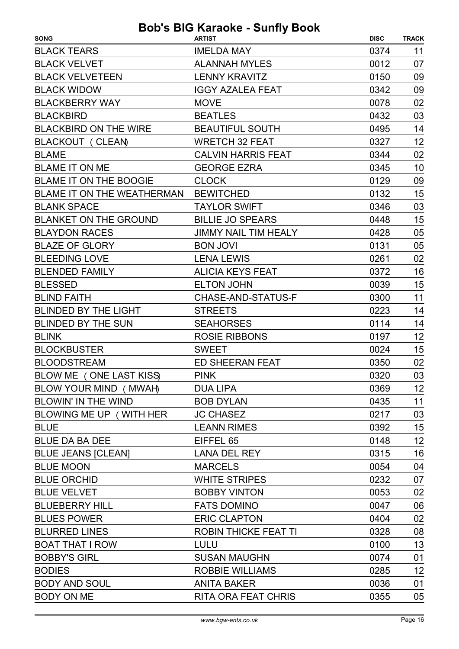| <b>IMELDA MAY</b><br><b>BLACK TEARS</b><br>0374<br><b>BLACK VELVET</b><br><b>ALANNAH MYLES</b><br>0012<br><b>BLACK VELVETEEN</b><br><b>LENNY KRAVITZ</b><br>0150 | 11<br>07<br>09<br>09 |
|------------------------------------------------------------------------------------------------------------------------------------------------------------------|----------------------|
|                                                                                                                                                                  |                      |
|                                                                                                                                                                  |                      |
|                                                                                                                                                                  |                      |
| <b>BLACK WIDOW</b><br><b>IGGY AZALEA FEAT</b><br>0342                                                                                                            |                      |
| <b>BLACKBERRY WAY</b><br><b>MOVE</b><br>0078                                                                                                                     | 02                   |
| <b>BLACKBIRD</b><br>0432<br><b>BEATLES</b>                                                                                                                       | 03                   |
| <b>BLACKBIRD ON THE WIRE</b><br><b>BEAUTIFUL SOUTH</b><br>0495                                                                                                   | 14                   |
| BLACKOUT (CLEAN)<br><b>WRETCH 32 FEAT</b><br>0327                                                                                                                | 12                   |
| <b>BLAME</b><br><b>CALVIN HARRIS FEAT</b><br>0344                                                                                                                | 02                   |
| <b>BLAME IT ON ME</b><br><b>GEORGE EZRA</b><br>0345                                                                                                              | 10                   |
| <b>BLAME IT ON THE BOOGIE</b><br>0129<br><b>CLOCK</b>                                                                                                            | 09                   |
| BLAME IT ON THE WEATHERMAN<br><b>BEWITCHED</b><br>0132                                                                                                           | 15                   |
| <b>BLANK SPACE</b><br><b>TAYLOR SWIFT</b><br>0346                                                                                                                | 03                   |
| <b>BLANKET ON THE GROUND</b><br><b>BILLIE JO SPEARS</b><br>0448                                                                                                  | 15                   |
| <b>BLAYDON RACES</b><br><b>JIMMY NAIL TIM HEALY</b><br>0428                                                                                                      | 05                   |
| <b>BLAZE OF GLORY</b><br><b>BON JOVI</b><br>0131                                                                                                                 | 05                   |
| <b>BLEEDING LOVE</b><br><b>LENA LEWIS</b><br>0261                                                                                                                | 02                   |
| <b>BLENDED FAMILY</b><br><b>ALICIA KEYS FEAT</b><br>0372                                                                                                         | 16                   |
| <b>BLESSED</b><br><b>ELTON JOHN</b><br>0039                                                                                                                      | 15                   |
| <b>BLIND FAITH</b><br>CHASE-AND-STATUS-F<br>0300                                                                                                                 | 11                   |
| <b>BLINDED BY THE LIGHT</b><br><b>STREETS</b><br>0223                                                                                                            | 14                   |
| <b>BLINDED BY THE SUN</b><br><b>SEAHORSES</b><br>0114                                                                                                            | 14                   |
| <b>ROSIE RIBBONS</b><br><b>BLINK</b><br>0197                                                                                                                     | 12                   |
| <b>BLOCKBUSTER</b><br><b>SWEET</b><br>0024                                                                                                                       | 15                   |
| <b>BLOODSTREAM</b><br><b>ED SHEERAN FEAT</b><br>0350                                                                                                             | 02                   |
| BLOW ME (ONE LAST KISS)<br><b>PINK</b><br>0320                                                                                                                   | 03                   |
| BLOW YOUR MIND (MWAH)<br>0369<br>DUA LIPA                                                                                                                        | 12                   |
| BLOWIN' IN THE WIND<br><b>BOB DYLAN</b><br>0435                                                                                                                  | 11                   |
| BLOWING ME UP (WITH HER<br><b>JC CHASEZ</b><br>0217                                                                                                              | 03                   |
| <b>LEANN RIMES</b><br><b>BLUE</b><br>0392                                                                                                                        | 15                   |
| <b>BLUE DA BA DEE</b><br>EIFFEL 65<br>0148                                                                                                                       | 12                   |
| <b>BLUE JEANS [CLEAN]</b><br><b>LANA DEL REY</b><br>0315                                                                                                         | 16                   |
| <b>BLUE MOON</b><br><b>MARCELS</b><br>0054                                                                                                                       | 04                   |
| <b>BLUE ORCHID</b><br><b>WHITE STRIPES</b><br>0232                                                                                                               | 07                   |
| <b>BLUE VELVET</b><br><b>BOBBY VINTON</b><br>0053                                                                                                                | 02                   |
| <b>BLUEBERRY HILL</b><br><b>FATS DOMINO</b><br>0047                                                                                                              | 06                   |
| <b>BLUES POWER</b><br><b>ERIC CLAPTON</b><br>0404                                                                                                                | 02                   |
| <b>BLURRED LINES</b><br><b>ROBIN THICKE FEAT TI</b><br>0328                                                                                                      | 08                   |
| <b>BOAT THAT I ROW</b><br><b>LULU</b><br>0100                                                                                                                    | 13                   |
| <b>BOBBY'S GIRL</b><br><b>SUSAN MAUGHN</b><br>0074                                                                                                               | 01                   |
| <b>BODIES</b><br><b>ROBBIE WILLIAMS</b><br>0285                                                                                                                  | 12                   |
| <b>BODY AND SOUL</b><br><b>ANITA BAKER</b><br>0036                                                                                                               | 01                   |
| <b>BODY ON ME</b><br>RITA ORA FEAT CHRIS<br>0355                                                                                                                 | 05                   |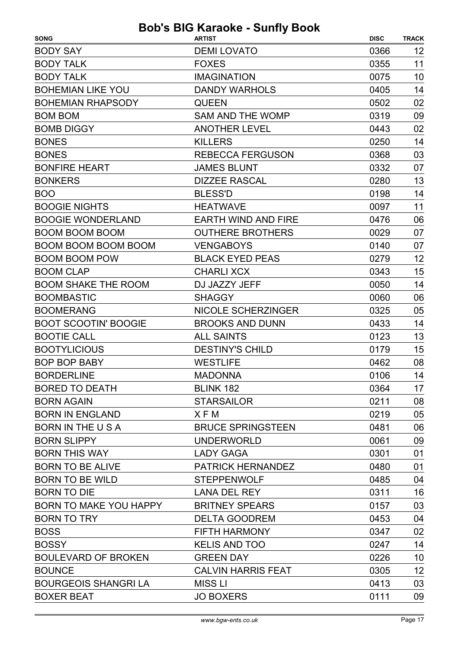| <b>SONG</b>                 | <b>ARTIST</b>              | <b>DISC</b> | <b>TRACK</b> |
|-----------------------------|----------------------------|-------------|--------------|
| <b>BODY SAY</b>             | <b>DEMI LOVATO</b>         | 0366        | 12           |
| <b>BODY TALK</b>            | <b>FOXES</b>               | 0355        | 11           |
| <b>BODY TALK</b>            | <b>IMAGINATION</b>         | 0075        | 10           |
| <b>BOHEMIAN LIKE YOU</b>    | <b>DANDY WARHOLS</b>       | 0405        | 14           |
| <b>BOHEMIAN RHAPSODY</b>    | <b>QUEEN</b>               | 0502        | 02           |
| <b>BOM BOM</b>              | <b>SAM AND THE WOMP</b>    | 0319        | 09           |
| <b>BOMB DIGGY</b>           | <b>ANOTHER LEVEL</b>       | 0443        | 02           |
| <b>BONES</b>                | <b>KILLERS</b>             | 0250        | 14           |
| <b>BONES</b>                | <b>REBECCA FERGUSON</b>    | 0368        | 03           |
| <b>BONFIRE HEART</b>        | <b>JAMES BLUNT</b>         | 0332        | 07           |
| <b>BONKERS</b>              | <b>DIZZEE RASCAL</b>       | 0280        | 13           |
| <b>BOO</b>                  | <b>BLESS'D</b>             | 0198        | 14           |
| <b>BOOGIE NIGHTS</b>        | <b>HEATWAVE</b>            | 0097        | 11           |
| <b>BOOGIE WONDERLAND</b>    | <b>EARTH WIND AND FIRE</b> | 0476        | 06           |
| <b>BOOM BOOM BOOM</b>       | <b>OUTHERE BROTHERS</b>    | 0029        | 07           |
| <b>BOOM BOOM BOOM BOOM</b>  | <b>VENGABOYS</b>           | 0140        | 07           |
| <b>BOOM BOOM POW</b>        | <b>BLACK EYED PEAS</b>     | 0279        | 12           |
| <b>BOOM CLAP</b>            | <b>CHARLI XCX</b>          | 0343        | 15           |
| <b>BOOM SHAKE THE ROOM</b>  | DJ JAZZY JEFF              | 0050        | 14           |
| <b>BOOMBASTIC</b>           | <b>SHAGGY</b>              | 0060        | 06           |
| <b>BOOMERANG</b>            | NICOLE SCHERZINGER         | 0325        | 05           |
| <b>BOOT SCOOTIN' BOOGIE</b> | <b>BROOKS AND DUNN</b>     | 0433        | 14           |
| <b>BOOTIE CALL</b>          | <b>ALL SAINTS</b>          | 0123        | 13           |
| <b>BOOTYLICIOUS</b>         | <b>DESTINY'S CHILD</b>     | 0179        | 15           |
| <b>BOP BOP BABY</b>         | <b>WESTLIFE</b>            | 0462        | 08           |
| <b>BORDERLINE</b>           | <b>MADONNA</b>             | 0106        | 14           |
| <b>BORED TO DEATH</b>       | <b>BLINK 182</b>           | 0364        | 17           |
| <b>BORN AGAIN</b>           | <b>STARSAILOR</b>          | 0211        | 08           |
| <b>BORN IN ENGLAND</b>      | XFM                        | 0219        | 05           |
| BORN IN THE U S A           | <b>BRUCE SPRINGSTEEN</b>   | 0481        | 06           |
| <b>BORN SLIPPY</b>          | <b>UNDERWORLD</b>          | 0061        | 09           |
| <b>BORN THIS WAY</b>        | <b>LADY GAGA</b>           | 0301        | 01           |
| <b>BORN TO BE ALIVE</b>     | <b>PATRICK HERNANDEZ</b>   | 0480        | 01           |
| <b>BORN TO BE WILD</b>      | <b>STEPPENWOLF</b>         | 0485        | 04           |
| <b>BORN TO DIE</b>          | LANA DEL REY               | 0311        | 16           |
| BORN TO MAKE YOU HAPPY      | <b>BRITNEY SPEARS</b>      | 0157        | 03           |
| <b>BORN TO TRY</b>          | <b>DELTA GOODREM</b>       | 0453        | 04           |
| <b>BOSS</b>                 | <b>FIFTH HARMONY</b>       | 0347        | 02           |
| <b>BOSSY</b>                | <b>KELIS AND TOO</b>       | 0247        | 14           |
| <b>BOULEVARD OF BROKEN</b>  | <b>GREEN DAY</b>           | 0226        | 10           |
| <b>BOUNCE</b>               | <b>CALVIN HARRIS FEAT</b>  | 0305        | 12           |
| <b>BOURGEOIS SHANGRI LA</b> | <b>MISS LI</b>             | 0413        | 03           |
| <b>BOXER BEAT</b>           | <b>JO BOXERS</b>           | 0111        | 09           |
|                             |                            |             |              |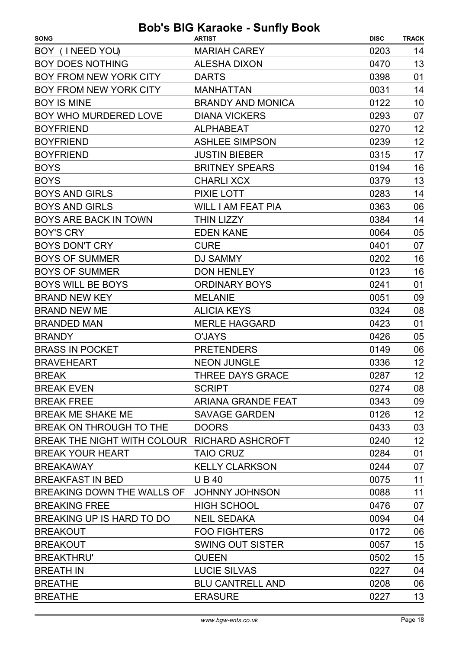| <b>SONG</b>                                  | <b>ARTIST</b>             | <b>DISC</b> | <b>TRACK</b> |
|----------------------------------------------|---------------------------|-------------|--------------|
| BOY (I NEED YOU)                             | <b>MARIAH CAREY</b>       | 0203        | 14           |
| <b>BOY DOES NOTHING</b>                      | <b>ALESHA DIXON</b>       | 0470        | 13           |
| BOY FROM NEW YORK CITY                       | <b>DARTS</b>              | 0398        | 01           |
| <b>BOY FROM NEW YORK CITY</b>                | <b>MANHATTAN</b>          | 0031        | 14           |
| <b>BOY IS MINE</b>                           | <b>BRANDY AND MONICA</b>  | 0122        | 10           |
| <b>BOY WHO MURDERED LOVE</b>                 | <b>DIANA VICKERS</b>      | 0293        | 07           |
| <b>BOYFRIEND</b>                             | <b>ALPHABEAT</b>          | 0270        | 12           |
| <b>BOYFRIEND</b>                             | <b>ASHLEE SIMPSON</b>     | 0239        | 12           |
| <b>BOYFRIEND</b>                             | <b>JUSTIN BIEBER</b>      | 0315        | 17           |
| <b>BOYS</b>                                  | <b>BRITNEY SPEARS</b>     | 0194        | 16           |
| <b>BOYS</b>                                  | <b>CHARLI XCX</b>         | 0379        | 13           |
| <b>BOYS AND GIRLS</b>                        | PIXIE LOTT                | 0283        | 14           |
| <b>BOYS AND GIRLS</b>                        | <b>WILL I AM FEAT PIA</b> | 0363        | 06           |
| <b>BOYS ARE BACK IN TOWN</b>                 | <b>THIN LIZZY</b>         | 0384        | 14           |
| <b>BOY'S CRY</b>                             | <b>EDEN KANE</b>          | 0064        | 05           |
| <b>BOYS DON'T CRY</b>                        | <b>CURE</b>               | 0401        | 07           |
| <b>BOYS OF SUMMER</b>                        | <b>DJ SAMMY</b>           | 0202        | 16           |
| <b>BOYS OF SUMMER</b>                        | <b>DON HENLEY</b>         | 0123        | 16           |
| <b>BOYS WILL BE BOYS</b>                     | <b>ORDINARY BOYS</b>      | 0241        | 01           |
| <b>BRAND NEW KEY</b>                         | <b>MELANIE</b>            | 0051        | 09           |
| <b>BRAND NEW ME</b>                          | <b>ALICIA KEYS</b>        | 0324        | 08           |
| <b>BRANDED MAN</b>                           | <b>MERLE HAGGARD</b>      | 0423        | 01           |
| <b>BRANDY</b>                                | <b>O'JAYS</b>             | 0426        | 05           |
| <b>BRASS IN POCKET</b>                       | <b>PRETENDERS</b>         | 0149        | 06           |
| <b>BRAVEHEART</b>                            | <b>NEON JUNGLE</b>        | 0336        | 12           |
| <b>BREAK</b>                                 | THREE DAYS GRACE          | 0287        | 12           |
| <b>BREAK EVEN</b>                            | <b>SCRIPT</b>             | 0274        | 08           |
| <b>BREAK FREE</b>                            | ARIANA GRANDE FEAT        | 0343        | 09           |
| <b>BREAK ME SHAKE ME</b>                     | <b>SAVAGE GARDEN</b>      | 0126        | 12           |
| BREAK ON THROUGH TO THE                      | <b>DOORS</b>              | 0433        | 03           |
| BREAK THE NIGHT WITH COLOUR RICHARD ASHCROFT |                           | 0240        | 12           |
| <b>BREAK YOUR HEART</b>                      | <b>TAIO CRUZ</b>          | 0284        | 01           |
| <b>BREAKAWAY</b>                             | <b>KELLY CLARKSON</b>     | 0244        | 07           |
| <b>BREAKFAST IN BED</b>                      | <b>UB40</b>               | 0075        | 11           |
| BREAKING DOWN THE WALLS OF                   | <b>JOHNNY JOHNSON</b>     | 0088        | 11           |
| <b>BREAKING FREE</b>                         | <b>HIGH SCHOOL</b>        | 0476        | 07           |
| BREAKING UP IS HARD TO DO                    | <b>NEIL SEDAKA</b>        | 0094        | 04           |
| <b>BREAKOUT</b>                              | <b>FOO FIGHTERS</b>       | 0172        | 06           |
| <b>BREAKOUT</b>                              | <b>SWING OUT SISTER</b>   | 0057        | 15           |
| <b>BREAKTHRU'</b>                            | <b>QUEEN</b>              | 0502        | 15           |
| <b>BREATH IN</b>                             | <b>LUCIE SILVAS</b>       | 0227        | 04           |
| <b>BREATHE</b>                               | <b>BLU CANTRELL AND</b>   | 0208        | 06           |
| <b>BREATHE</b>                               | <b>ERASURE</b>            | 0227        | 13           |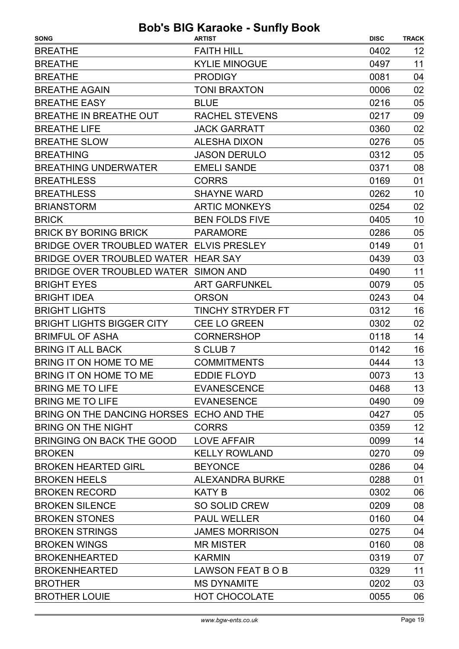| <b>BREATHE</b><br><b>FAITH HILL</b><br>0402<br><b>KYLIE MINOGUE</b><br><b>BREATHE</b><br>0497<br><b>PRODIGY</b><br>0081<br><b>BREATHE</b> | 12<br>11<br>04<br>02<br>05 |
|-------------------------------------------------------------------------------------------------------------------------------------------|----------------------------|
|                                                                                                                                           |                            |
|                                                                                                                                           |                            |
|                                                                                                                                           |                            |
| <b>BREATHE AGAIN</b><br><b>TONI BRAXTON</b><br>0006                                                                                       |                            |
| <b>BREATHE EASY</b><br>0216<br><b>BLUE</b>                                                                                                |                            |
| BREATHE IN BREATHE OUT<br>09<br><b>RACHEL STEVENS</b><br>0217                                                                             |                            |
| <b>BREATHE LIFE</b><br><b>JACK GARRATT</b><br>0360                                                                                        | 02                         |
| <b>BREATHE SLOW</b><br><b>ALESHA DIXON</b><br>0276                                                                                        | 05                         |
| <b>BREATHING</b><br><b>JASON DERULO</b><br>0312                                                                                           | 05                         |
| <b>EMELI SANDE</b><br><b>BREATHING UNDERWATER</b><br>0371                                                                                 | 08                         |
| 0169<br><b>BREATHLESS</b><br><b>CORRS</b>                                                                                                 | 01                         |
| <b>BREATHLESS</b><br><b>SHAYNE WARD</b><br>0262                                                                                           | 10                         |
| <b>BRIANSTORM</b><br><b>ARTIC MONKEYS</b><br>0254                                                                                         | 02                         |
| <b>BRICK</b><br><b>BEN FOLDS FIVE</b><br>0405                                                                                             | 10                         |
| <b>PARAMORE</b><br>0286<br><b>BRICK BY BORING BRICK</b>                                                                                   | 05                         |
| BRIDGE OVER TROUBLED WATER ELVIS PRESLEY<br>0149                                                                                          | 01                         |
| BRIDGE OVER TROUBLED WATER HEAR SAY<br>0439                                                                                               | 03                         |
| BRIDGE OVER TROUBLED WATER SIMON AND<br>0490                                                                                              | 11                         |
| <b>BRIGHT EYES</b><br><b>ART GARFUNKEL</b><br>0079                                                                                        | 05                         |
| <b>BRIGHT IDEA</b><br><b>ORSON</b><br>0243                                                                                                | 04                         |
| <b>BRIGHT LIGHTS</b><br><b>TINCHY STRYDER FT</b><br>0312                                                                                  | 16                         |
| <b>BRIGHT LIGHTS BIGGER CITY</b><br>0302<br><b>CEE LO GREEN</b>                                                                           | 02                         |
| <b>BRIMFUL OF ASHA</b><br><b>CORNERSHOP</b><br>0118                                                                                       | 14                         |
| <b>BRING IT ALL BACK</b><br>S CLUB 7<br>0142                                                                                              | 16                         |
| BRING IT ON HOME TO ME<br><b>COMMITMENTS</b><br>0444                                                                                      | 13                         |
| BRING IT ON HOME TO ME<br>0073<br><b>EDDIE FLOYD</b>                                                                                      | 13                         |
| 0468<br>BRING ME TO LIFE<br><b>EVANESCENCE</b>                                                                                            | 13                         |
| BRING ME TO LIFE<br><b>EVANESENCE</b><br>0490                                                                                             | 09                         |
| BRING ON THE DANCING HORSES ECHO AND THE<br>0427                                                                                          | 05                         |
| BRING ON THE NIGHT<br><b>CORRS</b><br>0359                                                                                                | 12                         |
| LOVE AFFAIR<br>BRINGING ON BACK THE GOOD<br>0099                                                                                          | 14                         |
| <b>KELLY ROWLAND</b><br><b>BROKEN</b><br>0270                                                                                             | 09                         |
| <b>BROKEN HEARTED GIRL</b><br><b>BEYONCE</b><br>0286                                                                                      | 04                         |
| <b>BROKEN HEELS</b><br><b>ALEXANDRA BURKE</b><br>0288                                                                                     | 01                         |
| <b>BROKEN RECORD</b><br>0302<br><b>KATY B</b>                                                                                             | 06                         |
| <b>BROKEN SILENCE</b><br>0209<br>SO SOLID CREW                                                                                            | 08                         |
| <b>BROKEN STONES</b><br><b>PAUL WELLER</b><br>0160                                                                                        | 04                         |
| <b>BROKEN STRINGS</b><br><b>JAMES MORRISON</b><br>0275                                                                                    | 04                         |
| <b>BROKEN WINGS</b><br><b>MR MISTER</b><br>0160                                                                                           | 08                         |
| <b>BROKENHEARTED</b><br><b>KARMIN</b><br>0319                                                                                             | 07                         |
| <b>BROKENHEARTED</b><br>0329<br>LAWSON FEAT B O B                                                                                         | 11                         |
| <b>BROTHER</b><br><b>MS DYNAMITE</b><br>0202                                                                                              | 03                         |
| 0055<br><b>BROTHER LOUIE</b><br><b>HOT CHOCOLATE</b>                                                                                      | 06                         |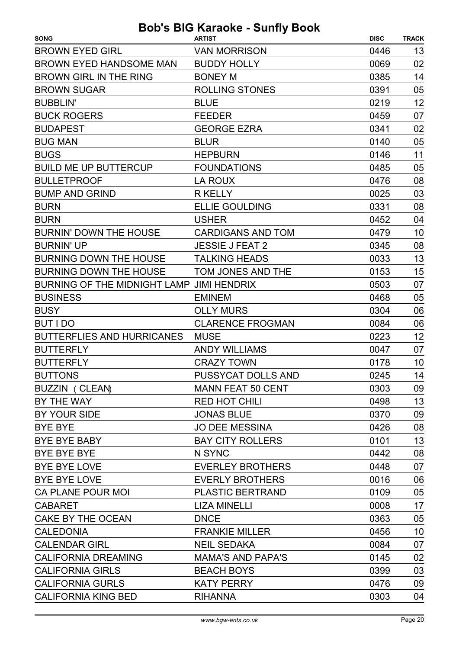| 13<br><b>BROWN EYED GIRL</b><br><b>VAN MORRISON</b><br>0446<br><b>BROWN EYED HANDSOME MAN</b><br><b>BUDDY HOLLY</b><br>0069<br>02<br><b>BROWN GIRL IN THE RING</b><br><b>BONEY M</b><br>0385<br>14<br><b>BROWN SUGAR</b><br><b>ROLLING STONES</b><br>05<br>0391<br>12<br><b>BUBBLIN'</b><br><b>BLUE</b><br>0219<br>07<br><b>BUCK ROGERS</b><br>0459<br><b>FEEDER</b><br>02<br><b>BUDAPEST</b><br><b>GEORGE EZRA</b><br>0341<br><b>BUG MAN</b><br>0140<br>05<br><b>BLUR</b><br><b>BUGS</b><br>11<br><b>HEPBURN</b><br>0146<br><b>BUILD ME UP BUTTERCUP</b><br><b>FOUNDATIONS</b><br>05<br>0485<br>08<br><b>BULLETPROOF</b><br><b>LA ROUX</b><br>0476<br>03<br><b>BUMP AND GRIND</b><br><b>R KELLY</b><br>0025<br><b>BURN</b><br><b>ELLIE GOULDING</b><br>0331<br>08<br><b>BURN</b><br>04<br><b>USHER</b><br>0452<br>10<br><b>BURNIN' DOWN THE HOUSE</b><br><b>CARDIGANS AND TOM</b><br>0479<br>08<br><b>JESSIE J FEAT 2</b><br><b>BURNIN' UP</b><br>0345<br>13<br><b>BURNING DOWN THE HOUSE</b><br><b>TALKING HEADS</b><br>0033<br>15<br><b>BURNING DOWN THE HOUSE</b><br>TOM JONES AND THE<br>0153<br>BURNING OF THE MIDNIGHT LAMP JIMI HENDRIX<br>0503<br>07<br><b>BUSINESS</b><br>0468<br>05<br><b>EMINEM</b><br><b>BUSY</b><br><b>OLLY MURS</b><br>06<br>0304<br><b>BUT I DO</b><br><b>CLARENCE FROGMAN</b><br>06<br>0084<br><b>BUTTERFLIES AND HURRICANES</b><br>12<br>0223<br><b>MUSE</b><br><b>BUTTERFLY</b><br><b>ANDY WILLIAMS</b><br>07<br>0047<br><b>BUTTERFLY</b><br><b>CRAZY TOWN</b><br>10<br>0178<br><b>BUTTONS</b><br><b>PUSSYCAT DOLLS AND</b><br>0245<br>14<br>0303<br>09<br>BUZZIN ( CLEAN)<br><b>MANN FEAT 50 CENT</b><br>13<br>BY THE WAY<br><b>RED HOT CHILI</b><br>0498<br>09<br><b>JONAS BLUE</b><br>0370<br><b>JO DEE MESSINA</b><br><b>BYE BYE</b><br>0426<br>08<br>13<br><b>BYE BYE BABY</b><br><b>BAY CITY ROLLERS</b><br>0101<br>08<br><b>BYE BYE BYE</b><br>N SYNC<br>0442<br><b>BYE BYE LOVE</b><br>07<br><b>EVERLEY BROTHERS</b><br>0448<br><b>EVERLY BROTHERS</b><br>0016<br>06<br>CA PLANE POUR MOI<br><b>PLASTIC BERTRAND</b><br>0109<br>05<br><b>LIZA MINELLI</b><br>17<br><b>CABARET</b><br>0008<br>CAKE BY THE OCEAN<br><b>DNCE</b><br>0363<br>05<br>10<br><b>CALEDONIA</b><br><b>FRANKIE MILLER</b><br>0456<br><b>CALENDAR GIRL</b><br><b>NEIL SEDAKA</b><br>0084<br>07<br>02<br><b>CALIFORNIA DREAMING</b><br><b>MAMA'S AND PAPA'S</b><br>0145<br><b>CALIFORNIA GIRLS</b><br><b>BEACH BOYS</b><br>03<br>0399<br><b>CALIFORNIA GURLS</b><br><b>KATY PERRY</b><br>0476<br>09 | <b>SONG</b>                | <b>ARTIST</b>  | <b>DISC</b> | <b>TRACK</b> |
|-------------------------------------------------------------------------------------------------------------------------------------------------------------------------------------------------------------------------------------------------------------------------------------------------------------------------------------------------------------------------------------------------------------------------------------------------------------------------------------------------------------------------------------------------------------------------------------------------------------------------------------------------------------------------------------------------------------------------------------------------------------------------------------------------------------------------------------------------------------------------------------------------------------------------------------------------------------------------------------------------------------------------------------------------------------------------------------------------------------------------------------------------------------------------------------------------------------------------------------------------------------------------------------------------------------------------------------------------------------------------------------------------------------------------------------------------------------------------------------------------------------------------------------------------------------------------------------------------------------------------------------------------------------------------------------------------------------------------------------------------------------------------------------------------------------------------------------------------------------------------------------------------------------------------------------------------------------------------------------------------------------------------------------------------------------------------------------------------------------------------------------------------------------------------------------------------------------------------------------------------------------------------------------------------------------------------------------------------------------------------------------------------------------------------------------------------------------------------------------------------------------------|----------------------------|----------------|-------------|--------------|
|                                                                                                                                                                                                                                                                                                                                                                                                                                                                                                                                                                                                                                                                                                                                                                                                                                                                                                                                                                                                                                                                                                                                                                                                                                                                                                                                                                                                                                                                                                                                                                                                                                                                                                                                                                                                                                                                                                                                                                                                                                                                                                                                                                                                                                                                                                                                                                                                                                                                                                                   |                            |                |             |              |
|                                                                                                                                                                                                                                                                                                                                                                                                                                                                                                                                                                                                                                                                                                                                                                                                                                                                                                                                                                                                                                                                                                                                                                                                                                                                                                                                                                                                                                                                                                                                                                                                                                                                                                                                                                                                                                                                                                                                                                                                                                                                                                                                                                                                                                                                                                                                                                                                                                                                                                                   |                            |                |             |              |
|                                                                                                                                                                                                                                                                                                                                                                                                                                                                                                                                                                                                                                                                                                                                                                                                                                                                                                                                                                                                                                                                                                                                                                                                                                                                                                                                                                                                                                                                                                                                                                                                                                                                                                                                                                                                                                                                                                                                                                                                                                                                                                                                                                                                                                                                                                                                                                                                                                                                                                                   |                            |                |             |              |
|                                                                                                                                                                                                                                                                                                                                                                                                                                                                                                                                                                                                                                                                                                                                                                                                                                                                                                                                                                                                                                                                                                                                                                                                                                                                                                                                                                                                                                                                                                                                                                                                                                                                                                                                                                                                                                                                                                                                                                                                                                                                                                                                                                                                                                                                                                                                                                                                                                                                                                                   |                            |                |             |              |
|                                                                                                                                                                                                                                                                                                                                                                                                                                                                                                                                                                                                                                                                                                                                                                                                                                                                                                                                                                                                                                                                                                                                                                                                                                                                                                                                                                                                                                                                                                                                                                                                                                                                                                                                                                                                                                                                                                                                                                                                                                                                                                                                                                                                                                                                                                                                                                                                                                                                                                                   |                            |                |             |              |
|                                                                                                                                                                                                                                                                                                                                                                                                                                                                                                                                                                                                                                                                                                                                                                                                                                                                                                                                                                                                                                                                                                                                                                                                                                                                                                                                                                                                                                                                                                                                                                                                                                                                                                                                                                                                                                                                                                                                                                                                                                                                                                                                                                                                                                                                                                                                                                                                                                                                                                                   |                            |                |             |              |
|                                                                                                                                                                                                                                                                                                                                                                                                                                                                                                                                                                                                                                                                                                                                                                                                                                                                                                                                                                                                                                                                                                                                                                                                                                                                                                                                                                                                                                                                                                                                                                                                                                                                                                                                                                                                                                                                                                                                                                                                                                                                                                                                                                                                                                                                                                                                                                                                                                                                                                                   |                            |                |             |              |
|                                                                                                                                                                                                                                                                                                                                                                                                                                                                                                                                                                                                                                                                                                                                                                                                                                                                                                                                                                                                                                                                                                                                                                                                                                                                                                                                                                                                                                                                                                                                                                                                                                                                                                                                                                                                                                                                                                                                                                                                                                                                                                                                                                                                                                                                                                                                                                                                                                                                                                                   |                            |                |             |              |
|                                                                                                                                                                                                                                                                                                                                                                                                                                                                                                                                                                                                                                                                                                                                                                                                                                                                                                                                                                                                                                                                                                                                                                                                                                                                                                                                                                                                                                                                                                                                                                                                                                                                                                                                                                                                                                                                                                                                                                                                                                                                                                                                                                                                                                                                                                                                                                                                                                                                                                                   |                            |                |             |              |
|                                                                                                                                                                                                                                                                                                                                                                                                                                                                                                                                                                                                                                                                                                                                                                                                                                                                                                                                                                                                                                                                                                                                                                                                                                                                                                                                                                                                                                                                                                                                                                                                                                                                                                                                                                                                                                                                                                                                                                                                                                                                                                                                                                                                                                                                                                                                                                                                                                                                                                                   |                            |                |             |              |
|                                                                                                                                                                                                                                                                                                                                                                                                                                                                                                                                                                                                                                                                                                                                                                                                                                                                                                                                                                                                                                                                                                                                                                                                                                                                                                                                                                                                                                                                                                                                                                                                                                                                                                                                                                                                                                                                                                                                                                                                                                                                                                                                                                                                                                                                                                                                                                                                                                                                                                                   |                            |                |             |              |
|                                                                                                                                                                                                                                                                                                                                                                                                                                                                                                                                                                                                                                                                                                                                                                                                                                                                                                                                                                                                                                                                                                                                                                                                                                                                                                                                                                                                                                                                                                                                                                                                                                                                                                                                                                                                                                                                                                                                                                                                                                                                                                                                                                                                                                                                                                                                                                                                                                                                                                                   |                            |                |             |              |
|                                                                                                                                                                                                                                                                                                                                                                                                                                                                                                                                                                                                                                                                                                                                                                                                                                                                                                                                                                                                                                                                                                                                                                                                                                                                                                                                                                                                                                                                                                                                                                                                                                                                                                                                                                                                                                                                                                                                                                                                                                                                                                                                                                                                                                                                                                                                                                                                                                                                                                                   |                            |                |             |              |
|                                                                                                                                                                                                                                                                                                                                                                                                                                                                                                                                                                                                                                                                                                                                                                                                                                                                                                                                                                                                                                                                                                                                                                                                                                                                                                                                                                                                                                                                                                                                                                                                                                                                                                                                                                                                                                                                                                                                                                                                                                                                                                                                                                                                                                                                                                                                                                                                                                                                                                                   |                            |                |             |              |
|                                                                                                                                                                                                                                                                                                                                                                                                                                                                                                                                                                                                                                                                                                                                                                                                                                                                                                                                                                                                                                                                                                                                                                                                                                                                                                                                                                                                                                                                                                                                                                                                                                                                                                                                                                                                                                                                                                                                                                                                                                                                                                                                                                                                                                                                                                                                                                                                                                                                                                                   |                            |                |             |              |
|                                                                                                                                                                                                                                                                                                                                                                                                                                                                                                                                                                                                                                                                                                                                                                                                                                                                                                                                                                                                                                                                                                                                                                                                                                                                                                                                                                                                                                                                                                                                                                                                                                                                                                                                                                                                                                                                                                                                                                                                                                                                                                                                                                                                                                                                                                                                                                                                                                                                                                                   |                            |                |             |              |
|                                                                                                                                                                                                                                                                                                                                                                                                                                                                                                                                                                                                                                                                                                                                                                                                                                                                                                                                                                                                                                                                                                                                                                                                                                                                                                                                                                                                                                                                                                                                                                                                                                                                                                                                                                                                                                                                                                                                                                                                                                                                                                                                                                                                                                                                                                                                                                                                                                                                                                                   |                            |                |             |              |
|                                                                                                                                                                                                                                                                                                                                                                                                                                                                                                                                                                                                                                                                                                                                                                                                                                                                                                                                                                                                                                                                                                                                                                                                                                                                                                                                                                                                                                                                                                                                                                                                                                                                                                                                                                                                                                                                                                                                                                                                                                                                                                                                                                                                                                                                                                                                                                                                                                                                                                                   |                            |                |             |              |
|                                                                                                                                                                                                                                                                                                                                                                                                                                                                                                                                                                                                                                                                                                                                                                                                                                                                                                                                                                                                                                                                                                                                                                                                                                                                                                                                                                                                                                                                                                                                                                                                                                                                                                                                                                                                                                                                                                                                                                                                                                                                                                                                                                                                                                                                                                                                                                                                                                                                                                                   |                            |                |             |              |
|                                                                                                                                                                                                                                                                                                                                                                                                                                                                                                                                                                                                                                                                                                                                                                                                                                                                                                                                                                                                                                                                                                                                                                                                                                                                                                                                                                                                                                                                                                                                                                                                                                                                                                                                                                                                                                                                                                                                                                                                                                                                                                                                                                                                                                                                                                                                                                                                                                                                                                                   |                            |                |             |              |
|                                                                                                                                                                                                                                                                                                                                                                                                                                                                                                                                                                                                                                                                                                                                                                                                                                                                                                                                                                                                                                                                                                                                                                                                                                                                                                                                                                                                                                                                                                                                                                                                                                                                                                                                                                                                                                                                                                                                                                                                                                                                                                                                                                                                                                                                                                                                                                                                                                                                                                                   |                            |                |             |              |
|                                                                                                                                                                                                                                                                                                                                                                                                                                                                                                                                                                                                                                                                                                                                                                                                                                                                                                                                                                                                                                                                                                                                                                                                                                                                                                                                                                                                                                                                                                                                                                                                                                                                                                                                                                                                                                                                                                                                                                                                                                                                                                                                                                                                                                                                                                                                                                                                                                                                                                                   |                            |                |             |              |
|                                                                                                                                                                                                                                                                                                                                                                                                                                                                                                                                                                                                                                                                                                                                                                                                                                                                                                                                                                                                                                                                                                                                                                                                                                                                                                                                                                                                                                                                                                                                                                                                                                                                                                                                                                                                                                                                                                                                                                                                                                                                                                                                                                                                                                                                                                                                                                                                                                                                                                                   |                            |                |             |              |
|                                                                                                                                                                                                                                                                                                                                                                                                                                                                                                                                                                                                                                                                                                                                                                                                                                                                                                                                                                                                                                                                                                                                                                                                                                                                                                                                                                                                                                                                                                                                                                                                                                                                                                                                                                                                                                                                                                                                                                                                                                                                                                                                                                                                                                                                                                                                                                                                                                                                                                                   |                            |                |             |              |
|                                                                                                                                                                                                                                                                                                                                                                                                                                                                                                                                                                                                                                                                                                                                                                                                                                                                                                                                                                                                                                                                                                                                                                                                                                                                                                                                                                                                                                                                                                                                                                                                                                                                                                                                                                                                                                                                                                                                                                                                                                                                                                                                                                                                                                                                                                                                                                                                                                                                                                                   |                            |                |             |              |
|                                                                                                                                                                                                                                                                                                                                                                                                                                                                                                                                                                                                                                                                                                                                                                                                                                                                                                                                                                                                                                                                                                                                                                                                                                                                                                                                                                                                                                                                                                                                                                                                                                                                                                                                                                                                                                                                                                                                                                                                                                                                                                                                                                                                                                                                                                                                                                                                                                                                                                                   |                            |                |             |              |
|                                                                                                                                                                                                                                                                                                                                                                                                                                                                                                                                                                                                                                                                                                                                                                                                                                                                                                                                                                                                                                                                                                                                                                                                                                                                                                                                                                                                                                                                                                                                                                                                                                                                                                                                                                                                                                                                                                                                                                                                                                                                                                                                                                                                                                                                                                                                                                                                                                                                                                                   |                            |                |             |              |
|                                                                                                                                                                                                                                                                                                                                                                                                                                                                                                                                                                                                                                                                                                                                                                                                                                                                                                                                                                                                                                                                                                                                                                                                                                                                                                                                                                                                                                                                                                                                                                                                                                                                                                                                                                                                                                                                                                                                                                                                                                                                                                                                                                                                                                                                                                                                                                                                                                                                                                                   |                            |                |             |              |
|                                                                                                                                                                                                                                                                                                                                                                                                                                                                                                                                                                                                                                                                                                                                                                                                                                                                                                                                                                                                                                                                                                                                                                                                                                                                                                                                                                                                                                                                                                                                                                                                                                                                                                                                                                                                                                                                                                                                                                                                                                                                                                                                                                                                                                                                                                                                                                                                                                                                                                                   | BY YOUR SIDE               |                |             |              |
|                                                                                                                                                                                                                                                                                                                                                                                                                                                                                                                                                                                                                                                                                                                                                                                                                                                                                                                                                                                                                                                                                                                                                                                                                                                                                                                                                                                                                                                                                                                                                                                                                                                                                                                                                                                                                                                                                                                                                                                                                                                                                                                                                                                                                                                                                                                                                                                                                                                                                                                   |                            |                |             |              |
|                                                                                                                                                                                                                                                                                                                                                                                                                                                                                                                                                                                                                                                                                                                                                                                                                                                                                                                                                                                                                                                                                                                                                                                                                                                                                                                                                                                                                                                                                                                                                                                                                                                                                                                                                                                                                                                                                                                                                                                                                                                                                                                                                                                                                                                                                                                                                                                                                                                                                                                   |                            |                |             |              |
|                                                                                                                                                                                                                                                                                                                                                                                                                                                                                                                                                                                                                                                                                                                                                                                                                                                                                                                                                                                                                                                                                                                                                                                                                                                                                                                                                                                                                                                                                                                                                                                                                                                                                                                                                                                                                                                                                                                                                                                                                                                                                                                                                                                                                                                                                                                                                                                                                                                                                                                   |                            |                |             |              |
|                                                                                                                                                                                                                                                                                                                                                                                                                                                                                                                                                                                                                                                                                                                                                                                                                                                                                                                                                                                                                                                                                                                                                                                                                                                                                                                                                                                                                                                                                                                                                                                                                                                                                                                                                                                                                                                                                                                                                                                                                                                                                                                                                                                                                                                                                                                                                                                                                                                                                                                   |                            |                |             |              |
|                                                                                                                                                                                                                                                                                                                                                                                                                                                                                                                                                                                                                                                                                                                                                                                                                                                                                                                                                                                                                                                                                                                                                                                                                                                                                                                                                                                                                                                                                                                                                                                                                                                                                                                                                                                                                                                                                                                                                                                                                                                                                                                                                                                                                                                                                                                                                                                                                                                                                                                   | <b>BYE BYE LOVE</b>        |                |             |              |
|                                                                                                                                                                                                                                                                                                                                                                                                                                                                                                                                                                                                                                                                                                                                                                                                                                                                                                                                                                                                                                                                                                                                                                                                                                                                                                                                                                                                                                                                                                                                                                                                                                                                                                                                                                                                                                                                                                                                                                                                                                                                                                                                                                                                                                                                                                                                                                                                                                                                                                                   |                            |                |             |              |
|                                                                                                                                                                                                                                                                                                                                                                                                                                                                                                                                                                                                                                                                                                                                                                                                                                                                                                                                                                                                                                                                                                                                                                                                                                                                                                                                                                                                                                                                                                                                                                                                                                                                                                                                                                                                                                                                                                                                                                                                                                                                                                                                                                                                                                                                                                                                                                                                                                                                                                                   |                            |                |             |              |
|                                                                                                                                                                                                                                                                                                                                                                                                                                                                                                                                                                                                                                                                                                                                                                                                                                                                                                                                                                                                                                                                                                                                                                                                                                                                                                                                                                                                                                                                                                                                                                                                                                                                                                                                                                                                                                                                                                                                                                                                                                                                                                                                                                                                                                                                                                                                                                                                                                                                                                                   |                            |                |             |              |
|                                                                                                                                                                                                                                                                                                                                                                                                                                                                                                                                                                                                                                                                                                                                                                                                                                                                                                                                                                                                                                                                                                                                                                                                                                                                                                                                                                                                                                                                                                                                                                                                                                                                                                                                                                                                                                                                                                                                                                                                                                                                                                                                                                                                                                                                                                                                                                                                                                                                                                                   |                            |                |             |              |
|                                                                                                                                                                                                                                                                                                                                                                                                                                                                                                                                                                                                                                                                                                                                                                                                                                                                                                                                                                                                                                                                                                                                                                                                                                                                                                                                                                                                                                                                                                                                                                                                                                                                                                                                                                                                                                                                                                                                                                                                                                                                                                                                                                                                                                                                                                                                                                                                                                                                                                                   |                            |                |             |              |
|                                                                                                                                                                                                                                                                                                                                                                                                                                                                                                                                                                                                                                                                                                                                                                                                                                                                                                                                                                                                                                                                                                                                                                                                                                                                                                                                                                                                                                                                                                                                                                                                                                                                                                                                                                                                                                                                                                                                                                                                                                                                                                                                                                                                                                                                                                                                                                                                                                                                                                                   |                            |                |             |              |
|                                                                                                                                                                                                                                                                                                                                                                                                                                                                                                                                                                                                                                                                                                                                                                                                                                                                                                                                                                                                                                                                                                                                                                                                                                                                                                                                                                                                                                                                                                                                                                                                                                                                                                                                                                                                                                                                                                                                                                                                                                                                                                                                                                                                                                                                                                                                                                                                                                                                                                                   |                            |                |             |              |
|                                                                                                                                                                                                                                                                                                                                                                                                                                                                                                                                                                                                                                                                                                                                                                                                                                                                                                                                                                                                                                                                                                                                                                                                                                                                                                                                                                                                                                                                                                                                                                                                                                                                                                                                                                                                                                                                                                                                                                                                                                                                                                                                                                                                                                                                                                                                                                                                                                                                                                                   |                            |                |             |              |
|                                                                                                                                                                                                                                                                                                                                                                                                                                                                                                                                                                                                                                                                                                                                                                                                                                                                                                                                                                                                                                                                                                                                                                                                                                                                                                                                                                                                                                                                                                                                                                                                                                                                                                                                                                                                                                                                                                                                                                                                                                                                                                                                                                                                                                                                                                                                                                                                                                                                                                                   | <b>CALIFORNIA KING BED</b> | <b>RIHANNA</b> | 0303        | 04           |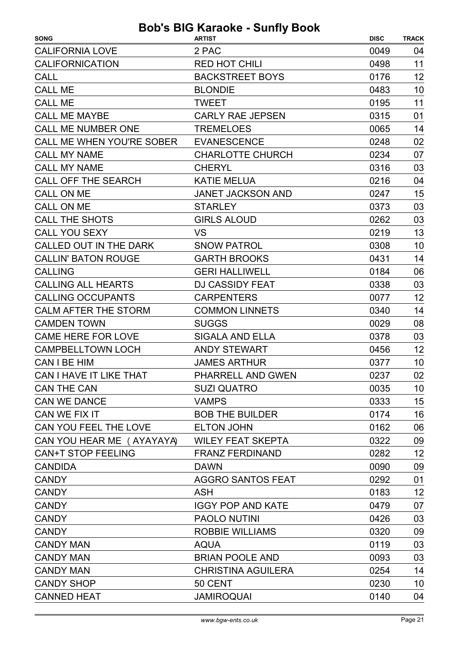#### SONG TRACK ARTIST Bob's BIG Karaoke - Sunfly Book DISC CALIFORNIA LOVE 2 PAC 0049 04 CALIFORNICATION RED HOT CHILI 0498 11 CALL **CALL CALL CALL CALL** BACKSTREET BOYS 0176 12 CALL ME BLONDIE BLONDIE 0483 10 CALL ME **11** TWEET 11 0195 11 CALL ME MAYBE CARLY RAE JEPSEN 0315 01 CALL ME NUMBER ONE TREMELOES 0065 14 CALL ME WHEN YOU'RE SOBER 0248 EVANESCENCE 02 CALL MY NAME CHARLOTTE CHURCH 0234 07 CALL MY NAME CHERYL CHERYL CHERYL 20316 03 CALL OFF THE SEARCH KATIE MELUA 10216 0216 CALL ON ME 0247 JANET JACKSON AND 15 CALL ON ME STARLEY 6373 03 CALL THE SHOTS GIRLS ALOUD GIRLS AND D262 03 CALL YOU SEXY VS VS 0219 0219 CALLED OUT IN THE DARK SNOW PATROL 6308 10 CALLIN' BATON ROUGE GARTH BROOKS 0431 14 CALLING GERI HALLIWELL 0184 06 CALLING ALL HEARTS DJ CASSIDY FEAT 0338 03 CALLING OCCUPANTS CARPENTERS 0077 12 CALM AFTER THE STORM COMMON LINNETS 0340 14 CAMDEN TOWN SUGGS 60029 08 CAME HERE FOR LOVE SIGALA AND ELLA 0378 03 CAMPBELLTOWN LOCH ANDY STEWART 0456 12 CAN I BE HIM GALL THE STATE STATES ARTHUR 10 CAN I BE HIM GALL THE STATE STATES ARTHUR 10 CAN I HAVE IT LIKE THAT PHARRELL AND GWEN 0237 02 CAN THE CAN CAN CAN SUZI QUATRO CAN THE CAN CAN SUZI QUATRO CAN WE DANCE VAMPS VAMPS 0333 15 CAN WE FIX IT THE BOB THE BUILDER THE 16 O174 16 CAN YOU FEEL THE LOVE ELTON JOHN 0162 06 CAN YOU HEAR ME (AYAYAYA) WILEY FEAT SKEPTA 0322 09 CAN+T STOP FEELING FRANZ FERDINAND 0282 12 CANDIDA 0090 DAWN 09 CANDY CANDY CANDY AGGRO SANTOS FEAT 0292 01 CANDY **ASH** 12 CANDY **IGGY POP AND KATE** 0479 07 CANDY **CANDY** PAOLO NUTINI 0426 03 CANDY **CANDY CANDY CANDY CANDY CANDY CANDY CANDY CONDENSITY CONDENSITY CONDENSITY CONDENSITY CONDENSITY CONDENSITY CONDENSITY CONDENSITY CONDENSITY CONDENSITY CONDENSITY CONDENSITY CON** CANDY MAN 0119 AQUA 03 CANDY MAN BRIAN POOLE AND 0093 03

CANDY MAN 0254 CHRISTINA AGUILERA 14 CANDY SHOP 50 CENT 60230 10 CANNED HEAT **CANNED HEAT** JAMIROQUAI **120 CANNED HEAT**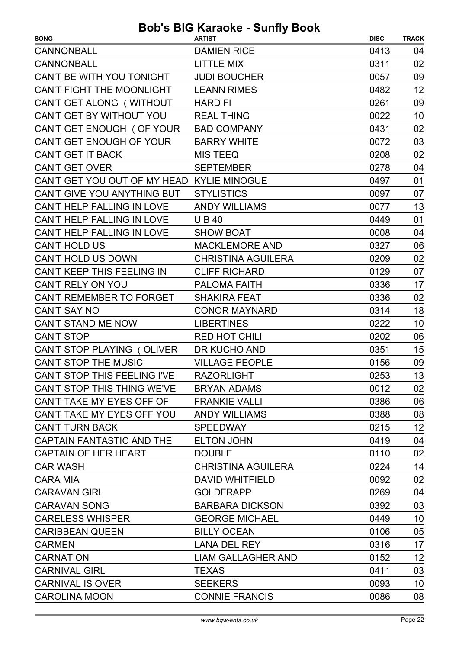| <b>SONG</b>                                | <b>ARTIST</b>             | <b>DISC</b> | <b>TRACK</b> |
|--------------------------------------------|---------------------------|-------------|--------------|
| <b>CANNONBALL</b>                          | <b>DAMIEN RICE</b>        | 0413        | 04           |
| <b>CANNONBALL</b>                          | <b>LITTLE MIX</b>         | 0311        | 02           |
| CAN'T BE WITH YOU TONIGHT                  | <b>JUDI BOUCHER</b>       | 0057        | 09           |
| CAN'T FIGHT THE MOONLIGHT                  | <b>LEANN RIMES</b>        | 0482        | 12           |
| CAN'T GET ALONG (WITHOUT                   | <b>HARD FI</b>            | 0261        | 09           |
| CAN'T GET BY WITHOUT YOU                   | <b>REAL THING</b>         | 0022        | 10           |
| CAN'T GET ENOUGH (OF YOUR                  | <b>BAD COMPANY</b>        | 0431        | 02           |
| CAN'T GET ENOUGH OF YOUR                   | <b>BARRY WHITE</b>        | 0072        | 03           |
| <b>CAN'T GET IT BACK</b>                   | <b>MIS TEEQ</b>           | 0208        | 02           |
| <b>CAN'T GET OVER</b>                      | <b>SEPTEMBER</b>          | 0278        | 04           |
| CAN'T GET YOU OUT OF MY HEAD KYLIE MINOGUE |                           | 0497        | 01           |
| CAN'T GIVE YOU ANYTHING BUT                | <b>STYLISTICS</b>         | 0097        | 07           |
| CAN'T HELP FALLING IN LOVE                 | <b>ANDY WILLIAMS</b>      | 0077        | 13           |
| CAN'T HELP FALLING IN LOVE                 | <b>UB40</b>               | 0449        | 01           |
| CAN'T HELP FALLING IN LOVE                 | <b>SHOW BOAT</b>          | 0008        | 04           |
| <b>CAN'T HOLD US</b>                       | <b>MACKLEMORE AND</b>     | 0327        | 06           |
| <b>CAN'T HOLD US DOWN</b>                  | <b>CHRISTINA AGUILERA</b> | 0209        | 02           |
| <b>CAN'T KEEP THIS FEELING IN</b>          | <b>CLIFF RICHARD</b>      | 0129        | 07           |
| CAN'T RELY ON YOU                          | <b>PALOMA FAITH</b>       | 0336        | 17           |
| CAN'T REMEMBER TO FORGET                   | <b>SHAKIRA FEAT</b>       | 0336        | 02           |
| <b>CAN'T SAY NO</b>                        | <b>CONOR MAYNARD</b>      | 0314        | 18           |
| CAN'T STAND ME NOW                         | <b>LIBERTINES</b>         | 0222        | 10           |
| <b>CAN'T STOP</b>                          | <b>RED HOT CHILI</b>      | 0202        | 06           |
| CAN'T STOP PLAYING (OLIVER                 | DR KUCHO AND              | 0351        | 15           |
| CAN'T STOP THE MUSIC                       | <b>VILLAGE PEOPLE</b>     | 0156        | 09           |
| CAN'T STOP THIS FEELING I'VE               | <b>RAZORLIGHT</b>         | 0253        | 13           |
| CAN'T STOP THIS THING WE'VE                | <b>BRYAN ADAMS</b>        | 0012        | 02           |
| CAN'T TAKE MY EYES OFF OF                  | <b>FRANKIE VALLI</b>      | 0386        | 06           |
| CAN'T TAKE MY EYES OFF YOU                 | <b>ANDY WILLIAMS</b>      | 0388        | 08           |
| <b>CAN'T TURN BACK</b>                     | <b>SPEEDWAY</b>           | 0215        | 12           |
| CAPTAIN FANTASTIC AND THE                  | <b>ELTON JOHN</b>         | 0419        | 04           |
| <b>CAPTAIN OF HER HEART</b>                | <b>DOUBLE</b>             | 0110        | 02           |
| <b>CAR WASH</b>                            | <b>CHRISTINA AGUILERA</b> | 0224        | 14           |
| <b>CARA MIA</b>                            | <b>DAVID WHITFIELD</b>    | 0092        | 02           |
| <b>CARAVAN GIRL</b>                        | <b>GOLDFRAPP</b>          | 0269        | 04           |
| <b>CARAVAN SONG</b>                        | <b>BARBARA DICKSON</b>    | 0392        | 03           |
| <b>CARELESS WHISPER</b>                    | <b>GEORGE MICHAEL</b>     | 0449        | 10           |
| <b>CARIBBEAN QUEEN</b>                     | <b>BILLY OCEAN</b>        | 0106        | 05           |
| <b>CARMEN</b>                              | <b>LANA DEL REY</b>       | 0316        | 17           |
| <b>CARNATION</b>                           | <b>LIAM GALLAGHER AND</b> | 0152        | 12           |
| <b>CARNIVAL GIRL</b>                       | <b>TEXAS</b>              | 0411        | 03           |
| <b>CARNIVAL IS OVER</b>                    | <b>SEEKERS</b>            | 0093        | 10           |
| <b>CAROLINA MOON</b>                       | <b>CONNIE FRANCIS</b>     | 0086        | 08           |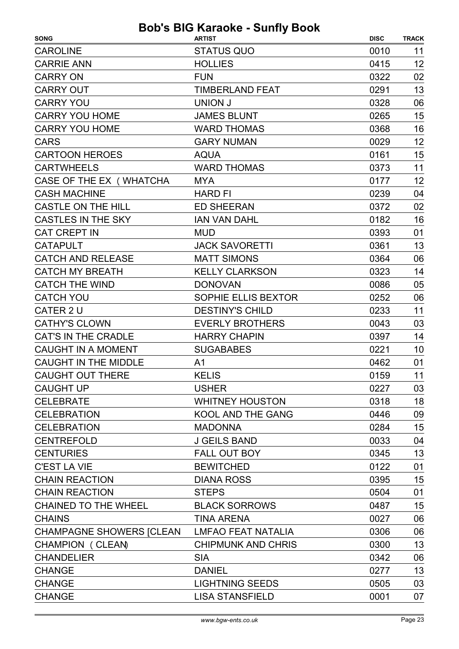| <b>STATUS QUO</b><br><b>CAROLINE</b><br>0010<br>11<br>12<br><b>CARRIE ANN</b><br><b>HOLLIES</b><br>0415<br><b>FUN</b><br>0322<br>02<br>13<br><b>CARRY OUT</b><br><b>TIMBERLAND FEAT</b><br>0291<br><b>CARRY YOU</b><br>06<br><b>UNION J</b><br>0328<br>15<br><b>CARRY YOU HOME</b><br><b>JAMES BLUNT</b><br>0265<br>16<br><b>CARRY YOU HOME</b><br><b>WARD THOMAS</b><br>0368<br>12<br><b>GARY NUMAN</b><br>0029<br>15<br>0161<br><b>CARTOON HEROES</b><br><b>AQUA</b><br>11<br><b>CARTWHEELS</b><br><b>WARD THOMAS</b><br>0373<br>12<br>CASE OF THE EX (WHATCHA<br><b>MYA</b><br>0177<br><b>CASH MACHINE</b><br>04<br><b>HARD FI</b><br>0239<br>02<br><b>CASTLE ON THE HILL</b><br><b>ED SHEERAN</b><br>0372<br><b>CASTLES IN THE SKY</b><br>16<br><b>IAN VAN DAHL</b><br>0182 | <b>SONG</b>                     | <b>ARTIST</b> | <b>DISC</b> | <b>TRACK</b> |
|---------------------------------------------------------------------------------------------------------------------------------------------------------------------------------------------------------------------------------------------------------------------------------------------------------------------------------------------------------------------------------------------------------------------------------------------------------------------------------------------------------------------------------------------------------------------------------------------------------------------------------------------------------------------------------------------------------------------------------------------------------------------------------|---------------------------------|---------------|-------------|--------------|
|                                                                                                                                                                                                                                                                                                                                                                                                                                                                                                                                                                                                                                                                                                                                                                                 |                                 |               |             |              |
|                                                                                                                                                                                                                                                                                                                                                                                                                                                                                                                                                                                                                                                                                                                                                                                 |                                 |               |             |              |
|                                                                                                                                                                                                                                                                                                                                                                                                                                                                                                                                                                                                                                                                                                                                                                                 | <b>CARRY ON</b>                 |               |             |              |
|                                                                                                                                                                                                                                                                                                                                                                                                                                                                                                                                                                                                                                                                                                                                                                                 |                                 |               |             |              |
|                                                                                                                                                                                                                                                                                                                                                                                                                                                                                                                                                                                                                                                                                                                                                                                 |                                 |               |             |              |
|                                                                                                                                                                                                                                                                                                                                                                                                                                                                                                                                                                                                                                                                                                                                                                                 |                                 |               |             |              |
|                                                                                                                                                                                                                                                                                                                                                                                                                                                                                                                                                                                                                                                                                                                                                                                 |                                 |               |             |              |
|                                                                                                                                                                                                                                                                                                                                                                                                                                                                                                                                                                                                                                                                                                                                                                                 | <b>CARS</b>                     |               |             |              |
|                                                                                                                                                                                                                                                                                                                                                                                                                                                                                                                                                                                                                                                                                                                                                                                 |                                 |               |             |              |
|                                                                                                                                                                                                                                                                                                                                                                                                                                                                                                                                                                                                                                                                                                                                                                                 |                                 |               |             |              |
|                                                                                                                                                                                                                                                                                                                                                                                                                                                                                                                                                                                                                                                                                                                                                                                 |                                 |               |             |              |
|                                                                                                                                                                                                                                                                                                                                                                                                                                                                                                                                                                                                                                                                                                                                                                                 |                                 |               |             |              |
|                                                                                                                                                                                                                                                                                                                                                                                                                                                                                                                                                                                                                                                                                                                                                                                 |                                 |               |             |              |
|                                                                                                                                                                                                                                                                                                                                                                                                                                                                                                                                                                                                                                                                                                                                                                                 |                                 |               |             |              |
|                                                                                                                                                                                                                                                                                                                                                                                                                                                                                                                                                                                                                                                                                                                                                                                 | <b>CAT CREPT IN</b>             | <b>MUD</b>    | 0393        | 01           |
| 13<br><b>CATAPULT</b><br><b>JACK SAVORETTI</b><br>0361                                                                                                                                                                                                                                                                                                                                                                                                                                                                                                                                                                                                                                                                                                                          |                                 |               |             |              |
| 06<br><b>CATCH AND RELEASE</b><br><b>MATT SIMONS</b><br>0364                                                                                                                                                                                                                                                                                                                                                                                                                                                                                                                                                                                                                                                                                                                    |                                 |               |             |              |
| <b>CATCH MY BREATH</b><br><b>KELLY CLARKSON</b><br>0323<br>14                                                                                                                                                                                                                                                                                                                                                                                                                                                                                                                                                                                                                                                                                                                   |                                 |               |             |              |
| <b>CATCH THE WIND</b><br><b>DONOVAN</b><br>0086<br>05                                                                                                                                                                                                                                                                                                                                                                                                                                                                                                                                                                                                                                                                                                                           |                                 |               |             |              |
| <b>CATCH YOU</b><br>SOPHIE ELLIS BEXTOR<br>06<br>0252                                                                                                                                                                                                                                                                                                                                                                                                                                                                                                                                                                                                                                                                                                                           |                                 |               |             |              |
| CATER 2 U<br><b>DESTINY'S CHILD</b><br>0233<br>11                                                                                                                                                                                                                                                                                                                                                                                                                                                                                                                                                                                                                                                                                                                               |                                 |               |             |              |
| <b>CATHY'S CLOWN</b><br><b>EVERLY BROTHERS</b><br>03<br>0043                                                                                                                                                                                                                                                                                                                                                                                                                                                                                                                                                                                                                                                                                                                    |                                 |               |             |              |
| 14<br><b>CAT'S IN THE CRADLE</b><br><b>HARRY CHAPIN</b><br>0397                                                                                                                                                                                                                                                                                                                                                                                                                                                                                                                                                                                                                                                                                                                 |                                 |               |             |              |
| <b>CAUGHT IN A MOMENT</b><br>0221<br>10<br><b>SUGABABES</b>                                                                                                                                                                                                                                                                                                                                                                                                                                                                                                                                                                                                                                                                                                                     |                                 |               |             |              |
| <b>CAUGHT IN THE MIDDLE</b><br>0462<br>01<br>A <sub>1</sub>                                                                                                                                                                                                                                                                                                                                                                                                                                                                                                                                                                                                                                                                                                                     |                                 |               |             |              |
| <b>CAUGHT OUT THERE</b><br>0159<br>11<br><b>KELIS</b>                                                                                                                                                                                                                                                                                                                                                                                                                                                                                                                                                                                                                                                                                                                           |                                 |               |             |              |
| <b>USHER</b><br>0227<br>03                                                                                                                                                                                                                                                                                                                                                                                                                                                                                                                                                                                                                                                                                                                                                      | <b>CAUGHT UP</b>                |               |             |              |
| 18<br><b>WHITNEY HOUSTON</b><br>0318                                                                                                                                                                                                                                                                                                                                                                                                                                                                                                                                                                                                                                                                                                                                            | <b>CELEBRATE</b>                |               |             |              |
| 09<br><b>KOOL AND THE GANG</b><br>0446                                                                                                                                                                                                                                                                                                                                                                                                                                                                                                                                                                                                                                                                                                                                          | <b>CELEBRATION</b>              |               |             |              |
| 15<br><b>MADONNA</b><br>0284                                                                                                                                                                                                                                                                                                                                                                                                                                                                                                                                                                                                                                                                                                                                                    | <b>CELEBRATION</b>              |               |             |              |
| <b>J GEILS BAND</b><br>04<br>0033                                                                                                                                                                                                                                                                                                                                                                                                                                                                                                                                                                                                                                                                                                                                               | <b>CENTREFOLD</b>               |               |             |              |
| 13<br><b>FALL OUT BOY</b><br>0345                                                                                                                                                                                                                                                                                                                                                                                                                                                                                                                                                                                                                                                                                                                                               | <b>CENTURIES</b>                |               |             |              |
| <b>BEWITCHED</b><br>01<br>0122                                                                                                                                                                                                                                                                                                                                                                                                                                                                                                                                                                                                                                                                                                                                                  | <b>C'EST LA VIE</b>             |               |             |              |
| 15<br>0395<br><b>DIANA ROSS</b>                                                                                                                                                                                                                                                                                                                                                                                                                                                                                                                                                                                                                                                                                                                                                 | <b>CHAIN REACTION</b>           |               |             |              |
| 01<br><b>STEPS</b><br>0504                                                                                                                                                                                                                                                                                                                                                                                                                                                                                                                                                                                                                                                                                                                                                      | <b>CHAIN REACTION</b>           |               |             |              |
| <b>BLACK SORROWS</b><br>15<br>0487                                                                                                                                                                                                                                                                                                                                                                                                                                                                                                                                                                                                                                                                                                                                              | <b>CHAINED TO THE WHEEL</b>     |               |             |              |
| 06<br><b>TINA ARENA</b><br>0027                                                                                                                                                                                                                                                                                                                                                                                                                                                                                                                                                                                                                                                                                                                                                 | <b>CHAINS</b>                   |               |             |              |
| 06<br><b>LMFAO FEAT NATALIA</b><br>0306                                                                                                                                                                                                                                                                                                                                                                                                                                                                                                                                                                                                                                                                                                                                         | <b>CHAMPAGNE SHOWERS [CLEAN</b> |               |             |              |
| 13<br><b>CHIPMUNK AND CHRIS</b><br>0300                                                                                                                                                                                                                                                                                                                                                                                                                                                                                                                                                                                                                                                                                                                                         | CHAMPION (CLEAN)                |               |             |              |
| 06<br><b>CHANDELIER</b><br><b>SIA</b><br>0342                                                                                                                                                                                                                                                                                                                                                                                                                                                                                                                                                                                                                                                                                                                                   |                                 |               |             |              |
| 13<br><b>DANIEL</b><br>0277                                                                                                                                                                                                                                                                                                                                                                                                                                                                                                                                                                                                                                                                                                                                                     | <b>CHANGE</b>                   |               |             |              |
| <b>CHANGE</b><br><b>LIGHTNING SEEDS</b><br>0505<br>03                                                                                                                                                                                                                                                                                                                                                                                                                                                                                                                                                                                                                                                                                                                           |                                 |               |             |              |
| <b>LISA STANSFIELD</b><br>0001<br>07                                                                                                                                                                                                                                                                                                                                                                                                                                                                                                                                                                                                                                                                                                                                            | <b>CHANGE</b>                   |               |             |              |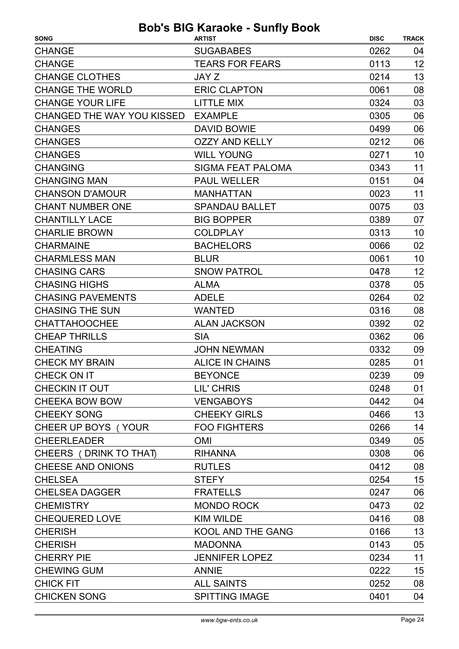| <b>SONG</b>                       | <b>ARTIST</b>            | <b>DISC</b> | <b>TRACK</b> |
|-----------------------------------|--------------------------|-------------|--------------|
| <b>CHANGE</b>                     | <b>SUGABABES</b>         | 0262        | 04           |
| <b>CHANGE</b>                     | <b>TEARS FOR FEARS</b>   | 0113        | 12           |
| <b>CHANGE CLOTHES</b>             | JAY Z                    | 0214        | 13           |
| <b>CHANGE THE WORLD</b>           | <b>ERIC CLAPTON</b>      | 0061        | 08           |
| <b>CHANGE YOUR LIFE</b>           | <b>LITTLE MIX</b>        | 0324        | 03           |
| <b>CHANGED THE WAY YOU KISSED</b> | <b>EXAMPLE</b>           | 0305        | 06           |
| <b>CHANGES</b>                    | <b>DAVID BOWIE</b>       | 0499        | 06           |
| <b>CHANGES</b>                    | <b>OZZY AND KELLY</b>    | 0212        | 06           |
| <b>CHANGES</b>                    | <b>WILL YOUNG</b>        | 0271        | 10           |
| <b>CHANGING</b>                   | <b>SIGMA FEAT PALOMA</b> | 0343        | 11           |
| <b>CHANGING MAN</b>               | <b>PAUL WELLER</b>       | 0151        | 04           |
| <b>CHANSON D'AMOUR</b>            | <b>MANHATTAN</b>         | 0023        | 11           |
| <b>CHANT NUMBER ONE</b>           | <b>SPANDAU BALLET</b>    | 0075        | 03           |
| <b>CHANTILLY LACE</b>             | <b>BIG BOPPER</b>        | 0389        | 07           |
| <b>CHARLIE BROWN</b>              | <b>COLDPLAY</b>          | 0313        | 10           |
| <b>CHARMAINE</b>                  | <b>BACHELORS</b>         | 0066        | 02           |
| <b>CHARMLESS MAN</b>              | <b>BLUR</b>              | 0061        | 10           |
| <b>CHASING CARS</b>               | <b>SNOW PATROL</b>       | 0478        | 12           |
| <b>CHASING HIGHS</b>              | <b>ALMA</b>              | 0378        | 05           |
| <b>CHASING PAVEMENTS</b>          | <b>ADELE</b>             | 0264        | 02           |
| <b>CHASING THE SUN</b>            | <b>WANTED</b>            | 0316        | 08           |
| <b>CHATTAHOOCHEE</b>              | <b>ALAN JACKSON</b>      | 0392        | 02           |
| <b>CHEAP THRILLS</b>              | <b>SIA</b>               | 0362        | 06           |
| <b>CHEATING</b>                   | <b>JOHN NEWMAN</b>       | 0332        | 09           |
| <b>CHECK MY BRAIN</b>             | <b>ALICE IN CHAINS</b>   | 0285        | 01           |
| CHECK ON IT                       | <b>BEYONCE</b>           | 0239        | 09           |
| <b>CHECKIN IT OUT</b>             | LIL' CHRIS               | 0248        | 01           |
| <b>CHEEKA BOW BOW</b>             | <b>VENGABOYS</b>         | 0442        | 04           |
| <b>CHEEKY SONG</b>                | <b>CHEEKY GIRLS</b>      | 0466        | 13           |
| CHEER UP BOYS (YOUR               | <b>FOO FIGHTERS</b>      | 0266        | 14           |
| <b>CHEERLEADER</b>                | <b>OMI</b>               | 0349        | 05           |
| CHEERS (DRINK TO THAT)            | <b>RIHANNA</b>           | 0308        | 06           |
| <b>CHEESE AND ONIONS</b>          | <b>RUTLES</b>            | 0412        | 08           |
| <b>CHELSEA</b>                    | <b>STEFY</b>             | 0254        | 15           |
| <b>CHELSEA DAGGER</b>             | <b>FRATELLS</b>          | 0247        | 06           |
| <b>CHEMISTRY</b>                  | <b>MONDO ROCK</b>        | 0473        | 02           |
| <b>CHEQUERED LOVE</b>             | <b>KIM WILDE</b>         | 0416        | 08           |
| <b>CHERISH</b>                    | KOOL AND THE GANG        | 0166        | 13           |
| <b>CHERISH</b>                    | <b>MADONNA</b>           | 0143        | 05           |
| <b>CHERRY PIE</b>                 | <b>JENNIFER LOPEZ</b>    | 0234        | 11           |
| <b>CHEWING GUM</b>                | <b>ANNIE</b>             | 0222        | 15           |
| <b>CHICK FIT</b>                  | <b>ALL SAINTS</b>        | 0252        | 08           |
| <b>CHICKEN SONG</b>               | <b>SPITTING IMAGE</b>    | 0401        | 04           |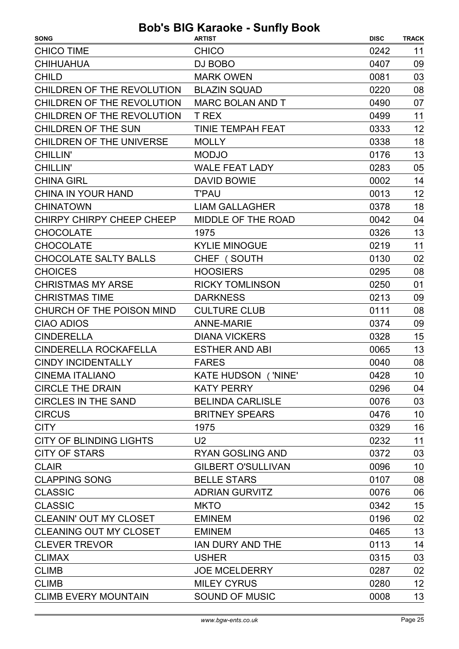| <b>SONG</b>                      | <b>ARTIST</b>             | <b>DISC</b> | <b>TRACK</b> |
|----------------------------------|---------------------------|-------------|--------------|
| <b>CHICO TIME</b>                | <b>CHICO</b>              | 0242        | 11           |
| <b>CHIHUAHUA</b>                 | DJ BOBO                   | 0407        | 09           |
| <b>CHILD</b>                     | <b>MARK OWEN</b>          | 0081        | 03           |
| CHILDREN OF THE REVOLUTION       | <b>BLAZIN SQUAD</b>       | 0220        | 08           |
| CHILDREN OF THE REVOLUTION       | <b>MARC BOLAN AND T</b>   | 0490        | 07           |
| CHILDREN OF THE REVOLUTION       | <b>T REX</b>              | 0499        | 11           |
| <b>CHILDREN OF THE SUN</b>       | TINIE TEMPAH FEAT         | 0333        | 12           |
| <b>CHILDREN OF THE UNIVERSE</b>  | <b>MOLLY</b>              | 0338        | 18           |
| <b>CHILLIN'</b>                  | <b>MODJO</b>              | 0176        | 13           |
| <b>CHILLIN'</b>                  | <b>WALE FEAT LADY</b>     | 0283        | 05           |
| <b>CHINA GIRL</b>                | <b>DAVID BOWIE</b>        | 0002        | 14           |
| <b>CHINA IN YOUR HAND</b>        | <b>T'PAU</b>              | 0013        | 12           |
| <b>CHINATOWN</b>                 | <b>LIAM GALLAGHER</b>     | 0378        | 18           |
| <b>CHIRPY CHIRPY CHEEP CHEEP</b> | MIDDLE OF THE ROAD        | 0042        | 04           |
| <b>CHOCOLATE</b>                 | 1975                      | 0326        | 13           |
| <b>CHOCOLATE</b>                 | <b>KYLIE MINOGUE</b>      | 0219        | 11           |
| <b>CHOCOLATE SALTY BALLS</b>     | CHEF (SOUTH               | 0130        | 02           |
| <b>CHOICES</b>                   | <b>HOOSIERS</b>           | 0295        | 08           |
| <b>CHRISTMAS MY ARSE</b>         | <b>RICKY TOMLINSON</b>    | 0250        | 01           |
| <b>CHRISTMAS TIME</b>            | <b>DARKNESS</b>           | 0213        | 09           |
| CHURCH OF THE POISON MIND        | <b>CULTURE CLUB</b>       | 0111        | 08           |
| <b>CIAO ADIOS</b>                | <b>ANNE-MARIE</b>         | 0374        | 09           |
| <b>CINDERELLA</b>                | <b>DIANA VICKERS</b>      | 0328        | 15           |
| <b>CINDERELLA ROCKAFELLA</b>     | <b>ESTHER AND ABI</b>     | 0065        | 13           |
| <b>CINDY INCIDENTALLY</b>        | <b>FARES</b>              | 0040        | 08           |
| <b>CINEMA ITALIANO</b>           | KATE HUDSON ('NINE'       | 0428        | 10           |
| <b>CIRCLE THE DRAIN</b>          | <b>KATY PERRY</b>         | 0296        | 04           |
| <b>CIRCLES IN THE SAND</b>       | <b>BELINDA CARLISLE</b>   | 0076        | 03           |
| <b>CIRCUS</b>                    | <b>BRITNEY SPEARS</b>     | 0476        | 10           |
| <b>CITY</b>                      | 1975                      | 0329        | 16           |
| <b>CITY OF BLINDING LIGHTS</b>   | U <sub>2</sub>            | 0232        | 11           |
| <b>CITY OF STARS</b>             | <b>RYAN GOSLING AND</b>   | 0372        | 03           |
| <b>CLAIR</b>                     | <b>GILBERT O'SULLIVAN</b> | 0096        | 10           |
| <b>CLAPPING SONG</b>             | <b>BELLE STARS</b>        | 0107        | 08           |
| <b>CLASSIC</b>                   | <b>ADRIAN GURVITZ</b>     | 0076        | 06           |
| <b>CLASSIC</b>                   | <b>MKTO</b>               | 0342        | 15           |
| <b>CLEANIN' OUT MY CLOSET</b>    | <b>EMINEM</b>             | 0196        | 02           |
| <b>CLEANING OUT MY CLOSET</b>    | <b>EMINEM</b>             | 0465        | 13           |
| <b>CLEVER TREVOR</b>             | IAN DURY AND THE          | 0113        | 14           |
| <b>CLIMAX</b>                    | <b>USHER</b>              | 0315        | 03           |
| <b>CLIMB</b>                     | <b>JOE MCELDERRY</b>      | 0287        | 02           |
| <b>CLIMB</b>                     | <b>MILEY CYRUS</b>        | 0280        | 12           |
| <b>CLIMB EVERY MOUNTAIN</b>      | <b>SOUND OF MUSIC</b>     | 0008        | 13           |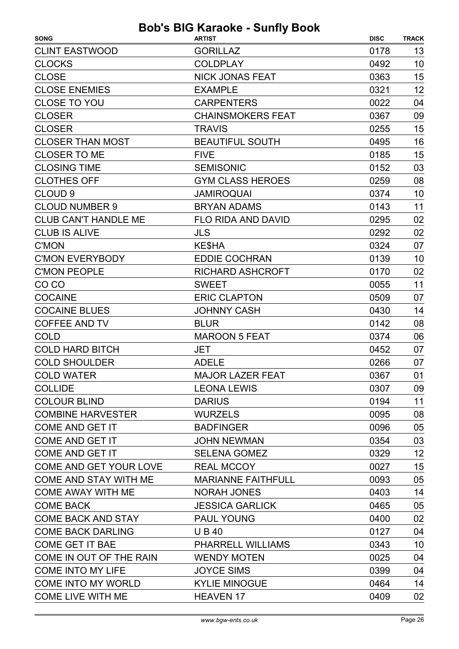| <b>SONG</b>                 | <b>ARTIST</b>             | <b>DISC</b> | <b>TRACK</b> |
|-----------------------------|---------------------------|-------------|--------------|
| <b>CLINT EASTWOOD</b>       | <b>GORILLAZ</b>           | 0178        | 13           |
| <b>CLOCKS</b>               | <b>COLDPLAY</b>           | 0492        | 10           |
| <b>CLOSE</b>                | <b>NICK JONAS FEAT</b>    | 0363        | 15           |
| <b>CLOSE ENEMIES</b>        | <b>EXAMPLE</b>            | 0321        | 12           |
| CLOSE TO YOU                | <b>CARPENTERS</b>         | 0022        | 04           |
| <b>CLOSER</b>               | <b>CHAINSMOKERS FEAT</b>  | 0367        | 09           |
| <b>CLOSER</b>               | <b>TRAVIS</b>             | 0255        | 15           |
| <b>CLOSER THAN MOST</b>     | <b>BEAUTIFUL SOUTH</b>    | 0495        | 16           |
| <b>CLOSER TO ME</b>         | <b>FIVE</b>               | 0185        | 15           |
| <b>CLOSING TIME</b>         | <b>SEMISONIC</b>          | 0152        | 03           |
| <b>CLOTHES OFF</b>          | <b>GYM CLASS HEROES</b>   | 0259        | 08           |
| CLOUD <sub>9</sub>          | <b>JAMIROQUAI</b>         | 0374        | 10           |
| <b>CLOUD NUMBER 9</b>       | <b>BRYAN ADAMS</b>        | 0143        | 11           |
| <b>CLUB CAN'T HANDLE ME</b> | <b>FLO RIDA AND DAVID</b> | 0295        | 02           |
| <b>CLUB IS ALIVE</b>        | <b>JLS</b>                | 0292        | 02           |
| <b>C'MON</b>                | KE\$HA                    | 0324        | 07           |
| <b>C'MON EVERYBODY</b>      | <b>EDDIE COCHRAN</b>      | 0139        | 10           |
| <b>C'MON PEOPLE</b>         | <b>RICHARD ASHCROFT</b>   | 0170        | 02           |
| CO CO                       | <b>SWEET</b>              | 0055        | 11           |
| <b>COCAINE</b>              | <b>ERIC CLAPTON</b>       | 0509        | 07           |
| <b>COCAINE BLUES</b>        | <b>JOHNNY CASH</b>        | 0430        | 14           |
| <b>COFFEE AND TV</b>        | <b>BLUR</b>               | 0142        | 08           |
| <b>COLD</b>                 | <b>MAROON 5 FEAT</b>      | 0374        | 06           |
| <b>COLD HARD BITCH</b>      | JET                       | 0452        | 07           |
| <b>COLD SHOULDER</b>        | <b>ADELE</b>              | 0266        | 07           |
| <b>COLD WATER</b>           | <b>MAJOR LAZER FEAT</b>   | 0367        | 01           |
| <b>COLLIDE</b>              | <b>LEONA LEWIS</b>        | 0307        | 09           |
| <b>COLOUR BLIND</b>         | <b>DARIUS</b>             | 0194        | 11           |
| <b>COMBINE HARVESTER</b>    | <b>WURZELS</b>            | 0095        | 08           |
| COME AND GET IT             | <b>BADFINGER</b>          | 0096        | 05           |
| COME AND GET IT             | <b>JOHN NEWMAN</b>        | 0354        | 03           |
| COME AND GET IT             | <b>SELENA GOMEZ</b>       | 0329        | 12           |
| COME AND GET YOUR LOVE      | <b>REAL MCCOY</b>         | 0027        | 15           |
| COME AND STAY WITH ME       | <b>MARIANNE FAITHFULL</b> | 0093        | 05           |
| <b>COME AWAY WITH ME</b>    | NORAH JONES               | 0403        | 14           |
| <b>COME BACK</b>            | <b>JESSICA GARLICK</b>    | 0465        | 05           |
| <b>COME BACK AND STAY</b>   | <b>PAUL YOUNG</b>         | 0400        | 02           |
| <b>COME BACK DARLING</b>    | <b>UB40</b>               | 0127        | 04           |
| <b>COME GET IT BAE</b>      | PHARRELL WILLIAMS         | 0343        | 10           |
| COME IN OUT OF THE RAIN     | <b>WENDY MOTEN</b>        | 0025        | 04           |
| <b>COME INTO MY LIFE</b>    | <b>JOYCE SIMS</b>         | 0399        | 04           |
| COME INTO MY WORLD          | <b>KYLIE MINOGUE</b>      | 0464        | 14           |
| COME LIVE WITH ME           | <b>HEAVEN 17</b>          | 0409        | 02           |
|                             |                           |             |              |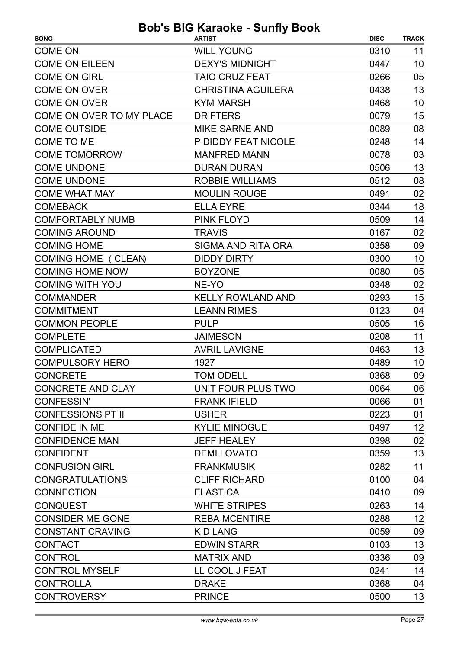| <b>SONG</b>              | <b>ARTIST</b>             | <b>DISC</b> | <b>TRACK</b> |
|--------------------------|---------------------------|-------------|--------------|
| <b>COME ON</b>           | <b>WILL YOUNG</b>         | 0310        | 11           |
| <b>COME ON EILEEN</b>    | <b>DEXY'S MIDNIGHT</b>    | 0447        | 10           |
| <b>COME ON GIRL</b>      | <b>TAIO CRUZ FEAT</b>     | 0266        | 05           |
| <b>COME ON OVER</b>      | <b>CHRISTINA AGUILERA</b> | 0438        | 13           |
| <b>COME ON OVER</b>      | <b>KYM MARSH</b>          | 0468        | 10           |
| COME ON OVER TO MY PLACE | <b>DRIFTERS</b>           | 0079        | 15           |
| <b>COME OUTSIDE</b>      | <b>MIKE SARNE AND</b>     | 0089        | 08           |
| COME TO ME               | P DIDDY FEAT NICOLE       | 0248        | 14           |
| <b>COME TOMORROW</b>     | <b>MANFRED MANN</b>       | 0078        | 03           |
| <b>COME UNDONE</b>       | <b>DURAN DURAN</b>        | 0506        | 13           |
| <b>COME UNDONE</b>       | <b>ROBBIE WILLIAMS</b>    | 0512        | 08           |
| <b>COME WHAT MAY</b>     | <b>MOULIN ROUGE</b>       | 0491        | 02           |
| <b>COMEBACK</b>          | <b>ELLA EYRE</b>          | 0344        | 18           |
| <b>COMFORTABLY NUMB</b>  | <b>PINK FLOYD</b>         | 0509        | 14           |
| <b>COMING AROUND</b>     | <b>TRAVIS</b>             | 0167        | 02           |
| <b>COMING HOME</b>       | SIGMA AND RITA ORA        | 0358        | 09           |
| COMING HOME ( CLEAN)     | <b>DIDDY DIRTY</b>        | 0300        | 10           |
| <b>COMING HOME NOW</b>   | <b>BOYZONE</b>            | 0080        | 05           |
| <b>COMING WITH YOU</b>   | NE-YO                     | 0348        | 02           |
| <b>COMMANDER</b>         | <b>KELLY ROWLAND AND</b>  | 0293        | 15           |
| <b>COMMITMENT</b>        | <b>LEANN RIMES</b>        | 0123        | 04           |
| <b>COMMON PEOPLE</b>     | <b>PULP</b>               | 0505        | 16           |
| <b>COMPLETE</b>          | <b>JAIMESON</b>           | 0208        | 11           |
| <b>COMPLICATED</b>       | <b>AVRIL LAVIGNE</b>      | 0463        | 13           |
| <b>COMPULSORY HERO</b>   | 1927                      | 0489        | 10           |
| <b>CONCRETE</b>          | <b>TOM ODELL</b>          | 0368        | 09           |
| <b>CONCRETE AND CLAY</b> | UNIT FOUR PLUS TWO        | 0064        | 06           |
| <b>CONFESSIN'</b>        | <b>FRANK IFIELD</b>       | 0066        | 01           |
| <b>CONFESSIONS PT II</b> | <b>USHER</b>              | 0223        | 01           |
| <b>CONFIDE IN ME</b>     | <b>KYLIE MINOGUE</b>      | 0497        | 12           |
| <b>CONFIDENCE MAN</b>    | <b>JEFF HEALEY</b>        | 0398        | 02           |
| <b>CONFIDENT</b>         | <b>DEMI LOVATO</b>        | 0359        | 13           |
| <b>CONFUSION GIRL</b>    | <b>FRANKMUSIK</b>         | 0282        | 11           |
| <b>CONGRATULATIONS</b>   | <b>CLIFF RICHARD</b>      | 0100        | 04           |
| <b>CONNECTION</b>        | <b>ELASTICA</b>           | 0410        | 09           |
| <b>CONQUEST</b>          | <b>WHITE STRIPES</b>      | 0263        | 14           |
| <b>CONSIDER ME GONE</b>  | <b>REBA MCENTIRE</b>      | 0288        | 12           |
| <b>CONSTANT CRAVING</b>  | K D LANG                  | 0059        | 09           |
| <b>CONTACT</b>           | <b>EDWIN STARR</b>        | 0103        | 13           |
| <b>CONTROL</b>           | <b>MATRIX AND</b>         | 0336        | 09           |
| <b>CONTROL MYSELF</b>    | LL COOL J FEAT            | 0241        | 14           |
| <b>CONTROLLA</b>         | <b>DRAKE</b>              | 0368        | 04           |
| <b>CONTROVERSY</b>       | <b>PRINCE</b>             | 0500        | 13           |
|                          |                           |             |              |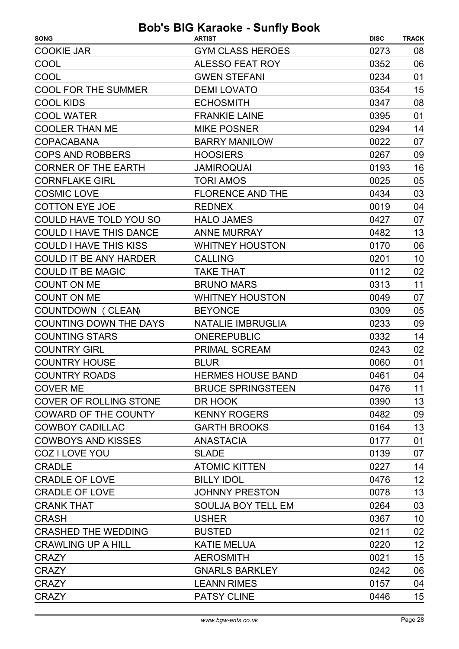| <b>SONG</b>                    | <b>ARTIST</b>            | <b>DISC</b> | <b>TRACK</b> |
|--------------------------------|--------------------------|-------------|--------------|
| <b>COOKIE JAR</b>              | <b>GYM CLASS HEROES</b>  | 0273        | 08           |
| COOL                           | <b>ALESSO FEAT ROY</b>   | 0352        | 06           |
| COOL                           | <b>GWEN STEFANI</b>      | 0234        | 01           |
| <b>COOL FOR THE SUMMER</b>     | <b>DEMI LOVATO</b>       | 0354        | 15           |
| <b>COOL KIDS</b>               | <b>ECHOSMITH</b>         | 0347        | 08           |
| <b>COOL WATER</b>              | <b>FRANKIE LAINE</b>     | 0395        | 01           |
| <b>COOLER THAN ME</b>          | <b>MIKE POSNER</b>       | 0294        | 14           |
| <b>COPACABANA</b>              | <b>BARRY MANILOW</b>     | 0022        | 07           |
| <b>COPS AND ROBBERS</b>        | <b>HOOSIERS</b>          | 0267        | 09           |
| <b>CORNER OF THE EARTH</b>     | <b>JAMIROQUAI</b>        | 0193        | 16           |
| <b>CORNFLAKE GIRL</b>          | <b>TORI AMOS</b>         | 0025        | 05           |
| <b>COSMIC LOVE</b>             | <b>FLORENCE AND THE</b>  | 0434        | 03           |
| <b>COTTON EYE JOE</b>          | <b>REDNEX</b>            | 0019        | 04           |
| COULD HAVE TOLD YOU SO         | <b>HALO JAMES</b>        | 0427        | 07           |
| <b>COULD I HAVE THIS DANCE</b> | <b>ANNE MURRAY</b>       | 0482        | 13           |
| <b>COULD I HAVE THIS KISS</b>  | <b>WHITNEY HOUSTON</b>   | 0170        | 06           |
| <b>COULD IT BE ANY HARDER</b>  | <b>CALLING</b>           | 0201        | 10           |
| <b>COULD IT BE MAGIC</b>       | <b>TAKE THAT</b>         | 0112        | 02           |
| <b>COUNT ON ME</b>             | <b>BRUNO MARS</b>        | 0313        | 11           |
| <b>COUNT ON ME</b>             | <b>WHITNEY HOUSTON</b>   | 0049        | 07           |
| COUNTDOWN (CLEAN)              | <b>BEYONCE</b>           | 0309        | 05           |
| <b>COUNTING DOWN THE DAYS</b>  | NATALIE IMBRUGLIA        | 0233        | 09           |
| <b>COUNTING STARS</b>          | <b>ONEREPUBLIC</b>       | 0332        | 14           |
| <b>COUNTRY GIRL</b>            | PRIMAL SCREAM            | 0243        | 02           |
| <b>COUNTRY HOUSE</b>           | <b>BLUR</b>              | 0060        | 01           |
| <b>COUNTRY ROADS</b>           | <b>HERMES HOUSE BAND</b> | 0461        | 04           |
| <b>COVER ME</b>                | <b>BRUCE SPRINGSTEEN</b> | 0476        | 11           |
| <b>COVER OF ROLLING STONE</b>  | DR HOOK                  | 0390        | 13           |
| <b>COWARD OF THE COUNTY</b>    | <b>KENNY ROGERS</b>      | 0482        | 09           |
| <b>COWBOY CADILLAC</b>         | <b>GARTH BROOKS</b>      | 0164        | 13           |
| <b>COWBOYS AND KISSES</b>      | <b>ANASTACIA</b>         | 0177        | 01           |
| COZ I LOVE YOU                 | <b>SLADE</b>             | 0139        | 07           |
| <b>CRADLE</b>                  | <b>ATOMIC KITTEN</b>     | 0227        | 14           |
| <b>CRADLE OF LOVE</b>          | <b>BILLY IDOL</b>        | 0476        | 12           |
| <b>CRADLE OF LOVE</b>          | <b>JOHNNY PRESTON</b>    | 0078        | 13           |
| <b>CRANK THAT</b>              | SOULJA BOY TELL EM       | 0264        | 03           |
| <b>CRASH</b>                   | <b>USHER</b>             | 0367        | 10           |
| <b>CRASHED THE WEDDING</b>     | <b>BUSTED</b>            | 0211        | 02           |
| <b>CRAWLING UP A HILL</b>      | <b>KATIE MELUA</b>       | 0220        | 12           |
| <b>CRAZY</b>                   | <b>AEROSMITH</b>         | 0021        | 15           |
| <b>CRAZY</b>                   | <b>GNARLS BARKLEY</b>    | 0242        | 06           |
| <b>CRAZY</b>                   | <b>LEANN RIMES</b>       | 0157        | 04           |
| <b>CRAZY</b>                   | <b>PATSY CLINE</b>       | 0446        | 15           |
|                                |                          |             |              |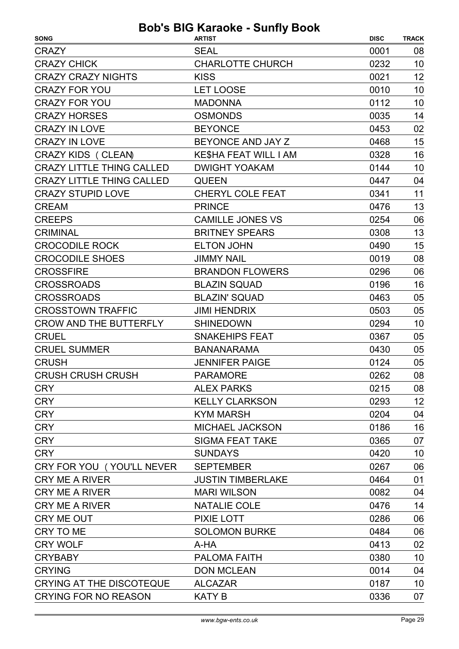| <b>SONG</b>                      | <b>ARTIST</b>            | <b>DISC</b> | <b>TRACK</b> |
|----------------------------------|--------------------------|-------------|--------------|
| <b>CRAZY</b>                     | <b>SEAL</b>              | 0001        | 08           |
| <b>CRAZY CHICK</b>               | <b>CHARLOTTE CHURCH</b>  | 0232        | 10           |
| <b>CRAZY CRAZY NIGHTS</b>        | <b>KISS</b>              | 0021        | 12           |
| <b>CRAZY FOR YOU</b>             | <b>LET LOOSE</b>         | 0010        | 10           |
| <b>CRAZY FOR YOU</b>             | <b>MADONNA</b>           | 0112        | 10           |
| <b>CRAZY HORSES</b>              | <b>OSMONDS</b>           | 0035        | 14           |
| <b>CRAZY IN LOVE</b>             | <b>BEYONCE</b>           | 0453        | 02           |
| <b>CRAZY IN LOVE</b>             | BEYONCE AND JAY Z        | 0468        | 15           |
| CRAZY KIDS (CLEAN)               | KE\$HA FEAT WILL I AM    | 0328        | 16           |
| <b>CRAZY LITTLE THING CALLED</b> | <b>DWIGHT YOAKAM</b>     | 0144        | 10           |
| <b>CRAZY LITTLE THING CALLED</b> | <b>QUEEN</b>             | 0447        | 04           |
| <b>CRAZY STUPID LOVE</b>         | <b>CHERYL COLE FEAT</b>  | 0341        | 11           |
| <b>CREAM</b>                     | <b>PRINCE</b>            | 0476        | 13           |
| <b>CREEPS</b>                    | <b>CAMILLE JONES VS</b>  | 0254        | 06           |
| <b>CRIMINAL</b>                  | <b>BRITNEY SPEARS</b>    | 0308        | 13           |
| <b>CROCODILE ROCK</b>            | <b>ELTON JOHN</b>        | 0490        | 15           |
| <b>CROCODILE SHOES</b>           | <b>JIMMY NAIL</b>        | 0019        | 08           |
| <b>CROSSFIRE</b>                 | <b>BRANDON FLOWERS</b>   | 0296        | 06           |
| <b>CROSSROADS</b>                | <b>BLAZIN SQUAD</b>      | 0196        | 16           |
| <b>CROSSROADS</b>                | <b>BLAZIN' SQUAD</b>     | 0463        | 05           |
| <b>CROSSTOWN TRAFFIC</b>         | <b>JIMI HENDRIX</b>      | 0503        | 05           |
| <b>CROW AND THE BUTTERFLY</b>    | <b>SHINEDOWN</b>         | 0294        | 10           |
| <b>CRUEL</b>                     | <b>SNAKEHIPS FEAT</b>    | 0367        | 05           |
| <b>CRUEL SUMMER</b>              | <b>BANANARAMA</b>        | 0430        | 05           |
| <b>CRUSH</b>                     | <b>JENNIFER PAIGE</b>    | 0124        | 05           |
| <b>CRUSH CRUSH CRUSH</b>         | <b>PARAMORE</b>          | 0262        | 08           |
| <b>CRY</b>                       | <b>ALEX PARKS</b>        | 0215        | 08           |
| <b>CRY</b>                       | <b>KELLY CLARKSON</b>    | 0293        | 12           |
| <b>CRY</b>                       | <b>KYM MARSH</b>         | 0204        | 04           |
| <b>CRY</b>                       | <b>MICHAEL JACKSON</b>   | 0186        | 16           |
| <b>CRY</b>                       | <b>SIGMA FEAT TAKE</b>   | 0365        | 07           |
| <b>CRY</b>                       | <b>SUNDAYS</b>           | 0420        | 10           |
| CRY FOR YOU (YOU'LL NEVER        | <b>SEPTEMBER</b>         | 0267        | 06           |
| <b>CRY ME A RIVER</b>            | <b>JUSTIN TIMBERLAKE</b> | 0464        | 01           |
| <b>CRY ME A RIVER</b>            | <b>MARI WILSON</b>       | 0082        | 04           |
| <b>CRY ME A RIVER</b>            | <b>NATALIE COLE</b>      | 0476        | 14           |
| CRY ME OUT                       | <b>PIXIE LOTT</b>        | 0286        | 06           |
| CRY TO ME                        | <b>SOLOMON BURKE</b>     | 0484        | 06           |
| <b>CRY WOLF</b>                  | A-HA                     | 0413        | 02           |
| <b>CRYBABY</b>                   | <b>PALOMA FAITH</b>      | 0380        | 10           |
| <b>CRYING</b>                    | <b>DON MCLEAN</b>        | 0014        | 04           |
| <b>CRYING AT THE DISCOTEQUE</b>  | <b>ALCAZAR</b>           | 0187        | 10           |
| <b>CRYING FOR NO REASON</b>      | <b>KATY B</b>            | 0336        | 07           |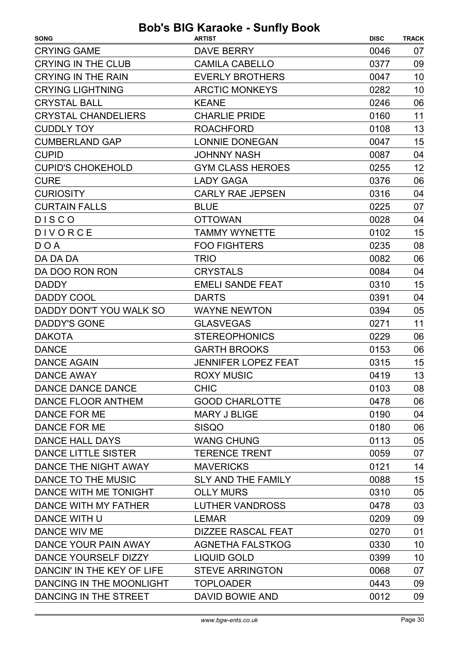| <b>SONG</b>                | <b>ARTIST</b>              | <b>DISC</b> | <b>TRACK</b> |
|----------------------------|----------------------------|-------------|--------------|
| <b>CRYING GAME</b>         | <b>DAVE BERRY</b>          | 0046        | 07           |
| <b>CRYING IN THE CLUB</b>  | <b>CAMILA CABELLO</b>      | 0377        | 09           |
| <b>CRYING IN THE RAIN</b>  | <b>EVERLY BROTHERS</b>     | 0047        | 10           |
| <b>CRYING LIGHTNING</b>    | <b>ARCTIC MONKEYS</b>      | 0282        | 10           |
| <b>CRYSTAL BALL</b>        | <b>KEANE</b>               | 0246        | 06           |
| <b>CRYSTAL CHANDELIERS</b> | <b>CHARLIE PRIDE</b>       | 0160        | 11           |
| <b>CUDDLY TOY</b>          | <b>ROACHFORD</b>           | 0108        | 13           |
| <b>CUMBERLAND GAP</b>      | <b>LONNIE DONEGAN</b>      | 0047        | 15           |
| <b>CUPID</b>               | <b>JOHNNY NASH</b>         | 0087        | 04           |
| <b>CUPID'S CHOKEHOLD</b>   | <b>GYM CLASS HEROES</b>    | 0255        | 12           |
| <b>CURE</b>                | <b>LADY GAGA</b>           | 0376        | 06           |
| <b>CURIOSITY</b>           | <b>CARLY RAE JEPSEN</b>    | 0316        | 04           |
| <b>CURTAIN FALLS</b>       | <b>BLUE</b>                | 0225        | 07           |
| <b>DISCO</b>               | <b>OTTOWAN</b>             | 0028        | 04           |
| DIVORCE                    | <b>TAMMY WYNETTE</b>       | 0102        | 15           |
| D O A                      | <b>FOO FIGHTERS</b>        | 0235        | 08           |
| DA DA DA                   | <b>TRIO</b>                | 0082        | 06           |
| DA DOO RON RON             | <b>CRYSTALS</b>            | 0084        | 04           |
| <b>DADDY</b>               | <b>EMELI SANDE FEAT</b>    | 0310        | 15           |
| DADDY COOL                 | <b>DARTS</b>               | 0391        | 04           |
| DADDY DON'T YOU WALK SO    | <b>WAYNE NEWTON</b>        | 0394        | 05           |
| <b>DADDY'S GONE</b>        | <b>GLASVEGAS</b>           | 0271        | 11           |
| <b>DAKOTA</b>              | <b>STEREOPHONICS</b>       | 0229        | 06           |
| <b>DANCE</b>               | <b>GARTH BROOKS</b>        | 0153        | 06           |
| <b>DANCE AGAIN</b>         | <b>JENNIFER LOPEZ FEAT</b> | 0315        | 15           |
| <b>DANCE AWAY</b>          | <b>ROXY MUSIC</b>          | 0419        | 13           |
| DANCE DANCE DANCE          | <b>CHIC</b>                | 0103        | 08           |
| <b>DANCE FLOOR ANTHEM</b>  | <b>GOOD CHARLOTTE</b>      | 0478        | 06           |
| DANCE FOR ME               | <b>MARY J BLIGE</b>        | 0190        | 04           |
| DANCE FOR ME               | <b>SISQO</b>               | 0180        | 06           |
| DANCE HALL DAYS            | <b>WANG CHUNG</b>          | 0113        | 05           |
| DANCE LITTLE SISTER        | <b>TERENCE TRENT</b>       | 0059        | 07           |
| DANCE THE NIGHT AWAY       | <b>MAVERICKS</b>           | 0121        | 14           |
| DANCE TO THE MUSIC         | <b>SLY AND THE FAMILY</b>  | 0088        | 15           |
| DANCE WITH ME TONIGHT      | <b>OLLY MURS</b>           | 0310        | 05           |
| DANCE WITH MY FATHER       | <b>LUTHER VANDROSS</b>     | 0478        | 03           |
| DANCE WITH U               | <b>LEMAR</b>               | 0209        | 09           |
| DANCE WIV ME               | <b>DIZZEE RASCAL FEAT</b>  | 0270        | 01           |
| DANCE YOUR PAIN AWAY       | <b>AGNETHA FALSTKOG</b>    | 0330        | 10           |
| DANCE YOURSELF DIZZY       | <b>LIQUID GOLD</b>         | 0399        | 10           |
| DANCIN' IN THE KEY OF LIFE | <b>STEVE ARRINGTON</b>     | 0068        | 07           |
| DANCING IN THE MOONLIGHT   | <b>TOPLOADER</b>           | 0443        | 09           |
| DANCING IN THE STREET      | DAVID BOWIE AND            | 0012        | 09           |
|                            |                            |             |              |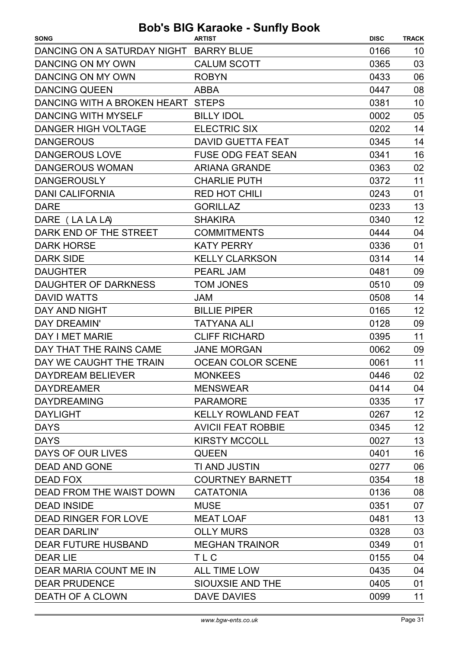| <b>SONG</b>                            | <b>ARTIST</b>             | <b>DISC</b> | <b>TRACK</b> |
|----------------------------------------|---------------------------|-------------|--------------|
| DANCING ON A SATURDAY NIGHT BARRY BLUE |                           | 0166        | 10           |
| DANCING ON MY OWN                      | <b>CALUM SCOTT</b>        | 0365        | 03           |
| DANCING ON MY OWN                      | <b>ROBYN</b>              | 0433        | 06           |
| <b>DANCING QUEEN</b>                   | <b>ABBA</b>               | 0447        | 08           |
| DANCING WITH A BROKEN HEART STEPS      |                           | 0381        | 10           |
| <b>DANCING WITH MYSELF</b>             | <b>BILLY IDOL</b>         | 0002        | 05           |
| <b>DANGER HIGH VOLTAGE</b>             | <b>ELECTRIC SIX</b>       | 0202        | 14           |
| <b>DANGEROUS</b>                       | <b>DAVID GUETTA FEAT</b>  | 0345        | 14           |
| <b>DANGEROUS LOVE</b>                  | <b>FUSE ODG FEAT SEAN</b> | 0341        | 16           |
| <b>DANGEROUS WOMAN</b>                 | <b>ARIANA GRANDE</b>      | 0363        | 02           |
| <b>DANGEROUSLY</b>                     | <b>CHARLIE PUTH</b>       | 0372        | 11           |
| <b>DANI CALIFORNIA</b>                 | <b>RED HOT CHILI</b>      | 0243        | 01           |
| <b>DARE</b>                            | <b>GORILLAZ</b>           | 0233        | 13           |
| DARE (LA LA LA)                        | <b>SHAKIRA</b>            | 0340        | 12           |
| DARK END OF THE STREET                 | <b>COMMITMENTS</b>        | 0444        | 04           |
| <b>DARK HORSE</b>                      | <b>KATY PERRY</b>         | 0336        | 01           |
| <b>DARK SIDE</b>                       | <b>KELLY CLARKSON</b>     | 0314        | 14           |
| <b>DAUGHTER</b>                        | <b>PEARL JAM</b>          | 0481        | 09           |
| DAUGHTER OF DARKNESS                   | <b>TOM JONES</b>          | 0510        | 09           |
| <b>DAVID WATTS</b>                     | <b>JAM</b>                | 0508        | 14           |
| DAY AND NIGHT                          | <b>BILLIE PIPER</b>       | 0165        | 12           |
| DAY DREAMIN'                           | <b>TATYANA ALI</b>        | 0128        | 09           |
| DAY I MET MARIE                        | <b>CLIFF RICHARD</b>      | 0395        | 11           |
| DAY THAT THE RAINS CAME                | <b>JANE MORGAN</b>        | 0062        | 09           |
| DAY WE CAUGHT THE TRAIN                | <b>OCEAN COLOR SCENE</b>  | 0061        | 11           |
| <b>DAYDREAM BELIEVER</b>               | <b>MONKEES</b>            | 0446        | 02           |
| <b>DAYDREAMER</b>                      | <b>MENSWEAR</b>           | 0414        | 04           |
| <b>DAYDREAMING</b>                     | <b>PARAMORE</b>           | 0335        | 17           |
| <b>DAYLIGHT</b>                        | <b>KELLY ROWLAND FEAT</b> | 0267        | 12           |
| <b>DAYS</b>                            | <b>AVICII FEAT ROBBIE</b> | 0345        | 12           |
| <b>DAYS</b>                            | <b>KIRSTY MCCOLL</b>      | 0027        | 13           |
| DAYS OF OUR LIVES                      | <b>QUEEN</b>              | 0401        | 16           |
| <b>DEAD AND GONE</b>                   | TI AND JUSTIN             | 0277        | 06           |
| <b>DEAD FOX</b>                        | <b>COURTNEY BARNETT</b>   | 0354        | 18           |
| DEAD FROM THE WAIST DOWN               | <b>CATATONIA</b>          | 0136        | 08           |
| <b>DEAD INSIDE</b>                     | <b>MUSE</b>               | 0351        | 07           |
| <b>DEAD RINGER FOR LOVE</b>            | <b>MEAT LOAF</b>          | 0481        | 13           |
| <b>DEAR DARLIN'</b>                    | <b>OLLY MURS</b>          | 0328        | 03           |
| <b>DEAR FUTURE HUSBAND</b>             | <b>MEGHAN TRAINOR</b>     | 0349        | 01           |
| <b>DEAR LIE</b>                        | TLC                       | 0155        | 04           |
| DEAR MARIA COUNT ME IN                 | <b>ALL TIME LOW</b>       | 0435        | 04           |
| <b>DEAR PRUDENCE</b>                   | SIOUXSIE AND THE          | 0405        | 01           |
| <b>DEATH OF A CLOWN</b>                | <b>DAVE DAVIES</b>        | 0099        | 11           |
|                                        |                           |             |              |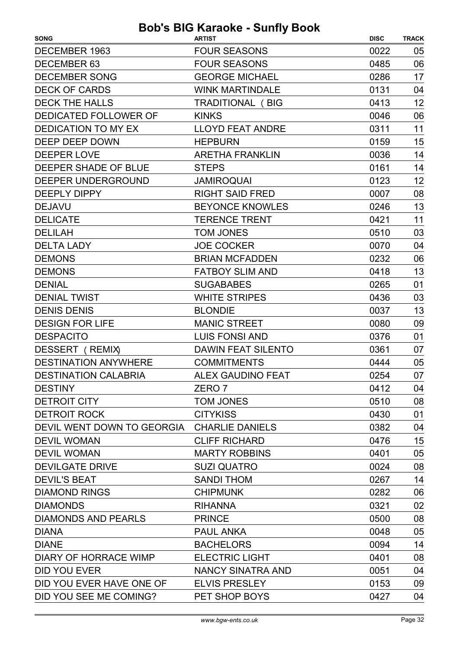| <b>SONG</b>                 | <b>ARTIST</b>             | <b>DISC</b> | <b>TRACK</b> |
|-----------------------------|---------------------------|-------------|--------------|
| DECEMBER 1963               | <b>FOUR SEASONS</b>       | 0022        | 05           |
| DECEMBER 63                 | <b>FOUR SEASONS</b>       | 0485        | 06           |
| <b>DECEMBER SONG</b>        | <b>GEORGE MICHAEL</b>     | 0286        | 17           |
| <b>DECK OF CARDS</b>        | <b>WINK MARTINDALE</b>    | 0131        | 04           |
| <b>DECK THE HALLS</b>       | <b>TRADITIONAL (BIG</b>   | 0413        | 12           |
| DEDICATED FOLLOWER OF       | <b>KINKS</b>              | 0046        | 06           |
| <b>DEDICATION TO MY EX</b>  | <b>LLOYD FEAT ANDRE</b>   | 0311        | 11           |
| DEEP DEEP DOWN              | <b>HEPBURN</b>            | 0159        | 15           |
| DEEPER LOVE                 | <b>ARETHA FRANKLIN</b>    | 0036        | 14           |
| DEEPER SHADE OF BLUE        | <b>STEPS</b>              | 0161        | 14           |
| DEEPER UNDERGROUND          | <b>JAMIROQUAI</b>         | 0123        | 12           |
| <b>DEEPLY DIPPY</b>         | <b>RIGHT SAID FRED</b>    | 0007        | 08           |
| <b>DEJAVU</b>               | <b>BEYONCE KNOWLES</b>    | 0246        | 13           |
| <b>DELICATE</b>             | <b>TERENCE TRENT</b>      | 0421        | 11           |
| <b>DELILAH</b>              | <b>TOM JONES</b>          | 0510        | 03           |
| <b>DELTA LADY</b>           | <b>JOE COCKER</b>         | 0070        | 04           |
| <b>DEMONS</b>               | <b>BRIAN MCFADDEN</b>     | 0232        | 06           |
| <b>DEMONS</b>               | <b>FATBOY SLIM AND</b>    | 0418        | 13           |
| <b>DENIAL</b>               | <b>SUGABABES</b>          | 0265        | 01           |
| <b>DENIAL TWIST</b>         | <b>WHITE STRIPES</b>      | 0436        | 03           |
| <b>DENIS DENIS</b>          | <b>BLONDIE</b>            | 0037        | 13           |
| <b>DESIGN FOR LIFE</b>      | <b>MANIC STREET</b>       | 0080        | 09           |
| <b>DESPACITO</b>            | <b>LUIS FONSI AND</b>     | 0376        | 01           |
| DESSERT (REMIX)             | <b>DAWIN FEAT SILENTO</b> | 0361        | 07           |
| <b>DESTINATION ANYWHERE</b> | <b>COMMITMENTS</b>        | 0444        | 05           |
| <b>DESTINATION CALABRIA</b> | <b>ALEX GAUDINO FEAT</b>  | 0254        | 07           |
| <b>DESTINY</b>              | ZERO 7                    | 0412        | 04           |
| <b>DETROIT CITY</b>         | <b>TOM JONES</b>          | 0510        | 08           |
| <b>DETROIT ROCK</b>         | <b>CITYKISS</b>           | 0430        | 01           |
| DEVIL WENT DOWN TO GEORGIA  | <b>CHARLIE DANIELS</b>    | 0382        | 04           |
| <b>DEVIL WOMAN</b>          | <b>CLIFF RICHARD</b>      | 0476        | 15           |
| <b>DEVIL WOMAN</b>          | <b>MARTY ROBBINS</b>      | 0401        | 05           |
| <b>DEVILGATE DRIVE</b>      | <b>SUZI QUATRO</b>        | 0024        | 08           |
| <b>DEVIL'S BEAT</b>         | <b>SANDI THOM</b>         | 0267        | 14           |
| <b>DIAMOND RINGS</b>        | <b>CHIPMUNK</b>           | 0282        | 06           |
| <b>DIAMONDS</b>             | <b>RIHANNA</b>            | 0321        | 02           |
| <b>DIAMONDS AND PEARLS</b>  | <b>PRINCE</b>             | 0500        | 08           |
| <b>DIANA</b>                | PAUL ANKA                 | 0048        | 05           |
| <b>DIANE</b>                | <b>BACHELORS</b>          | 0094        | 14           |
| DIARY OF HORRACE WIMP       | <b>ELECTRIC LIGHT</b>     | 0401        | 08           |
| <b>DID YOU EVER</b>         | NANCY SINATRA AND         | 0051        | 04           |
| DID YOU EVER HAVE ONE OF    | <b>ELVIS PRESLEY</b>      | 0153        | 09           |
| DID YOU SEE ME COMING?      | PET SHOP BOYS             | 0427        | 04           |
|                             |                           |             |              |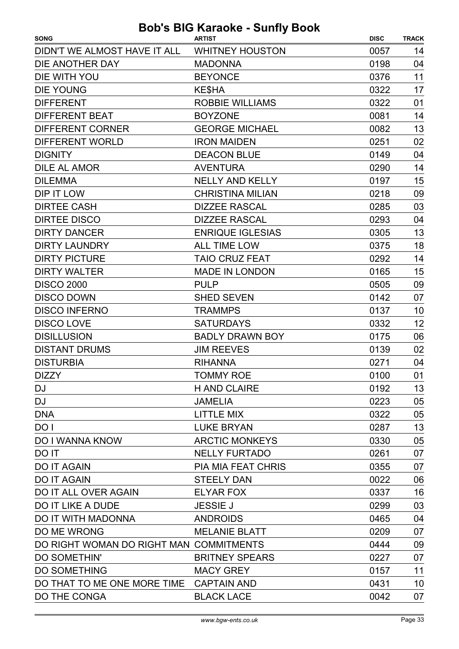#### SONG TRACK ARTIST Bob's BIG Karaoke - Sunfly Book DISC DIDN'T WE ALMOST HAVE IT ALL WHITNEY HOUSTON 0057 14 DIE ANOTHER DAY 0198 MADONNA 04 DIE WITH YOU BEYONCE O376 11 DIE YOUNG **17** NE\$HA 17 NES NA 17 NA 17 NA 17 NA 17 NA 17 NA 17 NA 17 NA 17 NA 17 NA 17 NA 17 NA 17 NA 17 NA 17 NA 17 NA 17 NA 17 NA 17 NA 17 NA 17 NA 17 NA 17 NA 17 NA 17 NA 17 NA 17 NA 17 NA 17 NA 17 NA 17 NA 17 NA 17 NA DIFFERENT ROBBIE WILLIAMS 0322 01 DIFFERENT BEAT 0081 BOYZONE 14 DIFFERENT CORNER GEORGE MICHAEL 0082 13 DIFFERENT WORLD **IRON MAIDEN** 0251 02 DIGNITY DEACON BLUE 0149 04 DILE AL AMOR **In the AVENTURA** 14 and 290 and 290 and 290 and 290 and 290 and 290 and 290 and 290 and 2012 and 20 DILEMMA 0197 NELLY AND KELLY 15 DIP IT LOW CHRISTINA MILIAN 0218 09 DIRTEE CASH DIZZEE RASCAL 0285 03 DIRTEE DISCO 0293 DIZZEE RASCAL 04 DIRTY DANCER ENRIQUE IGLESIAS 0305 13 DIRTY LAUNDRY **ALL TIME LOW** 0375 18 DIRTY PICTURE **14 CONTROLL TAIO CRUZ FEAT** 14 CO292 14 DIRTY WALTER MADE IN LONDON 0165 15 DISCO 2000 0505 PULP 09 DISCO DOWN SHED SEVEN 0142 07 DISCO INFERNO **TRAMMPS** 10 DISCO LOVE SATURDAYS 0332 12 DISILLUSION BADLY DRAWN BOY 0175 06 DISTANT DRUMS UIM REEVES DISTANT DRUMS 02 DISTURBIA 0271 RIHANNA 04 DIZZY **DIZZY COMMY ROE** 0100 01 DJ HAND CLAIRE 0192 13 DJ 0223 05 DNA LITTLE MIX 0322 05 DO I 0287 LUKE BRYAN 13 DO I WANNA KNOW ARCTIC MONKEYS 0330 05 DO IT 0261 NELLY FURTADO 07 DO IT AGAIN **DO IT AGAIN DO IT AGAIN DO IT AGAIN** DO IT AGAIN **DO IT AGAIN DO IT AGAIN DO IT AGAIN** DO IT ALL OVER AGAIN ELYAR FOX 0337 16 DO IT LIKE A DUDE THE SSIE JUST AND RESSIE JUST A LIKE A 20299 03 DO IT WITH MADONNA ANDROIDS 0465 04 DO ME WRONG **DO MELANIE BLATT** 0209 07 DO RIGHT WOMAN DO RIGHT MAN COMMITMENTS  $0444$  09 DO SOMETHIN' BRITNEY SPEARS 0227 07 DO SOMETHING **MACY GREY 11** MACY GREY 11 DO THAT TO ME ONE MORE TIME CAPTAIN AND 0431 0

DO THE CONGA 0042 BLACK LACE 07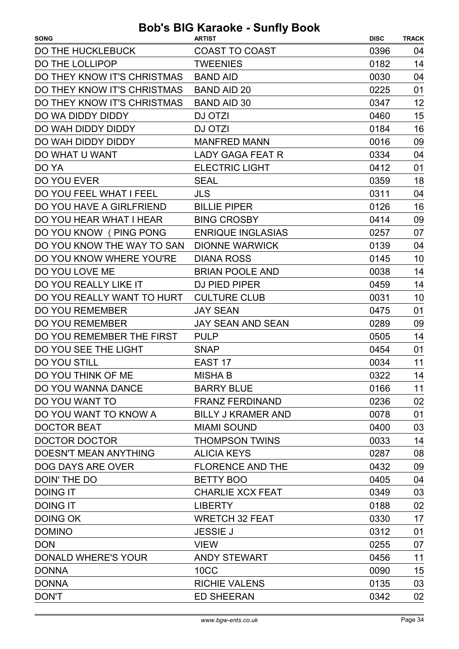| DO THE HUCKLEBUCK<br><b>COAST TO COAST</b><br>0396<br>04<br>DO THE LOLLIPOP<br><b>TWEENIES</b><br>0182<br>14<br>04<br>DO THEY KNOW IT'S CHRISTMAS<br><b>BAND AID</b><br>0030<br>DO THEY KNOW IT'S CHRISTMAS<br><b>BAND AID 20</b><br>01<br>0225<br>12<br>DO THEY KNOW IT'S CHRISTMAS<br><b>BAND AID 30</b><br>0347<br>15<br>DO WA DIDDY DIDDY<br><b>DJ OTZI</b><br>0460<br>16<br>DO WAH DIDDY DIDDY<br><b>DJ OTZI</b><br>0184<br>0016<br>09<br><b>MANFRED MANN</b><br><b>LADY GAGA FEAT R</b><br>0334<br>04<br>DO WHAT U WANT<br><b>ELECTRIC LIGHT</b><br>01<br>0412<br>18<br>DO YOU EVER<br><b>SEAL</b><br>0359<br>DO YOU FEEL WHAT I FEEL<br><b>JLS</b><br>0311<br>04<br>16<br>DO YOU HAVE A GIRLFRIEND<br><b>BILLIE PIPER</b><br>0126<br>DO YOU HEAR WHAT I HEAR<br><b>BING CROSBY</b><br>0414<br>09<br>DO YOU KNOW ( PING PONG<br><b>ENRIQUE INGLASIAS</b><br>07<br>0257<br>04<br>DO YOU KNOW THE WAY TO SAN<br><b>DIONNE WARWICK</b><br>0139<br>DO YOU KNOW WHERE YOU'RE<br><b>DIANA ROSS</b><br>10<br>0145<br>14<br>DO YOU LOVE ME<br><b>BRIAN POOLE AND</b><br>0038<br>DO YOU REALLY LIKE IT<br><b>DJ PIED PIPER</b><br>14<br>0459<br>DO YOU REALLY WANT TO HURT<br><b>CULTURE CLUB</b><br>10<br>0031<br>01<br><b>DO YOU REMEMBER</b><br><b>JAY SEAN</b><br>0475<br><b>DO YOU REMEMBER</b><br>JAY SEAN AND SEAN<br>0289<br>09<br>DO YOU REMEMBER THE FIRST<br>14<br><b>PULP</b><br>0505<br>DO YOU SEE THE LIGHT<br>01<br><b>SNAP</b><br>0454<br>11<br>EAST <sub>17</sub><br>0034<br>0322<br>DO YOU THINK OF ME<br><b>MISHAB</b><br>14<br>11<br><b>BARRY BLUE</b><br>0166<br>02<br>DO YOU WANT TO<br><b>FRANZ FERDINAND</b><br>0236<br>01<br><b>BILLY J KRAMER AND</b><br>0078<br><b>DOCTOR BEAT</b><br><b>MIAMI SOUND</b><br>0400<br>03<br>14<br><b>THOMPSON TWINS</b><br>DOCTOR DOCTOR<br>0033<br>08<br><b>DOESN'T MEAN ANYTHING</b><br><b>ALICIA KEYS</b><br>0287<br>DOG DAYS ARE OVER<br><b>FLORENCE AND THE</b><br>0432<br>09<br>DOIN' THE DO<br><b>BETTY BOO</b><br>0405<br>04<br><b>CHARLIE XCX FEAT</b><br>0349<br>03<br><b>LIBERTY</b><br>02<br>0188<br><b>DOING OK</b><br><b>WRETCH 32 FEAT</b><br>0330<br>17<br><b>DOMINO</b><br><b>JESSIE J</b><br>0312<br>01 | <b>SONG</b>           | <b>ARTIST</b> | <b>DISC</b> | <b>TRACK</b> |
|---------------------------------------------------------------------------------------------------------------------------------------------------------------------------------------------------------------------------------------------------------------------------------------------------------------------------------------------------------------------------------------------------------------------------------------------------------------------------------------------------------------------------------------------------------------------------------------------------------------------------------------------------------------------------------------------------------------------------------------------------------------------------------------------------------------------------------------------------------------------------------------------------------------------------------------------------------------------------------------------------------------------------------------------------------------------------------------------------------------------------------------------------------------------------------------------------------------------------------------------------------------------------------------------------------------------------------------------------------------------------------------------------------------------------------------------------------------------------------------------------------------------------------------------------------------------------------------------------------------------------------------------------------------------------------------------------------------------------------------------------------------------------------------------------------------------------------------------------------------------------------------------------------------------------------------------------------------------------------------------------------------------------------------------------------------------------------------------------------------------------------------------------------------------------------|-----------------------|---------------|-------------|--------------|
|                                                                                                                                                                                                                                                                                                                                                                                                                                                                                                                                                                                                                                                                                                                                                                                                                                                                                                                                                                                                                                                                                                                                                                                                                                                                                                                                                                                                                                                                                                                                                                                                                                                                                                                                                                                                                                                                                                                                                                                                                                                                                                                                                                                 |                       |               |             |              |
|                                                                                                                                                                                                                                                                                                                                                                                                                                                                                                                                                                                                                                                                                                                                                                                                                                                                                                                                                                                                                                                                                                                                                                                                                                                                                                                                                                                                                                                                                                                                                                                                                                                                                                                                                                                                                                                                                                                                                                                                                                                                                                                                                                                 |                       |               |             |              |
|                                                                                                                                                                                                                                                                                                                                                                                                                                                                                                                                                                                                                                                                                                                                                                                                                                                                                                                                                                                                                                                                                                                                                                                                                                                                                                                                                                                                                                                                                                                                                                                                                                                                                                                                                                                                                                                                                                                                                                                                                                                                                                                                                                                 |                       |               |             |              |
|                                                                                                                                                                                                                                                                                                                                                                                                                                                                                                                                                                                                                                                                                                                                                                                                                                                                                                                                                                                                                                                                                                                                                                                                                                                                                                                                                                                                                                                                                                                                                                                                                                                                                                                                                                                                                                                                                                                                                                                                                                                                                                                                                                                 |                       |               |             |              |
|                                                                                                                                                                                                                                                                                                                                                                                                                                                                                                                                                                                                                                                                                                                                                                                                                                                                                                                                                                                                                                                                                                                                                                                                                                                                                                                                                                                                                                                                                                                                                                                                                                                                                                                                                                                                                                                                                                                                                                                                                                                                                                                                                                                 |                       |               |             |              |
|                                                                                                                                                                                                                                                                                                                                                                                                                                                                                                                                                                                                                                                                                                                                                                                                                                                                                                                                                                                                                                                                                                                                                                                                                                                                                                                                                                                                                                                                                                                                                                                                                                                                                                                                                                                                                                                                                                                                                                                                                                                                                                                                                                                 |                       |               |             |              |
|                                                                                                                                                                                                                                                                                                                                                                                                                                                                                                                                                                                                                                                                                                                                                                                                                                                                                                                                                                                                                                                                                                                                                                                                                                                                                                                                                                                                                                                                                                                                                                                                                                                                                                                                                                                                                                                                                                                                                                                                                                                                                                                                                                                 |                       |               |             |              |
|                                                                                                                                                                                                                                                                                                                                                                                                                                                                                                                                                                                                                                                                                                                                                                                                                                                                                                                                                                                                                                                                                                                                                                                                                                                                                                                                                                                                                                                                                                                                                                                                                                                                                                                                                                                                                                                                                                                                                                                                                                                                                                                                                                                 | DO WAH DIDDY DIDDY    |               |             |              |
|                                                                                                                                                                                                                                                                                                                                                                                                                                                                                                                                                                                                                                                                                                                                                                                                                                                                                                                                                                                                                                                                                                                                                                                                                                                                                                                                                                                                                                                                                                                                                                                                                                                                                                                                                                                                                                                                                                                                                                                                                                                                                                                                                                                 |                       |               |             |              |
|                                                                                                                                                                                                                                                                                                                                                                                                                                                                                                                                                                                                                                                                                                                                                                                                                                                                                                                                                                                                                                                                                                                                                                                                                                                                                                                                                                                                                                                                                                                                                                                                                                                                                                                                                                                                                                                                                                                                                                                                                                                                                                                                                                                 | DO YA                 |               |             |              |
|                                                                                                                                                                                                                                                                                                                                                                                                                                                                                                                                                                                                                                                                                                                                                                                                                                                                                                                                                                                                                                                                                                                                                                                                                                                                                                                                                                                                                                                                                                                                                                                                                                                                                                                                                                                                                                                                                                                                                                                                                                                                                                                                                                                 |                       |               |             |              |
|                                                                                                                                                                                                                                                                                                                                                                                                                                                                                                                                                                                                                                                                                                                                                                                                                                                                                                                                                                                                                                                                                                                                                                                                                                                                                                                                                                                                                                                                                                                                                                                                                                                                                                                                                                                                                                                                                                                                                                                                                                                                                                                                                                                 |                       |               |             |              |
|                                                                                                                                                                                                                                                                                                                                                                                                                                                                                                                                                                                                                                                                                                                                                                                                                                                                                                                                                                                                                                                                                                                                                                                                                                                                                                                                                                                                                                                                                                                                                                                                                                                                                                                                                                                                                                                                                                                                                                                                                                                                                                                                                                                 |                       |               |             |              |
|                                                                                                                                                                                                                                                                                                                                                                                                                                                                                                                                                                                                                                                                                                                                                                                                                                                                                                                                                                                                                                                                                                                                                                                                                                                                                                                                                                                                                                                                                                                                                                                                                                                                                                                                                                                                                                                                                                                                                                                                                                                                                                                                                                                 |                       |               |             |              |
|                                                                                                                                                                                                                                                                                                                                                                                                                                                                                                                                                                                                                                                                                                                                                                                                                                                                                                                                                                                                                                                                                                                                                                                                                                                                                                                                                                                                                                                                                                                                                                                                                                                                                                                                                                                                                                                                                                                                                                                                                                                                                                                                                                                 |                       |               |             |              |
|                                                                                                                                                                                                                                                                                                                                                                                                                                                                                                                                                                                                                                                                                                                                                                                                                                                                                                                                                                                                                                                                                                                                                                                                                                                                                                                                                                                                                                                                                                                                                                                                                                                                                                                                                                                                                                                                                                                                                                                                                                                                                                                                                                                 |                       |               |             |              |
|                                                                                                                                                                                                                                                                                                                                                                                                                                                                                                                                                                                                                                                                                                                                                                                                                                                                                                                                                                                                                                                                                                                                                                                                                                                                                                                                                                                                                                                                                                                                                                                                                                                                                                                                                                                                                                                                                                                                                                                                                                                                                                                                                                                 |                       |               |             |              |
|                                                                                                                                                                                                                                                                                                                                                                                                                                                                                                                                                                                                                                                                                                                                                                                                                                                                                                                                                                                                                                                                                                                                                                                                                                                                                                                                                                                                                                                                                                                                                                                                                                                                                                                                                                                                                                                                                                                                                                                                                                                                                                                                                                                 |                       |               |             |              |
|                                                                                                                                                                                                                                                                                                                                                                                                                                                                                                                                                                                                                                                                                                                                                                                                                                                                                                                                                                                                                                                                                                                                                                                                                                                                                                                                                                                                                                                                                                                                                                                                                                                                                                                                                                                                                                                                                                                                                                                                                                                                                                                                                                                 |                       |               |             |              |
|                                                                                                                                                                                                                                                                                                                                                                                                                                                                                                                                                                                                                                                                                                                                                                                                                                                                                                                                                                                                                                                                                                                                                                                                                                                                                                                                                                                                                                                                                                                                                                                                                                                                                                                                                                                                                                                                                                                                                                                                                                                                                                                                                                                 |                       |               |             |              |
|                                                                                                                                                                                                                                                                                                                                                                                                                                                                                                                                                                                                                                                                                                                                                                                                                                                                                                                                                                                                                                                                                                                                                                                                                                                                                                                                                                                                                                                                                                                                                                                                                                                                                                                                                                                                                                                                                                                                                                                                                                                                                                                                                                                 |                       |               |             |              |
|                                                                                                                                                                                                                                                                                                                                                                                                                                                                                                                                                                                                                                                                                                                                                                                                                                                                                                                                                                                                                                                                                                                                                                                                                                                                                                                                                                                                                                                                                                                                                                                                                                                                                                                                                                                                                                                                                                                                                                                                                                                                                                                                                                                 |                       |               |             |              |
|                                                                                                                                                                                                                                                                                                                                                                                                                                                                                                                                                                                                                                                                                                                                                                                                                                                                                                                                                                                                                                                                                                                                                                                                                                                                                                                                                                                                                                                                                                                                                                                                                                                                                                                                                                                                                                                                                                                                                                                                                                                                                                                                                                                 |                       |               |             |              |
|                                                                                                                                                                                                                                                                                                                                                                                                                                                                                                                                                                                                                                                                                                                                                                                                                                                                                                                                                                                                                                                                                                                                                                                                                                                                                                                                                                                                                                                                                                                                                                                                                                                                                                                                                                                                                                                                                                                                                                                                                                                                                                                                                                                 |                       |               |             |              |
|                                                                                                                                                                                                                                                                                                                                                                                                                                                                                                                                                                                                                                                                                                                                                                                                                                                                                                                                                                                                                                                                                                                                                                                                                                                                                                                                                                                                                                                                                                                                                                                                                                                                                                                                                                                                                                                                                                                                                                                                                                                                                                                                                                                 | <b>DO YOU STILL</b>   |               |             |              |
|                                                                                                                                                                                                                                                                                                                                                                                                                                                                                                                                                                                                                                                                                                                                                                                                                                                                                                                                                                                                                                                                                                                                                                                                                                                                                                                                                                                                                                                                                                                                                                                                                                                                                                                                                                                                                                                                                                                                                                                                                                                                                                                                                                                 |                       |               |             |              |
|                                                                                                                                                                                                                                                                                                                                                                                                                                                                                                                                                                                                                                                                                                                                                                                                                                                                                                                                                                                                                                                                                                                                                                                                                                                                                                                                                                                                                                                                                                                                                                                                                                                                                                                                                                                                                                                                                                                                                                                                                                                                                                                                                                                 | DO YOU WANNA DANCE    |               |             |              |
|                                                                                                                                                                                                                                                                                                                                                                                                                                                                                                                                                                                                                                                                                                                                                                                                                                                                                                                                                                                                                                                                                                                                                                                                                                                                                                                                                                                                                                                                                                                                                                                                                                                                                                                                                                                                                                                                                                                                                                                                                                                                                                                                                                                 |                       |               |             |              |
|                                                                                                                                                                                                                                                                                                                                                                                                                                                                                                                                                                                                                                                                                                                                                                                                                                                                                                                                                                                                                                                                                                                                                                                                                                                                                                                                                                                                                                                                                                                                                                                                                                                                                                                                                                                                                                                                                                                                                                                                                                                                                                                                                                                 | DO YOU WANT TO KNOW A |               |             |              |
|                                                                                                                                                                                                                                                                                                                                                                                                                                                                                                                                                                                                                                                                                                                                                                                                                                                                                                                                                                                                                                                                                                                                                                                                                                                                                                                                                                                                                                                                                                                                                                                                                                                                                                                                                                                                                                                                                                                                                                                                                                                                                                                                                                                 |                       |               |             |              |
|                                                                                                                                                                                                                                                                                                                                                                                                                                                                                                                                                                                                                                                                                                                                                                                                                                                                                                                                                                                                                                                                                                                                                                                                                                                                                                                                                                                                                                                                                                                                                                                                                                                                                                                                                                                                                                                                                                                                                                                                                                                                                                                                                                                 |                       |               |             |              |
|                                                                                                                                                                                                                                                                                                                                                                                                                                                                                                                                                                                                                                                                                                                                                                                                                                                                                                                                                                                                                                                                                                                                                                                                                                                                                                                                                                                                                                                                                                                                                                                                                                                                                                                                                                                                                                                                                                                                                                                                                                                                                                                                                                                 |                       |               |             |              |
|                                                                                                                                                                                                                                                                                                                                                                                                                                                                                                                                                                                                                                                                                                                                                                                                                                                                                                                                                                                                                                                                                                                                                                                                                                                                                                                                                                                                                                                                                                                                                                                                                                                                                                                                                                                                                                                                                                                                                                                                                                                                                                                                                                                 |                       |               |             |              |
|                                                                                                                                                                                                                                                                                                                                                                                                                                                                                                                                                                                                                                                                                                                                                                                                                                                                                                                                                                                                                                                                                                                                                                                                                                                                                                                                                                                                                                                                                                                                                                                                                                                                                                                                                                                                                                                                                                                                                                                                                                                                                                                                                                                 |                       |               |             |              |
|                                                                                                                                                                                                                                                                                                                                                                                                                                                                                                                                                                                                                                                                                                                                                                                                                                                                                                                                                                                                                                                                                                                                                                                                                                                                                                                                                                                                                                                                                                                                                                                                                                                                                                                                                                                                                                                                                                                                                                                                                                                                                                                                                                                 | <b>DOING IT</b>       |               |             |              |
|                                                                                                                                                                                                                                                                                                                                                                                                                                                                                                                                                                                                                                                                                                                                                                                                                                                                                                                                                                                                                                                                                                                                                                                                                                                                                                                                                                                                                                                                                                                                                                                                                                                                                                                                                                                                                                                                                                                                                                                                                                                                                                                                                                                 | <b>DOING IT</b>       |               |             |              |
|                                                                                                                                                                                                                                                                                                                                                                                                                                                                                                                                                                                                                                                                                                                                                                                                                                                                                                                                                                                                                                                                                                                                                                                                                                                                                                                                                                                                                                                                                                                                                                                                                                                                                                                                                                                                                                                                                                                                                                                                                                                                                                                                                                                 |                       |               |             |              |
|                                                                                                                                                                                                                                                                                                                                                                                                                                                                                                                                                                                                                                                                                                                                                                                                                                                                                                                                                                                                                                                                                                                                                                                                                                                                                                                                                                                                                                                                                                                                                                                                                                                                                                                                                                                                                                                                                                                                                                                                                                                                                                                                                                                 |                       |               |             |              |
| <b>VIEW</b><br>0255<br>07                                                                                                                                                                                                                                                                                                                                                                                                                                                                                                                                                                                                                                                                                                                                                                                                                                                                                                                                                                                                                                                                                                                                                                                                                                                                                                                                                                                                                                                                                                                                                                                                                                                                                                                                                                                                                                                                                                                                                                                                                                                                                                                                                       | <b>DON</b>            |               |             |              |
| <b>DONALD WHERE'S YOUR</b><br><b>ANDY STEWART</b><br>11<br>0456                                                                                                                                                                                                                                                                                                                                                                                                                                                                                                                                                                                                                                                                                                                                                                                                                                                                                                                                                                                                                                                                                                                                                                                                                                                                                                                                                                                                                                                                                                                                                                                                                                                                                                                                                                                                                                                                                                                                                                                                                                                                                                                 |                       |               |             |              |
| 10CC<br>15<br>0090                                                                                                                                                                                                                                                                                                                                                                                                                                                                                                                                                                                                                                                                                                                                                                                                                                                                                                                                                                                                                                                                                                                                                                                                                                                                                                                                                                                                                                                                                                                                                                                                                                                                                                                                                                                                                                                                                                                                                                                                                                                                                                                                                              | <b>DONNA</b>          |               |             |              |
| <b>DONNA</b><br><b>RICHIE VALENS</b><br>0135<br>03                                                                                                                                                                                                                                                                                                                                                                                                                                                                                                                                                                                                                                                                                                                                                                                                                                                                                                                                                                                                                                                                                                                                                                                                                                                                                                                                                                                                                                                                                                                                                                                                                                                                                                                                                                                                                                                                                                                                                                                                                                                                                                                              |                       |               |             |              |
| <b>DON'T</b><br><b>ED SHEERAN</b><br>0342<br>02                                                                                                                                                                                                                                                                                                                                                                                                                                                                                                                                                                                                                                                                                                                                                                                                                                                                                                                                                                                                                                                                                                                                                                                                                                                                                                                                                                                                                                                                                                                                                                                                                                                                                                                                                                                                                                                                                                                                                                                                                                                                                                                                 |                       |               |             |              |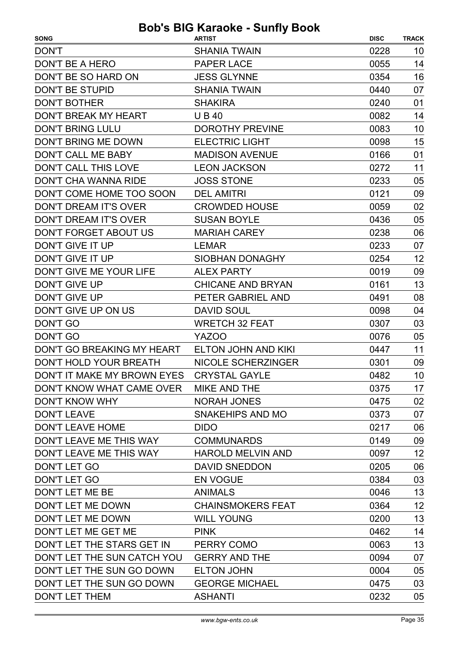| <b>SONG</b>                            | <b>ARTIST</b>              | <b>DISC</b> | <b>TRACK</b> |
|----------------------------------------|----------------------------|-------------|--------------|
| <b>DON'T</b>                           | <b>SHANIA TWAIN</b>        | 0228        | 10           |
| DON'T BE A HERO                        | <b>PAPER LACE</b>          | 0055        | 14           |
| DON'T BE SO HARD ON                    | <b>JESS GLYNNE</b>         | 0354        | 16           |
| <b>DON'T BE STUPID</b>                 | <b>SHANIA TWAIN</b>        | 0440        | 07           |
| <b>DON'T BOTHER</b>                    | <b>SHAKIRA</b>             | 0240        | 01           |
| <b>DON'T BREAK MY HEART</b>            | <b>UB40</b>                | 0082        | 14           |
| <b>DON'T BRING LULU</b>                | <b>DOROTHY PREVINE</b>     | 0083        | 10           |
| DON'T BRING ME DOWN                    | <b>ELECTRIC LIGHT</b>      | 0098        | 15           |
| DON'T CALL ME BABY                     | <b>MADISON AVENUE</b>      | 0166        | 01           |
| DON'T CALL THIS LOVE                   | <b>LEON JACKSON</b>        | 0272        | 11           |
| <b>DON'T CHA WANNA RIDE</b>            | <b>JOSS STONE</b>          | 0233        | 05           |
| DON'T COME HOME TOO SOON               | <b>DEL AMITRI</b>          | 0121        | 09           |
| DON'T DREAM IT'S OVER                  | <b>CROWDED HOUSE</b>       | 0059        | 02           |
| DON'T DREAM IT'S OVER                  | <b>SUSAN BOYLE</b>         | 0436        | 05           |
| DON'T FORGET ABOUT US                  | <b>MARIAH CAREY</b>        | 0238        | 06           |
| <b>DON'T GIVE IT UP</b>                | <b>LEMAR</b>               | 0233        | 07           |
| DON'T GIVE IT UP                       | SIOBHAN DONAGHY            | 0254        | 12           |
| DON'T GIVE ME YOUR LIFE                | <b>ALEX PARTY</b>          | 0019        | 09           |
| <b>DON'T GIVE UP</b>                   | <b>CHICANE AND BRYAN</b>   | 0161        | 13           |
| <b>DON'T GIVE UP</b>                   | PETER GABRIEL AND          | 0491        | 08           |
| DON'T GIVE UP ON US                    | <b>DAVID SOUL</b>          | 0098        | 04           |
| DON'T GO                               | <b>WRETCH 32 FEAT</b>      | 0307        | 03           |
| DON'T GO                               | <b>YAZOO</b>               | 0076        | 05           |
| DON'T GO BREAKING MY HEART             | <b>ELTON JOHN AND KIKI</b> | 0447        | 11           |
| DON'T HOLD YOUR BREATH                 | <b>NICOLE SCHERZINGER</b>  | 0301        | 09           |
| DON'T IT MAKE MY BROWN EYES            | <b>CRYSTAL GAYLE</b>       | 0482        | 10           |
| DON'T KNOW WHAT CAME OVER MIKE AND THE |                            | 0375        | 17           |
| DON'T KNOW WHY                         | NORAH JONES                | 0475        | 02           |
| <b>DON'T LEAVE</b>                     | SNAKEHIPS AND MO           | 0373        | 07           |
| DON'T LEAVE HOME                       | <b>DIDO</b>                | 0217        | 06           |
| DON'T LEAVE ME THIS WAY                | <b>COMMUNARDS</b>          | 0149        | 09           |
| DON'T LEAVE ME THIS WAY                | <b>HAROLD MELVIN AND</b>   | 0097        | 12           |
| DON'T LET GO                           | <b>DAVID SNEDDON</b>       | 0205        | 06           |
| DON'T LET GO                           | <b>EN VOGUE</b>            | 0384        | 03           |
| DON'T LET ME BE                        | <b>ANIMALS</b>             | 0046        | 13           |
| DON'T LET ME DOWN                      | <b>CHAINSMOKERS FEAT</b>   | 0364        | 12           |
| DON'T LET ME DOWN                      | <b>WILL YOUNG</b>          | 0200        | 13           |
| DON'T LET ME GET ME                    | <b>PINK</b>                | 0462        | 14           |
| DON'T LET THE STARS GET IN             | PERRY COMO                 | 0063        | 13           |
| DON'T LET THE SUN CATCH YOU            | <b>GERRY AND THE</b>       | 0094        | 07           |
| DON'T LET THE SUN GO DOWN              | <b>ELTON JOHN</b>          | 0004        | 05           |
| DON'T LET THE SUN GO DOWN              | <b>GEORGE MICHAEL</b>      | 0475        | 03           |
| DON'T LET THEM                         | <b>ASHANTI</b>             | 0232        | 05           |
|                                        |                            |             |              |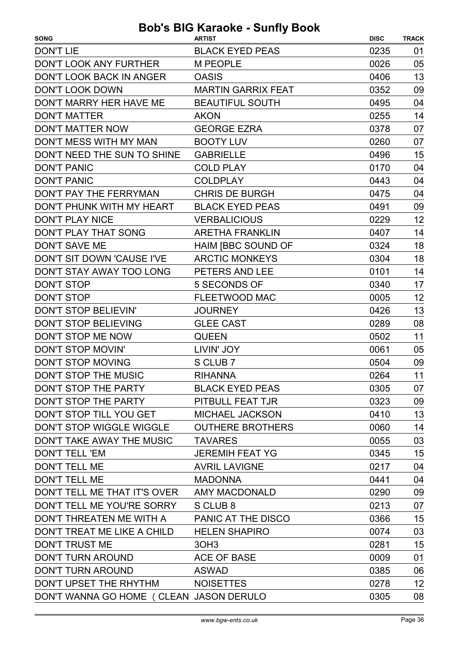| <b>SONG</b>                              | <b>ARTIST</b>             | <b>DISC</b> | <b>TRACK</b> |
|------------------------------------------|---------------------------|-------------|--------------|
| <b>DON'T LIE</b>                         | <b>BLACK EYED PEAS</b>    | 0235        | 01           |
| <b>DON'T LOOK ANY FURTHER</b>            | <b>M PEOPLE</b>           | 0026        | 05           |
| DON'T LOOK BACK IN ANGER                 | <b>OASIS</b>              | 0406        | 13           |
| <b>DON'T LOOK DOWN</b>                   | <b>MARTIN GARRIX FEAT</b> | 0352        | 09           |
| DON'T MARRY HER HAVE ME                  | <b>BEAUTIFUL SOUTH</b>    | 0495        | 04           |
| <b>DON'T MATTER</b>                      | <b>AKON</b>               | 0255        | 14           |
| <b>DON'T MATTER NOW</b>                  | <b>GEORGE EZRA</b>        | 0378        | 07           |
| DON'T MESS WITH MY MAN                   | <b>BOOTY LUV</b>          | 0260        | 07           |
| DON'T NEED THE SUN TO SHINE              | <b>GABRIELLE</b>          | 0496        | 15           |
| <b>DON'T PANIC</b>                       | <b>COLD PLAY</b>          | 0170        | 04           |
| <b>DON'T PANIC</b>                       | <b>COLDPLAY</b>           | 0443        | 04           |
| DON'T PAY THE FERRYMAN                   | <b>CHRIS DE BURGH</b>     | 0475        | 04           |
| DON'T PHUNK WITH MY HEART                | <b>BLACK EYED PEAS</b>    | 0491        | 09           |
| <b>DON'T PLAY NICE</b>                   | <b>VERBALICIOUS</b>       | 0229        | 12           |
| DON'T PLAY THAT SONG                     | <b>ARETHA FRANKLIN</b>    | 0407        | 14           |
| <b>DON'T SAVE ME</b>                     | HAIM [BBC SOUND OF        | 0324        | 18           |
| DON'T SIT DOWN 'CAUSE I'VE               | <b>ARCTIC MONKEYS</b>     | 0304        | 18           |
| DON'T STAY AWAY TOO LONG                 | PETERS AND LEE            | 0101        | 14           |
| <b>DON'T STOP</b>                        | 5 SECONDS OF              | 0340        | 17           |
| DON'T STOP                               | <b>FLEETWOOD MAC</b>      | 0005        | 12           |
| <b>DON'T STOP BELIEVIN'</b>              | <b>JOURNEY</b>            | 0426        | 13           |
| DON'T STOP BELIEVING                     | <b>GLEE CAST</b>          | 0289        | 08           |
| DON'T STOP ME NOW                        | <b>QUEEN</b>              | 0502        | 11           |
| DON'T STOP MOVIN'                        | LIVIN' JOY                | 0061        | 05           |
| DON'T STOP MOVING                        | S CLUB 7                  | 0504        | 09           |
| DON'T STOP THE MUSIC                     | RIHANNA                   | 0264        | 11           |
| DON'T STOP THE PARTY                     | <b>BLACK EYED PEAS</b>    | 0305        | 07           |
| DON'T STOP THE PARTY                     | PITBULL FEAT TJR          | 0323        | 09           |
| DON'T STOP TILL YOU GET                  | <b>MICHAEL JACKSON</b>    | 0410        | 13           |
| DON'T STOP WIGGLE WIGGLE                 | <b>OUTHERE BROTHERS</b>   | 0060        | 14           |
| DON'T TAKE AWAY THE MUSIC                | <b>TAVARES</b>            | 0055        | 03           |
| <b>DON'T TELL 'EM</b>                    | <b>JEREMIH FEAT YG</b>    | 0345        | 15           |
| <b>DON'T TELL ME</b>                     | <b>AVRIL LAVIGNE</b>      | 0217        | 04           |
| <b>DON'T TELL ME</b>                     | <b>MADONNA</b>            | 0441        | 04           |
| DON'T TELL ME THAT IT'S OVER             | AMY MACDONALD             | 0290        | 09           |
| DON'T TELL ME YOU'RE SORRY               | S CLUB 8                  | 0213        | 07           |
| DON'T THREATEN ME WITH A                 | PANIC AT THE DISCO        | 0366        | 15           |
| DON'T TREAT ME LIKE A CHILD              | <b>HELEN SHAPIRO</b>      | 0074        | 03           |
| <b>DON'T TRUST ME</b>                    | 3OH <sub>3</sub>          | 0281        | 15           |
| DON'T TURN AROUND                        | ACE OF BASE               | 0009        | 01           |
| DON'T TURN AROUND                        | ASWAD                     | 0385        | 06           |
| DON'T UPSET THE RHYTHM NOISETTES         |                           | 0278        | 12           |
| DON'T WANNA GO HOME ( CLEAN JASON DERULO |                           | 0305        | 08           |
|                                          |                           |             |              |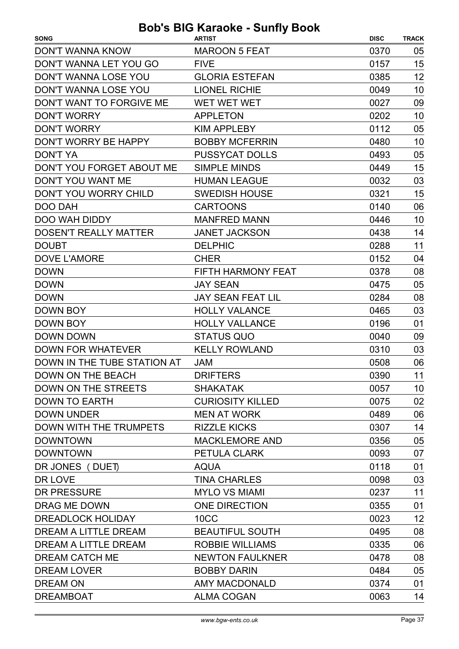| <b>SONG</b>                  | <b>ARTIST</b>            | <b>DISC</b> | <b>TRACK</b>    |
|------------------------------|--------------------------|-------------|-----------------|
| <b>DON'T WANNA KNOW</b>      | <b>MAROON 5 FEAT</b>     | 0370        | 05              |
| DON'T WANNA LET YOU GO       | <b>FIVE</b>              | 0157        | 15              |
| DON'T WANNA LOSE YOU         | <b>GLORIA ESTEFAN</b>    | 0385        | 12              |
| DON'T WANNA LOSE YOU         | <b>LIONEL RICHIE</b>     | 0049        | 10              |
| DON'T WANT TO FORGIVE ME     | WET WET WET              | 0027        | 09              |
| <b>DON'T WORRY</b>           | <b>APPLETON</b>          | 0202        | 10              |
| <b>DON'T WORRY</b>           | <b>KIM APPLEBY</b>       | 0112        | 05              |
| DON'T WORRY BE HAPPY         | <b>BOBBY MCFERRIN</b>    | 0480        | 10              |
| <b>DON'T YA</b>              | <b>PUSSYCAT DOLLS</b>    | 0493        | 05              |
| DON'T YOU FORGET ABOUT ME    | <b>SIMPLE MINDS</b>      | 0449        | 15              |
| DON'T YOU WANT ME            | <b>HUMAN LEAGUE</b>      | 0032        | 03              |
| DON'T YOU WORRY CHILD        | <b>SWEDISH HOUSE</b>     | 0321        | 15              |
| DOO DAH                      | <b>CARTOONS</b>          | 0140        | 06              |
| <b>DOO WAH DIDDY</b>         | <b>MANFRED MANN</b>      | 0446        | 10              |
| <b>DOSEN'T REALLY MATTER</b> | <b>JANET JACKSON</b>     | 0438        | 14              |
| <b>DOUBT</b>                 | <b>DELPHIC</b>           | 0288        | 11              |
| <b>DOVE L'AMORE</b>          | <b>CHER</b>              | 0152        | 04              |
| <b>DOWN</b>                  | FIFTH HARMONY FEAT       | 0378        | 08              |
| <b>DOWN</b>                  | <b>JAY SEAN</b>          | 0475        | 05              |
| <b>DOWN</b>                  | <b>JAY SEAN FEAT LIL</b> | 0284        | 08              |
| DOWN BOY                     | <b>HOLLY VALANCE</b>     | 0465        | 03              |
| DOWN BOY                     | <b>HOLLY VALLANCE</b>    | 0196        | 01              |
| <b>DOWN DOWN</b>             | <b>STATUS QUO</b>        | 0040        | 09              |
| <b>DOWN FOR WHATEVER</b>     | <b>KELLY ROWLAND</b>     | 0310        | 03              |
| DOWN IN THE TUBE STATION AT  | <b>JAM</b>               | 0508        | 06              |
| DOWN ON THE BEACH            | <b>DRIFTERS</b>          | 0390        | 11              |
| DOWN ON THE STREETS          | <b>SHAKATAK</b>          | 0057        | 10 <sup>°</sup> |
| <b>DOWN TO EARTH</b>         | <b>CURIOSITY KILLED</b>  | 0075        | 02              |
| <b>DOWN UNDER</b>            | <b>MEN AT WORK</b>       | 0489        | 06              |
| DOWN WITH THE TRUMPETS       | <b>RIZZLE KICKS</b>      | 0307        | 14              |
| <b>DOWNTOWN</b>              | <b>MACKLEMORE AND</b>    | 0356        | 05              |
| <b>DOWNTOWN</b>              | PETULA CLARK             | 0093        | 07              |
| DR JONES (DUET)              | <b>AQUA</b>              | 0118        | 01              |
| DR LOVE                      | <b>TINA CHARLES</b>      | 0098        | 03              |
| DR PRESSURE                  | <b>MYLO VS MIAMI</b>     | 0237        | 11              |
| DRAG ME DOWN                 | <b>ONE DIRECTION</b>     | 0355        | 01              |
| <b>DREADLOCK HOLIDAY</b>     | 10 <sub>CC</sub>         | 0023        | 12              |
| DREAM A LITTLE DREAM         | <b>BEAUTIFUL SOUTH</b>   | 0495        | 08              |
| DREAM A LITTLE DREAM         | <b>ROBBIE WILLIAMS</b>   | 0335        | 06              |
| DREAM CATCH ME               | <b>NEWTON FAULKNER</b>   | 0478        | 08              |
| <b>DREAM LOVER</b>           | <b>BOBBY DARIN</b>       | 0484        | 05              |
| <b>DREAM ON</b>              | <b>AMY MACDONALD</b>     | 0374        | 01              |
| <b>DREAMBOAT</b>             | <b>ALMA COGAN</b>        | 0063        | 14              |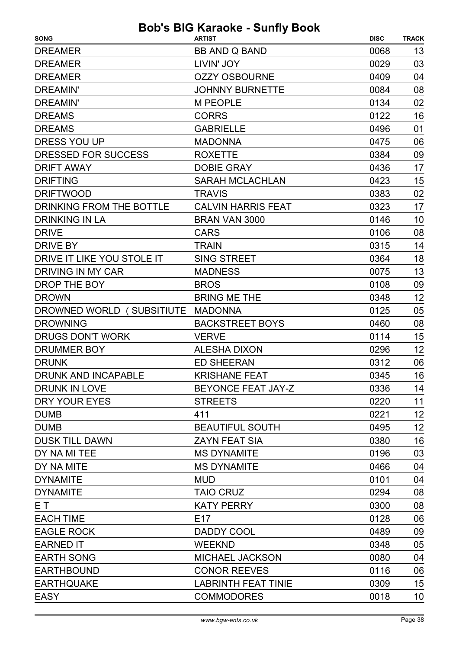| <b>SONG</b>                | <b>ARTIST</b>              | <b>DISC</b> | <b>TRACK</b> |
|----------------------------|----------------------------|-------------|--------------|
| <b>DREAMER</b>             | <b>BB AND Q BAND</b>       | 0068        | 13           |
| <b>DREAMER</b>             | LIVIN' JOY                 | 0029        | 03           |
| <b>DREAMER</b>             | <b>OZZY OSBOURNE</b>       | 0409        | 04           |
| <b>DREAMIN'</b>            | <b>JOHNNY BURNETTE</b>     | 0084        | 08           |
| <b>DREAMIN'</b>            | <b>M PEOPLE</b>            | 0134        | 02           |
| <b>DREAMS</b>              | <b>CORRS</b>               | 0122        | 16           |
| <b>DREAMS</b>              | <b>GABRIELLE</b>           | 0496        | 01           |
| DRESS YOU UP               | <b>MADONNA</b>             | 0475        | 06           |
| DRESSED FOR SUCCESS        | <b>ROXETTE</b>             | 0384        | 09           |
| <b>DRIFT AWAY</b>          | <b>DOBIE GRAY</b>          | 0436        | 17           |
| <b>DRIFTING</b>            | <b>SARAH MCLACHLAN</b>     | 0423        | 15           |
| <b>DRIFTWOOD</b>           | <b>TRAVIS</b>              | 0383        | 02           |
| DRINKING FROM THE BOTTLE   | <b>CALVIN HARRIS FEAT</b>  | 0323        | 17           |
| <b>DRINKING IN LA</b>      | BRAN VAN 3000              | 0146        | 10           |
| <b>DRIVE</b>               | <b>CARS</b>                | 0106        | 08           |
| <b>DRIVE BY</b>            | <b>TRAIN</b>               | 0315        | 14           |
| DRIVE IT LIKE YOU STOLE IT | <b>SING STREET</b>         | 0364        | 18           |
| DRIVING IN MY CAR          | <b>MADNESS</b>             | 0075        | 13           |
| DROP THE BOY               | <b>BROS</b>                | 0108        | 09           |
| <b>DROWN</b>               | <b>BRING ME THE</b>        | 0348        | 12           |
| DROWNED WORLD (SUBSITIUTE  | <b>MADONNA</b>             | 0125        | 05           |
| <b>DROWNING</b>            | <b>BACKSTREET BOYS</b>     | 0460        | 08           |
| <b>DRUGS DON'T WORK</b>    | <b>VERVE</b>               | 0114        | 15           |
| <b>DRUMMER BOY</b>         | <b>ALESHA DIXON</b>        | 0296        | 12           |
| <b>DRUNK</b>               | <b>ED SHEERAN</b>          | 0312        | 06           |
| DRUNK AND INCAPABLE        | <b>KRISHANE FEAT</b>       | 0345        | 16           |
| DRUNK IN LOVE              | BEYONCE FEAT JAY-Z         | 0336        | 14           |
| DRY YOUR EYES              | <b>STREETS</b>             | 0220        | 11           |
| <b>DUMB</b>                | 411                        | 0221        | 12           |
| <b>DUMB</b>                | <b>BEAUTIFUL SOUTH</b>     | 0495        | 12           |
| <b>DUSK TILL DAWN</b>      | <b>ZAYN FEAT SIA</b>       | 0380        | 16           |
| DY NA MI TEE               | <b>MS DYNAMITE</b>         | 0196        | 03           |
| DY NA MITE                 | <b>MS DYNAMITE</b>         | 0466        | 04           |
| <b>DYNAMITE</b>            | <b>MUD</b>                 | 0101        | 04           |
| <b>DYNAMITE</b>            | <b>TAIO CRUZ</b>           | 0294        | 08           |
| E T                        | <b>KATY PERRY</b>          | 0300        | 08           |
| <b>EACH TIME</b>           | E <sub>17</sub>            | 0128        | 06           |
| <b>EAGLE ROCK</b>          | <b>DADDY COOL</b>          | 0489        | 09           |
| <b>EARNED IT</b>           | <b>WEEKND</b>              | 0348        | 05           |
| <b>EARTH SONG</b>          | <b>MICHAEL JACKSON</b>     | 0080        | 04           |
| <b>EARTHBOUND</b>          | <b>CONOR REEVES</b>        | 0116        | 06           |
| <b>EARTHQUAKE</b>          | <b>LABRINTH FEAT TINIE</b> | 0309        | 15           |
| <b>EASY</b>                | <b>COMMODORES</b>          | 0018        | 10           |
|                            |                            |             |              |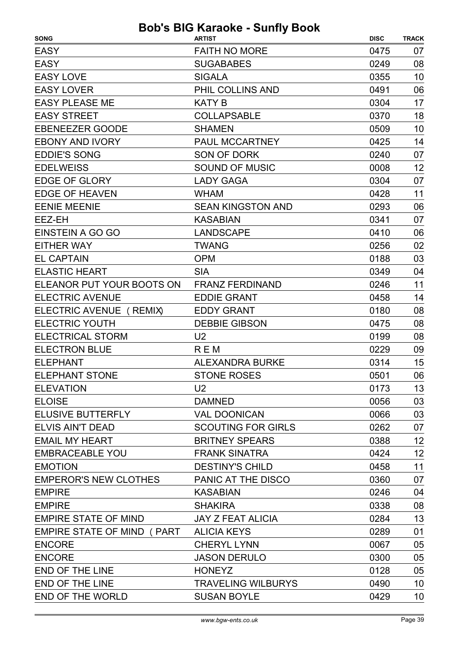| <b>SONG</b>                  | <b>ARTIST</b>             | <b>DISC</b> | <b>TRACK</b> |
|------------------------------|---------------------------|-------------|--------------|
| <b>EASY</b>                  | <b>FAITH NO MORE</b>      | 0475        | 07           |
| <b>EASY</b>                  | <b>SUGABABES</b>          | 0249        | 08           |
| <b>EASY LOVE</b>             | <b>SIGALA</b>             | 0355        | 10           |
| <b>EASY LOVER</b>            | PHIL COLLINS AND          | 0491        | 06           |
| <b>EASY PLEASE ME</b>        | <b>KATY B</b>             | 0304        | 17           |
| <b>EASY STREET</b>           | <b>COLLAPSABLE</b>        | 0370        | 18           |
| <b>EBENEEZER GOODE</b>       | <b>SHAMEN</b>             | 0509        | 10           |
| <b>EBONY AND IVORY</b>       | PAUL MCCARTNEY            | 0425        | 14           |
| <b>EDDIE'S SONG</b>          | <b>SON OF DORK</b>        | 0240        | 07           |
| <b>EDELWEISS</b>             | <b>SOUND OF MUSIC</b>     | 0008        | 12           |
| <b>EDGE OF GLORY</b>         | <b>LADY GAGA</b>          | 0304        | 07           |
| <b>EDGE OF HEAVEN</b>        | <b>WHAM</b>               | 0428        | 11           |
| <b>EENIE MEENIE</b>          | <b>SEAN KINGSTON AND</b>  | 0293        | 06           |
| EEZ-EH                       | <b>KASABIAN</b>           | 0341        | 07           |
| EINSTEIN A GO GO             | <b>LANDSCAPE</b>          | 0410        | 06           |
| <b>EITHER WAY</b>            | <b>TWANG</b>              | 0256        | 02           |
| <b>EL CAPTAIN</b>            | <b>OPM</b>                | 0188        | 03           |
| <b>ELASTIC HEART</b>         | <b>SIA</b>                | 0349        | 04           |
| ELEANOR PUT YOUR BOOTS ON    | <b>FRANZ FERDINAND</b>    | 0246        | 11           |
| <b>ELECTRIC AVENUE</b>       | <b>EDDIE GRANT</b>        | 0458        | 14           |
| ELECTRIC AVENUE ( REMIX)     | <b>EDDY GRANT</b>         | 0180        | 08           |
| <b>ELECTRIC YOUTH</b>        | <b>DEBBIE GIBSON</b>      | 0475        | 08           |
| <b>ELECTRICAL STORM</b>      | U <sub>2</sub>            | 0199        | 08           |
| <b>ELECTRON BLUE</b>         | R E M                     | 0229        | 09           |
| <b>ELEPHANT</b>              | <b>ALEXANDRA BURKE</b>    | 0314        | 15           |
| <b>ELEPHANT STONE</b>        | <b>STONE ROSES</b>        | 0501        | 06           |
| <b>ELEVATION</b>             | U <sub>2</sub>            | 0173        | 13           |
| <b>ELOISE</b>                | <b>DAMNED</b>             | 0056        | 03           |
| <b>ELUSIVE BUTTERFLY</b>     | <b>VAL DOONICAN</b>       | 0066        | 03           |
| <b>ELVIS AIN'T DEAD</b>      | <b>SCOUTING FOR GIRLS</b> | 0262        | 07           |
| <b>EMAIL MY HEART</b>        | <b>BRITNEY SPEARS</b>     | 0388        | 12           |
| <b>EMBRACEABLE YOU</b>       | <b>FRANK SINATRA</b>      | 0424        | 12           |
| <b>EMOTION</b>               | <b>DESTINY'S CHILD</b>    | 0458        | 11           |
| <b>EMPEROR'S NEW CLOTHES</b> | PANIC AT THE DISCO        | 0360        | 07           |
| <b>EMPIRE</b>                | <b>KASABIAN</b>           | 0246        | 04           |
| <b>EMPIRE</b>                | <b>SHAKIRA</b>            | 0338        | 08           |
| <b>EMPIRE STATE OF MIND</b>  | <b>JAY Z FEAT ALICIA</b>  | 0284        | 13           |
| EMPIRE STATE OF MIND (PART)  | <b>ALICIA KEYS</b>        | 0289        | 01           |
| <b>ENCORE</b>                | <b>CHERYL LYNN</b>        | 0067        | 05           |
| <b>ENCORE</b>                | <b>JASON DERULO</b>       | 0300        | 05           |
| END OF THE LINE              | <b>HONEYZ</b>             | 0128        | 05           |
| <b>END OF THE LINE</b>       | <b>TRAVELING WILBURYS</b> | 0490        | 10           |
| <b>END OF THE WORLD</b>      | <b>SUSAN BOYLE</b>        | 0429        | 10           |
|                              |                           |             |              |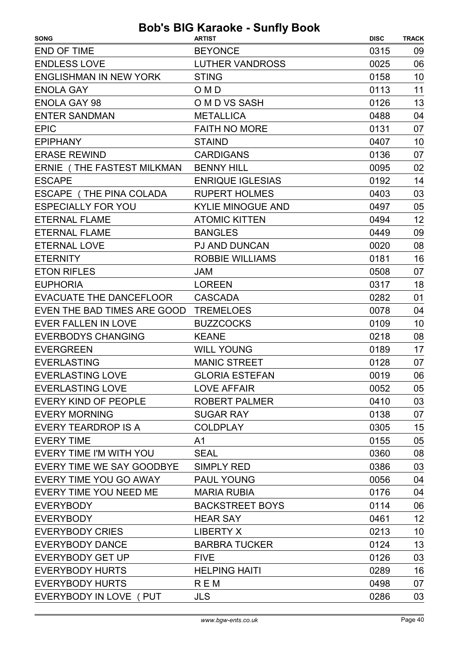| <b>SONG</b>                          | <b>ARTIST</b>            | <b>DISC</b> | <b>TRACK</b> |
|--------------------------------------|--------------------------|-------------|--------------|
| <b>END OF TIME</b>                   | <b>BEYONCE</b>           | 0315        | 09           |
| <b>ENDLESS LOVE</b>                  | <b>LUTHER VANDROSS</b>   | 0025        | 06           |
| <b>ENGLISHMAN IN NEW YORK</b>        | <b>STING</b>             | 0158        | 10           |
| <b>ENOLA GAY</b>                     | O M D                    | 0113        | 11           |
| <b>ENOLA GAY 98</b>                  | O M D VS SASH            | 0126        | 13           |
| <b>ENTER SANDMAN</b>                 | <b>METALLICA</b>         | 0488        | 04           |
| <b>EPIC</b>                          | <b>FAITH NO MORE</b>     | 0131        | 07           |
| <b>EPIPHANY</b>                      | <b>STAIND</b>            | 0407        | 10           |
| <b>ERASE REWIND</b>                  | <b>CARDIGANS</b>         | 0136        | 07           |
| ERNIE (THE FASTEST MILKMAN           | <b>BENNY HILL</b>        | 0095        | 02           |
| <b>ESCAPE</b>                        | <b>ENRIQUE IGLESIAS</b>  | 0192        | 14           |
| ESCAPE (THE PINA COLADA              | <b>RUPERT HOLMES</b>     | 0403        | 03           |
| <b>ESPECIALLY FOR YOU</b>            | <b>KYLIE MINOGUE AND</b> | 0497        | 05           |
| <b>ETERNAL FLAME</b>                 | <b>ATOMIC KITTEN</b>     | 0494        | 12           |
| <b>ETERNAL FLAME</b>                 | <b>BANGLES</b>           | 0449        | 09           |
| <b>ETERNAL LOVE</b>                  | <b>PJ AND DUNCAN</b>     | 0020        | 08           |
| <b>ETERNITY</b>                      | <b>ROBBIE WILLIAMS</b>   | 0181        | 16           |
| <b>ETON RIFLES</b>                   | <b>JAM</b>               | 0508        | 07           |
| <b>EUPHORIA</b>                      | <b>LOREEN</b>            | 0317        | 18           |
| EVACUATE THE DANCEFLOOR              | <b>CASCADA</b>           | 0282        | 01           |
| EVEN THE BAD TIMES ARE GOOD          | <b>TREMELOES</b>         | 0078        | 04           |
| <b>EVER FALLEN IN LOVE</b>           | <b>BUZZCOCKS</b>         | 0109        | 10           |
| <b>EVERBODYS CHANGING</b>            | <b>KEANE</b>             | 0218        | 08           |
| <b>EVERGREEN</b>                     | <b>WILL YOUNG</b>        | 0189        | 17           |
| <b>EVERLASTING</b>                   | <b>MANIC STREET</b>      | 0128        | 07           |
| <b>EVERLASTING LOVE</b>              | <b>GLORIA ESTEFAN</b>    | 0019        | 06           |
| EVERLASTING LOVE                     | <b>LOVE AFFAIR</b>       | 0052        | 05           |
| EVERY KIND OF PEOPLE                 | ROBERT PALMER            | 0410        | 03           |
| <b>EVERY MORNING</b>                 | <b>SUGAR RAY</b>         | 0138        | 07           |
| EVERY TEARDROP IS A                  | COLDPLAY                 | 0305        | 15           |
| <b>EVERY TIME</b>                    | A1                       | 0155        | 05           |
| EVERY TIME I'M WITH YOU              | SEAL                     | 0360        | 08           |
| EVERY TIME WE SAY GOODBYE SIMPLY RED |                          | 0386        | 03           |
| EVERY TIME YOU GO AWAY               | <b>PAUL YOUNG</b>        | 0056        | 04           |
| EVERY TIME YOU NEED ME               | <b>MARIA RUBIA</b>       | 0176        | 04           |
| <b>EVERYBODY</b>                     | <b>BACKSTREET BOYS</b>   | 0114        | 06           |
| <b>EVERYBODY</b>                     | <b>HEAR SAY</b>          | 0461        | 12           |
| <b>EVERYBODY CRIES</b>               | LIBERTY X                | 0213        | 10           |
| <b>EVERYBODY DANCE</b>               | <b>BARBRA TUCKER</b>     | 0124        | 13           |
| <b>EVERYBODY GET UP</b>              | <b>FIVE</b>              | 0126        | 03           |
| EVERYBODY HURTS                      | <b>HELPING HAITI</b>     | 0289        | 16           |
| <b>EVERYBODY HURTS</b>               | <b>REM</b>               | 0498        | 07           |
| EVERYBODY IN LOVE (PUT               | <b>JLS</b>               | 0286        | 03           |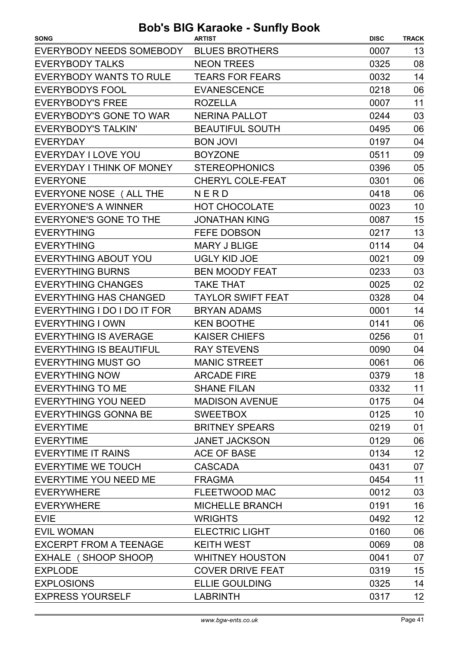#### SONG TRACK ARTIST Bob's BIG Karaoke - Sunfly Book DISC EVERYBODY NEEDS SOMEBODY BLUES BROTHERS 0007 13 EVERYBODY TALKS NEON TREES 0325 08 EVERYBODY WANTS TO RULE TEARS FOR FEARS 15 14 EVERYBODYS FOOL 0218 EVANESCENCE 06 EVERYBODY'S FREE 0007 ROZELLA 11 EVERYBODY'S GONE TO WAR NERINA PALLOT 0244 03 EVERYBODY'S TALKIN' BEAUTIFUL SOUTH 0495 06 EVERYDAY BON JOVI 60197 04 EVERYDAY I LOVE YOU 0511 BOYZONE 09 EVERYDAY I THINK OF MONEY STEREOPHONICS 0396 05 EVERYONE CHERYL COLE-FEAT 0301 06 EVERYONE NOSE (ALL THE NER D 0418 06 EVERYONE'S A WINNER HOT CHOCOLATE 10023 10 EVERYONE'S GONE TO THE JONATHAN KING 15 EVERYTHING FEFE DOBSON 0217 13 EVERYTHING MARY J BLIGE 0114 04 EVERYTHING ABOUT YOU 0021 UGLY KID JOE 09 EVERYTHING BURNS BEN MOODY FEAT 0233 03 EVERYTHING CHANGES TAKE THAT 0025 02 EVERYTHING HAS CHANGED TAYLOR SWIFT FEAT 0328 04 EVERYTHING I DO I DO IT FOR BRYAN ADAMS 10001 14 EVERYTHING I OWN **EVERYTHING I OWN CEN BOOTHE CONSUMING I ON A SET A METAL CONSUMING I** OF A METAL OF A METAL OF A METAL OF A METAL OF A METAL OF A METAL OF A METAL OF A METAL OF A METAL OF A METAL OF A METAL OF A META EVERYTHING IS AVERAGE KAISER CHIEFS 0256 01 EVERYTHING IS BEAUTIFUL RAY STEVENS 0090 04 EVERYTHING MUST GO MANIC STREET 0061 06 EVERYTHING NOW ARCADE FIRE 18 0379 18 EVERYTHING TO ME SHANE FILAN 11 0332 11 EVERYTHING YOU NEED MADISON AVENUE 1991 19975 04 EVERYTHINGS GONNA BE SWEETBOX 0125 0125 10 EVERYTIME **DERIGE BRITNEY SPEARS** 0219 01 EVERYTIME 0129 JANET JACKSON 06 EVERYTIME IT RAINS 0134 ACE OF BASE 12 EVERYTIME WE TOUCH CASCADA CASCADA 0431 07 EVERYTIME YOU NEED ME FRAGMA 1 1 200 1 11 EVERYWHERE FLEETWOOD MAC 0012 03 EVERYWHERE MICHELLE BRANCH 0191 16 EVIE **EXIT CONTROLLEY SERVICE SERVICE SERVICE SERVICE SERVICE SERVICE SERVICE SERVICE SERVICE SERVICE SERVICE SERVICE SERVICE SERVICE SERVICE SERVICE SERVICE SERVICE SERVICE SERVICE SERVICE SERVICE SERVICE SERVICE SERVICE** EVIL WOMAN 0160 ELECTRIC LIGHT 06 EXCERPT FROM A TEENAGE 0069 KEITH WEST 08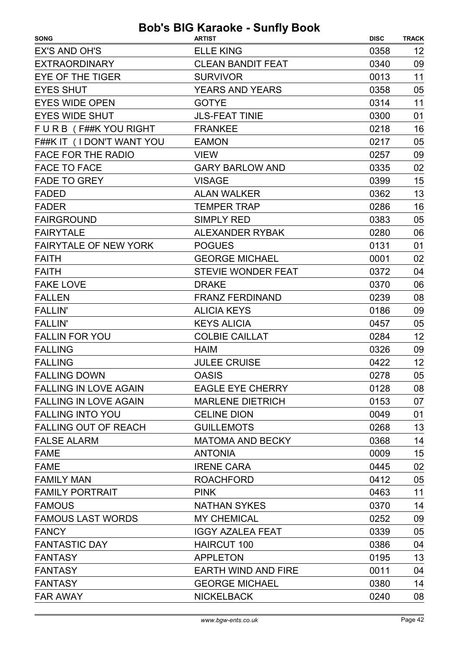| <b>SONG</b>                  | <b>ARTIST</b>              | <b>DISC</b> | <b>TRACK</b> |
|------------------------------|----------------------------|-------------|--------------|
| <b>EX'S AND OH'S</b>         | <b>ELLE KING</b>           | 0358        | 12           |
| <b>EXTRAORDINARY</b>         | <b>CLEAN BANDIT FEAT</b>   | 0340        | 09           |
| EYE OF THE TIGER             | <b>SURVIVOR</b>            | 0013        | 11           |
| <b>EYES SHUT</b>             | <b>YEARS AND YEARS</b>     | 0358        | 05           |
| <b>EYES WIDE OPEN</b>        | <b>GOTYE</b>               | 0314        | 11           |
| <b>EYES WIDE SHUT</b>        | <b>JLS-FEAT TINIE</b>      | 0300        | 01           |
| FURB (F##KYOU RIGHT          | <b>FRANKEE</b>             | 0218        | 16           |
| F##K IT (I DON'T WANT YOU    | <b>EAMON</b>               | 0217        | 05           |
| <b>FACE FOR THE RADIO</b>    | <b>VIEW</b>                | 0257        | 09           |
| <b>FACE TO FACE</b>          | <b>GARY BARLOW AND</b>     | 0335        | 02           |
| <b>FADE TO GREY</b>          | <b>VISAGE</b>              | 0399        | 15           |
| <b>FADED</b>                 | <b>ALAN WALKER</b>         | 0362        | 13           |
| <b>FADER</b>                 | <b>TEMPER TRAP</b>         | 0286        | 16           |
| <b>FAIRGROUND</b>            | <b>SIMPLY RED</b>          | 0383        | 05           |
| <b>FAIRYTALE</b>             | <b>ALEXANDER RYBAK</b>     | 0280        | 06           |
| <b>FAIRYTALE OF NEW YORK</b> | <b>POGUES</b>              | 0131        | 01           |
| <b>FAITH</b>                 | <b>GEORGE MICHAEL</b>      | 0001        | 02           |
| <b>FAITH</b>                 | <b>STEVIE WONDER FEAT</b>  | 0372        | 04           |
| <b>FAKE LOVE</b>             | <b>DRAKE</b>               | 0370        | 06           |
| <b>FALLEN</b>                | <b>FRANZ FERDINAND</b>     | 0239        | 08           |
| <b>FALLIN'</b>               | <b>ALICIA KEYS</b>         | 0186        | 09           |
| <b>FALLIN'</b>               | <b>KEYS ALICIA</b>         | 0457        | 05           |
| <b>FALLIN FOR YOU</b>        | <b>COLBIE CAILLAT</b>      | 0284        | 12           |
| <b>FALLING</b>               | <b>HAIM</b>                | 0326        | 09           |
| <b>FALLING</b>               | <b>JULEE CRUISE</b>        | 0422        | 12           |
| <b>FALLING DOWN</b>          | <b>OASIS</b>               | 0278        | 05           |
| <b>FALLING IN LOVE AGAIN</b> | <b>EAGLE EYE CHERRY</b>    | 0128        | 08           |
| <b>FALLING IN LOVE AGAIN</b> | <b>MARLENE DIETRICH</b>    | 0153        | 07           |
| <b>FALLING INTO YOU</b>      | <b>CELINE DION</b>         | 0049        | 01           |
| <b>FALLING OUT OF REACH</b>  | <b>GUILLEMOTS</b>          | 0268        | 13           |
| <b>FALSE ALARM</b>           | <b>MATOMA AND BECKY</b>    | 0368        | 14           |
| <b>FAME</b>                  | <b>ANTONIA</b>             | 0009        | 15           |
| <b>FAME</b>                  | <b>IRENE CARA</b>          | 0445        | 02           |
| <b>FAMILY MAN</b>            | <b>ROACHFORD</b>           | 0412        | 05           |
| <b>FAMILY PORTRAIT</b>       | <b>PINK</b>                | 0463        | 11           |
| <b>FAMOUS</b>                | <b>NATHAN SYKES</b>        | 0370        | 14           |
| <b>FAMOUS LAST WORDS</b>     | <b>MY CHEMICAL</b>         | 0252        | 09           |
| <b>FANCY</b>                 | <b>IGGY AZALEA FEAT</b>    | 0339        | 05           |
| <b>FANTASTIC DAY</b>         | <b>HAIRCUT 100</b>         | 0386        | 04           |
| <b>FANTASY</b>               | <b>APPLETON</b>            | 0195        | 13           |
| <b>FANTASY</b>               | <b>EARTH WIND AND FIRE</b> | 0011        | 04           |
| <b>FANTASY</b>               | <b>GEORGE MICHAEL</b>      | 0380        | 14           |
| <b>FAR AWAY</b>              | <b>NICKELBACK</b>          | 0240        | 08           |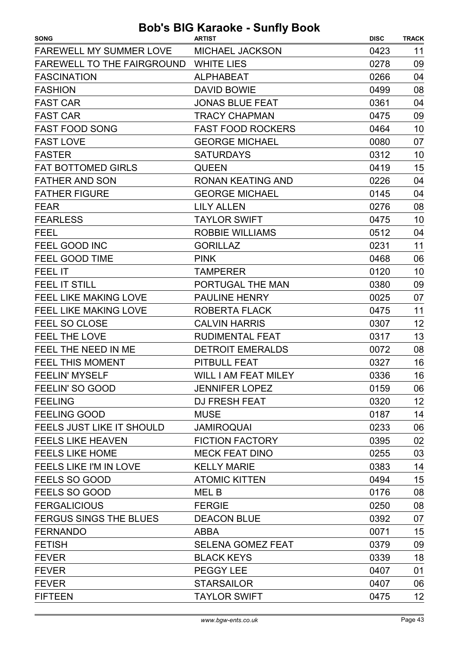| <b>Bob's BIG Karaoke - Sunfly Book</b>        |                                         |                     | <b>TRACK</b> |
|-----------------------------------------------|-----------------------------------------|---------------------|--------------|
| <b>SONG</b><br><b>FAREWELL MY SUMMER LOVE</b> | <b>ARTIST</b><br><b>MICHAEL JACKSON</b> | <b>DISC</b><br>0423 |              |
| FAREWELL TO THE FAIRGROUND WHITE LIES         |                                         | 0278                | 11<br>09     |
| <b>FASCINATION</b>                            | <b>ALPHABEAT</b>                        | 0266                | 04           |
| <b>FASHION</b>                                | <b>DAVID BOWIE</b>                      | 0499                | 08           |
| <b>FAST CAR</b>                               | <b>JONAS BLUE FEAT</b>                  | 0361                | 04           |
| <b>FAST CAR</b>                               | <b>TRACY CHAPMAN</b>                    | 0475                | 09           |
| <b>FAST FOOD SONG</b>                         | <b>FAST FOOD ROCKERS</b>                | 0464                | 10           |
| <b>FAST LOVE</b>                              | <b>GEORGE MICHAEL</b>                   | 0080                | 07           |
| <b>FASTER</b>                                 | <b>SATURDAYS</b>                        | 0312                | 10           |
| <b>FAT BOTTOMED GIRLS</b>                     | <b>QUEEN</b>                            | 0419                | 15           |
| <b>FATHER AND SON</b>                         | <b>RONAN KEATING AND</b>                | 0226                | 04           |
| <b>FATHER FIGURE</b>                          | <b>GEORGE MICHAEL</b>                   | 0145                | 04           |
| <b>FEAR</b>                                   | <b>LILY ALLEN</b>                       | 0276                | 08           |
| <b>FEARLESS</b>                               | <b>TAYLOR SWIFT</b>                     | 0475                | 10           |
| <b>FEEL</b>                                   | <b>ROBBIE WILLIAMS</b>                  |                     | 04           |
| <b>FEEL GOOD INC</b>                          | <b>GORILLAZ</b>                         | 0512<br>0231        | 11           |
|                                               |                                         |                     |              |
| FEEL GOOD TIME<br><b>FEEL IT</b>              | <b>PINK</b><br><b>TAMPERER</b>          | 0468<br>0120        | 06<br>10     |
|                                               | PORTUGAL THE MAN                        | 0380                |              |
| <b>FEEL IT STILL</b>                          |                                         |                     | 09           |
| FEEL LIKE MAKING LOVE                         | <b>PAULINE HENRY</b>                    | 0025                | 07           |
| <b>FEEL LIKE MAKING LOVE</b>                  | <b>ROBERTA FLACK</b>                    | 0475                | 11           |
| <b>FEEL SO CLOSE</b>                          | <b>CALVIN HARRIS</b>                    | 0307                | 12           |
| <b>FEEL THE LOVE</b>                          | <b>RUDIMENTAL FEAT</b>                  | 0317                | 13           |
| FEEL THE NEED IN ME                           | <b>DETROIT EMERALDS</b>                 | 0072                | 08           |
| <b>FEEL THIS MOMENT</b>                       | <b>PITBULL FEAT</b>                     | 0327                | 16           |
| <b>FEELIN' MYSELF</b>                         | <b>WILL I AM FEAT MILEY</b>             | 0336                | 16           |
| FEELIN' SO GOOD                               | <b>JENNIFER LOPEZ</b>                   | 0159                | 06           |
| <b>FEELING</b>                                | <b>DJ FRESH FEAT</b>                    | 0320                | 12           |
| <b>FEELING GOOD</b>                           | <b>MUSE</b>                             | 0187                | 14           |
| FEELS JUST LIKE IT SHOULD                     | <b>JAMIROQUAI</b>                       | 0233                | 06           |
| <b>FEELS LIKE HEAVEN</b>                      | <b>FICTION FACTORY</b>                  | 0395                | 02           |
| <b>FEELS LIKE HOME</b>                        | <b>MECK FEAT DINO</b>                   | 0255                | 03           |
| FEELS LIKE I'M IN LOVE                        | <b>KELLY MARIE</b>                      | 0383                | 14           |
| FEELS SO GOOD                                 | <b>ATOMIC KITTEN</b>                    | 0494                | 15           |
| FEELS SO GOOD                                 | MEL B                                   | 0176                | 08           |
| <b>FERGALICIOUS</b>                           | <b>FERGIE</b>                           | 0250                | 08           |
| <b>FERGUS SINGS THE BLUES</b>                 | <b>DEACON BLUE</b>                      | 0392                | 07           |
| <b>FERNANDO</b>                               | <b>ABBA</b>                             | 0071                | 15           |
| <b>FETISH</b>                                 | <b>SELENA GOMEZ FEAT</b>                | 0379                | 09           |
| <b>FEVER</b>                                  | <b>BLACK KEYS</b>                       | 0339                | 18           |
| <b>FEVER</b>                                  | <b>PEGGY LEE</b>                        | 0407                | 01           |
| <b>FEVER</b>                                  | <b>STARSAILOR</b>                       | 0407                | 06           |
| <b>FIFTEEN</b>                                | <b>TAYLOR SWIFT</b>                     | 0475                | 12           |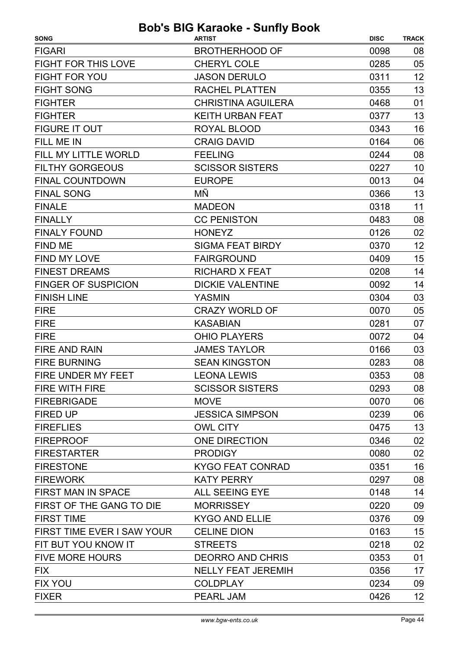| <b>SONG</b>                | <b>ARTIST</b>             | <b>DISC</b> | <b>TRACK</b> |
|----------------------------|---------------------------|-------------|--------------|
| <b>FIGARI</b>              | <b>BROTHERHOOD OF</b>     | 0098        | 08           |
| <b>FIGHT FOR THIS LOVE</b> | <b>CHERYL COLE</b>        | 0285        | 05           |
| <b>FIGHT FOR YOU</b>       | <b>JASON DERULO</b>       | 0311        | 12           |
| <b>FIGHT SONG</b>          | <b>RACHEL PLATTEN</b>     | 0355        | 13           |
| <b>FIGHTER</b>             | <b>CHRISTINA AGUILERA</b> | 0468        | 01           |
| <b>FIGHTER</b>             | <b>KEITH URBAN FEAT</b>   | 0377        | 13           |
| <b>FIGURE IT OUT</b>       | ROYAL BLOOD               | 0343        | 16           |
| FILL ME IN                 | <b>CRAIG DAVID</b>        | 0164        | 06           |
| FILL MY LITTLE WORLD       | <b>FEELING</b>            | 0244        | 08           |
| <b>FILTHY GORGEOUS</b>     | <b>SCISSOR SISTERS</b>    | 0227        | 10           |
| <b>FINAL COUNTDOWN</b>     | <b>EUROPE</b>             | 0013        | 04           |
| <b>FINAL SONG</b>          | МÑ                        | 0366        | 13           |
| <b>FINALE</b>              | <b>MADEON</b>             | 0318        | 11           |
| <b>FINALLY</b>             | <b>CC PENISTON</b>        | 0483        | 08           |
| <b>FINALY FOUND</b>        | <b>HONEYZ</b>             | 0126        | 02           |
| <b>FIND ME</b>             | <b>SIGMA FEAT BIRDY</b>   | 0370        | 12           |
| <b>FIND MY LOVE</b>        | <b>FAIRGROUND</b>         | 0409        | 15           |
| <b>FINEST DREAMS</b>       | <b>RICHARD X FEAT</b>     | 0208        | 14           |
| <b>FINGER OF SUSPICION</b> | <b>DICKIE VALENTINE</b>   | 0092        | 14           |
| <b>FINISH LINE</b>         | <b>YASMIN</b>             | 0304        | 03           |
| <b>FIRE</b>                | <b>CRAZY WORLD OF</b>     | 0070        | 05           |
| <b>FIRE</b>                | <b>KASABIAN</b>           | 0281        | 07           |
| <b>FIRE</b>                | <b>OHIO PLAYERS</b>       | 0072        | 04           |
| <b>FIRE AND RAIN</b>       | <b>JAMES TAYLOR</b>       | 0166        | 03           |
| <b>FIRE BURNING</b>        | <b>SEAN KINGSTON</b>      | 0283        | 08           |
| FIRE UNDER MY FEET         | <b>LEONA LEWIS</b>        | 0353        | 08           |
| <b>FIRE WITH FIRE</b>      | <b>SCISSOR SISTERS</b>    | 0293        | 08           |
| <b>FIREBRIGADE</b>         | <b>MOVE</b>               | 0070        | 06           |
| FIRED UP                   | <b>JESSICA SIMPSON</b>    | 0239        | 06           |
| <b>FIREFLIES</b>           | <b>OWL CITY</b>           | 0475        | 13           |
| <b>FIREPROOF</b>           | <b>ONE DIRECTION</b>      | 0346        | 02           |
| <b>FIRESTARTER</b>         | <b>PRODIGY</b>            | 0080        | 02           |
| <b>FIRESTONE</b>           | <b>KYGO FEAT CONRAD</b>   | 0351        | 16           |
| <b>FIREWORK</b>            | <b>KATY PERRY</b>         | 0297        | 08           |
| FIRST MAN IN SPACE         | <b>ALL SEEING EYE</b>     | 0148        | 14           |
| FIRST OF THE GANG TO DIE   | <b>MORRISSEY</b>          | 0220        | 09           |
| <b>FIRST TIME</b>          | <b>KYGO AND ELLIE</b>     | 0376        | 09           |
| FIRST TIME EVER I SAW YOUR | <b>CELINE DION</b>        | 0163        | 15           |
| FIT BUT YOU KNOW IT        | <b>STREETS</b>            | 0218        | 02           |
| <b>FIVE MORE HOURS</b>     | <b>DEORRO AND CHRIS</b>   | 0353        | 01           |
| <b>FIX</b>                 | NELLY FEAT JEREMIH        | 0356        | 17           |
| <b>FIX YOU</b>             | <b>COLDPLAY</b>           | 0234        | 09           |
| <b>FIXER</b>               | PEARL JAM                 | 0426        | 12           |
|                            |                           |             |              |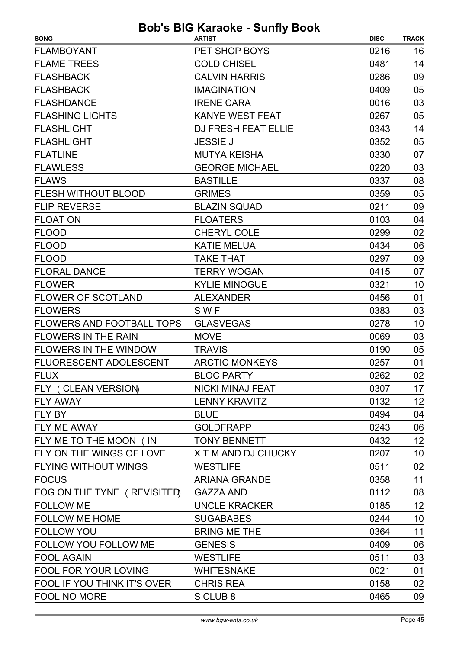| <b>SONG</b>                      | <b>ARTIST</b>              | <b>DISC</b> | <b>TRACK</b> |
|----------------------------------|----------------------------|-------------|--------------|
| <b>FLAMBOYANT</b>                | PET SHOP BOYS              | 0216        | 16           |
| <b>FLAME TREES</b>               | <b>COLD CHISEL</b>         | 0481        | 14           |
| <b>FLASHBACK</b>                 | <b>CALVIN HARRIS</b>       | 0286        | 09           |
| <b>FLASHBACK</b>                 | <b>IMAGINATION</b>         | 0409        | 05           |
| <b>FLASHDANCE</b>                | <b>IRENE CARA</b>          | 0016        | 03           |
| <b>FLASHING LIGHTS</b>           | <b>KANYE WEST FEAT</b>     | 0267        | 05           |
| <b>FLASHLIGHT</b>                | <b>DJ FRESH FEAT ELLIE</b> | 0343        | 14           |
| <b>FLASHLIGHT</b>                | <b>JESSIE J</b>            | 0352        | 05           |
| <b>FLATLINE</b>                  | <b>MUTYA KEISHA</b>        | 0330        | 07           |
| <b>FLAWLESS</b>                  | <b>GEORGE MICHAEL</b>      | 0220        | 03           |
| <b>FLAWS</b>                     | <b>BASTILLE</b>            | 0337        | 08           |
| <b>FLESH WITHOUT BLOOD</b>       | <b>GRIMES</b>              | 0359        | 05           |
| <b>FLIP REVERSE</b>              | <b>BLAZIN SQUAD</b>        | 0211        | 09           |
| <b>FLOAT ON</b>                  | <b>FLOATERS</b>            | 0103        | 04           |
| <b>FLOOD</b>                     | <b>CHERYL COLE</b>         | 0299        | 02           |
| <b>FLOOD</b>                     | <b>KATIE MELUA</b>         | 0434        | 06           |
| <b>FLOOD</b>                     | <b>TAKE THAT</b>           | 0297        | 09           |
| <b>FLORAL DANCE</b>              | <b>TERRY WOGAN</b>         | 0415        | 07           |
| <b>FLOWER</b>                    | <b>KYLIE MINOGUE</b>       | 0321        | 10           |
| <b>FLOWER OF SCOTLAND</b>        | <b>ALEXANDER</b>           | 0456        | 01           |
| <b>FLOWERS</b>                   | <b>SWF</b>                 | 0383        | 03           |
| <b>FLOWERS AND FOOTBALL TOPS</b> | <b>GLASVEGAS</b>           | 0278        | 10           |
| <b>FLOWERS IN THE RAIN</b>       | <b>MOVE</b>                | 0069        | 03           |
| <b>FLOWERS IN THE WINDOW</b>     | <b>TRAVIS</b>              | 0190        | 05           |
| FLUORESCENT ADOLESCENT           | <b>ARCTIC MONKEYS</b>      | 0257        | 01           |
| <b>FLUX</b>                      | <b>BLOC PARTY</b>          | 0262        | 02           |
| FLY ( CLEAN VERSION)             | <b>NICKI MINAJ FEAT</b>    | 0307        | 17           |
| <b>FLY AWAY</b>                  | <b>LENNY KRAVITZ</b>       | 0132        | 12           |
| FLY BY                           | <b>BLUE</b>                | 0494        | 04           |
| FLY ME AWAY                      | <b>GOLDFRAPP</b>           | 0243        | 06           |
| FLY ME TO THE MOON (IN           | <b>TONY BENNETT</b>        | 0432        | 12           |
| FLY ON THE WINGS OF LOVE         | X T M AND DJ CHUCKY        | 0207        | 10           |
| <b>FLYING WITHOUT WINGS</b>      | <b>WESTLIFE</b>            | 0511        | 02           |
| <b>FOCUS</b>                     | <b>ARIANA GRANDE</b>       | 0358        | 11           |
| FOG ON THE TYNE ( REVISITED)     | <b>GAZZA AND</b>           | 0112        | 08           |
| <b>FOLLOW ME</b>                 | <b>UNCLE KRACKER</b>       | 0185        | 12           |
| FOLLOW ME HOME                   | <b>SUGABABES</b>           | 0244        | 10           |
| <b>FOLLOW YOU</b>                | <b>BRING ME THE</b>        | 0364        | 11           |
| FOLLOW YOU FOLLOW ME             | <b>GENESIS</b>             | 0409        | 06           |
| <b>FOOL AGAIN</b>                | <b>WESTLIFE</b>            | 0511        | 03           |
| FOOL FOR YOUR LOVING             | <b>WHITESNAKE</b>          | 0021        | 01           |
| FOOL IF YOU THINK IT'S OVER      | <b>CHRIS REA</b>           | 0158        | 02           |
| FOOL NO MORE                     | S CLUB 8                   | 0465        | 09           |
|                                  |                            |             |              |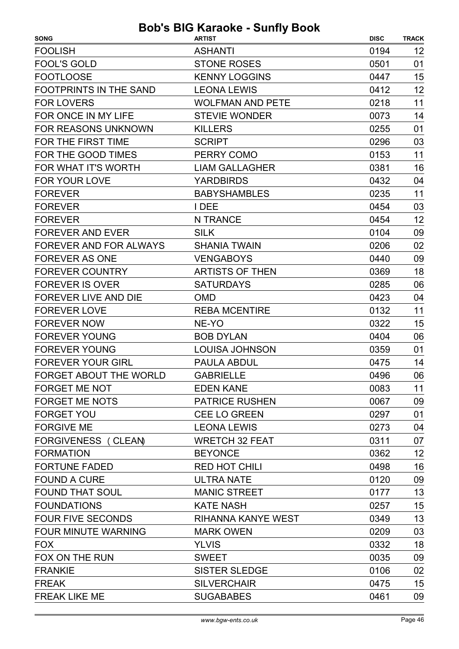| <b>SONG</b>                   | <b>ARTIST</b>           | <b>DISC</b> | <b>TRACK</b> |
|-------------------------------|-------------------------|-------------|--------------|
| <b>FOOLISH</b>                | <b>ASHANTI</b>          | 0194        | 12           |
| <b>FOOL'S GOLD</b>            | <b>STONE ROSES</b>      | 0501        | 01           |
| <b>FOOTLOOSE</b>              | <b>KENNY LOGGINS</b>    | 0447        | 15           |
| <b>FOOTPRINTS IN THE SAND</b> | <b>LEONA LEWIS</b>      | 0412        | 12           |
| <b>FOR LOVERS</b>             | <b>WOLFMAN AND PETE</b> | 0218        | 11           |
| FOR ONCE IN MY LIFE           | <b>STEVIE WONDER</b>    | 0073        | 14           |
| <b>FOR REASONS UNKNOWN</b>    | <b>KILLERS</b>          | 0255        | 01           |
| FOR THE FIRST TIME            | <b>SCRIPT</b>           | 0296        | 03           |
| FOR THE GOOD TIMES            | PERRY COMO              | 0153        | 11           |
| FOR WHAT IT'S WORTH           | <b>LIAM GALLAGHER</b>   | 0381        | 16           |
| <b>FOR YOUR LOVE</b>          | <b>YARDBIRDS</b>        | 0432        | 04           |
| <b>FOREVER</b>                | <b>BABYSHAMBLES</b>     | 0235        | 11           |
| <b>FOREVER</b>                | I DEE                   | 0454        | 03           |
| <b>FOREVER</b>                | N TRANCE                | 0454        | 12           |
| <b>FOREVER AND EVER</b>       | <b>SILK</b>             | 0104        | 09           |
| <b>FOREVER AND FOR ALWAYS</b> | <b>SHANIA TWAIN</b>     | 0206        | 02           |
| <b>FOREVER AS ONE</b>         | <b>VENGABOYS</b>        | 0440        | 09           |
| <b>FOREVER COUNTRY</b>        | <b>ARTISTS OF THEN</b>  | 0369        | 18           |
| <b>FOREVER IS OVER</b>        | <b>SATURDAYS</b>        | 0285        | 06           |
| <b>FOREVER LIVE AND DIE</b>   | <b>OMD</b>              | 0423        | 04           |
| <b>FOREVER LOVE</b>           | <b>REBA MCENTIRE</b>    | 0132        | 11           |
| <b>FOREVER NOW</b>            | NE-YO                   | 0322        | 15           |
| <b>FOREVER YOUNG</b>          | <b>BOB DYLAN</b>        | 0404        | 06           |
| <b>FOREVER YOUNG</b>          | <b>LOUISA JOHNSON</b>   | 0359        | 01           |
| <b>FOREVER YOUR GIRL</b>      | <b>PAULA ABDUL</b>      | 0475        | 14           |
| FORGET ABOUT THE WORLD        | <b>GABRIELLE</b>        | 0496        | 06           |
| FORGET ME NOT                 | <b>EDEN KANE</b>        | 0083        | 11           |
| <b>FORGET ME NOTS</b>         | <b>PATRICE RUSHEN</b>   | 0067        | 09           |
| <b>FORGET YOU</b>             | CEE LO GREEN            | 0297        | 01           |
| <b>FORGIVE ME</b>             | <b>LEONA LEWIS</b>      | 0273        | 04           |
| FORGIVENESS (CLEAN)           | <b>WRETCH 32 FEAT</b>   | 0311        | 07           |
| <b>FORMATION</b>              | <b>BEYONCE</b>          | 0362        | 12           |
| <b>FORTUNE FADED</b>          | <b>RED HOT CHILI</b>    | 0498        | 16           |
| <b>FOUND A CURE</b>           | <b>ULTRA NATE</b>       | 0120        | 09           |
| <b>FOUND THAT SOUL</b>        | <b>MANIC STREET</b>     | 0177        | 13           |
| <b>FOUNDATIONS</b>            | <b>KATE NASH</b>        | 0257        | 15           |
| <b>FOUR FIVE SECONDS</b>      | RIHANNA KANYE WEST      | 0349        | 13           |
| <b>FOUR MINUTE WARNING</b>    | <b>MARK OWEN</b>        | 0209        | 03           |
| <b>FOX</b>                    | <b>YLVIS</b>            | 0332        | 18           |
| FOX ON THE RUN                | <b>SWEET</b>            | 0035        | 09           |
| <b>FRANKIE</b>                | SISTER SLEDGE           | 0106        | 02           |
| <b>FREAK</b>                  | <b>SILVERCHAIR</b>      | 0475        | 15           |
| <b>FREAK LIKE ME</b>          | <b>SUGABABES</b>        | 0461        | 09           |
|                               |                         |             |              |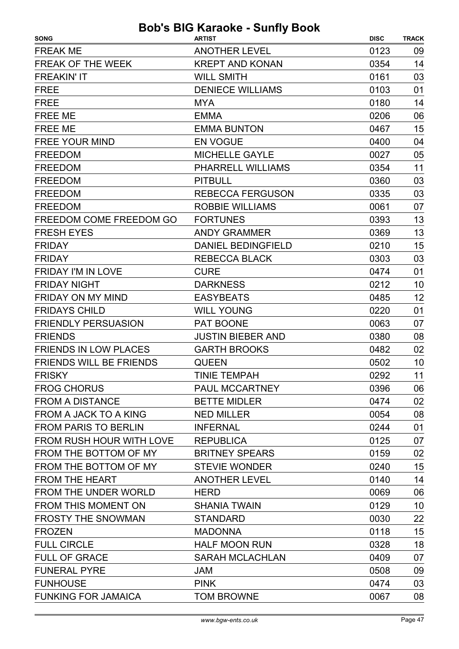| <b>FREAK ME</b><br><b>ANOTHER LEVEL</b><br>0123<br>FREAK OF THE WEEK<br><b>KREPT AND KONAN</b><br>0354 | 09<br>14 |
|--------------------------------------------------------------------------------------------------------|----------|
|                                                                                                        |          |
|                                                                                                        |          |
| <b>FREAKIN' IT</b><br><b>WILL SMITH</b><br>0161                                                        | 03       |
| <b>DENIECE WILLIAMS</b><br>0103<br><b>FREE</b>                                                         | 01       |
| <b>MYA</b><br>0180<br><b>FREE</b>                                                                      | 14       |
| <b>FREE ME</b><br><b>EMMA</b><br>0206                                                                  | 06       |
| <b>FREE ME</b><br>0467<br><b>EMMA BUNTON</b>                                                           | 15       |
| <b>FREE YOUR MIND</b><br><b>EN VOGUE</b><br>0400                                                       | 04       |
| <b>FREEDOM</b><br><b>MICHELLE GAYLE</b><br>0027                                                        | 05       |
| PHARRELL WILLIAMS<br><b>FREEDOM</b><br>0354                                                            | 11       |
| 0360<br><b>FREEDOM</b><br><b>PITBULL</b>                                                               | 03       |
| <b>FREEDOM</b><br><b>REBECCA FERGUSON</b><br>0335                                                      | 03       |
| <b>FREEDOM</b><br><b>ROBBIE WILLIAMS</b><br>0061                                                       | 07       |
| <b>FORTUNES</b><br>FREEDOM COME FREEDOM GO<br>0393                                                     | 13       |
| <b>FRESH EYES</b><br><b>ANDY GRAMMER</b><br>0369                                                       | 13       |
| <b>FRIDAY</b><br><b>DANIEL BEDINGFIELD</b><br>0210                                                     | 15       |
| <b>FRIDAY</b><br><b>REBECCA BLACK</b><br>0303                                                          | 03       |
| <b>FRIDAY I'M IN LOVE</b><br><b>CURE</b><br>0474                                                       | 01       |
| <b>FRIDAY NIGHT</b><br><b>DARKNESS</b><br>0212                                                         | 10       |
| <b>FRIDAY ON MY MIND</b><br><b>EASYBEATS</b><br>0485                                                   | 12       |
| <b>FRIDAYS CHILD</b><br><b>WILL YOUNG</b><br>0220                                                      | 01       |
| <b>FRIENDLY PERSUASION</b><br>PAT BOONE<br>0063                                                        | 07       |
| <b>JUSTIN BIEBER AND</b><br>0380<br><b>FRIENDS</b>                                                     | 08       |
| <b>FRIENDS IN LOW PLACES</b><br><b>GARTH BROOKS</b><br>0482                                            | 02       |
| <b>FRIENDS WILL BE FRIENDS</b><br>0502<br><b>QUEEN</b>                                                 | 10       |
| 0292<br><b>TINIE TEMPAH</b><br><b>FRISKY</b>                                                           | 11       |
| <b>FROG CHORUS</b><br><b>PAUL MCCARTNEY</b><br>0396                                                    | 06       |
| <b>FROM A DISTANCE</b><br><b>BETTE MIDLER</b><br>0474                                                  | 02       |
| FROM A JACK TO A KING<br><b>NED MILLER</b><br>0054                                                     | 08       |
| FROM PARIS TO BERLIN<br><b>INFERNAL</b><br>0244                                                        | 01       |
| FROM RUSH HOUR WITH LOVE REPUBLICA<br>0125                                                             | 07       |
| FROM THE BOTTOM OF MY<br><b>BRITNEY SPEARS</b><br>0159                                                 | 02       |
| FROM THE BOTTOM OF MY<br><b>STEVIE WONDER</b><br>0240                                                  | 15       |
| FROM THE HEART<br><b>ANOTHER LEVEL</b><br>0140                                                         | 14       |
| FROM THE UNDER WORLD<br>0069<br>HERD                                                                   | 06       |
| FROM THIS MOMENT ON<br>0129<br><b>SHANIA TWAIN</b>                                                     | 10       |
| <b>FROSTY THE SNOWMAN</b><br><b>STANDARD</b><br>0030                                                   | 22       |
| 0118<br><b>FROZEN</b><br><b>MADONNA</b>                                                                | 15       |
| <b>FULL CIRCLE</b><br><b>HALF MOON RUN</b><br>0328                                                     | 18       |
| FULL OF GRACE<br><b>SARAH MCLACHLAN</b><br>0409                                                        | 07       |
| <b>FUNERAL PYRE</b><br>JAM<br>0508                                                                     | 09       |
| <b>FUNHOUSE</b><br><b>PINK</b><br>0474                                                                 | 03       |
| <b>FUNKING FOR JAMAICA</b><br><b>TOM BROWNE</b><br>0067                                                | 08       |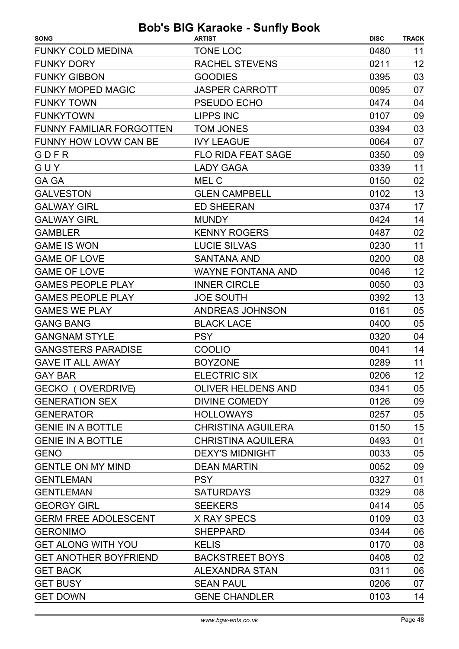| TONE LOC<br><b>FUNKY COLD MEDINA</b><br>0480<br>11<br>12<br><b>RACHEL STEVENS</b><br><b>FUNKY DORY</b><br>0211<br>03<br><b>FUNKY GIBBON</b><br><b>GOODIES</b><br>0395<br><b>FUNKY MOPED MAGIC</b><br><b>JASPER CARROTT</b><br>07<br>0095<br>04<br><b>FUNKY TOWN</b><br><b>PSEUDO ECHO</b><br>0474<br>09<br><b>FUNKYTOWN</b><br><b>LIPPS INC</b><br>0107<br>FUNNY FAMILIAR FORGOTTEN<br><b>TOM JONES</b><br>0394<br>03<br>FUNNY HOW LOVW CAN BE<br>07<br><b>IVY LEAGUE</b><br>0064<br><b>FLO RIDA FEAT SAGE</b><br>GDFR<br>0350<br>09<br>11<br>GUY<br><b>LADY GAGA</b><br>0339<br>MEL C<br>0150<br>02<br><b>GA GA</b><br>13<br><b>GALVESTON</b><br>0102<br><b>GLEN CAMPBELL</b><br>17<br><b>GALWAY GIRL</b><br><b>ED SHEERAN</b><br>0374<br><b>GALWAY GIRL</b><br><b>MUNDY</b><br>14<br>0424<br>02<br><b>GAMBLER</b><br><b>KENNY ROGERS</b><br>0487<br>11<br><b>GAME IS WON</b><br><b>LUCIE SILVAS</b><br>0230<br>08<br><b>GAME OF LOVE</b><br><b>SANTANA AND</b><br>0200<br>12<br><b>GAME OF LOVE</b><br><b>WAYNE FONTANA AND</b><br>0046<br><b>GAMES PEOPLE PLAY</b><br><b>INNER CIRCLE</b><br>03<br>0050<br>13<br><b>GAMES PEOPLE PLAY</b><br><b>JOE SOUTH</b><br>0392<br><b>GAMES WE PLAY</b><br>05<br><b>ANDREAS JOHNSON</b><br>0161<br><b>BLACK LACE</b><br>05<br><b>GANG BANG</b><br>0400<br><b>GANGNAM STYLE</b><br><b>PSY</b><br>0320<br>04<br><b>GANGSTERS PARADISE</b><br>14<br><b>COOLIO</b><br>0041<br>11<br><b>GAVE IT ALL AWAY</b><br><b>BOYZONE</b><br>0289<br><b>ELECTRIC SIX</b><br>0206<br>12<br><b>GAY BAR</b><br><b>GECKO (OVERDRIVE)</b><br>05<br><b>OLIVER HELDENS AND</b><br>0341<br>09<br><b>GENERATION SEX</b><br><b>DIVINE COMEDY</b><br>0126<br><b>HOLLOWAYS</b><br>05<br><b>GENERATOR</b><br>0257<br><b>GENIE IN A BOTTLE</b><br><b>CHRISTINA AGUILERA</b><br>15<br>0150<br>01<br><b>GENIE IN A BOTTLE</b><br>0493<br><b>CHRISTINA AQUILERA</b><br>05<br><b>GENO</b><br><b>DEXY'S MIDNIGHT</b><br>0033<br>09<br><b>GENTLE ON MY MIND</b><br><b>DEAN MARTIN</b><br>0052<br><b>PSY</b><br>0327<br>01<br><b>GENTLEMAN</b><br><b>GENTLEMAN</b><br><b>SATURDAYS</b><br>0329<br>08<br><b>SEEKERS</b><br>05<br><b>GEORGY GIRL</b><br>0414<br>03<br><b>GERM FREE ADOLESCENT</b><br><b>X RAY SPECS</b><br>0109<br>06<br><b>GERONIMO</b><br><b>SHEPPARD</b><br>0344<br><b>GET ALONG WITH YOU</b><br>08<br>0170<br><b>KELIS</b><br><b>GET ANOTHER BOYFRIEND</b><br>0408<br>02<br><b>BACKSTREET BOYS</b><br><b>GET BACK</b><br><b>ALEXANDRA STAN</b><br>0311<br>06<br><b>GET BUSY</b><br>0206<br>07<br><b>SEAN PAUL</b> | <b>SONG</b>     | <b>ARTIST</b>        | <b>DISC</b> | <b>TRACK</b> |
|-----------------------------------------------------------------------------------------------------------------------------------------------------------------------------------------------------------------------------------------------------------------------------------------------------------------------------------------------------------------------------------------------------------------------------------------------------------------------------------------------------------------------------------------------------------------------------------------------------------------------------------------------------------------------------------------------------------------------------------------------------------------------------------------------------------------------------------------------------------------------------------------------------------------------------------------------------------------------------------------------------------------------------------------------------------------------------------------------------------------------------------------------------------------------------------------------------------------------------------------------------------------------------------------------------------------------------------------------------------------------------------------------------------------------------------------------------------------------------------------------------------------------------------------------------------------------------------------------------------------------------------------------------------------------------------------------------------------------------------------------------------------------------------------------------------------------------------------------------------------------------------------------------------------------------------------------------------------------------------------------------------------------------------------------------------------------------------------------------------------------------------------------------------------------------------------------------------------------------------------------------------------------------------------------------------------------------------------------------------------------------------------------------------------------------------------------------------------------------------------------------------------------------------------|-----------------|----------------------|-------------|--------------|
|                                                                                                                                                                                                                                                                                                                                                                                                                                                                                                                                                                                                                                                                                                                                                                                                                                                                                                                                                                                                                                                                                                                                                                                                                                                                                                                                                                                                                                                                                                                                                                                                                                                                                                                                                                                                                                                                                                                                                                                                                                                                                                                                                                                                                                                                                                                                                                                                                                                                                                                                         |                 |                      |             |              |
|                                                                                                                                                                                                                                                                                                                                                                                                                                                                                                                                                                                                                                                                                                                                                                                                                                                                                                                                                                                                                                                                                                                                                                                                                                                                                                                                                                                                                                                                                                                                                                                                                                                                                                                                                                                                                                                                                                                                                                                                                                                                                                                                                                                                                                                                                                                                                                                                                                                                                                                                         |                 |                      |             |              |
|                                                                                                                                                                                                                                                                                                                                                                                                                                                                                                                                                                                                                                                                                                                                                                                                                                                                                                                                                                                                                                                                                                                                                                                                                                                                                                                                                                                                                                                                                                                                                                                                                                                                                                                                                                                                                                                                                                                                                                                                                                                                                                                                                                                                                                                                                                                                                                                                                                                                                                                                         |                 |                      |             |              |
|                                                                                                                                                                                                                                                                                                                                                                                                                                                                                                                                                                                                                                                                                                                                                                                                                                                                                                                                                                                                                                                                                                                                                                                                                                                                                                                                                                                                                                                                                                                                                                                                                                                                                                                                                                                                                                                                                                                                                                                                                                                                                                                                                                                                                                                                                                                                                                                                                                                                                                                                         |                 |                      |             |              |
|                                                                                                                                                                                                                                                                                                                                                                                                                                                                                                                                                                                                                                                                                                                                                                                                                                                                                                                                                                                                                                                                                                                                                                                                                                                                                                                                                                                                                                                                                                                                                                                                                                                                                                                                                                                                                                                                                                                                                                                                                                                                                                                                                                                                                                                                                                                                                                                                                                                                                                                                         |                 |                      |             |              |
|                                                                                                                                                                                                                                                                                                                                                                                                                                                                                                                                                                                                                                                                                                                                                                                                                                                                                                                                                                                                                                                                                                                                                                                                                                                                                                                                                                                                                                                                                                                                                                                                                                                                                                                                                                                                                                                                                                                                                                                                                                                                                                                                                                                                                                                                                                                                                                                                                                                                                                                                         |                 |                      |             |              |
|                                                                                                                                                                                                                                                                                                                                                                                                                                                                                                                                                                                                                                                                                                                                                                                                                                                                                                                                                                                                                                                                                                                                                                                                                                                                                                                                                                                                                                                                                                                                                                                                                                                                                                                                                                                                                                                                                                                                                                                                                                                                                                                                                                                                                                                                                                                                                                                                                                                                                                                                         |                 |                      |             |              |
|                                                                                                                                                                                                                                                                                                                                                                                                                                                                                                                                                                                                                                                                                                                                                                                                                                                                                                                                                                                                                                                                                                                                                                                                                                                                                                                                                                                                                                                                                                                                                                                                                                                                                                                                                                                                                                                                                                                                                                                                                                                                                                                                                                                                                                                                                                                                                                                                                                                                                                                                         |                 |                      |             |              |
|                                                                                                                                                                                                                                                                                                                                                                                                                                                                                                                                                                                                                                                                                                                                                                                                                                                                                                                                                                                                                                                                                                                                                                                                                                                                                                                                                                                                                                                                                                                                                                                                                                                                                                                                                                                                                                                                                                                                                                                                                                                                                                                                                                                                                                                                                                                                                                                                                                                                                                                                         |                 |                      |             |              |
|                                                                                                                                                                                                                                                                                                                                                                                                                                                                                                                                                                                                                                                                                                                                                                                                                                                                                                                                                                                                                                                                                                                                                                                                                                                                                                                                                                                                                                                                                                                                                                                                                                                                                                                                                                                                                                                                                                                                                                                                                                                                                                                                                                                                                                                                                                                                                                                                                                                                                                                                         |                 |                      |             |              |
|                                                                                                                                                                                                                                                                                                                                                                                                                                                                                                                                                                                                                                                                                                                                                                                                                                                                                                                                                                                                                                                                                                                                                                                                                                                                                                                                                                                                                                                                                                                                                                                                                                                                                                                                                                                                                                                                                                                                                                                                                                                                                                                                                                                                                                                                                                                                                                                                                                                                                                                                         |                 |                      |             |              |
|                                                                                                                                                                                                                                                                                                                                                                                                                                                                                                                                                                                                                                                                                                                                                                                                                                                                                                                                                                                                                                                                                                                                                                                                                                                                                                                                                                                                                                                                                                                                                                                                                                                                                                                                                                                                                                                                                                                                                                                                                                                                                                                                                                                                                                                                                                                                                                                                                                                                                                                                         |                 |                      |             |              |
|                                                                                                                                                                                                                                                                                                                                                                                                                                                                                                                                                                                                                                                                                                                                                                                                                                                                                                                                                                                                                                                                                                                                                                                                                                                                                                                                                                                                                                                                                                                                                                                                                                                                                                                                                                                                                                                                                                                                                                                                                                                                                                                                                                                                                                                                                                                                                                                                                                                                                                                                         |                 |                      |             |              |
|                                                                                                                                                                                                                                                                                                                                                                                                                                                                                                                                                                                                                                                                                                                                                                                                                                                                                                                                                                                                                                                                                                                                                                                                                                                                                                                                                                                                                                                                                                                                                                                                                                                                                                                                                                                                                                                                                                                                                                                                                                                                                                                                                                                                                                                                                                                                                                                                                                                                                                                                         |                 |                      |             |              |
|                                                                                                                                                                                                                                                                                                                                                                                                                                                                                                                                                                                                                                                                                                                                                                                                                                                                                                                                                                                                                                                                                                                                                                                                                                                                                                                                                                                                                                                                                                                                                                                                                                                                                                                                                                                                                                                                                                                                                                                                                                                                                                                                                                                                                                                                                                                                                                                                                                                                                                                                         |                 |                      |             |              |
|                                                                                                                                                                                                                                                                                                                                                                                                                                                                                                                                                                                                                                                                                                                                                                                                                                                                                                                                                                                                                                                                                                                                                                                                                                                                                                                                                                                                                                                                                                                                                                                                                                                                                                                                                                                                                                                                                                                                                                                                                                                                                                                                                                                                                                                                                                                                                                                                                                                                                                                                         |                 |                      |             |              |
|                                                                                                                                                                                                                                                                                                                                                                                                                                                                                                                                                                                                                                                                                                                                                                                                                                                                                                                                                                                                                                                                                                                                                                                                                                                                                                                                                                                                                                                                                                                                                                                                                                                                                                                                                                                                                                                                                                                                                                                                                                                                                                                                                                                                                                                                                                                                                                                                                                                                                                                                         |                 |                      |             |              |
|                                                                                                                                                                                                                                                                                                                                                                                                                                                                                                                                                                                                                                                                                                                                                                                                                                                                                                                                                                                                                                                                                                                                                                                                                                                                                                                                                                                                                                                                                                                                                                                                                                                                                                                                                                                                                                                                                                                                                                                                                                                                                                                                                                                                                                                                                                                                                                                                                                                                                                                                         |                 |                      |             |              |
|                                                                                                                                                                                                                                                                                                                                                                                                                                                                                                                                                                                                                                                                                                                                                                                                                                                                                                                                                                                                                                                                                                                                                                                                                                                                                                                                                                                                                                                                                                                                                                                                                                                                                                                                                                                                                                                                                                                                                                                                                                                                                                                                                                                                                                                                                                                                                                                                                                                                                                                                         |                 |                      |             |              |
|                                                                                                                                                                                                                                                                                                                                                                                                                                                                                                                                                                                                                                                                                                                                                                                                                                                                                                                                                                                                                                                                                                                                                                                                                                                                                                                                                                                                                                                                                                                                                                                                                                                                                                                                                                                                                                                                                                                                                                                                                                                                                                                                                                                                                                                                                                                                                                                                                                                                                                                                         |                 |                      |             |              |
|                                                                                                                                                                                                                                                                                                                                                                                                                                                                                                                                                                                                                                                                                                                                                                                                                                                                                                                                                                                                                                                                                                                                                                                                                                                                                                                                                                                                                                                                                                                                                                                                                                                                                                                                                                                                                                                                                                                                                                                                                                                                                                                                                                                                                                                                                                                                                                                                                                                                                                                                         |                 |                      |             |              |
|                                                                                                                                                                                                                                                                                                                                                                                                                                                                                                                                                                                                                                                                                                                                                                                                                                                                                                                                                                                                                                                                                                                                                                                                                                                                                                                                                                                                                                                                                                                                                                                                                                                                                                                                                                                                                                                                                                                                                                                                                                                                                                                                                                                                                                                                                                                                                                                                                                                                                                                                         |                 |                      |             |              |
|                                                                                                                                                                                                                                                                                                                                                                                                                                                                                                                                                                                                                                                                                                                                                                                                                                                                                                                                                                                                                                                                                                                                                                                                                                                                                                                                                                                                                                                                                                                                                                                                                                                                                                                                                                                                                                                                                                                                                                                                                                                                                                                                                                                                                                                                                                                                                                                                                                                                                                                                         |                 |                      |             |              |
|                                                                                                                                                                                                                                                                                                                                                                                                                                                                                                                                                                                                                                                                                                                                                                                                                                                                                                                                                                                                                                                                                                                                                                                                                                                                                                                                                                                                                                                                                                                                                                                                                                                                                                                                                                                                                                                                                                                                                                                                                                                                                                                                                                                                                                                                                                                                                                                                                                                                                                                                         |                 |                      |             |              |
|                                                                                                                                                                                                                                                                                                                                                                                                                                                                                                                                                                                                                                                                                                                                                                                                                                                                                                                                                                                                                                                                                                                                                                                                                                                                                                                                                                                                                                                                                                                                                                                                                                                                                                                                                                                                                                                                                                                                                                                                                                                                                                                                                                                                                                                                                                                                                                                                                                                                                                                                         |                 |                      |             |              |
|                                                                                                                                                                                                                                                                                                                                                                                                                                                                                                                                                                                                                                                                                                                                                                                                                                                                                                                                                                                                                                                                                                                                                                                                                                                                                                                                                                                                                                                                                                                                                                                                                                                                                                                                                                                                                                                                                                                                                                                                                                                                                                                                                                                                                                                                                                                                                                                                                                                                                                                                         |                 |                      |             |              |
|                                                                                                                                                                                                                                                                                                                                                                                                                                                                                                                                                                                                                                                                                                                                                                                                                                                                                                                                                                                                                                                                                                                                                                                                                                                                                                                                                                                                                                                                                                                                                                                                                                                                                                                                                                                                                                                                                                                                                                                                                                                                                                                                                                                                                                                                                                                                                                                                                                                                                                                                         |                 |                      |             |              |
|                                                                                                                                                                                                                                                                                                                                                                                                                                                                                                                                                                                                                                                                                                                                                                                                                                                                                                                                                                                                                                                                                                                                                                                                                                                                                                                                                                                                                                                                                                                                                                                                                                                                                                                                                                                                                                                                                                                                                                                                                                                                                                                                                                                                                                                                                                                                                                                                                                                                                                                                         |                 |                      |             |              |
|                                                                                                                                                                                                                                                                                                                                                                                                                                                                                                                                                                                                                                                                                                                                                                                                                                                                                                                                                                                                                                                                                                                                                                                                                                                                                                                                                                                                                                                                                                                                                                                                                                                                                                                                                                                                                                                                                                                                                                                                                                                                                                                                                                                                                                                                                                                                                                                                                                                                                                                                         |                 |                      |             |              |
|                                                                                                                                                                                                                                                                                                                                                                                                                                                                                                                                                                                                                                                                                                                                                                                                                                                                                                                                                                                                                                                                                                                                                                                                                                                                                                                                                                                                                                                                                                                                                                                                                                                                                                                                                                                                                                                                                                                                                                                                                                                                                                                                                                                                                                                                                                                                                                                                                                                                                                                                         |                 |                      |             |              |
|                                                                                                                                                                                                                                                                                                                                                                                                                                                                                                                                                                                                                                                                                                                                                                                                                                                                                                                                                                                                                                                                                                                                                                                                                                                                                                                                                                                                                                                                                                                                                                                                                                                                                                                                                                                                                                                                                                                                                                                                                                                                                                                                                                                                                                                                                                                                                                                                                                                                                                                                         |                 |                      |             |              |
|                                                                                                                                                                                                                                                                                                                                                                                                                                                                                                                                                                                                                                                                                                                                                                                                                                                                                                                                                                                                                                                                                                                                                                                                                                                                                                                                                                                                                                                                                                                                                                                                                                                                                                                                                                                                                                                                                                                                                                                                                                                                                                                                                                                                                                                                                                                                                                                                                                                                                                                                         |                 |                      |             |              |
|                                                                                                                                                                                                                                                                                                                                                                                                                                                                                                                                                                                                                                                                                                                                                                                                                                                                                                                                                                                                                                                                                                                                                                                                                                                                                                                                                                                                                                                                                                                                                                                                                                                                                                                                                                                                                                                                                                                                                                                                                                                                                                                                                                                                                                                                                                                                                                                                                                                                                                                                         |                 |                      |             |              |
|                                                                                                                                                                                                                                                                                                                                                                                                                                                                                                                                                                                                                                                                                                                                                                                                                                                                                                                                                                                                                                                                                                                                                                                                                                                                                                                                                                                                                                                                                                                                                                                                                                                                                                                                                                                                                                                                                                                                                                                                                                                                                                                                                                                                                                                                                                                                                                                                                                                                                                                                         |                 |                      |             |              |
|                                                                                                                                                                                                                                                                                                                                                                                                                                                                                                                                                                                                                                                                                                                                                                                                                                                                                                                                                                                                                                                                                                                                                                                                                                                                                                                                                                                                                                                                                                                                                                                                                                                                                                                                                                                                                                                                                                                                                                                                                                                                                                                                                                                                                                                                                                                                                                                                                                                                                                                                         |                 |                      |             |              |
|                                                                                                                                                                                                                                                                                                                                                                                                                                                                                                                                                                                                                                                                                                                                                                                                                                                                                                                                                                                                                                                                                                                                                                                                                                                                                                                                                                                                                                                                                                                                                                                                                                                                                                                                                                                                                                                                                                                                                                                                                                                                                                                                                                                                                                                                                                                                                                                                                                                                                                                                         |                 |                      |             |              |
|                                                                                                                                                                                                                                                                                                                                                                                                                                                                                                                                                                                                                                                                                                                                                                                                                                                                                                                                                                                                                                                                                                                                                                                                                                                                                                                                                                                                                                                                                                                                                                                                                                                                                                                                                                                                                                                                                                                                                                                                                                                                                                                                                                                                                                                                                                                                                                                                                                                                                                                                         |                 |                      |             |              |
|                                                                                                                                                                                                                                                                                                                                                                                                                                                                                                                                                                                                                                                                                                                                                                                                                                                                                                                                                                                                                                                                                                                                                                                                                                                                                                                                                                                                                                                                                                                                                                                                                                                                                                                                                                                                                                                                                                                                                                                                                                                                                                                                                                                                                                                                                                                                                                                                                                                                                                                                         |                 |                      |             |              |
|                                                                                                                                                                                                                                                                                                                                                                                                                                                                                                                                                                                                                                                                                                                                                                                                                                                                                                                                                                                                                                                                                                                                                                                                                                                                                                                                                                                                                                                                                                                                                                                                                                                                                                                                                                                                                                                                                                                                                                                                                                                                                                                                                                                                                                                                                                                                                                                                                                                                                                                                         |                 |                      |             |              |
|                                                                                                                                                                                                                                                                                                                                                                                                                                                                                                                                                                                                                                                                                                                                                                                                                                                                                                                                                                                                                                                                                                                                                                                                                                                                                                                                                                                                                                                                                                                                                                                                                                                                                                                                                                                                                                                                                                                                                                                                                                                                                                                                                                                                                                                                                                                                                                                                                                                                                                                                         |                 |                      |             |              |
|                                                                                                                                                                                                                                                                                                                                                                                                                                                                                                                                                                                                                                                                                                                                                                                                                                                                                                                                                                                                                                                                                                                                                                                                                                                                                                                                                                                                                                                                                                                                                                                                                                                                                                                                                                                                                                                                                                                                                                                                                                                                                                                                                                                                                                                                                                                                                                                                                                                                                                                                         |                 |                      |             |              |
|                                                                                                                                                                                                                                                                                                                                                                                                                                                                                                                                                                                                                                                                                                                                                                                                                                                                                                                                                                                                                                                                                                                                                                                                                                                                                                                                                                                                                                                                                                                                                                                                                                                                                                                                                                                                                                                                                                                                                                                                                                                                                                                                                                                                                                                                                                                                                                                                                                                                                                                                         |                 |                      |             |              |
|                                                                                                                                                                                                                                                                                                                                                                                                                                                                                                                                                                                                                                                                                                                                                                                                                                                                                                                                                                                                                                                                                                                                                                                                                                                                                                                                                                                                                                                                                                                                                                                                                                                                                                                                                                                                                                                                                                                                                                                                                                                                                                                                                                                                                                                                                                                                                                                                                                                                                                                                         | <b>GET DOWN</b> | <b>GENE CHANDLER</b> | 0103        | 14           |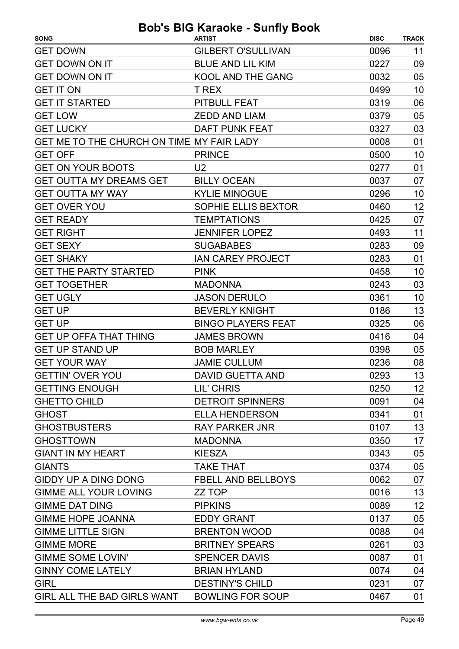| <b>GET DOWN</b><br><b>GILBERT O'SULLIVAN</b><br>0096<br>11<br><b>GET DOWN ON IT</b><br><b>BLUE AND LIL KIM</b><br>09<br>0227<br><b>GET DOWN ON IT</b><br><b>KOOL AND THE GANG</b><br>0032<br>05<br><b>GET IT ON</b><br>0499<br>10<br>T REX<br><b>GET IT STARTED</b><br>PITBULL FEAT<br>0319<br>06<br><b>GET LOW</b><br>05<br><b>ZEDD AND LIAM</b><br>0379<br>03<br><b>DAFT PUNK FEAT</b><br><b>GET LUCKY</b><br>0327<br>GET ME TO THE CHURCH ON TIME MY FAIR LADY<br>0008<br>01<br><b>GET OFF</b><br><b>PRINCE</b><br>0500<br>10<br><b>GET ON YOUR BOOTS</b><br>01<br>U <sub>2</sub><br>0277<br><b>GET OUTTA MY DREAMS GET</b><br><b>BILLY OCEAN</b><br>07<br>0037<br><b>GET OUTTA MY WAY</b><br><b>KYLIE MINOGUE</b><br>0296<br>10<br>12<br><b>GET OVER YOU</b><br><b>SOPHIE ELLIS BEXTOR</b><br>0460<br><b>GET READY</b><br><b>TEMPTATIONS</b><br>0425<br>07<br><b>JENNIFER LOPEZ</b><br>0493<br>11<br><b>GET RIGHT</b><br><b>GET SEXY</b><br><b>SUGABABES</b><br>0283<br>09<br><b>IAN CAREY PROJECT</b><br>0283<br>01<br><b>GET SHAKY</b><br><b>GET THE PARTY STARTED</b><br><b>PINK</b><br>0458<br>10<br><b>GET TOGETHER</b><br>03<br><b>MADONNA</b><br>0243<br><b>GET UGLY</b><br><b>JASON DERULO</b><br>0361<br>10<br>13<br><b>GET UP</b><br><b>BEVERLY KNIGHT</b><br>0186<br><b>GET UP</b><br>0325<br>06<br><b>BINGO PLAYERS FEAT</b><br><b>GET UP OFFA THAT THING</b><br>0416<br>04<br><b>JAMES BROWN</b><br><b>GET UP STAND UP</b><br><b>BOB MARLEY</b><br>0398<br>05<br><b>GET YOUR WAY</b><br><b>JAMIE CULLUM</b><br>0236<br>08<br><b>GETTIN' OVER YOU</b><br>0293<br>13<br>DAVID GUETTA AND<br><b>GETTING ENOUGH</b><br>LIL' CHRIS<br>0250<br>12<br>04<br><b>DETROIT SPINNERS</b><br><b>GHETTO CHILD</b><br>0091<br><b>ELLA HENDERSON</b><br>0341<br>01<br><b>GHOST</b><br>13<br><b>GHOSTBUSTERS</b><br><b>RAY PARKER JNR</b><br>0107<br>17<br><b>GHOSTTOWN</b><br><b>MADONNA</b><br>0350<br><b>GIANT IN MY HEART</b><br><b>KIESZA</b><br>05<br>0343<br>05<br><b>TAKE THAT</b><br><b>GIANTS</b><br>0374<br>07<br><b>GIDDY UP A DING DONG</b><br><b>FBELL AND BELLBOYS</b><br>0062<br>13<br><b>GIMME ALL YOUR LOVING</b><br>ZZ TOP<br>0016<br>12<br><b>GIMME DAT DING</b><br>0089<br><b>PIPKINS</b><br><b>GIMME HOPE JOANNA</b><br><b>EDDY GRANT</b><br>0137<br>05<br>04<br><b>GIMME LITTLE SIGN</b><br><b>BRENTON WOOD</b><br>0088<br><b>GIMME MORE</b><br>0261<br>03<br><b>BRITNEY SPEARS</b><br><b>GIMME SOME LOVIN'</b><br><b>SPENCER DAVIS</b><br>01<br>0087 | <b>SONG</b>              | <b>ARTIST</b>       | <b>DISC</b> | <b>TRACK</b> |
|------------------------------------------------------------------------------------------------------------------------------------------------------------------------------------------------------------------------------------------------------------------------------------------------------------------------------------------------------------------------------------------------------------------------------------------------------------------------------------------------------------------------------------------------------------------------------------------------------------------------------------------------------------------------------------------------------------------------------------------------------------------------------------------------------------------------------------------------------------------------------------------------------------------------------------------------------------------------------------------------------------------------------------------------------------------------------------------------------------------------------------------------------------------------------------------------------------------------------------------------------------------------------------------------------------------------------------------------------------------------------------------------------------------------------------------------------------------------------------------------------------------------------------------------------------------------------------------------------------------------------------------------------------------------------------------------------------------------------------------------------------------------------------------------------------------------------------------------------------------------------------------------------------------------------------------------------------------------------------------------------------------------------------------------------------------------------------------------------------------------------------------------------------------------------------------------------------------------------------------------------------------------------------------------------------------------------------------------------------------------------------------------------------------------------------------------------------------------------|--------------------------|---------------------|-------------|--------------|
|                                                                                                                                                                                                                                                                                                                                                                                                                                                                                                                                                                                                                                                                                                                                                                                                                                                                                                                                                                                                                                                                                                                                                                                                                                                                                                                                                                                                                                                                                                                                                                                                                                                                                                                                                                                                                                                                                                                                                                                                                                                                                                                                                                                                                                                                                                                                                                                                                                                                              |                          |                     |             |              |
|                                                                                                                                                                                                                                                                                                                                                                                                                                                                                                                                                                                                                                                                                                                                                                                                                                                                                                                                                                                                                                                                                                                                                                                                                                                                                                                                                                                                                                                                                                                                                                                                                                                                                                                                                                                                                                                                                                                                                                                                                                                                                                                                                                                                                                                                                                                                                                                                                                                                              |                          |                     |             |              |
|                                                                                                                                                                                                                                                                                                                                                                                                                                                                                                                                                                                                                                                                                                                                                                                                                                                                                                                                                                                                                                                                                                                                                                                                                                                                                                                                                                                                                                                                                                                                                                                                                                                                                                                                                                                                                                                                                                                                                                                                                                                                                                                                                                                                                                                                                                                                                                                                                                                                              |                          |                     |             |              |
|                                                                                                                                                                                                                                                                                                                                                                                                                                                                                                                                                                                                                                                                                                                                                                                                                                                                                                                                                                                                                                                                                                                                                                                                                                                                                                                                                                                                                                                                                                                                                                                                                                                                                                                                                                                                                                                                                                                                                                                                                                                                                                                                                                                                                                                                                                                                                                                                                                                                              |                          |                     |             |              |
|                                                                                                                                                                                                                                                                                                                                                                                                                                                                                                                                                                                                                                                                                                                                                                                                                                                                                                                                                                                                                                                                                                                                                                                                                                                                                                                                                                                                                                                                                                                                                                                                                                                                                                                                                                                                                                                                                                                                                                                                                                                                                                                                                                                                                                                                                                                                                                                                                                                                              |                          |                     |             |              |
|                                                                                                                                                                                                                                                                                                                                                                                                                                                                                                                                                                                                                                                                                                                                                                                                                                                                                                                                                                                                                                                                                                                                                                                                                                                                                                                                                                                                                                                                                                                                                                                                                                                                                                                                                                                                                                                                                                                                                                                                                                                                                                                                                                                                                                                                                                                                                                                                                                                                              |                          |                     |             |              |
|                                                                                                                                                                                                                                                                                                                                                                                                                                                                                                                                                                                                                                                                                                                                                                                                                                                                                                                                                                                                                                                                                                                                                                                                                                                                                                                                                                                                                                                                                                                                                                                                                                                                                                                                                                                                                                                                                                                                                                                                                                                                                                                                                                                                                                                                                                                                                                                                                                                                              |                          |                     |             |              |
|                                                                                                                                                                                                                                                                                                                                                                                                                                                                                                                                                                                                                                                                                                                                                                                                                                                                                                                                                                                                                                                                                                                                                                                                                                                                                                                                                                                                                                                                                                                                                                                                                                                                                                                                                                                                                                                                                                                                                                                                                                                                                                                                                                                                                                                                                                                                                                                                                                                                              |                          |                     |             |              |
|                                                                                                                                                                                                                                                                                                                                                                                                                                                                                                                                                                                                                                                                                                                                                                                                                                                                                                                                                                                                                                                                                                                                                                                                                                                                                                                                                                                                                                                                                                                                                                                                                                                                                                                                                                                                                                                                                                                                                                                                                                                                                                                                                                                                                                                                                                                                                                                                                                                                              |                          |                     |             |              |
|                                                                                                                                                                                                                                                                                                                                                                                                                                                                                                                                                                                                                                                                                                                                                                                                                                                                                                                                                                                                                                                                                                                                                                                                                                                                                                                                                                                                                                                                                                                                                                                                                                                                                                                                                                                                                                                                                                                                                                                                                                                                                                                                                                                                                                                                                                                                                                                                                                                                              |                          |                     |             |              |
|                                                                                                                                                                                                                                                                                                                                                                                                                                                                                                                                                                                                                                                                                                                                                                                                                                                                                                                                                                                                                                                                                                                                                                                                                                                                                                                                                                                                                                                                                                                                                                                                                                                                                                                                                                                                                                                                                                                                                                                                                                                                                                                                                                                                                                                                                                                                                                                                                                                                              |                          |                     |             |              |
|                                                                                                                                                                                                                                                                                                                                                                                                                                                                                                                                                                                                                                                                                                                                                                                                                                                                                                                                                                                                                                                                                                                                                                                                                                                                                                                                                                                                                                                                                                                                                                                                                                                                                                                                                                                                                                                                                                                                                                                                                                                                                                                                                                                                                                                                                                                                                                                                                                                                              |                          |                     |             |              |
|                                                                                                                                                                                                                                                                                                                                                                                                                                                                                                                                                                                                                                                                                                                                                                                                                                                                                                                                                                                                                                                                                                                                                                                                                                                                                                                                                                                                                                                                                                                                                                                                                                                                                                                                                                                                                                                                                                                                                                                                                                                                                                                                                                                                                                                                                                                                                                                                                                                                              |                          |                     |             |              |
|                                                                                                                                                                                                                                                                                                                                                                                                                                                                                                                                                                                                                                                                                                                                                                                                                                                                                                                                                                                                                                                                                                                                                                                                                                                                                                                                                                                                                                                                                                                                                                                                                                                                                                                                                                                                                                                                                                                                                                                                                                                                                                                                                                                                                                                                                                                                                                                                                                                                              |                          |                     |             |              |
|                                                                                                                                                                                                                                                                                                                                                                                                                                                                                                                                                                                                                                                                                                                                                                                                                                                                                                                                                                                                                                                                                                                                                                                                                                                                                                                                                                                                                                                                                                                                                                                                                                                                                                                                                                                                                                                                                                                                                                                                                                                                                                                                                                                                                                                                                                                                                                                                                                                                              |                          |                     |             |              |
|                                                                                                                                                                                                                                                                                                                                                                                                                                                                                                                                                                                                                                                                                                                                                                                                                                                                                                                                                                                                                                                                                                                                                                                                                                                                                                                                                                                                                                                                                                                                                                                                                                                                                                                                                                                                                                                                                                                                                                                                                                                                                                                                                                                                                                                                                                                                                                                                                                                                              |                          |                     |             |              |
|                                                                                                                                                                                                                                                                                                                                                                                                                                                                                                                                                                                                                                                                                                                                                                                                                                                                                                                                                                                                                                                                                                                                                                                                                                                                                                                                                                                                                                                                                                                                                                                                                                                                                                                                                                                                                                                                                                                                                                                                                                                                                                                                                                                                                                                                                                                                                                                                                                                                              |                          |                     |             |              |
|                                                                                                                                                                                                                                                                                                                                                                                                                                                                                                                                                                                                                                                                                                                                                                                                                                                                                                                                                                                                                                                                                                                                                                                                                                                                                                                                                                                                                                                                                                                                                                                                                                                                                                                                                                                                                                                                                                                                                                                                                                                                                                                                                                                                                                                                                                                                                                                                                                                                              |                          |                     |             |              |
|                                                                                                                                                                                                                                                                                                                                                                                                                                                                                                                                                                                                                                                                                                                                                                                                                                                                                                                                                                                                                                                                                                                                                                                                                                                                                                                                                                                                                                                                                                                                                                                                                                                                                                                                                                                                                                                                                                                                                                                                                                                                                                                                                                                                                                                                                                                                                                                                                                                                              |                          |                     |             |              |
|                                                                                                                                                                                                                                                                                                                                                                                                                                                                                                                                                                                                                                                                                                                                                                                                                                                                                                                                                                                                                                                                                                                                                                                                                                                                                                                                                                                                                                                                                                                                                                                                                                                                                                                                                                                                                                                                                                                                                                                                                                                                                                                                                                                                                                                                                                                                                                                                                                                                              |                          |                     |             |              |
|                                                                                                                                                                                                                                                                                                                                                                                                                                                                                                                                                                                                                                                                                                                                                                                                                                                                                                                                                                                                                                                                                                                                                                                                                                                                                                                                                                                                                                                                                                                                                                                                                                                                                                                                                                                                                                                                                                                                                                                                                                                                                                                                                                                                                                                                                                                                                                                                                                                                              |                          |                     |             |              |
|                                                                                                                                                                                                                                                                                                                                                                                                                                                                                                                                                                                                                                                                                                                                                                                                                                                                                                                                                                                                                                                                                                                                                                                                                                                                                                                                                                                                                                                                                                                                                                                                                                                                                                                                                                                                                                                                                                                                                                                                                                                                                                                                                                                                                                                                                                                                                                                                                                                                              |                          |                     |             |              |
|                                                                                                                                                                                                                                                                                                                                                                                                                                                                                                                                                                                                                                                                                                                                                                                                                                                                                                                                                                                                                                                                                                                                                                                                                                                                                                                                                                                                                                                                                                                                                                                                                                                                                                                                                                                                                                                                                                                                                                                                                                                                                                                                                                                                                                                                                                                                                                                                                                                                              |                          |                     |             |              |
|                                                                                                                                                                                                                                                                                                                                                                                                                                                                                                                                                                                                                                                                                                                                                                                                                                                                                                                                                                                                                                                                                                                                                                                                                                                                                                                                                                                                                                                                                                                                                                                                                                                                                                                                                                                                                                                                                                                                                                                                                                                                                                                                                                                                                                                                                                                                                                                                                                                                              |                          |                     |             |              |
|                                                                                                                                                                                                                                                                                                                                                                                                                                                                                                                                                                                                                                                                                                                                                                                                                                                                                                                                                                                                                                                                                                                                                                                                                                                                                                                                                                                                                                                                                                                                                                                                                                                                                                                                                                                                                                                                                                                                                                                                                                                                                                                                                                                                                                                                                                                                                                                                                                                                              |                          |                     |             |              |
|                                                                                                                                                                                                                                                                                                                                                                                                                                                                                                                                                                                                                                                                                                                                                                                                                                                                                                                                                                                                                                                                                                                                                                                                                                                                                                                                                                                                                                                                                                                                                                                                                                                                                                                                                                                                                                                                                                                                                                                                                                                                                                                                                                                                                                                                                                                                                                                                                                                                              |                          |                     |             |              |
|                                                                                                                                                                                                                                                                                                                                                                                                                                                                                                                                                                                                                                                                                                                                                                                                                                                                                                                                                                                                                                                                                                                                                                                                                                                                                                                                                                                                                                                                                                                                                                                                                                                                                                                                                                                                                                                                                                                                                                                                                                                                                                                                                                                                                                                                                                                                                                                                                                                                              |                          |                     |             |              |
|                                                                                                                                                                                                                                                                                                                                                                                                                                                                                                                                                                                                                                                                                                                                                                                                                                                                                                                                                                                                                                                                                                                                                                                                                                                                                                                                                                                                                                                                                                                                                                                                                                                                                                                                                                                                                                                                                                                                                                                                                                                                                                                                                                                                                                                                                                                                                                                                                                                                              |                          |                     |             |              |
|                                                                                                                                                                                                                                                                                                                                                                                                                                                                                                                                                                                                                                                                                                                                                                                                                                                                                                                                                                                                                                                                                                                                                                                                                                                                                                                                                                                                                                                                                                                                                                                                                                                                                                                                                                                                                                                                                                                                                                                                                                                                                                                                                                                                                                                                                                                                                                                                                                                                              |                          |                     |             |              |
|                                                                                                                                                                                                                                                                                                                                                                                                                                                                                                                                                                                                                                                                                                                                                                                                                                                                                                                                                                                                                                                                                                                                                                                                                                                                                                                                                                                                                                                                                                                                                                                                                                                                                                                                                                                                                                                                                                                                                                                                                                                                                                                                                                                                                                                                                                                                                                                                                                                                              |                          |                     |             |              |
|                                                                                                                                                                                                                                                                                                                                                                                                                                                                                                                                                                                                                                                                                                                                                                                                                                                                                                                                                                                                                                                                                                                                                                                                                                                                                                                                                                                                                                                                                                                                                                                                                                                                                                                                                                                                                                                                                                                                                                                                                                                                                                                                                                                                                                                                                                                                                                                                                                                                              |                          |                     |             |              |
|                                                                                                                                                                                                                                                                                                                                                                                                                                                                                                                                                                                                                                                                                                                                                                                                                                                                                                                                                                                                                                                                                                                                                                                                                                                                                                                                                                                                                                                                                                                                                                                                                                                                                                                                                                                                                                                                                                                                                                                                                                                                                                                                                                                                                                                                                                                                                                                                                                                                              |                          |                     |             |              |
|                                                                                                                                                                                                                                                                                                                                                                                                                                                                                                                                                                                                                                                                                                                                                                                                                                                                                                                                                                                                                                                                                                                                                                                                                                                                                                                                                                                                                                                                                                                                                                                                                                                                                                                                                                                                                                                                                                                                                                                                                                                                                                                                                                                                                                                                                                                                                                                                                                                                              |                          |                     |             |              |
|                                                                                                                                                                                                                                                                                                                                                                                                                                                                                                                                                                                                                                                                                                                                                                                                                                                                                                                                                                                                                                                                                                                                                                                                                                                                                                                                                                                                                                                                                                                                                                                                                                                                                                                                                                                                                                                                                                                                                                                                                                                                                                                                                                                                                                                                                                                                                                                                                                                                              |                          |                     |             |              |
|                                                                                                                                                                                                                                                                                                                                                                                                                                                                                                                                                                                                                                                                                                                                                                                                                                                                                                                                                                                                                                                                                                                                                                                                                                                                                                                                                                                                                                                                                                                                                                                                                                                                                                                                                                                                                                                                                                                                                                                                                                                                                                                                                                                                                                                                                                                                                                                                                                                                              |                          |                     |             |              |
|                                                                                                                                                                                                                                                                                                                                                                                                                                                                                                                                                                                                                                                                                                                                                                                                                                                                                                                                                                                                                                                                                                                                                                                                                                                                                                                                                                                                                                                                                                                                                                                                                                                                                                                                                                                                                                                                                                                                                                                                                                                                                                                                                                                                                                                                                                                                                                                                                                                                              |                          |                     |             |              |
|                                                                                                                                                                                                                                                                                                                                                                                                                                                                                                                                                                                                                                                                                                                                                                                                                                                                                                                                                                                                                                                                                                                                                                                                                                                                                                                                                                                                                                                                                                                                                                                                                                                                                                                                                                                                                                                                                                                                                                                                                                                                                                                                                                                                                                                                                                                                                                                                                                                                              |                          |                     |             |              |
|                                                                                                                                                                                                                                                                                                                                                                                                                                                                                                                                                                                                                                                                                                                                                                                                                                                                                                                                                                                                                                                                                                                                                                                                                                                                                                                                                                                                                                                                                                                                                                                                                                                                                                                                                                                                                                                                                                                                                                                                                                                                                                                                                                                                                                                                                                                                                                                                                                                                              |                          |                     |             |              |
|                                                                                                                                                                                                                                                                                                                                                                                                                                                                                                                                                                                                                                                                                                                                                                                                                                                                                                                                                                                                                                                                                                                                                                                                                                                                                                                                                                                                                                                                                                                                                                                                                                                                                                                                                                                                                                                                                                                                                                                                                                                                                                                                                                                                                                                                                                                                                                                                                                                                              |                          |                     |             |              |
|                                                                                                                                                                                                                                                                                                                                                                                                                                                                                                                                                                                                                                                                                                                                                                                                                                                                                                                                                                                                                                                                                                                                                                                                                                                                                                                                                                                                                                                                                                                                                                                                                                                                                                                                                                                                                                                                                                                                                                                                                                                                                                                                                                                                                                                                                                                                                                                                                                                                              |                          |                     |             |              |
|                                                                                                                                                                                                                                                                                                                                                                                                                                                                                                                                                                                                                                                                                                                                                                                                                                                                                                                                                                                                                                                                                                                                                                                                                                                                                                                                                                                                                                                                                                                                                                                                                                                                                                                                                                                                                                                                                                                                                                                                                                                                                                                                                                                                                                                                                                                                                                                                                                                                              | <b>GINNY COME LATELY</b> | <b>BRIAN HYLAND</b> | 0074        | 04           |
| <b>DESTINY'S CHILD</b><br>07<br><b>GIRL</b><br>0231                                                                                                                                                                                                                                                                                                                                                                                                                                                                                                                                                                                                                                                                                                                                                                                                                                                                                                                                                                                                                                                                                                                                                                                                                                                                                                                                                                                                                                                                                                                                                                                                                                                                                                                                                                                                                                                                                                                                                                                                                                                                                                                                                                                                                                                                                                                                                                                                                          |                          |                     |             |              |
| GIRL ALL THE BAD GIRLS WANT BOWLING FOR SOUP<br>01<br>0467                                                                                                                                                                                                                                                                                                                                                                                                                                                                                                                                                                                                                                                                                                                                                                                                                                                                                                                                                                                                                                                                                                                                                                                                                                                                                                                                                                                                                                                                                                                                                                                                                                                                                                                                                                                                                                                                                                                                                                                                                                                                                                                                                                                                                                                                                                                                                                                                                   |                          |                     |             |              |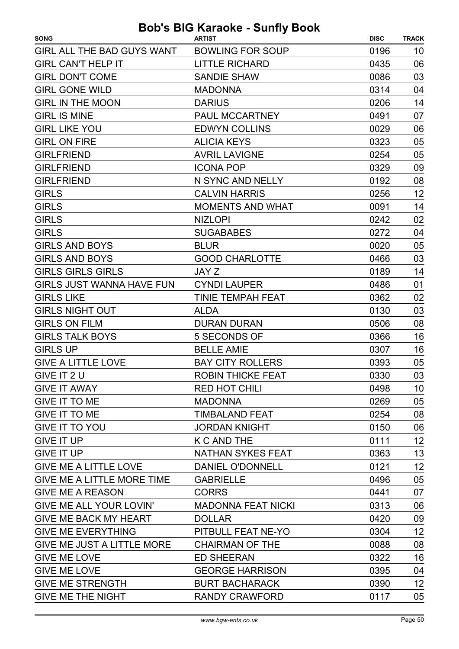| <b>SONG</b>                       | <b>Bob's BIG Karaoke - Sunfly Book</b><br><b>ARTIST</b> | <b>DISC</b> | <b>TRACK</b> |
|-----------------------------------|---------------------------------------------------------|-------------|--------------|
| <b>GIRL ALL THE BAD GUYS WANT</b> | <b>BOWLING FOR SOUP</b>                                 | 0196        | 10           |
| <b>GIRL CAN'T HELP IT</b>         | <b>LITTLE RICHARD</b>                                   | 0435        | 06           |
| <b>GIRL DON'T COME</b>            | <b>SANDIE SHAW</b>                                      | 0086        | 03           |
| <b>GIRL GONE WILD</b>             | <b>MADONNA</b>                                          | 0314        | 04           |
| <b>GIRL IN THE MOON</b>           | <b>DARIUS</b>                                           | 0206        | 14           |
| <b>GIRL IS MINE</b>               | <b>PAUL MCCARTNEY</b>                                   | 0491        | 07           |
| <b>GIRL LIKE YOU</b>              | <b>EDWYN COLLINS</b>                                    | 0029        | 06           |
| <b>GIRL ON FIRE</b>               | <b>ALICIA KEYS</b>                                      | 0323        | 05           |
| <b>GIRLFRIEND</b>                 | <b>AVRIL LAVIGNE</b>                                    | 0254        | 05           |
| <b>GIRLFRIEND</b>                 | <b>ICONA POP</b>                                        | 0329        | 09           |
| <b>GIRLFRIEND</b>                 | N SYNC AND NELLY                                        | 0192        | 08           |
| <b>GIRLS</b>                      | <b>CALVIN HARRIS</b>                                    | 0256        | 12           |
| <b>GIRLS</b>                      | <b>MOMENTS AND WHAT</b>                                 | 0091        | 14           |
| <b>GIRLS</b>                      | <b>NIZLOPI</b>                                          | 0242        | 02           |
| <b>GIRLS</b>                      | <b>SUGABABES</b>                                        | 0272        | 04           |
| <b>GIRLS AND BOYS</b>             | <b>BLUR</b>                                             | 0020        | 05           |
| <b>GIRLS AND BOYS</b>             | <b>GOOD CHARLOTTE</b>                                   | 0466        | 03           |
| <b>GIRLS GIRLS GIRLS</b>          | JAY Z                                                   | 0189        | 14           |
| <b>GIRLS JUST WANNA HAVE FUN</b>  | <b>CYNDI LAUPER</b>                                     | 0486        | 01           |
| <b>GIRLS LIKE</b>                 | <b>TINIE TEMPAH FEAT</b>                                | 0362        | 02           |
| <b>GIRLS NIGHT OUT</b>            | <b>ALDA</b>                                             | 0130        | 03           |
| <b>GIRLS ON FILM</b>              | <b>DURAN DURAN</b>                                      | 0506        | 08           |
| <b>GIRLS TALK BOYS</b>            | 5 SECONDS OF                                            | 0366        | 16           |
| <b>GIRLS UP</b>                   | <b>BELLE AMIE</b>                                       | 0307        | 16           |
| <b>GIVE A LITTLE LOVE</b>         | <b>BAY CITY ROLLERS</b>                                 | 0393        | 05           |
| GIVE IT 2 U                       | <b>ROBIN THICKE FEAT</b>                                | 0330        | 03           |
| <b>GIVE IT AWAY</b>               | <b>RED HOT CHILI</b>                                    | 0498        | 10           |
| <b>GIVE IT TO ME</b>              | <b>MADONNA</b>                                          | 0269        | 05           |
| <b>GIVE IT TO ME</b>              | <b>TIMBALAND FEAT</b>                                   | 0254        | 08           |
| <b>GIVE IT TO YOU</b>             | <b>JORDAN KNIGHT</b>                                    | 0150        | 06           |
| <b>GIVE IT UP</b>                 | K C AND THE                                             | 0111        | 12           |
| <b>GIVE IT UP</b>                 | NATHAN SYKES FEAT                                       | 0363        | 13           |
| <b>GIVE ME A LITTLE LOVE</b>      | <b>DANIEL O'DONNELL</b>                                 | 0121        | 12           |
| GIVE ME A LITTLE MORE TIME        | <b>GABRIELLE</b>                                        | 0496        | 05           |
| <b>GIVE ME A REASON</b>           | <b>CORRS</b>                                            | 0441        | 07           |
| GIVE ME ALL YOUR LOVIN'           | <b>MADONNA FEAT NICKI</b>                               | 0313        | 06           |
| <b>GIVE ME BACK MY HEART</b>      | <b>DOLLAR</b>                                           | 0420        | 09           |
| <b>GIVE ME EVERYTHING</b>         | PITBULL FEAT NE-YO                                      | 0304        | 12           |
| GIVE ME JUST A LITTLE MORE        | <b>CHAIRMAN OF THE</b>                                  | 0088        | 08           |
| <b>GIVE ME LOVE</b>               | <b>ED SHEERAN</b>                                       | 0322        | 16           |
| <b>GIVE ME LOVE</b>               | <b>GEORGE HARRISON</b>                                  | 0395        | 04           |
| <b>GIVE ME STRENGTH</b>           | <b>BURT BACHARACK</b>                                   | 0390        | 12           |
| <b>GIVE ME THE NIGHT</b>          | <b>RANDY CRAWFORD</b>                                   | 0117        | 05           |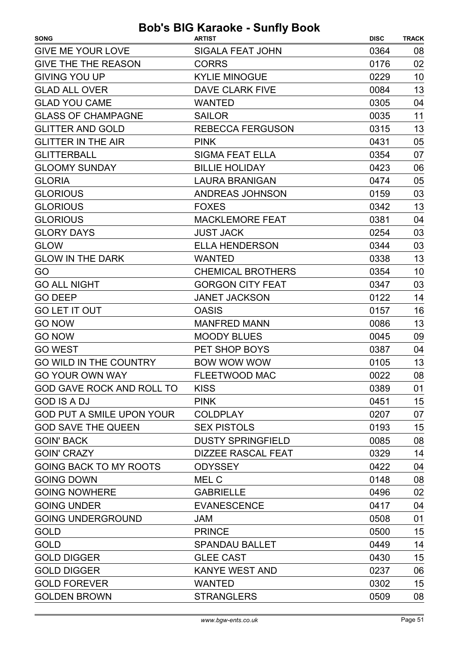| <b>SIGALA FEAT JOHN</b><br>0364<br>08<br>02<br><b>CORRS</b><br>0176<br><b>KYLIE MINOGUE</b><br>10<br>0229<br>13<br><b>DAVE CLARK FIVE</b><br>0084<br>04<br><b>WANTED</b><br>0305<br>0035<br>11<br><b>SAILOR</b><br>13<br><b>REBECCA FERGUSON</b><br>0315<br>05<br><b>PINK</b><br>0431<br>07<br><b>SIGMA FEAT ELLA</b><br>0354<br><b>BILLIE HOLIDAY</b><br>06<br>0423<br>05<br><b>LAURA BRANIGAN</b><br>0474<br>03<br><b>ANDREAS JOHNSON</b><br>0159<br>13<br><b>FOXES</b><br>0342<br><b>MACKLEMORE FEAT</b><br>04<br>0381<br><b>JUST JACK</b><br>03<br>0254<br>03<br>0344<br><b>ELLA HENDERSON</b><br>13<br><b>WANTED</b><br>0338<br>0354<br>10<br>GO<br><b>CHEMICAL BROTHERS</b><br><b>GORGON CITY FEAT</b><br>03<br>0347<br><b>JANET JACKSON</b><br>0122<br>14<br>16<br><b>OASIS</b><br>0157<br>13<br>0086<br><b>MANFRED MANN</b><br><b>MOODY BLUES</b><br>09<br>0045<br>PET SHOP BOYS<br>0387<br>04<br>13<br><b>BOW WOW WOW</b><br>0105<br>0022<br>08<br><b>FLEETWOOD MAC</b><br><b>KISS</b><br>0389<br>01<br>15<br><b>PINK</b><br>0451<br>0207<br>07<br><b>COLDPLAY</b><br>15<br><b>SEX PISTOLS</b><br>0193<br><b>DUSTY SPRINGFIELD</b><br>08<br>0085 | <b>SONG</b>                      | <b>ARTIST</b>             | <b>DISC</b> | <b>TRACK</b> |
|-----------------------------------------------------------------------------------------------------------------------------------------------------------------------------------------------------------------------------------------------------------------------------------------------------------------------------------------------------------------------------------------------------------------------------------------------------------------------------------------------------------------------------------------------------------------------------------------------------------------------------------------------------------------------------------------------------------------------------------------------------------------------------------------------------------------------------------------------------------------------------------------------------------------------------------------------------------------------------------------------------------------------------------------------------------------------------------------------------------------------------------------------------------|----------------------------------|---------------------------|-------------|--------------|
|                                                                                                                                                                                                                                                                                                                                                                                                                                                                                                                                                                                                                                                                                                                                                                                                                                                                                                                                                                                                                                                                                                                                                           | <b>GIVE ME YOUR LOVE</b>         |                           |             |              |
|                                                                                                                                                                                                                                                                                                                                                                                                                                                                                                                                                                                                                                                                                                                                                                                                                                                                                                                                                                                                                                                                                                                                                           | <b>GIVE THE THE REASON</b>       |                           |             |              |
|                                                                                                                                                                                                                                                                                                                                                                                                                                                                                                                                                                                                                                                                                                                                                                                                                                                                                                                                                                                                                                                                                                                                                           | <b>GIVING YOU UP</b>             |                           |             |              |
|                                                                                                                                                                                                                                                                                                                                                                                                                                                                                                                                                                                                                                                                                                                                                                                                                                                                                                                                                                                                                                                                                                                                                           | <b>GLAD ALL OVER</b>             |                           |             |              |
|                                                                                                                                                                                                                                                                                                                                                                                                                                                                                                                                                                                                                                                                                                                                                                                                                                                                                                                                                                                                                                                                                                                                                           | <b>GLAD YOU CAME</b>             |                           |             |              |
|                                                                                                                                                                                                                                                                                                                                                                                                                                                                                                                                                                                                                                                                                                                                                                                                                                                                                                                                                                                                                                                                                                                                                           | <b>GLASS OF CHAMPAGNE</b>        |                           |             |              |
|                                                                                                                                                                                                                                                                                                                                                                                                                                                                                                                                                                                                                                                                                                                                                                                                                                                                                                                                                                                                                                                                                                                                                           | <b>GLITTER AND GOLD</b>          |                           |             |              |
|                                                                                                                                                                                                                                                                                                                                                                                                                                                                                                                                                                                                                                                                                                                                                                                                                                                                                                                                                                                                                                                                                                                                                           | <b>GLITTER IN THE AIR</b>        |                           |             |              |
|                                                                                                                                                                                                                                                                                                                                                                                                                                                                                                                                                                                                                                                                                                                                                                                                                                                                                                                                                                                                                                                                                                                                                           | <b>GLITTERBALL</b>               |                           |             |              |
|                                                                                                                                                                                                                                                                                                                                                                                                                                                                                                                                                                                                                                                                                                                                                                                                                                                                                                                                                                                                                                                                                                                                                           | <b>GLOOMY SUNDAY</b>             |                           |             |              |
|                                                                                                                                                                                                                                                                                                                                                                                                                                                                                                                                                                                                                                                                                                                                                                                                                                                                                                                                                                                                                                                                                                                                                           | <b>GLORIA</b>                    |                           |             |              |
|                                                                                                                                                                                                                                                                                                                                                                                                                                                                                                                                                                                                                                                                                                                                                                                                                                                                                                                                                                                                                                                                                                                                                           | <b>GLORIOUS</b>                  |                           |             |              |
|                                                                                                                                                                                                                                                                                                                                                                                                                                                                                                                                                                                                                                                                                                                                                                                                                                                                                                                                                                                                                                                                                                                                                           | <b>GLORIOUS</b>                  |                           |             |              |
|                                                                                                                                                                                                                                                                                                                                                                                                                                                                                                                                                                                                                                                                                                                                                                                                                                                                                                                                                                                                                                                                                                                                                           | <b>GLORIOUS</b>                  |                           |             |              |
|                                                                                                                                                                                                                                                                                                                                                                                                                                                                                                                                                                                                                                                                                                                                                                                                                                                                                                                                                                                                                                                                                                                                                           | <b>GLORY DAYS</b>                |                           |             |              |
|                                                                                                                                                                                                                                                                                                                                                                                                                                                                                                                                                                                                                                                                                                                                                                                                                                                                                                                                                                                                                                                                                                                                                           | <b>GLOW</b>                      |                           |             |              |
|                                                                                                                                                                                                                                                                                                                                                                                                                                                                                                                                                                                                                                                                                                                                                                                                                                                                                                                                                                                                                                                                                                                                                           | <b>GLOW IN THE DARK</b>          |                           |             |              |
|                                                                                                                                                                                                                                                                                                                                                                                                                                                                                                                                                                                                                                                                                                                                                                                                                                                                                                                                                                                                                                                                                                                                                           |                                  |                           |             |              |
|                                                                                                                                                                                                                                                                                                                                                                                                                                                                                                                                                                                                                                                                                                                                                                                                                                                                                                                                                                                                                                                                                                                                                           | <b>GO ALL NIGHT</b>              |                           |             |              |
|                                                                                                                                                                                                                                                                                                                                                                                                                                                                                                                                                                                                                                                                                                                                                                                                                                                                                                                                                                                                                                                                                                                                                           | <b>GO DEEP</b>                   |                           |             |              |
|                                                                                                                                                                                                                                                                                                                                                                                                                                                                                                                                                                                                                                                                                                                                                                                                                                                                                                                                                                                                                                                                                                                                                           | <b>GO LET IT OUT</b>             |                           |             |              |
|                                                                                                                                                                                                                                                                                                                                                                                                                                                                                                                                                                                                                                                                                                                                                                                                                                                                                                                                                                                                                                                                                                                                                           | <b>GO NOW</b>                    |                           |             |              |
|                                                                                                                                                                                                                                                                                                                                                                                                                                                                                                                                                                                                                                                                                                                                                                                                                                                                                                                                                                                                                                                                                                                                                           | <b>GO NOW</b>                    |                           |             |              |
|                                                                                                                                                                                                                                                                                                                                                                                                                                                                                                                                                                                                                                                                                                                                                                                                                                                                                                                                                                                                                                                                                                                                                           | <b>GO WEST</b>                   |                           |             |              |
|                                                                                                                                                                                                                                                                                                                                                                                                                                                                                                                                                                                                                                                                                                                                                                                                                                                                                                                                                                                                                                                                                                                                                           | <b>GO WILD IN THE COUNTRY</b>    |                           |             |              |
|                                                                                                                                                                                                                                                                                                                                                                                                                                                                                                                                                                                                                                                                                                                                                                                                                                                                                                                                                                                                                                                                                                                                                           | <b>GO YOUR OWN WAY</b>           |                           |             |              |
|                                                                                                                                                                                                                                                                                                                                                                                                                                                                                                                                                                                                                                                                                                                                                                                                                                                                                                                                                                                                                                                                                                                                                           | <b>GOD GAVE ROCK AND ROLL TO</b> |                           |             |              |
|                                                                                                                                                                                                                                                                                                                                                                                                                                                                                                                                                                                                                                                                                                                                                                                                                                                                                                                                                                                                                                                                                                                                                           | <b>GOD IS A DJ</b>               |                           |             |              |
|                                                                                                                                                                                                                                                                                                                                                                                                                                                                                                                                                                                                                                                                                                                                                                                                                                                                                                                                                                                                                                                                                                                                                           | <b>GOD PUT A SMILE UPON YOUR</b> |                           |             |              |
|                                                                                                                                                                                                                                                                                                                                                                                                                                                                                                                                                                                                                                                                                                                                                                                                                                                                                                                                                                                                                                                                                                                                                           | <b>GOD SAVE THE QUEEN</b>        |                           |             |              |
|                                                                                                                                                                                                                                                                                                                                                                                                                                                                                                                                                                                                                                                                                                                                                                                                                                                                                                                                                                                                                                                                                                                                                           | <b>GOIN' BACK</b>                |                           |             |              |
|                                                                                                                                                                                                                                                                                                                                                                                                                                                                                                                                                                                                                                                                                                                                                                                                                                                                                                                                                                                                                                                                                                                                                           | <b>GOIN' CRAZY</b>               | <b>DIZZEE RASCAL FEAT</b> | 0329        | 14           |
| <b>ODYSSEY</b><br>0422<br>04                                                                                                                                                                                                                                                                                                                                                                                                                                                                                                                                                                                                                                                                                                                                                                                                                                                                                                                                                                                                                                                                                                                              | <b>GOING BACK TO MY ROOTS</b>    |                           |             |              |
| 08<br>MEL C<br>0148                                                                                                                                                                                                                                                                                                                                                                                                                                                                                                                                                                                                                                                                                                                                                                                                                                                                                                                                                                                                                                                                                                                                       | <b>GOING DOWN</b>                |                           |             |              |
| 02<br><b>GABRIELLE</b><br>0496                                                                                                                                                                                                                                                                                                                                                                                                                                                                                                                                                                                                                                                                                                                                                                                                                                                                                                                                                                                                                                                                                                                            | <b>GOING NOWHERE</b>             |                           |             |              |
| 04<br><b>EVANESCENCE</b><br>0417                                                                                                                                                                                                                                                                                                                                                                                                                                                                                                                                                                                                                                                                                                                                                                                                                                                                                                                                                                                                                                                                                                                          | <b>GOING UNDER</b>               |                           |             |              |
| 0508<br>01<br><b>JAM</b>                                                                                                                                                                                                                                                                                                                                                                                                                                                                                                                                                                                                                                                                                                                                                                                                                                                                                                                                                                                                                                                                                                                                  | <b>GOING UNDERGROUND</b>         |                           |             |              |
| 15<br>0500<br><b>PRINCE</b>                                                                                                                                                                                                                                                                                                                                                                                                                                                                                                                                                                                                                                                                                                                                                                                                                                                                                                                                                                                                                                                                                                                               | <b>GOLD</b>                      |                           |             |              |
| 14<br><b>SPANDAU BALLET</b><br>0449                                                                                                                                                                                                                                                                                                                                                                                                                                                                                                                                                                                                                                                                                                                                                                                                                                                                                                                                                                                                                                                                                                                       | <b>GOLD</b>                      |                           |             |              |
| 15<br><b>GLEE CAST</b><br>0430                                                                                                                                                                                                                                                                                                                                                                                                                                                                                                                                                                                                                                                                                                                                                                                                                                                                                                                                                                                                                                                                                                                            | <b>GOLD DIGGER</b>               |                           |             |              |
| <b>KANYE WEST AND</b><br>06<br>0237                                                                                                                                                                                                                                                                                                                                                                                                                                                                                                                                                                                                                                                                                                                                                                                                                                                                                                                                                                                                                                                                                                                       | <b>GOLD DIGGER</b>               |                           |             |              |
| 0302<br>15<br><b>WANTED</b>                                                                                                                                                                                                                                                                                                                                                                                                                                                                                                                                                                                                                                                                                                                                                                                                                                                                                                                                                                                                                                                                                                                               | <b>GOLD FOREVER</b>              |                           |             |              |
| <b>STRANGLERS</b><br>0509<br>08                                                                                                                                                                                                                                                                                                                                                                                                                                                                                                                                                                                                                                                                                                                                                                                                                                                                                                                                                                                                                                                                                                                           | <b>GOLDEN BROWN</b>              |                           |             |              |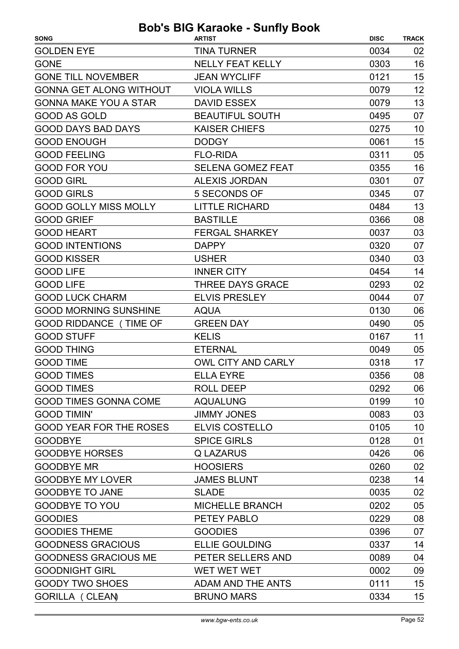| <b>SONG</b>                    | <b>ARTIST</b>            | <b>DISC</b> | <b>TRACK</b> |
|--------------------------------|--------------------------|-------------|--------------|
| <b>GOLDEN EYE</b>              | <b>TINA TURNER</b>       | 0034        | 02           |
| <b>GONE</b>                    | <b>NELLY FEAT KELLY</b>  | 0303        | 16           |
| <b>GONE TILL NOVEMBER</b>      | <b>JEAN WYCLIFF</b>      | 0121        | 15           |
| <b>GONNA GET ALONG WITHOUT</b> | <b>VIOLA WILLS</b>       | 0079        | 12           |
| <b>GONNA MAKE YOU A STAR</b>   | <b>DAVID ESSEX</b>       | 0079        | 13           |
| <b>GOOD AS GOLD</b>            | <b>BEAUTIFUL SOUTH</b>   | 0495        | 07           |
| <b>GOOD DAYS BAD DAYS</b>      | <b>KAISER CHIEFS</b>     | 0275        | 10           |
| <b>GOOD ENOUGH</b>             | <b>DODGY</b>             | 0061        | 15           |
| <b>GOOD FEELING</b>            | <b>FLO-RIDA</b>          | 0311        | 05           |
| <b>GOOD FOR YOU</b>            | <b>SELENA GOMEZ FEAT</b> | 0355        | 16           |
| <b>GOOD GIRL</b>               | <b>ALEXIS JORDAN</b>     | 0301        | 07           |
| <b>GOOD GIRLS</b>              | 5 SECONDS OF             | 0345        | 07           |
| <b>GOOD GOLLY MISS MOLLY</b>   | <b>LITTLE RICHARD</b>    | 0484        | 13           |
| <b>GOOD GRIEF</b>              | <b>BASTILLE</b>          | 0366        | 08           |
| <b>GOOD HEART</b>              | <b>FERGAL SHARKEY</b>    | 0037        | 03           |
| <b>GOOD INTENTIONS</b>         | <b>DAPPY</b>             | 0320        | 07           |
| <b>GOOD KISSER</b>             | <b>USHER</b>             | 0340        | 03           |
| <b>GOOD LIFE</b>               | <b>INNER CITY</b>        | 0454        | 14           |
| <b>GOOD LIFE</b>               | <b>THREE DAYS GRACE</b>  | 0293        | 02           |
| <b>GOOD LUCK CHARM</b>         | <b>ELVIS PRESLEY</b>     | 0044        | 07           |
| <b>GOOD MORNING SUNSHINE</b>   | AQUA                     | 0130        | 06           |
| <b>GOOD RIDDANCE (TIME OF</b>  | <b>GREEN DAY</b>         | 0490        | 05           |
| <b>GOOD STUFF</b>              | <b>KELIS</b>             | 0167        | 11           |
| <b>GOOD THING</b>              | <b>ETERNAL</b>           | 0049        | 05           |
| <b>GOOD TIME</b>               | OWL CITY AND CARLY       | 0318        | 17           |
| <b>GOOD TIMES</b>              | <b>ELLA EYRE</b>         | 0356        | 08           |
| <b>GOOD TIMES</b>              | ROLL DEEP                | 0292        | 06           |
| <b>GOOD TIMES GONNA COME</b>   | <b>AQUALUNG</b>          | 0199        | 10           |
| <b>GOOD TIMIN'</b>             | <b>JIMMY JONES</b>       | 0083        | 03           |
| <b>GOOD YEAR FOR THE ROSES</b> | <b>ELVIS COSTELLO</b>    | 0105        | 10           |
| <b>GOODBYE</b>                 | <b>SPICE GIRLS</b>       | 0128        | 01           |
| <b>GOODBYE HORSES</b>          | <b>Q LAZARUS</b>         | 0426        | 06           |
| <b>GOODBYE MR</b>              | <b>HOOSIERS</b>          | 0260        | 02           |
| <b>GOODBYE MY LOVER</b>        | <b>JAMES BLUNT</b>       | 0238        | 14           |
| <b>GOODBYE TO JANE</b>         | <b>SLADE</b>             | 0035        | 02           |
| <b>GOODBYE TO YOU</b>          | <b>MICHELLE BRANCH</b>   | 0202        | 05           |
| <b>GOODIES</b>                 | PETEY PABLO              | 0229        | 08           |
| <b>GOODIES THEME</b>           | <b>GOODIES</b>           | 0396        | 07           |
| <b>GOODNESS GRACIOUS</b>       | <b>ELLIE GOULDING</b>    | 0337        | 14           |
| <b>GOODNESS GRACIOUS ME</b>    | PETER SELLERS AND        | 0089        | 04           |
| <b>GOODNIGHT GIRL</b>          | WET WET WET              | 0002        | 09           |
| <b>GOODY TWO SHOES</b>         | <b>ADAM AND THE ANTS</b> | 0111        | 15           |
| <b>GORILLA ( CLEAN)</b>        | <b>BRUNO MARS</b>        | 0334        | 15           |
|                                |                          |             |              |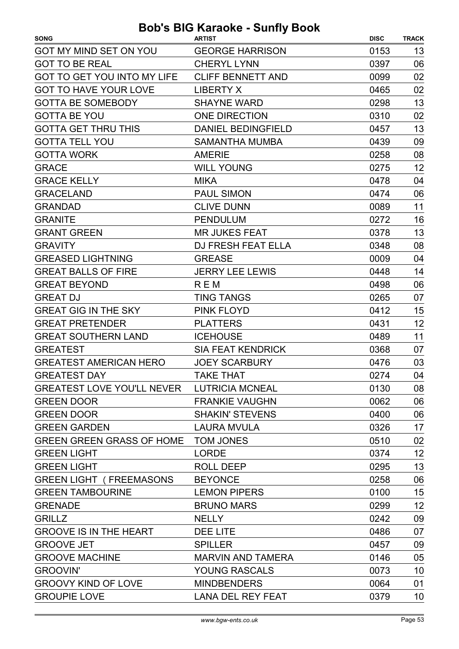| <b>SONG</b>                        | <b>ARTIST</b>             | <b>DISC</b> | <b>TRACK</b> |
|------------------------------------|---------------------------|-------------|--------------|
| <b>GOT MY MIND SET ON YOU</b>      | <b>GEORGE HARRISON</b>    | 0153        | 13           |
| <b>GOT TO BE REAL</b>              | <b>CHERYL LYNN</b>        | 0397        | 06           |
| <b>GOT TO GET YOU INTO MY LIFE</b> | <b>CLIFF BENNETT AND</b>  | 0099        | 02           |
| <b>GOT TO HAVE YOUR LOVE</b>       | <b>LIBERTY X</b>          | 0465        | 02           |
| <b>GOTTA BE SOMEBODY</b>           | <b>SHAYNE WARD</b>        | 0298        | 13           |
| <b>GOTTA BE YOU</b>                | <b>ONE DIRECTION</b>      | 0310        | 02           |
| <b>GOTTA GET THRU THIS</b>         | <b>DANIEL BEDINGFIELD</b> | 0457        | 13           |
| <b>GOTTA TELL YOU</b>              | <b>SAMANTHA MUMBA</b>     | 0439        | 09           |
| <b>GOTTA WORK</b>                  | <b>AMERIE</b>             | 0258        | 08           |
| <b>GRACE</b>                       | <b>WILL YOUNG</b>         | 0275        | 12           |
| <b>GRACE KELLY</b>                 | <b>MIKA</b>               | 0478        | 04           |
| <b>GRACELAND</b>                   | <b>PAUL SIMON</b>         | 0474        | 06           |
| <b>GRANDAD</b>                     | <b>CLIVE DUNN</b>         | 0089        | 11           |
| <b>GRANITE</b>                     | <b>PENDULUM</b>           | 0272        | 16           |
| <b>GRANT GREEN</b>                 | <b>MR JUKES FEAT</b>      | 0378        | 13           |
| <b>GRAVITY</b>                     | <b>DJ FRESH FEAT ELLA</b> | 0348        | 08           |
| <b>GREASED LIGHTNING</b>           | <b>GREASE</b>             | 0009        | 04           |
| <b>GREAT BALLS OF FIRE</b>         | <b>JERRY LEE LEWIS</b>    | 0448        | 14           |
| <b>GREAT BEYOND</b>                | R E M                     | 0498        | 06           |
| <b>GREAT DJ</b>                    | <b>TING TANGS</b>         | 0265        | 07           |
| <b>GREAT GIG IN THE SKY</b>        | <b>PINK FLOYD</b>         | 0412        | 15           |
| <b>GREAT PRETENDER</b>             | <b>PLATTERS</b>           | 0431        | 12           |
| <b>GREAT SOUTHERN LAND</b>         | <b>ICEHOUSE</b>           | 0489        | 11           |
| <b>GREATEST</b>                    | <b>SIA FEAT KENDRICK</b>  | 0368        | 07           |
| <b>GREATEST AMERICAN HERO</b>      | <b>JOEY SCARBURY</b>      | 0476        | 03           |
| <b>GREATEST DAY</b>                | <b>TAKE THAT</b>          | 0274        | 04           |
| <b>GREATEST LOVE YOU'LL NEVER</b>  | <b>LUTRICIA MCNEAL</b>    | 0130        | 08           |
| <b>GREEN DOOR</b>                  | <b>FRANKIE VAUGHN</b>     | 0062        | 06           |
| <b>GREEN DOOR</b>                  | <b>SHAKIN' STEVENS</b>    | 0400        | 06           |
| <b>GREEN GARDEN</b>                | <b>LAURA MVULA</b>        | 0326        | 17           |
| <b>GREEN GREEN GRASS OF HOME</b>   | <b>TOM JONES</b>          | 0510        | 02           |
| <b>GREEN LIGHT</b>                 | <b>LORDE</b>              | 0374        | 12           |
| <b>GREEN LIGHT</b>                 | <b>ROLL DEEP</b>          | 0295        | 13           |
| <b>GREEN LIGHT (FREEMASONS)</b>    | <b>BEYONCE</b>            | 0258        | 06           |
| <b>GREEN TAMBOURINE</b>            | <b>LEMON PIPERS</b>       | 0100        | 15           |
| <b>GRENADE</b>                     | <b>BRUNO MARS</b>         | 0299        | 12           |
| <b>GRILLZ</b>                      | <b>NELLY</b>              | 0242        | 09           |
| <b>GROOVE IS IN THE HEART</b>      | DEE LITE                  | 0486        | 07           |
| <b>GROOVE JET</b>                  | <b>SPILLER</b>            | 0457        | 09           |
| <b>GROOVE MACHINE</b>              | <b>MARVIN AND TAMERA</b>  | 0146        | 05           |
| <b>GROOVIN'</b>                    | <b>YOUNG RASCALS</b>      | 0073        | 10           |
| <b>GROOVY KIND OF LOVE</b>         | <b>MINDBENDERS</b>        | 0064        | 01           |
| <b>GROUPIE LOVE</b>                | <b>LANA DEL REY FEAT</b>  | 0379        | 10           |
|                                    |                           |             |              |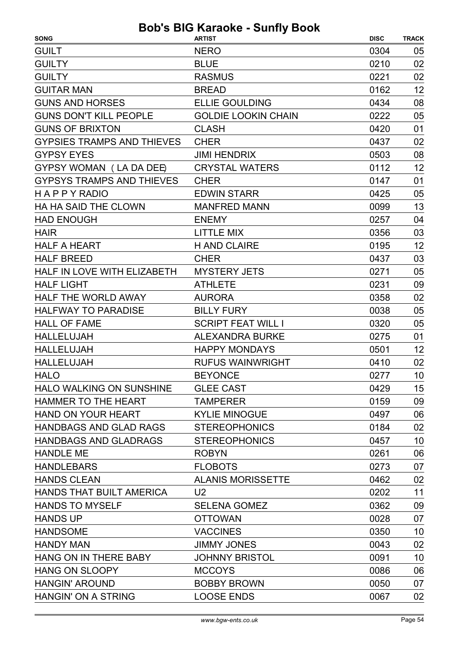| <b>SONG</b>                       | <b>ARTIST</b>              | <b>DISC</b> | <b>TRACK</b> |
|-----------------------------------|----------------------------|-------------|--------------|
| <b>GUILT</b>                      | <b>NERO</b>                | 0304        | 05           |
| <b>GUILTY</b>                     | <b>BLUE</b>                | 0210        | 02           |
| <b>GUILTY</b>                     | <b>RASMUS</b>              | 0221        | 02           |
| <b>GUITAR MAN</b>                 | <b>BREAD</b>               | 0162        | 12           |
| <b>GUNS AND HORSES</b>            | <b>ELLIE GOULDING</b>      | 0434        | 08           |
| <b>GUNS DON'T KILL PEOPLE</b>     | <b>GOLDIE LOOKIN CHAIN</b> | 0222        | 05           |
| <b>GUNS OF BRIXTON</b>            | <b>CLASH</b>               | 0420        | 01           |
| <b>GYPSIES TRAMPS AND THIEVES</b> | <b>CHER</b>                | 0437        | 02           |
| <b>GYPSY EYES</b>                 | <b>JIMI HENDRIX</b>        | 0503        | 08           |
| GYPSY WOMAN (LA DA DEE)           | <b>CRYSTAL WATERS</b>      | 0112        | 12           |
| <b>GYPSYS TRAMPS AND THIEVES</b>  | <b>CHER</b>                | 0147        | 01           |
| <b>HAPPYRADIO</b>                 | <b>EDWIN STARR</b>         | 0425        | 05           |
| <b>HA HA SAID THE CLOWN</b>       | <b>MANFRED MANN</b>        | 0099        | 13           |
| <b>HAD ENOUGH</b>                 | <b>ENEMY</b>               | 0257        | 04           |
| <b>HAIR</b>                       | <b>LITTLE MIX</b>          | 0356        | 03           |
| <b>HALF A HEART</b>               | <b>H AND CLAIRE</b>        | 0195        | 12           |
| <b>HALF BREED</b>                 | <b>CHER</b>                | 0437        | 03           |
| HALF IN LOVE WITH ELIZABETH       | <b>MYSTERY JETS</b>        | 0271        | 05           |
| <b>HALF LIGHT</b>                 | <b>ATHLETE</b>             | 0231        | 09           |
| HALF THE WORLD AWAY               | <b>AURORA</b>              | 0358        | 02           |
| <b>HALFWAY TO PARADISE</b>        | <b>BILLY FURY</b>          | 0038        | 05           |
| <b>HALL OF FAME</b>               | <b>SCRIPT FEAT WILL I</b>  | 0320        | 05           |
| <b>HALLELUJAH</b>                 | <b>ALEXANDRA BURKE</b>     | 0275        | 01           |
| <b>HALLELUJAH</b>                 | <b>HAPPY MONDAYS</b>       | 0501        | 12           |
| <b>HALLELUJAH</b>                 | <b>RUFUS WAINWRIGHT</b>    | 0410        | 02           |
| <b>HALO</b>                       | <b>BEYONCE</b>             | 0277        | 10           |
| <b>HALO WALKING ON SUNSHINE</b>   | <b>GLEE CAST</b>           | 0429        | 15           |
| <b>HAMMER TO THE HEART</b>        | <b>TAMPERER</b>            | 0159        | 09           |
| <b>HAND ON YOUR HEART</b>         | <b>KYLIE MINOGUE</b>       | 0497        | 06           |
| <b>HANDBAGS AND GLAD RAGS</b>     | <b>STEREOPHONICS</b>       | 0184        | 02           |
| <b>HANDBAGS AND GLADRAGS</b>      | <b>STEREOPHONICS</b>       | 0457        | 10           |
| <b>HANDLE ME</b>                  | <b>ROBYN</b>               | 0261        | 06           |
| <b>HANDLEBARS</b>                 | <b>FLOBOTS</b>             | 0273        | 07           |
| <b>HANDS CLEAN</b>                | <b>ALANIS MORISSETTE</b>   | 0462        | 02           |
| <b>HANDS THAT BUILT AMERICA</b>   | U <sub>2</sub>             | 0202        | 11           |
| <b>HANDS TO MYSELF</b>            | <b>SELENA GOMEZ</b>        | 0362        | 09           |
| <b>HANDS UP</b>                   | <b>OTTOWAN</b>             | 0028        | 07           |
| <b>HANDSOME</b>                   | <b>VACCINES</b>            | 0350        | 10           |
| <b>HANDY MAN</b>                  | <b>JIMMY JONES</b>         | 0043        | 02           |
| HANG ON IN THERE BABY             | <b>JOHNNY BRISTOL</b>      | 0091        | 10           |
| <b>HANG ON SLOOPY</b>             | <b>MCCOYS</b>              | 0086        | 06           |
| <b>HANGIN' AROUND</b>             | <b>BOBBY BROWN</b>         | 0050        | 07           |
| HANGIN' ON A STRING               | <b>LOOSE ENDS</b>          | 0067        | 02           |
|                                   |                            |             |              |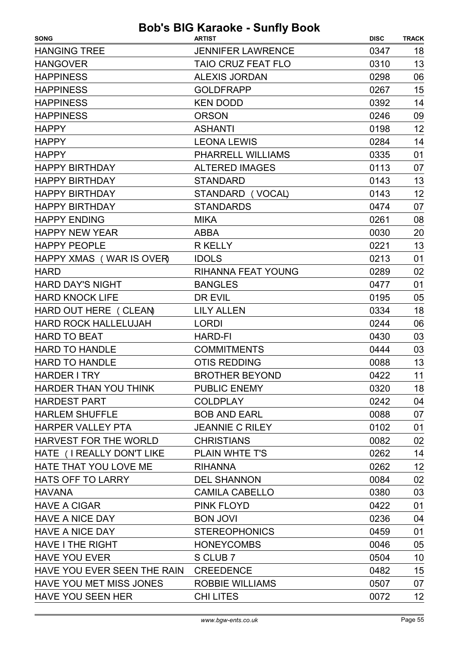| <b>SONG</b>                           | <b>ARTIST</b>             | <b>DISC</b> | <b>TRACK</b> |
|---------------------------------------|---------------------------|-------------|--------------|
| <b>HANGING TREE</b>                   | <b>JENNIFER LAWRENCE</b>  | 0347        | 18           |
| <b>HANGOVER</b>                       | TAIO CRUZ FEAT FLO        | 0310        | 13           |
| <b>HAPPINESS</b>                      | <b>ALEXIS JORDAN</b>      | 0298        | 06           |
| <b>HAPPINESS</b>                      | <b>GOLDFRAPP</b>          | 0267        | 15           |
| <b>HAPPINESS</b>                      | <b>KEN DODD</b>           | 0392        | 14           |
| <b>HAPPINESS</b>                      | <b>ORSON</b>              | 0246        | 09           |
| <b>HAPPY</b>                          | <b>ASHANTI</b>            | 0198        | 12           |
| <b>HAPPY</b>                          | <b>LEONA LEWIS</b>        | 0284        | 14           |
| <b>HAPPY</b>                          | PHARRELL WILLIAMS         | 0335        | 01           |
| <b>HAPPY BIRTHDAY</b>                 | <b>ALTERED IMAGES</b>     | 0113        | 07           |
| <b>HAPPY BIRTHDAY</b>                 | <b>STANDARD</b>           | 0143        | 13           |
| <b>HAPPY BIRTHDAY</b>                 | STANDARD (VOCAL)          | 0143        | 12           |
| <b>HAPPY BIRTHDAY</b>                 | <b>STANDARDS</b>          | 0474        | 07           |
| <b>HAPPY ENDING</b>                   | <b>MIKA</b>               | 0261        | 08           |
| <b>HAPPY NEW YEAR</b>                 | <b>ABBA</b>               | 0030        | 20           |
| <b>HAPPY PEOPLE</b>                   | <b>R KELLY</b>            | 0221        | 13           |
| HAPPY XMAS (WAR IS OVER)              | <b>IDOLS</b>              | 0213        | 01           |
| <b>HARD</b>                           | <b>RIHANNA FEAT YOUNG</b> | 0289        | 02           |
| <b>HARD DAY'S NIGHT</b>               | <b>BANGLES</b>            | 0477        | 01           |
| <b>HARD KNOCK LIFE</b>                | DR EVIL                   | 0195        | 05           |
| HARD OUT HERE ( CLEAN)                | <b>LILY ALLEN</b>         | 0334        | 18           |
| <b>HARD ROCK HALLELUJAH</b>           | <b>LORDI</b>              | 0244        | 06           |
| <b>HARD TO BEAT</b>                   | <b>HARD-FI</b>            | 0430        | 03           |
| <b>HARD TO HANDLE</b>                 | <b>COMMITMENTS</b>        | 0444        | 03           |
| <b>HARD TO HANDLE</b>                 | <b>OTIS REDDING</b>       | 0088        | 13           |
| <b>HARDER I TRY</b>                   | <b>BROTHER BEYOND</b>     | 0422        | 11           |
| HARDER THAN YOU THINK                 | <b>PUBLIC ENEMY</b>       | 0320        | 18           |
| <b>HARDEST PART</b>                   | <b>COLDPLAY</b>           | 0242        | 04           |
| <b>HARLEM SHUFFLE</b>                 | <b>BOB AND EARL</b>       | 0088        | 07           |
| <b>HARPER VALLEY PTA</b>              | <b>JEANNIE C RILEY</b>    | 0102        | 01           |
| HARVEST FOR THE WORLD                 | <b>CHRISTIANS</b>         | 0082        | 02           |
| HATE (I REALLY DON'T LIKE             | <b>PLAIN WHTE T'S</b>     | 0262        | 14           |
| HATE THAT YOU LOVE ME                 | <b>RIHANNA</b>            | 0262        | 12           |
| <b>HATS OFF TO LARRY</b>              | <b>DEL SHANNON</b>        | 0084        | 02           |
| <b>HAVANA</b>                         | <b>CAMILA CABELLO</b>     | 0380        | 03           |
| <b>HAVE A CIGAR</b>                   | <b>PINK FLOYD</b>         | 0422        | 01           |
| <b>HAVE A NICE DAY</b>                | <b>BON JOVI</b>           | 0236        | 04           |
| <b>HAVE A NICE DAY</b>                | <b>STEREOPHONICS</b>      | 0459        | 01           |
| <b>HAVE I THE RIGHT</b>               | <b>HONEYCOMBS</b>         | 0046        | 05           |
| <b>HAVE YOU EVER</b>                  | S CLUB 7                  | 0504        | 10           |
| HAVE YOU EVER SEEN THE RAIN CREEDENCE |                           | 0482        | 15           |
| HAVE YOU MET MISS JONES               | <b>ROBBIE WILLIAMS</b>    | 0507        | 07           |
| HAVE YOU SEEN HER                     | <b>CHILITES</b>           | 0072        | 12           |
|                                       |                           |             |              |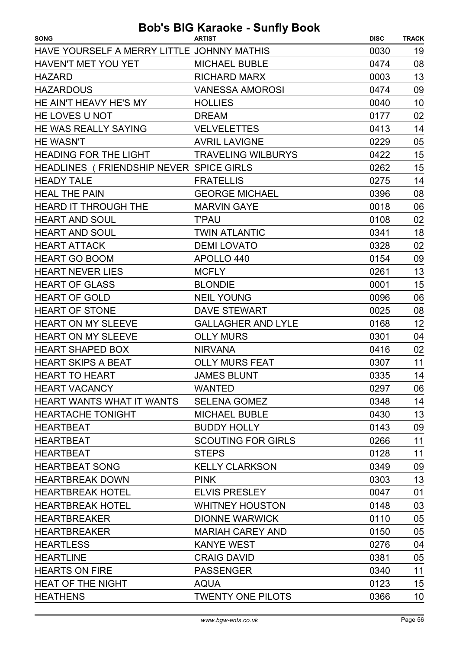| <b>SONG</b>                                | <b>ARTIST</b>             | <b>DISC</b> | <b>TRACK</b> |
|--------------------------------------------|---------------------------|-------------|--------------|
| HAVE YOURSELF A MERRY LITTLE JOHNNY MATHIS |                           | 0030        | 19           |
| <b>HAVEN'T MET YOU YET</b>                 | <b>MICHAEL BUBLE</b>      | 0474        | 08           |
| <b>HAZARD</b>                              | <b>RICHARD MARX</b>       | 0003        | 13           |
| <b>HAZARDOUS</b>                           | <b>VANESSA AMOROSI</b>    | 0474        | 09           |
| HE AIN'T HEAVY HE'S MY                     | <b>HOLLIES</b>            | 0040        | 10           |
| HE LOVES U NOT                             | <b>DREAM</b>              | 0177        | 02           |
| <b>HE WAS REALLY SAYING</b>                | <b>VELVELETTES</b>        | 0413        | 14           |
| <b>HE WASN'T</b>                           | <b>AVRIL LAVIGNE</b>      | 0229        | 05           |
| <b>HEADING FOR THE LIGHT</b>               | <b>TRAVELING WILBURYS</b> | 0422        | 15           |
| HEADLINES (FRIENDSHIP NEVER SPICE GIRLS    |                           | 0262        | 15           |
| <b>HEADY TALE</b>                          | <b>FRATELLIS</b>          | 0275        | 14           |
| <b>HEAL THE PAIN</b>                       | <b>GEORGE MICHAEL</b>     | 0396        | 08           |
| <b>HEARD IT THROUGH THE</b>                | <b>MARVIN GAYE</b>        | 0018        | 06           |
| <b>HEART AND SOUL</b>                      | <b>T'PAU</b>              | 0108        | 02           |
| <b>HEART AND SOUL</b>                      | <b>TWIN ATLANTIC</b>      | 0341        | 18           |
| <b>HEART ATTACK</b>                        | <b>DEMI LOVATO</b>        | 0328        | 02           |
| <b>HEART GO BOOM</b>                       | APOLLO 440                | 0154        | 09           |
| <b>HEART NEVER LIES</b>                    | <b>MCFLY</b>              | 0261        | 13           |
| <b>HEART OF GLASS</b>                      | <b>BLONDIE</b>            | 0001        | 15           |
| <b>HEART OF GOLD</b>                       | <b>NEIL YOUNG</b>         | 0096        | 06           |
| <b>HEART OF STONE</b>                      | <b>DAVE STEWART</b>       | 0025        | 08           |
| <b>HEART ON MY SLEEVE</b>                  | <b>GALLAGHER AND LYLE</b> | 0168        | 12           |
| <b>HEART ON MY SLEEVE</b>                  | <b>OLLY MURS</b>          | 0301        | 04           |
| <b>HEART SHAPED BOX</b>                    | <b>NIRVANA</b>            | 0416        | 02           |
| <b>HEART SKIPS A BEAT</b>                  | <b>OLLY MURS FEAT</b>     | 0307        | 11           |
| <b>HEART TO HEART</b>                      | <b>JAMES BLUNT</b>        | 0335        | 14           |
| <b>HEART VACANCY</b>                       | <b>WANTED</b>             | 0297        | 06           |
| <b>HEART WANTS WHAT IT WANTS</b>           | <b>SELENA GOMEZ</b>       | 0348        | 14           |
| <b>HEARTACHE TONIGHT</b>                   | <b>MICHAEL BUBLE</b>      | 0430        | 13           |
| <b>HEARTBEAT</b>                           | <b>BUDDY HOLLY</b>        | 0143        | 09           |
| <b>HEARTBEAT</b>                           | <b>SCOUTING FOR GIRLS</b> | 0266        | 11           |
| <b>HEARTBEAT</b>                           | <b>STEPS</b>              | 0128        | 11           |
| <b>HEARTBEAT SONG</b>                      | <b>KELLY CLARKSON</b>     | 0349        | 09           |
| <b>HEARTBREAK DOWN</b>                     | <b>PINK</b>               | 0303        | 13           |
| <b>HEARTBREAK HOTEL</b>                    | <b>ELVIS PRESLEY</b>      | 0047        | 01           |
| <b>HEARTBREAK HOTEL</b>                    | <b>WHITNEY HOUSTON</b>    | 0148        | 03           |
| <b>HEARTBREAKER</b>                        | <b>DIONNE WARWICK</b>     | 0110        | 05           |
| <b>HEARTBREAKER</b>                        | <b>MARIAH CAREY AND</b>   | 0150        | 05           |
| <b>HEARTLESS</b>                           | <b>KANYE WEST</b>         | 0276        | 04           |
| <b>HEARTLINE</b>                           | <b>CRAIG DAVID</b>        | 0381        | 05           |
| <b>HEARTS ON FIRE</b>                      | <b>PASSENGER</b>          | 0340        | 11           |
| <b>HEAT OF THE NIGHT</b>                   | <b>AQUA</b>               | 0123        | 15           |
| <b>HEATHENS</b>                            | <b>TWENTY ONE PILOTS</b>  | 0366        | 10           |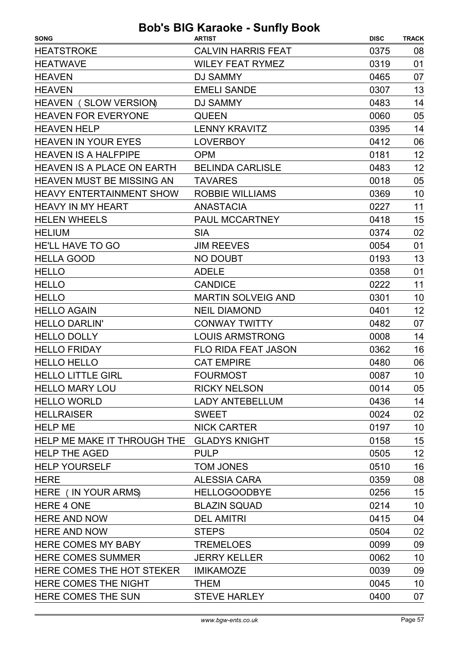| <b>SONG</b>                               | ------,<br><b>ARTIST</b>   | <b>DISC</b> | <b>TRACK</b> |
|-------------------------------------------|----------------------------|-------------|--------------|
| <b>HEATSTROKE</b>                         | <b>CALVIN HARRIS FEAT</b>  | 0375        | 08           |
| <b>HEATWAVE</b>                           | <b>WILEY FEAT RYMEZ</b>    | 0319        | 01           |
| <b>HEAVEN</b>                             | <b>DJ SAMMY</b>            | 0465        | 07           |
| <b>HEAVEN</b>                             | <b>EMELI SANDE</b>         | 0307        | 13           |
| HEAVEN (SLOW VERSION)                     | <b>DJ SAMMY</b>            | 0483        | 14           |
| <b>HEAVEN FOR EVERYONE</b>                | <b>QUEEN</b>               | 0060        | 05           |
| <b>HEAVEN HELP</b>                        | <b>LENNY KRAVITZ</b>       | 0395        | 14           |
| <b>HEAVEN IN YOUR EYES</b>                | <b>LOVERBOY</b>            | 0412        | 06           |
| <b>HEAVEN IS A HALFPIPE</b>               | <b>OPM</b>                 | 0181        | 12           |
| <b>HEAVEN IS A PLACE ON EARTH</b>         | <b>BELINDA CARLISLE</b>    | 0483        | 12           |
| <b>HEAVEN MUST BE MISSING AN</b>          | <b>TAVARES</b>             | 0018        | 05           |
| <b>HEAVY ENTERTAINMENT SHOW</b>           | <b>ROBBIE WILLIAMS</b>     | 0369        | 10           |
| <b>HEAVY IN MY HEART</b>                  | <b>ANASTACIA</b>           | 0227        | 11           |
| <b>HELEN WHEELS</b>                       | <b>PAUL MCCARTNEY</b>      | 0418        | 15           |
| <b>HELIUM</b>                             | <b>SIA</b>                 | 0374        | 02           |
| HE'LL HAVE TO GO                          | <b>JIM REEVES</b>          | 0054        | 01           |
| <b>HELLA GOOD</b>                         | <b>NO DOUBT</b>            | 0193        | 13           |
| <b>HELLO</b>                              | <b>ADELE</b>               | 0358        | 01           |
| <b>HELLO</b>                              | <b>CANDICE</b>             | 0222        | 11           |
| <b>HELLO</b>                              | <b>MARTIN SOLVEIG AND</b>  | 0301        | 10           |
| <b>HELLO AGAIN</b>                        | <b>NEIL DIAMOND</b>        | 0401        | 12           |
| <b>HELLO DARLIN'</b>                      | <b>CONWAY TWITTY</b>       | 0482        | 07           |
| <b>HELLO DOLLY</b>                        | <b>LOUIS ARMSTRONG</b>     | 0008        | 14           |
| <b>HELLO FRIDAY</b>                       | <b>FLO RIDA FEAT JASON</b> | 0362        | 16           |
| <b>HELLO HELLO</b>                        | <b>CAT EMPIRE</b>          | 0480        | 06           |
| <b>HELLO LITTLE GIRL</b>                  | <b>FOURMOST</b>            | 0087        | 10           |
| <b>HELLO MARY LOU</b>                     | <b>RICKY NELSON</b>        | 0014        | 05           |
| <b>HELLO WORLD</b>                        | <b>LADY ANTEBELLUM</b>     | 0436        | 14           |
| <b>HELLRAISER</b>                         | <b>SWEET</b>               | 0024        | 02           |
| <b>HELP ME</b>                            | <b>NICK CARTER</b>         | 0197        | 10           |
| HELP ME MAKE IT THROUGH THE GLADYS KNIGHT |                            | 0158        | 15           |
| <b>HELP THE AGED</b>                      | <b>PULP</b>                | 0505        | 12           |
| <b>HELP YOURSELF</b>                      | TOM JONES                  | 0510        | 16           |
| <b>HERE</b>                               | <b>ALESSIA CARA</b>        | 0359        | 08           |
| HERE (IN YOUR ARMS)                       | <b>HELLOGOODBYE</b>        | 0256        | 15           |
| HERE 4 ONE                                | <b>BLAZIN SQUAD</b>        | 0214        | 10           |
| <b>HERE AND NOW</b>                       | <b>DEL AMITRI</b>          | 0415        | 04           |
| <b>HERE AND NOW</b>                       | <b>STEPS</b>               | 0504        | 02           |
| HERE COMES MY BABY                        | <b>TREMELOES</b>           | 0099        | 09           |
| <b>HERE COMES SUMMER</b>                  | <b>JERRY KELLER</b>        | 0062        | 10           |
| HERE COMES THE HOT STEKER IMIKAMOZE       |                            | 0039        | 09           |
| HERE COMES THE NIGHT                      | <b>THEM</b>                | 0045        | 10           |
| HERE COMES THE SUN                        | <b>STEVE HARLEY</b>        | 0400        | 07           |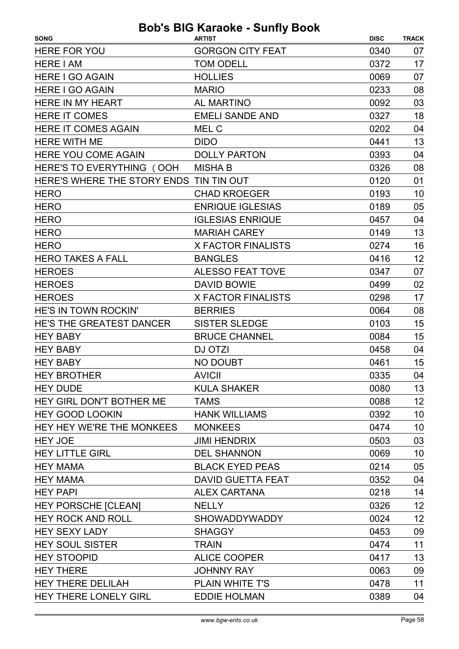| <b>SONG</b>                             | <b>ARTIST</b>             | <b>DISC</b> | <b>TRACK</b> |
|-----------------------------------------|---------------------------|-------------|--------------|
| <b>HERE FOR YOU</b>                     | <b>GORGON CITY FEAT</b>   | 0340        | 07           |
| <b>HERE I AM</b>                        | <b>TOM ODELL</b>          | 0372        | 17           |
| <b>HERE I GO AGAIN</b>                  | <b>HOLLIES</b>            | 0069        | 07           |
| <b>HERE I GO AGAIN</b>                  | <b>MARIO</b>              | 0233        | 08           |
| <b>HERE IN MY HEART</b>                 | <b>AL MARTINO</b>         | 0092        | 03           |
| <b>HERE IT COMES</b>                    | <b>EMELI SANDE AND</b>    | 0327        | 18           |
| <b>HERE IT COMES AGAIN</b>              | MEL C                     | 0202        | 04           |
| <b>HERE WITH ME</b>                     | <b>DIDO</b>               | 0441        | 13           |
| <b>HERE YOU COME AGAIN</b>              | <b>DOLLY PARTON</b>       | 0393        | 04           |
| HERE'S TO EVERYTHING (OOH               | <b>MISHAB</b>             | 0326        | 08           |
| HERE'S WHERE THE STORY ENDS TIN TIN OUT |                           | 0120        | 01           |
| <b>HERO</b>                             | <b>CHAD KROEGER</b>       | 0193        | 10           |
| <b>HERO</b>                             | <b>ENRIQUE IGLESIAS</b>   | 0189        | 05           |
| <b>HERO</b>                             | <b>IGLESIAS ENRIQUE</b>   | 0457        | 04           |
| <b>HERO</b>                             | <b>MARIAH CAREY</b>       | 0149        | 13           |
| <b>HERO</b>                             | <b>X FACTOR FINALISTS</b> | 0274        | 16           |
| <b>HERO TAKES A FALL</b>                | <b>BANGLES</b>            | 0416        | 12           |
| <b>HEROES</b>                           | <b>ALESSO FEAT TOVE</b>   | 0347        | 07           |
| <b>HEROES</b>                           | <b>DAVID BOWIE</b>        | 0499        | 02           |
| <b>HEROES</b>                           | <b>X FACTOR FINALISTS</b> | 0298        | 17           |
| HE'S IN TOWN ROCKIN'                    | <b>BERRIES</b>            | 0064        | 08           |
| <b>HE'S THE GREATEST DANCER</b>         | <b>SISTER SLEDGE</b>      | 0103        | 15           |
| <b>HEY BABY</b>                         | <b>BRUCE CHANNEL</b>      | 0084        | 15           |
| <b>HEY BABY</b>                         | <b>DJ OTZI</b>            | 0458        | 04           |
| <b>HEY BABY</b>                         | <b>NO DOUBT</b>           | 0461        | 15           |
| <b>HEY BROTHER</b>                      | <b>AVICII</b>             | 0335        | 04           |
| <b>HEY DUDE</b>                         | <b>KULA SHAKER</b>        | 0080        | 13           |
| HEY GIRL DON'T BOTHER ME                | <b>TAMS</b>               | 0088        | 12           |
| <b>HEY GOOD LOOKIN</b>                  | <b>HANK WILLIAMS</b>      | 0392        | 10           |
| HEY HEY WE'RE THE MONKEES               | <b>MONKEES</b>            | 0474        | 10           |
| <b>HEY JOE</b>                          | <b>JIMI HENDRIX</b>       | 0503        | 03           |
| <b>HEY LITTLE GIRL</b>                  | <b>DEL SHANNON</b>        | 0069        | 10           |
| <b>HEY MAMA</b>                         | <b>BLACK EYED PEAS</b>    | 0214        | 05           |
| <b>HEY MAMA</b>                         | <b>DAVID GUETTA FEAT</b>  | 0352        | 04           |
| <b>HEY PAPI</b>                         | <b>ALEX CARTANA</b>       | 0218        | 14           |
| <b>HEY PORSCHE [CLEAN]</b>              | <b>NELLY</b>              | 0326        | 12           |
| HEY ROCK AND ROLL                       | <b>SHOWADDYWADDY</b>      | 0024        | 12           |
| <b>HEY SEXY LADY</b>                    | <b>SHAGGY</b>             | 0453        | 09           |
| <b>HEY SOUL SISTER</b>                  | <b>TRAIN</b>              | 0474        | 11           |
| <b>HEY STOOPID</b>                      | <b>ALICE COOPER</b>       | 0417        | 13           |
| <b>HEY THERE</b>                        | <b>JOHNNY RAY</b>         | 0063        | 09           |
| <b>HEY THERE DELILAH</b>                | <b>PLAIN WHITE T'S</b>    | 0478        | 11           |
| HEY THERE LONELY GIRL                   | <b>EDDIE HOLMAN</b>       | 0389        | 04           |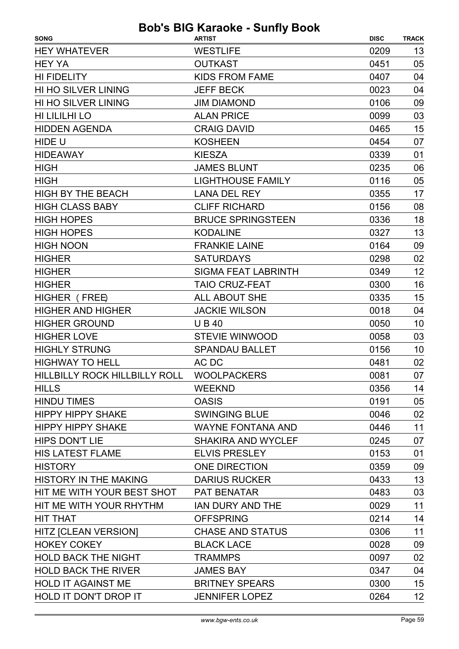| <b>SONG</b>                          | <b>ARTIST</b>              | <b>DISC</b> | <b>TRACK</b> |
|--------------------------------------|----------------------------|-------------|--------------|
| <b>HEY WHATEVER</b>                  | <b>WESTLIFE</b>            | 0209        | 13           |
| <b>HEY YA</b>                        | <b>OUTKAST</b>             | 0451        | 05           |
| HI FIDELITY                          | <b>KIDS FROM FAME</b>      | 0407        | 04           |
| HI HO SILVER LINING                  | <b>JEFF BECK</b>           | 0023        | 04           |
| <b>HI HO SILVER LINING</b>           | <b>JIM DIAMOND</b>         | 0106        | 09           |
| HI LILILHI LO                        | <b>ALAN PRICE</b>          | 0099        | 03           |
| <b>HIDDEN AGENDA</b>                 | <b>CRAIG DAVID</b>         | 0465        | 15           |
| HIDE U                               | <b>KOSHEEN</b>             | 0454        | 07           |
| <b>HIDEAWAY</b>                      | <b>KIESZA</b>              | 0339        | 01           |
| <b>HIGH</b>                          | <b>JAMES BLUNT</b>         | 0235        | 06           |
| <b>HIGH</b>                          | <b>LIGHTHOUSE FAMILY</b>   | 0116        | 05           |
| <b>HIGH BY THE BEACH</b>             | <b>LANA DEL REY</b>        | 0355        | 17           |
| <b>HIGH CLASS BABY</b>               | <b>CLIFF RICHARD</b>       | 0156        | 08           |
| <b>HIGH HOPES</b>                    | <b>BRUCE SPRINGSTEEN</b>   | 0336        | 18           |
| <b>HIGH HOPES</b>                    | <b>KODALINE</b>            | 0327        | 13           |
| <b>HIGH NOON</b>                     | <b>FRANKIE LAINE</b>       | 0164        | 09           |
| <b>HIGHER</b>                        | <b>SATURDAYS</b>           | 0298        | 02           |
| <b>HIGHER</b>                        | <b>SIGMA FEAT LABRINTH</b> | 0349        | 12           |
| <b>HIGHER</b>                        | <b>TAIO CRUZ-FEAT</b>      | 0300        | 16           |
| HIGHER (FREE)                        | <b>ALL ABOUT SHE</b>       | 0335        | 15           |
| <b>HIGHER AND HIGHER</b>             | <b>JACKIE WILSON</b>       | 0018        | 04           |
| <b>HIGHER GROUND</b>                 | <b>UB40</b>                | 0050        | 10           |
| <b>HIGHER LOVE</b>                   | <b>STEVIE WINWOOD</b>      | 0058        | 03           |
| <b>HIGHLY STRUNG</b>                 | <b>SPANDAU BALLET</b>      | 0156        | 10           |
| <b>HIGHWAY TO HELL</b>               | AC DC                      | 0481        | 02           |
| <b>HILLBILLY ROCK HILLBILLY ROLL</b> | <b>WOOLPACKERS</b>         | 0081        | 07           |
| <b>HILLS</b>                         | <b>WEEKND</b>              | 0356        | 14           |
| <b>HINDU TIMES</b>                   | <b>OASIS</b>               | 0191        | 05           |
| <b>HIPPY HIPPY SHAKE</b>             | <b>SWINGING BLUE</b>       | 0046        | 02           |
| <b>HIPPY HIPPY SHAKE</b>             | <b>WAYNE FONTANA AND</b>   | 0446        | 11           |
| <b>HIPS DON'T LIE</b>                | <b>SHAKIRA AND WYCLEF</b>  | 0245        | 07           |
| <b>HIS LATEST FLAME</b>              | <b>ELVIS PRESLEY</b>       | 0153        | 01           |
| <b>HISTORY</b>                       | <b>ONE DIRECTION</b>       | 0359        | 09           |
| <b>HISTORY IN THE MAKING</b>         | <b>DARIUS RUCKER</b>       | 0433        | 13           |
| HIT ME WITH YOUR BEST SHOT           | <b>PAT BENATAR</b>         | 0483        | 03           |
| HIT ME WITH YOUR RHYTHM              | IAN DURY AND THE           | 0029        | 11           |
| <b>HIT THAT</b>                      | <b>OFFSPRING</b>           | 0214        | 14           |
| HITZ [CLEAN VERSION]                 | <b>CHASE AND STATUS</b>    | 0306        | 11           |
| <b>HOKEY COKEY</b>                   | <b>BLACK LACE</b>          | 0028        | 09           |
| <b>HOLD BACK THE NIGHT</b>           | <b>TRAMMPS</b>             | 0097        | 02           |
| <b>HOLD BACK THE RIVER</b>           | <b>JAMES BAY</b>           | 0347        | 04           |
| <b>HOLD IT AGAINST ME</b>            | <b>BRITNEY SPEARS</b>      | 0300        | 15           |
| HOLD IT DON'T DROP IT                | <b>JENNIFER LOPEZ</b>      | 0264        | 12           |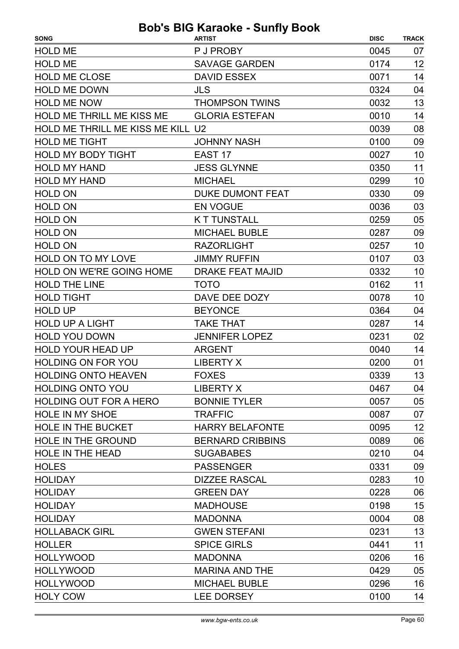| <b>SONG</b>                       | <b>ARTIST</b>           | <b>DISC</b> | <b>TRACK</b> |
|-----------------------------------|-------------------------|-------------|--------------|
| <b>HOLD ME</b>                    | P J PROBY               | 0045        | 07           |
| <b>HOLD ME</b>                    | <b>SAVAGE GARDEN</b>    | 0174        | 12           |
| <b>HOLD ME CLOSE</b>              | <b>DAVID ESSEX</b>      | 0071        | 14           |
| <b>HOLD ME DOWN</b>               | <b>JLS</b>              | 0324        | 04           |
| <b>HOLD ME NOW</b>                | <b>THOMPSON TWINS</b>   | 0032        | 13           |
| HOLD ME THRILL ME KISS ME         | <b>GLORIA ESTEFAN</b>   | 0010        | 14           |
| HOLD ME THRILL ME KISS ME KILL U2 |                         | 0039        | 08           |
| <b>HOLD ME TIGHT</b>              | <b>JOHNNY NASH</b>      | 0100        | 09           |
| HOLD MY BODY TIGHT                | EAST <sub>17</sub>      | 0027        | 10           |
| <b>HOLD MY HAND</b>               | <b>JESS GLYNNE</b>      | 0350        | 11           |
| <b>HOLD MY HAND</b>               | <b>MICHAEL</b>          | 0299        | 10           |
| <b>HOLD ON</b>                    | <b>DUKE DUMONT FEAT</b> | 0330        | 09           |
| <b>HOLD ON</b>                    | <b>EN VOGUE</b>         | 0036        | 03           |
| <b>HOLD ON</b>                    | <b>KT TUNSTALL</b>      | 0259        | 05           |
| <b>HOLD ON</b>                    | <b>MICHAEL BUBLE</b>    | 0287        | 09           |
| <b>HOLD ON</b>                    | <b>RAZORLIGHT</b>       | 0257        | 10           |
| <b>HOLD ON TO MY LOVE</b>         | <b>JIMMY RUFFIN</b>     | 0107        | 03           |
| HOLD ON WE'RE GOING HOME          | <b>DRAKE FEAT MAJID</b> | 0332        | 10           |
| <b>HOLD THE LINE</b>              | <b>TOTO</b>             | 0162        | 11           |
| <b>HOLD TIGHT</b>                 | DAVE DEE DOZY           | 0078        | 10           |
| <b>HOLD UP</b>                    | <b>BEYONCE</b>          | 0364        | 04           |
| <b>HOLD UP A LIGHT</b>            | <b>TAKE THAT</b>        | 0287        | 14           |
| <b>HOLD YOU DOWN</b>              | <b>JENNIFER LOPEZ</b>   | 0231        | 02           |
| <b>HOLD YOUR HEAD UP</b>          | <b>ARGENT</b>           | 0040        | 14           |
| HOLDING ON FOR YOU                | <b>LIBERTY X</b>        | 0200        | 01           |
| <b>HOLDING ONTO HEAVEN</b>        | <b>FOXES</b>            | 0339        | 13           |
| <b>HOLDING ONTO YOU</b>           | LIBERTY X               | 0467        | 04           |
| <b>HOLDING OUT FOR A HERO</b>     | <b>BONNIE TYLER</b>     | 0057        | 05           |
| HOLE IN MY SHOE                   | <b>TRAFFIC</b>          | 0087        | 07           |
| HOLE IN THE BUCKET                | <b>HARRY BELAFONTE</b>  | 0095        | 12           |
| HOLE IN THE GROUND                | <b>BERNARD CRIBBINS</b> | 0089        | 06           |
| <b>HOLE IN THE HEAD</b>           | <b>SUGABABES</b>        | 0210        | 04           |
| <b>HOLES</b>                      | <b>PASSENGER</b>        | 0331        | 09           |
| <b>HOLIDAY</b>                    | <b>DIZZEE RASCAL</b>    | 0283        | 10           |
| <b>HOLIDAY</b>                    | <b>GREEN DAY</b>        | 0228        | 06           |
| <b>HOLIDAY</b>                    | <b>MADHOUSE</b>         | 0198        | 15           |
| <b>HOLIDAY</b>                    | <b>MADONNA</b>          | 0004        | 08           |
| <b>HOLLABACK GIRL</b>             | <b>GWEN STEFANI</b>     | 0231        | 13           |
| <b>HOLLER</b>                     | <b>SPICE GIRLS</b>      | 0441        | 11           |
| <b>HOLLYWOOD</b>                  | <b>MADONNA</b>          | 0206        | 16           |
| <b>HOLLYWOOD</b>                  | <b>MARINA AND THE</b>   | 0429        | 05           |
| <b>HOLLYWOOD</b>                  | <b>MICHAEL BUBLE</b>    | 0296        | 16           |
| <b>HOLY COW</b>                   | LEE DORSEY              | 0100        | 14           |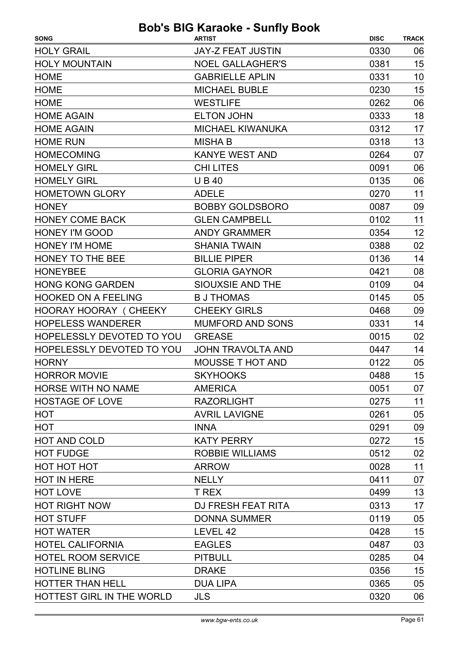| <b>SONG</b>                | <b>ARTIST</b>            | <b>DISC</b> | <b>TRACK</b> |
|----------------------------|--------------------------|-------------|--------------|
| <b>HOLY GRAIL</b>          | <b>JAY-Z FEAT JUSTIN</b> | 0330        | 06           |
| <b>HOLY MOUNTAIN</b>       | <b>NOEL GALLAGHER'S</b>  | 0381        | 15           |
| <b>HOME</b>                | <b>GABRIELLE APLIN</b>   | 0331        | 10           |
| <b>HOME</b>                | <b>MICHAEL BUBLE</b>     | 0230        | 15           |
| <b>HOME</b>                | <b>WESTLIFE</b>          | 0262        | 06           |
| <b>HOME AGAIN</b>          | <b>ELTON JOHN</b>        | 0333        | 18           |
| <b>HOME AGAIN</b>          | <b>MICHAEL KIWANUKA</b>  | 0312        | 17           |
| <b>HOME RUN</b>            | <b>MISHA B</b>           | 0318        | 13           |
| <b>HOMECOMING</b>          | <b>KANYE WEST AND</b>    | 0264        | 07           |
| <b>HOMELY GIRL</b>         | <b>CHILITES</b>          | 0091        | 06           |
| <b>HOMELY GIRL</b>         | <b>UB40</b>              | 0135        | 06           |
| <b>HOMETOWN GLORY</b>      | <b>ADELE</b>             | 0270        | 11           |
| <b>HONEY</b>               | <b>BOBBY GOLDSBORO</b>   | 0087        | 09           |
| <b>HONEY COME BACK</b>     | <b>GLEN CAMPBELL</b>     | 0102        | 11           |
| <b>HONEY I'M GOOD</b>      | <b>ANDY GRAMMER</b>      | 0354        | 12           |
| <b>HONEY I'M HOME</b>      | <b>SHANIA TWAIN</b>      | 0388        | 02           |
| HONEY TO THE BEE           | <b>BILLIE PIPER</b>      | 0136        | 14           |
| <b>HONEYBEE</b>            | <b>GLORIA GAYNOR</b>     | 0421        | 08           |
| <b>HONG KONG GARDEN</b>    | SIOUXSIE AND THE         | 0109        | 04           |
| <b>HOOKED ON A FEELING</b> | <b>B J THOMAS</b>        | 0145        | 05           |
| HOORAY HOORAY (CHEEKY      | <b>CHEEKY GIRLS</b>      | 0468        | 09           |
| <b>HOPELESS WANDERER</b>   | <b>MUMFORD AND SONS</b>  | 0331        | 14           |
| HOPELESSLY DEVOTED TO YOU  | <b>GREASE</b>            | 0015        | 02           |
| HOPELESSLY DEVOTED TO YOU  | JOHN TRAVOLTA AND        | 0447        | 14           |
| <b>HORNY</b>               | <b>MOUSSE T HOT AND</b>  | 0122        | 05           |
| <b>HORROR MOVIE</b>        | <b>SKYHOOKS</b>          | 0488        | 15           |
| HORSE WITH NO NAME         | <b>AMERICA</b>           | 0051        | 07           |
| <b>HOSTAGE OF LOVE</b>     | <b>RAZORLIGHT</b>        | 0275        | 11           |
| <b>HOT</b>                 | <b>AVRIL LAVIGNE</b>     | 0261        | 05           |
| <b>HOT</b>                 | <b>INNA</b>              | 0291        | 09           |
| <b>HOT AND COLD</b>        | <b>KATY PERRY</b>        | 0272        | 15           |
| <b>HOT FUDGE</b>           | <b>ROBBIE WILLIAMS</b>   | 0512        | 02           |
| <b>HOT HOT HOT</b>         | <b>ARROW</b>             | 0028        | 11           |
| HOT IN HERE                | <b>NELLY</b>             | 0411        | 07           |
| HOT LOVE                   | T REX                    | 0499        | 13           |
| <b>HOT RIGHT NOW</b>       | DJ FRESH FEAT RITA       | 0313        | 17           |
| <b>HOT STUFF</b>           | <b>DONNA SUMMER</b>      | 0119        | 05           |
| <b>HOT WATER</b>           | LEVEL 42                 | 0428        | 15           |
| HOTEL CALIFORNIA           | <b>EAGLES</b>            | 0487        | 03           |
| <b>HOTEL ROOM SERVICE</b>  | <b>PITBULL</b>           | 0285        | 04           |
| <b>HOTLINE BLING</b>       | <b>DRAKE</b>             | 0356        | 15           |
| <b>HOTTER THAN HELL</b>    | <b>DUA LIPA</b>          | 0365        | 05           |
| HOTTEST GIRL IN THE WORLD  | <b>JLS</b>               | 0320        | 06           |
|                            |                          |             |              |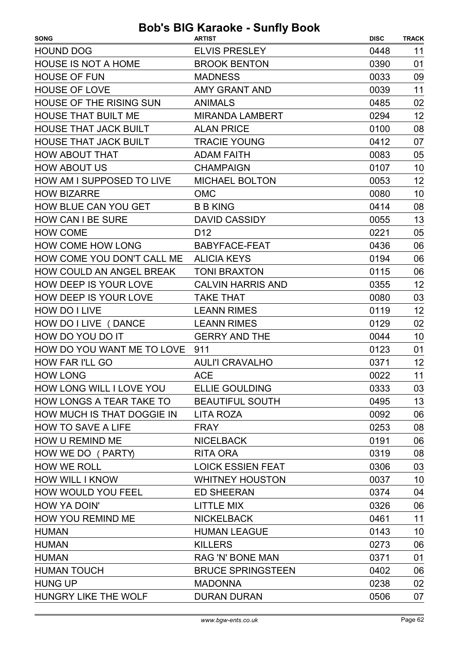| <b>SONG</b>                      | <b>ARTIST</b>            | <b>DISC</b> | <b>TRACK</b> |
|----------------------------------|--------------------------|-------------|--------------|
| <b>HOUND DOG</b>                 | <b>ELVIS PRESLEY</b>     | 0448        | 11           |
| <b>HOUSE IS NOT A HOME</b>       | <b>BROOK BENTON</b>      | 0390        | 01           |
| <b>HOUSE OF FUN</b>              | <b>MADNESS</b>           | 0033        | 09           |
| <b>HOUSE OF LOVE</b>             | <b>AMY GRANT AND</b>     | 0039        | 11           |
| <b>HOUSE OF THE RISING SUN</b>   | <b>ANIMALS</b>           | 0485        | 02           |
| <b>HOUSE THAT BUILT ME</b>       | <b>MIRANDA LAMBERT</b>   | 0294        | 12           |
| <b>HOUSE THAT JACK BUILT</b>     | <b>ALAN PRICE</b>        | 0100        | 08           |
| <b>HOUSE THAT JACK BUILT</b>     | <b>TRACIE YOUNG</b>      | 0412        | 07           |
| <b>HOW ABOUT THAT</b>            | <b>ADAM FAITH</b>        | 0083        | 05           |
| <b>HOW ABOUT US</b>              | <b>CHAMPAIGN</b>         | 0107        | 10           |
| <b>HOW AM I SUPPOSED TO LIVE</b> | <b>MICHAEL BOLTON</b>    | 0053        | 12           |
| <b>HOW BIZARRE</b>               | <b>OMC</b>               | 0080        | 10           |
| <b>HOW BLUE CAN YOU GET</b>      | <b>B B KING</b>          | 0414        | 08           |
| <b>HOW CAN I BE SURE</b>         | <b>DAVID CASSIDY</b>     | 0055        | 13           |
| <b>HOW COME</b>                  | D <sub>12</sub>          | 0221        | 05           |
| <b>HOW COME HOW LONG</b>         | <b>BABYFACE-FEAT</b>     | 0436        | 06           |
| HOW COME YOU DON'T CALL ME       | <b>ALICIA KEYS</b>       | 0194        | 06           |
| <b>HOW COULD AN ANGEL BREAK</b>  | <b>TONI BRAXTON</b>      | 0115        | 06           |
| HOW DEEP IS YOUR LOVE            | <b>CALVIN HARRIS AND</b> | 0355        | 12           |
| HOW DEEP IS YOUR LOVE            | <b>TAKE THAT</b>         | 0080        | 03           |
| HOW DO I LIVE                    | <b>LEANN RIMES</b>       | 0119        | 12           |
| HOW DO I LIVE (DANCE             | <b>LEANN RIMES</b>       | 0129        | 02           |
| HOW DO YOU DO IT                 | <b>GERRY AND THE</b>     | 0044        | 10           |
| HOW DO YOU WANT ME TO LOVE       | 911                      | 0123        | 01           |
| <b>HOW FAR I'LL GO</b>           | <b>AULI'I CRAVALHO</b>   | 0371        | 12           |
| <b>HOW LONG</b>                  | <b>ACE</b>               | 0022        | 11           |
| HOW LONG WILL I LOVE YOU         | <b>ELLIE GOULDING</b>    | 0333        | 03           |
| HOW LONGS A TEAR TAKE TO         | <b>BEAUTIFUL SOUTH</b>   | 0495        | 13           |
| HOW MUCH IS THAT DOGGIE IN       | <b>LITA ROZA</b>         | 0092        | 06           |
| <b>HOW TO SAVE A LIFE</b>        | <b>FRAY</b>              | 0253        | 08           |
| HOW U REMIND ME                  | <b>NICELBACK</b>         | 0191        | 06           |
| HOW WE DO (PARTY)                | <b>RITA ORA</b>          | 0319        | 08           |
| HOW WE ROLL                      | <b>LOICK ESSIEN FEAT</b> | 0306        | 03           |
| <b>HOW WILL I KNOW</b>           | <b>WHITNEY HOUSTON</b>   | 0037        | 10           |
| <b>HOW WOULD YOU FEEL</b>        | <b>ED SHEERAN</b>        | 0374        | 04           |
| HOW YA DOIN'                     | <b>LITTLE MIX</b>        | 0326        | 06           |
| <b>HOW YOU REMIND ME</b>         | <b>NICKELBACK</b>        | 0461        | 11           |
| <b>HUMAN</b>                     | <b>HUMAN LEAGUE</b>      | 0143        | 10           |
| <b>HUMAN</b>                     | <b>KILLERS</b>           | 0273        | 06           |
| <b>HUMAN</b>                     | RAG 'N' BONE MAN         | 0371        | 01           |
| <b>HUMAN TOUCH</b>               | <b>BRUCE SPRINGSTEEN</b> | 0402        | 06           |
| <b>HUNG UP</b>                   | <b>MADONNA</b>           | 0238        | 02           |
| HUNGRY LIKE THE WOLF             | <b>DURAN DURAN</b>       | 0506        | 07           |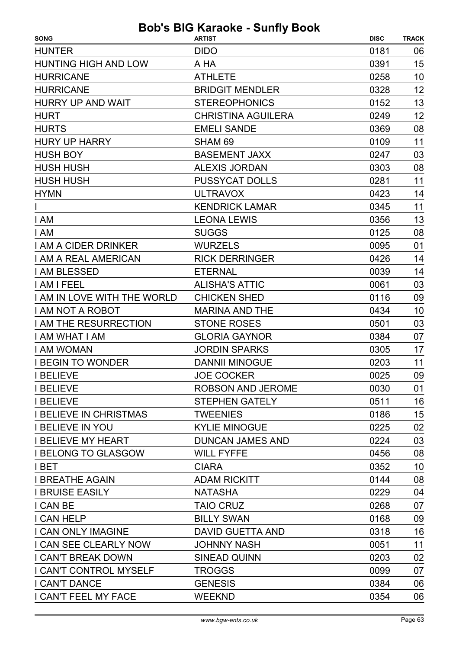| <b>SONG</b>                   | <b>ARTIST</b>             | <b>DISC</b> | <b>TRACK</b> |
|-------------------------------|---------------------------|-------------|--------------|
| <b>HUNTER</b>                 | <b>DIDO</b>               | 0181        | 06           |
| <b>HUNTING HIGH AND LOW</b>   | A HA                      | 0391        | 15           |
| <b>HURRICANE</b>              | <b>ATHLETE</b>            | 0258        | 10           |
| <b>HURRICANE</b>              | <b>BRIDGIT MENDLER</b>    | 0328        | 12           |
| <b>HURRY UP AND WAIT</b>      | <b>STEREOPHONICS</b>      | 0152        | 13           |
| <b>HURT</b>                   | <b>CHRISTINA AGUILERA</b> | 0249        | 12           |
| <b>HURTS</b>                  | <b>EMELI SANDE</b>        | 0369        | 08           |
| <b>HURY UP HARRY</b>          | SHAM <sub>69</sub>        | 0109        | 11           |
| <b>HUSH BOY</b>               | <b>BASEMENT JAXX</b>      | 0247        | 03           |
| <b>HUSH HUSH</b>              | <b>ALEXIS JORDAN</b>      | 0303        | 08           |
| <b>HUSH HUSH</b>              | <b>PUSSYCAT DOLLS</b>     | 0281        | 11           |
| <b>HYMN</b>                   | <b>ULTRAVOX</b>           | 0423        | 14           |
|                               | <b>KENDRICK LAMAR</b>     | 0345        | 11           |
| I AM                          | <b>LEONA LEWIS</b>        | 0356        | 13           |
| I AM                          | <b>SUGGS</b>              | 0125        | 08           |
| I AM A CIDER DRINKER          | <b>WURZELS</b>            | 0095        | 01           |
| <b>I AM A REAL AMERICAN</b>   | <b>RICK DERRINGER</b>     | 0426        | 14           |
| I AM BLESSED                  | <b>ETERNAL</b>            | 0039        | 14           |
| <b>I AM I FEEL</b>            | <b>ALISHA'S ATTIC</b>     | 0061        | 03           |
| I AM IN LOVE WITH THE WORLD   | <b>CHICKEN SHED</b>       | 0116        | 09           |
| I AM NOT A ROBOT              | <b>MARINA AND THE</b>     | 0434        | 10           |
| <b>I AM THE RESURRECTION</b>  | <b>STONE ROSES</b>        | 0501        | 03           |
| <b>I AM WHAT I AM</b>         | <b>GLORIA GAYNOR</b>      | 0384        | 07           |
| <b>I AM WOMAN</b>             | <b>JORDIN SPARKS</b>      | 0305        | 17           |
| <b>I BEGIN TO WONDER</b>      | <b>DANNII MINOGUE</b>     | 0203        | 11           |
| <b>I BELIEVE</b>              | <b>JOE COCKER</b>         | 0025        | 09           |
| <b>I BELIEVE</b>              | ROBSON AND JEROME         | 0030        | 01           |
| <b>I BELIEVE</b>              | <b>STEPHEN GATELY</b>     | 0511        | 16           |
| <b>I BELIEVE IN CHRISTMAS</b> | <b>TWEENIES</b>           | 0186        | 15           |
| <b>I BELIEVE IN YOU</b>       | <b>KYLIE MINOGUE</b>      | 0225        | 02           |
| <b>I BELIEVE MY HEART</b>     | <b>DUNCAN JAMES AND</b>   | 0224        | 03           |
| <b>I BELONG TO GLASGOW</b>    | <b>WILL FYFFE</b>         | 0456        | 08           |
| <b>IBET</b>                   | <b>CIARA</b>              | 0352        | 10           |
| <b>I BREATHE AGAIN</b>        | <b>ADAM RICKITT</b>       | 0144        | 08           |
| <b>I BRUISE EASILY</b>        | <b>NATASHA</b>            | 0229        | 04           |
| I CAN BE                      | <b>TAIO CRUZ</b>          | 0268        | 07           |
| I CAN HELP                    | <b>BILLY SWAN</b>         | 0168        | 09           |
| <b>I CAN ONLY IMAGINE</b>     | DAVID GUETTA AND          | 0318        | 16           |
| I CAN SEE CLEARLY NOW         | <b>JOHNNY NASH</b>        | 0051        | 11           |
| I CAN'T BREAK DOWN            | SINEAD QUINN              | 0203        | 02           |
| I CAN'T CONTROL MYSELF        | <b>TROGGS</b>             | 0099        | 07           |
| I CAN'T DANCE                 | <b>GENESIS</b>            | 0384        | 06           |
| I CAN'T FEEL MY FACE          | <b>WEEKND</b>             | 0354        | 06           |
|                               |                           |             |              |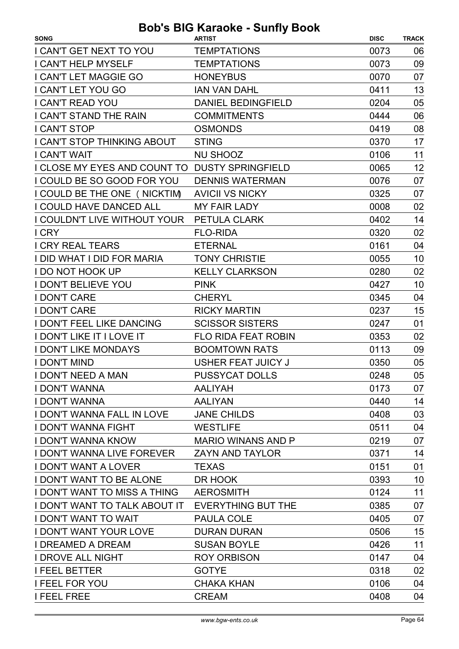| <b>SONG</b>                                      | <b>ARTIST</b>              | <b>DISC</b> | <b>TRACK</b> |
|--------------------------------------------------|----------------------------|-------------|--------------|
| I CAN'T GET NEXT TO YOU                          | <b>TEMPTATIONS</b>         | 0073        | 06           |
| I CAN'T HELP MYSELF                              | <b>TEMPTATIONS</b>         | 0073        | 09           |
| I CAN'T LET MAGGIE GO                            | <b>HONEYBUS</b>            | 0070        | 07           |
| I CAN'T LET YOU GO                               | <b>IAN VAN DAHL</b>        | 0411        | 13           |
| I CAN'T READ YOU                                 | <b>DANIEL BEDINGFIELD</b>  | 0204        | 05           |
| I CAN'T STAND THE RAIN                           | <b>COMMITMENTS</b>         | 0444        | 06           |
| <b>I CAN'T STOP</b>                              | <b>OSMONDS</b>             | 0419        | 08           |
| I CAN'T STOP THINKING ABOUT                      | <b>STING</b>               | 0370        | 17           |
| <b>I CAN'T WAIT</b>                              | <b>NU SHOOZ</b>            | 0106        | 11           |
| I CLOSE MY EYES AND COUNT TO DUSTY SPRINGFIELD   |                            | 0065        | 12           |
| I COULD BE SO GOOD FOR YOU                       | <b>DENNIS WATERMAN</b>     | 0076        | 07           |
| I COULD BE THE ONE ( NICKTIM)                    | <b>AVICII VS NICKY</b>     | 0325        | 07           |
| I COULD HAVE DANCED ALL                          | <b>MY FAIR LADY</b>        | 0008        | 02           |
| I COULDN'T LIVE WITHOUT YOUR                     | <b>PETULA CLARK</b>        | 0402        | 14           |
| I CRY                                            | <b>FLO-RIDA</b>            | 0320        | 02           |
| I CRY REAL TEARS                                 | <b>ETERNAL</b>             | 0161        | 04           |
| I DID WHAT I DID FOR MARIA                       | <b>TONY CHRISTIE</b>       | 0055        | 10           |
| <b>I DO NOT HOOK UP</b>                          | <b>KELLY CLARKSON</b>      | 0280        | 02           |
| <b>I DON'T BELIEVE YOU</b>                       | <b>PINK</b>                | 0427        | 10           |
| <b>I DON'T CARE</b>                              | <b>CHERYL</b>              | 0345        | 04           |
| <b>I DON'T CARE</b>                              | <b>RICKY MARTIN</b>        | 0237        | 15           |
| <b>I DON'T FEEL LIKE DANCING</b>                 | <b>SCISSOR SISTERS</b>     | 0247        | 01           |
| I DON'T LIKE IT I LOVE IT                        | <b>FLO RIDA FEAT ROBIN</b> | 0353        | 02           |
| <b>I DON'T LIKE MONDAYS</b>                      | <b>BOOMTOWN RATS</b>       | 0113        | 09           |
| <b>I DON'T MIND</b>                              | USHER FEAT JUICY J         | 0350        | 05           |
| DON'T NEED A MAN                                 | PUSSYCAT DOLLS             | 0248        | 05           |
| I DON'T WANNA                                    | <b>AALIYAH</b>             | 0173        | 07           |
| <b>I DON'T WANNA</b>                             | <b>AALIYAN</b>             | 0440        | 14           |
| I DON'T WANNA FALL IN LOVE                       | <b>JANE CHILDS</b>         | 0408        | 03           |
| I DON'T WANNA FIGHT                              | <b>WESTLIFE</b>            | 0511        | 04           |
| I DON'T WANNA KNOW                               | <b>MARIO WINANS AND P</b>  | 0219        | 07           |
| I DON'T WANNA LIVE FOREVER                       | <b>ZAYN AND TAYLOR</b>     | 0371        | 14           |
| I DON'T WANT A LOVER                             | TEXAS                      | 0151        | 01           |
| I DON'T WANT TO BE ALONE                         | DR HOOK                    | 0393        | 10           |
| I DON'T WANT TO MISS A THING                     | <b>AEROSMITH</b>           | 0124        | 11           |
| I DON'T WANT TO TALK ABOUT IT EVERYTHING BUT THE |                            | 0385        | 07           |
| <b>I DON'T WANT TO WAIT</b>                      | <b>PAULA COLE</b>          | 0405        | 07           |
| <b>I DON'T WANT YOUR LOVE</b>                    | <b>DURAN DURAN</b>         | 0506        | 15           |
| I DREAMED A DREAM                                | <b>SUSAN BOYLE</b>         | 0426        | 11           |
| <b>I DROVE ALL NIGHT</b>                         | <b>ROY ORBISON</b>         | 0147        | 04           |
| <b>I FEEL BETTER</b>                             | <b>GOTYE</b>               | 0318        | 02           |
| <b>I FEEL FOR YOU</b>                            | <b>CHAKA KHAN</b>          | 0106        | 04           |
| <b>I FEEL FREE</b>                               | <b>CREAM</b>               | 0408        | 04           |
|                                                  |                            |             |              |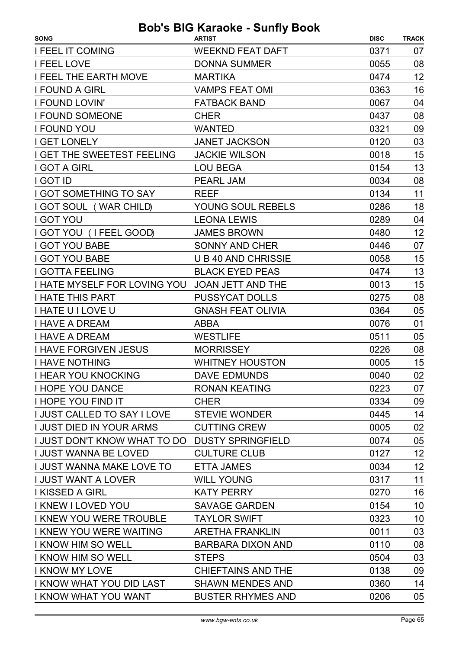| 07<br><b>WEEKND FEAT DAFT</b><br>0371<br><b>DONNA SUMMER</b><br>0055<br>08<br>12<br><b>MARTIKA</b><br>0474<br>16<br><b>VAMPS FEAT OMI</b><br>0363<br><b>FATBACK BAND</b><br>04<br>0067<br>08<br><b>CHER</b><br>0437<br><b>WANTED</b><br>0321<br>09<br>0120<br>03<br><b>JANET JACKSON</b><br><b>I GET THE SWEETEST FEELING</b><br><b>JACKIE WILSON</b><br>15<br>0018<br>13<br><b>LOU BEGA</b><br>0154<br>08<br><b>PEARL JAM</b><br>0034<br>11<br><b>I GOT SOMETHING TO SAY</b><br>0134<br><b>REEF</b><br>18<br>I GOT SOUL (WAR CHILD)<br>YOUNG SOUL REBELS<br>0286<br><b>I GOT YOU</b><br><b>LEONA LEWIS</b><br>04<br>0289<br>12<br>I GOT YOU (I FEEL GOOD)<br><b>JAMES BROWN</b><br>0480<br><b>I GOT YOU BABE</b><br>07<br><b>SONNY AND CHER</b><br>0446<br>15<br><b>I GOT YOU BABE</b><br><b>U B 40 AND CHRISSIE</b><br>0058<br>13<br><b>I GOTTA FEELING</b><br><b>BLACK EYED PEAS</b><br>0474<br>15<br>I HATE MYSELF FOR LOVING YOU<br>JOAN JETT AND THE<br>0013<br><b>I HATE THIS PART</b><br><b>PUSSYCAT DOLLS</b><br>08<br>0275<br><b>I HATE U I LOVE U</b><br><b>GNASH FEAT OLIVIA</b><br>05<br>0364<br>01<br><b>ABBA</b><br>0076<br><b>I HAVE A DREAM</b><br><b>WESTLIFE</b><br>0511<br>05<br><b>MORRISSEY</b><br>08<br>0226<br>15<br><b>WHITNEY HOUSTON</b><br>0005<br>02<br><b>I HEAR YOU KNOCKING</b><br><b>DAVE EDMUNDS</b><br>0040<br>07<br><b>RONAN KEATING</b><br>0223<br><b>CHER</b><br>0334<br>09<br>14<br>I JUST CALLED TO SAY I LOVE<br><b>STEVIE WONDER</b><br>0445<br><b>CUTTING CREW</b><br>02<br>0005<br><b>I JUST DON'T KNOW WHAT TO DO DUSTY SPRINGFIELD</b><br>05<br>0074<br>12<br><b>CULTURE CLUB</b><br>0127<br>12<br><b>ETTA JAMES</b><br>0034<br>11<br><b>WILL YOUNG</b><br>0317<br>16<br><b>KATY PERRY</b><br>0270<br>10<br><b>SAVAGE GARDEN</b><br>0154<br>I KNEW YOU WERE TROUBLE<br>10<br><b>TAYLOR SWIFT</b><br>0323<br>03<br>I KNEW YOU WERE WAITING<br><b>ARETHA FRANKLIN</b><br>0011 | <b>SONG</b>                      | <b>ARTIST</b> | <b>DISC</b> | <b>TRACK</b> |
|---------------------------------------------------------------------------------------------------------------------------------------------------------------------------------------------------------------------------------------------------------------------------------------------------------------------------------------------------------------------------------------------------------------------------------------------------------------------------------------------------------------------------------------------------------------------------------------------------------------------------------------------------------------------------------------------------------------------------------------------------------------------------------------------------------------------------------------------------------------------------------------------------------------------------------------------------------------------------------------------------------------------------------------------------------------------------------------------------------------------------------------------------------------------------------------------------------------------------------------------------------------------------------------------------------------------------------------------------------------------------------------------------------------------------------------------------------------------------------------------------------------------------------------------------------------------------------------------------------------------------------------------------------------------------------------------------------------------------------------------------------------------------------------------------------------------------------------------------------------------------------------------------------------------------|----------------------------------|---------------|-------------|--------------|
|                                                                                                                                                                                                                                                                                                                                                                                                                                                                                                                                                                                                                                                                                                                                                                                                                                                                                                                                                                                                                                                                                                                                                                                                                                                                                                                                                                                                                                                                                                                                                                                                                                                                                                                                                                                                                                                                                                                           | <b>I FEEL IT COMING</b>          |               |             |              |
|                                                                                                                                                                                                                                                                                                                                                                                                                                                                                                                                                                                                                                                                                                                                                                                                                                                                                                                                                                                                                                                                                                                                                                                                                                                                                                                                                                                                                                                                                                                                                                                                                                                                                                                                                                                                                                                                                                                           | <b>I FEEL LOVE</b>               |               |             |              |
|                                                                                                                                                                                                                                                                                                                                                                                                                                                                                                                                                                                                                                                                                                                                                                                                                                                                                                                                                                                                                                                                                                                                                                                                                                                                                                                                                                                                                                                                                                                                                                                                                                                                                                                                                                                                                                                                                                                           | <b>I FEEL THE EARTH MOVE</b>     |               |             |              |
|                                                                                                                                                                                                                                                                                                                                                                                                                                                                                                                                                                                                                                                                                                                                                                                                                                                                                                                                                                                                                                                                                                                                                                                                                                                                                                                                                                                                                                                                                                                                                                                                                                                                                                                                                                                                                                                                                                                           | <b>I FOUND A GIRL</b>            |               |             |              |
|                                                                                                                                                                                                                                                                                                                                                                                                                                                                                                                                                                                                                                                                                                                                                                                                                                                                                                                                                                                                                                                                                                                                                                                                                                                                                                                                                                                                                                                                                                                                                                                                                                                                                                                                                                                                                                                                                                                           | <b>I FOUND LOVIN'</b>            |               |             |              |
|                                                                                                                                                                                                                                                                                                                                                                                                                                                                                                                                                                                                                                                                                                                                                                                                                                                                                                                                                                                                                                                                                                                                                                                                                                                                                                                                                                                                                                                                                                                                                                                                                                                                                                                                                                                                                                                                                                                           | <b>I FOUND SOMEONE</b>           |               |             |              |
|                                                                                                                                                                                                                                                                                                                                                                                                                                                                                                                                                                                                                                                                                                                                                                                                                                                                                                                                                                                                                                                                                                                                                                                                                                                                                                                                                                                                                                                                                                                                                                                                                                                                                                                                                                                                                                                                                                                           | <b>I FOUND YOU</b>               |               |             |              |
|                                                                                                                                                                                                                                                                                                                                                                                                                                                                                                                                                                                                                                                                                                                                                                                                                                                                                                                                                                                                                                                                                                                                                                                                                                                                                                                                                                                                                                                                                                                                                                                                                                                                                                                                                                                                                                                                                                                           | <b>I GET LONELY</b>              |               |             |              |
|                                                                                                                                                                                                                                                                                                                                                                                                                                                                                                                                                                                                                                                                                                                                                                                                                                                                                                                                                                                                                                                                                                                                                                                                                                                                                                                                                                                                                                                                                                                                                                                                                                                                                                                                                                                                                                                                                                                           |                                  |               |             |              |
|                                                                                                                                                                                                                                                                                                                                                                                                                                                                                                                                                                                                                                                                                                                                                                                                                                                                                                                                                                                                                                                                                                                                                                                                                                                                                                                                                                                                                                                                                                                                                                                                                                                                                                                                                                                                                                                                                                                           | <b>I GOT A GIRL</b>              |               |             |              |
|                                                                                                                                                                                                                                                                                                                                                                                                                                                                                                                                                                                                                                                                                                                                                                                                                                                                                                                                                                                                                                                                                                                                                                                                                                                                                                                                                                                                                                                                                                                                                                                                                                                                                                                                                                                                                                                                                                                           | I GOT ID                         |               |             |              |
|                                                                                                                                                                                                                                                                                                                                                                                                                                                                                                                                                                                                                                                                                                                                                                                                                                                                                                                                                                                                                                                                                                                                                                                                                                                                                                                                                                                                                                                                                                                                                                                                                                                                                                                                                                                                                                                                                                                           |                                  |               |             |              |
|                                                                                                                                                                                                                                                                                                                                                                                                                                                                                                                                                                                                                                                                                                                                                                                                                                                                                                                                                                                                                                                                                                                                                                                                                                                                                                                                                                                                                                                                                                                                                                                                                                                                                                                                                                                                                                                                                                                           |                                  |               |             |              |
|                                                                                                                                                                                                                                                                                                                                                                                                                                                                                                                                                                                                                                                                                                                                                                                                                                                                                                                                                                                                                                                                                                                                                                                                                                                                                                                                                                                                                                                                                                                                                                                                                                                                                                                                                                                                                                                                                                                           |                                  |               |             |              |
|                                                                                                                                                                                                                                                                                                                                                                                                                                                                                                                                                                                                                                                                                                                                                                                                                                                                                                                                                                                                                                                                                                                                                                                                                                                                                                                                                                                                                                                                                                                                                                                                                                                                                                                                                                                                                                                                                                                           |                                  |               |             |              |
|                                                                                                                                                                                                                                                                                                                                                                                                                                                                                                                                                                                                                                                                                                                                                                                                                                                                                                                                                                                                                                                                                                                                                                                                                                                                                                                                                                                                                                                                                                                                                                                                                                                                                                                                                                                                                                                                                                                           |                                  |               |             |              |
|                                                                                                                                                                                                                                                                                                                                                                                                                                                                                                                                                                                                                                                                                                                                                                                                                                                                                                                                                                                                                                                                                                                                                                                                                                                                                                                                                                                                                                                                                                                                                                                                                                                                                                                                                                                                                                                                                                                           |                                  |               |             |              |
|                                                                                                                                                                                                                                                                                                                                                                                                                                                                                                                                                                                                                                                                                                                                                                                                                                                                                                                                                                                                                                                                                                                                                                                                                                                                                                                                                                                                                                                                                                                                                                                                                                                                                                                                                                                                                                                                                                                           |                                  |               |             |              |
|                                                                                                                                                                                                                                                                                                                                                                                                                                                                                                                                                                                                                                                                                                                                                                                                                                                                                                                                                                                                                                                                                                                                                                                                                                                                                                                                                                                                                                                                                                                                                                                                                                                                                                                                                                                                                                                                                                                           |                                  |               |             |              |
|                                                                                                                                                                                                                                                                                                                                                                                                                                                                                                                                                                                                                                                                                                                                                                                                                                                                                                                                                                                                                                                                                                                                                                                                                                                                                                                                                                                                                                                                                                                                                                                                                                                                                                                                                                                                                                                                                                                           |                                  |               |             |              |
|                                                                                                                                                                                                                                                                                                                                                                                                                                                                                                                                                                                                                                                                                                                                                                                                                                                                                                                                                                                                                                                                                                                                                                                                                                                                                                                                                                                                                                                                                                                                                                                                                                                                                                                                                                                                                                                                                                                           |                                  |               |             |              |
|                                                                                                                                                                                                                                                                                                                                                                                                                                                                                                                                                                                                                                                                                                                                                                                                                                                                                                                                                                                                                                                                                                                                                                                                                                                                                                                                                                                                                                                                                                                                                                                                                                                                                                                                                                                                                                                                                                                           | <b>I HAVE A DREAM</b>            |               |             |              |
|                                                                                                                                                                                                                                                                                                                                                                                                                                                                                                                                                                                                                                                                                                                                                                                                                                                                                                                                                                                                                                                                                                                                                                                                                                                                                                                                                                                                                                                                                                                                                                                                                                                                                                                                                                                                                                                                                                                           |                                  |               |             |              |
|                                                                                                                                                                                                                                                                                                                                                                                                                                                                                                                                                                                                                                                                                                                                                                                                                                                                                                                                                                                                                                                                                                                                                                                                                                                                                                                                                                                                                                                                                                                                                                                                                                                                                                                                                                                                                                                                                                                           | <b>I HAVE FORGIVEN JESUS</b>     |               |             |              |
|                                                                                                                                                                                                                                                                                                                                                                                                                                                                                                                                                                                                                                                                                                                                                                                                                                                                                                                                                                                                                                                                                                                                                                                                                                                                                                                                                                                                                                                                                                                                                                                                                                                                                                                                                                                                                                                                                                                           | <b>I HAVE NOTHING</b>            |               |             |              |
|                                                                                                                                                                                                                                                                                                                                                                                                                                                                                                                                                                                                                                                                                                                                                                                                                                                                                                                                                                                                                                                                                                                                                                                                                                                                                                                                                                                                                                                                                                                                                                                                                                                                                                                                                                                                                                                                                                                           |                                  |               |             |              |
|                                                                                                                                                                                                                                                                                                                                                                                                                                                                                                                                                                                                                                                                                                                                                                                                                                                                                                                                                                                                                                                                                                                                                                                                                                                                                                                                                                                                                                                                                                                                                                                                                                                                                                                                                                                                                                                                                                                           | <b>I HOPE YOU DANCE</b>          |               |             |              |
|                                                                                                                                                                                                                                                                                                                                                                                                                                                                                                                                                                                                                                                                                                                                                                                                                                                                                                                                                                                                                                                                                                                                                                                                                                                                                                                                                                                                                                                                                                                                                                                                                                                                                                                                                                                                                                                                                                                           | I HOPE YOU FIND IT               |               |             |              |
|                                                                                                                                                                                                                                                                                                                                                                                                                                                                                                                                                                                                                                                                                                                                                                                                                                                                                                                                                                                                                                                                                                                                                                                                                                                                                                                                                                                                                                                                                                                                                                                                                                                                                                                                                                                                                                                                                                                           |                                  |               |             |              |
|                                                                                                                                                                                                                                                                                                                                                                                                                                                                                                                                                                                                                                                                                                                                                                                                                                                                                                                                                                                                                                                                                                                                                                                                                                                                                                                                                                                                                                                                                                                                                                                                                                                                                                                                                                                                                                                                                                                           | I JUST DIED IN YOUR ARMS         |               |             |              |
|                                                                                                                                                                                                                                                                                                                                                                                                                                                                                                                                                                                                                                                                                                                                                                                                                                                                                                                                                                                                                                                                                                                                                                                                                                                                                                                                                                                                                                                                                                                                                                                                                                                                                                                                                                                                                                                                                                                           |                                  |               |             |              |
|                                                                                                                                                                                                                                                                                                                                                                                                                                                                                                                                                                                                                                                                                                                                                                                                                                                                                                                                                                                                                                                                                                                                                                                                                                                                                                                                                                                                                                                                                                                                                                                                                                                                                                                                                                                                                                                                                                                           | <b>I JUST WANNA BE LOVED</b>     |               |             |              |
|                                                                                                                                                                                                                                                                                                                                                                                                                                                                                                                                                                                                                                                                                                                                                                                                                                                                                                                                                                                                                                                                                                                                                                                                                                                                                                                                                                                                                                                                                                                                                                                                                                                                                                                                                                                                                                                                                                                           | <b>I JUST WANNA MAKE LOVE TO</b> |               |             |              |
|                                                                                                                                                                                                                                                                                                                                                                                                                                                                                                                                                                                                                                                                                                                                                                                                                                                                                                                                                                                                                                                                                                                                                                                                                                                                                                                                                                                                                                                                                                                                                                                                                                                                                                                                                                                                                                                                                                                           | <b>I JUST WANT A LOVER</b>       |               |             |              |
|                                                                                                                                                                                                                                                                                                                                                                                                                                                                                                                                                                                                                                                                                                                                                                                                                                                                                                                                                                                                                                                                                                                                                                                                                                                                                                                                                                                                                                                                                                                                                                                                                                                                                                                                                                                                                                                                                                                           | <b>I KISSED A GIRL</b>           |               |             |              |
|                                                                                                                                                                                                                                                                                                                                                                                                                                                                                                                                                                                                                                                                                                                                                                                                                                                                                                                                                                                                                                                                                                                                                                                                                                                                                                                                                                                                                                                                                                                                                                                                                                                                                                                                                                                                                                                                                                                           | I KNEW I LOVED YOU               |               |             |              |
|                                                                                                                                                                                                                                                                                                                                                                                                                                                                                                                                                                                                                                                                                                                                                                                                                                                                                                                                                                                                                                                                                                                                                                                                                                                                                                                                                                                                                                                                                                                                                                                                                                                                                                                                                                                                                                                                                                                           |                                  |               |             |              |
|                                                                                                                                                                                                                                                                                                                                                                                                                                                                                                                                                                                                                                                                                                                                                                                                                                                                                                                                                                                                                                                                                                                                                                                                                                                                                                                                                                                                                                                                                                                                                                                                                                                                                                                                                                                                                                                                                                                           |                                  |               |             |              |
| 0110<br>08<br><b>BARBARA DIXON AND</b>                                                                                                                                                                                                                                                                                                                                                                                                                                                                                                                                                                                                                                                                                                                                                                                                                                                                                                                                                                                                                                                                                                                                                                                                                                                                                                                                                                                                                                                                                                                                                                                                                                                                                                                                                                                                                                                                                    | I KNOW HIM SO WELL               |               |             |              |
| 03<br><b>STEPS</b><br>0504                                                                                                                                                                                                                                                                                                                                                                                                                                                                                                                                                                                                                                                                                                                                                                                                                                                                                                                                                                                                                                                                                                                                                                                                                                                                                                                                                                                                                                                                                                                                                                                                                                                                                                                                                                                                                                                                                                | I KNOW HIM SO WELL               |               |             |              |
| <b>CHIEFTAINS AND THE</b><br>0138<br>09                                                                                                                                                                                                                                                                                                                                                                                                                                                                                                                                                                                                                                                                                                                                                                                                                                                                                                                                                                                                                                                                                                                                                                                                                                                                                                                                                                                                                                                                                                                                                                                                                                                                                                                                                                                                                                                                                   | <b>I KNOW MY LOVE</b>            |               |             |              |
| 14<br><b>SHAWN MENDES AND</b><br>0360                                                                                                                                                                                                                                                                                                                                                                                                                                                                                                                                                                                                                                                                                                                                                                                                                                                                                                                                                                                                                                                                                                                                                                                                                                                                                                                                                                                                                                                                                                                                                                                                                                                                                                                                                                                                                                                                                     | I KNOW WHAT YOU DID LAST         |               |             |              |
| <b>BUSTER RHYMES AND</b><br>05<br>0206                                                                                                                                                                                                                                                                                                                                                                                                                                                                                                                                                                                                                                                                                                                                                                                                                                                                                                                                                                                                                                                                                                                                                                                                                                                                                                                                                                                                                                                                                                                                                                                                                                                                                                                                                                                                                                                                                    | I KNOW WHAT YOU WANT             |               |             |              |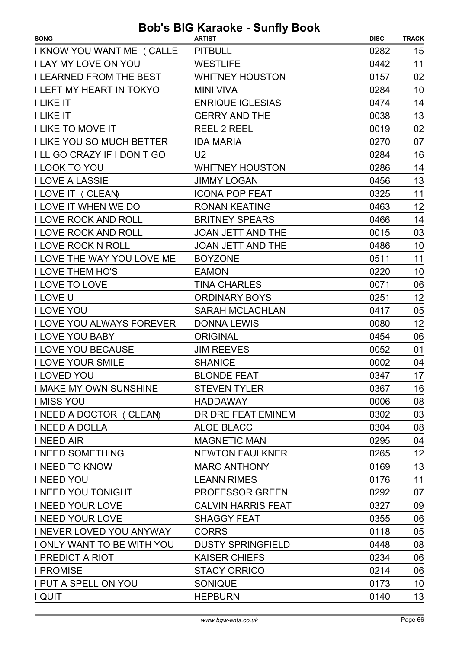| <b>SONG</b>                       | <b>ARTIST</b>             | <b>DISC</b> | <b>TRACK</b> |
|-----------------------------------|---------------------------|-------------|--------------|
| I KNOW YOU WANT ME ( CALLE        | <b>PITBULL</b>            | 0282        | 15           |
| <b>I LAY MY LOVE ON YOU</b>       | <b>WESTLIFE</b>           | 0442        | 11           |
| <b>I LEARNED FROM THE BEST</b>    | <b>WHITNEY HOUSTON</b>    | 0157        | 02           |
| <b>I LEFT MY HEART IN TOKYO</b>   | <b>MINI VIVA</b>          | 0284        | 10           |
| <b>I LIKE IT</b>                  | <b>ENRIQUE IGLESIAS</b>   | 0474        | 14           |
| I LIKE IT                         | <b>GERRY AND THE</b>      | 0038        | 13           |
| <b>I LIKE TO MOVE IT</b>          | <b>REEL 2 REEL</b>        | 0019        | 02           |
| <b>I LIKE YOU SO MUCH BETTER</b>  | <b>IDA MARIA</b>          | 0270        | 07           |
| I LL GO CRAZY IF I DON T GO       | U <sub>2</sub>            | 0284        | 16           |
| <b>I LOOK TO YOU</b>              | <b>WHITNEY HOUSTON</b>    | 0286        | 14           |
| <b>I LOVE A LASSIE</b>            | <b>JIMMY LOGAN</b>        | 0456        | 13           |
| I LOVE IT ( CLEAN)                | <b>ICONA POP FEAT</b>     | 0325        | 11           |
| <b>I LOVE IT WHEN WE DO</b>       | <b>RONAN KEATING</b>      | 0463        | 12           |
| <b>I LOVE ROCK AND ROLL</b>       | <b>BRITNEY SPEARS</b>     | 0466        | 14           |
| <b>I LOVE ROCK AND ROLL</b>       | <b>JOAN JETT AND THE</b>  | 0015        | 03           |
| <b>I LOVE ROCK N ROLL</b>         | <b>JOAN JETT AND THE</b>  | 0486        | 10           |
| <b>I LOVE THE WAY YOU LOVE ME</b> | <b>BOYZONE</b>            | 0511        | 11           |
| <b>I LOVE THEM HO'S</b>           | <b>EAMON</b>              | 0220        | 10           |
| <b>I LOVE TO LOVE</b>             | <b>TINA CHARLES</b>       | 0071        | 06           |
| I LOVE U                          | <b>ORDINARY BOYS</b>      | 0251        | 12           |
| <b>I LOVE YOU</b>                 | <b>SARAH MCLACHLAN</b>    | 0417        | 05           |
| <b>I LOVE YOU ALWAYS FOREVER</b>  | <b>DONNA LEWIS</b>        | 0080        | 12           |
| <b>I LOVE YOU BABY</b>            | <b>ORIGINAL</b>           | 0454        | 06           |
| <b>I LOVE YOU BECAUSE</b>         | <b>JIM REEVES</b>         | 0052        | 01           |
| <b>I LOVE YOUR SMILE</b>          | <b>SHANICE</b>            | 0002        | 04           |
| <b>I LOVED YOU</b>                | <b>BLONDE FEAT</b>        | 0347        | 17           |
| <b>I MAKE MY OWN SUNSHINE</b>     | <b>STEVEN TYLER</b>       | 0367        | 16           |
| <b>I MISS YOU</b>                 | <b>HADDAWAY</b>           | 0006        | 08           |
| I NEED A DOCTOR (CLEAN)           | DR DRE FEAT EMINEM        | 0302        | 03           |
| I NEED A DOLLA                    | <b>ALOE BLACC</b>         | 0304        | 08           |
| I NEED AIR                        | <b>MAGNETIC MAN</b>       | 0295        | 04           |
| <b>I NEED SOMETHING</b>           | <b>NEWTON FAULKNER</b>    | 0265        | 12           |
| <b>I NEED TO KNOW</b>             | <b>MARC ANTHONY</b>       | 0169        | 13           |
| <b>INEED YOU</b>                  | <b>LEANN RIMES</b>        | 0176        | 11           |
| I NEED YOU TONIGHT                | <b>PROFESSOR GREEN</b>    | 0292        | 07           |
| <b>I NEED YOUR LOVE</b>           | <b>CALVIN HARRIS FEAT</b> | 0327        | 09           |
| <b>I NEED YOUR LOVE</b>           | <b>SHAGGY FEAT</b>        | 0355        | 06           |
| <b>I NEVER LOVED YOU ANYWAY</b>   | <b>CORRS</b>              | 0118        | 05           |
| I ONLY WANT TO BE WITH YOU        | <b>DUSTY SPRINGFIELD</b>  | 0448        | 08           |
| I PREDICT A RIOT                  | <b>KAISER CHIEFS</b>      | 0234        | 06           |
| <b>I PROMISE</b>                  | <b>STACY ORRICO</b>       | 0214        | 06           |
| I PUT A SPELL ON YOU              | <b>SONIQUE</b>            | 0173        | 10           |
| I QUIT                            | <b>HEPBURN</b>            | 0140        | 13           |
|                                   |                           |             |              |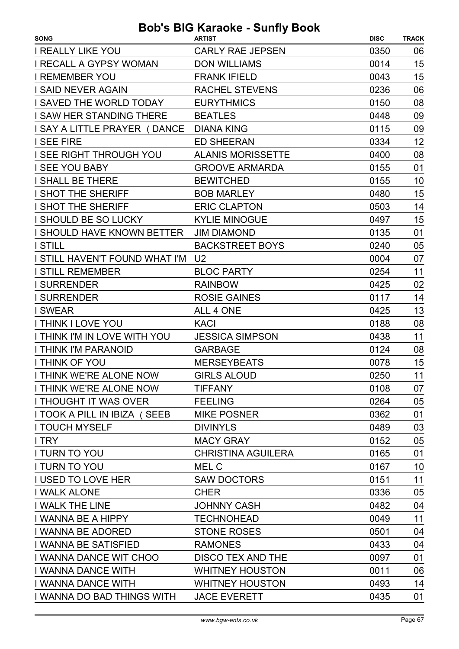| <b>SONG</b>                     | <b>ARTIST</b>             | <b>DISC</b> | <b>TRACK</b> |
|---------------------------------|---------------------------|-------------|--------------|
| <b>I REALLY LIKE YOU</b>        | <b>CARLY RAE JEPSEN</b>   | 0350        | 06           |
| <b>I RECALL A GYPSY WOMAN</b>   | <b>DON WILLIAMS</b>       | 0014        | 15           |
| <b>I REMEMBER YOU</b>           | <b>FRANK IFIELD</b>       | 0043        | 15           |
| <b>I SAID NEVER AGAIN</b>       | <b>RACHEL STEVENS</b>     | 0236        | 06           |
| <b>I SAVED THE WORLD TODAY</b>  | <b>EURYTHMICS</b>         | 0150        | 08           |
| <b>I SAW HER STANDING THERE</b> | <b>BEATLES</b>            | 0448        | 09           |
| I SAY A LITTLE PRAYER (DANCE    | <b>DIANA KING</b>         | 0115        | 09           |
| <b>I SEE FIRE</b>               | <b>ED SHEERAN</b>         | 0334        | 12           |
| <b>I SEE RIGHT THROUGH YOU</b>  | <b>ALANIS MORISSETTE</b>  | 0400        | 08           |
| <b>I SEE YOU BABY</b>           | <b>GROOVE ARMARDA</b>     | 0155        | 01           |
| <b>I SHALL BE THERE</b>         | <b>BEWITCHED</b>          | 0155        | 10           |
| <b>I SHOT THE SHERIFF</b>       | <b>BOB MARLEY</b>         | 0480        | 15           |
| I SHOT THE SHERIFF              | <b>ERIC CLAPTON</b>       | 0503        | 14           |
| I SHOULD BE SO LUCKY            | <b>KYLIE MINOGUE</b>      | 0497        | 15           |
| I SHOULD HAVE KNOWN BETTER      | <b>JIM DIAMOND</b>        | 0135        | 01           |
| <b>I STILL</b>                  | <b>BACKSTREET BOYS</b>    | 0240        | 05           |
| I STILL HAVEN'T FOUND WHAT I'M  | U <sub>2</sub>            | 0004        | 07           |
| <b>I STILL REMEMBER</b>         | <b>BLOC PARTY</b>         | 0254        | 11           |
| <b>I SURRENDER</b>              | <b>RAINBOW</b>            | 0425        | 02           |
| <b>I SURRENDER</b>              | <b>ROSIE GAINES</b>       | 0117        | 14           |
| <b>I SWEAR</b>                  | ALL 4 ONE                 | 0425        | 13           |
| I THINK I LOVE YOU              | <b>KACI</b>               | 0188        | 08           |
| I THINK I'M IN LOVE WITH YOU    | <b>JESSICA SIMPSON</b>    | 0438        | 11           |
| I THINK I'M PARANOID            | <b>GARBAGE</b>            | 0124        | 08           |
| <b>I THINK OF YOU</b>           | <b>MERSEYBEATS</b>        | 0078        | 15           |
| I THINK WE'RE ALONE NOW         | <b>GIRLS ALOUD</b>        | 0250        | 11           |
| I THINK WE'RE ALONE NOW         | <b>TIFFANY</b>            | 0108        | 07           |
| <b>I THOUGHT IT WAS OVER</b>    | <b>FEELING</b>            | 0264        | 05           |
| I TOOK A PILL IN IBIZA (SEEB    | <b>MIKE POSNER</b>        | 0362        | 01           |
| <b>I TOUCH MYSELF</b>           | <b>DIVINYLS</b>           | 0489        | 03           |
| I TRY                           | <b>MACY GRAY</b>          | 0152        | 05           |
| <b>I TURN TO YOU</b>            | <b>CHRISTINA AGUILERA</b> | 0165        | 01           |
| <b>I TURN TO YOU</b>            | MEL C                     | 0167        | 10           |
| <b>I USED TO LOVE HER</b>       | <b>SAW DOCTORS</b>        | 0151        | 11           |
| <b>I WALK ALONE</b>             | <b>CHER</b>               | 0336        | 05           |
| I WALK THE LINE                 | <b>JOHNNY CASH</b>        | 0482        | 04           |
| I WANNA BE A HIPPY              | <b>TECHNOHEAD</b>         | 0049        | 11           |
| I WANNA BE ADORED               | <b>STONE ROSES</b>        | 0501        | 04           |
| I WANNA BE SATISFIED            | <b>RAMONES</b>            | 0433        | 04           |
| I WANNA DANCE WIT CHOO          | <b>DISCO TEX AND THE</b>  | 0097        | 01           |
| I WANNA DANCE WITH              | <b>WHITNEY HOUSTON</b>    | 0011        | 06           |
| I WANNA DANCE WITH              | <b>WHITNEY HOUSTON</b>    | 0493        | 14           |
| I WANNA DO BAD THINGS WITH      | <b>JACE EVERETT</b>       | 0435        | 01           |
|                                 |                           |             |              |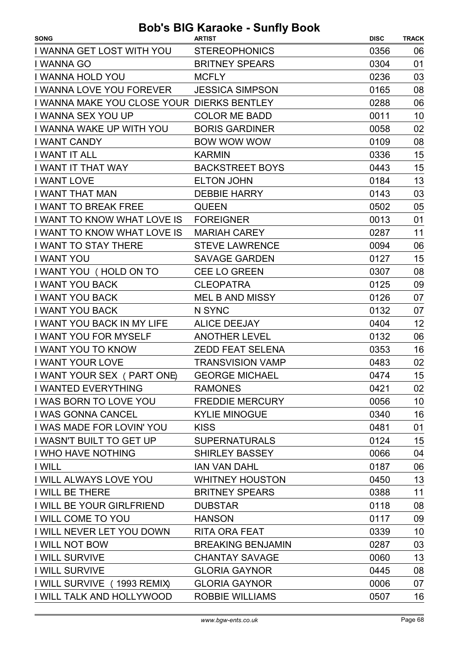| <b>SONG</b>                                | <b>ARTIST</b>            | <b>DISC</b> | <b>TRACK</b> |
|--------------------------------------------|--------------------------|-------------|--------------|
| I WANNA GET LOST WITH YOU                  | <b>STEREOPHONICS</b>     | 0356        | 06           |
| I WANNA GO                                 | <b>BRITNEY SPEARS</b>    | 0304        | 01           |
| <b>I WANNA HOLD YOU</b>                    | <b>MCFLY</b>             | 0236        | 03           |
| I WANNA LOVE YOU FOREVER                   | <b>JESSICA SIMPSON</b>   | 0165        | 08           |
| I WANNA MAKE YOU CLOSE YOUR DIERKS BENTLEY |                          | 0288        | 06           |
| I WANNA SEX YOU UP                         | <b>COLOR ME BADD</b>     | 0011        | 10           |
| I WANNA WAKE UP WITH YOU                   | <b>BORIS GARDINER</b>    | 0058        | 02           |
| <b>I WANT CANDY</b>                        | <b>BOW WOW WOW</b>       | 0109        | 08           |
| <b>I WANT IT ALL</b>                       | <b>KARMIN</b>            | 0336        | 15           |
| I WANT IT THAT WAY                         | <b>BACKSTREET BOYS</b>   | 0443        | 15           |
| <b>I WANT LOVE</b>                         | <b>ELTON JOHN</b>        | 0184        | 13           |
| I WANT THAT MAN                            | <b>DEBBIE HARRY</b>      | 0143        | 03           |
| <b>I WANT TO BREAK FREE</b>                | <b>QUEEN</b>             | 0502        | 05           |
| I WANT TO KNOW WHAT LOVE IS                | <b>FOREIGNER</b>         | 0013        | 01           |
| I WANT TO KNOW WHAT LOVE IS                | <b>MARIAH CAREY</b>      | 0287        | 11           |
| <b>I WANT TO STAY THERE</b>                | <b>STEVE LAWRENCE</b>    | 0094        | 06           |
| I WANT YOU                                 | <b>SAVAGE GARDEN</b>     | 0127        | 15           |
| I WANT YOU (HOLD ON TO                     | <b>CEE LO GREEN</b>      | 0307        | 08           |
| <b>I WANT YOU BACK</b>                     | <b>CLEOPATRA</b>         | 0125        | 09           |
| <b>I WANT YOU BACK</b>                     | <b>MEL B AND MISSY</b>   | 0126        | 07           |
| <b>I WANT YOU BACK</b>                     | N SYNC                   | 0132        | 07           |
| I WANT YOU BACK IN MY LIFE                 | <b>ALICE DEEJAY</b>      | 0404        | 12           |
| <b>I WANT YOU FOR MYSELF</b>               | <b>ANOTHER LEVEL</b>     | 0132        | 06           |
| I WANT YOU TO KNOW                         | <b>ZEDD FEAT SELENA</b>  | 0353        | 16           |
| <b>I WANT YOUR LOVE</b>                    | <b>TRANSVISION VAMP</b>  | 0483        | 02           |
| I WANT YOUR SEX ( PART ONE)                | <b>GEORGE MICHAEL</b>    | 0474        | 15           |
| I WANTED EVERYTHING                        | <b>RAMONES</b>           | 0421        | 02           |
| I WAS BORN TO LOVE YOU                     | <b>FREDDIE MERCURY</b>   | 0056        | 10           |
| <b>I WAS GONNA CANCEL</b>                  | <b>KYLIE MINOGUE</b>     | 0340        | 16           |
| I WAS MADE FOR LOVIN' YOU                  | <b>KISS</b>              | 0481        | 01           |
| I WASN'T BUILT TO GET UP                   | <b>SUPERNATURALS</b>     | 0124        | 15           |
| <b>I WHO HAVE NOTHING</b>                  | <b>SHIRLEY BASSEY</b>    | 0066        | 04           |
| I WILL                                     | <b>IAN VAN DAHL</b>      | 0187        | 06           |
| I WILL ALWAYS LOVE YOU                     | <b>WHITNEY HOUSTON</b>   | 0450        | 13           |
| I WILL BE THERE                            | <b>BRITNEY SPEARS</b>    | 0388        | 11           |
| I WILL BE YOUR GIRLFRIEND                  | <b>DUBSTAR</b>           | 0118        | 08           |
| I WILL COME TO YOU                         | <b>HANSON</b>            | 0117        | 09           |
| I WILL NEVER LET YOU DOWN                  | <b>RITA ORA FEAT</b>     | 0339        | 10           |
| I WILL NOT BOW                             | <b>BREAKING BENJAMIN</b> | 0287        | 03           |
| I WILL SURVIVE                             | <b>CHANTAY SAVAGE</b>    | 0060        | 13           |
| <b>I WILL SURVIVE</b>                      | <b>GLORIA GAYNOR</b>     | 0445        | 08           |
| I WILL SURVIVE (1993 REMIX)                | <b>GLORIA GAYNOR</b>     | 0006        | 07           |
| I WILL TALK AND HOLLYWOOD                  | <b>ROBBIE WILLIAMS</b>   | 0507        | 16           |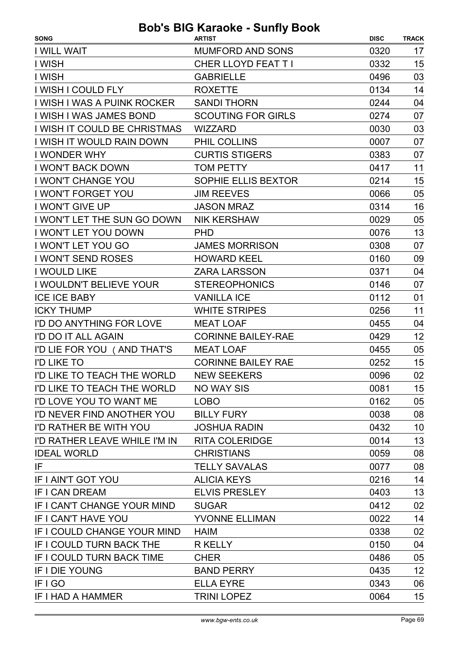| <b>I WILL WAIT</b><br><b>MUMFORD AND SONS</b><br>0320<br><b>I WISH</b><br><b>CHER LLOYD FEAT TI</b><br>15<br>0332<br>03<br><b>I WISH</b><br><b>GABRIELLE</b><br>0496<br>I WISH I COULD FLY<br><b>ROXETTE</b><br>14<br>0134<br>I WISH I WAS A PUINK ROCKER<br><b>SANDI THORN</b><br>04<br>0244<br>I WISH I WAS JAMES BOND<br><b>SCOUTING FOR GIRLS</b><br>07<br>0274<br>03<br>I WISH IT COULD BE CHRISTMAS<br><b>WIZZARD</b><br>0030<br>I WISH IT WOULD RAIN DOWN<br>PHIL COLLINS<br>0007<br>07<br><b>I WONDER WHY</b><br><b>CURTIS STIGERS</b><br>0383<br>07<br>11<br><b>I WON'T BACK DOWN</b><br><b>TOM PETTY</b><br>0417<br>I WON'T CHANGE YOU<br>SOPHIE ELLIS BEXTOR<br>15<br>0214<br>05<br><b>I WON'T FORGET YOU</b><br><b>JIM REEVES</b><br>0066<br>16<br>I WON'T GIVE UP<br><b>JASON MRAZ</b><br>0314<br>I WON'T LET THE SUN GO DOWN<br><b>NIK KERSHAW</b><br>05<br>0029<br>13<br>I WON'T LET YOU DOWN<br>0076<br><b>PHD</b><br>I WON'T LET YOU GO<br>07<br>0308<br><b>JAMES MORRISON</b><br>I WON'T SEND ROSES<br>09<br><b>HOWARD KEEL</b><br>0160<br><b>I WOULD LIKE</b><br>04<br><b>ZARA LARSSON</b><br>0371<br>07<br>I WOULDN'T BELIEVE YOUR<br><b>STEREOPHONICS</b><br>0146<br><b>ICE ICE BABY</b><br><b>VANILLA ICE</b><br>0112<br>01<br><b>ICKY THUMP</b><br><b>WHITE STRIPES</b><br>11<br>0256<br>04<br>I'D DO ANYTHING FOR LOVE<br><b>MEAT LOAF</b><br>0455<br>12<br>I'D DO IT ALL AGAIN<br><b>CORINNE BAILEY-RAE</b><br>0429<br>05<br>I'D LIE FOR YOU (AND THAT'S<br><b>MEAT LOAF</b><br>0455<br>15<br><b>I'D LIKE TO</b><br><b>CORINNE BAILEY RAE</b><br>0252<br><b>NEW SEEKERS</b><br>0096<br>I'D LIKE TO TEACH THE WORLD<br>I'D LIKE TO TEACH THE WORLD<br><b>NO WAY SIS</b><br>0081<br>I'D LOVE YOU TO WANT ME<br>0162<br><b>LOBO</b><br>I'D NEVER FIND ANOTHER YOU<br><b>BILLY FURY</b><br>0038<br>I'D RATHER BE WITH YOU<br><b>JOSHUA RADIN</b><br>0432<br>10<br>I'D RATHER LEAVE WHILE I'M IN<br><b>RITA COLERIDGE</b><br>0014<br><b>CHRISTIANS</b><br>0059<br>08<br><b>IDEAL WORLD</b><br>IF<br><b>TELLY SAVALAS</b><br>0077<br>14<br><b>ALICIA KEYS</b><br>0216<br>IF I AIN'T GOT YOU<br>IF I CAN DREAM<br><b>ELVIS PRESLEY</b><br>0403<br>02<br>IF I CAN'T CHANGE YOUR MIND<br><b>SUGAR</b><br>0412<br>IF I CAN'T HAVE YOU<br><b>YVONNE ELLIMAN</b><br>14<br>0022<br>0338<br>IF I COULD CHANGE YOUR MIND<br><b>HAIM</b><br>IF I COULD TURN BACK THE<br><b>R KELLY</b><br>0150<br>IF I COULD TURN BACK TIME<br><b>CHER</b><br>0486<br>IF I DIE YOUNG<br><b>BAND PERRY</b><br>0435<br><b>ELLA EYRE</b><br>IF I GO<br>0343<br>IF I HAD A HAMMER<br><b>TRINI LOPEZ</b><br>0064 | <b>SONG</b> | <b>ARTIST</b> | <b>DISC</b> | <b>TRACK</b> |
|------------------------------------------------------------------------------------------------------------------------------------------------------------------------------------------------------------------------------------------------------------------------------------------------------------------------------------------------------------------------------------------------------------------------------------------------------------------------------------------------------------------------------------------------------------------------------------------------------------------------------------------------------------------------------------------------------------------------------------------------------------------------------------------------------------------------------------------------------------------------------------------------------------------------------------------------------------------------------------------------------------------------------------------------------------------------------------------------------------------------------------------------------------------------------------------------------------------------------------------------------------------------------------------------------------------------------------------------------------------------------------------------------------------------------------------------------------------------------------------------------------------------------------------------------------------------------------------------------------------------------------------------------------------------------------------------------------------------------------------------------------------------------------------------------------------------------------------------------------------------------------------------------------------------------------------------------------------------------------------------------------------------------------------------------------------------------------------------------------------------------------------------------------------------------------------------------------------------------------------------------------------------------------------------------------------------------------------------------------------------------------------------------------------------------------------------------------------------------------------------------------------------------------------------------------------------------------------------------|-------------|---------------|-------------|--------------|
|                                                                                                                                                                                                                                                                                                                                                                                                                                                                                                                                                                                                                                                                                                                                                                                                                                                                                                                                                                                                                                                                                                                                                                                                                                                                                                                                                                                                                                                                                                                                                                                                                                                                                                                                                                                                                                                                                                                                                                                                                                                                                                                                                                                                                                                                                                                                                                                                                                                                                                                                                                                                      |             |               |             | 17           |
|                                                                                                                                                                                                                                                                                                                                                                                                                                                                                                                                                                                                                                                                                                                                                                                                                                                                                                                                                                                                                                                                                                                                                                                                                                                                                                                                                                                                                                                                                                                                                                                                                                                                                                                                                                                                                                                                                                                                                                                                                                                                                                                                                                                                                                                                                                                                                                                                                                                                                                                                                                                                      |             |               |             |              |
|                                                                                                                                                                                                                                                                                                                                                                                                                                                                                                                                                                                                                                                                                                                                                                                                                                                                                                                                                                                                                                                                                                                                                                                                                                                                                                                                                                                                                                                                                                                                                                                                                                                                                                                                                                                                                                                                                                                                                                                                                                                                                                                                                                                                                                                                                                                                                                                                                                                                                                                                                                                                      |             |               |             |              |
|                                                                                                                                                                                                                                                                                                                                                                                                                                                                                                                                                                                                                                                                                                                                                                                                                                                                                                                                                                                                                                                                                                                                                                                                                                                                                                                                                                                                                                                                                                                                                                                                                                                                                                                                                                                                                                                                                                                                                                                                                                                                                                                                                                                                                                                                                                                                                                                                                                                                                                                                                                                                      |             |               |             |              |
|                                                                                                                                                                                                                                                                                                                                                                                                                                                                                                                                                                                                                                                                                                                                                                                                                                                                                                                                                                                                                                                                                                                                                                                                                                                                                                                                                                                                                                                                                                                                                                                                                                                                                                                                                                                                                                                                                                                                                                                                                                                                                                                                                                                                                                                                                                                                                                                                                                                                                                                                                                                                      |             |               |             |              |
|                                                                                                                                                                                                                                                                                                                                                                                                                                                                                                                                                                                                                                                                                                                                                                                                                                                                                                                                                                                                                                                                                                                                                                                                                                                                                                                                                                                                                                                                                                                                                                                                                                                                                                                                                                                                                                                                                                                                                                                                                                                                                                                                                                                                                                                                                                                                                                                                                                                                                                                                                                                                      |             |               |             |              |
|                                                                                                                                                                                                                                                                                                                                                                                                                                                                                                                                                                                                                                                                                                                                                                                                                                                                                                                                                                                                                                                                                                                                                                                                                                                                                                                                                                                                                                                                                                                                                                                                                                                                                                                                                                                                                                                                                                                                                                                                                                                                                                                                                                                                                                                                                                                                                                                                                                                                                                                                                                                                      |             |               |             |              |
|                                                                                                                                                                                                                                                                                                                                                                                                                                                                                                                                                                                                                                                                                                                                                                                                                                                                                                                                                                                                                                                                                                                                                                                                                                                                                                                                                                                                                                                                                                                                                                                                                                                                                                                                                                                                                                                                                                                                                                                                                                                                                                                                                                                                                                                                                                                                                                                                                                                                                                                                                                                                      |             |               |             |              |
|                                                                                                                                                                                                                                                                                                                                                                                                                                                                                                                                                                                                                                                                                                                                                                                                                                                                                                                                                                                                                                                                                                                                                                                                                                                                                                                                                                                                                                                                                                                                                                                                                                                                                                                                                                                                                                                                                                                                                                                                                                                                                                                                                                                                                                                                                                                                                                                                                                                                                                                                                                                                      |             |               |             |              |
|                                                                                                                                                                                                                                                                                                                                                                                                                                                                                                                                                                                                                                                                                                                                                                                                                                                                                                                                                                                                                                                                                                                                                                                                                                                                                                                                                                                                                                                                                                                                                                                                                                                                                                                                                                                                                                                                                                                                                                                                                                                                                                                                                                                                                                                                                                                                                                                                                                                                                                                                                                                                      |             |               |             |              |
|                                                                                                                                                                                                                                                                                                                                                                                                                                                                                                                                                                                                                                                                                                                                                                                                                                                                                                                                                                                                                                                                                                                                                                                                                                                                                                                                                                                                                                                                                                                                                                                                                                                                                                                                                                                                                                                                                                                                                                                                                                                                                                                                                                                                                                                                                                                                                                                                                                                                                                                                                                                                      |             |               |             |              |
|                                                                                                                                                                                                                                                                                                                                                                                                                                                                                                                                                                                                                                                                                                                                                                                                                                                                                                                                                                                                                                                                                                                                                                                                                                                                                                                                                                                                                                                                                                                                                                                                                                                                                                                                                                                                                                                                                                                                                                                                                                                                                                                                                                                                                                                                                                                                                                                                                                                                                                                                                                                                      |             |               |             |              |
|                                                                                                                                                                                                                                                                                                                                                                                                                                                                                                                                                                                                                                                                                                                                                                                                                                                                                                                                                                                                                                                                                                                                                                                                                                                                                                                                                                                                                                                                                                                                                                                                                                                                                                                                                                                                                                                                                                                                                                                                                                                                                                                                                                                                                                                                                                                                                                                                                                                                                                                                                                                                      |             |               |             |              |
|                                                                                                                                                                                                                                                                                                                                                                                                                                                                                                                                                                                                                                                                                                                                                                                                                                                                                                                                                                                                                                                                                                                                                                                                                                                                                                                                                                                                                                                                                                                                                                                                                                                                                                                                                                                                                                                                                                                                                                                                                                                                                                                                                                                                                                                                                                                                                                                                                                                                                                                                                                                                      |             |               |             |              |
|                                                                                                                                                                                                                                                                                                                                                                                                                                                                                                                                                                                                                                                                                                                                                                                                                                                                                                                                                                                                                                                                                                                                                                                                                                                                                                                                                                                                                                                                                                                                                                                                                                                                                                                                                                                                                                                                                                                                                                                                                                                                                                                                                                                                                                                                                                                                                                                                                                                                                                                                                                                                      |             |               |             |              |
|                                                                                                                                                                                                                                                                                                                                                                                                                                                                                                                                                                                                                                                                                                                                                                                                                                                                                                                                                                                                                                                                                                                                                                                                                                                                                                                                                                                                                                                                                                                                                                                                                                                                                                                                                                                                                                                                                                                                                                                                                                                                                                                                                                                                                                                                                                                                                                                                                                                                                                                                                                                                      |             |               |             |              |
|                                                                                                                                                                                                                                                                                                                                                                                                                                                                                                                                                                                                                                                                                                                                                                                                                                                                                                                                                                                                                                                                                                                                                                                                                                                                                                                                                                                                                                                                                                                                                                                                                                                                                                                                                                                                                                                                                                                                                                                                                                                                                                                                                                                                                                                                                                                                                                                                                                                                                                                                                                                                      |             |               |             |              |
|                                                                                                                                                                                                                                                                                                                                                                                                                                                                                                                                                                                                                                                                                                                                                                                                                                                                                                                                                                                                                                                                                                                                                                                                                                                                                                                                                                                                                                                                                                                                                                                                                                                                                                                                                                                                                                                                                                                                                                                                                                                                                                                                                                                                                                                                                                                                                                                                                                                                                                                                                                                                      |             |               |             |              |
|                                                                                                                                                                                                                                                                                                                                                                                                                                                                                                                                                                                                                                                                                                                                                                                                                                                                                                                                                                                                                                                                                                                                                                                                                                                                                                                                                                                                                                                                                                                                                                                                                                                                                                                                                                                                                                                                                                                                                                                                                                                                                                                                                                                                                                                                                                                                                                                                                                                                                                                                                                                                      |             |               |             |              |
|                                                                                                                                                                                                                                                                                                                                                                                                                                                                                                                                                                                                                                                                                                                                                                                                                                                                                                                                                                                                                                                                                                                                                                                                                                                                                                                                                                                                                                                                                                                                                                                                                                                                                                                                                                                                                                                                                                                                                                                                                                                                                                                                                                                                                                                                                                                                                                                                                                                                                                                                                                                                      |             |               |             |              |
|                                                                                                                                                                                                                                                                                                                                                                                                                                                                                                                                                                                                                                                                                                                                                                                                                                                                                                                                                                                                                                                                                                                                                                                                                                                                                                                                                                                                                                                                                                                                                                                                                                                                                                                                                                                                                                                                                                                                                                                                                                                                                                                                                                                                                                                                                                                                                                                                                                                                                                                                                                                                      |             |               |             |              |
|                                                                                                                                                                                                                                                                                                                                                                                                                                                                                                                                                                                                                                                                                                                                                                                                                                                                                                                                                                                                                                                                                                                                                                                                                                                                                                                                                                                                                                                                                                                                                                                                                                                                                                                                                                                                                                                                                                                                                                                                                                                                                                                                                                                                                                                                                                                                                                                                                                                                                                                                                                                                      |             |               |             |              |
|                                                                                                                                                                                                                                                                                                                                                                                                                                                                                                                                                                                                                                                                                                                                                                                                                                                                                                                                                                                                                                                                                                                                                                                                                                                                                                                                                                                                                                                                                                                                                                                                                                                                                                                                                                                                                                                                                                                                                                                                                                                                                                                                                                                                                                                                                                                                                                                                                                                                                                                                                                                                      |             |               |             |              |
|                                                                                                                                                                                                                                                                                                                                                                                                                                                                                                                                                                                                                                                                                                                                                                                                                                                                                                                                                                                                                                                                                                                                                                                                                                                                                                                                                                                                                                                                                                                                                                                                                                                                                                                                                                                                                                                                                                                                                                                                                                                                                                                                                                                                                                                                                                                                                                                                                                                                                                                                                                                                      |             |               |             |              |
|                                                                                                                                                                                                                                                                                                                                                                                                                                                                                                                                                                                                                                                                                                                                                                                                                                                                                                                                                                                                                                                                                                                                                                                                                                                                                                                                                                                                                                                                                                                                                                                                                                                                                                                                                                                                                                                                                                                                                                                                                                                                                                                                                                                                                                                                                                                                                                                                                                                                                                                                                                                                      |             |               |             |              |
|                                                                                                                                                                                                                                                                                                                                                                                                                                                                                                                                                                                                                                                                                                                                                                                                                                                                                                                                                                                                                                                                                                                                                                                                                                                                                                                                                                                                                                                                                                                                                                                                                                                                                                                                                                                                                                                                                                                                                                                                                                                                                                                                                                                                                                                                                                                                                                                                                                                                                                                                                                                                      |             |               |             | 02           |
|                                                                                                                                                                                                                                                                                                                                                                                                                                                                                                                                                                                                                                                                                                                                                                                                                                                                                                                                                                                                                                                                                                                                                                                                                                                                                                                                                                                                                                                                                                                                                                                                                                                                                                                                                                                                                                                                                                                                                                                                                                                                                                                                                                                                                                                                                                                                                                                                                                                                                                                                                                                                      |             |               |             | 15           |
|                                                                                                                                                                                                                                                                                                                                                                                                                                                                                                                                                                                                                                                                                                                                                                                                                                                                                                                                                                                                                                                                                                                                                                                                                                                                                                                                                                                                                                                                                                                                                                                                                                                                                                                                                                                                                                                                                                                                                                                                                                                                                                                                                                                                                                                                                                                                                                                                                                                                                                                                                                                                      |             |               |             | 05           |
|                                                                                                                                                                                                                                                                                                                                                                                                                                                                                                                                                                                                                                                                                                                                                                                                                                                                                                                                                                                                                                                                                                                                                                                                                                                                                                                                                                                                                                                                                                                                                                                                                                                                                                                                                                                                                                                                                                                                                                                                                                                                                                                                                                                                                                                                                                                                                                                                                                                                                                                                                                                                      |             |               |             | 08           |
|                                                                                                                                                                                                                                                                                                                                                                                                                                                                                                                                                                                                                                                                                                                                                                                                                                                                                                                                                                                                                                                                                                                                                                                                                                                                                                                                                                                                                                                                                                                                                                                                                                                                                                                                                                                                                                                                                                                                                                                                                                                                                                                                                                                                                                                                                                                                                                                                                                                                                                                                                                                                      |             |               |             |              |
|                                                                                                                                                                                                                                                                                                                                                                                                                                                                                                                                                                                                                                                                                                                                                                                                                                                                                                                                                                                                                                                                                                                                                                                                                                                                                                                                                                                                                                                                                                                                                                                                                                                                                                                                                                                                                                                                                                                                                                                                                                                                                                                                                                                                                                                                                                                                                                                                                                                                                                                                                                                                      |             |               |             | 13           |
|                                                                                                                                                                                                                                                                                                                                                                                                                                                                                                                                                                                                                                                                                                                                                                                                                                                                                                                                                                                                                                                                                                                                                                                                                                                                                                                                                                                                                                                                                                                                                                                                                                                                                                                                                                                                                                                                                                                                                                                                                                                                                                                                                                                                                                                                                                                                                                                                                                                                                                                                                                                                      |             |               |             |              |
|                                                                                                                                                                                                                                                                                                                                                                                                                                                                                                                                                                                                                                                                                                                                                                                                                                                                                                                                                                                                                                                                                                                                                                                                                                                                                                                                                                                                                                                                                                                                                                                                                                                                                                                                                                                                                                                                                                                                                                                                                                                                                                                                                                                                                                                                                                                                                                                                                                                                                                                                                                                                      |             |               |             | 08           |
|                                                                                                                                                                                                                                                                                                                                                                                                                                                                                                                                                                                                                                                                                                                                                                                                                                                                                                                                                                                                                                                                                                                                                                                                                                                                                                                                                                                                                                                                                                                                                                                                                                                                                                                                                                                                                                                                                                                                                                                                                                                                                                                                                                                                                                                                                                                                                                                                                                                                                                                                                                                                      |             |               |             |              |
|                                                                                                                                                                                                                                                                                                                                                                                                                                                                                                                                                                                                                                                                                                                                                                                                                                                                                                                                                                                                                                                                                                                                                                                                                                                                                                                                                                                                                                                                                                                                                                                                                                                                                                                                                                                                                                                                                                                                                                                                                                                                                                                                                                                                                                                                                                                                                                                                                                                                                                                                                                                                      |             |               |             | 13           |
|                                                                                                                                                                                                                                                                                                                                                                                                                                                                                                                                                                                                                                                                                                                                                                                                                                                                                                                                                                                                                                                                                                                                                                                                                                                                                                                                                                                                                                                                                                                                                                                                                                                                                                                                                                                                                                                                                                                                                                                                                                                                                                                                                                                                                                                                                                                                                                                                                                                                                                                                                                                                      |             |               |             |              |
|                                                                                                                                                                                                                                                                                                                                                                                                                                                                                                                                                                                                                                                                                                                                                                                                                                                                                                                                                                                                                                                                                                                                                                                                                                                                                                                                                                                                                                                                                                                                                                                                                                                                                                                                                                                                                                                                                                                                                                                                                                                                                                                                                                                                                                                                                                                                                                                                                                                                                                                                                                                                      |             |               |             |              |
|                                                                                                                                                                                                                                                                                                                                                                                                                                                                                                                                                                                                                                                                                                                                                                                                                                                                                                                                                                                                                                                                                                                                                                                                                                                                                                                                                                                                                                                                                                                                                                                                                                                                                                                                                                                                                                                                                                                                                                                                                                                                                                                                                                                                                                                                                                                                                                                                                                                                                                                                                                                                      |             |               |             | 02           |
|                                                                                                                                                                                                                                                                                                                                                                                                                                                                                                                                                                                                                                                                                                                                                                                                                                                                                                                                                                                                                                                                                                                                                                                                                                                                                                                                                                                                                                                                                                                                                                                                                                                                                                                                                                                                                                                                                                                                                                                                                                                                                                                                                                                                                                                                                                                                                                                                                                                                                                                                                                                                      |             |               |             | 04           |
|                                                                                                                                                                                                                                                                                                                                                                                                                                                                                                                                                                                                                                                                                                                                                                                                                                                                                                                                                                                                                                                                                                                                                                                                                                                                                                                                                                                                                                                                                                                                                                                                                                                                                                                                                                                                                                                                                                                                                                                                                                                                                                                                                                                                                                                                                                                                                                                                                                                                                                                                                                                                      |             |               |             | 05           |
|                                                                                                                                                                                                                                                                                                                                                                                                                                                                                                                                                                                                                                                                                                                                                                                                                                                                                                                                                                                                                                                                                                                                                                                                                                                                                                                                                                                                                                                                                                                                                                                                                                                                                                                                                                                                                                                                                                                                                                                                                                                                                                                                                                                                                                                                                                                                                                                                                                                                                                                                                                                                      |             |               |             | 12           |
|                                                                                                                                                                                                                                                                                                                                                                                                                                                                                                                                                                                                                                                                                                                                                                                                                                                                                                                                                                                                                                                                                                                                                                                                                                                                                                                                                                                                                                                                                                                                                                                                                                                                                                                                                                                                                                                                                                                                                                                                                                                                                                                                                                                                                                                                                                                                                                                                                                                                                                                                                                                                      |             |               |             | 06           |
|                                                                                                                                                                                                                                                                                                                                                                                                                                                                                                                                                                                                                                                                                                                                                                                                                                                                                                                                                                                                                                                                                                                                                                                                                                                                                                                                                                                                                                                                                                                                                                                                                                                                                                                                                                                                                                                                                                                                                                                                                                                                                                                                                                                                                                                                                                                                                                                                                                                                                                                                                                                                      |             |               |             | 15           |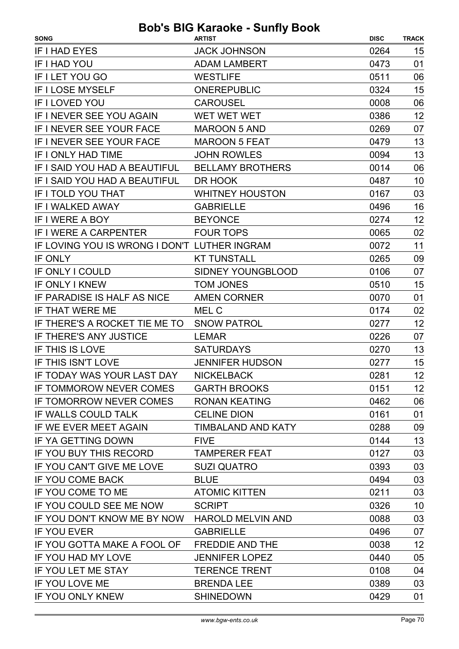| <b>JACK JOHNSON</b><br>0264<br>15<br>IF I HAD YOU<br><b>ADAM LAMBERT</b><br>01<br>0473<br><b>WESTLIFE</b><br>0511<br>06<br>IF I LOSE MYSELF<br><b>ONEREPUBLIC</b><br>15<br>0324<br>IF I LOVED YOU<br><b>CAROUSEL</b><br>0008<br>06<br>12<br>IF I NEVER SEE YOU AGAIN<br>WET WET WET<br>0386<br>IF I NEVER SEE YOUR FACE<br><b>MAROON 5 AND</b><br>07<br>0269<br>IF I NEVER SEE YOUR FACE<br>13<br><b>MAROON 5 FEAT</b><br>0479<br>13<br>IF I ONLY HAD TIME<br><b>JOHN ROWLES</b><br>0094<br>IF I SAID YOU HAD A BEAUTIFUL<br><b>BELLAMY BROTHERS</b><br>0014<br>06<br>IF I SAID YOU HAD A BEAUTIFUL<br>10<br>DR HOOK<br>0487<br>03<br>IF I TOLD YOU THAT<br><b>WHITNEY HOUSTON</b><br>0167<br>16<br><b>IF I WALKED AWAY</b><br><b>GABRIELLE</b><br>0496<br>12<br><b>BEYONCE</b><br>0274<br><b>FOUR TOPS</b><br>0065<br>02<br>IF LOVING YOU IS WRONG I DON'T LUTHER INGRAM<br>0072<br>11<br>IF ONLY<br>09<br><b>KT TUNSTALL</b><br>0265<br>07<br>IF ONLY I COULD<br>SIDNEY YOUNGBLOOD<br>0106<br>IF ONLY I KNEW<br>15<br><b>TOM JONES</b><br>0510<br>IF PARADISE IS HALF AS NICE<br><b>AMEN CORNER</b><br>0070<br>01<br>IF THAT WERE ME<br>MEL C<br>0174<br>02<br>12<br>IF THERE'S A ROCKET TIE ME TO SNOW PATROL<br>0277<br>IF THERE'S ANY JUSTICE<br><b>LEMAR</b><br>0226<br>07<br>13<br>IF THIS IS LOVE<br><b>SATURDAYS</b><br>0270<br>15<br><b>JENNIFER HUDSON</b><br>0277<br>IF TODAY WAS YOUR LAST DAY NICKELBACK<br>0281<br>IF TOMMOROW NEVER COMES GARTH BROOKS<br>0151<br>12<br>IF TOMORROW NEVER COMES<br>0462<br>06<br><b>RONAN KEATING</b><br><b>CELINE DION</b><br>0161<br>01<br>09<br><b>TIMBALAND AND KATY</b><br>0288<br>13<br><b>FIVE</b><br>0144<br>03<br><b>TAMPERER FEAT</b><br>0127<br>03<br>0393<br><b>SUZI QUATRO</b><br>03<br><b>BLUE</b><br>0494<br>0211<br>03<br><b>ATOMIC KITTEN</b><br>10<br><b>SCRIPT</b><br>0326<br>IF YOU DON'T KNOW ME BY NOW<br><b>HAROLD MELVIN AND</b><br>0088<br>03<br>07<br><b>GABRIELLE</b><br>0496<br>12<br>IF YOU GOTTA MAKE A FOOL OF FREDDIE AND THE<br>0038<br><b>JENNIFER LOPEZ</b><br>05<br>0440<br><b>TERENCE TRENT</b><br>0108<br>04<br><b>BRENDA LEE</b><br>0389<br>03<br>01<br><b>SHINEDOWN</b><br>0429 | <b>SONG</b>               | <b>ARTIST</b> | <b>DISC</b> | <b>TRACK</b> |
|-------------------------------------------------------------------------------------------------------------------------------------------------------------------------------------------------------------------------------------------------------------------------------------------------------------------------------------------------------------------------------------------------------------------------------------------------------------------------------------------------------------------------------------------------------------------------------------------------------------------------------------------------------------------------------------------------------------------------------------------------------------------------------------------------------------------------------------------------------------------------------------------------------------------------------------------------------------------------------------------------------------------------------------------------------------------------------------------------------------------------------------------------------------------------------------------------------------------------------------------------------------------------------------------------------------------------------------------------------------------------------------------------------------------------------------------------------------------------------------------------------------------------------------------------------------------------------------------------------------------------------------------------------------------------------------------------------------------------------------------------------------------------------------------------------------------------------------------------------------------------------------------------------------------------------------------------------------------------------------------------------------------------------------------------------------------------------------------------------------------------------------------------------------------------|---------------------------|---------------|-------------|--------------|
| 12                                                                                                                                                                                                                                                                                                                                                                                                                                                                                                                                                                                                                                                                                                                                                                                                                                                                                                                                                                                                                                                                                                                                                                                                                                                                                                                                                                                                                                                                                                                                                                                                                                                                                                                                                                                                                                                                                                                                                                                                                                                                                                                                                                      | IF I HAD EYES             |               |             |              |
|                                                                                                                                                                                                                                                                                                                                                                                                                                                                                                                                                                                                                                                                                                                                                                                                                                                                                                                                                                                                                                                                                                                                                                                                                                                                                                                                                                                                                                                                                                                                                                                                                                                                                                                                                                                                                                                                                                                                                                                                                                                                                                                                                                         |                           |               |             |              |
|                                                                                                                                                                                                                                                                                                                                                                                                                                                                                                                                                                                                                                                                                                                                                                                                                                                                                                                                                                                                                                                                                                                                                                                                                                                                                                                                                                                                                                                                                                                                                                                                                                                                                                                                                                                                                                                                                                                                                                                                                                                                                                                                                                         | IF I LET YOU GO           |               |             |              |
|                                                                                                                                                                                                                                                                                                                                                                                                                                                                                                                                                                                                                                                                                                                                                                                                                                                                                                                                                                                                                                                                                                                                                                                                                                                                                                                                                                                                                                                                                                                                                                                                                                                                                                                                                                                                                                                                                                                                                                                                                                                                                                                                                                         |                           |               |             |              |
|                                                                                                                                                                                                                                                                                                                                                                                                                                                                                                                                                                                                                                                                                                                                                                                                                                                                                                                                                                                                                                                                                                                                                                                                                                                                                                                                                                                                                                                                                                                                                                                                                                                                                                                                                                                                                                                                                                                                                                                                                                                                                                                                                                         |                           |               |             |              |
|                                                                                                                                                                                                                                                                                                                                                                                                                                                                                                                                                                                                                                                                                                                                                                                                                                                                                                                                                                                                                                                                                                                                                                                                                                                                                                                                                                                                                                                                                                                                                                                                                                                                                                                                                                                                                                                                                                                                                                                                                                                                                                                                                                         |                           |               |             |              |
|                                                                                                                                                                                                                                                                                                                                                                                                                                                                                                                                                                                                                                                                                                                                                                                                                                                                                                                                                                                                                                                                                                                                                                                                                                                                                                                                                                                                                                                                                                                                                                                                                                                                                                                                                                                                                                                                                                                                                                                                                                                                                                                                                                         |                           |               |             |              |
|                                                                                                                                                                                                                                                                                                                                                                                                                                                                                                                                                                                                                                                                                                                                                                                                                                                                                                                                                                                                                                                                                                                                                                                                                                                                                                                                                                                                                                                                                                                                                                                                                                                                                                                                                                                                                                                                                                                                                                                                                                                                                                                                                                         |                           |               |             |              |
|                                                                                                                                                                                                                                                                                                                                                                                                                                                                                                                                                                                                                                                                                                                                                                                                                                                                                                                                                                                                                                                                                                                                                                                                                                                                                                                                                                                                                                                                                                                                                                                                                                                                                                                                                                                                                                                                                                                                                                                                                                                                                                                                                                         |                           |               |             |              |
|                                                                                                                                                                                                                                                                                                                                                                                                                                                                                                                                                                                                                                                                                                                                                                                                                                                                                                                                                                                                                                                                                                                                                                                                                                                                                                                                                                                                                                                                                                                                                                                                                                                                                                                                                                                                                                                                                                                                                                                                                                                                                                                                                                         |                           |               |             |              |
|                                                                                                                                                                                                                                                                                                                                                                                                                                                                                                                                                                                                                                                                                                                                                                                                                                                                                                                                                                                                                                                                                                                                                                                                                                                                                                                                                                                                                                                                                                                                                                                                                                                                                                                                                                                                                                                                                                                                                                                                                                                                                                                                                                         |                           |               |             |              |
|                                                                                                                                                                                                                                                                                                                                                                                                                                                                                                                                                                                                                                                                                                                                                                                                                                                                                                                                                                                                                                                                                                                                                                                                                                                                                                                                                                                                                                                                                                                                                                                                                                                                                                                                                                                                                                                                                                                                                                                                                                                                                                                                                                         |                           |               |             |              |
|                                                                                                                                                                                                                                                                                                                                                                                                                                                                                                                                                                                                                                                                                                                                                                                                                                                                                                                                                                                                                                                                                                                                                                                                                                                                                                                                                                                                                                                                                                                                                                                                                                                                                                                                                                                                                                                                                                                                                                                                                                                                                                                                                                         |                           |               |             |              |
|                                                                                                                                                                                                                                                                                                                                                                                                                                                                                                                                                                                                                                                                                                                                                                                                                                                                                                                                                                                                                                                                                                                                                                                                                                                                                                                                                                                                                                                                                                                                                                                                                                                                                                                                                                                                                                                                                                                                                                                                                                                                                                                                                                         | IF I WERE A BOY           |               |             |              |
|                                                                                                                                                                                                                                                                                                                                                                                                                                                                                                                                                                                                                                                                                                                                                                                                                                                                                                                                                                                                                                                                                                                                                                                                                                                                                                                                                                                                                                                                                                                                                                                                                                                                                                                                                                                                                                                                                                                                                                                                                                                                                                                                                                         | IF I WERE A CARPENTER     |               |             |              |
|                                                                                                                                                                                                                                                                                                                                                                                                                                                                                                                                                                                                                                                                                                                                                                                                                                                                                                                                                                                                                                                                                                                                                                                                                                                                                                                                                                                                                                                                                                                                                                                                                                                                                                                                                                                                                                                                                                                                                                                                                                                                                                                                                                         |                           |               |             |              |
|                                                                                                                                                                                                                                                                                                                                                                                                                                                                                                                                                                                                                                                                                                                                                                                                                                                                                                                                                                                                                                                                                                                                                                                                                                                                                                                                                                                                                                                                                                                                                                                                                                                                                                                                                                                                                                                                                                                                                                                                                                                                                                                                                                         |                           |               |             |              |
|                                                                                                                                                                                                                                                                                                                                                                                                                                                                                                                                                                                                                                                                                                                                                                                                                                                                                                                                                                                                                                                                                                                                                                                                                                                                                                                                                                                                                                                                                                                                                                                                                                                                                                                                                                                                                                                                                                                                                                                                                                                                                                                                                                         |                           |               |             |              |
|                                                                                                                                                                                                                                                                                                                                                                                                                                                                                                                                                                                                                                                                                                                                                                                                                                                                                                                                                                                                                                                                                                                                                                                                                                                                                                                                                                                                                                                                                                                                                                                                                                                                                                                                                                                                                                                                                                                                                                                                                                                                                                                                                                         |                           |               |             |              |
|                                                                                                                                                                                                                                                                                                                                                                                                                                                                                                                                                                                                                                                                                                                                                                                                                                                                                                                                                                                                                                                                                                                                                                                                                                                                                                                                                                                                                                                                                                                                                                                                                                                                                                                                                                                                                                                                                                                                                                                                                                                                                                                                                                         |                           |               |             |              |
|                                                                                                                                                                                                                                                                                                                                                                                                                                                                                                                                                                                                                                                                                                                                                                                                                                                                                                                                                                                                                                                                                                                                                                                                                                                                                                                                                                                                                                                                                                                                                                                                                                                                                                                                                                                                                                                                                                                                                                                                                                                                                                                                                                         |                           |               |             |              |
|                                                                                                                                                                                                                                                                                                                                                                                                                                                                                                                                                                                                                                                                                                                                                                                                                                                                                                                                                                                                                                                                                                                                                                                                                                                                                                                                                                                                                                                                                                                                                                                                                                                                                                                                                                                                                                                                                                                                                                                                                                                                                                                                                                         |                           |               |             |              |
|                                                                                                                                                                                                                                                                                                                                                                                                                                                                                                                                                                                                                                                                                                                                                                                                                                                                                                                                                                                                                                                                                                                                                                                                                                                                                                                                                                                                                                                                                                                                                                                                                                                                                                                                                                                                                                                                                                                                                                                                                                                                                                                                                                         |                           |               |             |              |
|                                                                                                                                                                                                                                                                                                                                                                                                                                                                                                                                                                                                                                                                                                                                                                                                                                                                                                                                                                                                                                                                                                                                                                                                                                                                                                                                                                                                                                                                                                                                                                                                                                                                                                                                                                                                                                                                                                                                                                                                                                                                                                                                                                         |                           |               |             |              |
|                                                                                                                                                                                                                                                                                                                                                                                                                                                                                                                                                                                                                                                                                                                                                                                                                                                                                                                                                                                                                                                                                                                                                                                                                                                                                                                                                                                                                                                                                                                                                                                                                                                                                                                                                                                                                                                                                                                                                                                                                                                                                                                                                                         | IF THIS ISN'T LOVE        |               |             |              |
|                                                                                                                                                                                                                                                                                                                                                                                                                                                                                                                                                                                                                                                                                                                                                                                                                                                                                                                                                                                                                                                                                                                                                                                                                                                                                                                                                                                                                                                                                                                                                                                                                                                                                                                                                                                                                                                                                                                                                                                                                                                                                                                                                                         |                           |               |             |              |
|                                                                                                                                                                                                                                                                                                                                                                                                                                                                                                                                                                                                                                                                                                                                                                                                                                                                                                                                                                                                                                                                                                                                                                                                                                                                                                                                                                                                                                                                                                                                                                                                                                                                                                                                                                                                                                                                                                                                                                                                                                                                                                                                                                         |                           |               |             |              |
|                                                                                                                                                                                                                                                                                                                                                                                                                                                                                                                                                                                                                                                                                                                                                                                                                                                                                                                                                                                                                                                                                                                                                                                                                                                                                                                                                                                                                                                                                                                                                                                                                                                                                                                                                                                                                                                                                                                                                                                                                                                                                                                                                                         |                           |               |             |              |
|                                                                                                                                                                                                                                                                                                                                                                                                                                                                                                                                                                                                                                                                                                                                                                                                                                                                                                                                                                                                                                                                                                                                                                                                                                                                                                                                                                                                                                                                                                                                                                                                                                                                                                                                                                                                                                                                                                                                                                                                                                                                                                                                                                         | IF WALLS COULD TALK       |               |             |              |
|                                                                                                                                                                                                                                                                                                                                                                                                                                                                                                                                                                                                                                                                                                                                                                                                                                                                                                                                                                                                                                                                                                                                                                                                                                                                                                                                                                                                                                                                                                                                                                                                                                                                                                                                                                                                                                                                                                                                                                                                                                                                                                                                                                         | IF WE EVER MEET AGAIN     |               |             |              |
|                                                                                                                                                                                                                                                                                                                                                                                                                                                                                                                                                                                                                                                                                                                                                                                                                                                                                                                                                                                                                                                                                                                                                                                                                                                                                                                                                                                                                                                                                                                                                                                                                                                                                                                                                                                                                                                                                                                                                                                                                                                                                                                                                                         | IF YA GETTING DOWN        |               |             |              |
|                                                                                                                                                                                                                                                                                                                                                                                                                                                                                                                                                                                                                                                                                                                                                                                                                                                                                                                                                                                                                                                                                                                                                                                                                                                                                                                                                                                                                                                                                                                                                                                                                                                                                                                                                                                                                                                                                                                                                                                                                                                                                                                                                                         | IF YOU BUY THIS RECORD    |               |             |              |
|                                                                                                                                                                                                                                                                                                                                                                                                                                                                                                                                                                                                                                                                                                                                                                                                                                                                                                                                                                                                                                                                                                                                                                                                                                                                                                                                                                                                                                                                                                                                                                                                                                                                                                                                                                                                                                                                                                                                                                                                                                                                                                                                                                         | IF YOU CAN'T GIVE ME LOVE |               |             |              |
|                                                                                                                                                                                                                                                                                                                                                                                                                                                                                                                                                                                                                                                                                                                                                                                                                                                                                                                                                                                                                                                                                                                                                                                                                                                                                                                                                                                                                                                                                                                                                                                                                                                                                                                                                                                                                                                                                                                                                                                                                                                                                                                                                                         | IF YOU COME BACK          |               |             |              |
|                                                                                                                                                                                                                                                                                                                                                                                                                                                                                                                                                                                                                                                                                                                                                                                                                                                                                                                                                                                                                                                                                                                                                                                                                                                                                                                                                                                                                                                                                                                                                                                                                                                                                                                                                                                                                                                                                                                                                                                                                                                                                                                                                                         | IF YOU COME TO ME         |               |             |              |
|                                                                                                                                                                                                                                                                                                                                                                                                                                                                                                                                                                                                                                                                                                                                                                                                                                                                                                                                                                                                                                                                                                                                                                                                                                                                                                                                                                                                                                                                                                                                                                                                                                                                                                                                                                                                                                                                                                                                                                                                                                                                                                                                                                         | IF YOU COULD SEE ME NOW   |               |             |              |
|                                                                                                                                                                                                                                                                                                                                                                                                                                                                                                                                                                                                                                                                                                                                                                                                                                                                                                                                                                                                                                                                                                                                                                                                                                                                                                                                                                                                                                                                                                                                                                                                                                                                                                                                                                                                                                                                                                                                                                                                                                                                                                                                                                         |                           |               |             |              |
|                                                                                                                                                                                                                                                                                                                                                                                                                                                                                                                                                                                                                                                                                                                                                                                                                                                                                                                                                                                                                                                                                                                                                                                                                                                                                                                                                                                                                                                                                                                                                                                                                                                                                                                                                                                                                                                                                                                                                                                                                                                                                                                                                                         | <b>IF YOU EVER</b>        |               |             |              |
|                                                                                                                                                                                                                                                                                                                                                                                                                                                                                                                                                                                                                                                                                                                                                                                                                                                                                                                                                                                                                                                                                                                                                                                                                                                                                                                                                                                                                                                                                                                                                                                                                                                                                                                                                                                                                                                                                                                                                                                                                                                                                                                                                                         |                           |               |             |              |
|                                                                                                                                                                                                                                                                                                                                                                                                                                                                                                                                                                                                                                                                                                                                                                                                                                                                                                                                                                                                                                                                                                                                                                                                                                                                                                                                                                                                                                                                                                                                                                                                                                                                                                                                                                                                                                                                                                                                                                                                                                                                                                                                                                         | IF YOU HAD MY LOVE        |               |             |              |
|                                                                                                                                                                                                                                                                                                                                                                                                                                                                                                                                                                                                                                                                                                                                                                                                                                                                                                                                                                                                                                                                                                                                                                                                                                                                                                                                                                                                                                                                                                                                                                                                                                                                                                                                                                                                                                                                                                                                                                                                                                                                                                                                                                         | IF YOU LET ME STAY        |               |             |              |
|                                                                                                                                                                                                                                                                                                                                                                                                                                                                                                                                                                                                                                                                                                                                                                                                                                                                                                                                                                                                                                                                                                                                                                                                                                                                                                                                                                                                                                                                                                                                                                                                                                                                                                                                                                                                                                                                                                                                                                                                                                                                                                                                                                         | IF YOU LOVE ME            |               |             |              |
|                                                                                                                                                                                                                                                                                                                                                                                                                                                                                                                                                                                                                                                                                                                                                                                                                                                                                                                                                                                                                                                                                                                                                                                                                                                                                                                                                                                                                                                                                                                                                                                                                                                                                                                                                                                                                                                                                                                                                                                                                                                                                                                                                                         | IF YOU ONLY KNEW          |               |             |              |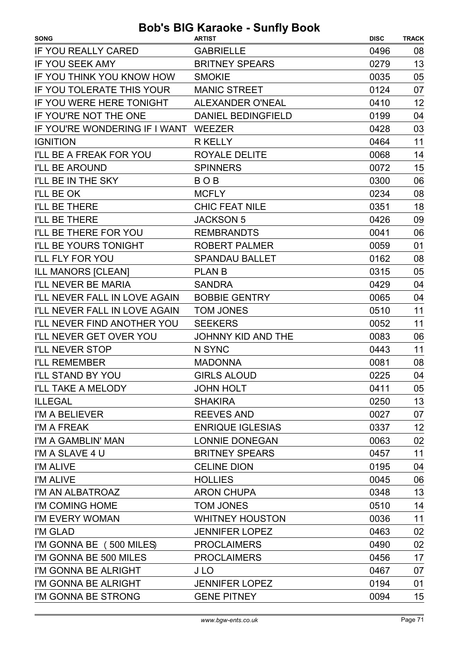| <b>SONG</b>                          | <b>ARTIST</b>             | <b>DISC</b> | <b>TRACK</b> |
|--------------------------------------|---------------------------|-------------|--------------|
| IF YOU REALLY CARED                  | <b>GABRIELLE</b>          | 0496        | 08           |
| <b>IF YOU SEEK AMY</b>               | <b>BRITNEY SPEARS</b>     | 0279        | 13           |
| IF YOU THINK YOU KNOW HOW            | <b>SMOKIE</b>             | 0035        | 05           |
| IF YOU TOLERATE THIS YOUR            | <b>MANIC STREET</b>       | 0124        | 07           |
| IF YOU WERE HERE TONIGHT             | <b>ALEXANDER O'NEAL</b>   | 0410        | 12           |
| IF YOU'RE NOT THE ONE                | <b>DANIEL BEDINGFIELD</b> | 0199        | 04           |
| IF YOU'RE WONDERING IF I WANT WEEZER |                           | 0428        | 03           |
| <b>IGNITION</b>                      | R KELLY                   | 0464        | 11           |
| I'LL BE A FREAK FOR YOU              | ROYALE DELITE             | 0068        | 14           |
| <b>I'LL BE AROUND</b>                | <b>SPINNERS</b>           | 0072        | 15           |
| I'LL BE IN THE SKY                   | <b>BOB</b>                | 0300        | 06           |
| I'LL BE OK                           | <b>MCFLY</b>              | 0234        | 08           |
| I'LL BE THERE                        | <b>CHIC FEAT NILE</b>     | 0351        | 18           |
| I'LL BE THERE                        | <b>JACKSON 5</b>          | 0426        | 09           |
| I'LL BE THERE FOR YOU                | <b>REMBRANDTS</b>         | 0041        | 06           |
| I'LL BE YOURS TONIGHT                | <b>ROBERT PALMER</b>      | 0059        | 01           |
| <b>I'LL FLY FOR YOU</b>              | <b>SPANDAU BALLET</b>     | 0162        | 08           |
| <b>ILL MANORS [CLEAN]</b>            | <b>PLAN B</b>             | 0315        | 05           |
| I'LL NEVER BE MARIA                  | <b>SANDRA</b>             | 0429        | 04           |
| I'LL NEVER FALL IN LOVE AGAIN        | <b>BOBBIE GENTRY</b>      | 0065        | 04           |
| I'LL NEVER FALL IN LOVE AGAIN        | <b>TOM JONES</b>          | 0510        | 11           |
| I'LL NEVER FIND ANOTHER YOU          | <b>SEEKERS</b>            | 0052        | 11           |
| I'LL NEVER GET OVER YOU              | <b>JOHNNY KID AND THE</b> | 0083        | 06           |
| <b>I'LL NEVER STOP</b>               | N SYNC                    | 0443        | 11           |
| <b>I'LL REMEMBER</b>                 | <b>MADONNA</b>            | 0081        | 08           |
| I'LL STAND BY YOU                    | <b>GIRLS ALOUD</b>        | 0225        | 04           |
| I'LL TAKE A MELODY                   | <b>JOHN HOLT</b>          | 0411        | 05           |
| <b>ILLEGAL</b>                       | <b>SHAKIRA</b>            | 0250        | 13           |
| I'M A BELIEVER                       | <b>REEVES AND</b>         | 0027        | 07           |
| I'M A FREAK                          | <b>ENRIQUE IGLESIAS</b>   | 0337        | 12           |
| I'M A GAMBLIN' MAN                   | <b>LONNIE DONEGAN</b>     | 0063        | 02           |
| I'M A SLAVE 4 U                      | <b>BRITNEY SPEARS</b>     | 0457        | 11           |
| I'M ALIVE                            | <b>CELINE DION</b>        | 0195        | 04           |
| I'M ALIVE                            | <b>HOLLIES</b>            | 0045        | 06           |
| I'M AN ALBATROAZ                     | <b>ARON CHUPA</b>         | 0348        | 13           |
| I'M COMING HOME                      | <b>TOM JONES</b>          | 0510        | 14           |
| I'M EVERY WOMAN                      | <b>WHITNEY HOUSTON</b>    | 0036        | 11           |
| I'M GLAD                             | <b>JENNIFER LOPEZ</b>     | 0463        | 02           |
| I'M GONNA BE (500 MILES)             | <b>PROCLAIMERS</b>        | 0490        | 02           |
| I'M GONNA BE 500 MILES               | <b>PROCLAIMERS</b>        | 0456        | 17           |
| I'M GONNA BE ALRIGHT                 | J LO                      | 0467        | 07           |
| I'M GONNA BE ALRIGHT                 | <b>JENNIFER LOPEZ</b>     | 0194        | 01           |
| I'M GONNA BE STRONG                  | <b>GENE PITNEY</b>        | 0094        | 15           |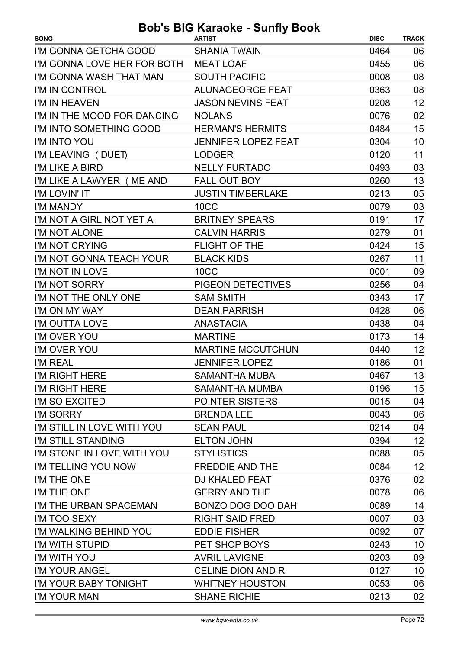| <b>SONG</b>                 | <b>ARTIST</b>              | <b>DISC</b> | <b>TRACK</b> |
|-----------------------------|----------------------------|-------------|--------------|
| I'M GONNA GETCHA GOOD       | <b>SHANIA TWAIN</b>        | 0464        | 06           |
| I'M GONNA LOVE HER FOR BOTH | <b>MEAT LOAF</b>           | 0455        | 06           |
| I'M GONNA WASH THAT MAN     | <b>SOUTH PACIFIC</b>       | 0008        | 08           |
| I'M IN CONTROL              | <b>ALUNAGEORGE FEAT</b>    | 0363        | 08           |
| I'M IN HEAVEN               | <b>JASON NEVINS FEAT</b>   | 0208        | 12           |
| I'M IN THE MOOD FOR DANCING | <b>NOLANS</b>              | 0076        | 02           |
| I'M INTO SOMETHING GOOD     | <b>HERMAN'S HERMITS</b>    | 0484        | 15           |
| I'M INTO YOU                | <b>JENNIFER LOPEZ FEAT</b> | 0304        | 10           |
| I'M LEAVING (DUET)          | <b>LODGER</b>              | 0120        | 11           |
| I'M LIKE A BIRD             | <b>NELLY FURTADO</b>       | 0493        | 03           |
| I'M LIKE A LAWYER (ME AND   | <b>FALL OUT BOY</b>        | 0260        | 13           |
| I'M LOVIN' IT               | <b>JUSTIN TIMBERLAKE</b>   | 0213        | 05           |
| I'M MANDY                   | 10CC                       | 0079        | 03           |
| I'M NOT A GIRL NOT YET A    | <b>BRITNEY SPEARS</b>      | 0191        | 17           |
| I'M NOT ALONE               | <b>CALVIN HARRIS</b>       | 0279        | 01           |
| I'M NOT CRYING              | <b>FLIGHT OF THE</b>       | 0424        | 15           |
| I'M NOT GONNA TEACH YOUR    | <b>BLACK KIDS</b>          | 0267        | 11           |
| I'M NOT IN LOVE             | 10CC                       | 0001        | 09           |
| I'M NOT SORRY               | <b>PIGEON DETECTIVES</b>   | 0256        | 04           |
| I'M NOT THE ONLY ONE        | <b>SAM SMITH</b>           | 0343        | 17           |
| I'M ON MY WAY               | <b>DEAN PARRISH</b>        | 0428        | 06           |
| I'M OUTTA LOVE              | <b>ANASTACIA</b>           | 0438        | 04           |
| I'M OVER YOU                | <b>MARTINE</b>             | 0173        | 14           |
| I'M OVER YOU                | <b>MARTINE MCCUTCHUN</b>   | 0440        | 12           |
| I'M REAL                    | <b>JENNIFER LOPEZ</b>      | 0186        | 01           |
| I'M RIGHT HERE              | SAMANTHA MUBA              | 0467        | 13           |
| I'M RIGHT HERE              | SAMANTHA MUMBA             | 0196        | 15           |
| I'M SO EXCITED              | <b>POINTER SISTERS</b>     | 0015        | 04           |
| I'M SORRY                   | <b>BRENDA LEE</b>          | 0043        | 06           |
| I'M STILL IN LOVE WITH YOU  | <b>SEAN PAUL</b>           | 0214        | 04           |
| I'M STILL STANDING          | <b>ELTON JOHN</b>          | 0394        | 12           |
| I'M STONE IN LOVE WITH YOU  | <b>STYLISTICS</b>          | 0088        | 05           |
| I'M TELLING YOU NOW         | <b>FREDDIE AND THE</b>     | 0084        | 12           |
| I'M THE ONE                 | DJ KHALED FEAT             | 0376        | 02           |
| I'M THE ONE                 | <b>GERRY AND THE</b>       | 0078        | 06           |
| I'M THE URBAN SPACEMAN      | BONZO DOG DOO DAH          | 0089        | 14           |
| I'M TOO SEXY                | <b>RIGHT SAID FRED</b>     | 0007        | 03           |
| I'M WALKING BEHIND YOU      | <b>EDDIE FISHER</b>        | 0092        | 07           |
| I'M WITH STUPID             | PET SHOP BOYS              | 0243        | 10           |
| I'M WITH YOU                | <b>AVRIL LAVIGNE</b>       | 0203        | 09           |
| I'M YOUR ANGEL              | <b>CELINE DION AND R</b>   | 0127        | 10           |
| I'M YOUR BABY TONIGHT       | <b>WHITNEY HOUSTON</b>     | 0053        | 06           |
| I'M YOUR MAN                | <b>SHANE RICHIE</b>        | 0213        | 02           |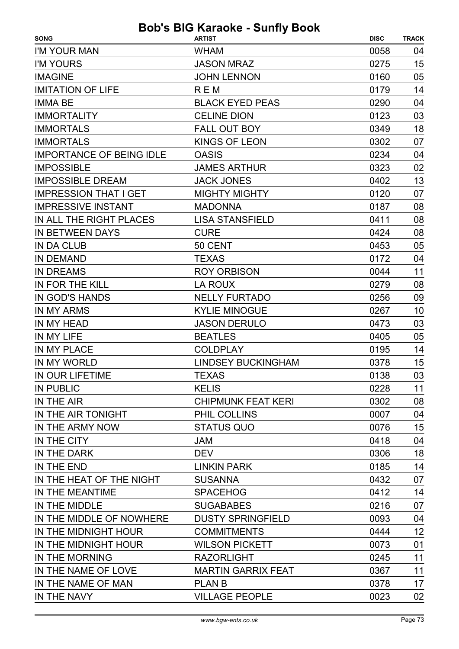| <b>SONG</b>                     | <b>ARTIST</b>             | <b>DISC</b> | <b>TRACK</b> |
|---------------------------------|---------------------------|-------------|--------------|
| I'M YOUR MAN                    | <b>WHAM</b>               | 0058        | 04           |
| I'M YOURS                       | <b>JASON MRAZ</b>         | 0275        | 15           |
| <b>IMAGINE</b>                  | <b>JOHN LENNON</b>        | 0160        | 05           |
| <b>IMITATION OF LIFE</b>        | <b>REM</b>                | 0179        | 14           |
| <b>IMMA BE</b>                  | <b>BLACK EYED PEAS</b>    | 0290        | 04           |
| <b>IMMORTALITY</b>              | <b>CELINE DION</b>        | 0123        | 03           |
| <b>IMMORTALS</b>                | <b>FALL OUT BOY</b>       | 0349        | 18           |
| <b>IMMORTALS</b>                | <b>KINGS OF LEON</b>      | 0302        | 07           |
| <b>IMPORTANCE OF BEING IDLE</b> | <b>OASIS</b>              | 0234        | 04           |
| <b>IMPOSSIBLE</b>               | <b>JAMES ARTHUR</b>       | 0323        | 02           |
| <b>IMPOSSIBLE DREAM</b>         | <b>JACK JONES</b>         | 0402        | 13           |
| <b>IMPRESSION THAT I GET</b>    | <b>MIGHTY MIGHTY</b>      | 0120        | 07           |
| <b>IMPRESSIVE INSTANT</b>       | <b>MADONNA</b>            | 0187        | 08           |
| IN ALL THE RIGHT PLACES         | <b>LISA STANSFIELD</b>    | 0411        | 08           |
| IN BETWEEN DAYS                 | <b>CURE</b>               | 0424        | 08           |
| <b>IN DA CLUB</b>               | 50 CENT                   | 0453        | 05           |
| <b>IN DEMAND</b>                | <b>TEXAS</b>              | 0172        | 04           |
| <b>IN DREAMS</b>                | <b>ROY ORBISON</b>        | 0044        | 11           |
| IN FOR THE KILL                 | <b>LA ROUX</b>            | 0279        | 08           |
| IN GOD'S HANDS                  | <b>NELLY FURTADO</b>      | 0256        | 09           |
| <b>IN MY ARMS</b>               | <b>KYLIE MINOGUE</b>      | 0267        | 10           |
| IN MY HEAD                      | <b>JASON DERULO</b>       | 0473        | 03           |
| IN MY LIFE                      | <b>BEATLES</b>            | 0405        | 05           |
| IN MY PLACE                     | <b>COLDPLAY</b>           | 0195        | 14           |
| IN MY WORLD                     | <b>LINDSEY BUCKINGHAM</b> | 0378        | 15           |
| IN OUR LIFETIME                 | <b>TEXAS</b>              | 0138        | 03           |
| <b>IN PUBLIC</b>                | <b>KELIS</b>              | 0228        | 11           |
| IN THE AIR                      | <b>CHIPMUNK FEAT KERI</b> | 0302        | 08           |
| IN THE AIR TONIGHT              | PHIL COLLINS              | 0007        | 04           |
| IN THE ARMY NOW                 | <b>STATUS QUO</b>         | 0076        | 15           |
| IN THE CITY                     | <b>JAM</b>                | 0418        | 04           |
| IN THE DARK                     | <b>DEV</b>                | 0306        | 18           |
| IN THE END                      | <b>LINKIN PARK</b>        | 0185        | 14           |
| IN THE HEAT OF THE NIGHT        | <b>SUSANNA</b>            | 0432        | 07           |
| IN THE MEANTIME                 | <b>SPACEHOG</b>           | 0412        | 14           |
| IN THE MIDDLE                   | <b>SUGABABES</b>          | 0216        | 07           |
| IN THE MIDDLE OF NOWHERE        | <b>DUSTY SPRINGFIELD</b>  | 0093        | 04           |
| IN THE MIDNIGHT HOUR            | <b>COMMITMENTS</b>        | 0444        | 12           |
| IN THE MIDNIGHT HOUR            | <b>WILSON PICKETT</b>     | 0073        | 01           |
| IN THE MORNING                  | <b>RAZORLIGHT</b>         | 0245        | 11           |
| IN THE NAME OF LOVE             | <b>MARTIN GARRIX FEAT</b> | 0367        | 11           |
| IN THE NAME OF MAN              | <b>PLAN B</b>             | 0378        | 17           |
| IN THE NAVY                     | <b>VILLAGE PEOPLE</b>     | 0023        | 02           |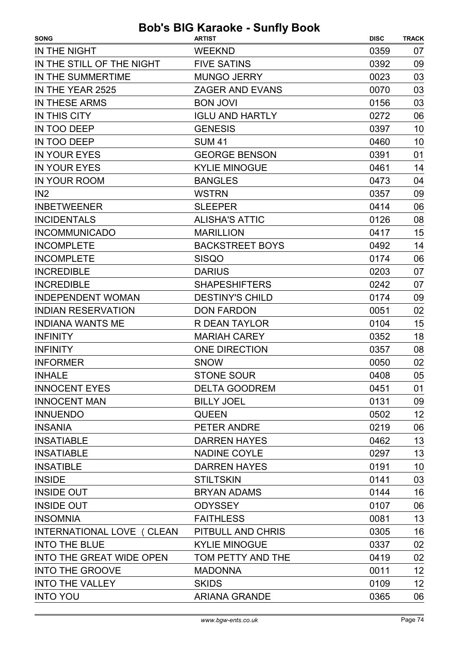| <b>SONG</b>                | <b>ARTIST</b>          | <b>DISC</b> | <b>TRACK</b> |
|----------------------------|------------------------|-------------|--------------|
| IN THE NIGHT               | <b>WEEKND</b>          | 0359        | 07           |
| IN THE STILL OF THE NIGHT  | <b>FIVE SATINS</b>     | 0392        | 09           |
| IN THE SUMMERTIME          | <b>MUNGO JERRY</b>     | 0023        | 03           |
| IN THE YEAR 2525           | <b>ZAGER AND EVANS</b> | 0070        | 03           |
| IN THESE ARMS              | <b>BON JOVI</b>        | 0156        | 03           |
| IN THIS CITY               | <b>IGLU AND HARTLY</b> | 0272        | 06           |
| IN TOO DEEP                | <b>GENESIS</b>         | 0397        | 10           |
| IN TOO DEEP                | <b>SUM 41</b>          | 0460        | 10           |
| <b>IN YOUR EYES</b>        | <b>GEORGE BENSON</b>   | 0391        | 01           |
| <b>IN YOUR EYES</b>        | <b>KYLIE MINOGUE</b>   | 0461        | 14           |
| <b>IN YOUR ROOM</b>        | <b>BANGLES</b>         | 0473        | 04           |
| IN <sub>2</sub>            | <b>WSTRN</b>           | 0357        | 09           |
| <b>INBETWEENER</b>         | <b>SLEEPER</b>         | 0414        | 06           |
| <b>INCIDENTALS</b>         | <b>ALISHA'S ATTIC</b>  | 0126        | 08           |
| <b>INCOMMUNICADO</b>       | <b>MARILLION</b>       | 0417        | 15           |
| <b>INCOMPLETE</b>          | <b>BACKSTREET BOYS</b> | 0492        | 14           |
| <b>INCOMPLETE</b>          | <b>SISQO</b>           | 0174        | 06           |
| <b>INCREDIBLE</b>          | <b>DARIUS</b>          | 0203        | 07           |
| <b>INCREDIBLE</b>          | <b>SHAPESHIFTERS</b>   | 0242        | 07           |
| <b>INDEPENDENT WOMAN</b>   | <b>DESTINY'S CHILD</b> | 0174        | 09           |
| <b>INDIAN RESERVATION</b>  | <b>DON FARDON</b>      | 0051        | 02           |
| <b>INDIANA WANTS ME</b>    | <b>R DEAN TAYLOR</b>   | 0104        | 15           |
| <b>INFINITY</b>            | <b>MARIAH CAREY</b>    | 0352        | 18           |
| <b>INFINITY</b>            | ONE DIRECTION          | 0357        | 08           |
| <b>INFORMER</b>            | <b>SNOW</b>            | 0050        | 02           |
| <b>INHALE</b>              | <b>STONE SOUR</b>      | 0408        | 05           |
| <b>INNOCENT EYES</b>       | <b>DELTA GOODREM</b>   | 0451        | 01           |
| <b>INNOCENT MAN</b>        | <b>BILLY JOEL</b>      | 0131        | 09           |
| <b>INNUENDO</b>            | <b>QUEEN</b>           | 0502        | 12           |
| <b>INSANIA</b>             | PETER ANDRE            | 0219        | 06           |
| <b>INSATIABLE</b>          | <b>DARREN HAYES</b>    | 0462        | 13           |
| <b>INSATIABLE</b>          | <b>NADINE COYLE</b>    | 0297        | 13           |
| <b>INSATIBLE</b>           | <b>DARREN HAYES</b>    | 0191        | 10           |
| <b>INSIDE</b>              | <b>STILTSKIN</b>       | 0141        | 03           |
| <b>INSIDE OUT</b>          | <b>BRYAN ADAMS</b>     | 0144        | 16           |
| <b>INSIDE OUT</b>          | <b>ODYSSEY</b>         | 0107        | 06           |
| <b>INSOMNIA</b>            | <b>FAITHLESS</b>       | 0081        | 13           |
| INTERNATIONAL LOVE ( CLEAN | PITBULL AND CHRIS      | 0305        | 16           |
| <b>INTO THE BLUE</b>       | <b>KYLIE MINOGUE</b>   | 0337        | 02           |
| INTO THE GREAT WIDE OPEN   | TOM PETTY AND THE      | 0419        | 02           |
| <b>INTO THE GROOVE</b>     | <b>MADONNA</b>         | 0011        | 12           |
| <b>INTO THE VALLEY</b>     | <b>SKIDS</b>           | 0109        | 12           |
| <b>INTO YOU</b>            | <b>ARIANA GRANDE</b>   | 0365        | 06           |
|                            |                        |             |              |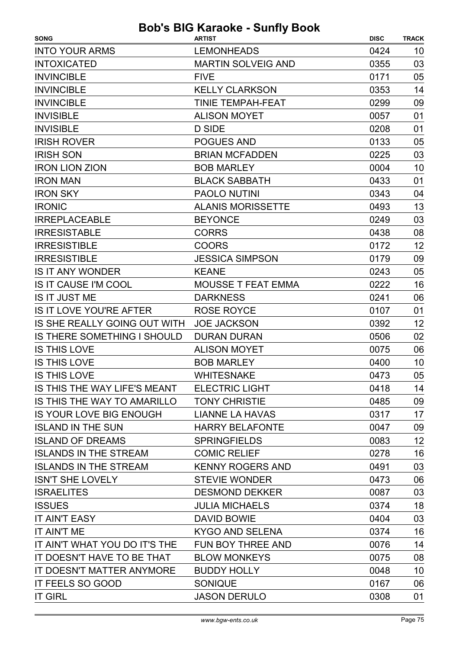| <b>SONG</b>                                 | <b>ARTIST</b>             | <b>DISC</b> | <b>TRACK</b> |
|---------------------------------------------|---------------------------|-------------|--------------|
| <b>INTO YOUR ARMS</b>                       | <b>LEMONHEADS</b>         | 0424        | 10           |
| <b>INTOXICATED</b>                          | <b>MARTIN SOLVEIG AND</b> | 0355        | 03           |
| <b>INVINCIBLE</b>                           | <b>FIVE</b>               | 0171        | 05           |
| <b>INVINCIBLE</b>                           | <b>KELLY CLARKSON</b>     | 0353        | 14           |
| <b>INVINCIBLE</b>                           | <b>TINIE TEMPAH-FEAT</b>  | 0299        | 09           |
| <b>INVISIBLE</b>                            | <b>ALISON MOYET</b>       | 0057        | 01           |
| <b>INVISIBLE</b>                            | <b>D SIDE</b>             | 0208        | 01           |
| <b>IRISH ROVER</b>                          | POGUES AND                | 0133        | 05           |
| <b>IRISH SON</b>                            | <b>BRIAN MCFADDEN</b>     | 0225        | 03           |
| <b>IRON LION ZION</b>                       | <b>BOB MARLEY</b>         | 0004        | 10           |
| <b>IRON MAN</b>                             | <b>BLACK SABBATH</b>      | 0433        | 01           |
| <b>IRON SKY</b>                             | <b>PAOLO NUTINI</b>       | 0343        | 04           |
| <b>IRONIC</b>                               | <b>ALANIS MORISSETTE</b>  | 0493        | 13           |
| <b>IRREPLACEABLE</b>                        | <b>BEYONCE</b>            | 0249        | 03           |
| <b>IRRESISTABLE</b>                         | <b>CORRS</b>              | 0438        | 08           |
| <b>IRRESISTIBLE</b>                         | <b>COORS</b>              | 0172        | 12           |
| <b>IRRESISTIBLE</b>                         | <b>JESSICA SIMPSON</b>    | 0179        | 09           |
| <b>IS IT ANY WONDER</b>                     | <b>KEANE</b>              | 0243        | 05           |
| <b>IS IT CAUSE I'M COOL</b>                 | <b>MOUSSE T FEAT EMMA</b> | 0222        | 16           |
| <b>IS IT JUST ME</b>                        | <b>DARKNESS</b>           | 0241        | 06           |
| <b>IS IT LOVE YOU'RE AFTER</b>              | <b>ROSE ROYCE</b>         | 0107        | 01           |
| IS SHE REALLY GOING OUT WITH                | <b>JOE JACKSON</b>        | 0392        | 12           |
| IS THERE SOMETHING I SHOULD                 | <b>DURAN DURAN</b>        | 0506        | 02           |
| <b>IS THIS LOVE</b>                         | <b>ALISON MOYET</b>       | 0075        | 06           |
| <b>IS THIS LOVE</b>                         | <b>BOB MARLEY</b>         | 0400        | 10           |
| IS THIS LOVE                                | <b>WHITESNAKE</b>         | 0473        | 05           |
| IS THIS THE WAY LIFE'S MEANT ELECTRIC LIGHT |                           | 0418        | 14           |
| IS THIS THE WAY TO AMARILLO TONY CHRISTIE   |                           | 0485        | 09           |
| IS YOUR LOVE BIG ENOUGH                     | LIANNE LA HAVAS           | 0317        | 17           |
| <b>ISLAND IN THE SUN</b>                    | <b>HARRY BELAFONTE</b>    | 0047        | 09           |
| <b>ISLAND OF DREAMS</b>                     | <b>SPRINGFIELDS</b>       | 0083        | 12           |
| <b>ISLANDS IN THE STREAM</b>                | <b>COMIC RELIEF</b>       | 0278        | 16           |
| <b>ISLANDS IN THE STREAM</b>                | <b>KENNY ROGERS AND</b>   | 0491        | 03           |
| <b>ISN'T SHE LOVELY</b>                     | <b>STEVIE WONDER</b>      | 0473        | 06           |
| <b>ISRAELITES</b>                           | <b>DESMOND DEKKER</b>     | 0087        | 03           |
| <b>ISSUES</b>                               | <b>JULIA MICHAELS</b>     | 0374        | 18           |
| IT AIN'T EASY                               | <b>DAVID BOWIE</b>        | 0404        | 03           |
| IT AIN'T ME                                 | KYGO AND SELENA           | 0374        | 16           |
| IT AIN'T WHAT YOU DO IT'S THE               | FUN BOY THREE AND         | 0076        | 14           |
| IT DOESN'T HAVE TO BE THAT                  | <b>BLOW MONKEYS</b>       | 0075        | 08           |
| IT DOESN'T MATTER ANYMORE                   | <b>BUDDY HOLLY</b>        | 0048        | 10           |
| IT FEELS SO GOOD                            | <b>SONIQUE</b>            | 0167        | 06           |
| <b>IT GIRL</b>                              | <b>JASON DERULO</b>       | 0308        | 01           |
|                                             |                           |             |              |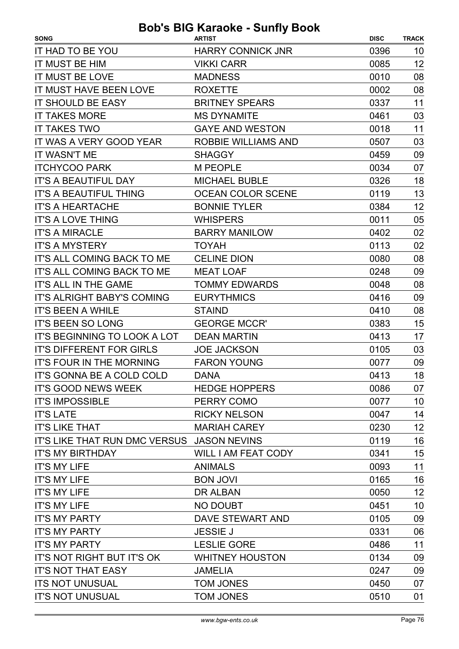| <b>SONG</b>                                | <b>ARTIST</b>              | <b>DISC</b> | <b>TRACK</b>    |
|--------------------------------------------|----------------------------|-------------|-----------------|
| IT HAD TO BE YOU                           | <b>HARRY CONNICK JNR</b>   | 0396        | 10              |
| IT MUST BE HIM                             | <b>VIKKI CARR</b>          | 0085        | 12              |
| IT MUST BE LOVE                            | <b>MADNESS</b>             | 0010        | 08              |
| IT MUST HAVE BEEN LOVE                     | <b>ROXETTE</b>             | 0002        | 08              |
| <b>IT SHOULD BE EASY</b>                   | <b>BRITNEY SPEARS</b>      | 0337        | 11              |
| <b>IT TAKES MORE</b>                       | <b>MS DYNAMITE</b>         | 0461        | 03              |
| <b>IT TAKES TWO</b>                        | <b>GAYE AND WESTON</b>     | 0018        | 11              |
| IT WAS A VERY GOOD YEAR                    | <b>ROBBIE WILLIAMS AND</b> | 0507        | 03              |
| <b>IT WASN'T ME</b>                        | <b>SHAGGY</b>              | 0459        | 09              |
| <b>ITCHYCOO PARK</b>                       | <b>M PEOPLE</b>            | 0034        | 07              |
| <b>IT'S A BEAUTIFUL DAY</b>                | <b>MICHAEL BUBLE</b>       | 0326        | 18              |
| <b>IT'S A BEAUTIFUL THING</b>              | <b>OCEAN COLOR SCENE</b>   | 0119        | 13              |
| <b>IT'S A HEARTACHE</b>                    | <b>BONNIE TYLER</b>        | 0384        | 12              |
| <b>IT'S A LOVE THING</b>                   | <b>WHISPERS</b>            | 0011        | 05              |
| <b>IT'S A MIRACLE</b>                      | <b>BARRY MANILOW</b>       | 0402        | 02              |
| <b>IT'S A MYSTERY</b>                      | <b>TOYAH</b>               | 0113        | 02              |
| IT'S ALL COMING BACK TO ME                 | <b>CELINE DION</b>         | 0080        | 08              |
| IT'S ALL COMING BACK TO ME                 | <b>MEAT LOAF</b>           | 0248        | 09              |
| IT'S ALL IN THE GAME                       | <b>TOMMY EDWARDS</b>       | 0048        | 08              |
| <b>IT'S ALRIGHT BABY'S COMING</b>          | <b>EURYTHMICS</b>          | 0416        | 09              |
| <b>IT'S BEEN A WHILE</b>                   | <b>STAIND</b>              | 0410        | 08              |
| <b>IT'S BEEN SO LONG</b>                   | <b>GEORGE MCCR'</b>        | 0383        | 15              |
| IT'S BEGINNING TO LOOK A LOT               | <b>DEAN MARTIN</b>         | 0413        | 17              |
| <b>IT'S DIFFERENT FOR GIRLS</b>            | <b>JOE JACKSON</b>         | 0105        | 03              |
| <b>IT'S FOUR IN THE MORNING</b>            | <b>FARON YOUNG</b>         | 0077        | 09              |
| <b>IT'S GONNA BE A COLD COLD</b>           | <b>DANA</b>                | 0413        | 18              |
| <b>IT'S GOOD NEWS WEEK</b>                 | <b>HEDGE HOPPERS</b>       | 0086        | 07              |
| <b>IT'S IMPOSSIBLE</b>                     | PERRY COMO                 | 0077        | 10              |
| <b>IT'S LATE</b>                           | <b>RICKY NELSON</b>        | 0047        | 14              |
| <b>IT'S LIKE THAT</b>                      | <b>MARIAH CAREY</b>        | 0230        | 12              |
| IT'S LIKE THAT RUN DMC VERSUS JASON NEVINS |                            | 0119        | 16              |
| <b>IT'S MY BIRTHDAY</b>                    | <b>WILL I AM FEAT CODY</b> | 0341        | 15              |
| <b>IT'S MY LIFE</b>                        | <b>ANIMALS</b>             | 0093        | 11              |
| <b>IT'S MY LIFE</b>                        | <b>BON JOVI</b>            | 0165        | 16              |
| <b>IT'S MY LIFE</b>                        | DR ALBAN                   | 0050        | 12              |
| <b>IT'S MY LIFE</b>                        | NO DOUBT                   | 0451        | 10 <sup>°</sup> |
| <b>IT'S MY PARTY</b>                       | DAVE STEWART AND           | 0105        | 09              |
| <b>IT'S MY PARTY</b>                       | <b>JESSIE J</b>            | 0331        | 06              |
| <b>IT'S MY PARTY</b>                       | <b>LESLIE GORE</b>         | 0486        | 11              |
| IT'S NOT RIGHT BUT IT'S OK                 | <b>WHITNEY HOUSTON</b>     | 0134        | 09              |
| <b>IT'S NOT THAT EASY</b>                  | <b>JAMELIA</b>             | 0247        | 09              |
| <b>ITS NOT UNUSUAL</b>                     | <b>TOM JONES</b>           | 0450        | 07              |
| IT'S NOT UNUSUAL                           | <b>TOM JONES</b>           | 0510        | 01              |
|                                            |                            |             |                 |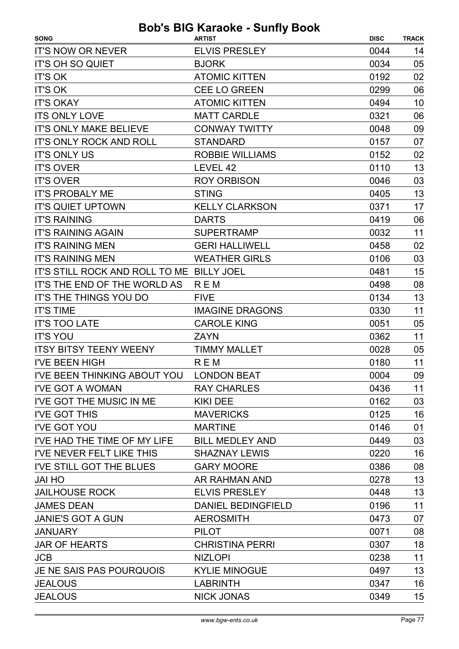| <b>SONG</b>                               | <b>ARTIST</b>             | <b>DISC</b> | <b>TRACK</b> |
|-------------------------------------------|---------------------------|-------------|--------------|
| <b>IT'S NOW OR NEVER</b>                  | <b>ELVIS PRESLEY</b>      | 0044        | 14           |
| <b>IT'S OH SO QUIET</b>                   | <b>BJORK</b>              | 0034        | 05           |
| <b>IT'S OK</b>                            | <b>ATOMIC KITTEN</b>      | 0192        | 02           |
| <b>IT'S OK</b>                            | <b>CEE LO GREEN</b>       | 0299        | 06           |
| <b>IT'S OKAY</b>                          | <b>ATOMIC KITTEN</b>      | 0494        | 10           |
| <b>ITS ONLY LOVE</b>                      | <b>MATT CARDLE</b>        | 0321        | 06           |
| <b>IT'S ONLY MAKE BELIEVE</b>             | <b>CONWAY TWITTY</b>      | 0048        | 09           |
| <b>IT'S ONLY ROCK AND ROLL</b>            | <b>STANDARD</b>           | 0157        | 07           |
| <b>IT'S ONLY US</b>                       | <b>ROBBIE WILLIAMS</b>    | 0152        | 02           |
| <b>IT'S OVER</b>                          | LEVEL 42                  | 0110        | 13           |
| <b>IT'S OVER</b>                          | <b>ROY ORBISON</b>        | 0046        | 03           |
| <b>IT'S PROBALY ME</b>                    | <b>STING</b>              | 0405        | 13           |
| <b>IT'S QUIET UPTOWN</b>                  | <b>KELLY CLARKSON</b>     | 0371        | 17           |
| <b>IT'S RAINING</b>                       | <b>DARTS</b>              | 0419        | 06           |
| <b>IT'S RAINING AGAIN</b>                 | <b>SUPERTRAMP</b>         | 0032        | 11           |
| <b>IT'S RAINING MEN</b>                   | <b>GERI HALLIWELL</b>     | 0458        | 02           |
| <b>IT'S RAINING MEN</b>                   | <b>WEATHER GIRLS</b>      | 0106        | 03           |
| IT'S STILL ROCK AND ROLL TO ME BILLY JOEL |                           | 0481        | 15           |
| IT'S THE END OF THE WORLD AS              | <b>REM</b>                | 0498        | 08           |
| IT'S THE THINGS YOU DO                    | <b>FIVE</b>               | 0134        | 13           |
| <b>IT'S TIME</b>                          | <b>IMAGINE DRAGONS</b>    | 0330        | 11           |
| <b>IT'S TOO LATE</b>                      | <b>CAROLE KING</b>        | 0051        | 05           |
| <b>IT'S YOU</b>                           | <b>ZAYN</b>               | 0362        | 11           |
| <b>ITSY BITSY TEENY WEENY</b>             | <b>TIMMY MALLET</b>       | 0028        | 05           |
| <b>I'VE BEEN HIGH</b>                     | <b>REM</b>                | 0180        | 11           |
| I'VE BEEN THINKING ABOUT YOU              | <b>LONDON BEAT</b>        | 0004        | 09           |
| I'VE GOT A WOMAN                          | <b>RAY CHARLES</b>        | 0436        | 11           |
| I'VE GOT THE MUSIC IN ME                  | <b>KIKI DEE</b>           | 0162        | 03           |
| I'VE GOT THIS                             | <b>MAVERICKS</b>          | 0125        | 16           |
| I'VE GOT YOU                              | <b>MARTINE</b>            | 0146        | 01           |
| I'VE HAD THE TIME OF MY LIFE              | <b>BILL MEDLEY AND</b>    | 0449        | 03           |
| I'VE NEVER FELT LIKE THIS                 | <b>SHAZNAY LEWIS</b>      | 0220        | 16           |
| I'VE STILL GOT THE BLUES                  | <b>GARY MOORE</b>         | 0386        | 08           |
| <b>JAI HO</b>                             | AR RAHMAN AND             | 0278        | 13           |
| <b>JAILHOUSE ROCK</b>                     | <b>ELVIS PRESLEY</b>      | 0448        | 13           |
| <b>JAMES DEAN</b>                         | <b>DANIEL BEDINGFIELD</b> | 0196        | 11           |
| <b>JANIE'S GOT A GUN</b>                  | <b>AEROSMITH</b>          | 0473        | 07           |
| <b>JANUARY</b>                            | <b>PILOT</b>              | 0071        | 08           |
| <b>JAR OF HEARTS</b>                      | <b>CHRISTINA PERRI</b>    | 0307        | 18           |
| <b>JCB</b>                                | <b>NIZLOPI</b>            | 0238        | 11           |
| JE NE SAIS PAS POURQUOIS                  | <b>KYLIE MINOGUE</b>      | 0497        | 13           |
| <b>JEALOUS</b>                            | <b>LABRINTH</b>           | 0347        | 16           |
| <b>JEALOUS</b>                            | <b>NICK JONAS</b>         | 0349        | 15           |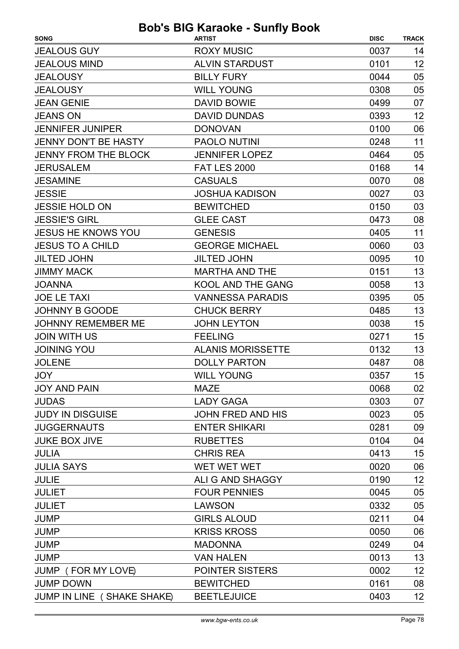| <b>SONG</b>                 | <b>ARTIST</b>            | <b>DISC</b> | <b>TRACK</b> |
|-----------------------------|--------------------------|-------------|--------------|
| <b>JEALOUS GUY</b>          | <b>ROXY MUSIC</b>        | 0037        | 14           |
| <b>JEALOUS MIND</b>         | <b>ALVIN STARDUST</b>    | 0101        | 12           |
| <b>JEALOUSY</b>             | <b>BILLY FURY</b>        | 0044        | 05           |
| <b>JEALOUSY</b>             | <b>WILL YOUNG</b>        | 0308        | 05           |
| <b>JEAN GENIE</b>           | <b>DAVID BOWIE</b>       | 0499        | 07           |
| <b>JEANS ON</b>             | <b>DAVID DUNDAS</b>      | 0393        | 12           |
| <b>JENNIFER JUNIPER</b>     | <b>DONOVAN</b>           | 0100        | 06           |
| <b>JENNY DON'T BE HASTY</b> | <b>PAOLO NUTINI</b>      | 0248        | 11           |
| <b>JENNY FROM THE BLOCK</b> | <b>JENNIFER LOPEZ</b>    | 0464        | 05           |
| <b>JERUSALEM</b>            | <b>FAT LES 2000</b>      | 0168        | 14           |
| <b>JESAMINE</b>             | <b>CASUALS</b>           | 0070        | 08           |
| <b>JESSIE</b>               | <b>JOSHUA KADISON</b>    | 0027        | 03           |
| <b>JESSIE HOLD ON</b>       | <b>BEWITCHED</b>         | 0150        | 03           |
| <b>JESSIE'S GIRL</b>        | <b>GLEE CAST</b>         | 0473        | 08           |
| <b>JESUS HE KNOWS YOU</b>   | <b>GENESIS</b>           | 0405        | 11           |
| <b>JESUS TO A CHILD</b>     | <b>GEORGE MICHAEL</b>    | 0060        | 03           |
| <b>JILTED JOHN</b>          | <b>JILTED JOHN</b>       | 0095        | 10           |
| <b>JIMMY MACK</b>           | <b>MARTHA AND THE</b>    | 0151        | 13           |
| <b>JOANNA</b>               | <b>KOOL AND THE GANG</b> | 0058        | 13           |
| <b>JOE LE TAXI</b>          | <b>VANNESSA PARADIS</b>  | 0395        | 05           |
| JOHNNY B GOODE              | <b>CHUCK BERRY</b>       | 0485        | 13           |
| <b>JOHNNY REMEMBER ME</b>   | <b>JOHN LEYTON</b>       | 0038        | 15           |
| <b>JOIN WITH US</b>         | <b>FEELING</b>           | 0271        | 15           |
| <b>JOINING YOU</b>          | <b>ALANIS MORISSETTE</b> | 0132        | 13           |
| <b>JOLENE</b>               | <b>DOLLY PARTON</b>      | 0487        | 08           |
| <b>JOY</b>                  | <b>WILL YOUNG</b>        | 0357        | 15           |
| <b>JOY AND PAIN</b>         | <b>MAZE</b>              | 0068        | 02           |
| <b>JUDAS</b>                | <b>LADY GAGA</b>         | 0303        | 07           |
| <b>JUDY IN DISGUISE</b>     | <b>JOHN FRED AND HIS</b> | 0023        | 05           |
| <b>JUGGERNAUTS</b>          | <b>ENTER SHIKARI</b>     | 0281        | 09           |
| <b>JUKE BOX JIVE</b>        | <b>RUBETTES</b>          | 0104        | 04           |
| <b>JULIA</b>                | <b>CHRIS REA</b>         | 0413        | 15           |
| <b>JULIA SAYS</b>           | WET WET WET              | 0020        | 06           |
| <b>JULIE</b>                | ALI G AND SHAGGY         | 0190        | 12           |
| <b>JULIET</b>               | <b>FOUR PENNIES</b>      | 0045        | 05           |
| <b>JULIET</b>               | <b>LAWSON</b>            | 0332        | 05           |
| <b>JUMP</b>                 | <b>GIRLS ALOUD</b>       | 0211        | 04           |
| <b>JUMP</b>                 | <b>KRISS KROSS</b>       | 0050        | 06           |
| <b>JUMP</b>                 | <b>MADONNA</b>           | 0249        | 04           |
| <b>JUMP</b>                 | <b>VAN HALEN</b>         | 0013        | 13           |
| JUMP (FOR MY LOVE)          | POINTER SISTERS          | 0002        | 12           |
| <b>JUMP DOWN</b>            | <b>BEWITCHED</b>         | 0161        | 08           |
| JUMP IN LINE (SHAKE SHAKE)  | <b>BEETLEJUICE</b>       | 0403        | 12           |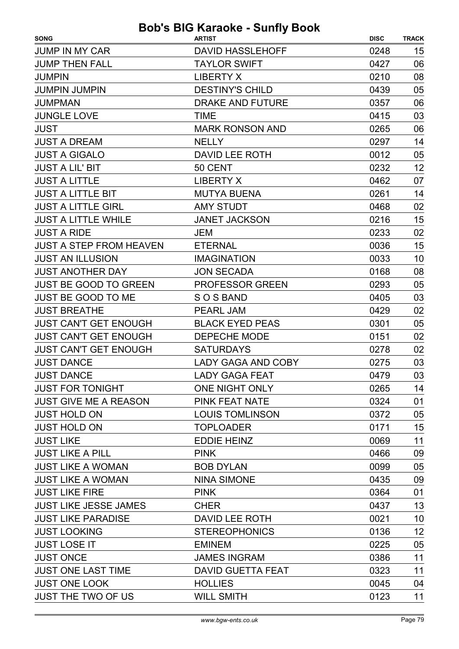| <b>SONG</b>                    | <b>ARTIST</b>             | <b>DISC</b> | <b>TRACK</b> |
|--------------------------------|---------------------------|-------------|--------------|
| JUMP IN MY CAR                 | <b>DAVID HASSLEHOFF</b>   | 0248        | 15           |
| <b>JUMP THEN FALL</b>          | <b>TAYLOR SWIFT</b>       | 0427        | 06           |
| <b>JUMPIN</b>                  | <b>LIBERTY X</b>          | 0210        | 08           |
| <b>JUMPIN JUMPIN</b>           | <b>DESTINY'S CHILD</b>    | 0439        | 05           |
| <b>JUMPMAN</b>                 | DRAKE AND FUTURE          | 0357        | 06           |
| <b>JUNGLE LOVE</b>             | <b>TIME</b>               | 0415        | 03           |
| <b>JUST</b>                    | <b>MARK RONSON AND</b>    | 0265        | 06           |
| <b>JUST A DREAM</b>            | <b>NELLY</b>              | 0297        | 14           |
| <b>JUST A GIGALO</b>           | DAVID LEE ROTH            | 0012        | 05           |
| <b>JUST A LIL' BIT</b>         | 50 CENT                   | 0232        | 12           |
| <b>JUST A LITTLE</b>           | <b>LIBERTY X</b>          | 0462        | 07           |
| <b>JUST A LITTLE BIT</b>       | <b>MUTYA BUENA</b>        | 0261        | 14           |
| <b>JUST A LITTLE GIRL</b>      | <b>AMY STUDT</b>          | 0468        | 02           |
| <b>JUST A LITTLE WHILE</b>     | <b>JANET JACKSON</b>      | 0216        | 15           |
| <b>JUST A RIDE</b>             | JEM                       | 0233        | 02           |
| <b>JUST A STEP FROM HEAVEN</b> | <b>ETERNAL</b>            | 0036        | 15           |
| <b>JUST AN ILLUSION</b>        | <b>IMAGINATION</b>        | 0033        | 10           |
| <b>JUST ANOTHER DAY</b>        | <b>JON SECADA</b>         | 0168        | 08           |
| <b>JUST BE GOOD TO GREEN</b>   | <b>PROFESSOR GREEN</b>    | 0293        | 05           |
| JUST BE GOOD TO ME             | SOS BAND                  | 0405        | 03           |
| <b>JUST BREATHE</b>            | <b>PEARL JAM</b>          | 0429        | 02           |
| <b>JUST CAN'T GET ENOUGH</b>   | <b>BLACK EYED PEAS</b>    | 0301        | 05           |
| <b>JUST CAN'T GET ENOUGH</b>   | <b>DEPECHE MODE</b>       | 0151        | 02           |
| <b>JUST CAN'T GET ENOUGH</b>   | <b>SATURDAYS</b>          | 0278        | 02           |
| <b>JUST DANCE</b>              | <b>LADY GAGA AND COBY</b> | 0275        | 03           |
| <b>JUST DANCE</b>              | <b>LADY GAGA FEAT</b>     | 0479        | 03           |
| <b>JUST FOR TONIGHT</b>        | ONE NIGHT ONLY            | 0265        | 14           |
| <b>JUST GIVE ME A REASON</b>   | PINK FEAT NATE            | 0324        | 01           |
| <b>JUST HOLD ON</b>            | <b>LOUIS TOMLINSON</b>    | 0372        | 05           |
| <b>JUST HOLD ON</b>            | <b>TOPLOADER</b>          | 0171        | 15           |
| <b>JUST LIKE</b>               | <b>EDDIE HEINZ</b>        | 0069        | 11           |
| <b>JUST LIKE A PILL</b>        | <b>PINK</b>               | 0466        | 09           |
| <b>JUST LIKE A WOMAN</b>       | <b>BOB DYLAN</b>          | 0099        | 05           |
| <b>JUST LIKE A WOMAN</b>       | <b>NINA SIMONE</b>        | 0435        | 09           |
| <b>JUST LIKE FIRE</b>          | <b>PINK</b>               | 0364        | 01           |
| <b>JUST LIKE JESSE JAMES</b>   | <b>CHER</b>               | 0437        | 13           |
| <b>JUST LIKE PARADISE</b>      | DAVID LEE ROTH            | 0021        | 10           |
| <b>JUST LOOKING</b>            | <b>STEREOPHONICS</b>      | 0136        | 12           |
| <b>JUST LOSE IT</b>            | <b>EMINEM</b>             | 0225        | 05           |
| <b>JUST ONCE</b>               | <b>JAMES INGRAM</b>       | 0386        | 11           |
| <b>JUST ONE LAST TIME</b>      | <b>DAVID GUETTA FEAT</b>  | 0323        | 11           |
| <b>JUST ONE LOOK</b>           | <b>HOLLIES</b>            | 0045        | 04           |
| <b>JUST THE TWO OF US</b>      | <b>WILL SMITH</b>         | 0123        | 11           |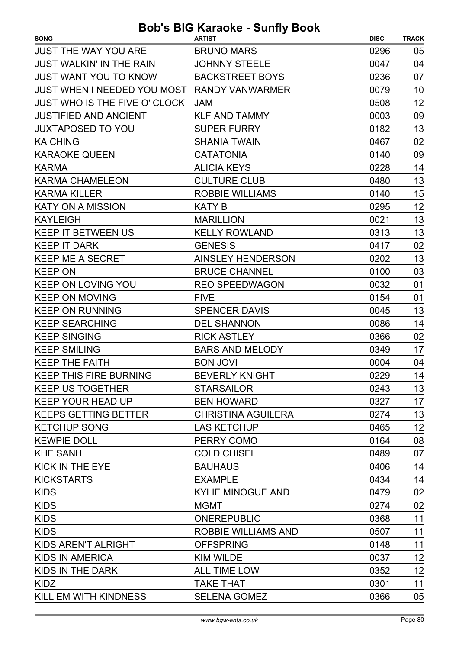| <b>SONG</b>                          | <b>ARTIST</b>             | <b>DISC</b> | <b>TRACK</b> |
|--------------------------------------|---------------------------|-------------|--------------|
| <b>JUST THE WAY YOU ARE</b>          | <b>BRUNO MARS</b>         | 0296        | 05           |
| <b>JUST WALKIN' IN THE RAIN</b>      | <b>JOHNNY STEELE</b>      | 0047        | 04           |
| <b>JUST WANT YOU TO KNOW</b>         | <b>BACKSTREET BOYS</b>    | 0236        | 07           |
| JUST WHEN I NEEDED YOU MOST          | <b>RANDY VANWARMER</b>    | 0079        | 10           |
| <b>JUST WHO IS THE FIVE O' CLOCK</b> | <b>JAM</b>                | 0508        | 12           |
| <b>JUSTIFIED AND ANCIENT</b>         | <b>KLF AND TAMMY</b>      | 0003        | 09           |
| <b>JUXTAPOSED TO YOU</b>             | <b>SUPER FURRY</b>        | 0182        | 13           |
| <b>KA CHING</b>                      | <b>SHANIA TWAIN</b>       | 0467        | 02           |
| <b>KARAOKE QUEEN</b>                 | <b>CATATONIA</b>          | 0140        | 09           |
| <b>KARMA</b>                         | <b>ALICIA KEYS</b>        | 0228        | 14           |
| <b>KARMA CHAMELEON</b>               | <b>CULTURE CLUB</b>       | 0480        | 13           |
| <b>KARMA KILLER</b>                  | <b>ROBBIE WILLIAMS</b>    | 0140        | 15           |
| <b>KATY ON A MISSION</b>             | <b>KATY B</b>             | 0295        | 12           |
| <b>KAYLEIGH</b>                      | <b>MARILLION</b>          | 0021        | 13           |
| <b>KEEP IT BETWEEN US</b>            | <b>KELLY ROWLAND</b>      | 0313        | 13           |
| <b>KEEP IT DARK</b>                  | <b>GENESIS</b>            | 0417        | 02           |
| <b>KEEP ME A SECRET</b>              | <b>AINSLEY HENDERSON</b>  | 0202        | 13           |
| <b>KEEP ON</b>                       | <b>BRUCE CHANNEL</b>      | 0100        | 03           |
| <b>KEEP ON LOVING YOU</b>            | <b>REO SPEEDWAGON</b>     | 0032        | 01           |
| <b>KEEP ON MOVING</b>                | <b>FIVE</b>               | 0154        | 01           |
| <b>KEEP ON RUNNING</b>               | <b>SPENCER DAVIS</b>      | 0045        | 13           |
| <b>KEEP SEARCHING</b>                | <b>DEL SHANNON</b>        | 0086        | 14           |
| <b>KEEP SINGING</b>                  | <b>RICK ASTLEY</b>        | 0366        | 02           |
| <b>KEEP SMILING</b>                  | <b>BARS AND MELODY</b>    | 0349        | 17           |
| <b>KEEP THE FAITH</b>                | <b>BON JOVI</b>           | 0004        | 04           |
| <b>KEEP THIS FIRE BURNING</b>        | <b>BEVERLY KNIGHT</b>     | 0229        | 14           |
| <b>KEEP US TOGETHER</b>              | <b>STARSAILOR</b>         | 0243        | 13           |
| <b>KEEP YOUR HEAD UP</b>             | <b>BEN HOWARD</b>         | 0327        | 17           |
| <b>KEEPS GETTING BETTER</b>          | <b>CHRISTINA AGUILERA</b> | 0274        | 13           |
| <b>KETCHUP SONG</b>                  | <b>LAS KETCHUP</b>        | 0465        | 12           |
| <b>KEWPIE DOLL</b>                   | PERRY COMO                | 0164        | 08           |
| <b>KHE SANH</b>                      | <b>COLD CHISEL</b>        | 0489        | 07           |
| KICK IN THE EYE                      | <b>BAUHAUS</b>            | 0406        | 14           |
| <b>KICKSTARTS</b>                    | <b>EXAMPLE</b>            | 0434        | 14           |
| <b>KIDS</b>                          | <b>KYLIE MINOGUE AND</b>  | 0479        | 02           |
| <b>KIDS</b>                          | <b>MGMT</b>               | 0274        | 02           |
| <b>KIDS</b>                          | <b>ONEREPUBLIC</b>        | 0368        | 11           |
| <b>KIDS</b>                          | ROBBIE WILLIAMS AND       | 0507        | 11           |
| KIDS AREN'T ALRIGHT                  | <b>OFFSPRING</b>          | 0148        | 11           |
| <b>KIDS IN AMERICA</b>               | <b>KIM WILDE</b>          | 0037        | 12           |
| KIDS IN THE DARK                     | <b>ALL TIME LOW</b>       | 0352        | 12           |
| <b>KIDZ</b>                          | <b>TAKE THAT</b>          | 0301        | 11           |
| KILL EM WITH KINDNESS                | <b>SELENA GOMEZ</b>       | 0366        | 05           |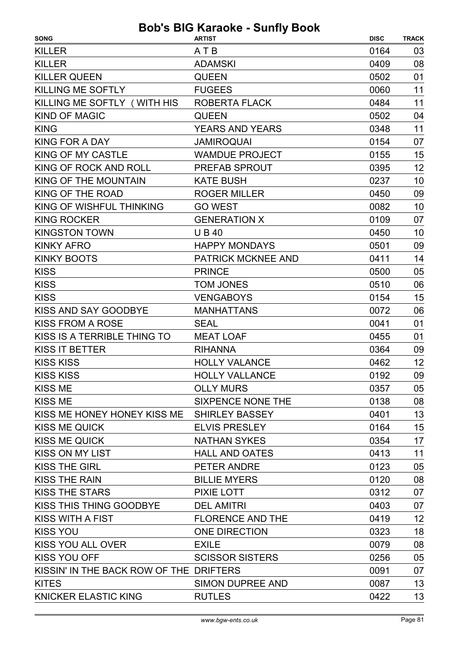| <b>SONG</b>                                | <b>ARTIST</b>             | <b>DISC</b> | <b>TRACK</b> |
|--------------------------------------------|---------------------------|-------------|--------------|
| <b>KILLER</b>                              | ATB                       | 0164        | 03           |
| <b>KILLER</b>                              | <b>ADAMSKI</b>            | 0409        | 08           |
| <b>KILLER QUEEN</b>                        | <b>QUEEN</b>              | 0502        | 01           |
| KILLING ME SOFTLY                          | <b>FUGEES</b>             | 0060        | 11           |
| KILLING ME SOFTLY (WITH HIS                | ROBERTA FLACK             | 0484        | 11           |
| <b>KIND OF MAGIC</b>                       | <b>QUEEN</b>              | 0502        | 04           |
| <b>KING</b>                                | <b>YEARS AND YEARS</b>    | 0348        | 11           |
| KING FOR A DAY                             | <b>JAMIROQUAI</b>         | 0154        | 07           |
| <b>KING OF MY CASTLE</b>                   | <b>WAMDUE PROJECT</b>     | 0155        | 15           |
| KING OF ROCK AND ROLL                      | PREFAB SPROUT             | 0395        | 12           |
| KING OF THE MOUNTAIN                       | <b>KATE BUSH</b>          | 0237        | 10           |
| KING OF THE ROAD                           | <b>ROGER MILLER</b>       | 0450        | 09           |
| KING OF WISHFUL THINKING                   | <b>GO WEST</b>            | 0082        | 10           |
| <b>KING ROCKER</b>                         | <b>GENERATION X</b>       | 0109        | 07           |
| <b>KINGSTON TOWN</b>                       | <b>UB40</b>               | 0450        | 10           |
| <b>KINKY AFRO</b>                          | <b>HAPPY MONDAYS</b>      | 0501        | 09           |
| <b>KINKY BOOTS</b>                         | <b>PATRICK MCKNEE AND</b> | 0411        | 14           |
| <b>KISS</b>                                | <b>PRINCE</b>             | 0500        | 05           |
| <b>KISS</b>                                | <b>TOM JONES</b>          | 0510        | 06           |
| <b>KISS</b>                                | <b>VENGABOYS</b>          | 0154        | 15           |
| KISS AND SAY GOODBYE                       | <b>MANHATTANS</b>         | 0072        | 06           |
| <b>KISS FROM A ROSE</b>                    | <b>SEAL</b>               | 0041        | 01           |
| KISS IS A TERRIBLE THING TO                | <b>MEAT LOAF</b>          | 0455        | 01           |
| <b>KISS IT BETTER</b>                      | <b>RIHANNA</b>            | 0364        | 09           |
| <b>KISS KISS</b>                           | <b>HOLLY VALANCE</b>      | 0462        | 12           |
| <b>KISS KISS</b>                           | <b>HOLLY VALLANCE</b>     | 0192        | 09           |
| <b>KISS ME</b>                             | <b>OLLY MURS</b>          | 0357        | 05           |
| <b>KISS ME</b>                             | SIXPENCE NONE THE         | 0138        | 08           |
| KISS ME HONEY HONEY KISS ME SHIRLEY BASSEY |                           | 0401        | 13           |
| <b>KISS ME QUICK</b>                       | <b>ELVIS PRESLEY</b>      | 0164        | 15           |
| <b>KISS ME QUICK</b>                       | <b>NATHAN SYKES</b>       | 0354        | 17           |
| <b>KISS ON MY LIST</b>                     | <b>HALL AND OATES</b>     | 0413        | 11           |
| <b>KISS THE GIRL</b>                       | PETER ANDRE               | 0123        | 05           |
| <b>KISS THE RAIN</b>                       | <b>BILLIE MYERS</b>       | 0120        | 08           |
| KISS THE STARS                             | PIXIE LOTT                | 0312        | 07           |
| KISS THIS THING GOODBYE DEL AMITRI         |                           | 0403        | 07           |
| <b>KISS WITH A FIST</b>                    | <b>FLORENCE AND THE</b>   | 0419        | 12           |
| <b>KISS YOU</b>                            | <b>ONE DIRECTION</b>      | 0323        | 18           |
| KISS YOU ALL OVER                          | <b>EXILE</b>              | 0079        | 08           |
| KISS YOU OFF                               | <b>SCISSOR SISTERS</b>    | 0256        | 05           |
| KISSIN' IN THE BACK ROW OF THE DRIFTERS    |                           | 0091        | 07           |
| <b>KITES</b>                               | SIMON DUPREE AND          | 0087        | 13           |
| <b>KNICKER ELASTIC KING</b>                | <b>RUTLES</b>             | 0422        | 13           |
|                                            |                           |             |              |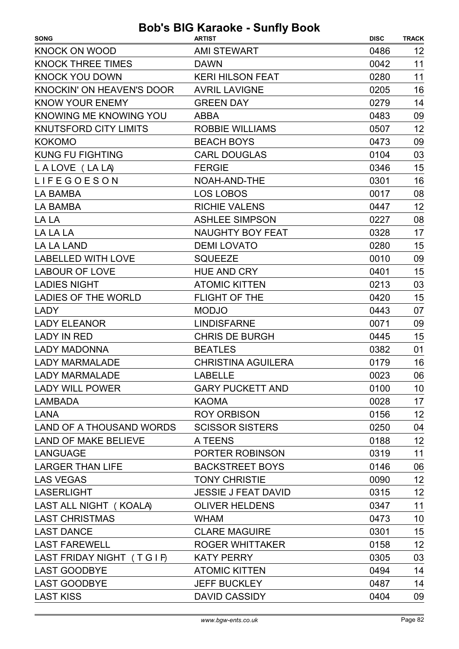| <b>KNOCK ON WOOD</b><br><b>AMI STEWART</b><br>0486<br>12<br><b>KNOCK THREE TIMES</b><br>11<br><b>DAWN</b><br>0042<br><b>KNOCK YOU DOWN</b><br>11<br><b>KERI HILSON FEAT</b><br>0280<br>16<br><b>KNOCKIN' ON HEAVEN'S DOOR</b><br><b>AVRIL LAVIGNE</b><br>0205<br>14<br><b>KNOW YOUR ENEMY</b><br><b>GREEN DAY</b><br>0279<br><b>KNOWING ME KNOWING YOU</b><br>09<br>0483<br><b>ABBA</b><br>12<br><b>KNUTSFORD CITY LIMITS</b><br><b>ROBBIE WILLIAMS</b><br>0507<br><b>BEACH BOYS</b><br>09<br><b>KOKOMO</b><br>0473<br><b>KUNG FU FIGHTING</b><br><b>CARL DOUGLAS</b><br>0104<br>03<br>15<br><b>FERGIE</b><br>LALOVE (LALA)<br>0346<br>16<br>LIFEGOESON<br>NOAH-AND-THE<br>0301<br>08<br><b>LA BAMBA</b><br><b>LOS LOBOS</b><br>0017<br>12<br><b>RICHIE VALENS</b><br>LA BAMBA<br>0447<br><b>ASHLEE SIMPSON</b><br>08<br>LA LA<br>0227<br>LA LA LA<br><b>NAUGHTY BOY FEAT</b><br>0328<br>17<br>15<br><b>LA LA LAND</b><br>0280<br><b>DEMI LOVATO</b><br><b>LABELLED WITH LOVE</b><br>0010<br>09<br><b>SQUEEZE</b><br>15<br><b>LABOUR OF LOVE</b><br><b>HUE AND CRY</b><br>0401<br>03<br><b>LADIES NIGHT</b><br><b>ATOMIC KITTEN</b><br>0213<br>15<br>LADIES OF THE WORLD<br><b>FLIGHT OF THE</b><br>0420 |
|----------------------------------------------------------------------------------------------------------------------------------------------------------------------------------------------------------------------------------------------------------------------------------------------------------------------------------------------------------------------------------------------------------------------------------------------------------------------------------------------------------------------------------------------------------------------------------------------------------------------------------------------------------------------------------------------------------------------------------------------------------------------------------------------------------------------------------------------------------------------------------------------------------------------------------------------------------------------------------------------------------------------------------------------------------------------------------------------------------------------------------------------------------------------------------------------------------|
|                                                                                                                                                                                                                                                                                                                                                                                                                                                                                                                                                                                                                                                                                                                                                                                                                                                                                                                                                                                                                                                                                                                                                                                                          |
|                                                                                                                                                                                                                                                                                                                                                                                                                                                                                                                                                                                                                                                                                                                                                                                                                                                                                                                                                                                                                                                                                                                                                                                                          |
|                                                                                                                                                                                                                                                                                                                                                                                                                                                                                                                                                                                                                                                                                                                                                                                                                                                                                                                                                                                                                                                                                                                                                                                                          |
|                                                                                                                                                                                                                                                                                                                                                                                                                                                                                                                                                                                                                                                                                                                                                                                                                                                                                                                                                                                                                                                                                                                                                                                                          |
|                                                                                                                                                                                                                                                                                                                                                                                                                                                                                                                                                                                                                                                                                                                                                                                                                                                                                                                                                                                                                                                                                                                                                                                                          |
|                                                                                                                                                                                                                                                                                                                                                                                                                                                                                                                                                                                                                                                                                                                                                                                                                                                                                                                                                                                                                                                                                                                                                                                                          |
|                                                                                                                                                                                                                                                                                                                                                                                                                                                                                                                                                                                                                                                                                                                                                                                                                                                                                                                                                                                                                                                                                                                                                                                                          |
|                                                                                                                                                                                                                                                                                                                                                                                                                                                                                                                                                                                                                                                                                                                                                                                                                                                                                                                                                                                                                                                                                                                                                                                                          |
|                                                                                                                                                                                                                                                                                                                                                                                                                                                                                                                                                                                                                                                                                                                                                                                                                                                                                                                                                                                                                                                                                                                                                                                                          |
|                                                                                                                                                                                                                                                                                                                                                                                                                                                                                                                                                                                                                                                                                                                                                                                                                                                                                                                                                                                                                                                                                                                                                                                                          |
|                                                                                                                                                                                                                                                                                                                                                                                                                                                                                                                                                                                                                                                                                                                                                                                                                                                                                                                                                                                                                                                                                                                                                                                                          |
|                                                                                                                                                                                                                                                                                                                                                                                                                                                                                                                                                                                                                                                                                                                                                                                                                                                                                                                                                                                                                                                                                                                                                                                                          |
|                                                                                                                                                                                                                                                                                                                                                                                                                                                                                                                                                                                                                                                                                                                                                                                                                                                                                                                                                                                                                                                                                                                                                                                                          |
|                                                                                                                                                                                                                                                                                                                                                                                                                                                                                                                                                                                                                                                                                                                                                                                                                                                                                                                                                                                                                                                                                                                                                                                                          |
|                                                                                                                                                                                                                                                                                                                                                                                                                                                                                                                                                                                                                                                                                                                                                                                                                                                                                                                                                                                                                                                                                                                                                                                                          |
|                                                                                                                                                                                                                                                                                                                                                                                                                                                                                                                                                                                                                                                                                                                                                                                                                                                                                                                                                                                                                                                                                                                                                                                                          |
|                                                                                                                                                                                                                                                                                                                                                                                                                                                                                                                                                                                                                                                                                                                                                                                                                                                                                                                                                                                                                                                                                                                                                                                                          |
|                                                                                                                                                                                                                                                                                                                                                                                                                                                                                                                                                                                                                                                                                                                                                                                                                                                                                                                                                                                                                                                                                                                                                                                                          |
|                                                                                                                                                                                                                                                                                                                                                                                                                                                                                                                                                                                                                                                                                                                                                                                                                                                                                                                                                                                                                                                                                                                                                                                                          |
|                                                                                                                                                                                                                                                                                                                                                                                                                                                                                                                                                                                                                                                                                                                                                                                                                                                                                                                                                                                                                                                                                                                                                                                                          |
| 07<br><b>LADY</b><br><b>MODJO</b><br>0443                                                                                                                                                                                                                                                                                                                                                                                                                                                                                                                                                                                                                                                                                                                                                                                                                                                                                                                                                                                                                                                                                                                                                                |
| <b>LINDISFARNE</b><br>09<br><b>LADY ELEANOR</b><br>0071                                                                                                                                                                                                                                                                                                                                                                                                                                                                                                                                                                                                                                                                                                                                                                                                                                                                                                                                                                                                                                                                                                                                                  |
| 15<br><b>LADY IN RED</b><br><b>CHRIS DE BURGH</b><br>0445                                                                                                                                                                                                                                                                                                                                                                                                                                                                                                                                                                                                                                                                                                                                                                                                                                                                                                                                                                                                                                                                                                                                                |
| <b>LADY MADONNA</b><br><b>BEATLES</b><br>0382<br>01                                                                                                                                                                                                                                                                                                                                                                                                                                                                                                                                                                                                                                                                                                                                                                                                                                                                                                                                                                                                                                                                                                                                                      |
| <b>LADY MARMALADE</b><br><b>CHRISTINA AGUILERA</b><br>16<br>0179                                                                                                                                                                                                                                                                                                                                                                                                                                                                                                                                                                                                                                                                                                                                                                                                                                                                                                                                                                                                                                                                                                                                         |
| 0023<br>06<br><b>LADY MARMALADE</b><br><b>LABELLE</b>                                                                                                                                                                                                                                                                                                                                                                                                                                                                                                                                                                                                                                                                                                                                                                                                                                                                                                                                                                                                                                                                                                                                                    |
| <b>LADY WILL POWER</b><br><b>GARY PUCKETT AND</b><br>0100<br>10                                                                                                                                                                                                                                                                                                                                                                                                                                                                                                                                                                                                                                                                                                                                                                                                                                                                                                                                                                                                                                                                                                                                          |
| 0028<br>17<br><b>LAMBADA</b><br><b>KAOMA</b>                                                                                                                                                                                                                                                                                                                                                                                                                                                                                                                                                                                                                                                                                                                                                                                                                                                                                                                                                                                                                                                                                                                                                             |
| 12<br><b>ROY ORBISON</b><br>LANA<br>0156                                                                                                                                                                                                                                                                                                                                                                                                                                                                                                                                                                                                                                                                                                                                                                                                                                                                                                                                                                                                                                                                                                                                                                 |
| LAND OF A THOUSAND WORDS<br><b>SCISSOR SISTERS</b><br>04<br>0250                                                                                                                                                                                                                                                                                                                                                                                                                                                                                                                                                                                                                                                                                                                                                                                                                                                                                                                                                                                                                                                                                                                                         |
| 12<br><b>LAND OF MAKE BELIEVE</b><br>A TEENS<br>0188                                                                                                                                                                                                                                                                                                                                                                                                                                                                                                                                                                                                                                                                                                                                                                                                                                                                                                                                                                                                                                                                                                                                                     |
| 11<br>0319<br><b>LANGUAGE</b><br>PORTER ROBINSON                                                                                                                                                                                                                                                                                                                                                                                                                                                                                                                                                                                                                                                                                                                                                                                                                                                                                                                                                                                                                                                                                                                                                         |
| <b>LARGER THAN LIFE</b><br>0146<br>06<br><b>BACKSTREET BOYS</b>                                                                                                                                                                                                                                                                                                                                                                                                                                                                                                                                                                                                                                                                                                                                                                                                                                                                                                                                                                                                                                                                                                                                          |
| 12<br><b>LAS VEGAS</b><br><b>TONY CHRISTIE</b><br>0090                                                                                                                                                                                                                                                                                                                                                                                                                                                                                                                                                                                                                                                                                                                                                                                                                                                                                                                                                                                                                                                                                                                                                   |
| 12<br><b>LASERLIGHT</b><br><b>JESSIE J FEAT DAVID</b><br>0315                                                                                                                                                                                                                                                                                                                                                                                                                                                                                                                                                                                                                                                                                                                                                                                                                                                                                                                                                                                                                                                                                                                                            |
| 11<br>LAST ALL NIGHT (KOALA)<br><b>OLIVER HELDENS</b><br>0347                                                                                                                                                                                                                                                                                                                                                                                                                                                                                                                                                                                                                                                                                                                                                                                                                                                                                                                                                                                                                                                                                                                                            |
| <b>LAST CHRISTMAS</b><br>10<br><b>WHAM</b><br>0473                                                                                                                                                                                                                                                                                                                                                                                                                                                                                                                                                                                                                                                                                                                                                                                                                                                                                                                                                                                                                                                                                                                                                       |
| 15<br><b>LAST DANCE</b><br><b>CLARE MAGUIRE</b><br>0301                                                                                                                                                                                                                                                                                                                                                                                                                                                                                                                                                                                                                                                                                                                                                                                                                                                                                                                                                                                                                                                                                                                                                  |
| 12<br><b>LAST FAREWELL</b><br><b>ROGER WHITTAKER</b><br>0158                                                                                                                                                                                                                                                                                                                                                                                                                                                                                                                                                                                                                                                                                                                                                                                                                                                                                                                                                                                                                                                                                                                                             |
| 03<br>LAST FRIDAY NIGHT (TGIF)<br><b>KATY PERRY</b><br>0305                                                                                                                                                                                                                                                                                                                                                                                                                                                                                                                                                                                                                                                                                                                                                                                                                                                                                                                                                                                                                                                                                                                                              |
| <b>ATOMIC KITTEN</b><br>14<br><b>LAST GOODBYE</b><br>0494                                                                                                                                                                                                                                                                                                                                                                                                                                                                                                                                                                                                                                                                                                                                                                                                                                                                                                                                                                                                                                                                                                                                                |
| 14<br><b>LAST GOODBYE</b><br><b>JEFF BUCKLEY</b><br>0487                                                                                                                                                                                                                                                                                                                                                                                                                                                                                                                                                                                                                                                                                                                                                                                                                                                                                                                                                                                                                                                                                                                                                 |
| <b>LAST KISS</b><br><b>DAVID CASSIDY</b><br>09<br>0404                                                                                                                                                                                                                                                                                                                                                                                                                                                                                                                                                                                                                                                                                                                                                                                                                                                                                                                                                                                                                                                                                                                                                   |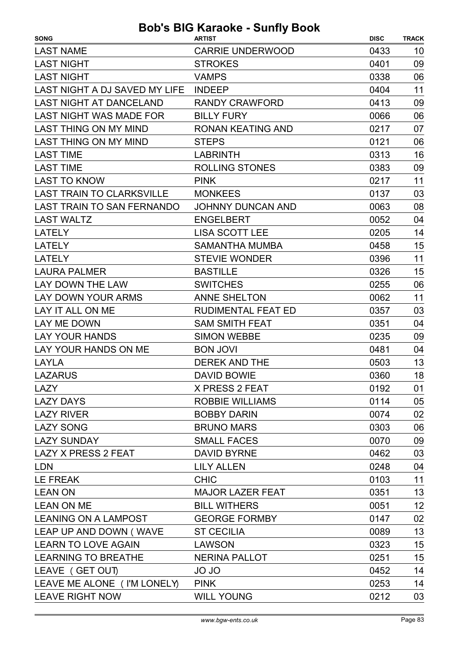| <b>SONG</b>                       | <b>ARTIST</b>             | <b>DISC</b> | <b>TRACK</b> |
|-----------------------------------|---------------------------|-------------|--------------|
| <b>LAST NAME</b>                  | <b>CARRIE UNDERWOOD</b>   | 0433        | 10           |
| <b>LAST NIGHT</b>                 | <b>STROKES</b>            | 0401        | 09           |
| <b>LAST NIGHT</b>                 | <b>VAMPS</b>              | 0338        | 06           |
| LAST NIGHT A DJ SAVED MY LIFE     | <b>INDEEP</b>             | 0404        | 11           |
| <b>LAST NIGHT AT DANCELAND</b>    | <b>RANDY CRAWFORD</b>     | 0413        | 09           |
| LAST NIGHT WAS MADE FOR           | <b>BILLY FURY</b>         | 0066        | 06           |
| <b>LAST THING ON MY MIND</b>      | <b>RONAN KEATING AND</b>  | 0217        | 07           |
| <b>LAST THING ON MY MIND</b>      | <b>STEPS</b>              | 0121        | 06           |
| <b>LAST TIME</b>                  | <b>LABRINTH</b>           | 0313        | 16           |
| <b>LAST TIME</b>                  | <b>ROLLING STONES</b>     | 0383        | 09           |
| <b>LAST TO KNOW</b>               | <b>PINK</b>               | 0217        | 11           |
| <b>LAST TRAIN TO CLARKSVILLE</b>  | <b>MONKEES</b>            | 0137        | 03           |
| <b>LAST TRAIN TO SAN FERNANDO</b> | JOHNNY DUNCAN AND         | 0063        | 08           |
| <b>LAST WALTZ</b>                 | <b>ENGELBERT</b>          | 0052        | 04           |
| <b>LATELY</b>                     | <b>LISA SCOTT LEE</b>     | 0205        | 14           |
| <b>LATELY</b>                     | <b>SAMANTHA MUMBA</b>     | 0458        | 15           |
| <b>LATELY</b>                     | <b>STEVIE WONDER</b>      | 0396        | 11           |
| <b>LAURA PALMER</b>               | <b>BASTILLE</b>           | 0326        | 15           |
| LAY DOWN THE LAW                  | <b>SWITCHES</b>           | 0255        | 06           |
| LAY DOWN YOUR ARMS                | <b>ANNE SHELTON</b>       | 0062        | 11           |
| LAY IT ALL ON ME                  | <b>RUDIMENTAL FEAT ED</b> | 0357        | 03           |
| LAY ME DOWN                       | <b>SAM SMITH FEAT</b>     | 0351        | 04           |
| <b>LAY YOUR HANDS</b>             | <b>SIMON WEBBE</b>        | 0235        | 09           |
| LAY YOUR HANDS ON ME              | <b>BON JOVI</b>           | 0481        | 04           |
| LAYLA                             | <b>DEREK AND THE</b>      | 0503        | 13           |
| <b>LAZARUS</b>                    | <b>DAVID BOWIE</b>        | 0360        | 18           |
| LAZY                              | X PRESS 2 FEAT            | 0192        | 01           |
| <b>LAZY DAYS</b>                  | <b>ROBBIE WILLIAMS</b>    | 0114        | 05           |
| <b>LAZY RIVER</b>                 | <b>BOBBY DARIN</b>        | 0074        | 02           |
| <b>LAZY SONG</b>                  | <b>BRUNO MARS</b>         | 0303        | 06           |
| <b>LAZY SUNDAY</b>                | <b>SMALL FACES</b>        | 0070        | 09           |
| LAZY X PRESS 2 FEAT               | <b>DAVID BYRNE</b>        | 0462        | 03           |
| <b>LDN</b>                        | <b>LILY ALLEN</b>         | 0248        | 04           |
| <b>LE FREAK</b>                   | <b>CHIC</b>               | 0103        | 11           |
| <b>LEAN ON</b>                    | <b>MAJOR LAZER FEAT</b>   | 0351        | 13           |
| <b>LEAN ON ME</b>                 | <b>BILL WITHERS</b>       | 0051        | 12           |
| LEANING ON A LAMPOST              | <b>GEORGE FORMBY</b>      | 0147        | 02           |
| LEAP UP AND DOWN (WAVE            | <b>ST CECILIA</b>         | 0089        | 13           |
| <b>LEARN TO LOVE AGAIN</b>        | <b>LAWSON</b>             | 0323        | 15           |
| <b>LEARNING TO BREATHE</b>        | <b>NERINA PALLOT</b>      | 0251        | 15           |
| LEAVE (GET OUT)                   | JO JO                     | 0452        | 14           |
| LEAVE ME ALONE ( I'M LONELY)      | <b>PINK</b>               | 0253        | 14           |
| <b>LEAVE RIGHT NOW</b>            | <b>WILL YOUNG</b>         | 0212        | 03           |
|                                   |                           |             |              |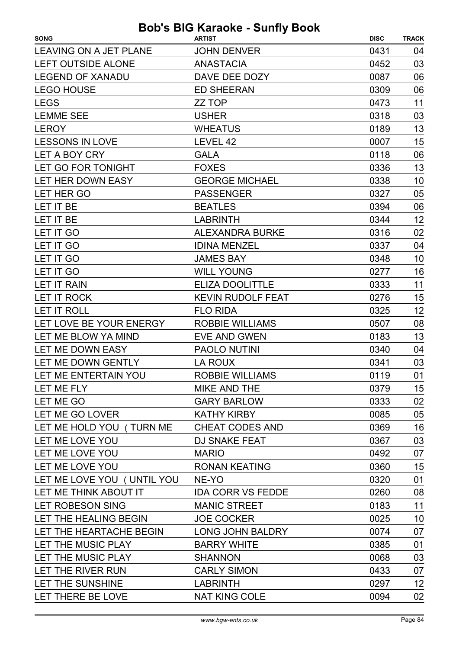| <b>SONG</b>                   | <b>ARTIST</b>            | <b>DISC</b> | <b>TRACK</b> |
|-------------------------------|--------------------------|-------------|--------------|
| <b>LEAVING ON A JET PLANE</b> | <b>JOHN DENVER</b>       | 0431        | 04           |
| LEFT OUTSIDE ALONE            | <b>ANASTACIA</b>         | 0452        | 03           |
| <b>LEGEND OF XANADU</b>       | DAVE DEE DOZY            | 0087        | 06           |
| <b>LEGO HOUSE</b>             | <b>ED SHEERAN</b>        | 0309        | 06           |
| <b>LEGS</b>                   | <b>ZZ TOP</b>            | 0473        | 11           |
| <b>LEMME SEE</b>              | <b>USHER</b>             | 0318        | 03           |
| <b>LEROY</b>                  | <b>WHEATUS</b>           | 0189        | 13           |
| <b>LESSONS IN LOVE</b>        | LEVEL 42                 | 0007        | 15           |
| LET A BOY CRY                 | <b>GALA</b>              | 0118        | 06           |
| LET GO FOR TONIGHT            | <b>FOXES</b>             | 0336        | 13           |
| LET HER DOWN EASY             | <b>GEORGE MICHAEL</b>    | 0338        | 10           |
| LET HER GO                    | <b>PASSENGER</b>         | 0327        | 05           |
| LET IT BE                     | <b>BEATLES</b>           | 0394        | 06           |
| LET IT BE                     | <b>LABRINTH</b>          | 0344        | 12           |
| LET IT GO                     | <b>ALEXANDRA BURKE</b>   | 0316        | 02           |
| LET IT GO                     | <b>IDINA MENZEL</b>      | 0337        | 04           |
| LET IT GO                     | <b>JAMES BAY</b>         | 0348        | 10           |
| LET IT GO                     | <b>WILL YOUNG</b>        | 0277        | 16           |
| <b>LET IT RAIN</b>            | <b>ELIZA DOOLITTLE</b>   | 0333        | 11           |
| LET IT ROCK                   | <b>KEVIN RUDOLF FEAT</b> | 0276        | 15           |
| <b>LET IT ROLL</b>            | <b>FLO RIDA</b>          | 0325        | 12           |
| LET LOVE BE YOUR ENERGY       | <b>ROBBIE WILLIAMS</b>   | 0507        | 08           |
| LET ME BLOW YA MIND           | <b>EVE AND GWEN</b>      | 0183        | 13           |
| LET ME DOWN EASY              | PAOLO NUTINI             | 0340        | 04           |
| LET ME DOWN GENTLY            | <b>LA ROUX</b>           | 0341        | 03           |
| LET ME ENTERTAIN YOU          | <b>ROBBIE WILLIAMS</b>   | 0119        | 01           |
| LET ME FLY                    | MIKE AND THE             | 0379        | 15           |
| LET ME GO                     | <b>GARY BARLOW</b>       | 0333        | 02           |
| LET ME GO LOVER               | <b>KATHY KIRBY</b>       | 0085        | 05           |
| LET ME HOLD YOU (TURN ME      | <b>CHEAT CODES AND</b>   | 0369        | 16           |
| LET ME LOVE YOU               | DJ SNAKE FEAT            | 0367        | 03           |
| LET ME LOVE YOU               | <b>MARIO</b>             | 0492        | 07           |
| LET ME LOVE YOU               | <b>RONAN KEATING</b>     | 0360        | 15           |
| LET ME LOVE YOU ( UNTIL YOU   | NE-YO                    | 0320        | 01           |
| LET ME THINK ABOUT IT         | <b>IDA CORR VS FEDDE</b> | 0260        | 08           |
| LET ROBESON SING              | <b>MANIC STREET</b>      | 0183        | 11           |
| LET THE HEALING BEGIN         | <b>JOE COCKER</b>        | 0025        | 10           |
| LET THE HEARTACHE BEGIN       | LONG JOHN BALDRY         | 0074        | 07           |
| LET THE MUSIC PLAY            | <b>BARRY WHITE</b>       | 0385        | 01           |
| LET THE MUSIC PLAY            | <b>SHANNON</b>           | 0068        | 03           |
| LET THE RIVER RUN             | <b>CARLY SIMON</b>       | 0433        | 07           |
| LET THE SUNSHINE              | <b>LABRINTH</b>          | 0297        | 12           |
| LET THERE BE LOVE             | <b>NAT KING COLE</b>     | 0094        | 02           |
|                               |                          |             |              |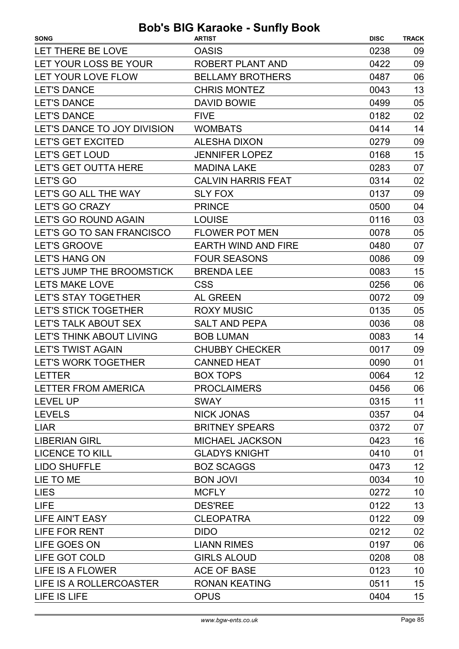| <b>SONG</b>                 | <b>ARTIST</b>              | <b>DISC</b> | <b>TRACK</b> |
|-----------------------------|----------------------------|-------------|--------------|
| LET THERE BE LOVE           | <b>OASIS</b>               | 0238        | 09           |
| LET YOUR LOSS BE YOUR       | ROBERT PLANT AND           | 0422        | 09           |
| LET YOUR LOVE FLOW          | <b>BELLAMY BROTHERS</b>    | 0487        | 06           |
| <b>LET'S DANCE</b>          | <b>CHRIS MONTEZ</b>        | 0043        | 13           |
| <b>LET'S DANCE</b>          | <b>DAVID BOWIE</b>         | 0499        | 05           |
| <b>LET'S DANCE</b>          | <b>FIVE</b>                | 0182        | 02           |
| LET'S DANCE TO JOY DIVISION | <b>WOMBATS</b>             | 0414        | 14           |
| <b>LET'S GET EXCITED</b>    | <b>ALESHA DIXON</b>        | 0279        | 09           |
| <b>LET'S GET LOUD</b>       | <b>JENNIFER LOPEZ</b>      | 0168        | 15           |
| LET'S GET OUTTA HERE        | <b>MADINA LAKE</b>         | 0283        | 07           |
| LET'S GO                    | <b>CALVIN HARRIS FEAT</b>  | 0314        | 02           |
| LET'S GO ALL THE WAY        | <b>SLY FOX</b>             | 0137        | 09           |
| <b>LET'S GO CRAZY</b>       | <b>PRINCE</b>              | 0500        | 04           |
| LET'S GO ROUND AGAIN        | <b>LOUISE</b>              | 0116        | 03           |
| LET'S GO TO SAN FRANCISCO   | <b>FLOWER POT MEN</b>      | 0078        | 05           |
| <b>LET'S GROOVE</b>         | <b>EARTH WIND AND FIRE</b> | 0480        | 07           |
| <b>LET'S HANG ON</b>        | <b>FOUR SEASONS</b>        | 0086        | 09           |
| LET'S JUMP THE BROOMSTICK   | <b>BRENDA LEE</b>          | 0083        | 15           |
| <b>LETS MAKE LOVE</b>       | <b>CSS</b>                 | 0256        | 06           |
| <b>LET'S STAY TOGETHER</b>  | <b>AL GREEN</b>            | 0072        | 09           |
| LET'S STICK TOGETHER        | <b>ROXY MUSIC</b>          | 0135        | 05           |
| LET'S TALK ABOUT SEX        | <b>SALT AND PEPA</b>       | 0036        | 08           |
| LET'S THINK ABOUT LIVING    | <b>BOB LUMAN</b>           | 0083        | 14           |
| <b>LET'S TWIST AGAIN</b>    | <b>CHUBBY CHECKER</b>      | 0017        | 09           |
| LET'S WORK TOGETHER         | <b>CANNED HEAT</b>         | 0090        | 01           |
| <b>LETTER</b>               | <b>BOX TOPS</b>            | 0064        | 12           |
| LETTER FROM AMERICA         | <b>PROCLAIMERS</b>         | 0456        | 06           |
| <b>LEVEL UP</b>             | <b>SWAY</b>                | 0315        | 11           |
| <b>LEVELS</b>               | <b>NICK JONAS</b>          | 0357        | 04           |
| <b>LIAR</b>                 | <b>BRITNEY SPEARS</b>      | 0372        | 07           |
| <b>LIBERIAN GIRL</b>        | <b>MICHAEL JACKSON</b>     | 0423        | 16           |
| <b>LICENCE TO KILL</b>      | <b>GLADYS KNIGHT</b>       | 0410        | 01           |
| <b>LIDO SHUFFLE</b>         | <b>BOZ SCAGGS</b>          | 0473        | 12           |
| LIE TO ME                   | <b>BON JOVI</b>            | 0034        | 10           |
| <b>LIES</b>                 | <b>MCFLY</b>               | 0272        | 10           |
| <b>LIFE</b>                 | <b>DES'REE</b>             | 0122        | 13           |
| LIFE AIN'T EASY             | <b>CLEOPATRA</b>           | 0122        | 09           |
| LIFE FOR RENT               | <b>DIDO</b>                | 0212        | 02           |
| LIFE GOES ON                | <b>LIANN RIMES</b>         | 0197        | 06           |
| LIFE GOT COLD               | <b>GIRLS ALOUD</b>         | 0208        | 08           |
| LIFE IS A FLOWER            | <b>ACE OF BASE</b>         | 0123        | 10           |
| LIFE IS A ROLLERCOASTER     | <b>RONAN KEATING</b>       | 0511        | 15           |
| LIFE IS LIFE                | <b>OPUS</b>                | 0404        | 15           |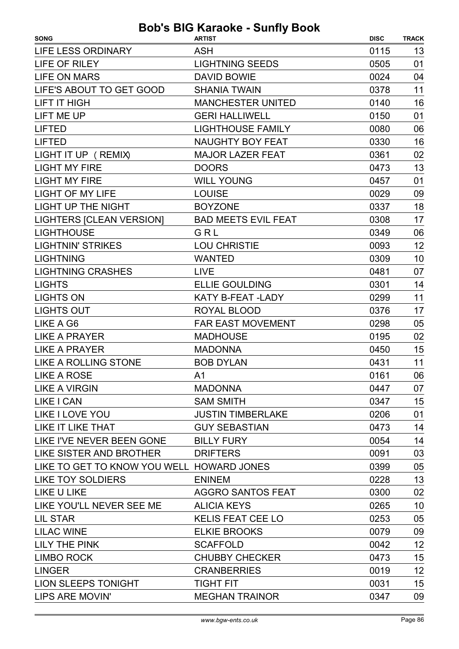| <b>SONG</b>                               | <b>ARTIST</b>              | <b>DISC</b> | <b>TRACK</b> |
|-------------------------------------------|----------------------------|-------------|--------------|
| <b>LIFE LESS ORDINARY</b>                 | <b>ASH</b>                 | 0115        | 13           |
| <b>LIFE OF RILEY</b>                      | <b>LIGHTNING SEEDS</b>     | 0505        | 01           |
| <b>LIFE ON MARS</b>                       | <b>DAVID BOWIE</b>         | 0024        | 04           |
| LIFE'S ABOUT TO GET GOOD                  | <b>SHANIA TWAIN</b>        | 0378        | 11           |
| <b>LIFT IT HIGH</b>                       | <b>MANCHESTER UNITED</b>   | 0140        | 16           |
| LIFT ME UP                                | <b>GERI HALLIWELL</b>      | 0150        | 01           |
| <b>LIFTED</b>                             | <b>LIGHTHOUSE FAMILY</b>   | 0080        | 06           |
| <b>LIFTED</b>                             | <b>NAUGHTY BOY FEAT</b>    | 0330        | 16           |
| LIGHT IT UP ( REMIX)                      | <b>MAJOR LAZER FEAT</b>    | 0361        | 02           |
| <b>LIGHT MY FIRE</b>                      | <b>DOORS</b>               | 0473        | 13           |
| <b>LIGHT MY FIRE</b>                      | <b>WILL YOUNG</b>          | 0457        | 01           |
| <b>LIGHT OF MY LIFE</b>                   | <b>LOUISE</b>              | 0029        | 09           |
| <b>LIGHT UP THE NIGHT</b>                 | <b>BOYZONE</b>             | 0337        | 18           |
| <b>LIGHTERS [CLEAN VERSION]</b>           | <b>BAD MEETS EVIL FEAT</b> | 0308        | 17           |
| <b>LIGHTHOUSE</b>                         | GRL                        | 0349        | 06           |
| <b>LIGHTNIN' STRIKES</b>                  | <b>LOU CHRISTIE</b>        | 0093        | 12           |
| <b>LIGHTNING</b>                          | <b>WANTED</b>              | 0309        | 10           |
| <b>LIGHTNING CRASHES</b>                  | <b>LIVE</b>                | 0481        | 07           |
| <b>LIGHTS</b>                             | <b>ELLIE GOULDING</b>      | 0301        | 14           |
| <b>LIGHTS ON</b>                          | KATY B-FEAT -LADY          | 0299        | 11           |
| <b>LIGHTS OUT</b>                         | ROYAL BLOOD                | 0376        | 17           |
| LIKE A G6                                 | <b>FAR EAST MOVEMENT</b>   | 0298        | 05           |
| <b>LIKE A PRAYER</b>                      | <b>MADHOUSE</b>            | 0195        | 02           |
| <b>LIKE A PRAYER</b>                      | <b>MADONNA</b>             | 0450        | 15           |
| LIKE A ROLLING STONE                      | <b>BOB DYLAN</b>           | 0431        | 11           |
| <b>LIKE A ROSE</b>                        | A1                         | 0161        | 06           |
| LIKE A VIRGIN                             | <b>MADONNA</b>             | 0447        | 07           |
| <b>LIKE I CAN</b>                         | <b>SAM SMITH</b>           | 0347        | 15           |
| LIKE I LOVE YOU                           | <b>JUSTIN TIMBERLAKE</b>   | 0206        | 01           |
| LIKE IT LIKE THAT                         | <b>GUY SEBASTIAN</b>       | 0473        | 14           |
| LIKE I'VE NEVER BEEN GONE BILLY FURY      |                            | 0054        | 14           |
| LIKE SISTER AND BROTHER DRIFTERS          |                            | 0091        | 03           |
| LIKE TO GET TO KNOW YOU WELL HOWARD JONES |                            | 0399        | 05           |
| LIKE TOY SOLDIERS                         | <b>ENINEM</b>              | 0228        | 13           |
| LIKE U LIKE                               | <b>AGGRO SANTOS FEAT</b>   | 0300        | 02           |
| LIKE YOU'LL NEVER SEE ME                  | <b>ALICIA KEYS</b>         | 0265        | 10           |
| LIL STAR                                  | <b>KELIS FEAT CEE LO</b>   | 0253        | 05           |
| <b>LILAC WINE</b>                         | <b>ELKIE BROOKS</b>        | 0079        | 09           |
| LILY THE PINK                             | <b>SCAFFOLD</b>            | 0042        | 12           |
| LIMBO ROCK                                | <b>CHUBBY CHECKER</b>      | 0473        | 15           |
| <b>LINGER</b>                             | <b>CRANBERRIES</b>         | 0019        | 12           |
| LION SLEEPS TONIGHT                       | <b>TIGHT FIT</b>           | 0031        | 15           |
| LIPS ARE MOVIN'                           | <b>MEGHAN TRAINOR</b>      | 0347        | 09           |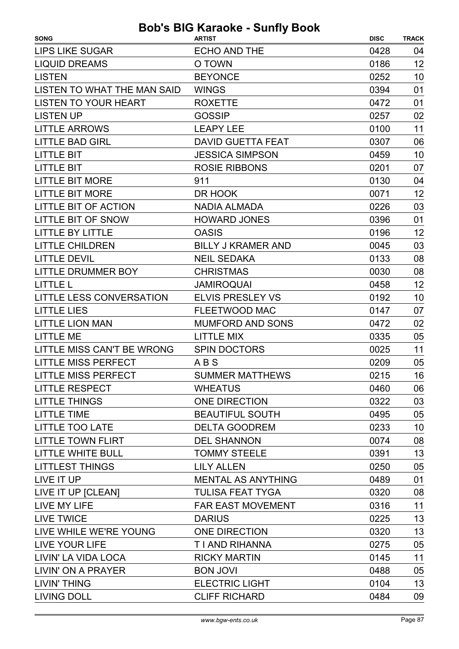| <b>SONG</b>                 | <b>ARTIST</b>             | <b>DISC</b> | <b>TRACK</b> |
|-----------------------------|---------------------------|-------------|--------------|
| <b>LIPS LIKE SUGAR</b>      | ECHO AND THE              | 0428        | 04           |
| <b>LIQUID DREAMS</b>        | O TOWN                    | 0186        | 12           |
| <b>LISTEN</b>               | <b>BEYONCE</b>            | 0252        | 10           |
| LISTEN TO WHAT THE MAN SAID | <b>WINGS</b>              | 0394        | 01           |
| <b>LISTEN TO YOUR HEART</b> | <b>ROXETTE</b>            | 0472        | 01           |
| <b>LISTEN UP</b>            | <b>GOSSIP</b>             | 0257        | 02           |
| <b>LITTLE ARROWS</b>        | <b>LEAPY LEE</b>          | 0100        | 11           |
| <b>LITTLE BAD GIRL</b>      | <b>DAVID GUETTA FEAT</b>  | 0307        | 06           |
| <b>LITTLE BIT</b>           | <b>JESSICA SIMPSON</b>    | 0459        | 10           |
| <b>LITTLE BIT</b>           | <b>ROSIE RIBBONS</b>      | 0201        | 07           |
| <b>LITTLE BIT MORE</b>      | 911                       | 0130        | 04           |
| <b>LITTLE BIT MORE</b>      | DR HOOK                   | 0071        | 12           |
| LITTLE BIT OF ACTION        | <b>NADIA ALMADA</b>       | 0226        | 03           |
| <b>LITTLE BIT OF SNOW</b>   | <b>HOWARD JONES</b>       | 0396        | 01           |
| <b>LITTLE BY LITTLE</b>     | <b>OASIS</b>              | 0196        | 12           |
| <b>LITTLE CHILDREN</b>      | <b>BILLY J KRAMER AND</b> | 0045        | 03           |
| <b>LITTLE DEVIL</b>         | <b>NEIL SEDAKA</b>        | 0133        | 08           |
| LITTLE DRUMMER BOY          | <b>CHRISTMAS</b>          | 0030        | 08           |
| <b>LITTLE L</b>             | <b>JAMIROQUAI</b>         | 0458        | 12           |
| LITTLE LESS CONVERSATION    | <b>ELVIS PRESLEY VS</b>   | 0192        | 10           |
| <b>LITTLE LIES</b>          | <b>FLEETWOOD MAC</b>      | 0147        | 07           |
| <b>LITTLE LION MAN</b>      | MUMFORD AND SONS          | 0472        | 02           |
| <b>LITTLE ME</b>            | <b>LITTLE MIX</b>         | 0335        | 05           |
| LITTLE MISS CAN'T BE WRONG  | <b>SPIN DOCTORS</b>       | 0025        | 11           |
| <b>LITTLE MISS PERFECT</b>  | ABS                       | 0209        | 05           |
| LITTLE MISS PERFECT         | <b>SUMMER MATTHEWS</b>    | 0215        | 16           |
| <b>LITTLE RESPECT</b>       | <b>WHEATUS</b>            | 0460        | 06           |
| <b>LITTLE THINGS</b>        | ONE DIRECTION             | 0322        | 03           |
| <b>LITTLE TIME</b>          | <b>BEAUTIFUL SOUTH</b>    | 0495        | 05           |
| LITTLE TOO LATE             | <b>DELTA GOODREM</b>      | 0233        | 10           |
| <b>LITTLE TOWN FLIRT</b>    | <b>DEL SHANNON</b>        | 0074        | 08           |
| LITTLE WHITE BULL           | <b>TOMMY STEELE</b>       | 0391        | 13           |
| <b>LITTLEST THINGS</b>      | <b>LILY ALLEN</b>         | 0250        | 05           |
| LIVE IT UP                  | MENTAL AS ANYTHING        | 0489        | 01           |
| LIVE IT UP [CLEAN]          | <b>TULISA FEAT TYGA</b>   | 0320        | 08           |
| LIVE MY LIFE                | <b>FAR EAST MOVEMENT</b>  | 0316        | 11           |
| <b>LIVE TWICE</b>           | <b>DARIUS</b>             | 0225        | 13           |
| LIVE WHILE WE'RE YOUNG      | ONE DIRECTION             | 0320        | 13           |
| <b>LIVE YOUR LIFE</b>       | T I AND RIHANNA           | 0275        | 05           |
| LIVIN' LA VIDA LOCA         | <b>RICKY MARTIN</b>       | 0145        | 11           |
| LIVIN' ON A PRAYER          | <b>BON JOVI</b>           | 0488        | 05           |
| <b>LIVIN' THING</b>         | <b>ELECTRIC LIGHT</b>     | 0104        | 13           |
| <b>LIVING DOLL</b>          | <b>CLIFF RICHARD</b>      | 0484        | 09           |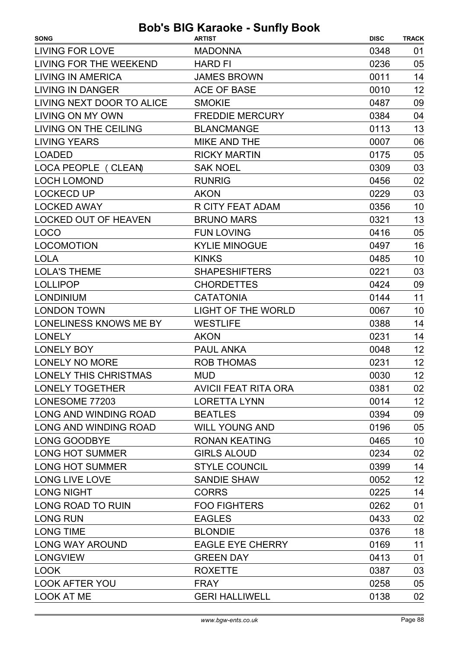| <b>SONG</b>                  | <b>ARTIST</b>               | <b>DISC</b> | <b>TRACK</b> |
|------------------------------|-----------------------------|-------------|--------------|
| <b>LIVING FOR LOVE</b>       | <b>MADONNA</b>              | 0348        | 01           |
| LIVING FOR THE WEEKEND       | <b>HARD FI</b>              | 0236        | 05           |
| <b>LIVING IN AMERICA</b>     | <b>JAMES BROWN</b>          | 0011        | 14           |
| <b>LIVING IN DANGER</b>      | <b>ACE OF BASE</b>          | 0010        | 12           |
| LIVING NEXT DOOR TO ALICE    | <b>SMOKIE</b>               | 0487        | 09           |
| LIVING ON MY OWN             | <b>FREDDIE MERCURY</b>      | 0384        | 04           |
| LIVING ON THE CEILING        | <b>BLANCMANGE</b>           | 0113        | 13           |
| <b>LIVING YEARS</b>          | <b>MIKE AND THE</b>         | 0007        | 06           |
| <b>LOADED</b>                | <b>RICKY MARTIN</b>         | 0175        | 05           |
| LOCA PEOPLE ( CLEAN)         | <b>SAK NOEL</b>             | 0309        | 03           |
| <b>LOCH LOMOND</b>           | <b>RUNRIG</b>               | 0456        | 02           |
| <b>LOCKECD UP</b>            | <b>AKON</b>                 | 0229        | 03           |
| <b>LOCKED AWAY</b>           | R CITY FEAT ADAM            | 0356        | 10           |
| <b>LOCKED OUT OF HEAVEN</b>  | <b>BRUNO MARS</b>           | 0321        | 13           |
| <b>LOCO</b>                  | <b>FUN LOVING</b>           | 0416        | 05           |
| <b>LOCOMOTION</b>            | <b>KYLIE MINOGUE</b>        | 0497        | 16           |
| <b>LOLA</b>                  | <b>KINKS</b>                | 0485        | 10           |
| <b>LOLA'S THEME</b>          | <b>SHAPESHIFTERS</b>        | 0221        | 03           |
| <b>LOLLIPOP</b>              | <b>CHORDETTES</b>           | 0424        | 09           |
| <b>LONDINIUM</b>             | <b>CATATONIA</b>            | 0144        | 11           |
| <b>LONDON TOWN</b>           | <b>LIGHT OF THE WORLD</b>   | 0067        | 10           |
| LONELINESS KNOWS ME BY       | <b>WESTLIFE</b>             | 0388        | 14           |
| <b>LONELY</b>                | <b>AKON</b>                 | 0231        | 14           |
| <b>LONELY BOY</b>            | <b>PAUL ANKA</b>            | 0048        | 12           |
| <b>LONELY NO MORE</b>        | <b>ROB THOMAS</b>           | 0231        | 12           |
| LONELY THIS CHRISTMAS        | MUD                         | 0030        | 12           |
| <b>LONELY TOGETHER</b>       | <b>AVICII FEAT RITA ORA</b> | 0381        | 02           |
| LONESOME 77203               | <b>LORETTA LYNN</b>         | 0014        | 12           |
| LONG AND WINDING ROAD        | <b>BEATLES</b>              | 0394        | 09           |
| <b>LONG AND WINDING ROAD</b> | <b>WILL YOUNG AND</b>       | 0196        | 05           |
| LONG GOODBYE                 | <b>RONAN KEATING</b>        | 0465        | 10           |
| <b>LONG HOT SUMMER</b>       | <b>GIRLS ALOUD</b>          | 0234        | 02           |
| <b>LONG HOT SUMMER</b>       | <b>STYLE COUNCIL</b>        | 0399        | 14           |
| <b>LONG LIVE LOVE</b>        | <b>SANDIE SHAW</b>          | 0052        | 12           |
| <b>LONG NIGHT</b>            | <b>CORRS</b>                | 0225        | 14           |
| LONG ROAD TO RUIN            | <b>FOO FIGHTERS</b>         | 0262        | 01           |
| <b>LONG RUN</b>              | <b>EAGLES</b>               | 0433        | 02           |
| <b>LONG TIME</b>             | <b>BLONDIE</b>              | 0376        | 18           |
| <b>LONG WAY AROUND</b>       | <b>EAGLE EYE CHERRY</b>     | 0169        | 11           |
| <b>LONGVIEW</b>              | <b>GREEN DAY</b>            | 0413        | 01           |
| <b>LOOK</b>                  | <b>ROXETTE</b>              | 0387        | 03           |
| <b>LOOK AFTER YOU</b>        | <b>FRAY</b>                 | 0258        | 05           |
| <b>LOOK AT ME</b>            | <b>GERI HALLIWELL</b>       | 0138        | 02           |
|                              |                             |             |              |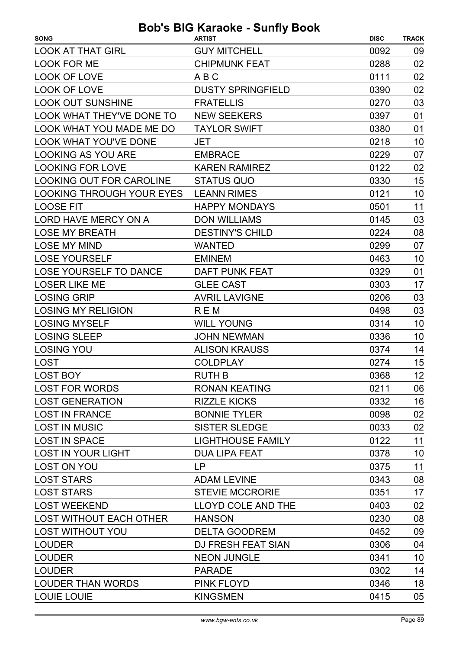| <b>SONG</b>                      | <b>ARTIST</b>            | <b>DISC</b> | <b>TRACK</b> |
|----------------------------------|--------------------------|-------------|--------------|
| <b>LOOK AT THAT GIRL</b>         | <b>GUY MITCHELL</b>      | 0092        | 09           |
| <b>LOOK FOR ME</b>               | <b>CHIPMUNK FEAT</b>     | 0288        | 02           |
| LOOK OF LOVE                     | A B C                    | 0111        | 02           |
| <b>LOOK OF LOVE</b>              | <b>DUSTY SPRINGFIELD</b> | 0390        | 02           |
| <b>LOOK OUT SUNSHINE</b>         | <b>FRATELLIS</b>         | 0270        | 03           |
| <b>LOOK WHAT THEY'VE DONE TO</b> | <b>NEW SEEKERS</b>       | 0397        | 01           |
| LOOK WHAT YOU MADE ME DO         | <b>TAYLOR SWIFT</b>      | 0380        | 01           |
| LOOK WHAT YOU'VE DONE            | JET                      | 0218        | 10           |
| <b>LOOKING AS YOU ARE</b>        | <b>EMBRACE</b>           | 0229        | 07           |
| <b>LOOKING FOR LOVE</b>          | <b>KAREN RAMIREZ</b>     | 0122        | 02           |
| LOOKING OUT FOR CAROLINE         | <b>STATUS QUO</b>        | 0330        | 15           |
| <b>LOOKING THROUGH YOUR EYES</b> | <b>LEANN RIMES</b>       | 0121        | 10           |
| <b>LOOSE FIT</b>                 | <b>HAPPY MONDAYS</b>     | 0501        | 11           |
| LORD HAVE MERCY ON A             | <b>DON WILLIAMS</b>      | 0145        | 03           |
| <b>LOSE MY BREATH</b>            | <b>DESTINY'S CHILD</b>   | 0224        | 08           |
| <b>LOSE MY MIND</b>              | <b>WANTED</b>            | 0299        | 07           |
| <b>LOSE YOURSELF</b>             | <b>EMINEM</b>            | 0463        | 10           |
| <b>LOSE YOURSELF TO DANCE</b>    | <b>DAFT PUNK FEAT</b>    | 0329        | 01           |
| <b>LOSER LIKE ME</b>             | <b>GLEE CAST</b>         | 0303        | 17           |
| <b>LOSING GRIP</b>               | <b>AVRIL LAVIGNE</b>     | 0206        | 03           |
| <b>LOSING MY RELIGION</b>        | R E M                    | 0498        | 03           |
| <b>LOSING MYSELF</b>             | <b>WILL YOUNG</b>        | 0314        | 10           |
| <b>LOSING SLEEP</b>              | <b>JOHN NEWMAN</b>       | 0336        | 10           |
| <b>LOSING YOU</b>                | <b>ALISON KRAUSS</b>     | 0374        | 14           |
| <b>LOST</b>                      | <b>COLDPLAY</b>          | 0274        | 15           |
| <b>LOST BOY</b>                  | <b>RUTH B</b>            | 0368        | 12           |
| <b>LOST FOR WORDS</b>            | <b>RONAN KEATING</b>     | 0211        | 06           |
| <b>LOST GENERATION</b>           | <b>RIZZLE KICKS</b>      | 0332        | 16           |
| <b>LOST IN FRANCE</b>            | <b>BONNIE TYLER</b>      | 0098        | 02           |
| <b>LOST IN MUSIC</b>             | SISTER SLEDGE            | 0033        | 02           |
| <b>LOST IN SPACE</b>             | LIGHTHOUSE FAMILY        | 0122        | 11           |
| <b>LOST IN YOUR LIGHT</b>        | <b>DUA LIPA FEAT</b>     | 0378        | 10           |
| <b>LOST ON YOU</b>               | LP.                      | 0375        | 11           |
| <b>LOST STARS</b>                | <b>ADAM LEVINE</b>       | 0343        | 08           |
| <b>LOST STARS</b>                | <b>STEVIE MCCRORIE</b>   | 0351        | 17           |
| <b>LOST WEEKEND</b>              | LLOYD COLE AND THE       | 0403        | 02           |
| LOST WITHOUT EACH OTHER          | <b>HANSON</b>            | 0230        | 08           |
| <b>LOST WITHOUT YOU</b>          | <b>DELTA GOODREM</b>     | 0452        | 09           |
| <b>LOUDER</b>                    | DJ FRESH FEAT SIAN       | 0306        | 04           |
| <b>LOUDER</b>                    | <b>NEON JUNGLE</b>       | 0341        | 10           |
| <b>LOUDER</b>                    | <b>PARADE</b>            | 0302        | 14           |
| <b>LOUDER THAN WORDS</b>         | <b>PINK FLOYD</b>        | 0346        | 18           |
| <b>LOUIE LOUIE</b>               | <b>KINGSMEN</b>          | 0415        | 05           |
|                                  |                          |             |              |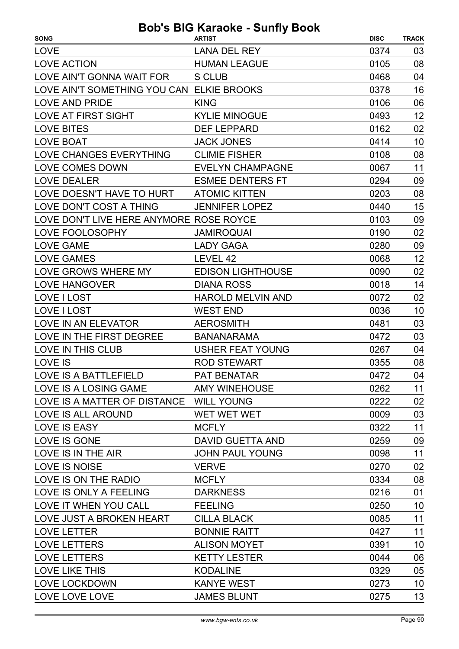| <b>LOVE</b><br><b>LANA DEL REY</b><br>0374<br>03<br>08<br><b>LOVE ACTION</b><br><b>HUMAN LEAGUE</b><br>0105<br>LOVE AIN'T GONNA WAIT FOR<br>0468<br>04<br>S CLUB<br>LOVE AIN'T SOMETHING YOU CAN ELKIE BROOKS<br>0378<br>16<br><b>LOVE AND PRIDE</b><br><b>KING</b><br>0106<br>06<br>12<br><b>LOVE AT FIRST SIGHT</b><br>0493<br><b>KYLIE MINOGUE</b><br>02<br><b>LOVE BITES</b><br><b>DEF LEPPARD</b><br>0162<br><b>LOVE BOAT</b><br><b>JACK JONES</b><br>0414<br>10<br>LOVE CHANGES EVERYTHING<br><b>CLIMIE FISHER</b><br>0108<br>08<br>11<br>LOVE COMES DOWN<br><b>EVELYN CHAMPAGNE</b><br>0067<br>09<br><b>LOVE DEALER</b><br><b>ESMEE DENTERS FT</b><br>0294<br>08<br>LOVE DOESN'T HAVE TO HURT<br><b>ATOMIC KITTEN</b><br>0203<br>15<br>LOVE DON'T COST A THING<br><b>JENNIFER LOPEZ</b><br>0440<br>LOVE DON'T LIVE HERE ANYMORE ROSE ROYCE<br>0103<br>09<br><b>JAMIROQUAI</b><br>0190<br>02<br>LOVE FOOLOSOPHY<br>09<br><b>LOVE GAME</b><br><b>LADY GAGA</b><br>0280<br>12<br><b>LOVE GAMES</b><br>LEVEL 42<br>0068<br>02<br>LOVE GROWS WHERE MY<br><b>EDISON LIGHTHOUSE</b><br>0090 |
|---------------------------------------------------------------------------------------------------------------------------------------------------------------------------------------------------------------------------------------------------------------------------------------------------------------------------------------------------------------------------------------------------------------------------------------------------------------------------------------------------------------------------------------------------------------------------------------------------------------------------------------------------------------------------------------------------------------------------------------------------------------------------------------------------------------------------------------------------------------------------------------------------------------------------------------------------------------------------------------------------------------------------------------------------------------------------------------------|
|                                                                                                                                                                                                                                                                                                                                                                                                                                                                                                                                                                                                                                                                                                                                                                                                                                                                                                                                                                                                                                                                                             |
|                                                                                                                                                                                                                                                                                                                                                                                                                                                                                                                                                                                                                                                                                                                                                                                                                                                                                                                                                                                                                                                                                             |
|                                                                                                                                                                                                                                                                                                                                                                                                                                                                                                                                                                                                                                                                                                                                                                                                                                                                                                                                                                                                                                                                                             |
|                                                                                                                                                                                                                                                                                                                                                                                                                                                                                                                                                                                                                                                                                                                                                                                                                                                                                                                                                                                                                                                                                             |
|                                                                                                                                                                                                                                                                                                                                                                                                                                                                                                                                                                                                                                                                                                                                                                                                                                                                                                                                                                                                                                                                                             |
|                                                                                                                                                                                                                                                                                                                                                                                                                                                                                                                                                                                                                                                                                                                                                                                                                                                                                                                                                                                                                                                                                             |
|                                                                                                                                                                                                                                                                                                                                                                                                                                                                                                                                                                                                                                                                                                                                                                                                                                                                                                                                                                                                                                                                                             |
|                                                                                                                                                                                                                                                                                                                                                                                                                                                                                                                                                                                                                                                                                                                                                                                                                                                                                                                                                                                                                                                                                             |
|                                                                                                                                                                                                                                                                                                                                                                                                                                                                                                                                                                                                                                                                                                                                                                                                                                                                                                                                                                                                                                                                                             |
|                                                                                                                                                                                                                                                                                                                                                                                                                                                                                                                                                                                                                                                                                                                                                                                                                                                                                                                                                                                                                                                                                             |
|                                                                                                                                                                                                                                                                                                                                                                                                                                                                                                                                                                                                                                                                                                                                                                                                                                                                                                                                                                                                                                                                                             |
|                                                                                                                                                                                                                                                                                                                                                                                                                                                                                                                                                                                                                                                                                                                                                                                                                                                                                                                                                                                                                                                                                             |
|                                                                                                                                                                                                                                                                                                                                                                                                                                                                                                                                                                                                                                                                                                                                                                                                                                                                                                                                                                                                                                                                                             |
|                                                                                                                                                                                                                                                                                                                                                                                                                                                                                                                                                                                                                                                                                                                                                                                                                                                                                                                                                                                                                                                                                             |
|                                                                                                                                                                                                                                                                                                                                                                                                                                                                                                                                                                                                                                                                                                                                                                                                                                                                                                                                                                                                                                                                                             |
|                                                                                                                                                                                                                                                                                                                                                                                                                                                                                                                                                                                                                                                                                                                                                                                                                                                                                                                                                                                                                                                                                             |
|                                                                                                                                                                                                                                                                                                                                                                                                                                                                                                                                                                                                                                                                                                                                                                                                                                                                                                                                                                                                                                                                                             |
|                                                                                                                                                                                                                                                                                                                                                                                                                                                                                                                                                                                                                                                                                                                                                                                                                                                                                                                                                                                                                                                                                             |
| <b>LOVE HANGOVER</b><br><b>DIANA ROSS</b><br>14<br>0018                                                                                                                                                                                                                                                                                                                                                                                                                                                                                                                                                                                                                                                                                                                                                                                                                                                                                                                                                                                                                                     |
| LOVE I LOST<br><b>HAROLD MELVIN AND</b><br>0072<br>02                                                                                                                                                                                                                                                                                                                                                                                                                                                                                                                                                                                                                                                                                                                                                                                                                                                                                                                                                                                                                                       |
| LOVE I LOST<br><b>WEST END</b><br>10<br>0036                                                                                                                                                                                                                                                                                                                                                                                                                                                                                                                                                                                                                                                                                                                                                                                                                                                                                                                                                                                                                                                |
| LOVE IN AN ELEVATOR<br>03<br><b>AEROSMITH</b><br>0481                                                                                                                                                                                                                                                                                                                                                                                                                                                                                                                                                                                                                                                                                                                                                                                                                                                                                                                                                                                                                                       |
| LOVE IN THE FIRST DEGREE<br>03<br><b>BANANARAMA</b><br>0472                                                                                                                                                                                                                                                                                                                                                                                                                                                                                                                                                                                                                                                                                                                                                                                                                                                                                                                                                                                                                                 |
| LOVE IN THIS CLUB<br><b>USHER FEAT YOUNG</b><br>04<br>0267                                                                                                                                                                                                                                                                                                                                                                                                                                                                                                                                                                                                                                                                                                                                                                                                                                                                                                                                                                                                                                  |
| <b>LOVE IS</b><br><b>ROD STEWART</b><br>08<br>0355                                                                                                                                                                                                                                                                                                                                                                                                                                                                                                                                                                                                                                                                                                                                                                                                                                                                                                                                                                                                                                          |
| LOVE IS A BATTLEFIELD<br>PAT BENATAR<br>0472<br>04                                                                                                                                                                                                                                                                                                                                                                                                                                                                                                                                                                                                                                                                                                                                                                                                                                                                                                                                                                                                                                          |
| LOVE IS A LOSING GAME AMY WINEHOUSE<br>0262<br>11                                                                                                                                                                                                                                                                                                                                                                                                                                                                                                                                                                                                                                                                                                                                                                                                                                                                                                                                                                                                                                           |
| LOVE IS A MATTER OF DISTANCE WILL YOUNG<br>0222<br>02                                                                                                                                                                                                                                                                                                                                                                                                                                                                                                                                                                                                                                                                                                                                                                                                                                                                                                                                                                                                                                       |
| WET WET WET<br>0009<br>03<br>LOVE IS ALL AROUND                                                                                                                                                                                                                                                                                                                                                                                                                                                                                                                                                                                                                                                                                                                                                                                                                                                                                                                                                                                                                                             |
| 11<br>LOVE IS EASY<br><b>MCFLY</b><br>0322                                                                                                                                                                                                                                                                                                                                                                                                                                                                                                                                                                                                                                                                                                                                                                                                                                                                                                                                                                                                                                                  |
| LOVE IS GONE<br>09<br>DAVID GUETTA AND<br>0259                                                                                                                                                                                                                                                                                                                                                                                                                                                                                                                                                                                                                                                                                                                                                                                                                                                                                                                                                                                                                                              |
| 11<br>LOVE IS IN THE AIR<br><b>JOHN PAUL YOUNG</b><br>0098                                                                                                                                                                                                                                                                                                                                                                                                                                                                                                                                                                                                                                                                                                                                                                                                                                                                                                                                                                                                                                  |
| LOVE IS NOISE<br><b>VERVE</b><br>0270<br>02                                                                                                                                                                                                                                                                                                                                                                                                                                                                                                                                                                                                                                                                                                                                                                                                                                                                                                                                                                                                                                                 |
| 08<br>LOVE IS ON THE RADIO<br><b>MCFLY</b><br>0334                                                                                                                                                                                                                                                                                                                                                                                                                                                                                                                                                                                                                                                                                                                                                                                                                                                                                                                                                                                                                                          |
| LOVE IS ONLY A FEELING<br><b>DARKNESS</b><br>0216<br>01                                                                                                                                                                                                                                                                                                                                                                                                                                                                                                                                                                                                                                                                                                                                                                                                                                                                                                                                                                                                                                     |
| LOVE IT WHEN YOU CALL<br>10<br><b>FEELING</b><br>0250                                                                                                                                                                                                                                                                                                                                                                                                                                                                                                                                                                                                                                                                                                                                                                                                                                                                                                                                                                                                                                       |
| 11<br>LOVE JUST A BROKEN HEART<br><b>CILLA BLACK</b><br>0085                                                                                                                                                                                                                                                                                                                                                                                                                                                                                                                                                                                                                                                                                                                                                                                                                                                                                                                                                                                                                                |
| 11<br><b>LOVE LETTER</b><br><b>BONNIE RAITT</b><br>0427                                                                                                                                                                                                                                                                                                                                                                                                                                                                                                                                                                                                                                                                                                                                                                                                                                                                                                                                                                                                                                     |
| 10<br><b>LOVE LETTERS</b><br><b>ALISON MOYET</b><br>0391                                                                                                                                                                                                                                                                                                                                                                                                                                                                                                                                                                                                                                                                                                                                                                                                                                                                                                                                                                                                                                    |
| <b>LOVE LETTERS</b><br><b>KETTY LESTER</b><br>06<br>0044                                                                                                                                                                                                                                                                                                                                                                                                                                                                                                                                                                                                                                                                                                                                                                                                                                                                                                                                                                                                                                    |
| LOVE LIKE THIS<br><b>KODALINE</b><br>0329<br>05                                                                                                                                                                                                                                                                                                                                                                                                                                                                                                                                                                                                                                                                                                                                                                                                                                                                                                                                                                                                                                             |
| <b>LOVE LOCKDOWN</b><br><b>KANYE WEST</b><br>0273<br>10                                                                                                                                                                                                                                                                                                                                                                                                                                                                                                                                                                                                                                                                                                                                                                                                                                                                                                                                                                                                                                     |
| 13<br>LOVE LOVE LOVE<br><b>JAMES BLUNT</b><br>0275                                                                                                                                                                                                                                                                                                                                                                                                                                                                                                                                                                                                                                                                                                                                                                                                                                                                                                                                                                                                                                          |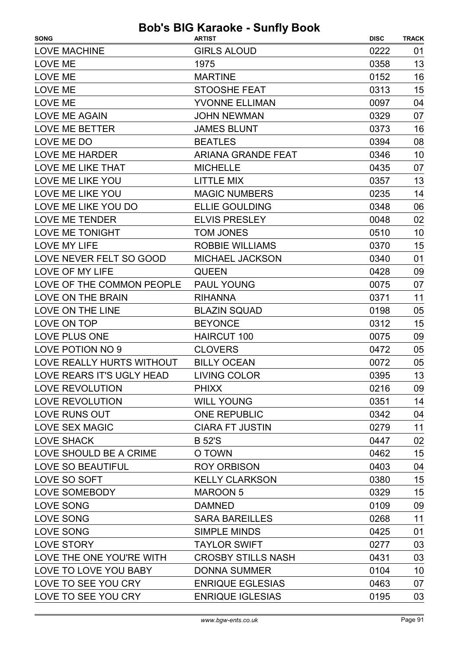| <b>SONG</b>               | <b>ARTIST</b>             | <b>DISC</b> | <b>TRACK</b> |
|---------------------------|---------------------------|-------------|--------------|
| <b>LOVE MACHINE</b>       | <b>GIRLS ALOUD</b>        | 0222        | 01           |
| LOVE ME                   | 1975                      | 0358        | 13           |
| LOVE ME                   | <b>MARTINE</b>            | 0152        | 16           |
| <b>LOVE ME</b>            | <b>STOOSHE FEAT</b>       | 0313        | 15           |
| <b>LOVE ME</b>            | <b>YVONNE ELLIMAN</b>     | 0097        | 04           |
| <b>LOVE ME AGAIN</b>      | <b>JOHN NEWMAN</b>        | 0329        | 07           |
| <b>LOVE ME BETTER</b>     | <b>JAMES BLUNT</b>        | 0373        | 16           |
| LOVE ME DO                | <b>BEATLES</b>            | 0394        | 08           |
| <b>LOVE ME HARDER</b>     | <b>ARIANA GRANDE FEAT</b> | 0346        | 10           |
| LOVE ME LIKE THAT         | <b>MICHELLE</b>           | 0435        | 07           |
| LOVE ME LIKE YOU          | <b>LITTLE MIX</b>         | 0357        | 13           |
| LOVE ME LIKE YOU          | <b>MAGIC NUMBERS</b>      | 0235        | 14           |
| LOVE ME LIKE YOU DO       | <b>ELLIE GOULDING</b>     | 0348        | 06           |
| <b>LOVE ME TENDER</b>     | <b>ELVIS PRESLEY</b>      | 0048        | 02           |
| LOVE ME TONIGHT           | <b>TOM JONES</b>          | 0510        | 10           |
| <b>LOVE MY LIFE</b>       | <b>ROBBIE WILLIAMS</b>    | 0370        | 15           |
| LOVE NEVER FELT SO GOOD   | <b>MICHAEL JACKSON</b>    | 0340        | 01           |
| LOVE OF MY LIFE           | <b>QUEEN</b>              | 0428        | 09           |
| LOVE OF THE COMMON PEOPLE | PAUL YOUNG                | 0075        | 07           |
| LOVE ON THE BRAIN         | <b>RIHANNA</b>            | 0371        | 11           |
| LOVE ON THE LINE          | <b>BLAZIN SQUAD</b>       | 0198        | 05           |
| LOVE ON TOP               | <b>BEYONCE</b>            | 0312        | 15           |
| LOVE PLUS ONE             | <b>HAIRCUT 100</b>        | 0075        | 09           |
| LOVE POTION NO 9          | <b>CLOVERS</b>            | 0472        | 05           |
| LOVE REALLY HURTS WITHOUT | <b>BILLY OCEAN</b>        | 0072        | 05           |
| LOVE REARS IT'S UGLY HEAD | LIVING COLOR              | 0395        | 13           |
| <b>LOVE REVOLUTION</b>    | <b>PHIXX</b>              | 0216        | 09           |
| <b>LOVE REVOLUTION</b>    | <b>WILL YOUNG</b>         | 0351        | 14           |
| LOVE RUNS OUT             | <b>ONE REPUBLIC</b>       | 0342        | 04           |
| LOVE SEX MAGIC            | <b>CIARA FT JUSTIN</b>    | 0279        | 11           |
| <b>LOVE SHACK</b>         | <b>B</b> 52'S             | 0447        | 02           |
| LOVE SHOULD BE A CRIME    | O TOWN                    | 0462        | 15           |
| LOVE SO BEAUTIFUL         | <b>ROY ORBISON</b>        | 0403        | 04           |
| LOVE SO SOFT              | <b>KELLY CLARKSON</b>     | 0380        | 15           |
| LOVE SOMEBODY             | <b>MAROON 5</b>           | 0329        | 15           |
| LOVE SONG                 | <b>DAMNED</b>             | 0109        | 09           |
| <b>LOVE SONG</b>          | <b>SARA BAREILLES</b>     | 0268        | 11           |
| LOVE SONG                 | <b>SIMPLE MINDS</b>       | 0425        | 01           |
| <b>LOVE STORY</b>         | <b>TAYLOR SWIFT</b>       | 0277        | 03           |
| LOVE THE ONE YOU'RE WITH  | <b>CROSBY STILLS NASH</b> | 0431        | 03           |
| LOVE TO LOVE YOU BABY     | <b>DONNA SUMMER</b>       | 0104        | 10           |
| LOVE TO SEE YOU CRY       | <b>ENRIQUE EGLESIAS</b>   | 0463        | 07           |
| LOVE TO SEE YOU CRY       | <b>ENRIQUE IGLESIAS</b>   | 0195        | 03           |
|                           |                           |             |              |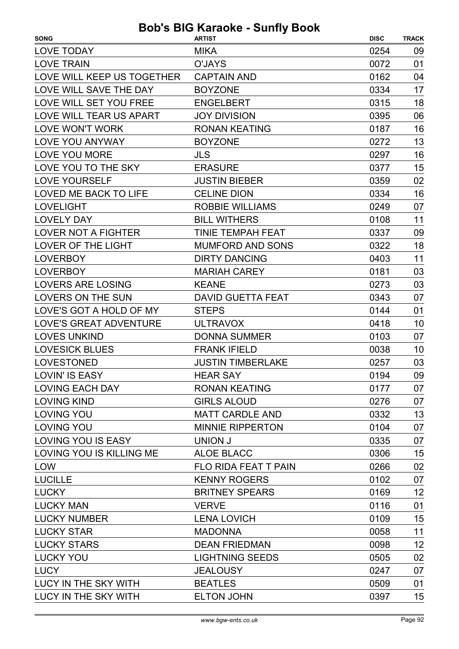| <b>MIKA</b><br><b>LOVE TODAY</b><br>0254<br>09<br><b>LOVE TRAIN</b><br><b>O'JAYS</b><br>0072<br>01<br>LOVE WILL KEEP US TOGETHER<br>0162<br>04<br><b>CAPTAIN AND</b><br>LOVE WILL SAVE THE DAY<br><b>BOYZONE</b><br>0334<br>17<br>LOVE WILL SET YOU FREE<br>18<br><b>ENGELBERT</b><br>0315<br>LOVE WILL TEAR US APART<br><b>JOY DIVISION</b><br>0395<br>06<br>16<br><b>LOVE WON'T WORK</b><br><b>RONAN KEATING</b><br>0187<br>13<br>LOVE YOU ANYWAY<br><b>BOYZONE</b><br>0272<br>16<br><b>LOVE YOU MORE</b><br><b>JLS</b><br>0297<br>15<br>LOVE YOU TO THE SKY<br><b>ERASURE</b><br>0377<br>02<br><b>LOVE YOURSELF</b><br><b>JUSTIN BIEBER</b><br>0359<br>16<br><b>LOVED ME BACK TO LIFE</b><br><b>CELINE DION</b><br>0334<br><b>LOVELIGHT</b><br><b>ROBBIE WILLIAMS</b><br>0249<br>07<br><b>BILL WITHERS</b><br><b>LOVELY DAY</b><br>0108<br>11<br><b>LOVER NOT A FIGHTER</b><br>TINIE TEMPAH FEAT<br>0337<br>09<br>18<br>LOVER OF THE LIGHT<br><b>MUMFORD AND SONS</b><br>0322<br>11<br><b>LOVERBOY</b><br><b>DIRTY DANCING</b><br>0403<br><b>LOVERBOY</b><br><b>MARIAH CAREY</b><br>0181<br>03<br><b>LOVERS ARE LOSING</b><br>03<br><b>KEANE</b><br>0273<br><b>LOVERS ON THE SUN</b><br>0343<br>07<br><b>DAVID GUETTA FEAT</b><br>LOVE'S GOT A HOLD OF MY<br>0144<br>01<br><b>STEPS</b><br><b>LOVE'S GREAT ADVENTURE</b><br><b>ULTRAVOX</b><br>0418<br>10<br><b>DONNA SUMMER</b><br>0103<br>07<br><b>LOVES UNKIND</b><br><b>LOVESICK BLUES</b><br><b>FRANK IFIELD</b><br>0038<br>10<br><b>LOVESTONED</b><br><b>JUSTIN TIMBERLAKE</b><br>0257<br>03<br><b>LOVIN' IS EASY</b><br>0194<br>09<br><b>HEAR SAY</b><br><b>LOVING EACH DAY</b><br><b>RONAN KEATING</b><br>0177<br>07<br><b>GIRLS ALOUD</b><br><b>LOVING KIND</b><br>0276<br>07<br>13<br><b>LOVING YOU</b><br><b>MATT CARDLE AND</b><br>0332<br><b>LOVING YOU</b><br><b>MINNIE RIPPERTON</b><br>0104<br>07<br>LOVING YOU IS EASY<br><b>UNION J</b><br>0335<br>07<br>15<br>LOVING YOU IS KILLING ME<br><b>ALOE BLACC</b><br>0306<br><b>LOW</b><br>02<br><b>FLO RIDA FEAT T PAIN</b><br>0266<br><b>LUCILLE</b><br><b>KENNY ROGERS</b><br>0102<br>07<br><b>LUCKY</b><br>12<br><b>BRITNEY SPEARS</b><br>0169<br>01<br><b>LUCKY MAN</b><br><b>VERVE</b><br>0116<br>15<br><b>LUCKY NUMBER</b><br><b>LENA LOVICH</b><br>0109<br>11<br><b>LUCKY STAR</b><br><b>MADONNA</b><br>0058<br>12<br><b>LUCKY STARS</b><br><b>DEAN FRIEDMAN</b><br>0098<br><b>LUCKY YOU</b><br><b>LIGHTNING SEEDS</b><br>02<br>0505<br><b>LUCY</b><br><b>JEALOUSY</b><br>07<br>0247<br>LUCY IN THE SKY WITH<br><b>BEATLES</b><br>0509<br>01 | <b>SONG</b>          | <b>ARTIST</b>     | <b>DISC</b> | <b>TRACK</b> |
|----------------------------------------------------------------------------------------------------------------------------------------------------------------------------------------------------------------------------------------------------------------------------------------------------------------------------------------------------------------------------------------------------------------------------------------------------------------------------------------------------------------------------------------------------------------------------------------------------------------------------------------------------------------------------------------------------------------------------------------------------------------------------------------------------------------------------------------------------------------------------------------------------------------------------------------------------------------------------------------------------------------------------------------------------------------------------------------------------------------------------------------------------------------------------------------------------------------------------------------------------------------------------------------------------------------------------------------------------------------------------------------------------------------------------------------------------------------------------------------------------------------------------------------------------------------------------------------------------------------------------------------------------------------------------------------------------------------------------------------------------------------------------------------------------------------------------------------------------------------------------------------------------------------------------------------------------------------------------------------------------------------------------------------------------------------------------------------------------------------------------------------------------------------------------------------------------------------------------------------------------------------------------------------------------------------------------------------------------------------------------------------------------------------------------------------------------------------------------------------------------------------------------------------------------------------------|----------------------|-------------------|-------------|--------------|
|                                                                                                                                                                                                                                                                                                                                                                                                                                                                                                                                                                                                                                                                                                                                                                                                                                                                                                                                                                                                                                                                                                                                                                                                                                                                                                                                                                                                                                                                                                                                                                                                                                                                                                                                                                                                                                                                                                                                                                                                                                                                                                                                                                                                                                                                                                                                                                                                                                                                                                                                                                      |                      |                   |             |              |
|                                                                                                                                                                                                                                                                                                                                                                                                                                                                                                                                                                                                                                                                                                                                                                                                                                                                                                                                                                                                                                                                                                                                                                                                                                                                                                                                                                                                                                                                                                                                                                                                                                                                                                                                                                                                                                                                                                                                                                                                                                                                                                                                                                                                                                                                                                                                                                                                                                                                                                                                                                      |                      |                   |             |              |
|                                                                                                                                                                                                                                                                                                                                                                                                                                                                                                                                                                                                                                                                                                                                                                                                                                                                                                                                                                                                                                                                                                                                                                                                                                                                                                                                                                                                                                                                                                                                                                                                                                                                                                                                                                                                                                                                                                                                                                                                                                                                                                                                                                                                                                                                                                                                                                                                                                                                                                                                                                      |                      |                   |             |              |
|                                                                                                                                                                                                                                                                                                                                                                                                                                                                                                                                                                                                                                                                                                                                                                                                                                                                                                                                                                                                                                                                                                                                                                                                                                                                                                                                                                                                                                                                                                                                                                                                                                                                                                                                                                                                                                                                                                                                                                                                                                                                                                                                                                                                                                                                                                                                                                                                                                                                                                                                                                      |                      |                   |             |              |
|                                                                                                                                                                                                                                                                                                                                                                                                                                                                                                                                                                                                                                                                                                                                                                                                                                                                                                                                                                                                                                                                                                                                                                                                                                                                                                                                                                                                                                                                                                                                                                                                                                                                                                                                                                                                                                                                                                                                                                                                                                                                                                                                                                                                                                                                                                                                                                                                                                                                                                                                                                      |                      |                   |             |              |
|                                                                                                                                                                                                                                                                                                                                                                                                                                                                                                                                                                                                                                                                                                                                                                                                                                                                                                                                                                                                                                                                                                                                                                                                                                                                                                                                                                                                                                                                                                                                                                                                                                                                                                                                                                                                                                                                                                                                                                                                                                                                                                                                                                                                                                                                                                                                                                                                                                                                                                                                                                      |                      |                   |             |              |
|                                                                                                                                                                                                                                                                                                                                                                                                                                                                                                                                                                                                                                                                                                                                                                                                                                                                                                                                                                                                                                                                                                                                                                                                                                                                                                                                                                                                                                                                                                                                                                                                                                                                                                                                                                                                                                                                                                                                                                                                                                                                                                                                                                                                                                                                                                                                                                                                                                                                                                                                                                      |                      |                   |             |              |
|                                                                                                                                                                                                                                                                                                                                                                                                                                                                                                                                                                                                                                                                                                                                                                                                                                                                                                                                                                                                                                                                                                                                                                                                                                                                                                                                                                                                                                                                                                                                                                                                                                                                                                                                                                                                                                                                                                                                                                                                                                                                                                                                                                                                                                                                                                                                                                                                                                                                                                                                                                      |                      |                   |             |              |
|                                                                                                                                                                                                                                                                                                                                                                                                                                                                                                                                                                                                                                                                                                                                                                                                                                                                                                                                                                                                                                                                                                                                                                                                                                                                                                                                                                                                                                                                                                                                                                                                                                                                                                                                                                                                                                                                                                                                                                                                                                                                                                                                                                                                                                                                                                                                                                                                                                                                                                                                                                      |                      |                   |             |              |
|                                                                                                                                                                                                                                                                                                                                                                                                                                                                                                                                                                                                                                                                                                                                                                                                                                                                                                                                                                                                                                                                                                                                                                                                                                                                                                                                                                                                                                                                                                                                                                                                                                                                                                                                                                                                                                                                                                                                                                                                                                                                                                                                                                                                                                                                                                                                                                                                                                                                                                                                                                      |                      |                   |             |              |
|                                                                                                                                                                                                                                                                                                                                                                                                                                                                                                                                                                                                                                                                                                                                                                                                                                                                                                                                                                                                                                                                                                                                                                                                                                                                                                                                                                                                                                                                                                                                                                                                                                                                                                                                                                                                                                                                                                                                                                                                                                                                                                                                                                                                                                                                                                                                                                                                                                                                                                                                                                      |                      |                   |             |              |
|                                                                                                                                                                                                                                                                                                                                                                                                                                                                                                                                                                                                                                                                                                                                                                                                                                                                                                                                                                                                                                                                                                                                                                                                                                                                                                                                                                                                                                                                                                                                                                                                                                                                                                                                                                                                                                                                                                                                                                                                                                                                                                                                                                                                                                                                                                                                                                                                                                                                                                                                                                      |                      |                   |             |              |
|                                                                                                                                                                                                                                                                                                                                                                                                                                                                                                                                                                                                                                                                                                                                                                                                                                                                                                                                                                                                                                                                                                                                                                                                                                                                                                                                                                                                                                                                                                                                                                                                                                                                                                                                                                                                                                                                                                                                                                                                                                                                                                                                                                                                                                                                                                                                                                                                                                                                                                                                                                      |                      |                   |             |              |
|                                                                                                                                                                                                                                                                                                                                                                                                                                                                                                                                                                                                                                                                                                                                                                                                                                                                                                                                                                                                                                                                                                                                                                                                                                                                                                                                                                                                                                                                                                                                                                                                                                                                                                                                                                                                                                                                                                                                                                                                                                                                                                                                                                                                                                                                                                                                                                                                                                                                                                                                                                      |                      |                   |             |              |
|                                                                                                                                                                                                                                                                                                                                                                                                                                                                                                                                                                                                                                                                                                                                                                                                                                                                                                                                                                                                                                                                                                                                                                                                                                                                                                                                                                                                                                                                                                                                                                                                                                                                                                                                                                                                                                                                                                                                                                                                                                                                                                                                                                                                                                                                                                                                                                                                                                                                                                                                                                      |                      |                   |             |              |
|                                                                                                                                                                                                                                                                                                                                                                                                                                                                                                                                                                                                                                                                                                                                                                                                                                                                                                                                                                                                                                                                                                                                                                                                                                                                                                                                                                                                                                                                                                                                                                                                                                                                                                                                                                                                                                                                                                                                                                                                                                                                                                                                                                                                                                                                                                                                                                                                                                                                                                                                                                      |                      |                   |             |              |
|                                                                                                                                                                                                                                                                                                                                                                                                                                                                                                                                                                                                                                                                                                                                                                                                                                                                                                                                                                                                                                                                                                                                                                                                                                                                                                                                                                                                                                                                                                                                                                                                                                                                                                                                                                                                                                                                                                                                                                                                                                                                                                                                                                                                                                                                                                                                                                                                                                                                                                                                                                      |                      |                   |             |              |
|                                                                                                                                                                                                                                                                                                                                                                                                                                                                                                                                                                                                                                                                                                                                                                                                                                                                                                                                                                                                                                                                                                                                                                                                                                                                                                                                                                                                                                                                                                                                                                                                                                                                                                                                                                                                                                                                                                                                                                                                                                                                                                                                                                                                                                                                                                                                                                                                                                                                                                                                                                      |                      |                   |             |              |
|                                                                                                                                                                                                                                                                                                                                                                                                                                                                                                                                                                                                                                                                                                                                                                                                                                                                                                                                                                                                                                                                                                                                                                                                                                                                                                                                                                                                                                                                                                                                                                                                                                                                                                                                                                                                                                                                                                                                                                                                                                                                                                                                                                                                                                                                                                                                                                                                                                                                                                                                                                      |                      |                   |             |              |
|                                                                                                                                                                                                                                                                                                                                                                                                                                                                                                                                                                                                                                                                                                                                                                                                                                                                                                                                                                                                                                                                                                                                                                                                                                                                                                                                                                                                                                                                                                                                                                                                                                                                                                                                                                                                                                                                                                                                                                                                                                                                                                                                                                                                                                                                                                                                                                                                                                                                                                                                                                      |                      |                   |             |              |
|                                                                                                                                                                                                                                                                                                                                                                                                                                                                                                                                                                                                                                                                                                                                                                                                                                                                                                                                                                                                                                                                                                                                                                                                                                                                                                                                                                                                                                                                                                                                                                                                                                                                                                                                                                                                                                                                                                                                                                                                                                                                                                                                                                                                                                                                                                                                                                                                                                                                                                                                                                      |                      |                   |             |              |
|                                                                                                                                                                                                                                                                                                                                                                                                                                                                                                                                                                                                                                                                                                                                                                                                                                                                                                                                                                                                                                                                                                                                                                                                                                                                                                                                                                                                                                                                                                                                                                                                                                                                                                                                                                                                                                                                                                                                                                                                                                                                                                                                                                                                                                                                                                                                                                                                                                                                                                                                                                      |                      |                   |             |              |
|                                                                                                                                                                                                                                                                                                                                                                                                                                                                                                                                                                                                                                                                                                                                                                                                                                                                                                                                                                                                                                                                                                                                                                                                                                                                                                                                                                                                                                                                                                                                                                                                                                                                                                                                                                                                                                                                                                                                                                                                                                                                                                                                                                                                                                                                                                                                                                                                                                                                                                                                                                      |                      |                   |             |              |
|                                                                                                                                                                                                                                                                                                                                                                                                                                                                                                                                                                                                                                                                                                                                                                                                                                                                                                                                                                                                                                                                                                                                                                                                                                                                                                                                                                                                                                                                                                                                                                                                                                                                                                                                                                                                                                                                                                                                                                                                                                                                                                                                                                                                                                                                                                                                                                                                                                                                                                                                                                      |                      |                   |             |              |
|                                                                                                                                                                                                                                                                                                                                                                                                                                                                                                                                                                                                                                                                                                                                                                                                                                                                                                                                                                                                                                                                                                                                                                                                                                                                                                                                                                                                                                                                                                                                                                                                                                                                                                                                                                                                                                                                                                                                                                                                                                                                                                                                                                                                                                                                                                                                                                                                                                                                                                                                                                      |                      |                   |             |              |
|                                                                                                                                                                                                                                                                                                                                                                                                                                                                                                                                                                                                                                                                                                                                                                                                                                                                                                                                                                                                                                                                                                                                                                                                                                                                                                                                                                                                                                                                                                                                                                                                                                                                                                                                                                                                                                                                                                                                                                                                                                                                                                                                                                                                                                                                                                                                                                                                                                                                                                                                                                      |                      |                   |             |              |
|                                                                                                                                                                                                                                                                                                                                                                                                                                                                                                                                                                                                                                                                                                                                                                                                                                                                                                                                                                                                                                                                                                                                                                                                                                                                                                                                                                                                                                                                                                                                                                                                                                                                                                                                                                                                                                                                                                                                                                                                                                                                                                                                                                                                                                                                                                                                                                                                                                                                                                                                                                      |                      |                   |             |              |
|                                                                                                                                                                                                                                                                                                                                                                                                                                                                                                                                                                                                                                                                                                                                                                                                                                                                                                                                                                                                                                                                                                                                                                                                                                                                                                                                                                                                                                                                                                                                                                                                                                                                                                                                                                                                                                                                                                                                                                                                                                                                                                                                                                                                                                                                                                                                                                                                                                                                                                                                                                      |                      |                   |             |              |
|                                                                                                                                                                                                                                                                                                                                                                                                                                                                                                                                                                                                                                                                                                                                                                                                                                                                                                                                                                                                                                                                                                                                                                                                                                                                                                                                                                                                                                                                                                                                                                                                                                                                                                                                                                                                                                                                                                                                                                                                                                                                                                                                                                                                                                                                                                                                                                                                                                                                                                                                                                      |                      |                   |             |              |
|                                                                                                                                                                                                                                                                                                                                                                                                                                                                                                                                                                                                                                                                                                                                                                                                                                                                                                                                                                                                                                                                                                                                                                                                                                                                                                                                                                                                                                                                                                                                                                                                                                                                                                                                                                                                                                                                                                                                                                                                                                                                                                                                                                                                                                                                                                                                                                                                                                                                                                                                                                      |                      |                   |             |              |
|                                                                                                                                                                                                                                                                                                                                                                                                                                                                                                                                                                                                                                                                                                                                                                                                                                                                                                                                                                                                                                                                                                                                                                                                                                                                                                                                                                                                                                                                                                                                                                                                                                                                                                                                                                                                                                                                                                                                                                                                                                                                                                                                                                                                                                                                                                                                                                                                                                                                                                                                                                      |                      |                   |             |              |
|                                                                                                                                                                                                                                                                                                                                                                                                                                                                                                                                                                                                                                                                                                                                                                                                                                                                                                                                                                                                                                                                                                                                                                                                                                                                                                                                                                                                                                                                                                                                                                                                                                                                                                                                                                                                                                                                                                                                                                                                                                                                                                                                                                                                                                                                                                                                                                                                                                                                                                                                                                      |                      |                   |             |              |
|                                                                                                                                                                                                                                                                                                                                                                                                                                                                                                                                                                                                                                                                                                                                                                                                                                                                                                                                                                                                                                                                                                                                                                                                                                                                                                                                                                                                                                                                                                                                                                                                                                                                                                                                                                                                                                                                                                                                                                                                                                                                                                                                                                                                                                                                                                                                                                                                                                                                                                                                                                      |                      |                   |             |              |
|                                                                                                                                                                                                                                                                                                                                                                                                                                                                                                                                                                                                                                                                                                                                                                                                                                                                                                                                                                                                                                                                                                                                                                                                                                                                                                                                                                                                                                                                                                                                                                                                                                                                                                                                                                                                                                                                                                                                                                                                                                                                                                                                                                                                                                                                                                                                                                                                                                                                                                                                                                      |                      |                   |             |              |
|                                                                                                                                                                                                                                                                                                                                                                                                                                                                                                                                                                                                                                                                                                                                                                                                                                                                                                                                                                                                                                                                                                                                                                                                                                                                                                                                                                                                                                                                                                                                                                                                                                                                                                                                                                                                                                                                                                                                                                                                                                                                                                                                                                                                                                                                                                                                                                                                                                                                                                                                                                      |                      |                   |             |              |
|                                                                                                                                                                                                                                                                                                                                                                                                                                                                                                                                                                                                                                                                                                                                                                                                                                                                                                                                                                                                                                                                                                                                                                                                                                                                                                                                                                                                                                                                                                                                                                                                                                                                                                                                                                                                                                                                                                                                                                                                                                                                                                                                                                                                                                                                                                                                                                                                                                                                                                                                                                      |                      |                   |             |              |
|                                                                                                                                                                                                                                                                                                                                                                                                                                                                                                                                                                                                                                                                                                                                                                                                                                                                                                                                                                                                                                                                                                                                                                                                                                                                                                                                                                                                                                                                                                                                                                                                                                                                                                                                                                                                                                                                                                                                                                                                                                                                                                                                                                                                                                                                                                                                                                                                                                                                                                                                                                      |                      |                   |             |              |
|                                                                                                                                                                                                                                                                                                                                                                                                                                                                                                                                                                                                                                                                                                                                                                                                                                                                                                                                                                                                                                                                                                                                                                                                                                                                                                                                                                                                                                                                                                                                                                                                                                                                                                                                                                                                                                                                                                                                                                                                                                                                                                                                                                                                                                                                                                                                                                                                                                                                                                                                                                      |                      |                   |             |              |
|                                                                                                                                                                                                                                                                                                                                                                                                                                                                                                                                                                                                                                                                                                                                                                                                                                                                                                                                                                                                                                                                                                                                                                                                                                                                                                                                                                                                                                                                                                                                                                                                                                                                                                                                                                                                                                                                                                                                                                                                                                                                                                                                                                                                                                                                                                                                                                                                                                                                                                                                                                      |                      |                   |             |              |
|                                                                                                                                                                                                                                                                                                                                                                                                                                                                                                                                                                                                                                                                                                                                                                                                                                                                                                                                                                                                                                                                                                                                                                                                                                                                                                                                                                                                                                                                                                                                                                                                                                                                                                                                                                                                                                                                                                                                                                                                                                                                                                                                                                                                                                                                                                                                                                                                                                                                                                                                                                      |                      |                   |             |              |
|                                                                                                                                                                                                                                                                                                                                                                                                                                                                                                                                                                                                                                                                                                                                                                                                                                                                                                                                                                                                                                                                                                                                                                                                                                                                                                                                                                                                                                                                                                                                                                                                                                                                                                                                                                                                                                                                                                                                                                                                                                                                                                                                                                                                                                                                                                                                                                                                                                                                                                                                                                      |                      |                   |             |              |
|                                                                                                                                                                                                                                                                                                                                                                                                                                                                                                                                                                                                                                                                                                                                                                                                                                                                                                                                                                                                                                                                                                                                                                                                                                                                                                                                                                                                                                                                                                                                                                                                                                                                                                                                                                                                                                                                                                                                                                                                                                                                                                                                                                                                                                                                                                                                                                                                                                                                                                                                                                      |                      |                   |             |              |
|                                                                                                                                                                                                                                                                                                                                                                                                                                                                                                                                                                                                                                                                                                                                                                                                                                                                                                                                                                                                                                                                                                                                                                                                                                                                                                                                                                                                                                                                                                                                                                                                                                                                                                                                                                                                                                                                                                                                                                                                                                                                                                                                                                                                                                                                                                                                                                                                                                                                                                                                                                      | LUCY IN THE SKY WITH | <b>ELTON JOHN</b> | 0397        | 15           |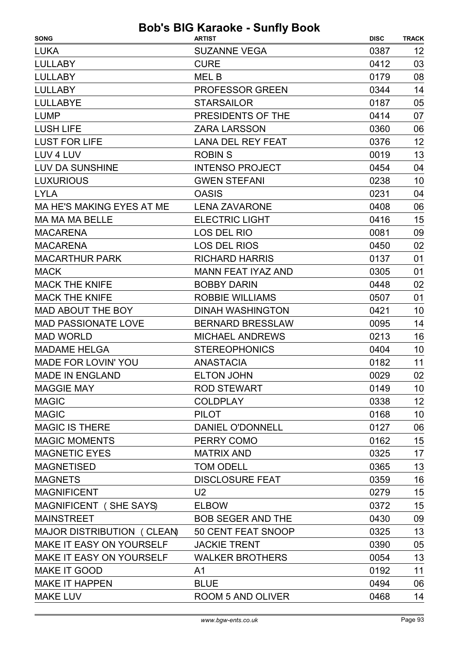| <b>SUZANNE VEGA</b><br>0387<br>12 <sub>2</sub><br><b>CURE</b><br>03<br>0412<br>08<br>MEL B<br>0179<br>14<br><b>PROFESSOR GREEN</b><br>0344<br>05<br><b>STARSAILOR</b><br>0187<br>PRESIDENTS OF THE<br>07<br>0414<br><b>ZARA LARSSON</b><br>0360<br>06<br>12<br><b>LANA DEL REY FEAT</b><br>0376<br>13<br><b>ROBIN S</b><br>0019<br>04<br><b>INTENSO PROJECT</b><br>0454<br><b>GWEN STEFANI</b><br>0238<br>10<br><b>OASIS</b><br>0231<br>04<br>MA HE'S MAKING EYES AT ME<br>0408<br>06<br><b>LENA ZAVARONE</b><br><b>MA MA MA BELLE</b><br><b>ELECTRIC LIGHT</b><br>0416<br>15<br><b>LOS DEL RIO</b><br>09<br><b>MACARENA</b><br>0081<br><b>MACARENA</b><br><b>LOS DEL RIOS</b><br>0450<br>02<br><b>MACARTHUR PARK</b><br><b>RICHARD HARRIS</b><br>01<br>0137<br><b>MANN FEAT IYAZ AND</b><br>0305<br>01<br><b>MACK</b> | <b>SONG</b>            | <b>ARTIST</b>      | <b>DISC</b> | <b>TRACK</b> |
|------------------------------------------------------------------------------------------------------------------------------------------------------------------------------------------------------------------------------------------------------------------------------------------------------------------------------------------------------------------------------------------------------------------------------------------------------------------------------------------------------------------------------------------------------------------------------------------------------------------------------------------------------------------------------------------------------------------------------------------------------------------------------------------------------------------------|------------------------|--------------------|-------------|--------------|
|                                                                                                                                                                                                                                                                                                                                                                                                                                                                                                                                                                                                                                                                                                                                                                                                                        | <b>LUKA</b>            |                    |             |              |
|                                                                                                                                                                                                                                                                                                                                                                                                                                                                                                                                                                                                                                                                                                                                                                                                                        | <b>LULLABY</b>         |                    |             |              |
|                                                                                                                                                                                                                                                                                                                                                                                                                                                                                                                                                                                                                                                                                                                                                                                                                        | <b>LULLABY</b>         |                    |             |              |
|                                                                                                                                                                                                                                                                                                                                                                                                                                                                                                                                                                                                                                                                                                                                                                                                                        | <b>LULLABY</b>         |                    |             |              |
|                                                                                                                                                                                                                                                                                                                                                                                                                                                                                                                                                                                                                                                                                                                                                                                                                        | <b>LULLABYE</b>        |                    |             |              |
|                                                                                                                                                                                                                                                                                                                                                                                                                                                                                                                                                                                                                                                                                                                                                                                                                        | <b>LUMP</b>            |                    |             |              |
|                                                                                                                                                                                                                                                                                                                                                                                                                                                                                                                                                                                                                                                                                                                                                                                                                        | <b>LUSH LIFE</b>       |                    |             |              |
|                                                                                                                                                                                                                                                                                                                                                                                                                                                                                                                                                                                                                                                                                                                                                                                                                        | <b>LUST FOR LIFE</b>   |                    |             |              |
|                                                                                                                                                                                                                                                                                                                                                                                                                                                                                                                                                                                                                                                                                                                                                                                                                        | LUV 4 LUV              |                    |             |              |
|                                                                                                                                                                                                                                                                                                                                                                                                                                                                                                                                                                                                                                                                                                                                                                                                                        | <b>LUV DA SUNSHINE</b> |                    |             |              |
|                                                                                                                                                                                                                                                                                                                                                                                                                                                                                                                                                                                                                                                                                                                                                                                                                        | <b>LUXURIOUS</b>       |                    |             |              |
|                                                                                                                                                                                                                                                                                                                                                                                                                                                                                                                                                                                                                                                                                                                                                                                                                        | <b>LYLA</b>            |                    |             |              |
|                                                                                                                                                                                                                                                                                                                                                                                                                                                                                                                                                                                                                                                                                                                                                                                                                        |                        |                    |             |              |
|                                                                                                                                                                                                                                                                                                                                                                                                                                                                                                                                                                                                                                                                                                                                                                                                                        |                        |                    |             |              |
|                                                                                                                                                                                                                                                                                                                                                                                                                                                                                                                                                                                                                                                                                                                                                                                                                        |                        |                    |             |              |
|                                                                                                                                                                                                                                                                                                                                                                                                                                                                                                                                                                                                                                                                                                                                                                                                                        |                        |                    |             |              |
|                                                                                                                                                                                                                                                                                                                                                                                                                                                                                                                                                                                                                                                                                                                                                                                                                        |                        |                    |             |              |
|                                                                                                                                                                                                                                                                                                                                                                                                                                                                                                                                                                                                                                                                                                                                                                                                                        |                        |                    |             |              |
|                                                                                                                                                                                                                                                                                                                                                                                                                                                                                                                                                                                                                                                                                                                                                                                                                        | <b>MACK THE KNIFE</b>  | <b>BOBBY DARIN</b> | 0448        | 02           |
| <b>MACK THE KNIFE</b><br><b>ROBBIE WILLIAMS</b><br>01<br>0507                                                                                                                                                                                                                                                                                                                                                                                                                                                                                                                                                                                                                                                                                                                                                          |                        |                    |             |              |
| <b>MAD ABOUT THE BOY</b><br><b>DINAH WASHINGTON</b><br>0421<br>10                                                                                                                                                                                                                                                                                                                                                                                                                                                                                                                                                                                                                                                                                                                                                      |                        |                    |             |              |
| <b>MAD PASSIONATE LOVE</b><br><b>BERNARD BRESSLAW</b><br>0095<br>14                                                                                                                                                                                                                                                                                                                                                                                                                                                                                                                                                                                                                                                                                                                                                    |                        |                    |             |              |
| <b>MAD WORLD</b><br><b>MICHAEL ANDREWS</b><br>0213<br>16                                                                                                                                                                                                                                                                                                                                                                                                                                                                                                                                                                                                                                                                                                                                                               |                        |                    |             |              |
| <b>MADAME HELGA</b><br><b>STEREOPHONICS</b><br>0404<br>10                                                                                                                                                                                                                                                                                                                                                                                                                                                                                                                                                                                                                                                                                                                                                              |                        |                    |             |              |
| 11<br><b>MADE FOR LOVIN' YOU</b><br><b>ANASTACIA</b><br>0182                                                                                                                                                                                                                                                                                                                                                                                                                                                                                                                                                                                                                                                                                                                                                           |                        |                    |             |              |
| 0029<br>02<br><b>MADE IN ENGLAND</b><br><b>ELTON JOHN</b>                                                                                                                                                                                                                                                                                                                                                                                                                                                                                                                                                                                                                                                                                                                                                              |                        |                    |             |              |
| 10<br><b>ROD STEWART</b><br>0149                                                                                                                                                                                                                                                                                                                                                                                                                                                                                                                                                                                                                                                                                                                                                                                       | <b>MAGGIE MAY</b>      |                    |             |              |
| 12<br><b>MAGIC</b><br><b>COLDPLAY</b><br>0338                                                                                                                                                                                                                                                                                                                                                                                                                                                                                                                                                                                                                                                                                                                                                                          |                        |                    |             |              |
| 10<br><b>MAGIC</b><br><b>PILOT</b><br>0168                                                                                                                                                                                                                                                                                                                                                                                                                                                                                                                                                                                                                                                                                                                                                                             |                        |                    |             |              |
| <b>MAGIC IS THERE</b><br><b>DANIEL O'DONNELL</b><br>0127<br>06                                                                                                                                                                                                                                                                                                                                                                                                                                                                                                                                                                                                                                                                                                                                                         |                        |                    |             |              |
| 15<br><b>MAGIC MOMENTS</b><br>PERRY COMO<br>0162                                                                                                                                                                                                                                                                                                                                                                                                                                                                                                                                                                                                                                                                                                                                                                       |                        |                    |             |              |
| 17<br><b>MAGNETIC EYES</b><br><b>MATRIX AND</b><br>0325                                                                                                                                                                                                                                                                                                                                                                                                                                                                                                                                                                                                                                                                                                                                                                |                        |                    |             |              |
| 13<br><b>MAGNETISED</b><br><b>TOM ODELL</b><br>0365                                                                                                                                                                                                                                                                                                                                                                                                                                                                                                                                                                                                                                                                                                                                                                    |                        |                    |             |              |
| 16<br><b>MAGNETS</b><br><b>DISCLOSURE FEAT</b><br>0359                                                                                                                                                                                                                                                                                                                                                                                                                                                                                                                                                                                                                                                                                                                                                                 |                        |                    |             |              |
| <b>MAGNIFICENT</b><br>15<br>U <sub>2</sub><br>0279                                                                                                                                                                                                                                                                                                                                                                                                                                                                                                                                                                                                                                                                                                                                                                     |                        |                    |             |              |
| 15<br><b>ELBOW</b><br>MAGNIFICENT (SHE SAYS)<br>0372                                                                                                                                                                                                                                                                                                                                                                                                                                                                                                                                                                                                                                                                                                                                                                   |                        |                    |             |              |
| 0430<br>09<br><b>MAINSTREET</b><br><b>BOB SEGER AND THE</b>                                                                                                                                                                                                                                                                                                                                                                                                                                                                                                                                                                                                                                                                                                                                                            |                        |                    |             |              |
| 13<br>50 CENT FEAT SNOOP<br>0325<br>MAJOR DISTRIBUTION ( CLEAN)                                                                                                                                                                                                                                                                                                                                                                                                                                                                                                                                                                                                                                                                                                                                                        |                        |                    |             |              |
| MAKE IT EASY ON YOURSELF<br><b>JACKIE TRENT</b><br>0390<br>05                                                                                                                                                                                                                                                                                                                                                                                                                                                                                                                                                                                                                                                                                                                                                          |                        |                    |             |              |
| 13<br>MAKE IT EASY ON YOURSELF<br><b>WALKER BROTHERS</b><br>0054                                                                                                                                                                                                                                                                                                                                                                                                                                                                                                                                                                                                                                                                                                                                                       |                        |                    |             |              |
| 11<br><b>MAKE IT GOOD</b><br>0192<br>A <sub>1</sub>                                                                                                                                                                                                                                                                                                                                                                                                                                                                                                                                                                                                                                                                                                                                                                    |                        |                    |             |              |
| <b>MAKE IT HAPPEN</b><br><b>BLUE</b><br>0494<br>06                                                                                                                                                                                                                                                                                                                                                                                                                                                                                                                                                                                                                                                                                                                                                                     |                        |                    |             |              |
| 14<br><b>MAKE LUV</b><br>ROOM 5 AND OLIVER<br>0468                                                                                                                                                                                                                                                                                                                                                                                                                                                                                                                                                                                                                                                                                                                                                                     |                        |                    |             |              |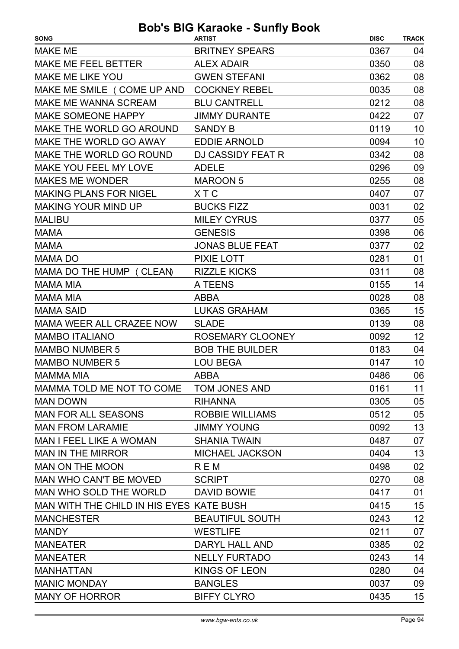| <b>SONG</b>                              | <b>ARTIST</b>            | <b>DISC</b> | <b>TRACK</b> |
|------------------------------------------|--------------------------|-------------|--------------|
| <b>MAKE ME</b>                           | <b>BRITNEY SPEARS</b>    | 0367        | 04           |
| <b>MAKE ME FEEL BETTER</b>               | <b>ALEX ADAIR</b>        | 0350        | 08           |
| MAKE ME LIKE YOU                         | <b>GWEN STEFANI</b>      | 0362        | 08           |
| MAKE ME SMILE ( COME UP AND              | <b>COCKNEY REBEL</b>     | 0035        | 08           |
| <b>MAKE ME WANNA SCREAM</b>              | <b>BLU CANTRELL</b>      | 0212        | 08           |
| <b>MAKE SOMEONE HAPPY</b>                | <b>JIMMY DURANTE</b>     | 0422        | 07           |
| MAKE THE WORLD GO AROUND                 | <b>SANDY B</b>           | 0119        | 10           |
| MAKE THE WORLD GO AWAY                   | <b>EDDIE ARNOLD</b>      | 0094        | 10           |
| MAKE THE WORLD GO ROUND                  | <b>DJ CASSIDY FEAT R</b> | 0342        | 08           |
| MAKE YOU FEEL MY LOVE                    | <b>ADELE</b>             | 0296        | 09           |
| <b>MAKES ME WONDER</b>                   | <b>MAROON 5</b>          | 0255        | 08           |
| <b>MAKING PLANS FOR NIGEL</b>            | <b>XTC</b>               | 0407        | 07           |
| MAKING YOUR MIND UP                      | <b>BUCKS FIZZ</b>        | 0031        | 02           |
| <b>MALIBU</b>                            | <b>MILEY CYRUS</b>       | 0377        | 05           |
| <b>MAMA</b>                              | <b>GENESIS</b>           | 0398        | 06           |
| <b>MAMA</b>                              | <b>JONAS BLUE FEAT</b>   | 0377        | 02           |
| <b>MAMADO</b>                            | PIXIE LOTT               | 0281        | 01           |
| MAMA DO THE HUMP (CLEAN)                 | <b>RIZZLE KICKS</b>      | 0311        | 08           |
| <b>MAMA MIA</b>                          | A TEENS                  | 0155        | 14           |
| <b>MAMA MIA</b>                          | <b>ABBA</b>              | 0028        | 08           |
| <b>MAMA SAID</b>                         | <b>LUKAS GRAHAM</b>      | 0365        | 15           |
| <b>MAMA WEER ALL CRAZEE NOW</b>          | <b>SLADE</b>             | 0139        | 08           |
| <b>MAMBO ITALIANO</b>                    | ROSEMARY CLOONEY         | 0092        | 12           |
| <b>MAMBO NUMBER 5</b>                    | <b>BOB THE BUILDER</b>   | 0183        | 04           |
| <b>MAMBO NUMBER 5</b>                    | <b>LOU BEGA</b>          | 0147        | 10           |
| <b>MAMMA MIA</b>                         | ABBA                     | 0486        | 06           |
| MAMMA TOLD ME NOT TO COME TOM JONES AND  |                          | 0161        | 11           |
| <b>MAN DOWN</b>                          | <b>RIHANNA</b>           | 0305        | 05           |
| MAN FOR ALL SEASONS                      | <b>ROBBIE WILLIAMS</b>   | 0512        | 05           |
| <b>MAN FROM LARAMIE</b>                  | <b>JIMMY YOUNG</b>       | 0092        | 13           |
| MAN I FEEL LIKE A WOMAN                  | <b>SHANIA TWAIN</b>      | 0487        | 07           |
| <b>MAN IN THE MIRROR</b>                 | <b>MICHAEL JACKSON</b>   | 0404        | 13           |
| MAN ON THE MOON                          | <b>REM</b>               | 0498        | 02           |
| MAN WHO CAN'T BE MOVED                   | <b>SCRIPT</b>            | 0270        | 08           |
| MAN WHO SOLD THE WORLD                   | DAVID BOWIE              | 0417        | 01           |
| MAN WITH THE CHILD IN HIS EYES KATE BUSH |                          | 0415        | 15           |
| <b>MANCHESTER</b>                        | <b>BEAUTIFUL SOUTH</b>   | 0243        | 12           |
| <b>MANDY</b>                             | <b>WESTLIFE</b>          | 0211        | 07           |
| <b>MANEATER</b>                          | DARYL HALL AND           | 0385        | 02           |
| <b>MANEATER</b>                          | <b>NELLY FURTADO</b>     | 0243        | 14           |
| <b>MANHATTAN</b>                         | KINGS OF LEON            | 0280        | 04           |
| <b>MANIC MONDAY</b>                      | <b>BANGLES</b>           | 0037        | 09           |
| <b>MANY OF HORROR</b>                    | <b>BIFFY CLYRO</b>       | 0435        | 15           |
|                                          |                          |             |              |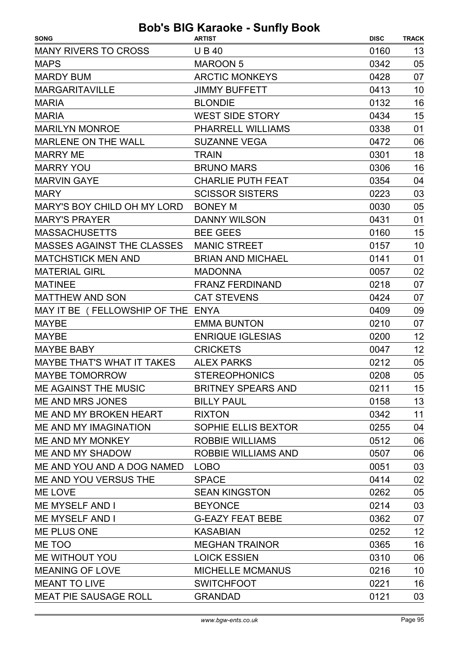| <b>SONG</b>                       | <b>ARTIST</b>            | <b>DISC</b> | <b>TRACK</b> |
|-----------------------------------|--------------------------|-------------|--------------|
| <b>MANY RIVERS TO CROSS</b>       | <b>UB40</b>              | 0160        | 13           |
| <b>MAPS</b>                       | <b>MAROON 5</b>          | 0342        | 05           |
| <b>MARDY BUM</b>                  | <b>ARCTIC MONKEYS</b>    | 0428        | 07           |
| <b>MARGARITAVILLE</b>             | <b>JIMMY BUFFETT</b>     | 0413        | 10           |
| <b>MARIA</b>                      | <b>BLONDIE</b>           | 0132        | 16           |
| <b>MARIA</b>                      | <b>WEST SIDE STORY</b>   | 0434        | 15           |
| <b>MARILYN MONROE</b>             | PHARRELL WILLIAMS        | 0338        | 01           |
| <b>MARLENE ON THE WALL</b>        | <b>SUZANNE VEGA</b>      | 0472        | 06           |
| <b>MARRY ME</b>                   | <b>TRAIN</b>             | 0301        | 18           |
| <b>MARRY YOU</b>                  | <b>BRUNO MARS</b>        | 0306        | 16           |
| <b>MARVIN GAYE</b>                | <b>CHARLIE PUTH FEAT</b> | 0354        | 04           |
| <b>MARY</b>                       | <b>SCISSOR SISTERS</b>   | 0223        | 03           |
| MARY'S BOY CHILD OH MY LORD       | <b>BONEY M</b>           | 0030        | 05           |
| <b>MARY'S PRAYER</b>              | <b>DANNY WILSON</b>      | 0431        | 01           |
| <b>MASSACHUSETTS</b>              | <b>BEE GEES</b>          | 0160        | 15           |
| <b>MASSES AGAINST THE CLASSES</b> | <b>MANIC STREET</b>      | 0157        | 10           |
| <b>MATCHSTICK MEN AND</b>         | <b>BRIAN AND MICHAEL</b> | 0141        | 01           |
| <b>MATERIAL GIRL</b>              | <b>MADONNA</b>           | 0057        | 02           |
| <b>MATINEE</b>                    | <b>FRANZ FERDINAND</b>   | 0218        | 07           |
| <b>MATTHEW AND SON</b>            | <b>CAT STEVENS</b>       | 0424        | 07           |
| MAY IT BE (FELLOWSHIP OF THE ENYA |                          | 0409        | 09           |
| <b>MAYBE</b>                      | <b>EMMA BUNTON</b>       | 0210        | 07           |
| <b>MAYBE</b>                      | <b>ENRIQUE IGLESIAS</b>  | 0200        | 12           |
| <b>MAYBE BABY</b>                 | <b>CRICKETS</b>          | 0047        | 12           |
| <b>MAYBE THAT'S WHAT IT TAKES</b> | <b>ALEX PARKS</b>        | 0212        | 05           |
| <b>MAYBE TOMORROW</b>             | <b>STEREOPHONICS</b>     | 0208        | 05           |
| ME AGAINST THE MUSIC              | BRITNEY SPEARS AND       | 0211        | 15           |
| ME AND MRS JONES                  | <b>BILLY PAUL</b>        | 0158        | 13           |
| ME AND MY BROKEN HEART RIXTON     |                          | 0342        | 11           |
| ME AND MY IMAGINATION             | SOPHIE ELLIS BEXTOR      | 0255        | 04           |
| ME AND MY MONKEY                  | ROBBIE WILLIAMS          | 0512        | 06           |
| ME AND MY SHADOW                  | ROBBIE WILLIAMS AND      | 0507        | 06           |
| ME AND YOU AND A DOG NAMED LOBO   |                          | 0051        | 03           |
| ME AND YOU VERSUS THE             | <b>SPACE</b>             | 0414        | 02           |
| ME LOVE                           | <b>SEAN KINGSTON</b>     | 0262        | 05           |
| ME MYSELF AND I                   | <b>BEYONCE</b>           | 0214        | 03           |
| ME MYSELF AND I                   | <b>G-EAZY FEAT BEBE</b>  | 0362        | 07           |
| ME PLUS ONE                       | <b>KASABIAN</b>          | 0252        | 12           |
| ME TOO                            | <b>MEGHAN TRAINOR</b>    | 0365        | 16           |
| ME WITHOUT YOU                    | <b>LOICK ESSIEN</b>      | 0310        | 06           |
| <b>MEANING OF LOVE</b>            | MICHELLE MCMANUS         | 0216        | 10           |
| <b>MEANT TO LIVE</b>              | <b>SWITCHFOOT</b>        | 0221        | 16           |
| MEAT PIE SAUSAGE ROLL             | <b>GRANDAD</b>           | 0121        | 03           |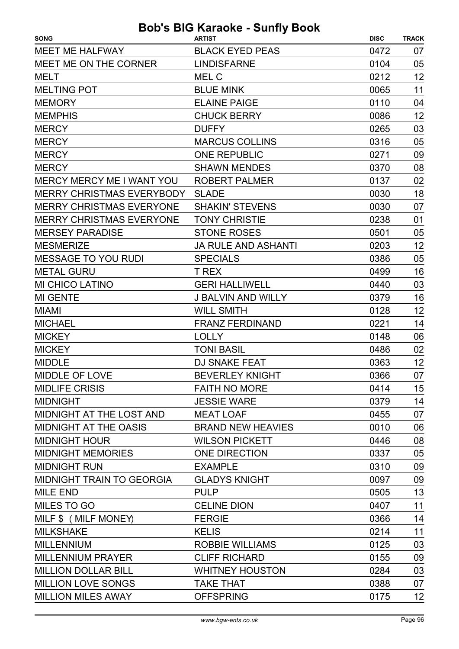| <b>MEET ME HALFWAY</b><br><b>BLACK EYED PEAS</b><br>0472<br>07<br>05<br>MEET ME ON THE CORNER<br><b>LINDISFARNE</b><br>0104<br>12<br>MEL C<br>0212<br>MELT<br><b>MELTING POT</b><br><b>BLUE MINK</b><br>11<br>0065<br><b>ELAINE PAIGE</b><br>0110<br>04<br><b>MEMORY</b><br>12<br><b>CHUCK BERRY</b><br><b>MEMPHIS</b><br>0086<br>03<br>0265<br><b>MERCY</b><br><b>DUFFY</b><br><b>MERCY</b><br>0316<br>05<br><b>MARCUS COLLINS</b><br><b>MERCY</b><br><b>ONE REPUBLIC</b><br>09<br>0271<br><b>MERCY</b><br><b>SHAWN MENDES</b><br>08<br>0370<br><b>ROBERT PALMER</b><br>02<br><b>MERCY MERCY ME I WANT YOU</b><br>0137<br>18<br><b>MERRY CHRISTMAS EVERYBODY</b><br>0030<br><b>SLADE</b><br><b>MERRY CHRISTMAS EVERYONE</b><br><b>SHAKIN' STEVENS</b><br>0030<br>07<br><b>MERRY CHRISTMAS EVERYONE</b><br><b>TONY CHRISTIE</b><br>0238<br>01<br><b>STONE ROSES</b><br>05<br><b>MERSEY PARADISE</b><br>0501<br>12<br><b>JA RULE AND ASHANTI</b><br>0203<br><b>MESMERIZE</b><br>05<br><b>MESSAGE TO YOU RUDI</b><br><b>SPECIALS</b><br>0386<br>16<br><b>METAL GURU</b><br>T REX<br>0499<br>03<br><b>MI CHICO LATINO</b><br><b>GERI HALLIWELL</b><br>0440<br><b>MI GENTE</b><br><b>J BALVIN AND WILLY</b><br>16<br>0379<br>12<br><b>WILL SMITH</b><br><b>MIAMI</b><br>0128<br>14<br>0221<br><b>MICHAEL</b><br><b>FRANZ FERDINAND</b><br><b>MICKEY</b><br><b>LOLLY</b><br>0148<br>06<br><b>MICKEY</b><br><b>TONI BASIL</b><br>02<br>0486<br><b>MIDDLE</b><br><b>DJ SNAKE FEAT</b><br>0363<br>12<br><b>MIDDLE OF LOVE</b><br><b>BEVERLEY KNIGHT</b><br>0366<br>07<br><b>MIDLIFE CRISIS</b><br><b>FAITH NO MORE</b><br>0414<br>15<br><b>MIDNIGHT</b><br><b>JESSIE WARE</b><br>0379<br>MIDNIGHT AT THE LOST AND<br><b>MEAT LOAF</b><br>0455<br>07<br>MIDNIGHT AT THE OASIS<br><b>BRAND NEW HEAVIES</b><br>0010<br>06<br><b>MIDNIGHT HOUR</b><br><b>WILSON PICKETT</b><br>08<br>0446<br>05<br><b>MIDNIGHT MEMORIES</b><br><b>ONE DIRECTION</b><br>0337<br><b>MIDNIGHT RUN</b><br>09<br><b>EXAMPLE</b><br>0310<br>MIDNIGHT TRAIN TO GEORGIA<br><b>GLADYS KNIGHT</b><br>0097<br>09<br>13<br><b>MILE END</b><br><b>PULP</b><br>0505<br>11<br>MILES TO GO<br><b>CELINE DION</b><br>0407<br>14<br>MILF \$ (MILF MONEY)<br><b>FERGIE</b><br>0366<br>11<br><b>MILKSHAKE</b><br><b>KELIS</b><br>0214<br>03<br><b>MILLENNIUM</b><br><b>ROBBIE WILLIAMS</b><br>0125<br>MILLENNIUM PRAYER<br><b>CLIFF RICHARD</b><br>09<br>0155<br><b>MILLION DOLLAR BILL</b><br><b>WHITNEY HOUSTON</b><br>0284<br>03<br><b>MILLION LOVE SONGS</b><br><b>TAKE THAT</b><br>0388<br>07 | <b>SONG</b> | <b>ARTIST</b> | <b>DISC</b> | <b>TRACK</b> |
|----------------------------------------------------------------------------------------------------------------------------------------------------------------------------------------------------------------------------------------------------------------------------------------------------------------------------------------------------------------------------------------------------------------------------------------------------------------------------------------------------------------------------------------------------------------------------------------------------------------------------------------------------------------------------------------------------------------------------------------------------------------------------------------------------------------------------------------------------------------------------------------------------------------------------------------------------------------------------------------------------------------------------------------------------------------------------------------------------------------------------------------------------------------------------------------------------------------------------------------------------------------------------------------------------------------------------------------------------------------------------------------------------------------------------------------------------------------------------------------------------------------------------------------------------------------------------------------------------------------------------------------------------------------------------------------------------------------------------------------------------------------------------------------------------------------------------------------------------------------------------------------------------------------------------------------------------------------------------------------------------------------------------------------------------------------------------------------------------------------------------------------------------------------------------------------------------------------------------------------------------------------------------------------------------------------------------------------------------------------------------------------------------------------------------------------------------------------------------------------------------------------------------------------------------|-------------|---------------|-------------|--------------|
|                                                                                                                                                                                                                                                                                                                                                                                                                                                                                                                                                                                                                                                                                                                                                                                                                                                                                                                                                                                                                                                                                                                                                                                                                                                                                                                                                                                                                                                                                                                                                                                                                                                                                                                                                                                                                                                                                                                                                                                                                                                                                                                                                                                                                                                                                                                                                                                                                                                                                                                                                    |             |               |             |              |
| 14                                                                                                                                                                                                                                                                                                                                                                                                                                                                                                                                                                                                                                                                                                                                                                                                                                                                                                                                                                                                                                                                                                                                                                                                                                                                                                                                                                                                                                                                                                                                                                                                                                                                                                                                                                                                                                                                                                                                                                                                                                                                                                                                                                                                                                                                                                                                                                                                                                                                                                                                                 |             |               |             |              |
|                                                                                                                                                                                                                                                                                                                                                                                                                                                                                                                                                                                                                                                                                                                                                                                                                                                                                                                                                                                                                                                                                                                                                                                                                                                                                                                                                                                                                                                                                                                                                                                                                                                                                                                                                                                                                                                                                                                                                                                                                                                                                                                                                                                                                                                                                                                                                                                                                                                                                                                                                    |             |               |             |              |
|                                                                                                                                                                                                                                                                                                                                                                                                                                                                                                                                                                                                                                                                                                                                                                                                                                                                                                                                                                                                                                                                                                                                                                                                                                                                                                                                                                                                                                                                                                                                                                                                                                                                                                                                                                                                                                                                                                                                                                                                                                                                                                                                                                                                                                                                                                                                                                                                                                                                                                                                                    |             |               |             |              |
|                                                                                                                                                                                                                                                                                                                                                                                                                                                                                                                                                                                                                                                                                                                                                                                                                                                                                                                                                                                                                                                                                                                                                                                                                                                                                                                                                                                                                                                                                                                                                                                                                                                                                                                                                                                                                                                                                                                                                                                                                                                                                                                                                                                                                                                                                                                                                                                                                                                                                                                                                    |             |               |             |              |
|                                                                                                                                                                                                                                                                                                                                                                                                                                                                                                                                                                                                                                                                                                                                                                                                                                                                                                                                                                                                                                                                                                                                                                                                                                                                                                                                                                                                                                                                                                                                                                                                                                                                                                                                                                                                                                                                                                                                                                                                                                                                                                                                                                                                                                                                                                                                                                                                                                                                                                                                                    |             |               |             |              |
|                                                                                                                                                                                                                                                                                                                                                                                                                                                                                                                                                                                                                                                                                                                                                                                                                                                                                                                                                                                                                                                                                                                                                                                                                                                                                                                                                                                                                                                                                                                                                                                                                                                                                                                                                                                                                                                                                                                                                                                                                                                                                                                                                                                                                                                                                                                                                                                                                                                                                                                                                    |             |               |             |              |
|                                                                                                                                                                                                                                                                                                                                                                                                                                                                                                                                                                                                                                                                                                                                                                                                                                                                                                                                                                                                                                                                                                                                                                                                                                                                                                                                                                                                                                                                                                                                                                                                                                                                                                                                                                                                                                                                                                                                                                                                                                                                                                                                                                                                                                                                                                                                                                                                                                                                                                                                                    |             |               |             |              |
|                                                                                                                                                                                                                                                                                                                                                                                                                                                                                                                                                                                                                                                                                                                                                                                                                                                                                                                                                                                                                                                                                                                                                                                                                                                                                                                                                                                                                                                                                                                                                                                                                                                                                                                                                                                                                                                                                                                                                                                                                                                                                                                                                                                                                                                                                                                                                                                                                                                                                                                                                    |             |               |             |              |
|                                                                                                                                                                                                                                                                                                                                                                                                                                                                                                                                                                                                                                                                                                                                                                                                                                                                                                                                                                                                                                                                                                                                                                                                                                                                                                                                                                                                                                                                                                                                                                                                                                                                                                                                                                                                                                                                                                                                                                                                                                                                                                                                                                                                                                                                                                                                                                                                                                                                                                                                                    |             |               |             |              |
|                                                                                                                                                                                                                                                                                                                                                                                                                                                                                                                                                                                                                                                                                                                                                                                                                                                                                                                                                                                                                                                                                                                                                                                                                                                                                                                                                                                                                                                                                                                                                                                                                                                                                                                                                                                                                                                                                                                                                                                                                                                                                                                                                                                                                                                                                                                                                                                                                                                                                                                                                    |             |               |             |              |
|                                                                                                                                                                                                                                                                                                                                                                                                                                                                                                                                                                                                                                                                                                                                                                                                                                                                                                                                                                                                                                                                                                                                                                                                                                                                                                                                                                                                                                                                                                                                                                                                                                                                                                                                                                                                                                                                                                                                                                                                                                                                                                                                                                                                                                                                                                                                                                                                                                                                                                                                                    |             |               |             |              |
|                                                                                                                                                                                                                                                                                                                                                                                                                                                                                                                                                                                                                                                                                                                                                                                                                                                                                                                                                                                                                                                                                                                                                                                                                                                                                                                                                                                                                                                                                                                                                                                                                                                                                                                                                                                                                                                                                                                                                                                                                                                                                                                                                                                                                                                                                                                                                                                                                                                                                                                                                    |             |               |             |              |
|                                                                                                                                                                                                                                                                                                                                                                                                                                                                                                                                                                                                                                                                                                                                                                                                                                                                                                                                                                                                                                                                                                                                                                                                                                                                                                                                                                                                                                                                                                                                                                                                                                                                                                                                                                                                                                                                                                                                                                                                                                                                                                                                                                                                                                                                                                                                                                                                                                                                                                                                                    |             |               |             |              |
|                                                                                                                                                                                                                                                                                                                                                                                                                                                                                                                                                                                                                                                                                                                                                                                                                                                                                                                                                                                                                                                                                                                                                                                                                                                                                                                                                                                                                                                                                                                                                                                                                                                                                                                                                                                                                                                                                                                                                                                                                                                                                                                                                                                                                                                                                                                                                                                                                                                                                                                                                    |             |               |             |              |
|                                                                                                                                                                                                                                                                                                                                                                                                                                                                                                                                                                                                                                                                                                                                                                                                                                                                                                                                                                                                                                                                                                                                                                                                                                                                                                                                                                                                                                                                                                                                                                                                                                                                                                                                                                                                                                                                                                                                                                                                                                                                                                                                                                                                                                                                                                                                                                                                                                                                                                                                                    |             |               |             |              |
|                                                                                                                                                                                                                                                                                                                                                                                                                                                                                                                                                                                                                                                                                                                                                                                                                                                                                                                                                                                                                                                                                                                                                                                                                                                                                                                                                                                                                                                                                                                                                                                                                                                                                                                                                                                                                                                                                                                                                                                                                                                                                                                                                                                                                                                                                                                                                                                                                                                                                                                                                    |             |               |             |              |
|                                                                                                                                                                                                                                                                                                                                                                                                                                                                                                                                                                                                                                                                                                                                                                                                                                                                                                                                                                                                                                                                                                                                                                                                                                                                                                                                                                                                                                                                                                                                                                                                                                                                                                                                                                                                                                                                                                                                                                                                                                                                                                                                                                                                                                                                                                                                                                                                                                                                                                                                                    |             |               |             |              |
|                                                                                                                                                                                                                                                                                                                                                                                                                                                                                                                                                                                                                                                                                                                                                                                                                                                                                                                                                                                                                                                                                                                                                                                                                                                                                                                                                                                                                                                                                                                                                                                                                                                                                                                                                                                                                                                                                                                                                                                                                                                                                                                                                                                                                                                                                                                                                                                                                                                                                                                                                    |             |               |             |              |
|                                                                                                                                                                                                                                                                                                                                                                                                                                                                                                                                                                                                                                                                                                                                                                                                                                                                                                                                                                                                                                                                                                                                                                                                                                                                                                                                                                                                                                                                                                                                                                                                                                                                                                                                                                                                                                                                                                                                                                                                                                                                                                                                                                                                                                                                                                                                                                                                                                                                                                                                                    |             |               |             |              |
|                                                                                                                                                                                                                                                                                                                                                                                                                                                                                                                                                                                                                                                                                                                                                                                                                                                                                                                                                                                                                                                                                                                                                                                                                                                                                                                                                                                                                                                                                                                                                                                                                                                                                                                                                                                                                                                                                                                                                                                                                                                                                                                                                                                                                                                                                                                                                                                                                                                                                                                                                    |             |               |             |              |
|                                                                                                                                                                                                                                                                                                                                                                                                                                                                                                                                                                                                                                                                                                                                                                                                                                                                                                                                                                                                                                                                                                                                                                                                                                                                                                                                                                                                                                                                                                                                                                                                                                                                                                                                                                                                                                                                                                                                                                                                                                                                                                                                                                                                                                                                                                                                                                                                                                                                                                                                                    |             |               |             |              |
|                                                                                                                                                                                                                                                                                                                                                                                                                                                                                                                                                                                                                                                                                                                                                                                                                                                                                                                                                                                                                                                                                                                                                                                                                                                                                                                                                                                                                                                                                                                                                                                                                                                                                                                                                                                                                                                                                                                                                                                                                                                                                                                                                                                                                                                                                                                                                                                                                                                                                                                                                    |             |               |             |              |
|                                                                                                                                                                                                                                                                                                                                                                                                                                                                                                                                                                                                                                                                                                                                                                                                                                                                                                                                                                                                                                                                                                                                                                                                                                                                                                                                                                                                                                                                                                                                                                                                                                                                                                                                                                                                                                                                                                                                                                                                                                                                                                                                                                                                                                                                                                                                                                                                                                                                                                                                                    |             |               |             |              |
|                                                                                                                                                                                                                                                                                                                                                                                                                                                                                                                                                                                                                                                                                                                                                                                                                                                                                                                                                                                                                                                                                                                                                                                                                                                                                                                                                                                                                                                                                                                                                                                                                                                                                                                                                                                                                                                                                                                                                                                                                                                                                                                                                                                                                                                                                                                                                                                                                                                                                                                                                    |             |               |             |              |
|                                                                                                                                                                                                                                                                                                                                                                                                                                                                                                                                                                                                                                                                                                                                                                                                                                                                                                                                                                                                                                                                                                                                                                                                                                                                                                                                                                                                                                                                                                                                                                                                                                                                                                                                                                                                                                                                                                                                                                                                                                                                                                                                                                                                                                                                                                                                                                                                                                                                                                                                                    |             |               |             |              |
|                                                                                                                                                                                                                                                                                                                                                                                                                                                                                                                                                                                                                                                                                                                                                                                                                                                                                                                                                                                                                                                                                                                                                                                                                                                                                                                                                                                                                                                                                                                                                                                                                                                                                                                                                                                                                                                                                                                                                                                                                                                                                                                                                                                                                                                                                                                                                                                                                                                                                                                                                    |             |               |             |              |
|                                                                                                                                                                                                                                                                                                                                                                                                                                                                                                                                                                                                                                                                                                                                                                                                                                                                                                                                                                                                                                                                                                                                                                                                                                                                                                                                                                                                                                                                                                                                                                                                                                                                                                                                                                                                                                                                                                                                                                                                                                                                                                                                                                                                                                                                                                                                                                                                                                                                                                                                                    |             |               |             |              |
|                                                                                                                                                                                                                                                                                                                                                                                                                                                                                                                                                                                                                                                                                                                                                                                                                                                                                                                                                                                                                                                                                                                                                                                                                                                                                                                                                                                                                                                                                                                                                                                                                                                                                                                                                                                                                                                                                                                                                                                                                                                                                                                                                                                                                                                                                                                                                                                                                                                                                                                                                    |             |               |             |              |
|                                                                                                                                                                                                                                                                                                                                                                                                                                                                                                                                                                                                                                                                                                                                                                                                                                                                                                                                                                                                                                                                                                                                                                                                                                                                                                                                                                                                                                                                                                                                                                                                                                                                                                                                                                                                                                                                                                                                                                                                                                                                                                                                                                                                                                                                                                                                                                                                                                                                                                                                                    |             |               |             |              |
|                                                                                                                                                                                                                                                                                                                                                                                                                                                                                                                                                                                                                                                                                                                                                                                                                                                                                                                                                                                                                                                                                                                                                                                                                                                                                                                                                                                                                                                                                                                                                                                                                                                                                                                                                                                                                                                                                                                                                                                                                                                                                                                                                                                                                                                                                                                                                                                                                                                                                                                                                    |             |               |             |              |
|                                                                                                                                                                                                                                                                                                                                                                                                                                                                                                                                                                                                                                                                                                                                                                                                                                                                                                                                                                                                                                                                                                                                                                                                                                                                                                                                                                                                                                                                                                                                                                                                                                                                                                                                                                                                                                                                                                                                                                                                                                                                                                                                                                                                                                                                                                                                                                                                                                                                                                                                                    |             |               |             |              |
|                                                                                                                                                                                                                                                                                                                                                                                                                                                                                                                                                                                                                                                                                                                                                                                                                                                                                                                                                                                                                                                                                                                                                                                                                                                                                                                                                                                                                                                                                                                                                                                                                                                                                                                                                                                                                                                                                                                                                                                                                                                                                                                                                                                                                                                                                                                                                                                                                                                                                                                                                    |             |               |             |              |
|                                                                                                                                                                                                                                                                                                                                                                                                                                                                                                                                                                                                                                                                                                                                                                                                                                                                                                                                                                                                                                                                                                                                                                                                                                                                                                                                                                                                                                                                                                                                                                                                                                                                                                                                                                                                                                                                                                                                                                                                                                                                                                                                                                                                                                                                                                                                                                                                                                                                                                                                                    |             |               |             |              |
|                                                                                                                                                                                                                                                                                                                                                                                                                                                                                                                                                                                                                                                                                                                                                                                                                                                                                                                                                                                                                                                                                                                                                                                                                                                                                                                                                                                                                                                                                                                                                                                                                                                                                                                                                                                                                                                                                                                                                                                                                                                                                                                                                                                                                                                                                                                                                                                                                                                                                                                                                    |             |               |             |              |
|                                                                                                                                                                                                                                                                                                                                                                                                                                                                                                                                                                                                                                                                                                                                                                                                                                                                                                                                                                                                                                                                                                                                                                                                                                                                                                                                                                                                                                                                                                                                                                                                                                                                                                                                                                                                                                                                                                                                                                                                                                                                                                                                                                                                                                                                                                                                                                                                                                                                                                                                                    |             |               |             |              |
|                                                                                                                                                                                                                                                                                                                                                                                                                                                                                                                                                                                                                                                                                                                                                                                                                                                                                                                                                                                                                                                                                                                                                                                                                                                                                                                                                                                                                                                                                                                                                                                                                                                                                                                                                                                                                                                                                                                                                                                                                                                                                                                                                                                                                                                                                                                                                                                                                                                                                                                                                    |             |               |             |              |
|                                                                                                                                                                                                                                                                                                                                                                                                                                                                                                                                                                                                                                                                                                                                                                                                                                                                                                                                                                                                                                                                                                                                                                                                                                                                                                                                                                                                                                                                                                                                                                                                                                                                                                                                                                                                                                                                                                                                                                                                                                                                                                                                                                                                                                                                                                                                                                                                                                                                                                                                                    |             |               |             |              |
|                                                                                                                                                                                                                                                                                                                                                                                                                                                                                                                                                                                                                                                                                                                                                                                                                                                                                                                                                                                                                                                                                                                                                                                                                                                                                                                                                                                                                                                                                                                                                                                                                                                                                                                                                                                                                                                                                                                                                                                                                                                                                                                                                                                                                                                                                                                                                                                                                                                                                                                                                    |             |               |             |              |
|                                                                                                                                                                                                                                                                                                                                                                                                                                                                                                                                                                                                                                                                                                                                                                                                                                                                                                                                                                                                                                                                                                                                                                                                                                                                                                                                                                                                                                                                                                                                                                                                                                                                                                                                                                                                                                                                                                                                                                                                                                                                                                                                                                                                                                                                                                                                                                                                                                                                                                                                                    |             |               |             |              |
|                                                                                                                                                                                                                                                                                                                                                                                                                                                                                                                                                                                                                                                                                                                                                                                                                                                                                                                                                                                                                                                                                                                                                                                                                                                                                                                                                                                                                                                                                                                                                                                                                                                                                                                                                                                                                                                                                                                                                                                                                                                                                                                                                                                                                                                                                                                                                                                                                                                                                                                                                    |             |               |             |              |
|                                                                                                                                                                                                                                                                                                                                                                                                                                                                                                                                                                                                                                                                                                                                                                                                                                                                                                                                                                                                                                                                                                                                                                                                                                                                                                                                                                                                                                                                                                                                                                                                                                                                                                                                                                                                                                                                                                                                                                                                                                                                                                                                                                                                                                                                                                                                                                                                                                                                                                                                                    |             |               |             |              |
| 12<br><b>MILLION MILES AWAY</b><br><b>OFFSPRING</b><br>0175                                                                                                                                                                                                                                                                                                                                                                                                                                                                                                                                                                                                                                                                                                                                                                                                                                                                                                                                                                                                                                                                                                                                                                                                                                                                                                                                                                                                                                                                                                                                                                                                                                                                                                                                                                                                                                                                                                                                                                                                                                                                                                                                                                                                                                                                                                                                                                                                                                                                                        |             |               |             |              |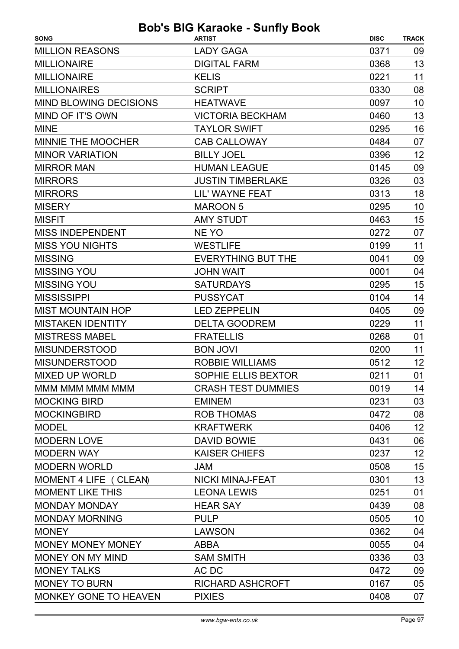| <b>MILLION REASONS</b><br><b>LADY GAGA</b><br>0371<br>09<br>13<br><b>MILLIONAIRE</b><br><b>DIGITAL FARM</b><br>0368<br>11<br><b>MILLIONAIRE</b><br><b>KELIS</b><br>0221<br><b>MILLIONAIRES</b><br><b>SCRIPT</b><br>0330<br>08<br><b>MIND BLOWING DECISIONS</b><br>10<br><b>HEATWAVE</b><br>0097<br>13<br>MIND OF IT'S OWN<br><b>VICTORIA BECKHAM</b><br>0460<br>16<br><b>MINE</b><br><b>TAYLOR SWIFT</b><br>0295<br>MINNIE THE MOOCHER<br><b>CAB CALLOWAY</b><br>0484<br>07<br>12<br><b>MINOR VARIATION</b><br><b>BILLY JOEL</b><br>0396<br><b>MIRROR MAN</b><br><b>HUMAN LEAGUE</b><br>09<br>0145<br>03<br><b>JUSTIN TIMBERLAKE</b><br>0326<br><b>MIRRORS</b><br>18<br><b>MIRRORS</b><br>LIL' WAYNE FEAT<br>0313<br><b>MISERY</b><br><b>MAROON 5</b><br>0295<br>10<br>15<br><b>MISFIT</b><br><b>AMY STUDT</b><br>0463<br><b>MISS INDEPENDENT</b><br>NE YO<br>0272<br>07<br><b>MISS YOU NIGHTS</b><br><b>WESTLIFE</b><br>0199<br>11<br><b>MISSING</b><br><b>EVERYTHING BUT THE</b><br>09<br>0041<br><b>MISSING YOU</b><br>0001<br>04<br><b>JOHN WAIT</b><br><b>MISSING YOU</b><br><b>SATURDAYS</b><br>0295<br>15<br><b>MISSISSIPPI</b><br><b>PUSSYCAT</b><br>0104<br>14<br><b>MIST MOUNTAIN HOP</b><br><b>LED ZEPPELIN</b><br>0405<br>09 |
|------------------------------------------------------------------------------------------------------------------------------------------------------------------------------------------------------------------------------------------------------------------------------------------------------------------------------------------------------------------------------------------------------------------------------------------------------------------------------------------------------------------------------------------------------------------------------------------------------------------------------------------------------------------------------------------------------------------------------------------------------------------------------------------------------------------------------------------------------------------------------------------------------------------------------------------------------------------------------------------------------------------------------------------------------------------------------------------------------------------------------------------------------------------------------------------------------------------------------------------|
|                                                                                                                                                                                                                                                                                                                                                                                                                                                                                                                                                                                                                                                                                                                                                                                                                                                                                                                                                                                                                                                                                                                                                                                                                                          |
|                                                                                                                                                                                                                                                                                                                                                                                                                                                                                                                                                                                                                                                                                                                                                                                                                                                                                                                                                                                                                                                                                                                                                                                                                                          |
|                                                                                                                                                                                                                                                                                                                                                                                                                                                                                                                                                                                                                                                                                                                                                                                                                                                                                                                                                                                                                                                                                                                                                                                                                                          |
|                                                                                                                                                                                                                                                                                                                                                                                                                                                                                                                                                                                                                                                                                                                                                                                                                                                                                                                                                                                                                                                                                                                                                                                                                                          |
|                                                                                                                                                                                                                                                                                                                                                                                                                                                                                                                                                                                                                                                                                                                                                                                                                                                                                                                                                                                                                                                                                                                                                                                                                                          |
|                                                                                                                                                                                                                                                                                                                                                                                                                                                                                                                                                                                                                                                                                                                                                                                                                                                                                                                                                                                                                                                                                                                                                                                                                                          |
|                                                                                                                                                                                                                                                                                                                                                                                                                                                                                                                                                                                                                                                                                                                                                                                                                                                                                                                                                                                                                                                                                                                                                                                                                                          |
|                                                                                                                                                                                                                                                                                                                                                                                                                                                                                                                                                                                                                                                                                                                                                                                                                                                                                                                                                                                                                                                                                                                                                                                                                                          |
|                                                                                                                                                                                                                                                                                                                                                                                                                                                                                                                                                                                                                                                                                                                                                                                                                                                                                                                                                                                                                                                                                                                                                                                                                                          |
|                                                                                                                                                                                                                                                                                                                                                                                                                                                                                                                                                                                                                                                                                                                                                                                                                                                                                                                                                                                                                                                                                                                                                                                                                                          |
|                                                                                                                                                                                                                                                                                                                                                                                                                                                                                                                                                                                                                                                                                                                                                                                                                                                                                                                                                                                                                                                                                                                                                                                                                                          |
|                                                                                                                                                                                                                                                                                                                                                                                                                                                                                                                                                                                                                                                                                                                                                                                                                                                                                                                                                                                                                                                                                                                                                                                                                                          |
|                                                                                                                                                                                                                                                                                                                                                                                                                                                                                                                                                                                                                                                                                                                                                                                                                                                                                                                                                                                                                                                                                                                                                                                                                                          |
|                                                                                                                                                                                                                                                                                                                                                                                                                                                                                                                                                                                                                                                                                                                                                                                                                                                                                                                                                                                                                                                                                                                                                                                                                                          |
|                                                                                                                                                                                                                                                                                                                                                                                                                                                                                                                                                                                                                                                                                                                                                                                                                                                                                                                                                                                                                                                                                                                                                                                                                                          |
|                                                                                                                                                                                                                                                                                                                                                                                                                                                                                                                                                                                                                                                                                                                                                                                                                                                                                                                                                                                                                                                                                                                                                                                                                                          |
|                                                                                                                                                                                                                                                                                                                                                                                                                                                                                                                                                                                                                                                                                                                                                                                                                                                                                                                                                                                                                                                                                                                                                                                                                                          |
|                                                                                                                                                                                                                                                                                                                                                                                                                                                                                                                                                                                                                                                                                                                                                                                                                                                                                                                                                                                                                                                                                                                                                                                                                                          |
|                                                                                                                                                                                                                                                                                                                                                                                                                                                                                                                                                                                                                                                                                                                                                                                                                                                                                                                                                                                                                                                                                                                                                                                                                                          |
|                                                                                                                                                                                                                                                                                                                                                                                                                                                                                                                                                                                                                                                                                                                                                                                                                                                                                                                                                                                                                                                                                                                                                                                                                                          |
|                                                                                                                                                                                                                                                                                                                                                                                                                                                                                                                                                                                                                                                                                                                                                                                                                                                                                                                                                                                                                                                                                                                                                                                                                                          |
| 11<br><b>MISTAKEN IDENTITY</b><br><b>DELTA GOODREM</b><br>0229                                                                                                                                                                                                                                                                                                                                                                                                                                                                                                                                                                                                                                                                                                                                                                                                                                                                                                                                                                                                                                                                                                                                                                           |
| <b>MISTRESS MABEL</b><br><b>FRATELLIS</b><br>0268<br>01                                                                                                                                                                                                                                                                                                                                                                                                                                                                                                                                                                                                                                                                                                                                                                                                                                                                                                                                                                                                                                                                                                                                                                                  |
| <b>MISUNDERSTOOD</b><br><b>BON JOVI</b><br>11<br>0200                                                                                                                                                                                                                                                                                                                                                                                                                                                                                                                                                                                                                                                                                                                                                                                                                                                                                                                                                                                                                                                                                                                                                                                    |
| 12<br><b>MISUNDERSTOOD</b><br><b>ROBBIE WILLIAMS</b><br>0512                                                                                                                                                                                                                                                                                                                                                                                                                                                                                                                                                                                                                                                                                                                                                                                                                                                                                                                                                                                                                                                                                                                                                                             |
| <b>MIXED UP WORLD</b><br><b>SOPHIE ELLIS BEXTOR</b><br>0211<br>01                                                                                                                                                                                                                                                                                                                                                                                                                                                                                                                                                                                                                                                                                                                                                                                                                                                                                                                                                                                                                                                                                                                                                                        |
| MMM MMM MMM MMM<br><b>CRASH TEST DUMMIES</b><br>0019<br>14                                                                                                                                                                                                                                                                                                                                                                                                                                                                                                                                                                                                                                                                                                                                                                                                                                                                                                                                                                                                                                                                                                                                                                               |
| <b>MOCKING BIRD</b><br>0231<br>03<br><b>EMINEM</b>                                                                                                                                                                                                                                                                                                                                                                                                                                                                                                                                                                                                                                                                                                                                                                                                                                                                                                                                                                                                                                                                                                                                                                                       |
| <b>ROB THOMAS</b><br>08<br><b>MOCKINGBIRD</b><br>0472                                                                                                                                                                                                                                                                                                                                                                                                                                                                                                                                                                                                                                                                                                                                                                                                                                                                                                                                                                                                                                                                                                                                                                                    |
| <b>KRAFTWERK</b><br>12<br><b>MODEL</b><br>0406                                                                                                                                                                                                                                                                                                                                                                                                                                                                                                                                                                                                                                                                                                                                                                                                                                                                                                                                                                                                                                                                                                                                                                                           |
| <b>DAVID BOWIE</b><br>06<br><b>MODERN LOVE</b><br>0431                                                                                                                                                                                                                                                                                                                                                                                                                                                                                                                                                                                                                                                                                                                                                                                                                                                                                                                                                                                                                                                                                                                                                                                   |
| 12<br><b>MODERN WAY</b><br><b>KAISER CHIEFS</b><br>0237                                                                                                                                                                                                                                                                                                                                                                                                                                                                                                                                                                                                                                                                                                                                                                                                                                                                                                                                                                                                                                                                                                                                                                                  |
| <b>MODERN WORLD</b><br>15<br>0508<br><b>JAM</b>                                                                                                                                                                                                                                                                                                                                                                                                                                                                                                                                                                                                                                                                                                                                                                                                                                                                                                                                                                                                                                                                                                                                                                                          |
| 13<br>MOMENT 4 LIFE ( CLEAN)<br><b>NICKI MINAJ-FEAT</b><br>0301                                                                                                                                                                                                                                                                                                                                                                                                                                                                                                                                                                                                                                                                                                                                                                                                                                                                                                                                                                                                                                                                                                                                                                          |
| <b>MOMENT LIKE THIS</b><br><b>LEONA LEWIS</b><br>01<br>0251                                                                                                                                                                                                                                                                                                                                                                                                                                                                                                                                                                                                                                                                                                                                                                                                                                                                                                                                                                                                                                                                                                                                                                              |
| <b>MONDAY MONDAY</b><br>08<br><b>HEAR SAY</b><br>0439                                                                                                                                                                                                                                                                                                                                                                                                                                                                                                                                                                                                                                                                                                                                                                                                                                                                                                                                                                                                                                                                                                                                                                                    |
| <b>MONDAY MORNING</b><br><b>PULP</b><br>0505<br>10                                                                                                                                                                                                                                                                                                                                                                                                                                                                                                                                                                                                                                                                                                                                                                                                                                                                                                                                                                                                                                                                                                                                                                                       |
| <b>MONEY</b><br>0362<br>04<br><b>LAWSON</b>                                                                                                                                                                                                                                                                                                                                                                                                                                                                                                                                                                                                                                                                                                                                                                                                                                                                                                                                                                                                                                                                                                                                                                                              |
| <b>MONEY MONEY MONEY</b><br>0055<br><b>ABBA</b><br>04                                                                                                                                                                                                                                                                                                                                                                                                                                                                                                                                                                                                                                                                                                                                                                                                                                                                                                                                                                                                                                                                                                                                                                                    |
| MONEY ON MY MIND<br>0336<br>03<br><b>SAM SMITH</b>                                                                                                                                                                                                                                                                                                                                                                                                                                                                                                                                                                                                                                                                                                                                                                                                                                                                                                                                                                                                                                                                                                                                                                                       |
| <b>MONEY TALKS</b><br>AC DC<br>0472<br>09                                                                                                                                                                                                                                                                                                                                                                                                                                                                                                                                                                                                                                                                                                                                                                                                                                                                                                                                                                                                                                                                                                                                                                                                |
| <b>MONEY TO BURN</b><br><b>RICHARD ASHCROFT</b><br>0167<br>05                                                                                                                                                                                                                                                                                                                                                                                                                                                                                                                                                                                                                                                                                                                                                                                                                                                                                                                                                                                                                                                                                                                                                                            |
| MONKEY GONE TO HEAVEN<br><b>PIXIES</b><br>0408<br>07                                                                                                                                                                                                                                                                                                                                                                                                                                                                                                                                                                                                                                                                                                                                                                                                                                                                                                                                                                                                                                                                                                                                                                                     |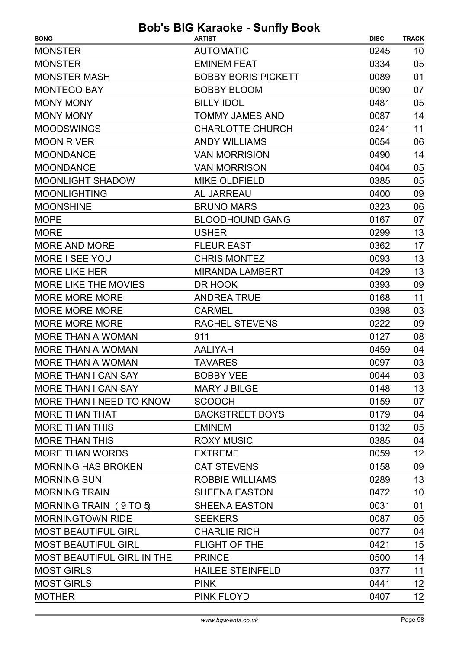| <b>SONG</b>                          | <b>ARTIST</b>              | <b>DISC</b> | <b>TRACK</b> |
|--------------------------------------|----------------------------|-------------|--------------|
| <b>MONSTER</b>                       | <b>AUTOMATIC</b>           | 0245        | 10           |
| <b>MONSTER</b>                       | <b>EMINEM FEAT</b>         | 0334        | 05           |
| <b>MONSTER MASH</b>                  | <b>BOBBY BORIS PICKETT</b> | 0089        | 01           |
| <b>MONTEGO BAY</b>                   | <b>BOBBY BLOOM</b>         | 0090        | 07           |
| <b>MONY MONY</b>                     | <b>BILLY IDOL</b>          | 0481        | 05           |
| <b>MONY MONY</b>                     | TOMMY JAMES AND            | 0087        | 14           |
| <b>MOODSWINGS</b>                    | <b>CHARLOTTE CHURCH</b>    | 0241        | 11           |
| <b>MOON RIVER</b>                    | <b>ANDY WILLIAMS</b>       | 0054        | 06           |
| <b>MOONDANCE</b>                     | <b>VAN MORRISION</b>       | 0490        | 14           |
| <b>MOONDANCE</b>                     | <b>VAN MORRISON</b>        | 0404        | 05           |
| <b>MOONLIGHT SHADOW</b>              | <b>MIKE OLDFIELD</b>       | 0385        | 05           |
| <b>MOONLIGHTING</b>                  | <b>AL JARREAU</b>          | 0400        | 09           |
| <b>MOONSHINE</b>                     | <b>BRUNO MARS</b>          | 0323        | 06           |
| <b>MOPE</b>                          | <b>BLOODHOUND GANG</b>     | 0167        | 07           |
| <b>MORE</b>                          | <b>USHER</b>               | 0299        | 13           |
| <b>MORE AND MORE</b>                 | <b>FLEUR EAST</b>          | 0362        | 17           |
| MORE I SEE YOU                       | <b>CHRIS MONTEZ</b>        | 0093        | 13           |
| <b>MORE LIKE HER</b>                 | <b>MIRANDA LAMBERT</b>     | 0429        | 13           |
| MORE LIKE THE MOVIES                 | DR HOOK                    | 0393        | 09           |
| <b>MORE MORE MORE</b>                | <b>ANDREA TRUE</b>         | 0168        | 11           |
| <b>MORE MORE MORE</b>                | <b>CARMEL</b>              | 0398        | 03           |
| <b>MORE MORE MORE</b>                | <b>RACHEL STEVENS</b>      | 0222        | 09           |
| <b>MORE THAN A WOMAN</b>             | 911                        | 0127        | 08           |
| <b>MORE THAN A WOMAN</b>             | <b>AALIYAH</b>             | 0459        | 04           |
| <b>MORE THAN A WOMAN</b>             | <b>TAVARES</b>             | 0097        | 03           |
| MORE THAN I CAN SAY                  | <b>BOBBY VEE</b>           | 0044        | 03           |
| MORE THAN I CAN SAY                  | MARY J BILGE               | 0148        | 13           |
| MORE THAN I NEED TO KNOW             | <b>SCOOCH</b>              | 0159        | 07           |
| <b>MORE THAN THAT</b>                | <b>BACKSTREET BOYS</b>     | 0179        | 04           |
| <b>MORE THAN THIS</b>                | <b>EMINEM</b>              | 0132        | 05           |
| <b>MORE THAN THIS</b>                | <b>ROXY MUSIC</b>          | 0385        | 04           |
| MORE THAN WORDS                      | <b>EXTREME</b>             | 0059        | 12           |
| <b>MORNING HAS BROKEN</b>            | <b>CAT STEVENS</b>         | 0158        | 09           |
| <b>MORNING SUN</b>                   | <b>ROBBIE WILLIAMS</b>     | 0289        | 13           |
| <b>MORNING TRAIN</b>                 | <b>SHEENA EASTON</b>       | 0472        | 10           |
| MORNING TRAIN (9 TO 5) SHEENA EASTON |                            | 0031        | 01           |
| <b>MORNINGTOWN RIDE</b>              | <b>SEEKERS</b>             | 0087        | 05           |
| MOST BEAUTIFUL GIRL                  | <b>CHARLIE RICH</b>        | 0077        | 04           |
| MOST BEAUTIFUL GIRL                  | <b>FLIGHT OF THE</b>       | 0421        | 15           |
| MOST BEAUTIFUL GIRL IN THE           | <b>PRINCE</b>              | 0500        | 14           |
| <b>MOST GIRLS</b>                    | <b>HAILEE STEINFELD</b>    | 0377        | 11           |
| <b>MOST GIRLS</b>                    | <b>PINK</b>                | 0441        | 12           |
| <b>MOTHER</b>                        | PINK FLOYD                 | 0407        | 12           |
|                                      |                            |             |              |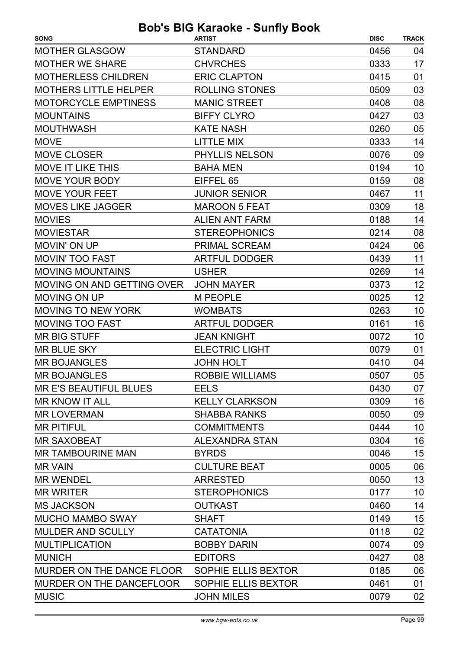| <b>MOTHER GLASGOW</b><br><b>STANDARD</b><br>0456<br>04<br><b>MOTHER WE SHARE</b><br>17<br><b>CHVRCHES</b><br>0333<br><b>ERIC CLAPTON</b><br><b>MOTHERLESS CHILDREN</b><br>0415<br>01<br><b>MOTHERS LITTLE HELPER</b><br><b>ROLLING STONES</b><br>0509<br>03<br><b>MOTORCYCLE EMPTINESS</b><br><b>MANIC STREET</b><br>0408<br>08<br>03<br><b>MOUNTAINS</b><br><b>BIFFY CLYRO</b><br>0427<br><b>MOUTHWASH</b><br><b>KATE NASH</b><br>0260<br>05<br><b>MOVE</b><br><b>LITTLE MIX</b><br>0333<br>14<br>MOVE CLOSER<br>PHYLLIS NELSON<br>0076<br>09<br><b>MOVE IT LIKE THIS</b><br><b>BAHA MEN</b><br>0194<br>10<br>08<br><b>MOVE YOUR BODY</b><br>EIFFEL 65<br>0159<br><b>MOVE YOUR FEET</b><br>11<br><b>JUNIOR SENIOR</b><br>0467<br><b>MOVES LIKE JAGGER</b><br>18<br><b>MAROON 5 FEAT</b><br>0309<br><b>MOVIES</b><br><b>ALIEN ANT FARM</b><br>0188<br>14<br><b>MOVIESTAR</b><br><b>STEREOPHONICS</b><br>08<br>0214<br>06<br>MOVIN' ON UP<br>PRIMAL SCREAM<br>0424<br>11<br><b>MOVIN' TOO FAST</b><br><b>ARTFUL DODGER</b><br>0439<br><b>MOVING MOUNTAINS</b><br>0269<br>14<br><b>USHER</b><br>12<br>MOVING ON AND GETTING OVER<br><b>JOHN MAYER</b><br>0373<br>12<br><b>MOVING ON UP</b><br><b>M PEOPLE</b><br>0025<br><b>MOVING TO NEW YORK</b><br><b>WOMBATS</b><br>0263<br>10<br>16<br><b>MOVING TOO FAST</b><br><b>ARTFUL DODGER</b><br>0161<br><b>MR BIG STUFF</b><br><b>JEAN KNIGHT</b><br>0072<br>10<br><b>MR BLUE SKY</b><br><b>ELECTRIC LIGHT</b><br>01<br>0079<br><b>JOHN HOLT</b><br><b>MR BOJANGLES</b><br>0410<br>04<br><b>MR BOJANGLES</b><br>ROBBIE WILLIAMS<br>0507<br>05<br>MR E'S BEAUTIFUL BLUES<br>0430<br>07<br><b>EELS</b><br>16<br><b>MR KNOW IT ALL</b><br><b>KELLY CLARKSON</b><br>0309<br>09<br>0050<br><b>MR LOVERMAN</b><br><b>SHABBA RANKS</b><br><b>COMMITMENTS</b><br><b>MR PITIFUL</b><br>0444<br>10<br>16<br>0304<br><b>MR SAXOBEAT</b><br><b>ALEXANDRA STAN</b><br>15<br><b>MR TAMBOURINE MAN</b><br>0046<br><b>BYRDS</b><br>06<br><b>CULTURE BEAT</b><br>0005<br><b>MR VAIN</b><br>13<br><b>MR WENDEL</b><br><b>ARRESTED</b><br>0050<br><b>STEROPHONICS</b><br><b>MR WRITER</b><br>0177<br>10<br>14<br><b>MS JACKSON</b><br><b>OUTKAST</b><br>0460<br>15<br><b>MUCHO MAMBO SWAY</b><br>0149<br><b>SHAFT</b><br><b>MULDER AND SCULLY</b><br><b>CATATONIA</b><br>0118<br>02<br><b>MULTIPLICATION</b><br><b>BOBBY DARIN</b><br>0074<br>09<br>08<br><b>MUNICH</b><br><b>EDITORS</b><br>0427<br>MURDER ON THE DANCE FLOOR<br>SOPHIE ELLIS BEXTOR<br>0185<br>06<br>MURDER ON THE DANCEFLOOR<br>SOPHIE ELLIS BEXTOR<br>0461<br>01 | <b>SONG</b>  | <b>ARTIST</b>     | <b>DISC</b> | <b>TRACK</b> |
|---------------------------------------------------------------------------------------------------------------------------------------------------------------------------------------------------------------------------------------------------------------------------------------------------------------------------------------------------------------------------------------------------------------------------------------------------------------------------------------------------------------------------------------------------------------------------------------------------------------------------------------------------------------------------------------------------------------------------------------------------------------------------------------------------------------------------------------------------------------------------------------------------------------------------------------------------------------------------------------------------------------------------------------------------------------------------------------------------------------------------------------------------------------------------------------------------------------------------------------------------------------------------------------------------------------------------------------------------------------------------------------------------------------------------------------------------------------------------------------------------------------------------------------------------------------------------------------------------------------------------------------------------------------------------------------------------------------------------------------------------------------------------------------------------------------------------------------------------------------------------------------------------------------------------------------------------------------------------------------------------------------------------------------------------------------------------------------------------------------------------------------------------------------------------------------------------------------------------------------------------------------------------------------------------------------------------------------------------------------------------------------------------------------------------------------------------------------------------------------------------------------------------------------------------------------|--------------|-------------------|-------------|--------------|
|                                                                                                                                                                                                                                                                                                                                                                                                                                                                                                                                                                                                                                                                                                                                                                                                                                                                                                                                                                                                                                                                                                                                                                                                                                                                                                                                                                                                                                                                                                                                                                                                                                                                                                                                                                                                                                                                                                                                                                                                                                                                                                                                                                                                                                                                                                                                                                                                                                                                                                                                                               |              |                   |             |              |
|                                                                                                                                                                                                                                                                                                                                                                                                                                                                                                                                                                                                                                                                                                                                                                                                                                                                                                                                                                                                                                                                                                                                                                                                                                                                                                                                                                                                                                                                                                                                                                                                                                                                                                                                                                                                                                                                                                                                                                                                                                                                                                                                                                                                                                                                                                                                                                                                                                                                                                                                                               |              |                   |             |              |
|                                                                                                                                                                                                                                                                                                                                                                                                                                                                                                                                                                                                                                                                                                                                                                                                                                                                                                                                                                                                                                                                                                                                                                                                                                                                                                                                                                                                                                                                                                                                                                                                                                                                                                                                                                                                                                                                                                                                                                                                                                                                                                                                                                                                                                                                                                                                                                                                                                                                                                                                                               |              |                   |             |              |
|                                                                                                                                                                                                                                                                                                                                                                                                                                                                                                                                                                                                                                                                                                                                                                                                                                                                                                                                                                                                                                                                                                                                                                                                                                                                                                                                                                                                                                                                                                                                                                                                                                                                                                                                                                                                                                                                                                                                                                                                                                                                                                                                                                                                                                                                                                                                                                                                                                                                                                                                                               |              |                   |             |              |
|                                                                                                                                                                                                                                                                                                                                                                                                                                                                                                                                                                                                                                                                                                                                                                                                                                                                                                                                                                                                                                                                                                                                                                                                                                                                                                                                                                                                                                                                                                                                                                                                                                                                                                                                                                                                                                                                                                                                                                                                                                                                                                                                                                                                                                                                                                                                                                                                                                                                                                                                                               |              |                   |             |              |
|                                                                                                                                                                                                                                                                                                                                                                                                                                                                                                                                                                                                                                                                                                                                                                                                                                                                                                                                                                                                                                                                                                                                                                                                                                                                                                                                                                                                                                                                                                                                                                                                                                                                                                                                                                                                                                                                                                                                                                                                                                                                                                                                                                                                                                                                                                                                                                                                                                                                                                                                                               |              |                   |             |              |
|                                                                                                                                                                                                                                                                                                                                                                                                                                                                                                                                                                                                                                                                                                                                                                                                                                                                                                                                                                                                                                                                                                                                                                                                                                                                                                                                                                                                                                                                                                                                                                                                                                                                                                                                                                                                                                                                                                                                                                                                                                                                                                                                                                                                                                                                                                                                                                                                                                                                                                                                                               |              |                   |             |              |
|                                                                                                                                                                                                                                                                                                                                                                                                                                                                                                                                                                                                                                                                                                                                                                                                                                                                                                                                                                                                                                                                                                                                                                                                                                                                                                                                                                                                                                                                                                                                                                                                                                                                                                                                                                                                                                                                                                                                                                                                                                                                                                                                                                                                                                                                                                                                                                                                                                                                                                                                                               |              |                   |             |              |
|                                                                                                                                                                                                                                                                                                                                                                                                                                                                                                                                                                                                                                                                                                                                                                                                                                                                                                                                                                                                                                                                                                                                                                                                                                                                                                                                                                                                                                                                                                                                                                                                                                                                                                                                                                                                                                                                                                                                                                                                                                                                                                                                                                                                                                                                                                                                                                                                                                                                                                                                                               |              |                   |             |              |
|                                                                                                                                                                                                                                                                                                                                                                                                                                                                                                                                                                                                                                                                                                                                                                                                                                                                                                                                                                                                                                                                                                                                                                                                                                                                                                                                                                                                                                                                                                                                                                                                                                                                                                                                                                                                                                                                                                                                                                                                                                                                                                                                                                                                                                                                                                                                                                                                                                                                                                                                                               |              |                   |             |              |
|                                                                                                                                                                                                                                                                                                                                                                                                                                                                                                                                                                                                                                                                                                                                                                                                                                                                                                                                                                                                                                                                                                                                                                                                                                                                                                                                                                                                                                                                                                                                                                                                                                                                                                                                                                                                                                                                                                                                                                                                                                                                                                                                                                                                                                                                                                                                                                                                                                                                                                                                                               |              |                   |             |              |
|                                                                                                                                                                                                                                                                                                                                                                                                                                                                                                                                                                                                                                                                                                                                                                                                                                                                                                                                                                                                                                                                                                                                                                                                                                                                                                                                                                                                                                                                                                                                                                                                                                                                                                                                                                                                                                                                                                                                                                                                                                                                                                                                                                                                                                                                                                                                                                                                                                                                                                                                                               |              |                   |             |              |
|                                                                                                                                                                                                                                                                                                                                                                                                                                                                                                                                                                                                                                                                                                                                                                                                                                                                                                                                                                                                                                                                                                                                                                                                                                                                                                                                                                                                                                                                                                                                                                                                                                                                                                                                                                                                                                                                                                                                                                                                                                                                                                                                                                                                                                                                                                                                                                                                                                                                                                                                                               |              |                   |             |              |
|                                                                                                                                                                                                                                                                                                                                                                                                                                                                                                                                                                                                                                                                                                                                                                                                                                                                                                                                                                                                                                                                                                                                                                                                                                                                                                                                                                                                                                                                                                                                                                                                                                                                                                                                                                                                                                                                                                                                                                                                                                                                                                                                                                                                                                                                                                                                                                                                                                                                                                                                                               |              |                   |             |              |
|                                                                                                                                                                                                                                                                                                                                                                                                                                                                                                                                                                                                                                                                                                                                                                                                                                                                                                                                                                                                                                                                                                                                                                                                                                                                                                                                                                                                                                                                                                                                                                                                                                                                                                                                                                                                                                                                                                                                                                                                                                                                                                                                                                                                                                                                                                                                                                                                                                                                                                                                                               |              |                   |             |              |
|                                                                                                                                                                                                                                                                                                                                                                                                                                                                                                                                                                                                                                                                                                                                                                                                                                                                                                                                                                                                                                                                                                                                                                                                                                                                                                                                                                                                                                                                                                                                                                                                                                                                                                                                                                                                                                                                                                                                                                                                                                                                                                                                                                                                                                                                                                                                                                                                                                                                                                                                                               |              |                   |             |              |
|                                                                                                                                                                                                                                                                                                                                                                                                                                                                                                                                                                                                                                                                                                                                                                                                                                                                                                                                                                                                                                                                                                                                                                                                                                                                                                                                                                                                                                                                                                                                                                                                                                                                                                                                                                                                                                                                                                                                                                                                                                                                                                                                                                                                                                                                                                                                                                                                                                                                                                                                                               |              |                   |             |              |
|                                                                                                                                                                                                                                                                                                                                                                                                                                                                                                                                                                                                                                                                                                                                                                                                                                                                                                                                                                                                                                                                                                                                                                                                                                                                                                                                                                                                                                                                                                                                                                                                                                                                                                                                                                                                                                                                                                                                                                                                                                                                                                                                                                                                                                                                                                                                                                                                                                                                                                                                                               |              |                   |             |              |
|                                                                                                                                                                                                                                                                                                                                                                                                                                                                                                                                                                                                                                                                                                                                                                                                                                                                                                                                                                                                                                                                                                                                                                                                                                                                                                                                                                                                                                                                                                                                                                                                                                                                                                                                                                                                                                                                                                                                                                                                                                                                                                                                                                                                                                                                                                                                                                                                                                                                                                                                                               |              |                   |             |              |
|                                                                                                                                                                                                                                                                                                                                                                                                                                                                                                                                                                                                                                                                                                                                                                                                                                                                                                                                                                                                                                                                                                                                                                                                                                                                                                                                                                                                                                                                                                                                                                                                                                                                                                                                                                                                                                                                                                                                                                                                                                                                                                                                                                                                                                                                                                                                                                                                                                                                                                                                                               |              |                   |             |              |
|                                                                                                                                                                                                                                                                                                                                                                                                                                                                                                                                                                                                                                                                                                                                                                                                                                                                                                                                                                                                                                                                                                                                                                                                                                                                                                                                                                                                                                                                                                                                                                                                                                                                                                                                                                                                                                                                                                                                                                                                                                                                                                                                                                                                                                                                                                                                                                                                                                                                                                                                                               |              |                   |             |              |
|                                                                                                                                                                                                                                                                                                                                                                                                                                                                                                                                                                                                                                                                                                                                                                                                                                                                                                                                                                                                                                                                                                                                                                                                                                                                                                                                                                                                                                                                                                                                                                                                                                                                                                                                                                                                                                                                                                                                                                                                                                                                                                                                                                                                                                                                                                                                                                                                                                                                                                                                                               |              |                   |             |              |
|                                                                                                                                                                                                                                                                                                                                                                                                                                                                                                                                                                                                                                                                                                                                                                                                                                                                                                                                                                                                                                                                                                                                                                                                                                                                                                                                                                                                                                                                                                                                                                                                                                                                                                                                                                                                                                                                                                                                                                                                                                                                                                                                                                                                                                                                                                                                                                                                                                                                                                                                                               |              |                   |             |              |
|                                                                                                                                                                                                                                                                                                                                                                                                                                                                                                                                                                                                                                                                                                                                                                                                                                                                                                                                                                                                                                                                                                                                                                                                                                                                                                                                                                                                                                                                                                                                                                                                                                                                                                                                                                                                                                                                                                                                                                                                                                                                                                                                                                                                                                                                                                                                                                                                                                                                                                                                                               |              |                   |             |              |
|                                                                                                                                                                                                                                                                                                                                                                                                                                                                                                                                                                                                                                                                                                                                                                                                                                                                                                                                                                                                                                                                                                                                                                                                                                                                                                                                                                                                                                                                                                                                                                                                                                                                                                                                                                                                                                                                                                                                                                                                                                                                                                                                                                                                                                                                                                                                                                                                                                                                                                                                                               |              |                   |             |              |
|                                                                                                                                                                                                                                                                                                                                                                                                                                                                                                                                                                                                                                                                                                                                                                                                                                                                                                                                                                                                                                                                                                                                                                                                                                                                                                                                                                                                                                                                                                                                                                                                                                                                                                                                                                                                                                                                                                                                                                                                                                                                                                                                                                                                                                                                                                                                                                                                                                                                                                                                                               |              |                   |             |              |
|                                                                                                                                                                                                                                                                                                                                                                                                                                                                                                                                                                                                                                                                                                                                                                                                                                                                                                                                                                                                                                                                                                                                                                                                                                                                                                                                                                                                                                                                                                                                                                                                                                                                                                                                                                                                                                                                                                                                                                                                                                                                                                                                                                                                                                                                                                                                                                                                                                                                                                                                                               |              |                   |             |              |
|                                                                                                                                                                                                                                                                                                                                                                                                                                                                                                                                                                                                                                                                                                                                                                                                                                                                                                                                                                                                                                                                                                                                                                                                                                                                                                                                                                                                                                                                                                                                                                                                                                                                                                                                                                                                                                                                                                                                                                                                                                                                                                                                                                                                                                                                                                                                                                                                                                                                                                                                                               |              |                   |             |              |
|                                                                                                                                                                                                                                                                                                                                                                                                                                                                                                                                                                                                                                                                                                                                                                                                                                                                                                                                                                                                                                                                                                                                                                                                                                                                                                                                                                                                                                                                                                                                                                                                                                                                                                                                                                                                                                                                                                                                                                                                                                                                                                                                                                                                                                                                                                                                                                                                                                                                                                                                                               |              |                   |             |              |
|                                                                                                                                                                                                                                                                                                                                                                                                                                                                                                                                                                                                                                                                                                                                                                                                                                                                                                                                                                                                                                                                                                                                                                                                                                                                                                                                                                                                                                                                                                                                                                                                                                                                                                                                                                                                                                                                                                                                                                                                                                                                                                                                                                                                                                                                                                                                                                                                                                                                                                                                                               |              |                   |             |              |
|                                                                                                                                                                                                                                                                                                                                                                                                                                                                                                                                                                                                                                                                                                                                                                                                                                                                                                                                                                                                                                                                                                                                                                                                                                                                                                                                                                                                                                                                                                                                                                                                                                                                                                                                                                                                                                                                                                                                                                                                                                                                                                                                                                                                                                                                                                                                                                                                                                                                                                                                                               |              |                   |             |              |
|                                                                                                                                                                                                                                                                                                                                                                                                                                                                                                                                                                                                                                                                                                                                                                                                                                                                                                                                                                                                                                                                                                                                                                                                                                                                                                                                                                                                                                                                                                                                                                                                                                                                                                                                                                                                                                                                                                                                                                                                                                                                                                                                                                                                                                                                                                                                                                                                                                                                                                                                                               |              |                   |             |              |
|                                                                                                                                                                                                                                                                                                                                                                                                                                                                                                                                                                                                                                                                                                                                                                                                                                                                                                                                                                                                                                                                                                                                                                                                                                                                                                                                                                                                                                                                                                                                                                                                                                                                                                                                                                                                                                                                                                                                                                                                                                                                                                                                                                                                                                                                                                                                                                                                                                                                                                                                                               |              |                   |             |              |
|                                                                                                                                                                                                                                                                                                                                                                                                                                                                                                                                                                                                                                                                                                                                                                                                                                                                                                                                                                                                                                                                                                                                                                                                                                                                                                                                                                                                                                                                                                                                                                                                                                                                                                                                                                                                                                                                                                                                                                                                                                                                                                                                                                                                                                                                                                                                                                                                                                                                                                                                                               |              |                   |             |              |
|                                                                                                                                                                                                                                                                                                                                                                                                                                                                                                                                                                                                                                                                                                                                                                                                                                                                                                                                                                                                                                                                                                                                                                                                                                                                                                                                                                                                                                                                                                                                                                                                                                                                                                                                                                                                                                                                                                                                                                                                                                                                                                                                                                                                                                                                                                                                                                                                                                                                                                                                                               |              |                   |             |              |
|                                                                                                                                                                                                                                                                                                                                                                                                                                                                                                                                                                                                                                                                                                                                                                                                                                                                                                                                                                                                                                                                                                                                                                                                                                                                                                                                                                                                                                                                                                                                                                                                                                                                                                                                                                                                                                                                                                                                                                                                                                                                                                                                                                                                                                                                                                                                                                                                                                                                                                                                                               |              |                   |             |              |
|                                                                                                                                                                                                                                                                                                                                                                                                                                                                                                                                                                                                                                                                                                                                                                                                                                                                                                                                                                                                                                                                                                                                                                                                                                                                                                                                                                                                                                                                                                                                                                                                                                                                                                                                                                                                                                                                                                                                                                                                                                                                                                                                                                                                                                                                                                                                                                                                                                                                                                                                                               |              |                   |             |              |
|                                                                                                                                                                                                                                                                                                                                                                                                                                                                                                                                                                                                                                                                                                                                                                                                                                                                                                                                                                                                                                                                                                                                                                                                                                                                                                                                                                                                                                                                                                                                                                                                                                                                                                                                                                                                                                                                                                                                                                                                                                                                                                                                                                                                                                                                                                                                                                                                                                                                                                                                                               |              |                   |             |              |
|                                                                                                                                                                                                                                                                                                                                                                                                                                                                                                                                                                                                                                                                                                                                                                                                                                                                                                                                                                                                                                                                                                                                                                                                                                                                                                                                                                                                                                                                                                                                                                                                                                                                                                                                                                                                                                                                                                                                                                                                                                                                                                                                                                                                                                                                                                                                                                                                                                                                                                                                                               |              |                   |             |              |
|                                                                                                                                                                                                                                                                                                                                                                                                                                                                                                                                                                                                                                                                                                                                                                                                                                                                                                                                                                                                                                                                                                                                                                                                                                                                                                                                                                                                                                                                                                                                                                                                                                                                                                                                                                                                                                                                                                                                                                                                                                                                                                                                                                                                                                                                                                                                                                                                                                                                                                                                                               |              |                   |             |              |
|                                                                                                                                                                                                                                                                                                                                                                                                                                                                                                                                                                                                                                                                                                                                                                                                                                                                                                                                                                                                                                                                                                                                                                                                                                                                                                                                                                                                                                                                                                                                                                                                                                                                                                                                                                                                                                                                                                                                                                                                                                                                                                                                                                                                                                                                                                                                                                                                                                                                                                                                                               |              |                   |             |              |
|                                                                                                                                                                                                                                                                                                                                                                                                                                                                                                                                                                                                                                                                                                                                                                                                                                                                                                                                                                                                                                                                                                                                                                                                                                                                                                                                                                                                                                                                                                                                                                                                                                                                                                                                                                                                                                                                                                                                                                                                                                                                                                                                                                                                                                                                                                                                                                                                                                                                                                                                                               |              |                   |             |              |
|                                                                                                                                                                                                                                                                                                                                                                                                                                                                                                                                                                                                                                                                                                                                                                                                                                                                                                                                                                                                                                                                                                                                                                                                                                                                                                                                                                                                                                                                                                                                                                                                                                                                                                                                                                                                                                                                                                                                                                                                                                                                                                                                                                                                                                                                                                                                                                                                                                                                                                                                                               | <b>MUSIC</b> | <b>JOHN MILES</b> | 0079        | 02           |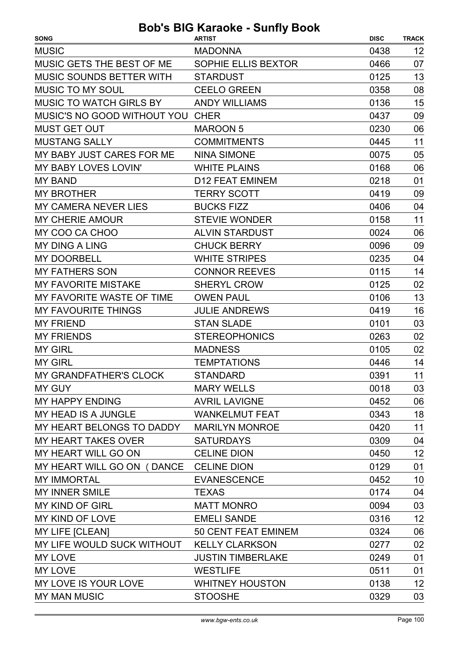| <b>MUSIC</b><br>12<br><b>MADONNA</b><br>0438<br>MUSIC GETS THE BEST OF ME<br>SOPHIE ELLIS BEXTOR<br>0466<br>07<br>13<br><b>MUSIC SOUNDS BETTER WITH</b><br>0125<br><b>STARDUST</b><br><b>MUSIC TO MY SOUL</b><br><b>CEELO GREEN</b><br>08<br>0358<br>15<br><b>MUSIC TO WATCH GIRLS BY</b><br>0136<br><b>ANDY WILLIAMS</b><br>MUSIC'S NO GOOD WITHOUT YOU CHER<br>09<br>0437<br><b>MUST GET OUT</b><br>0230<br>06<br><b>MAROON 5</b><br><b>MUSTANG SALLY</b><br><b>COMMITMENTS</b><br>0445<br>11<br><b>NINA SIMONE</b><br>MY BABY JUST CARES FOR ME<br>05<br>0075<br><b>MY BABY LOVES LOVIN'</b><br>06<br><b>WHITE PLAINS</b><br>0168<br><b>D12 FEAT EMINEM</b><br>0218<br>01<br><b>MY BAND</b><br><b>MY BROTHER</b><br><b>TERRY SCOTT</b><br>0419<br>09<br><b>BUCKS FIZZ</b><br>0406<br>04<br><b>MY CAMERA NEVER LIES</b><br><b>MY CHERIE AMOUR</b><br><b>STEVIE WONDER</b><br>0158<br>11<br><b>ALVIN STARDUST</b><br>MY COO CA CHOO<br>0024<br>06<br>09<br><b>MY DING A LING</b><br><b>CHUCK BERRY</b><br>0096<br><b>MY DOORBELL</b><br><b>WHITE STRIPES</b><br>0235<br>04<br>14<br><b>MY FATHERS SON</b><br><b>CONNOR REEVES</b><br>0115<br><b>MY FAVORITE MISTAKE</b><br><b>SHERYL CROW</b><br>02<br>0125<br>13<br>MY FAVORITE WASTE OF TIME<br><b>OWEN PAUL</b><br>0106<br>16<br><b>MY FAVOURITE THINGS</b><br>0419<br><b>JULIE ANDREWS</b><br><b>STAN SLADE</b><br>0101<br>03<br><b>MY FRIEND</b><br><b>STEREOPHONICS</b><br>0263<br>02<br><b>MY FRIENDS</b><br><b>MY GIRL</b><br><b>MADNESS</b><br>0105<br>02<br><b>MY GIRL</b><br><b>TEMPTATIONS</b><br>0446<br>14<br>0391<br>11<br><b>MY GRANDFATHER'S CLOCK</b><br>STANDARD<br><b>MARY WELLS</b><br>0018<br>03<br><b>MY GUY</b><br><b>MY HAPPY ENDING</b><br><b>AVRIL LAVIGNE</b><br>0452<br>06<br>18<br>MY HEAD IS A JUNGLE<br><b>WANKELMUT FEAT</b><br>0343<br>MY HEART BELONGS TO DADDY<br><b>MARILYN MONROE</b><br>11<br>0420<br><b>MY HEART TAKES OVER</b><br><b>SATURDAYS</b><br>0309<br>04<br>12<br>MY HEART WILL GO ON<br><b>CELINE DION</b><br>0450<br><b>CELINE DION</b><br>01<br>MY HEART WILL GO ON (DANCE<br>0129<br>10<br><b>MY IMMORTAL</b><br><b>EVANESCENCE</b><br>0452<br><b>MY INNER SMILE</b><br>04<br>0174<br><b>TEXAS</b><br><b>MY KIND OF GIRL</b><br><b>MATT MONRO</b><br>03<br>0094<br>12<br>MY KIND OF LOVE<br><b>EMELI SANDE</b><br>0316<br>MY LIFE [CLEAN]<br>06<br>50 CENT FEAT EMINEM<br>0324<br>MY LIFE WOULD SUCK WITHOUT<br>02<br><b>KELLY CLARKSON</b><br>0277<br><b>MY LOVE</b><br><b>JUSTIN TIMBERLAKE</b><br>01<br>0249<br><b>MY LOVE</b><br><b>WESTLIFE</b><br>0511<br>01<br>12<br>MY LOVE IS YOUR LOVE<br><b>WHITNEY HOUSTON</b><br>0138<br><b>MY MAN MUSIC</b><br>03<br><b>STOOSHE</b><br>0329 | <b>SONG</b> | <b>ARTIST</b> | <b>DISC</b> | <b>TRACK</b> |
|-------------------------------------------------------------------------------------------------------------------------------------------------------------------------------------------------------------------------------------------------------------------------------------------------------------------------------------------------------------------------------------------------------------------------------------------------------------------------------------------------------------------------------------------------------------------------------------------------------------------------------------------------------------------------------------------------------------------------------------------------------------------------------------------------------------------------------------------------------------------------------------------------------------------------------------------------------------------------------------------------------------------------------------------------------------------------------------------------------------------------------------------------------------------------------------------------------------------------------------------------------------------------------------------------------------------------------------------------------------------------------------------------------------------------------------------------------------------------------------------------------------------------------------------------------------------------------------------------------------------------------------------------------------------------------------------------------------------------------------------------------------------------------------------------------------------------------------------------------------------------------------------------------------------------------------------------------------------------------------------------------------------------------------------------------------------------------------------------------------------------------------------------------------------------------------------------------------------------------------------------------------------------------------------------------------------------------------------------------------------------------------------------------------------------------------------------------------------------------------------------------------------------------------------------------------------------------------------------------------------------------------------------------------------------------------------------|-------------|---------------|-------------|--------------|
|                                                                                                                                                                                                                                                                                                                                                                                                                                                                                                                                                                                                                                                                                                                                                                                                                                                                                                                                                                                                                                                                                                                                                                                                                                                                                                                                                                                                                                                                                                                                                                                                                                                                                                                                                                                                                                                                                                                                                                                                                                                                                                                                                                                                                                                                                                                                                                                                                                                                                                                                                                                                                                                                                                 |             |               |             |              |
|                                                                                                                                                                                                                                                                                                                                                                                                                                                                                                                                                                                                                                                                                                                                                                                                                                                                                                                                                                                                                                                                                                                                                                                                                                                                                                                                                                                                                                                                                                                                                                                                                                                                                                                                                                                                                                                                                                                                                                                                                                                                                                                                                                                                                                                                                                                                                                                                                                                                                                                                                                                                                                                                                                 |             |               |             |              |
|                                                                                                                                                                                                                                                                                                                                                                                                                                                                                                                                                                                                                                                                                                                                                                                                                                                                                                                                                                                                                                                                                                                                                                                                                                                                                                                                                                                                                                                                                                                                                                                                                                                                                                                                                                                                                                                                                                                                                                                                                                                                                                                                                                                                                                                                                                                                                                                                                                                                                                                                                                                                                                                                                                 |             |               |             |              |
|                                                                                                                                                                                                                                                                                                                                                                                                                                                                                                                                                                                                                                                                                                                                                                                                                                                                                                                                                                                                                                                                                                                                                                                                                                                                                                                                                                                                                                                                                                                                                                                                                                                                                                                                                                                                                                                                                                                                                                                                                                                                                                                                                                                                                                                                                                                                                                                                                                                                                                                                                                                                                                                                                                 |             |               |             |              |
|                                                                                                                                                                                                                                                                                                                                                                                                                                                                                                                                                                                                                                                                                                                                                                                                                                                                                                                                                                                                                                                                                                                                                                                                                                                                                                                                                                                                                                                                                                                                                                                                                                                                                                                                                                                                                                                                                                                                                                                                                                                                                                                                                                                                                                                                                                                                                                                                                                                                                                                                                                                                                                                                                                 |             |               |             |              |
|                                                                                                                                                                                                                                                                                                                                                                                                                                                                                                                                                                                                                                                                                                                                                                                                                                                                                                                                                                                                                                                                                                                                                                                                                                                                                                                                                                                                                                                                                                                                                                                                                                                                                                                                                                                                                                                                                                                                                                                                                                                                                                                                                                                                                                                                                                                                                                                                                                                                                                                                                                                                                                                                                                 |             |               |             |              |
|                                                                                                                                                                                                                                                                                                                                                                                                                                                                                                                                                                                                                                                                                                                                                                                                                                                                                                                                                                                                                                                                                                                                                                                                                                                                                                                                                                                                                                                                                                                                                                                                                                                                                                                                                                                                                                                                                                                                                                                                                                                                                                                                                                                                                                                                                                                                                                                                                                                                                                                                                                                                                                                                                                 |             |               |             |              |
|                                                                                                                                                                                                                                                                                                                                                                                                                                                                                                                                                                                                                                                                                                                                                                                                                                                                                                                                                                                                                                                                                                                                                                                                                                                                                                                                                                                                                                                                                                                                                                                                                                                                                                                                                                                                                                                                                                                                                                                                                                                                                                                                                                                                                                                                                                                                                                                                                                                                                                                                                                                                                                                                                                 |             |               |             |              |
|                                                                                                                                                                                                                                                                                                                                                                                                                                                                                                                                                                                                                                                                                                                                                                                                                                                                                                                                                                                                                                                                                                                                                                                                                                                                                                                                                                                                                                                                                                                                                                                                                                                                                                                                                                                                                                                                                                                                                                                                                                                                                                                                                                                                                                                                                                                                                                                                                                                                                                                                                                                                                                                                                                 |             |               |             |              |
|                                                                                                                                                                                                                                                                                                                                                                                                                                                                                                                                                                                                                                                                                                                                                                                                                                                                                                                                                                                                                                                                                                                                                                                                                                                                                                                                                                                                                                                                                                                                                                                                                                                                                                                                                                                                                                                                                                                                                                                                                                                                                                                                                                                                                                                                                                                                                                                                                                                                                                                                                                                                                                                                                                 |             |               |             |              |
|                                                                                                                                                                                                                                                                                                                                                                                                                                                                                                                                                                                                                                                                                                                                                                                                                                                                                                                                                                                                                                                                                                                                                                                                                                                                                                                                                                                                                                                                                                                                                                                                                                                                                                                                                                                                                                                                                                                                                                                                                                                                                                                                                                                                                                                                                                                                                                                                                                                                                                                                                                                                                                                                                                 |             |               |             |              |
|                                                                                                                                                                                                                                                                                                                                                                                                                                                                                                                                                                                                                                                                                                                                                                                                                                                                                                                                                                                                                                                                                                                                                                                                                                                                                                                                                                                                                                                                                                                                                                                                                                                                                                                                                                                                                                                                                                                                                                                                                                                                                                                                                                                                                                                                                                                                                                                                                                                                                                                                                                                                                                                                                                 |             |               |             |              |
|                                                                                                                                                                                                                                                                                                                                                                                                                                                                                                                                                                                                                                                                                                                                                                                                                                                                                                                                                                                                                                                                                                                                                                                                                                                                                                                                                                                                                                                                                                                                                                                                                                                                                                                                                                                                                                                                                                                                                                                                                                                                                                                                                                                                                                                                                                                                                                                                                                                                                                                                                                                                                                                                                                 |             |               |             |              |
|                                                                                                                                                                                                                                                                                                                                                                                                                                                                                                                                                                                                                                                                                                                                                                                                                                                                                                                                                                                                                                                                                                                                                                                                                                                                                                                                                                                                                                                                                                                                                                                                                                                                                                                                                                                                                                                                                                                                                                                                                                                                                                                                                                                                                                                                                                                                                                                                                                                                                                                                                                                                                                                                                                 |             |               |             |              |
|                                                                                                                                                                                                                                                                                                                                                                                                                                                                                                                                                                                                                                                                                                                                                                                                                                                                                                                                                                                                                                                                                                                                                                                                                                                                                                                                                                                                                                                                                                                                                                                                                                                                                                                                                                                                                                                                                                                                                                                                                                                                                                                                                                                                                                                                                                                                                                                                                                                                                                                                                                                                                                                                                                 |             |               |             |              |
|                                                                                                                                                                                                                                                                                                                                                                                                                                                                                                                                                                                                                                                                                                                                                                                                                                                                                                                                                                                                                                                                                                                                                                                                                                                                                                                                                                                                                                                                                                                                                                                                                                                                                                                                                                                                                                                                                                                                                                                                                                                                                                                                                                                                                                                                                                                                                                                                                                                                                                                                                                                                                                                                                                 |             |               |             |              |
|                                                                                                                                                                                                                                                                                                                                                                                                                                                                                                                                                                                                                                                                                                                                                                                                                                                                                                                                                                                                                                                                                                                                                                                                                                                                                                                                                                                                                                                                                                                                                                                                                                                                                                                                                                                                                                                                                                                                                                                                                                                                                                                                                                                                                                                                                                                                                                                                                                                                                                                                                                                                                                                                                                 |             |               |             |              |
|                                                                                                                                                                                                                                                                                                                                                                                                                                                                                                                                                                                                                                                                                                                                                                                                                                                                                                                                                                                                                                                                                                                                                                                                                                                                                                                                                                                                                                                                                                                                                                                                                                                                                                                                                                                                                                                                                                                                                                                                                                                                                                                                                                                                                                                                                                                                                                                                                                                                                                                                                                                                                                                                                                 |             |               |             |              |
|                                                                                                                                                                                                                                                                                                                                                                                                                                                                                                                                                                                                                                                                                                                                                                                                                                                                                                                                                                                                                                                                                                                                                                                                                                                                                                                                                                                                                                                                                                                                                                                                                                                                                                                                                                                                                                                                                                                                                                                                                                                                                                                                                                                                                                                                                                                                                                                                                                                                                                                                                                                                                                                                                                 |             |               |             |              |
|                                                                                                                                                                                                                                                                                                                                                                                                                                                                                                                                                                                                                                                                                                                                                                                                                                                                                                                                                                                                                                                                                                                                                                                                                                                                                                                                                                                                                                                                                                                                                                                                                                                                                                                                                                                                                                                                                                                                                                                                                                                                                                                                                                                                                                                                                                                                                                                                                                                                                                                                                                                                                                                                                                 |             |               |             |              |
|                                                                                                                                                                                                                                                                                                                                                                                                                                                                                                                                                                                                                                                                                                                                                                                                                                                                                                                                                                                                                                                                                                                                                                                                                                                                                                                                                                                                                                                                                                                                                                                                                                                                                                                                                                                                                                                                                                                                                                                                                                                                                                                                                                                                                                                                                                                                                                                                                                                                                                                                                                                                                                                                                                 |             |               |             |              |
|                                                                                                                                                                                                                                                                                                                                                                                                                                                                                                                                                                                                                                                                                                                                                                                                                                                                                                                                                                                                                                                                                                                                                                                                                                                                                                                                                                                                                                                                                                                                                                                                                                                                                                                                                                                                                                                                                                                                                                                                                                                                                                                                                                                                                                                                                                                                                                                                                                                                                                                                                                                                                                                                                                 |             |               |             |              |
|                                                                                                                                                                                                                                                                                                                                                                                                                                                                                                                                                                                                                                                                                                                                                                                                                                                                                                                                                                                                                                                                                                                                                                                                                                                                                                                                                                                                                                                                                                                                                                                                                                                                                                                                                                                                                                                                                                                                                                                                                                                                                                                                                                                                                                                                                                                                                                                                                                                                                                                                                                                                                                                                                                 |             |               |             |              |
|                                                                                                                                                                                                                                                                                                                                                                                                                                                                                                                                                                                                                                                                                                                                                                                                                                                                                                                                                                                                                                                                                                                                                                                                                                                                                                                                                                                                                                                                                                                                                                                                                                                                                                                                                                                                                                                                                                                                                                                                                                                                                                                                                                                                                                                                                                                                                                                                                                                                                                                                                                                                                                                                                                 |             |               |             |              |
|                                                                                                                                                                                                                                                                                                                                                                                                                                                                                                                                                                                                                                                                                                                                                                                                                                                                                                                                                                                                                                                                                                                                                                                                                                                                                                                                                                                                                                                                                                                                                                                                                                                                                                                                                                                                                                                                                                                                                                                                                                                                                                                                                                                                                                                                                                                                                                                                                                                                                                                                                                                                                                                                                                 |             |               |             |              |
|                                                                                                                                                                                                                                                                                                                                                                                                                                                                                                                                                                                                                                                                                                                                                                                                                                                                                                                                                                                                                                                                                                                                                                                                                                                                                                                                                                                                                                                                                                                                                                                                                                                                                                                                                                                                                                                                                                                                                                                                                                                                                                                                                                                                                                                                                                                                                                                                                                                                                                                                                                                                                                                                                                 |             |               |             |              |
|                                                                                                                                                                                                                                                                                                                                                                                                                                                                                                                                                                                                                                                                                                                                                                                                                                                                                                                                                                                                                                                                                                                                                                                                                                                                                                                                                                                                                                                                                                                                                                                                                                                                                                                                                                                                                                                                                                                                                                                                                                                                                                                                                                                                                                                                                                                                                                                                                                                                                                                                                                                                                                                                                                 |             |               |             |              |
|                                                                                                                                                                                                                                                                                                                                                                                                                                                                                                                                                                                                                                                                                                                                                                                                                                                                                                                                                                                                                                                                                                                                                                                                                                                                                                                                                                                                                                                                                                                                                                                                                                                                                                                                                                                                                                                                                                                                                                                                                                                                                                                                                                                                                                                                                                                                                                                                                                                                                                                                                                                                                                                                                                 |             |               |             |              |
|                                                                                                                                                                                                                                                                                                                                                                                                                                                                                                                                                                                                                                                                                                                                                                                                                                                                                                                                                                                                                                                                                                                                                                                                                                                                                                                                                                                                                                                                                                                                                                                                                                                                                                                                                                                                                                                                                                                                                                                                                                                                                                                                                                                                                                                                                                                                                                                                                                                                                                                                                                                                                                                                                                 |             |               |             |              |
|                                                                                                                                                                                                                                                                                                                                                                                                                                                                                                                                                                                                                                                                                                                                                                                                                                                                                                                                                                                                                                                                                                                                                                                                                                                                                                                                                                                                                                                                                                                                                                                                                                                                                                                                                                                                                                                                                                                                                                                                                                                                                                                                                                                                                                                                                                                                                                                                                                                                                                                                                                                                                                                                                                 |             |               |             |              |
|                                                                                                                                                                                                                                                                                                                                                                                                                                                                                                                                                                                                                                                                                                                                                                                                                                                                                                                                                                                                                                                                                                                                                                                                                                                                                                                                                                                                                                                                                                                                                                                                                                                                                                                                                                                                                                                                                                                                                                                                                                                                                                                                                                                                                                                                                                                                                                                                                                                                                                                                                                                                                                                                                                 |             |               |             |              |
|                                                                                                                                                                                                                                                                                                                                                                                                                                                                                                                                                                                                                                                                                                                                                                                                                                                                                                                                                                                                                                                                                                                                                                                                                                                                                                                                                                                                                                                                                                                                                                                                                                                                                                                                                                                                                                                                                                                                                                                                                                                                                                                                                                                                                                                                                                                                                                                                                                                                                                                                                                                                                                                                                                 |             |               |             |              |
|                                                                                                                                                                                                                                                                                                                                                                                                                                                                                                                                                                                                                                                                                                                                                                                                                                                                                                                                                                                                                                                                                                                                                                                                                                                                                                                                                                                                                                                                                                                                                                                                                                                                                                                                                                                                                                                                                                                                                                                                                                                                                                                                                                                                                                                                                                                                                                                                                                                                                                                                                                                                                                                                                                 |             |               |             |              |
|                                                                                                                                                                                                                                                                                                                                                                                                                                                                                                                                                                                                                                                                                                                                                                                                                                                                                                                                                                                                                                                                                                                                                                                                                                                                                                                                                                                                                                                                                                                                                                                                                                                                                                                                                                                                                                                                                                                                                                                                                                                                                                                                                                                                                                                                                                                                                                                                                                                                                                                                                                                                                                                                                                 |             |               |             |              |
|                                                                                                                                                                                                                                                                                                                                                                                                                                                                                                                                                                                                                                                                                                                                                                                                                                                                                                                                                                                                                                                                                                                                                                                                                                                                                                                                                                                                                                                                                                                                                                                                                                                                                                                                                                                                                                                                                                                                                                                                                                                                                                                                                                                                                                                                                                                                                                                                                                                                                                                                                                                                                                                                                                 |             |               |             |              |
|                                                                                                                                                                                                                                                                                                                                                                                                                                                                                                                                                                                                                                                                                                                                                                                                                                                                                                                                                                                                                                                                                                                                                                                                                                                                                                                                                                                                                                                                                                                                                                                                                                                                                                                                                                                                                                                                                                                                                                                                                                                                                                                                                                                                                                                                                                                                                                                                                                                                                                                                                                                                                                                                                                 |             |               |             |              |
|                                                                                                                                                                                                                                                                                                                                                                                                                                                                                                                                                                                                                                                                                                                                                                                                                                                                                                                                                                                                                                                                                                                                                                                                                                                                                                                                                                                                                                                                                                                                                                                                                                                                                                                                                                                                                                                                                                                                                                                                                                                                                                                                                                                                                                                                                                                                                                                                                                                                                                                                                                                                                                                                                                 |             |               |             |              |
|                                                                                                                                                                                                                                                                                                                                                                                                                                                                                                                                                                                                                                                                                                                                                                                                                                                                                                                                                                                                                                                                                                                                                                                                                                                                                                                                                                                                                                                                                                                                                                                                                                                                                                                                                                                                                                                                                                                                                                                                                                                                                                                                                                                                                                                                                                                                                                                                                                                                                                                                                                                                                                                                                                 |             |               |             |              |
|                                                                                                                                                                                                                                                                                                                                                                                                                                                                                                                                                                                                                                                                                                                                                                                                                                                                                                                                                                                                                                                                                                                                                                                                                                                                                                                                                                                                                                                                                                                                                                                                                                                                                                                                                                                                                                                                                                                                                                                                                                                                                                                                                                                                                                                                                                                                                                                                                                                                                                                                                                                                                                                                                                 |             |               |             |              |
|                                                                                                                                                                                                                                                                                                                                                                                                                                                                                                                                                                                                                                                                                                                                                                                                                                                                                                                                                                                                                                                                                                                                                                                                                                                                                                                                                                                                                                                                                                                                                                                                                                                                                                                                                                                                                                                                                                                                                                                                                                                                                                                                                                                                                                                                                                                                                                                                                                                                                                                                                                                                                                                                                                 |             |               |             |              |
|                                                                                                                                                                                                                                                                                                                                                                                                                                                                                                                                                                                                                                                                                                                                                                                                                                                                                                                                                                                                                                                                                                                                                                                                                                                                                                                                                                                                                                                                                                                                                                                                                                                                                                                                                                                                                                                                                                                                                                                                                                                                                                                                                                                                                                                                                                                                                                                                                                                                                                                                                                                                                                                                                                 |             |               |             |              |
|                                                                                                                                                                                                                                                                                                                                                                                                                                                                                                                                                                                                                                                                                                                                                                                                                                                                                                                                                                                                                                                                                                                                                                                                                                                                                                                                                                                                                                                                                                                                                                                                                                                                                                                                                                                                                                                                                                                                                                                                                                                                                                                                                                                                                                                                                                                                                                                                                                                                                                                                                                                                                                                                                                 |             |               |             |              |
|                                                                                                                                                                                                                                                                                                                                                                                                                                                                                                                                                                                                                                                                                                                                                                                                                                                                                                                                                                                                                                                                                                                                                                                                                                                                                                                                                                                                                                                                                                                                                                                                                                                                                                                                                                                                                                                                                                                                                                                                                                                                                                                                                                                                                                                                                                                                                                                                                                                                                                                                                                                                                                                                                                 |             |               |             |              |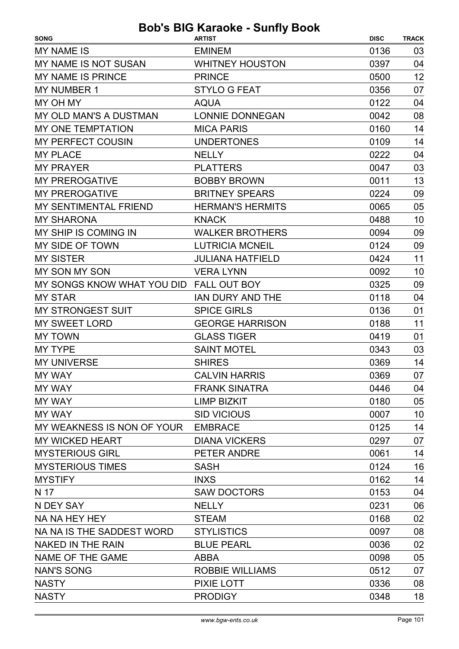| <b>SONG</b>                             | <b>ARTIST</b>           | <b>DISC</b> | <b>TRACK</b> |
|-----------------------------------------|-------------------------|-------------|--------------|
| <b>MY NAME IS</b>                       | <b>EMINEM</b>           | 0136        | 03           |
| <b>MY NAME IS NOT SUSAN</b>             | <b>WHITNEY HOUSTON</b>  | 0397        | 04           |
| <b>MY NAME IS PRINCE</b>                | <b>PRINCE</b>           | 0500        | 12           |
| <b>MY NUMBER 1</b>                      | <b>STYLO G FEAT</b>     | 0356        | 07           |
| MY OH MY                                | <b>AQUA</b>             | 0122        | 04           |
| MY OLD MAN'S A DUSTMAN                  | <b>LONNIE DONNEGAN</b>  | 0042        | 08           |
| <b>MY ONE TEMPTATION</b>                | <b>MICA PARIS</b>       | 0160        | 14           |
| <b>MY PERFECT COUSIN</b>                | <b>UNDERTONES</b>       | 0109        | 14           |
| <b>MY PLACE</b>                         | <b>NELLY</b>            | 0222        | 04           |
| <b>MY PRAYER</b>                        | <b>PLATTERS</b>         | 0047        | 03           |
| <b>MY PREROGATIVE</b>                   | <b>BOBBY BROWN</b>      | 0011        | 13           |
| <b>MY PREROGATIVE</b>                   | <b>BRITNEY SPEARS</b>   | 0224        | 09           |
| <b>MY SENTIMENTAL FRIEND</b>            | <b>HERMAN'S HERMITS</b> | 0065        | 05           |
| <b>MY SHARONA</b>                       | <b>KNACK</b>            | 0488        | 10           |
| MY SHIP IS COMING IN                    | <b>WALKER BROTHERS</b>  | 0094        | 09           |
| <b>MY SIDE OF TOWN</b>                  | <b>LUTRICIA MCNEIL</b>  | 0124        | 09           |
| <b>MY SISTER</b>                        | <b>JULIANA HATFIELD</b> | 0424        | 11           |
| MY SON MY SON                           | <b>VERA LYNN</b>        | 0092        | 10           |
| MY SONGS KNOW WHAT YOU DID FALL OUT BOY |                         | 0325        | 09           |
| <b>MY STAR</b>                          | <b>IAN DURY AND THE</b> | 0118        | 04           |
| <b>MY STRONGEST SUIT</b>                | <b>SPICE GIRLS</b>      | 0136        | 01           |
| <b>MY SWEET LORD</b>                    | <b>GEORGE HARRISON</b>  | 0188        | 11           |
| <b>MY TOWN</b>                          | <b>GLASS TIGER</b>      | 0419        | 01           |
| <b>MY TYPE</b>                          | <b>SAINT MOTEL</b>      | 0343        | 03           |
| <b>MY UNIVERSE</b>                      | <b>SHIRES</b>           | 0369        | 14           |
| MY WAY                                  | <b>CALVIN HARRIS</b>    | 0369        | 07           |
| <b>MY WAY</b>                           | <b>FRANK SINATRA</b>    | 0446        | 04           |
| <b>MY WAY</b>                           | <b>LIMP BIZKIT</b>      | 0180        | 05           |
| <b>MY WAY</b>                           | <b>SID VICIOUS</b>      | 0007        | 10           |
| MY WEAKNESS IS NON OF YOUR              | <b>EMBRACE</b>          | 0125        | 14           |
| <b>MY WICKED HEART</b>                  | <b>DIANA VICKERS</b>    | 0297        | 07           |
| <b>MYSTERIOUS GIRL</b>                  | PETER ANDRE             | 0061        | 14           |
| <b>MYSTERIOUS TIMES</b>                 | <b>SASH</b>             | 0124        | 16           |
| <b>MYSTIFY</b>                          | <b>INXS</b>             | 0162        | 14           |
| N 17                                    | <b>SAW DOCTORS</b>      | 0153        | 04           |
| N DEY SAY                               | <b>NELLY</b>            | 0231        | 06           |
| NA NA HEY HEY                           | <b>STEAM</b>            | 0168        | 02           |
| NA NA IS THE SADDEST WORD               | <b>STYLISTICS</b>       | 0097        | 08           |
| <b>NAKED IN THE RAIN</b>                | <b>BLUE PEARL</b>       | 0036        | 02           |
| NAME OF THE GAME                        | <b>ABBA</b>             | 0098        | 05           |
| <b>NAN'S SONG</b>                       | <b>ROBBIE WILLIAMS</b>  | 0512        | 07           |
| <b>NASTY</b>                            | <b>PIXIE LOTT</b>       | 0336        | 08           |
| <b>NASTY</b>                            | <b>PRODIGY</b>          | 0348        | 18           |
|                                         |                         |             |              |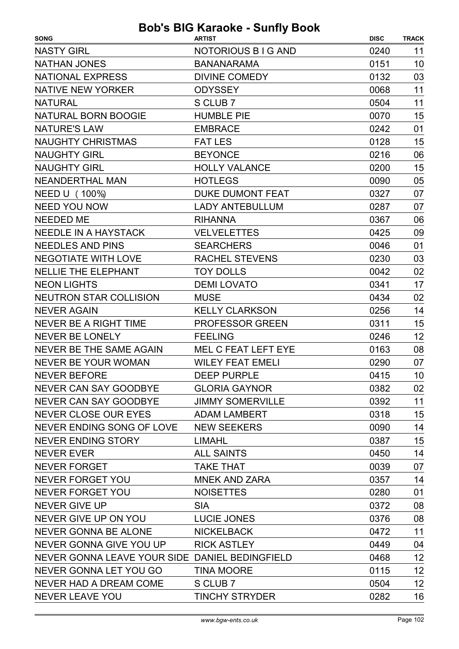| <b>SONG</b>                                    | <b>ARTIST</b>           | <b>DISC</b> | <b>TRACK</b> |
|------------------------------------------------|-------------------------|-------------|--------------|
| <b>NASTY GIRL</b>                              | NOTORIOUS BIG AND       | 0240        | 11           |
| <b>NATHAN JONES</b>                            | <b>BANANARAMA</b>       | 0151        | 10           |
| <b>NATIONAL EXPRESS</b>                        | <b>DIVINE COMEDY</b>    | 0132        | 03           |
| <b>NATIVE NEW YORKER</b>                       | <b>ODYSSEY</b>          | 0068        | 11           |
| <b>NATURAL</b>                                 | S CLUB 7                | 0504        | 11           |
| <b>NATURAL BORN BOOGIE</b>                     | <b>HUMBLE PIE</b>       | 0070        | 15           |
| <b>NATURE'S LAW</b>                            | <b>EMBRACE</b>          | 0242        | 01           |
| <b>NAUGHTY CHRISTMAS</b>                       | <b>FAT LES</b>          | 0128        | 15           |
| <b>NAUGHTY GIRL</b>                            | <b>BEYONCE</b>          | 0216        | 06           |
| <b>NAUGHTY GIRL</b>                            | <b>HOLLY VALANCE</b>    | 0200        | 15           |
| <b>NEANDERTHAL MAN</b>                         | <b>HOTLEGS</b>          | 0090        | 05           |
| NEED U (100%)                                  | <b>DUKE DUMONT FEAT</b> | 0327        | 07           |
| <b>NEED YOU NOW</b>                            | <b>LADY ANTEBULLUM</b>  | 0287        | 07           |
| <b>NEEDED ME</b>                               | <b>RIHANNA</b>          | 0367        | 06           |
| <b>NEEDLE IN A HAYSTACK</b>                    | <b>VELVELETTES</b>      | 0425        | 09           |
| <b>NEEDLES AND PINS</b>                        | <b>SEARCHERS</b>        | 0046        | 01           |
| <b>NEGOTIATE WITH LOVE</b>                     | <b>RACHEL STEVENS</b>   | 0230        | 03           |
| <b>NELLIE THE ELEPHANT</b>                     | <b>TOY DOLLS</b>        | 0042        | 02           |
| <b>NEON LIGHTS</b>                             | <b>DEMI LOVATO</b>      | 0341        | 17           |
| <b>NEUTRON STAR COLLISION</b>                  | <b>MUSE</b>             | 0434        | 02           |
| <b>NEVER AGAIN</b>                             | <b>KELLY CLARKSON</b>   | 0256        | 14           |
| <b>NEVER BE A RIGHT TIME</b>                   | PROFESSOR GREEN         | 0311        | 15           |
| <b>NEVER BE LONELY</b>                         | <b>FEELING</b>          | 0246        | 12           |
| <b>NEVER BE THE SAME AGAIN</b>                 | MEL C FEAT LEFT EYE     | 0163        | 08           |
| <b>NEVER BE YOUR WOMAN</b>                     | <b>WILEY FEAT EMELI</b> | 0290        | 07           |
| <b>NEVER BEFORE</b>                            | <b>DEEP PURPLE</b>      | 0415        | 10           |
| NEVER CAN SAY GOODBYE                          | <b>GLORIA GAYNOR</b>    | 0382        | 02           |
| NEVER CAN SAY GOODBYE                          | <b>JIMMY SOMERVILLE</b> | 0392        | 11           |
| NEVER CLOSE OUR EYES                           | <b>ADAM LAMBERT</b>     | 0318        | 15           |
| NEVER ENDING SONG OF LOVE                      | <b>NEW SEEKERS</b>      | 0090        | 14           |
| NEVER ENDING STORY                             | LIMAHL                  | 0387        | 15           |
| <b>NEVER EVER</b>                              | <b>ALL SAINTS</b>       | 0450        | 14           |
| NEVER FORGET                                   | <b>TAKE THAT</b>        | 0039        | 07           |
| NEVER FORGET YOU                               | <b>MNEK AND ZARA</b>    | 0357        | 14           |
| <b>NEVER FORGET YOU</b>                        | <b>NOISETTES</b>        | 0280        | 01           |
| <b>NEVER GIVE UP</b>                           | <b>SIA</b>              | 0372        | 08           |
| NEVER GIVE UP ON YOU                           | LUCIE JONES             | 0376        | 08           |
| <b>NEVER GONNA BE ALONE</b>                    | <b>NICKELBACK</b>       | 0472        | 11           |
| NEVER GONNA GIVE YOU UP                        | <b>RICK ASTLEY</b>      | 0449        | 04           |
| NEVER GONNA LEAVE YOUR SIDE DANIEL BEDINGFIELD |                         | 0468        | 12           |
| NEVER GONNA LET YOU GO                         | <b>TINA MOORE</b>       | 0115        | 12           |
| NEVER HAD A DREAM COME                         | S CLUB 7                | 0504        | 12           |
| NEVER LEAVE YOU                                | <b>TINCHY STRYDER</b>   | 0282        | 16           |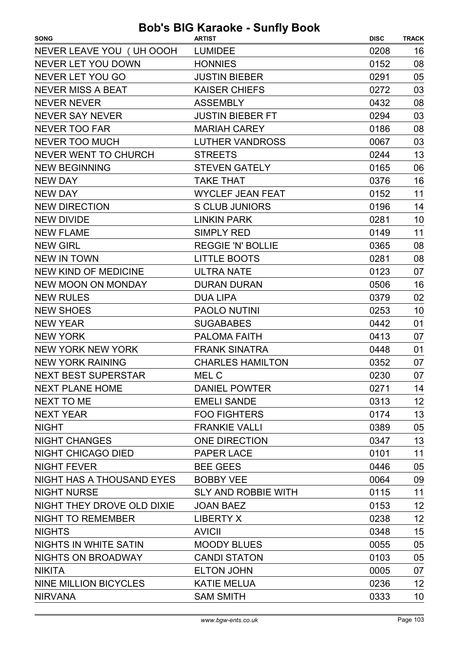| <b>SONG</b>                  | <b>ARTIST</b>              | <b>DISC</b> | <b>TRACK</b> |
|------------------------------|----------------------------|-------------|--------------|
| NEVER LEAVE YOU ( UH OOOH    | <b>LUMIDEE</b>             | 0208        | 16           |
| NEVER LET YOU DOWN           | <b>HONNIES</b>             | 0152        | 08           |
| NEVER LET YOU GO             | <b>JUSTIN BIEBER</b>       | 0291        | 05           |
| <b>NEVER MISS A BEAT</b>     | <b>KAISER CHIEFS</b>       | 0272        | 03           |
| <b>NEVER NEVER</b>           | <b>ASSEMBLY</b>            | 0432        | 08           |
| <b>NEVER SAY NEVER</b>       | <b>JUSTIN BIEBER FT</b>    | 0294        | 03           |
| <b>NEVER TOO FAR</b>         | <b>MARIAH CAREY</b>        | 0186        | 08           |
| <b>NEVER TOO MUCH</b>        | <b>LUTHER VANDROSS</b>     | 0067        | 03           |
| <b>NEVER WENT TO CHURCH</b>  | <b>STREETS</b>             | 0244        | 13           |
| <b>NEW BEGINNING</b>         | <b>STEVEN GATELY</b>       | 0165        | 06           |
| <b>NEW DAY</b>               | <b>TAKE THAT</b>           | 0376        | 16           |
| <b>NEW DAY</b>               | <b>WYCLEF JEAN FEAT</b>    | 0152        | 11           |
| <b>NEW DIRECTION</b>         | <b>S CLUB JUNIORS</b>      | 0196        | 14           |
| <b>NEW DIVIDE</b>            | <b>LINKIN PARK</b>         | 0281        | 10           |
| <b>NEW FLAME</b>             | <b>SIMPLY RED</b>          | 0149        | 11           |
| <b>NEW GIRL</b>              | <b>REGGIE 'N' BOLLIE</b>   | 0365        | 08           |
| <b>NEW IN TOWN</b>           | <b>LITTLE BOOTS</b>        | 0281        | 08           |
| <b>NEW KIND OF MEDICINE</b>  | <b>ULTRA NATE</b>          | 0123        | 07           |
| <b>NEW MOON ON MONDAY</b>    | <b>DURAN DURAN</b>         | 0506        | 16           |
| <b>NEW RULES</b>             | <b>DUA LIPA</b>            | 0379        | 02           |
| <b>NEW SHOES</b>             | PAOLO NUTINI               | 0253        | 10           |
| <b>NEW YEAR</b>              | <b>SUGABABES</b>           | 0442        | 01           |
| <b>NEW YORK</b>              | <b>PALOMA FAITH</b>        | 0413        | 07           |
| <b>NEW YORK NEW YORK</b>     | <b>FRANK SINATRA</b>       | 0448        | 01           |
| <b>NEW YORK RAINING</b>      | <b>CHARLES HAMILTON</b>    | 0352        | 07           |
| <b>NEXT BEST SUPERSTAR</b>   | MEL C                      | 0230        | 07           |
| <b>NEXT PLANE HOME</b>       | <b>DANIEL POWTER</b>       | 0271        | 14           |
| <b>NEXT TO ME</b>            | <b>EMELI SANDE</b>         | 0313        | 12           |
| <b>NEXT YEAR</b>             | <b>FOO FIGHTERS</b>        | 0174        | 13           |
| <b>NIGHT</b>                 | <b>FRANKIE VALLI</b>       | 0389        | 05           |
| <b>NIGHT CHANGES</b>         | <b>ONE DIRECTION</b>       | 0347        | 13           |
| <b>NIGHT CHICAGO DIED</b>    | <b>PAPER LACE</b>          | 0101        | 11           |
| <b>NIGHT FEVER</b>           | <b>BEE GEES</b>            | 0446        | 05           |
| NIGHT HAS A THOUSAND EYES    | <b>BOBBY VEE</b>           | 0064        | 09           |
| <b>NIGHT NURSE</b>           | <b>SLY AND ROBBIE WITH</b> | 0115        | 11           |
| NIGHT THEY DROVE OLD DIXIE   | <b>JOAN BAEZ</b>           | 0153        | 12           |
| <b>NIGHT TO REMEMBER</b>     | <b>LIBERTY X</b>           | 0238        | 12           |
| <b>NIGHTS</b>                | <b>AVICII</b>              | 0348        | 15           |
| NIGHTS IN WHITE SATIN        | <b>MOODY BLUES</b>         | 0055        | 05           |
| NIGHTS ON BROADWAY           | <b>CANDI STATON</b>        | 0103        | 05           |
| <b>NIKITA</b>                | <b>ELTON JOHN</b>          | 0005        | 07           |
| <b>NINE MILLION BICYCLES</b> | <b>KATIE MELUA</b>         | 0236        | 12           |
| <b>NIRVANA</b>               | <b>SAM SMITH</b>           | 0333        | 10           |
|                              |                            |             |              |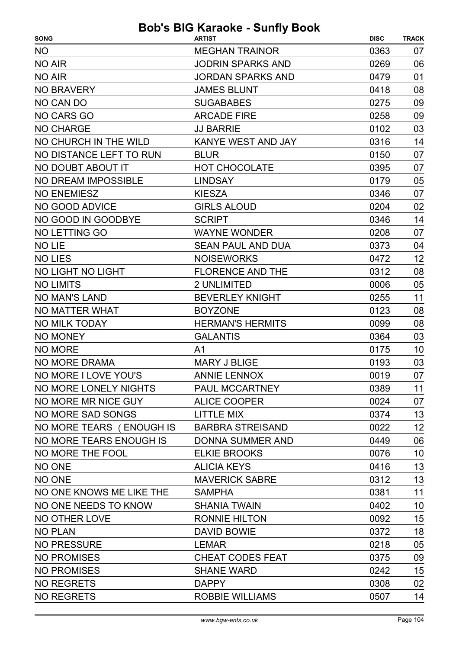| <b>NO</b><br>0363<br><b>MEGHAN TRAINOR</b><br>07<br><b>NO AIR</b><br><b>JODRIN SPARKS AND</b><br>06<br>0269<br><b>NO AIR</b><br><b>JORDAN SPARKS AND</b><br>01<br>0479<br><b>NO BRAVERY</b><br><b>JAMES BLUNT</b><br>08<br>0418<br>NO CAN DO<br><b>SUGABABES</b><br>09<br>0275<br><b>NO CARS GO</b><br><b>ARCADE FIRE</b><br>09<br>0258<br>03<br><b>NO CHARGE</b><br><b>JJ BARRIE</b><br>0102<br>NO CHURCH IN THE WILD<br>KANYE WEST AND JAY<br>0316<br>14<br>07<br>NO DISTANCE LEFT TO RUN<br><b>BLUR</b><br>0150<br>NO DOUBT ABOUT IT<br>07<br><b>HOT CHOCOLATE</b><br>0395<br>NO DREAM IMPOSSIBLE<br>05<br><b>LINDSAY</b><br>0179<br><b>NO ENEMIESZ</b><br><b>KIESZA</b><br>0346<br>07<br>NO GOOD ADVICE<br><b>GIRLS ALOUD</b><br>0204<br>02<br>NO GOOD IN GOODBYE<br><b>SCRIPT</b><br>0346<br>14<br>NO LETTING GO<br>0208<br>07<br><b>WAYNE WONDER</b><br><b>NO LIE</b><br>04<br><b>SEAN PAUL AND DUA</b><br>0373<br><b>NOISEWORKS</b><br>12<br><b>NO LIES</b><br>0472<br>08<br>NO LIGHT NO LIGHT<br><b>FLORENCE AND THE</b><br>0312<br><b>NO LIMITS</b><br><b>2 UNLIMITED</b><br>0006<br>05<br>11<br><b>NO MAN'S LAND</b><br><b>BEVERLEY KNIGHT</b><br>0255<br>NO MATTER WHAT<br><b>BOYZONE</b><br>08<br>0123<br>08<br><b>HERMAN'S HERMITS</b><br>0099<br><b>NO MILK TODAY</b><br>03<br><b>NO MONEY</b><br>0364<br><b>GALANTIS</b><br><b>NO MORE</b><br>10<br>A <sub>1</sub><br>0175<br>NO MORE DRAMA<br><b>MARY J BLIGE</b><br>0193<br>03<br>NO MORE I LOVE YOU'S<br><b>ANNIE LENNOX</b><br>0019<br>07<br>NO MORE LONELY NIGHTS PAUL MCCARTNEY<br>0389<br>11<br>NO MORE MR NICE GUY<br>0024<br>07<br>ALICE COOPER<br>13<br>NO MORE SAD SONGS<br>LITTLE MIX<br>0374<br>12<br>NO MORE TEARS (ENOUGH IS<br><b>BARBRA STREISAND</b><br>0022<br>NO MORE TEARS ENOUGH IS<br>DONNA SUMMER AND<br>06<br>0449<br>10<br>NO MORE THE FOOL<br><b>ELKIE BROOKS</b><br>0076<br>13<br>NO ONE<br><b>ALICIA KEYS</b><br>0416<br>13<br>NO ONE<br><b>MAVERICK SABRE</b><br>0312<br>11<br>NO ONE KNOWS ME LIKE THE<br><b>SAMPHA</b><br>0381<br>NO ONE NEEDS TO KNOW<br>0402<br>10<br><b>SHANIA TWAIN</b><br>15<br>NO OTHER LOVE<br><b>RONNIE HILTON</b><br>0092<br>18<br><b>DAVID BOWIE</b><br>NO PLAN<br>0372<br><b>NO PRESSURE</b><br><b>LEMAR</b><br>0218<br>05<br><b>NO PROMISES</b><br><b>CHEAT CODES FEAT</b><br>09<br>0375<br>15<br><b>NO PROMISES</b><br><b>SHANE WARD</b><br>0242<br><b>NO REGRETS</b><br><b>DAPPY</b><br>0308<br>02<br><b>NO REGRETS</b><br>0507<br><b>ROBBIE WILLIAMS</b> | <b>SONG</b> | <b>ARTIST</b> | <b>DISC</b> | <b>TRACK</b> |
|----------------------------------------------------------------------------------------------------------------------------------------------------------------------------------------------------------------------------------------------------------------------------------------------------------------------------------------------------------------------------------------------------------------------------------------------------------------------------------------------------------------------------------------------------------------------------------------------------------------------------------------------------------------------------------------------------------------------------------------------------------------------------------------------------------------------------------------------------------------------------------------------------------------------------------------------------------------------------------------------------------------------------------------------------------------------------------------------------------------------------------------------------------------------------------------------------------------------------------------------------------------------------------------------------------------------------------------------------------------------------------------------------------------------------------------------------------------------------------------------------------------------------------------------------------------------------------------------------------------------------------------------------------------------------------------------------------------------------------------------------------------------------------------------------------------------------------------------------------------------------------------------------------------------------------------------------------------------------------------------------------------------------------------------------------------------------------------------------------------------------------------------------------------------------------------------------------------------------------------------------------------------------------------------------------------------------------------------------------------------------------------------------------------------------------------------------------------------------------------|-------------|---------------|-------------|--------------|
| 14                                                                                                                                                                                                                                                                                                                                                                                                                                                                                                                                                                                                                                                                                                                                                                                                                                                                                                                                                                                                                                                                                                                                                                                                                                                                                                                                                                                                                                                                                                                                                                                                                                                                                                                                                                                                                                                                                                                                                                                                                                                                                                                                                                                                                                                                                                                                                                                                                                                                                     |             |               |             |              |
|                                                                                                                                                                                                                                                                                                                                                                                                                                                                                                                                                                                                                                                                                                                                                                                                                                                                                                                                                                                                                                                                                                                                                                                                                                                                                                                                                                                                                                                                                                                                                                                                                                                                                                                                                                                                                                                                                                                                                                                                                                                                                                                                                                                                                                                                                                                                                                                                                                                                                        |             |               |             |              |
|                                                                                                                                                                                                                                                                                                                                                                                                                                                                                                                                                                                                                                                                                                                                                                                                                                                                                                                                                                                                                                                                                                                                                                                                                                                                                                                                                                                                                                                                                                                                                                                                                                                                                                                                                                                                                                                                                                                                                                                                                                                                                                                                                                                                                                                                                                                                                                                                                                                                                        |             |               |             |              |
|                                                                                                                                                                                                                                                                                                                                                                                                                                                                                                                                                                                                                                                                                                                                                                                                                                                                                                                                                                                                                                                                                                                                                                                                                                                                                                                                                                                                                                                                                                                                                                                                                                                                                                                                                                                                                                                                                                                                                                                                                                                                                                                                                                                                                                                                                                                                                                                                                                                                                        |             |               |             |              |
|                                                                                                                                                                                                                                                                                                                                                                                                                                                                                                                                                                                                                                                                                                                                                                                                                                                                                                                                                                                                                                                                                                                                                                                                                                                                                                                                                                                                                                                                                                                                                                                                                                                                                                                                                                                                                                                                                                                                                                                                                                                                                                                                                                                                                                                                                                                                                                                                                                                                                        |             |               |             |              |
|                                                                                                                                                                                                                                                                                                                                                                                                                                                                                                                                                                                                                                                                                                                                                                                                                                                                                                                                                                                                                                                                                                                                                                                                                                                                                                                                                                                                                                                                                                                                                                                                                                                                                                                                                                                                                                                                                                                                                                                                                                                                                                                                                                                                                                                                                                                                                                                                                                                                                        |             |               |             |              |
|                                                                                                                                                                                                                                                                                                                                                                                                                                                                                                                                                                                                                                                                                                                                                                                                                                                                                                                                                                                                                                                                                                                                                                                                                                                                                                                                                                                                                                                                                                                                                                                                                                                                                                                                                                                                                                                                                                                                                                                                                                                                                                                                                                                                                                                                                                                                                                                                                                                                                        |             |               |             |              |
|                                                                                                                                                                                                                                                                                                                                                                                                                                                                                                                                                                                                                                                                                                                                                                                                                                                                                                                                                                                                                                                                                                                                                                                                                                                                                                                                                                                                                                                                                                                                                                                                                                                                                                                                                                                                                                                                                                                                                                                                                                                                                                                                                                                                                                                                                                                                                                                                                                                                                        |             |               |             |              |
|                                                                                                                                                                                                                                                                                                                                                                                                                                                                                                                                                                                                                                                                                                                                                                                                                                                                                                                                                                                                                                                                                                                                                                                                                                                                                                                                                                                                                                                                                                                                                                                                                                                                                                                                                                                                                                                                                                                                                                                                                                                                                                                                                                                                                                                                                                                                                                                                                                                                                        |             |               |             |              |
|                                                                                                                                                                                                                                                                                                                                                                                                                                                                                                                                                                                                                                                                                                                                                                                                                                                                                                                                                                                                                                                                                                                                                                                                                                                                                                                                                                                                                                                                                                                                                                                                                                                                                                                                                                                                                                                                                                                                                                                                                                                                                                                                                                                                                                                                                                                                                                                                                                                                                        |             |               |             |              |
|                                                                                                                                                                                                                                                                                                                                                                                                                                                                                                                                                                                                                                                                                                                                                                                                                                                                                                                                                                                                                                                                                                                                                                                                                                                                                                                                                                                                                                                                                                                                                                                                                                                                                                                                                                                                                                                                                                                                                                                                                                                                                                                                                                                                                                                                                                                                                                                                                                                                                        |             |               |             |              |
|                                                                                                                                                                                                                                                                                                                                                                                                                                                                                                                                                                                                                                                                                                                                                                                                                                                                                                                                                                                                                                                                                                                                                                                                                                                                                                                                                                                                                                                                                                                                                                                                                                                                                                                                                                                                                                                                                                                                                                                                                                                                                                                                                                                                                                                                                                                                                                                                                                                                                        |             |               |             |              |
|                                                                                                                                                                                                                                                                                                                                                                                                                                                                                                                                                                                                                                                                                                                                                                                                                                                                                                                                                                                                                                                                                                                                                                                                                                                                                                                                                                                                                                                                                                                                                                                                                                                                                                                                                                                                                                                                                                                                                                                                                                                                                                                                                                                                                                                                                                                                                                                                                                                                                        |             |               |             |              |
|                                                                                                                                                                                                                                                                                                                                                                                                                                                                                                                                                                                                                                                                                                                                                                                                                                                                                                                                                                                                                                                                                                                                                                                                                                                                                                                                                                                                                                                                                                                                                                                                                                                                                                                                                                                                                                                                                                                                                                                                                                                                                                                                                                                                                                                                                                                                                                                                                                                                                        |             |               |             |              |
|                                                                                                                                                                                                                                                                                                                                                                                                                                                                                                                                                                                                                                                                                                                                                                                                                                                                                                                                                                                                                                                                                                                                                                                                                                                                                                                                                                                                                                                                                                                                                                                                                                                                                                                                                                                                                                                                                                                                                                                                                                                                                                                                                                                                                                                                                                                                                                                                                                                                                        |             |               |             |              |
|                                                                                                                                                                                                                                                                                                                                                                                                                                                                                                                                                                                                                                                                                                                                                                                                                                                                                                                                                                                                                                                                                                                                                                                                                                                                                                                                                                                                                                                                                                                                                                                                                                                                                                                                                                                                                                                                                                                                                                                                                                                                                                                                                                                                                                                                                                                                                                                                                                                                                        |             |               |             |              |
|                                                                                                                                                                                                                                                                                                                                                                                                                                                                                                                                                                                                                                                                                                                                                                                                                                                                                                                                                                                                                                                                                                                                                                                                                                                                                                                                                                                                                                                                                                                                                                                                                                                                                                                                                                                                                                                                                                                                                                                                                                                                                                                                                                                                                                                                                                                                                                                                                                                                                        |             |               |             |              |
|                                                                                                                                                                                                                                                                                                                                                                                                                                                                                                                                                                                                                                                                                                                                                                                                                                                                                                                                                                                                                                                                                                                                                                                                                                                                                                                                                                                                                                                                                                                                                                                                                                                                                                                                                                                                                                                                                                                                                                                                                                                                                                                                                                                                                                                                                                                                                                                                                                                                                        |             |               |             |              |
|                                                                                                                                                                                                                                                                                                                                                                                                                                                                                                                                                                                                                                                                                                                                                                                                                                                                                                                                                                                                                                                                                                                                                                                                                                                                                                                                                                                                                                                                                                                                                                                                                                                                                                                                                                                                                                                                                                                                                                                                                                                                                                                                                                                                                                                                                                                                                                                                                                                                                        |             |               |             |              |
|                                                                                                                                                                                                                                                                                                                                                                                                                                                                                                                                                                                                                                                                                                                                                                                                                                                                                                                                                                                                                                                                                                                                                                                                                                                                                                                                                                                                                                                                                                                                                                                                                                                                                                                                                                                                                                                                                                                                                                                                                                                                                                                                                                                                                                                                                                                                                                                                                                                                                        |             |               |             |              |
|                                                                                                                                                                                                                                                                                                                                                                                                                                                                                                                                                                                                                                                                                                                                                                                                                                                                                                                                                                                                                                                                                                                                                                                                                                                                                                                                                                                                                                                                                                                                                                                                                                                                                                                                                                                                                                                                                                                                                                                                                                                                                                                                                                                                                                                                                                                                                                                                                                                                                        |             |               |             |              |
|                                                                                                                                                                                                                                                                                                                                                                                                                                                                                                                                                                                                                                                                                                                                                                                                                                                                                                                                                                                                                                                                                                                                                                                                                                                                                                                                                                                                                                                                                                                                                                                                                                                                                                                                                                                                                                                                                                                                                                                                                                                                                                                                                                                                                                                                                                                                                                                                                                                                                        |             |               |             |              |
|                                                                                                                                                                                                                                                                                                                                                                                                                                                                                                                                                                                                                                                                                                                                                                                                                                                                                                                                                                                                                                                                                                                                                                                                                                                                                                                                                                                                                                                                                                                                                                                                                                                                                                                                                                                                                                                                                                                                                                                                                                                                                                                                                                                                                                                                                                                                                                                                                                                                                        |             |               |             |              |
|                                                                                                                                                                                                                                                                                                                                                                                                                                                                                                                                                                                                                                                                                                                                                                                                                                                                                                                                                                                                                                                                                                                                                                                                                                                                                                                                                                                                                                                                                                                                                                                                                                                                                                                                                                                                                                                                                                                                                                                                                                                                                                                                                                                                                                                                                                                                                                                                                                                                                        |             |               |             |              |
|                                                                                                                                                                                                                                                                                                                                                                                                                                                                                                                                                                                                                                                                                                                                                                                                                                                                                                                                                                                                                                                                                                                                                                                                                                                                                                                                                                                                                                                                                                                                                                                                                                                                                                                                                                                                                                                                                                                                                                                                                                                                                                                                                                                                                                                                                                                                                                                                                                                                                        |             |               |             |              |
|                                                                                                                                                                                                                                                                                                                                                                                                                                                                                                                                                                                                                                                                                                                                                                                                                                                                                                                                                                                                                                                                                                                                                                                                                                                                                                                                                                                                                                                                                                                                                                                                                                                                                                                                                                                                                                                                                                                                                                                                                                                                                                                                                                                                                                                                                                                                                                                                                                                                                        |             |               |             |              |
|                                                                                                                                                                                                                                                                                                                                                                                                                                                                                                                                                                                                                                                                                                                                                                                                                                                                                                                                                                                                                                                                                                                                                                                                                                                                                                                                                                                                                                                                                                                                                                                                                                                                                                                                                                                                                                                                                                                                                                                                                                                                                                                                                                                                                                                                                                                                                                                                                                                                                        |             |               |             |              |
|                                                                                                                                                                                                                                                                                                                                                                                                                                                                                                                                                                                                                                                                                                                                                                                                                                                                                                                                                                                                                                                                                                                                                                                                                                                                                                                                                                                                                                                                                                                                                                                                                                                                                                                                                                                                                                                                                                                                                                                                                                                                                                                                                                                                                                                                                                                                                                                                                                                                                        |             |               |             |              |
|                                                                                                                                                                                                                                                                                                                                                                                                                                                                                                                                                                                                                                                                                                                                                                                                                                                                                                                                                                                                                                                                                                                                                                                                                                                                                                                                                                                                                                                                                                                                                                                                                                                                                                                                                                                                                                                                                                                                                                                                                                                                                                                                                                                                                                                                                                                                                                                                                                                                                        |             |               |             |              |
|                                                                                                                                                                                                                                                                                                                                                                                                                                                                                                                                                                                                                                                                                                                                                                                                                                                                                                                                                                                                                                                                                                                                                                                                                                                                                                                                                                                                                                                                                                                                                                                                                                                                                                                                                                                                                                                                                                                                                                                                                                                                                                                                                                                                                                                                                                                                                                                                                                                                                        |             |               |             |              |
|                                                                                                                                                                                                                                                                                                                                                                                                                                                                                                                                                                                                                                                                                                                                                                                                                                                                                                                                                                                                                                                                                                                                                                                                                                                                                                                                                                                                                                                                                                                                                                                                                                                                                                                                                                                                                                                                                                                                                                                                                                                                                                                                                                                                                                                                                                                                                                                                                                                                                        |             |               |             |              |
|                                                                                                                                                                                                                                                                                                                                                                                                                                                                                                                                                                                                                                                                                                                                                                                                                                                                                                                                                                                                                                                                                                                                                                                                                                                                                                                                                                                                                                                                                                                                                                                                                                                                                                                                                                                                                                                                                                                                                                                                                                                                                                                                                                                                                                                                                                                                                                                                                                                                                        |             |               |             |              |
|                                                                                                                                                                                                                                                                                                                                                                                                                                                                                                                                                                                                                                                                                                                                                                                                                                                                                                                                                                                                                                                                                                                                                                                                                                                                                                                                                                                                                                                                                                                                                                                                                                                                                                                                                                                                                                                                                                                                                                                                                                                                                                                                                                                                                                                                                                                                                                                                                                                                                        |             |               |             |              |
|                                                                                                                                                                                                                                                                                                                                                                                                                                                                                                                                                                                                                                                                                                                                                                                                                                                                                                                                                                                                                                                                                                                                                                                                                                                                                                                                                                                                                                                                                                                                                                                                                                                                                                                                                                                                                                                                                                                                                                                                                                                                                                                                                                                                                                                                                                                                                                                                                                                                                        |             |               |             |              |
|                                                                                                                                                                                                                                                                                                                                                                                                                                                                                                                                                                                                                                                                                                                                                                                                                                                                                                                                                                                                                                                                                                                                                                                                                                                                                                                                                                                                                                                                                                                                                                                                                                                                                                                                                                                                                                                                                                                                                                                                                                                                                                                                                                                                                                                                                                                                                                                                                                                                                        |             |               |             |              |
|                                                                                                                                                                                                                                                                                                                                                                                                                                                                                                                                                                                                                                                                                                                                                                                                                                                                                                                                                                                                                                                                                                                                                                                                                                                                                                                                                                                                                                                                                                                                                                                                                                                                                                                                                                                                                                                                                                                                                                                                                                                                                                                                                                                                                                                                                                                                                                                                                                                                                        |             |               |             |              |
|                                                                                                                                                                                                                                                                                                                                                                                                                                                                                                                                                                                                                                                                                                                                                                                                                                                                                                                                                                                                                                                                                                                                                                                                                                                                                                                                                                                                                                                                                                                                                                                                                                                                                                                                                                                                                                                                                                                                                                                                                                                                                                                                                                                                                                                                                                                                                                                                                                                                                        |             |               |             |              |
|                                                                                                                                                                                                                                                                                                                                                                                                                                                                                                                                                                                                                                                                                                                                                                                                                                                                                                                                                                                                                                                                                                                                                                                                                                                                                                                                                                                                                                                                                                                                                                                                                                                                                                                                                                                                                                                                                                                                                                                                                                                                                                                                                                                                                                                                                                                                                                                                                                                                                        |             |               |             |              |
|                                                                                                                                                                                                                                                                                                                                                                                                                                                                                                                                                                                                                                                                                                                                                                                                                                                                                                                                                                                                                                                                                                                                                                                                                                                                                                                                                                                                                                                                                                                                                                                                                                                                                                                                                                                                                                                                                                                                                                                                                                                                                                                                                                                                                                                                                                                                                                                                                                                                                        |             |               |             |              |
|                                                                                                                                                                                                                                                                                                                                                                                                                                                                                                                                                                                                                                                                                                                                                                                                                                                                                                                                                                                                                                                                                                                                                                                                                                                                                                                                                                                                                                                                                                                                                                                                                                                                                                                                                                                                                                                                                                                                                                                                                                                                                                                                                                                                                                                                                                                                                                                                                                                                                        |             |               |             |              |
|                                                                                                                                                                                                                                                                                                                                                                                                                                                                                                                                                                                                                                                                                                                                                                                                                                                                                                                                                                                                                                                                                                                                                                                                                                                                                                                                                                                                                                                                                                                                                                                                                                                                                                                                                                                                                                                                                                                                                                                                                                                                                                                                                                                                                                                                                                                                                                                                                                                                                        |             |               |             |              |
|                                                                                                                                                                                                                                                                                                                                                                                                                                                                                                                                                                                                                                                                                                                                                                                                                                                                                                                                                                                                                                                                                                                                                                                                                                                                                                                                                                                                                                                                                                                                                                                                                                                                                                                                                                                                                                                                                                                                                                                                                                                                                                                                                                                                                                                                                                                                                                                                                                                                                        |             |               |             |              |
|                                                                                                                                                                                                                                                                                                                                                                                                                                                                                                                                                                                                                                                                                                                                                                                                                                                                                                                                                                                                                                                                                                                                                                                                                                                                                                                                                                                                                                                                                                                                                                                                                                                                                                                                                                                                                                                                                                                                                                                                                                                                                                                                                                                                                                                                                                                                                                                                                                                                                        |             |               |             |              |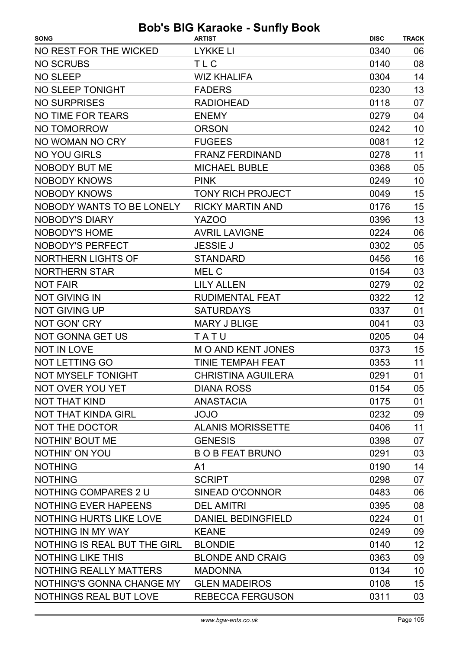| NO REST FOR THE WICKED<br><b>LYKKE LI</b><br>0340<br>06<br><b>TLC</b><br>08<br><b>NO SCRUBS</b><br>0140<br><b>NO SLEEP</b><br>0304<br>14<br><b>WIZ KHALIFA</b><br>13<br>NO SLEEP TONIGHT<br><b>FADERS</b><br>0230<br><b>NO SURPRISES</b><br>0118<br>07<br><b>RADIOHEAD</b><br>NO TIME FOR TEARS<br>04<br><b>ENEMY</b><br>0279<br>10<br>NO TOMORROW<br><b>ORSON</b><br>0242<br>12<br>NO WOMAN NO CRY<br><b>FUGEES</b><br>0081<br><b>NO YOU GIRLS</b><br><b>FRANZ FERDINAND</b><br>11<br>0278<br>NOBODY BUT ME<br><b>MICHAEL BUBLE</b><br>0368<br>05<br><b>NOBODY KNOWS</b><br>0249<br>10<br><b>PINK</b><br><b>NOBODY KNOWS</b><br>15<br><b>TONY RICH PROJECT</b><br>0049<br>NOBODY WANTS TO BE LONELY<br><b>RICKY MARTIN AND</b><br>0176<br>15<br><b>NOBODY'S DIARY</b><br>13<br><b>YAZOO</b><br>0396<br>NOBODY'S HOME<br><b>AVRIL LAVIGNE</b><br>0224<br>06 | <b>SONG</b> | <b>ARTIST</b> | <b>DISC</b> | <b>TRACK</b> |
|-------------------------------------------------------------------------------------------------------------------------------------------------------------------------------------------------------------------------------------------------------------------------------------------------------------------------------------------------------------------------------------------------------------------------------------------------------------------------------------------------------------------------------------------------------------------------------------------------------------------------------------------------------------------------------------------------------------------------------------------------------------------------------------------------------------------------------------------------------------|-------------|---------------|-------------|--------------|
|                                                                                                                                                                                                                                                                                                                                                                                                                                                                                                                                                                                                                                                                                                                                                                                                                                                             |             |               |             |              |
|                                                                                                                                                                                                                                                                                                                                                                                                                                                                                                                                                                                                                                                                                                                                                                                                                                                             |             |               |             |              |
|                                                                                                                                                                                                                                                                                                                                                                                                                                                                                                                                                                                                                                                                                                                                                                                                                                                             |             |               |             |              |
|                                                                                                                                                                                                                                                                                                                                                                                                                                                                                                                                                                                                                                                                                                                                                                                                                                                             |             |               |             |              |
|                                                                                                                                                                                                                                                                                                                                                                                                                                                                                                                                                                                                                                                                                                                                                                                                                                                             |             |               |             |              |
|                                                                                                                                                                                                                                                                                                                                                                                                                                                                                                                                                                                                                                                                                                                                                                                                                                                             |             |               |             |              |
|                                                                                                                                                                                                                                                                                                                                                                                                                                                                                                                                                                                                                                                                                                                                                                                                                                                             |             |               |             |              |
|                                                                                                                                                                                                                                                                                                                                                                                                                                                                                                                                                                                                                                                                                                                                                                                                                                                             |             |               |             |              |
|                                                                                                                                                                                                                                                                                                                                                                                                                                                                                                                                                                                                                                                                                                                                                                                                                                                             |             |               |             |              |
|                                                                                                                                                                                                                                                                                                                                                                                                                                                                                                                                                                                                                                                                                                                                                                                                                                                             |             |               |             |              |
|                                                                                                                                                                                                                                                                                                                                                                                                                                                                                                                                                                                                                                                                                                                                                                                                                                                             |             |               |             |              |
|                                                                                                                                                                                                                                                                                                                                                                                                                                                                                                                                                                                                                                                                                                                                                                                                                                                             |             |               |             |              |
|                                                                                                                                                                                                                                                                                                                                                                                                                                                                                                                                                                                                                                                                                                                                                                                                                                                             |             |               |             |              |
|                                                                                                                                                                                                                                                                                                                                                                                                                                                                                                                                                                                                                                                                                                                                                                                                                                                             |             |               |             |              |
|                                                                                                                                                                                                                                                                                                                                                                                                                                                                                                                                                                                                                                                                                                                                                                                                                                                             |             |               |             |              |
| <b>NOBODY'S PERFECT</b><br><b>JESSIE J</b><br>0302<br>05                                                                                                                                                                                                                                                                                                                                                                                                                                                                                                                                                                                                                                                                                                                                                                                                    |             |               |             |              |
| 16<br><b>NORTHERN LIGHTS OF</b><br><b>STANDARD</b><br>0456                                                                                                                                                                                                                                                                                                                                                                                                                                                                                                                                                                                                                                                                                                                                                                                                  |             |               |             |              |
| 03<br><b>NORTHERN STAR</b><br>MEL C<br>0154                                                                                                                                                                                                                                                                                                                                                                                                                                                                                                                                                                                                                                                                                                                                                                                                                 |             |               |             |              |
| 02<br><b>LILY ALLEN</b><br><b>NOT FAIR</b><br>0279                                                                                                                                                                                                                                                                                                                                                                                                                                                                                                                                                                                                                                                                                                                                                                                                          |             |               |             |              |
| 12<br><b>NOT GIVING IN</b><br><b>RUDIMENTAL FEAT</b><br>0322                                                                                                                                                                                                                                                                                                                                                                                                                                                                                                                                                                                                                                                                                                                                                                                                |             |               |             |              |
| <b>NOT GIVING UP</b><br><b>SATURDAYS</b><br>01<br>0337                                                                                                                                                                                                                                                                                                                                                                                                                                                                                                                                                                                                                                                                                                                                                                                                      |             |               |             |              |
| <b>NOT GON' CRY</b><br><b>MARY J BLIGE</b><br>0041<br>03                                                                                                                                                                                                                                                                                                                                                                                                                                                                                                                                                                                                                                                                                                                                                                                                    |             |               |             |              |
| NOT GONNA GET US<br>0205<br>04<br>TATU                                                                                                                                                                                                                                                                                                                                                                                                                                                                                                                                                                                                                                                                                                                                                                                                                      |             |               |             |              |
| <b>NOT IN LOVE</b><br>15<br>M O AND KENT JONES<br>0373                                                                                                                                                                                                                                                                                                                                                                                                                                                                                                                                                                                                                                                                                                                                                                                                      |             |               |             |              |
| NOT LETTING GO<br><b>TINIE TEMPAH FEAT</b><br>11<br>0353                                                                                                                                                                                                                                                                                                                                                                                                                                                                                                                                                                                                                                                                                                                                                                                                    |             |               |             |              |
| NOT MYSELF TONIGHT<br>0291<br>01<br><b>CHRISTINA AGUILERA</b>                                                                                                                                                                                                                                                                                                                                                                                                                                                                                                                                                                                                                                                                                                                                                                                               |             |               |             |              |
| NOT OVER YOU YET<br><b>DIANA ROSS</b><br>0154<br>05                                                                                                                                                                                                                                                                                                                                                                                                                                                                                                                                                                                                                                                                                                                                                                                                         |             |               |             |              |
| <b>NOT THAT KIND</b><br><b>ANASTACIA</b><br>01<br>0175                                                                                                                                                                                                                                                                                                                                                                                                                                                                                                                                                                                                                                                                                                                                                                                                      |             |               |             |              |
| NOT THAT KINDA GIRL<br>09<br><b>OLOL</b><br>0232                                                                                                                                                                                                                                                                                                                                                                                                                                                                                                                                                                                                                                                                                                                                                                                                            |             |               |             |              |
| 11<br>NOT THE DOCTOR<br>0406<br><b>ALANIS MORISSETTE</b>                                                                                                                                                                                                                                                                                                                                                                                                                                                                                                                                                                                                                                                                                                                                                                                                    |             |               |             |              |
| NOTHIN' BOUT ME<br><b>GENESIS</b><br>0398<br>07                                                                                                                                                                                                                                                                                                                                                                                                                                                                                                                                                                                                                                                                                                                                                                                                             |             |               |             |              |
| NOTHIN' ON YOU<br><b>B O B FEAT BRUNO</b><br>0291<br>03                                                                                                                                                                                                                                                                                                                                                                                                                                                                                                                                                                                                                                                                                                                                                                                                     |             |               |             |              |
| <b>NOTHING</b><br>A <sub>1</sub><br>0190<br>14                                                                                                                                                                                                                                                                                                                                                                                                                                                                                                                                                                                                                                                                                                                                                                                                              |             |               |             |              |
| <b>NOTHING</b><br><b>SCRIPT</b><br>07<br>0298                                                                                                                                                                                                                                                                                                                                                                                                                                                                                                                                                                                                                                                                                                                                                                                                               |             |               |             |              |
| NOTHING COMPARES 2 U<br>SINEAD O'CONNOR<br>06<br>0483                                                                                                                                                                                                                                                                                                                                                                                                                                                                                                                                                                                                                                                                                                                                                                                                       |             |               |             |              |
| NOTHING EVER HAPEENS<br>08<br><b>DEL AMITRI</b><br>0395                                                                                                                                                                                                                                                                                                                                                                                                                                                                                                                                                                                                                                                                                                                                                                                                     |             |               |             |              |
| NOTHING HURTS LIKE LOVE<br>01<br>DANIEL BEDINGFIELD<br>0224                                                                                                                                                                                                                                                                                                                                                                                                                                                                                                                                                                                                                                                                                                                                                                                                 |             |               |             |              |
| NOTHING IN MY WAY<br><b>KEANE</b><br>09<br>0249                                                                                                                                                                                                                                                                                                                                                                                                                                                                                                                                                                                                                                                                                                                                                                                                             |             |               |             |              |
| 12<br>NOTHING IS REAL BUT THE GIRL<br><b>BLONDIE</b><br>0140                                                                                                                                                                                                                                                                                                                                                                                                                                                                                                                                                                                                                                                                                                                                                                                                |             |               |             |              |
| NOTHING LIKE THIS<br>0363<br>09<br><b>BLONDE AND CRAIG</b>                                                                                                                                                                                                                                                                                                                                                                                                                                                                                                                                                                                                                                                                                                                                                                                                  |             |               |             |              |
| 10<br>NOTHING REALLY MATTERS<br>0134<br><b>MADONNA</b>                                                                                                                                                                                                                                                                                                                                                                                                                                                                                                                                                                                                                                                                                                                                                                                                      |             |               |             |              |
| NOTHING'S GONNA CHANGE MY<br><b>GLEN MADEIROS</b><br>0108<br>15                                                                                                                                                                                                                                                                                                                                                                                                                                                                                                                                                                                                                                                                                                                                                                                             |             |               |             |              |
| NOTHINGS REAL BUT LOVE<br><b>REBECCA FERGUSON</b><br>03<br>0311                                                                                                                                                                                                                                                                                                                                                                                                                                                                                                                                                                                                                                                                                                                                                                                             |             |               |             |              |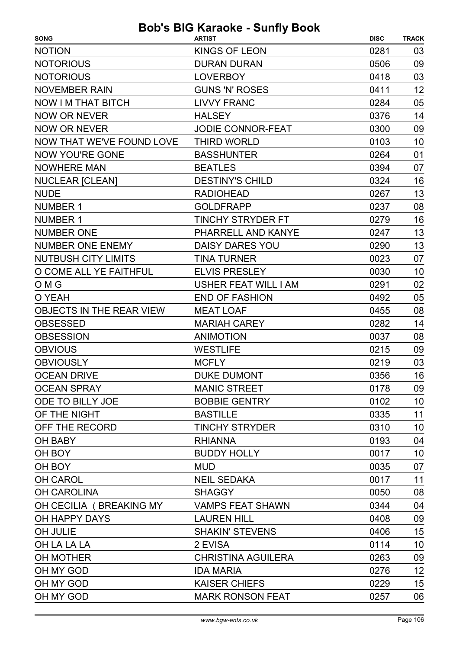| <b>NOTION</b><br><b>KINGS OF LEON</b><br>0281<br>03<br><b>NOTORIOUS</b><br><b>DURAN DURAN</b><br>0506<br>09<br><b>NOTORIOUS</b><br><b>LOVERBOY</b><br>0418<br>03<br><b>NOVEMBER RAIN</b><br><b>GUNS 'N' ROSES</b><br>12<br>0411<br>NOW I M THAT BITCH<br><b>LIVVY FRANC</b><br>05<br>0284<br>14<br><b>NOW OR NEVER</b><br><b>HALSEY</b><br>0376<br><b>NOW OR NEVER</b><br><b>JODIE CONNOR-FEAT</b><br>0300<br>09<br>NOW THAT WE'VE FOUND LOVE<br><b>THIRD WORLD</b><br>0103<br>10<br><b>NOW YOU'RE GONE</b><br><b>BASSHUNTER</b><br>0264<br>01<br><b>NOWHERE MAN</b><br><b>BEATLES</b><br>0394<br>07<br><b>NUCLEAR [CLEAN]</b><br><b>DESTINY'S CHILD</b><br>0324<br>16<br>13<br><b>NUDE</b><br><b>RADIOHEAD</b><br>0267<br><b>NUMBER 1</b><br><b>GOLDFRAPP</b><br>0237<br>08<br><b>NUMBER 1</b><br><b>TINCHY STRYDER FT</b><br>16<br>0279<br>13<br><b>NUMBER ONE</b><br>PHARRELL AND KANYE<br>0247<br>13<br><b>NUMBER ONE ENEMY</b><br><b>DAISY DARES YOU</b><br>0290<br><b>NUTBUSH CITY LIMITS</b><br><b>TINA TURNER</b><br>0023<br>07<br>O COME ALL YE FAITHFUL<br><b>ELVIS PRESLEY</b><br>0030<br>10<br>02<br>USHER FEAT WILL I AM<br>0291<br>O M G<br>O YEAH<br><b>END OF FASHION</b><br>05<br>0492<br><b>OBJECTS IN THE REAR VIEW</b><br><b>MEAT LOAF</b><br>0455<br>08<br><b>MARIAH CAREY</b><br>0282<br>14<br><b>OBSESSED</b><br><b>OBSESSION</b><br><b>ANIMOTION</b><br>0037<br>08<br><b>OBVIOUS</b><br><b>WESTLIFE</b><br>0215<br>09<br>03<br><b>OBVIOUSLY</b><br><b>MCFLY</b><br>0219<br><b>OCEAN DRIVE</b><br>0356<br>16<br>DUKE DUMONT<br><b>MANIC STREET</b><br>0178<br>09<br>10<br><b>BOBBIE GENTRY</b><br>0102<br>11<br><b>BASTILLE</b><br>0335<br><b>TINCHY STRYDER</b><br>0310<br>10<br><b>RHIANNA</b><br>0193<br>04<br>10<br><b>BUDDY HOLLY</b><br>0017<br><b>MUD</b><br>0035<br>07<br>11<br><b>NEIL SEDAKA</b><br>0017<br>OH CAROLINA<br>0050<br>08<br><b>SHAGGY</b><br>OH CECILIA (BREAKING MY<br>04<br><b>VAMPS FEAT SHAWN</b><br>0344<br>OH HAPPY DAYS<br>0408<br>09<br><b>LAUREN HILL</b><br>15<br>OH JULIE<br><b>SHAKIN' STEVENS</b><br>0406<br>OH LA LA LA<br>2 EVISA<br>0114<br>10<br>OH MOTHER<br><b>CHRISTINA AGUILERA</b><br>0263<br>09<br>12<br>OH MY GOD<br><b>IDA MARIA</b><br>0276<br>OH MY GOD<br><b>KAISER CHIEFS</b><br>0229<br>15 | <b>SONG</b>        | <b>ARTIST</b> | <b>DISC</b> | <b>TRACK</b> |
|------------------------------------------------------------------------------------------------------------------------------------------------------------------------------------------------------------------------------------------------------------------------------------------------------------------------------------------------------------------------------------------------------------------------------------------------------------------------------------------------------------------------------------------------------------------------------------------------------------------------------------------------------------------------------------------------------------------------------------------------------------------------------------------------------------------------------------------------------------------------------------------------------------------------------------------------------------------------------------------------------------------------------------------------------------------------------------------------------------------------------------------------------------------------------------------------------------------------------------------------------------------------------------------------------------------------------------------------------------------------------------------------------------------------------------------------------------------------------------------------------------------------------------------------------------------------------------------------------------------------------------------------------------------------------------------------------------------------------------------------------------------------------------------------------------------------------------------------------------------------------------------------------------------------------------------------------------------------------------------------------------------------------------------------------------------------------------------------------------------------------------------------------------------------------------------------------------------------------------------------------------------------|--------------------|---------------|-------------|--------------|
|                                                                                                                                                                                                                                                                                                                                                                                                                                                                                                                                                                                                                                                                                                                                                                                                                                                                                                                                                                                                                                                                                                                                                                                                                                                                                                                                                                                                                                                                                                                                                                                                                                                                                                                                                                                                                                                                                                                                                                                                                                                                                                                                                                                                                                                                        |                    |               |             |              |
|                                                                                                                                                                                                                                                                                                                                                                                                                                                                                                                                                                                                                                                                                                                                                                                                                                                                                                                                                                                                                                                                                                                                                                                                                                                                                                                                                                                                                                                                                                                                                                                                                                                                                                                                                                                                                                                                                                                                                                                                                                                                                                                                                                                                                                                                        |                    |               |             |              |
|                                                                                                                                                                                                                                                                                                                                                                                                                                                                                                                                                                                                                                                                                                                                                                                                                                                                                                                                                                                                                                                                                                                                                                                                                                                                                                                                                                                                                                                                                                                                                                                                                                                                                                                                                                                                                                                                                                                                                                                                                                                                                                                                                                                                                                                                        |                    |               |             |              |
|                                                                                                                                                                                                                                                                                                                                                                                                                                                                                                                                                                                                                                                                                                                                                                                                                                                                                                                                                                                                                                                                                                                                                                                                                                                                                                                                                                                                                                                                                                                                                                                                                                                                                                                                                                                                                                                                                                                                                                                                                                                                                                                                                                                                                                                                        |                    |               |             |              |
|                                                                                                                                                                                                                                                                                                                                                                                                                                                                                                                                                                                                                                                                                                                                                                                                                                                                                                                                                                                                                                                                                                                                                                                                                                                                                                                                                                                                                                                                                                                                                                                                                                                                                                                                                                                                                                                                                                                                                                                                                                                                                                                                                                                                                                                                        |                    |               |             |              |
|                                                                                                                                                                                                                                                                                                                                                                                                                                                                                                                                                                                                                                                                                                                                                                                                                                                                                                                                                                                                                                                                                                                                                                                                                                                                                                                                                                                                                                                                                                                                                                                                                                                                                                                                                                                                                                                                                                                                                                                                                                                                                                                                                                                                                                                                        |                    |               |             |              |
|                                                                                                                                                                                                                                                                                                                                                                                                                                                                                                                                                                                                                                                                                                                                                                                                                                                                                                                                                                                                                                                                                                                                                                                                                                                                                                                                                                                                                                                                                                                                                                                                                                                                                                                                                                                                                                                                                                                                                                                                                                                                                                                                                                                                                                                                        |                    |               |             |              |
|                                                                                                                                                                                                                                                                                                                                                                                                                                                                                                                                                                                                                                                                                                                                                                                                                                                                                                                                                                                                                                                                                                                                                                                                                                                                                                                                                                                                                                                                                                                                                                                                                                                                                                                                                                                                                                                                                                                                                                                                                                                                                                                                                                                                                                                                        |                    |               |             |              |
|                                                                                                                                                                                                                                                                                                                                                                                                                                                                                                                                                                                                                                                                                                                                                                                                                                                                                                                                                                                                                                                                                                                                                                                                                                                                                                                                                                                                                                                                                                                                                                                                                                                                                                                                                                                                                                                                                                                                                                                                                                                                                                                                                                                                                                                                        |                    |               |             |              |
|                                                                                                                                                                                                                                                                                                                                                                                                                                                                                                                                                                                                                                                                                                                                                                                                                                                                                                                                                                                                                                                                                                                                                                                                                                                                                                                                                                                                                                                                                                                                                                                                                                                                                                                                                                                                                                                                                                                                                                                                                                                                                                                                                                                                                                                                        |                    |               |             |              |
|                                                                                                                                                                                                                                                                                                                                                                                                                                                                                                                                                                                                                                                                                                                                                                                                                                                                                                                                                                                                                                                                                                                                                                                                                                                                                                                                                                                                                                                                                                                                                                                                                                                                                                                                                                                                                                                                                                                                                                                                                                                                                                                                                                                                                                                                        |                    |               |             |              |
|                                                                                                                                                                                                                                                                                                                                                                                                                                                                                                                                                                                                                                                                                                                                                                                                                                                                                                                                                                                                                                                                                                                                                                                                                                                                                                                                                                                                                                                                                                                                                                                                                                                                                                                                                                                                                                                                                                                                                                                                                                                                                                                                                                                                                                                                        |                    |               |             |              |
|                                                                                                                                                                                                                                                                                                                                                                                                                                                                                                                                                                                                                                                                                                                                                                                                                                                                                                                                                                                                                                                                                                                                                                                                                                                                                                                                                                                                                                                                                                                                                                                                                                                                                                                                                                                                                                                                                                                                                                                                                                                                                                                                                                                                                                                                        |                    |               |             |              |
|                                                                                                                                                                                                                                                                                                                                                                                                                                                                                                                                                                                                                                                                                                                                                                                                                                                                                                                                                                                                                                                                                                                                                                                                                                                                                                                                                                                                                                                                                                                                                                                                                                                                                                                                                                                                                                                                                                                                                                                                                                                                                                                                                                                                                                                                        |                    |               |             |              |
|                                                                                                                                                                                                                                                                                                                                                                                                                                                                                                                                                                                                                                                                                                                                                                                                                                                                                                                                                                                                                                                                                                                                                                                                                                                                                                                                                                                                                                                                                                                                                                                                                                                                                                                                                                                                                                                                                                                                                                                                                                                                                                                                                                                                                                                                        |                    |               |             |              |
|                                                                                                                                                                                                                                                                                                                                                                                                                                                                                                                                                                                                                                                                                                                                                                                                                                                                                                                                                                                                                                                                                                                                                                                                                                                                                                                                                                                                                                                                                                                                                                                                                                                                                                                                                                                                                                                                                                                                                                                                                                                                                                                                                                                                                                                                        |                    |               |             |              |
|                                                                                                                                                                                                                                                                                                                                                                                                                                                                                                                                                                                                                                                                                                                                                                                                                                                                                                                                                                                                                                                                                                                                                                                                                                                                                                                                                                                                                                                                                                                                                                                                                                                                                                                                                                                                                                                                                                                                                                                                                                                                                                                                                                                                                                                                        |                    |               |             |              |
|                                                                                                                                                                                                                                                                                                                                                                                                                                                                                                                                                                                                                                                                                                                                                                                                                                                                                                                                                                                                                                                                                                                                                                                                                                                                                                                                                                                                                                                                                                                                                                                                                                                                                                                                                                                                                                                                                                                                                                                                                                                                                                                                                                                                                                                                        |                    |               |             |              |
|                                                                                                                                                                                                                                                                                                                                                                                                                                                                                                                                                                                                                                                                                                                                                                                                                                                                                                                                                                                                                                                                                                                                                                                                                                                                                                                                                                                                                                                                                                                                                                                                                                                                                                                                                                                                                                                                                                                                                                                                                                                                                                                                                                                                                                                                        |                    |               |             |              |
|                                                                                                                                                                                                                                                                                                                                                                                                                                                                                                                                                                                                                                                                                                                                                                                                                                                                                                                                                                                                                                                                                                                                                                                                                                                                                                                                                                                                                                                                                                                                                                                                                                                                                                                                                                                                                                                                                                                                                                                                                                                                                                                                                                                                                                                                        |                    |               |             |              |
|                                                                                                                                                                                                                                                                                                                                                                                                                                                                                                                                                                                                                                                                                                                                                                                                                                                                                                                                                                                                                                                                                                                                                                                                                                                                                                                                                                                                                                                                                                                                                                                                                                                                                                                                                                                                                                                                                                                                                                                                                                                                                                                                                                                                                                                                        |                    |               |             |              |
|                                                                                                                                                                                                                                                                                                                                                                                                                                                                                                                                                                                                                                                                                                                                                                                                                                                                                                                                                                                                                                                                                                                                                                                                                                                                                                                                                                                                                                                                                                                                                                                                                                                                                                                                                                                                                                                                                                                                                                                                                                                                                                                                                                                                                                                                        |                    |               |             |              |
|                                                                                                                                                                                                                                                                                                                                                                                                                                                                                                                                                                                                                                                                                                                                                                                                                                                                                                                                                                                                                                                                                                                                                                                                                                                                                                                                                                                                                                                                                                                                                                                                                                                                                                                                                                                                                                                                                                                                                                                                                                                                                                                                                                                                                                                                        |                    |               |             |              |
|                                                                                                                                                                                                                                                                                                                                                                                                                                                                                                                                                                                                                                                                                                                                                                                                                                                                                                                                                                                                                                                                                                                                                                                                                                                                                                                                                                                                                                                                                                                                                                                                                                                                                                                                                                                                                                                                                                                                                                                                                                                                                                                                                                                                                                                                        |                    |               |             |              |
|                                                                                                                                                                                                                                                                                                                                                                                                                                                                                                                                                                                                                                                                                                                                                                                                                                                                                                                                                                                                                                                                                                                                                                                                                                                                                                                                                                                                                                                                                                                                                                                                                                                                                                                                                                                                                                                                                                                                                                                                                                                                                                                                                                                                                                                                        |                    |               |             |              |
|                                                                                                                                                                                                                                                                                                                                                                                                                                                                                                                                                                                                                                                                                                                                                                                                                                                                                                                                                                                                                                                                                                                                                                                                                                                                                                                                                                                                                                                                                                                                                                                                                                                                                                                                                                                                                                                                                                                                                                                                                                                                                                                                                                                                                                                                        |                    |               |             |              |
|                                                                                                                                                                                                                                                                                                                                                                                                                                                                                                                                                                                                                                                                                                                                                                                                                                                                                                                                                                                                                                                                                                                                                                                                                                                                                                                                                                                                                                                                                                                                                                                                                                                                                                                                                                                                                                                                                                                                                                                                                                                                                                                                                                                                                                                                        | <b>OCEAN SPRAY</b> |               |             |              |
|                                                                                                                                                                                                                                                                                                                                                                                                                                                                                                                                                                                                                                                                                                                                                                                                                                                                                                                                                                                                                                                                                                                                                                                                                                                                                                                                                                                                                                                                                                                                                                                                                                                                                                                                                                                                                                                                                                                                                                                                                                                                                                                                                                                                                                                                        | ODE TO BILLY JOE   |               |             |              |
|                                                                                                                                                                                                                                                                                                                                                                                                                                                                                                                                                                                                                                                                                                                                                                                                                                                                                                                                                                                                                                                                                                                                                                                                                                                                                                                                                                                                                                                                                                                                                                                                                                                                                                                                                                                                                                                                                                                                                                                                                                                                                                                                                                                                                                                                        | OF THE NIGHT       |               |             |              |
|                                                                                                                                                                                                                                                                                                                                                                                                                                                                                                                                                                                                                                                                                                                                                                                                                                                                                                                                                                                                                                                                                                                                                                                                                                                                                                                                                                                                                                                                                                                                                                                                                                                                                                                                                                                                                                                                                                                                                                                                                                                                                                                                                                                                                                                                        | OFF THE RECORD     |               |             |              |
|                                                                                                                                                                                                                                                                                                                                                                                                                                                                                                                                                                                                                                                                                                                                                                                                                                                                                                                                                                                                                                                                                                                                                                                                                                                                                                                                                                                                                                                                                                                                                                                                                                                                                                                                                                                                                                                                                                                                                                                                                                                                                                                                                                                                                                                                        | OH BABY            |               |             |              |
|                                                                                                                                                                                                                                                                                                                                                                                                                                                                                                                                                                                                                                                                                                                                                                                                                                                                                                                                                                                                                                                                                                                                                                                                                                                                                                                                                                                                                                                                                                                                                                                                                                                                                                                                                                                                                                                                                                                                                                                                                                                                                                                                                                                                                                                                        | OH BOY             |               |             |              |
|                                                                                                                                                                                                                                                                                                                                                                                                                                                                                                                                                                                                                                                                                                                                                                                                                                                                                                                                                                                                                                                                                                                                                                                                                                                                                                                                                                                                                                                                                                                                                                                                                                                                                                                                                                                                                                                                                                                                                                                                                                                                                                                                                                                                                                                                        | OH BOY             |               |             |              |
|                                                                                                                                                                                                                                                                                                                                                                                                                                                                                                                                                                                                                                                                                                                                                                                                                                                                                                                                                                                                                                                                                                                                                                                                                                                                                                                                                                                                                                                                                                                                                                                                                                                                                                                                                                                                                                                                                                                                                                                                                                                                                                                                                                                                                                                                        | OH CAROL           |               |             |              |
|                                                                                                                                                                                                                                                                                                                                                                                                                                                                                                                                                                                                                                                                                                                                                                                                                                                                                                                                                                                                                                                                                                                                                                                                                                                                                                                                                                                                                                                                                                                                                                                                                                                                                                                                                                                                                                                                                                                                                                                                                                                                                                                                                                                                                                                                        |                    |               |             |              |
|                                                                                                                                                                                                                                                                                                                                                                                                                                                                                                                                                                                                                                                                                                                                                                                                                                                                                                                                                                                                                                                                                                                                                                                                                                                                                                                                                                                                                                                                                                                                                                                                                                                                                                                                                                                                                                                                                                                                                                                                                                                                                                                                                                                                                                                                        |                    |               |             |              |
|                                                                                                                                                                                                                                                                                                                                                                                                                                                                                                                                                                                                                                                                                                                                                                                                                                                                                                                                                                                                                                                                                                                                                                                                                                                                                                                                                                                                                                                                                                                                                                                                                                                                                                                                                                                                                                                                                                                                                                                                                                                                                                                                                                                                                                                                        |                    |               |             |              |
|                                                                                                                                                                                                                                                                                                                                                                                                                                                                                                                                                                                                                                                                                                                                                                                                                                                                                                                                                                                                                                                                                                                                                                                                                                                                                                                                                                                                                                                                                                                                                                                                                                                                                                                                                                                                                                                                                                                                                                                                                                                                                                                                                                                                                                                                        |                    |               |             |              |
|                                                                                                                                                                                                                                                                                                                                                                                                                                                                                                                                                                                                                                                                                                                                                                                                                                                                                                                                                                                                                                                                                                                                                                                                                                                                                                                                                                                                                                                                                                                                                                                                                                                                                                                                                                                                                                                                                                                                                                                                                                                                                                                                                                                                                                                                        |                    |               |             |              |
|                                                                                                                                                                                                                                                                                                                                                                                                                                                                                                                                                                                                                                                                                                                                                                                                                                                                                                                                                                                                                                                                                                                                                                                                                                                                                                                                                                                                                                                                                                                                                                                                                                                                                                                                                                                                                                                                                                                                                                                                                                                                                                                                                                                                                                                                        |                    |               |             |              |
|                                                                                                                                                                                                                                                                                                                                                                                                                                                                                                                                                                                                                                                                                                                                                                                                                                                                                                                                                                                                                                                                                                                                                                                                                                                                                                                                                                                                                                                                                                                                                                                                                                                                                                                                                                                                                                                                                                                                                                                                                                                                                                                                                                                                                                                                        |                    |               |             |              |
|                                                                                                                                                                                                                                                                                                                                                                                                                                                                                                                                                                                                                                                                                                                                                                                                                                                                                                                                                                                                                                                                                                                                                                                                                                                                                                                                                                                                                                                                                                                                                                                                                                                                                                                                                                                                                                                                                                                                                                                                                                                                                                                                                                                                                                                                        |                    |               |             |              |
| <b>MARK RONSON FEAT</b><br>06<br>0257                                                                                                                                                                                                                                                                                                                                                                                                                                                                                                                                                                                                                                                                                                                                                                                                                                                                                                                                                                                                                                                                                                                                                                                                                                                                                                                                                                                                                                                                                                                                                                                                                                                                                                                                                                                                                                                                                                                                                                                                                                                                                                                                                                                                                                  | OH MY GOD          |               |             |              |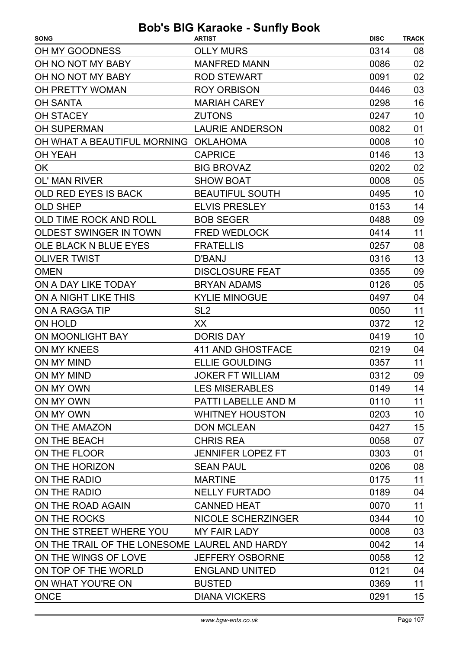| OH MY GOODNESS<br><b>OLLY MURS</b><br>0314<br>08<br>OH NO NOT MY BABY<br><b>MANFRED MANN</b><br>02<br>0086<br>OH NO NOT MY BABY<br><b>ROD STEWART</b><br>0091<br>02<br>OH PRETTY WOMAN<br><b>ROY ORBISON</b><br>03<br>0446<br>16<br><b>OH SANTA</b><br><b>MARIAH CAREY</b><br>0298<br><b>OH STACEY</b><br><b>ZUTONS</b><br>10<br>0247<br><b>OH SUPERMAN</b><br><b>LAURIE ANDERSON</b><br>01<br>0082<br>OH WHAT A BEAUTIFUL MORNING OKLAHOMA<br>0008<br>10<br>13<br><b>CAPRICE</b><br>0146<br><b>OH YEAH</b><br>02<br><b>OK</b><br><b>BIG BROVAZ</b><br>0202<br><b>OL' MAN RIVER</b><br>05<br><b>SHOW BOAT</b><br>0008<br><b>OLD RED EYES IS BACK</b><br><b>BEAUTIFUL SOUTH</b><br>10<br>0495<br><b>ELVIS PRESLEY</b><br>14<br><b>OLD SHEP</b><br>0153<br>OLD TIME ROCK AND ROLL<br><b>BOB SEGER</b><br>09<br>0488<br>11<br><b>OLDEST SWINGER IN TOWN</b><br><b>FRED WEDLOCK</b><br>0414<br>OLE BLACK N BLUE EYES<br><b>FRATELLIS</b><br>0257<br>08<br>13<br><b>OLIVER TWIST</b><br><b>D'BANJ</b><br>0316<br><b>OMEN</b><br><b>DISCLOSURE FEAT</b><br>09<br>0355<br><b>BRYAN ADAMS</b><br>0126<br>05<br>ON A DAY LIKE TODAY<br><b>KYLIE MINOGUE</b><br>ON A NIGHT LIKE THIS<br>0497<br>04<br>SL <sub>2</sub><br>11<br>0050<br>ON A RAGGA TIP<br>12<br><b>ON HOLD</b><br>XX<br>0372<br>ON MOONLIGHT BAY<br><b>DORIS DAY</b><br>10<br>0419<br>ON MY KNEES<br>411 AND GHOSTFACE<br>0219<br>04<br>11<br>ON MY MIND<br><b>ELLIE GOULDING</b><br>0357<br><b>JOKER FT WILLIAM</b><br>09<br>ON MY MIND<br>0312<br>ON MY OWN<br><b>LES MISERABLES</b><br>0149<br>14<br>11<br>ON MY OWN<br>PATTI LABELLE AND M<br>0110<br><b>WHITNEY HOUSTON</b><br>10<br>ON MY OWN<br>0203<br>15<br>ON THE AMAZON<br><b>DON MCLEAN</b><br>0427<br>07<br>ON THE BEACH<br><b>CHRIS REA</b><br>0058<br>ON THE FLOOR<br>0303<br>01<br><b>JENNIFER LOPEZ FT</b><br>08<br>ON THE HORIZON<br><b>SEAN PAUL</b><br>0206<br>11<br>ON THE RADIO<br><b>MARTINE</b><br>0175<br>ON THE RADIO<br><b>NELLY FURTADO</b><br>04<br>0189<br>11<br>ON THE ROAD AGAIN<br><b>CANNED HEAT</b><br>0070<br>10<br>ON THE ROCKS<br>NICOLE SCHERZINGER<br>0344<br>03<br>ON THE STREET WHERE YOU<br><b>MY FAIR LADY</b><br>0008<br>ON THE TRAIL OF THE LONESOME LAUREL AND HARDY<br>14<br>0042<br>ON THE WINGS OF LOVE<br>12<br><b>JEFFERY OSBORNE</b><br>0058<br>ON TOP OF THE WORLD<br>04<br><b>ENGLAND UNITED</b><br>0121<br>0369<br>11<br>ON WHAT YOU'RE ON<br><b>BUSTED</b><br><b>DIANA VICKERS</b> | <b>SONG</b> | <b>ARTIST</b> | <b>DISC</b> | <b>TRACK</b> |
|--------------------------------------------------------------------------------------------------------------------------------------------------------------------------------------------------------------------------------------------------------------------------------------------------------------------------------------------------------------------------------------------------------------------------------------------------------------------------------------------------------------------------------------------------------------------------------------------------------------------------------------------------------------------------------------------------------------------------------------------------------------------------------------------------------------------------------------------------------------------------------------------------------------------------------------------------------------------------------------------------------------------------------------------------------------------------------------------------------------------------------------------------------------------------------------------------------------------------------------------------------------------------------------------------------------------------------------------------------------------------------------------------------------------------------------------------------------------------------------------------------------------------------------------------------------------------------------------------------------------------------------------------------------------------------------------------------------------------------------------------------------------------------------------------------------------------------------------------------------------------------------------------------------------------------------------------------------------------------------------------------------------------------------------------------------------------------------------------------------------------------------------------------------------------------------------------------------------------------------------------------------------------------------------------------------------------------------------------------------------------------------------------------------------------------------------------|-------------|---------------|-------------|--------------|
|                                                                                                                                                                                                                                                                                                                                                                                                                                                                                                                                                                                                                                                                                                                                                                                                                                                                                                                                                                                                                                                                                                                                                                                                                                                                                                                                                                                                                                                                                                                                                                                                                                                                                                                                                                                                                                                                                                                                                                                                                                                                                                                                                                                                                                                                                                                                                                                                                                                  |             |               |             |              |
|                                                                                                                                                                                                                                                                                                                                                                                                                                                                                                                                                                                                                                                                                                                                                                                                                                                                                                                                                                                                                                                                                                                                                                                                                                                                                                                                                                                                                                                                                                                                                                                                                                                                                                                                                                                                                                                                                                                                                                                                                                                                                                                                                                                                                                                                                                                                                                                                                                                  |             |               |             |              |
|                                                                                                                                                                                                                                                                                                                                                                                                                                                                                                                                                                                                                                                                                                                                                                                                                                                                                                                                                                                                                                                                                                                                                                                                                                                                                                                                                                                                                                                                                                                                                                                                                                                                                                                                                                                                                                                                                                                                                                                                                                                                                                                                                                                                                                                                                                                                                                                                                                                  |             |               |             |              |
|                                                                                                                                                                                                                                                                                                                                                                                                                                                                                                                                                                                                                                                                                                                                                                                                                                                                                                                                                                                                                                                                                                                                                                                                                                                                                                                                                                                                                                                                                                                                                                                                                                                                                                                                                                                                                                                                                                                                                                                                                                                                                                                                                                                                                                                                                                                                                                                                                                                  |             |               |             |              |
|                                                                                                                                                                                                                                                                                                                                                                                                                                                                                                                                                                                                                                                                                                                                                                                                                                                                                                                                                                                                                                                                                                                                                                                                                                                                                                                                                                                                                                                                                                                                                                                                                                                                                                                                                                                                                                                                                                                                                                                                                                                                                                                                                                                                                                                                                                                                                                                                                                                  |             |               |             |              |
|                                                                                                                                                                                                                                                                                                                                                                                                                                                                                                                                                                                                                                                                                                                                                                                                                                                                                                                                                                                                                                                                                                                                                                                                                                                                                                                                                                                                                                                                                                                                                                                                                                                                                                                                                                                                                                                                                                                                                                                                                                                                                                                                                                                                                                                                                                                                                                                                                                                  |             |               |             |              |
|                                                                                                                                                                                                                                                                                                                                                                                                                                                                                                                                                                                                                                                                                                                                                                                                                                                                                                                                                                                                                                                                                                                                                                                                                                                                                                                                                                                                                                                                                                                                                                                                                                                                                                                                                                                                                                                                                                                                                                                                                                                                                                                                                                                                                                                                                                                                                                                                                                                  |             |               |             |              |
|                                                                                                                                                                                                                                                                                                                                                                                                                                                                                                                                                                                                                                                                                                                                                                                                                                                                                                                                                                                                                                                                                                                                                                                                                                                                                                                                                                                                                                                                                                                                                                                                                                                                                                                                                                                                                                                                                                                                                                                                                                                                                                                                                                                                                                                                                                                                                                                                                                                  |             |               |             |              |
|                                                                                                                                                                                                                                                                                                                                                                                                                                                                                                                                                                                                                                                                                                                                                                                                                                                                                                                                                                                                                                                                                                                                                                                                                                                                                                                                                                                                                                                                                                                                                                                                                                                                                                                                                                                                                                                                                                                                                                                                                                                                                                                                                                                                                                                                                                                                                                                                                                                  |             |               |             |              |
|                                                                                                                                                                                                                                                                                                                                                                                                                                                                                                                                                                                                                                                                                                                                                                                                                                                                                                                                                                                                                                                                                                                                                                                                                                                                                                                                                                                                                                                                                                                                                                                                                                                                                                                                                                                                                                                                                                                                                                                                                                                                                                                                                                                                                                                                                                                                                                                                                                                  |             |               |             |              |
|                                                                                                                                                                                                                                                                                                                                                                                                                                                                                                                                                                                                                                                                                                                                                                                                                                                                                                                                                                                                                                                                                                                                                                                                                                                                                                                                                                                                                                                                                                                                                                                                                                                                                                                                                                                                                                                                                                                                                                                                                                                                                                                                                                                                                                                                                                                                                                                                                                                  |             |               |             |              |
|                                                                                                                                                                                                                                                                                                                                                                                                                                                                                                                                                                                                                                                                                                                                                                                                                                                                                                                                                                                                                                                                                                                                                                                                                                                                                                                                                                                                                                                                                                                                                                                                                                                                                                                                                                                                                                                                                                                                                                                                                                                                                                                                                                                                                                                                                                                                                                                                                                                  |             |               |             |              |
|                                                                                                                                                                                                                                                                                                                                                                                                                                                                                                                                                                                                                                                                                                                                                                                                                                                                                                                                                                                                                                                                                                                                                                                                                                                                                                                                                                                                                                                                                                                                                                                                                                                                                                                                                                                                                                                                                                                                                                                                                                                                                                                                                                                                                                                                                                                                                                                                                                                  |             |               |             |              |
|                                                                                                                                                                                                                                                                                                                                                                                                                                                                                                                                                                                                                                                                                                                                                                                                                                                                                                                                                                                                                                                                                                                                                                                                                                                                                                                                                                                                                                                                                                                                                                                                                                                                                                                                                                                                                                                                                                                                                                                                                                                                                                                                                                                                                                                                                                                                                                                                                                                  |             |               |             |              |
|                                                                                                                                                                                                                                                                                                                                                                                                                                                                                                                                                                                                                                                                                                                                                                                                                                                                                                                                                                                                                                                                                                                                                                                                                                                                                                                                                                                                                                                                                                                                                                                                                                                                                                                                                                                                                                                                                                                                                                                                                                                                                                                                                                                                                                                                                                                                                                                                                                                  |             |               |             |              |
|                                                                                                                                                                                                                                                                                                                                                                                                                                                                                                                                                                                                                                                                                                                                                                                                                                                                                                                                                                                                                                                                                                                                                                                                                                                                                                                                                                                                                                                                                                                                                                                                                                                                                                                                                                                                                                                                                                                                                                                                                                                                                                                                                                                                                                                                                                                                                                                                                                                  |             |               |             |              |
|                                                                                                                                                                                                                                                                                                                                                                                                                                                                                                                                                                                                                                                                                                                                                                                                                                                                                                                                                                                                                                                                                                                                                                                                                                                                                                                                                                                                                                                                                                                                                                                                                                                                                                                                                                                                                                                                                                                                                                                                                                                                                                                                                                                                                                                                                                                                                                                                                                                  |             |               |             |              |
|                                                                                                                                                                                                                                                                                                                                                                                                                                                                                                                                                                                                                                                                                                                                                                                                                                                                                                                                                                                                                                                                                                                                                                                                                                                                                                                                                                                                                                                                                                                                                                                                                                                                                                                                                                                                                                                                                                                                                                                                                                                                                                                                                                                                                                                                                                                                                                                                                                                  |             |               |             |              |
|                                                                                                                                                                                                                                                                                                                                                                                                                                                                                                                                                                                                                                                                                                                                                                                                                                                                                                                                                                                                                                                                                                                                                                                                                                                                                                                                                                                                                                                                                                                                                                                                                                                                                                                                                                                                                                                                                                                                                                                                                                                                                                                                                                                                                                                                                                                                                                                                                                                  |             |               |             |              |
|                                                                                                                                                                                                                                                                                                                                                                                                                                                                                                                                                                                                                                                                                                                                                                                                                                                                                                                                                                                                                                                                                                                                                                                                                                                                                                                                                                                                                                                                                                                                                                                                                                                                                                                                                                                                                                                                                                                                                                                                                                                                                                                                                                                                                                                                                                                                                                                                                                                  |             |               |             |              |
|                                                                                                                                                                                                                                                                                                                                                                                                                                                                                                                                                                                                                                                                                                                                                                                                                                                                                                                                                                                                                                                                                                                                                                                                                                                                                                                                                                                                                                                                                                                                                                                                                                                                                                                                                                                                                                                                                                                                                                                                                                                                                                                                                                                                                                                                                                                                                                                                                                                  |             |               |             |              |
|                                                                                                                                                                                                                                                                                                                                                                                                                                                                                                                                                                                                                                                                                                                                                                                                                                                                                                                                                                                                                                                                                                                                                                                                                                                                                                                                                                                                                                                                                                                                                                                                                                                                                                                                                                                                                                                                                                                                                                                                                                                                                                                                                                                                                                                                                                                                                                                                                                                  |             |               |             |              |
|                                                                                                                                                                                                                                                                                                                                                                                                                                                                                                                                                                                                                                                                                                                                                                                                                                                                                                                                                                                                                                                                                                                                                                                                                                                                                                                                                                                                                                                                                                                                                                                                                                                                                                                                                                                                                                                                                                                                                                                                                                                                                                                                                                                                                                                                                                                                                                                                                                                  |             |               |             |              |
|                                                                                                                                                                                                                                                                                                                                                                                                                                                                                                                                                                                                                                                                                                                                                                                                                                                                                                                                                                                                                                                                                                                                                                                                                                                                                                                                                                                                                                                                                                                                                                                                                                                                                                                                                                                                                                                                                                                                                                                                                                                                                                                                                                                                                                                                                                                                                                                                                                                  |             |               |             |              |
|                                                                                                                                                                                                                                                                                                                                                                                                                                                                                                                                                                                                                                                                                                                                                                                                                                                                                                                                                                                                                                                                                                                                                                                                                                                                                                                                                                                                                                                                                                                                                                                                                                                                                                                                                                                                                                                                                                                                                                                                                                                                                                                                                                                                                                                                                                                                                                                                                                                  |             |               |             |              |
|                                                                                                                                                                                                                                                                                                                                                                                                                                                                                                                                                                                                                                                                                                                                                                                                                                                                                                                                                                                                                                                                                                                                                                                                                                                                                                                                                                                                                                                                                                                                                                                                                                                                                                                                                                                                                                                                                                                                                                                                                                                                                                                                                                                                                                                                                                                                                                                                                                                  |             |               |             |              |
|                                                                                                                                                                                                                                                                                                                                                                                                                                                                                                                                                                                                                                                                                                                                                                                                                                                                                                                                                                                                                                                                                                                                                                                                                                                                                                                                                                                                                                                                                                                                                                                                                                                                                                                                                                                                                                                                                                                                                                                                                                                                                                                                                                                                                                                                                                                                                                                                                                                  |             |               |             |              |
|                                                                                                                                                                                                                                                                                                                                                                                                                                                                                                                                                                                                                                                                                                                                                                                                                                                                                                                                                                                                                                                                                                                                                                                                                                                                                                                                                                                                                                                                                                                                                                                                                                                                                                                                                                                                                                                                                                                                                                                                                                                                                                                                                                                                                                                                                                                                                                                                                                                  |             |               |             |              |
|                                                                                                                                                                                                                                                                                                                                                                                                                                                                                                                                                                                                                                                                                                                                                                                                                                                                                                                                                                                                                                                                                                                                                                                                                                                                                                                                                                                                                                                                                                                                                                                                                                                                                                                                                                                                                                                                                                                                                                                                                                                                                                                                                                                                                                                                                                                                                                                                                                                  |             |               |             |              |
|                                                                                                                                                                                                                                                                                                                                                                                                                                                                                                                                                                                                                                                                                                                                                                                                                                                                                                                                                                                                                                                                                                                                                                                                                                                                                                                                                                                                                                                                                                                                                                                                                                                                                                                                                                                                                                                                                                                                                                                                                                                                                                                                                                                                                                                                                                                                                                                                                                                  |             |               |             |              |
|                                                                                                                                                                                                                                                                                                                                                                                                                                                                                                                                                                                                                                                                                                                                                                                                                                                                                                                                                                                                                                                                                                                                                                                                                                                                                                                                                                                                                                                                                                                                                                                                                                                                                                                                                                                                                                                                                                                                                                                                                                                                                                                                                                                                                                                                                                                                                                                                                                                  |             |               |             |              |
|                                                                                                                                                                                                                                                                                                                                                                                                                                                                                                                                                                                                                                                                                                                                                                                                                                                                                                                                                                                                                                                                                                                                                                                                                                                                                                                                                                                                                                                                                                                                                                                                                                                                                                                                                                                                                                                                                                                                                                                                                                                                                                                                                                                                                                                                                                                                                                                                                                                  |             |               |             |              |
|                                                                                                                                                                                                                                                                                                                                                                                                                                                                                                                                                                                                                                                                                                                                                                                                                                                                                                                                                                                                                                                                                                                                                                                                                                                                                                                                                                                                                                                                                                                                                                                                                                                                                                                                                                                                                                                                                                                                                                                                                                                                                                                                                                                                                                                                                                                                                                                                                                                  |             |               |             |              |
|                                                                                                                                                                                                                                                                                                                                                                                                                                                                                                                                                                                                                                                                                                                                                                                                                                                                                                                                                                                                                                                                                                                                                                                                                                                                                                                                                                                                                                                                                                                                                                                                                                                                                                                                                                                                                                                                                                                                                                                                                                                                                                                                                                                                                                                                                                                                                                                                                                                  |             |               |             |              |
|                                                                                                                                                                                                                                                                                                                                                                                                                                                                                                                                                                                                                                                                                                                                                                                                                                                                                                                                                                                                                                                                                                                                                                                                                                                                                                                                                                                                                                                                                                                                                                                                                                                                                                                                                                                                                                                                                                                                                                                                                                                                                                                                                                                                                                                                                                                                                                                                                                                  |             |               |             |              |
|                                                                                                                                                                                                                                                                                                                                                                                                                                                                                                                                                                                                                                                                                                                                                                                                                                                                                                                                                                                                                                                                                                                                                                                                                                                                                                                                                                                                                                                                                                                                                                                                                                                                                                                                                                                                                                                                                                                                                                                                                                                                                                                                                                                                                                                                                                                                                                                                                                                  |             |               |             |              |
|                                                                                                                                                                                                                                                                                                                                                                                                                                                                                                                                                                                                                                                                                                                                                                                                                                                                                                                                                                                                                                                                                                                                                                                                                                                                                                                                                                                                                                                                                                                                                                                                                                                                                                                                                                                                                                                                                                                                                                                                                                                                                                                                                                                                                                                                                                                                                                                                                                                  |             |               |             |              |
|                                                                                                                                                                                                                                                                                                                                                                                                                                                                                                                                                                                                                                                                                                                                                                                                                                                                                                                                                                                                                                                                                                                                                                                                                                                                                                                                                                                                                                                                                                                                                                                                                                                                                                                                                                                                                                                                                                                                                                                                                                                                                                                                                                                                                                                                                                                                                                                                                                                  |             |               |             |              |
|                                                                                                                                                                                                                                                                                                                                                                                                                                                                                                                                                                                                                                                                                                                                                                                                                                                                                                                                                                                                                                                                                                                                                                                                                                                                                                                                                                                                                                                                                                                                                                                                                                                                                                                                                                                                                                                                                                                                                                                                                                                                                                                                                                                                                                                                                                                                                                                                                                                  |             |               |             |              |
|                                                                                                                                                                                                                                                                                                                                                                                                                                                                                                                                                                                                                                                                                                                                                                                                                                                                                                                                                                                                                                                                                                                                                                                                                                                                                                                                                                                                                                                                                                                                                                                                                                                                                                                                                                                                                                                                                                                                                                                                                                                                                                                                                                                                                                                                                                                                                                                                                                                  |             |               |             |              |
|                                                                                                                                                                                                                                                                                                                                                                                                                                                                                                                                                                                                                                                                                                                                                                                                                                                                                                                                                                                                                                                                                                                                                                                                                                                                                                                                                                                                                                                                                                                                                                                                                                                                                                                                                                                                                                                                                                                                                                                                                                                                                                                                                                                                                                                                                                                                                                                                                                                  |             |               |             |              |
|                                                                                                                                                                                                                                                                                                                                                                                                                                                                                                                                                                                                                                                                                                                                                                                                                                                                                                                                                                                                                                                                                                                                                                                                                                                                                                                                                                                                                                                                                                                                                                                                                                                                                                                                                                                                                                                                                                                                                                                                                                                                                                                                                                                                                                                                                                                                                                                                                                                  |             |               |             |              |
|                                                                                                                                                                                                                                                                                                                                                                                                                                                                                                                                                                                                                                                                                                                                                                                                                                                                                                                                                                                                                                                                                                                                                                                                                                                                                                                                                                                                                                                                                                                                                                                                                                                                                                                                                                                                                                                                                                                                                                                                                                                                                                                                                                                                                                                                                                                                                                                                                                                  | <b>ONCE</b> |               | 0291        | 15           |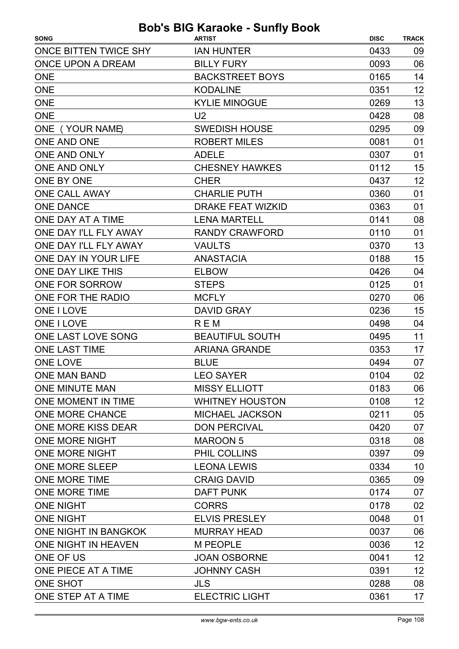| <b>SONG</b>                  | <b>ARTIST</b>            | <b>DISC</b> | <b>TRACK</b> |
|------------------------------|--------------------------|-------------|--------------|
| <b>ONCE BITTEN TWICE SHY</b> | <b>IAN HUNTER</b>        | 0433        | 09           |
| <b>ONCE UPON A DREAM</b>     | <b>BILLY FURY</b>        | 0093        | 06           |
| <b>ONE</b>                   | <b>BACKSTREET BOYS</b>   | 0165        | 14           |
| <b>ONE</b>                   | <b>KODALINE</b>          | 0351        | 12           |
| <b>ONE</b>                   | <b>KYLIE MINOGUE</b>     | 0269        | 13           |
| <b>ONE</b>                   | U <sub>2</sub>           | 0428        | 08           |
| ONE (YOUR NAME)              | <b>SWEDISH HOUSE</b>     | 0295        | 09           |
| ONE AND ONE                  | <b>ROBERT MILES</b>      | 0081        | 01           |
| <b>ONE AND ONLY</b>          | <b>ADELE</b>             | 0307        | 01           |
| <b>ONE AND ONLY</b>          | <b>CHESNEY HAWKES</b>    | 0112        | 15           |
| ONE BY ONE                   | <b>CHER</b>              | 0437        | 12           |
| <b>ONE CALL AWAY</b>         | <b>CHARLIE PUTH</b>      | 0360        | 01           |
| <b>ONE DANCE</b>             | <b>DRAKE FEAT WIZKID</b> | 0363        | 01           |
| ONE DAY AT A TIME            | <b>LENA MARTELL</b>      | 0141        | 08           |
| ONE DAY I'LL FLY AWAY        | <b>RANDY CRAWFORD</b>    | 0110        | 01           |
| ONE DAY I'LL FLY AWAY        | <b>VAULTS</b>            | 0370        | 13           |
| ONE DAY IN YOUR LIFE         | <b>ANASTACIA</b>         | 0188        | 15           |
| ONE DAY LIKE THIS            | <b>ELBOW</b>             | 0426        | 04           |
| ONE FOR SORROW               | <b>STEPS</b>             | 0125        | 01           |
| ONE FOR THE RADIO            | <b>MCFLY</b>             | 0270        | 06           |
| <b>ONE I LOVE</b>            | <b>DAVID GRAY</b>        | 0236        | 15           |
| <b>ONE I LOVE</b>            | <b>REM</b>               | 0498        | 04           |
| ONE LAST LOVE SONG           | <b>BEAUTIFUL SOUTH</b>   | 0495        | 11           |
| <b>ONE LAST TIME</b>         | <b>ARIANA GRANDE</b>     | 0353        | 17           |
| <b>ONE LOVE</b>              | <b>BLUE</b>              | 0494        | 07           |
| ONE MAN BAND                 | <b>LEO SAYER</b>         | 0104        | 02           |
| ONE MINUTE MAN               | <b>MISSY ELLIOTT</b>     | 0183        | 06           |
| <b>ONE MOMENT IN TIME</b>    | <b>WHITNEY HOUSTON</b>   | 0108        | 12           |
| <b>ONE MORE CHANCE</b>       | <b>MICHAEL JACKSON</b>   | 0211        | 05           |
| <b>ONE MORE KISS DEAR</b>    | <b>DON PERCIVAL</b>      | 0420        | 07           |
| <b>ONE MORE NIGHT</b>        | <b>MAROON 5</b>          | 0318        | 08           |
| ONE MORE NIGHT               | PHIL COLLINS             | 0397        | 09           |
| <b>ONE MORE SLEEP</b>        | <b>LEONA LEWIS</b>       | 0334        | 10           |
| ONE MORE TIME                | <b>CRAIG DAVID</b>       | 0365        | 09           |
| ONE MORE TIME                | <b>DAFT PUNK</b>         | 0174        | 07           |
| <b>ONE NIGHT</b>             | <b>CORRS</b>             | 0178        | 02           |
| <b>ONE NIGHT</b>             | <b>ELVIS PRESLEY</b>     | 0048        | 01           |
| ONE NIGHT IN BANGKOK         | <b>MURRAY HEAD</b>       | 0037        | 06           |
| ONE NIGHT IN HEAVEN          | <b>M PEOPLE</b>          | 0036        | 12           |
| ONE OF US                    | <b>JOAN OSBORNE</b>      | 0041        | 12           |
| ONE PIECE AT A TIME          | <b>JOHNNY CASH</b>       | 0391        | 12           |
| <b>ONE SHOT</b>              | <b>JLS</b>               | 0288        | 08           |
| ONE STEP AT A TIME           | <b>ELECTRIC LIGHT</b>    | 0361        | 17           |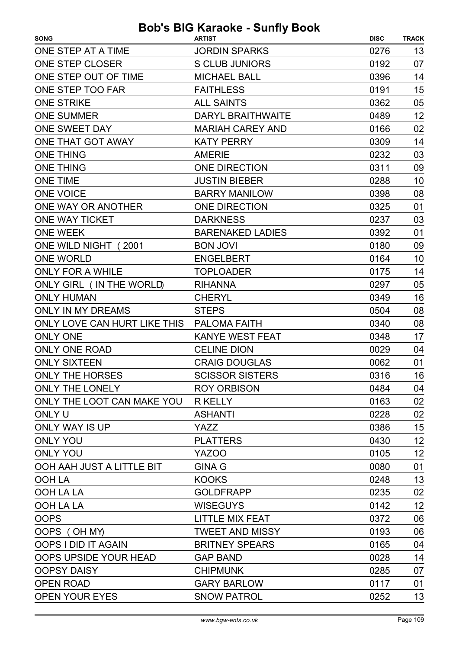| <b>SONG</b>                  | <b>ARTIST</b>            | <b>DISC</b> | <b>TRACK</b> |
|------------------------------|--------------------------|-------------|--------------|
| ONE STEP AT A TIME           | <b>JORDIN SPARKS</b>     | 0276        | 13           |
| ONE STEP CLOSER              | <b>S CLUB JUNIORS</b>    | 0192        | 07           |
| ONE STEP OUT OF TIME         | <b>MICHAEL BALL</b>      | 0396        | 14           |
| ONE STEP TOO FAR             | <b>FAITHLESS</b>         | 0191        | 15           |
| <b>ONE STRIKE</b>            | <b>ALL SAINTS</b>        | 0362        | 05           |
| <b>ONE SUMMER</b>            | <b>DARYL BRAITHWAITE</b> | 0489        | 12           |
| ONE SWEET DAY                | <b>MARIAH CAREY AND</b>  | 0166        | 02           |
| ONE THAT GOT AWAY            | <b>KATY PERRY</b>        | 0309        | 14           |
| <b>ONE THING</b>             | <b>AMERIE</b>            | 0232        | 03           |
| <b>ONE THING</b>             | <b>ONE DIRECTION</b>     | 0311        | 09           |
| <b>ONE TIME</b>              | <b>JUSTIN BIEBER</b>     | 0288        | 10           |
| <b>ONE VOICE</b>             | <b>BARRY MANILOW</b>     | 0398        | 08           |
| ONE WAY OR ANOTHER           | <b>ONE DIRECTION</b>     | 0325        | 01           |
| ONE WAY TICKET               | <b>DARKNESS</b>          | 0237        | 03           |
| <b>ONE WEEK</b>              | <b>BARENAKED LADIES</b>  | 0392        | 01           |
| ONE WILD NIGHT (2001)        | <b>BON JOVI</b>          | 0180        | 09           |
| <b>ONE WORLD</b>             | <b>ENGELBERT</b>         | 0164        | 10           |
| <b>ONLY FOR A WHILE</b>      | <b>TOPLOADER</b>         | 0175        | 14           |
| ONLY GIRL ( IN THE WORLD)    | <b>RIHANNA</b>           | 0297        | 05           |
| <b>ONLY HUMAN</b>            | <b>CHERYL</b>            | 0349        | 16           |
| <b>ONLY IN MY DREAMS</b>     | <b>STEPS</b>             | 0504        | 08           |
| ONLY LOVE CAN HURT LIKE THIS | <b>PALOMA FAITH</b>      | 0340        | 08           |
| <b>ONLY ONE</b>              | <b>KANYE WEST FEAT</b>   | 0348        | 17           |
| <b>ONLY ONE ROAD</b>         | <b>CELINE DION</b>       | 0029        | 04           |
| <b>ONLY SIXTEEN</b>          | <b>CRAIG DOUGLAS</b>     | 0062        | 01           |
| <b>ONLY THE HORSES</b>       | <b>SCISSOR SISTERS</b>   | 0316        | 16           |
| ONLY THE LONELY              | <b>ROY ORBISON</b>       | 0484        | 04           |
| ONLY THE LOOT CAN MAKE YOU   | R KELLY                  | 0163        | 02           |
| <b>ONLY U</b>                | <b>ASHANTI</b>           | 0228        | 02           |
| <b>ONLY WAY IS UP</b>        | <b>YAZZ</b>              | 0386        | 15           |
| <b>ONLY YOU</b>              | <b>PLATTERS</b>          | 0430        | 12           |
| <b>ONLY YOU</b>              | YAZOO                    | 0105        | 12           |
| OOH AAH JUST A LITTLE BIT    | <b>GINA G</b>            | 0080        | 01           |
| OOH LA                       | <b>KOOKS</b>             | 0248        | 13           |
| OOH LA LA                    | <b>GOLDFRAPP</b>         | 0235        | 02           |
| OOH LA LA                    | <b>WISEGUYS</b>          | 0142        | 12           |
| <b>OOPS</b>                  | LITTLE MIX FEAT          | 0372        | 06           |
| OOPS (OH MY)                 | <b>TWEET AND MISSY</b>   | 0193        | 06           |
| OOPS I DID IT AGAIN          | <b>BRITNEY SPEARS</b>    | 0165        | 04           |
| OOPS UPSIDE YOUR HEAD        | <b>GAP BAND</b>          | 0028        | 14           |
| <b>OOPSY DAISY</b>           | <b>CHIPMUNK</b>          | 0285        | 07           |
| <b>OPEN ROAD</b>             | <b>GARY BARLOW</b>       | 0117        | 01           |
| <b>OPEN YOUR EYES</b>        | <b>SNOW PATROL</b>       | 0252        | 13           |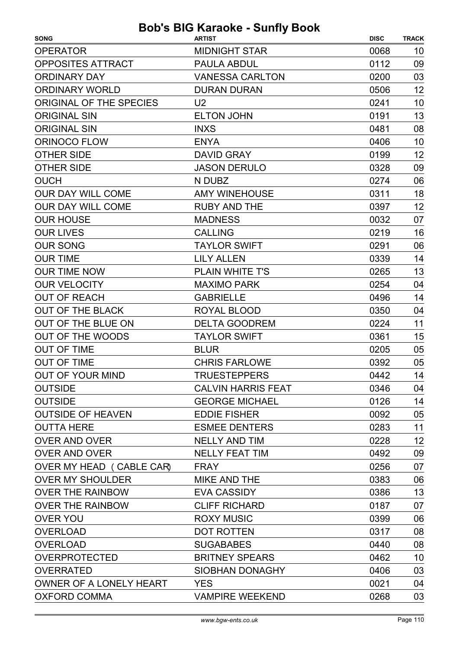| <b>OPERATOR</b><br>0068<br><b>MIDNIGHT STAR</b><br>10<br><b>OPPOSITES ATTRACT</b><br><b>PAULA ABDUL</b><br>09<br>0112<br><b>ORDINARY DAY</b><br><b>VANESSA CARLTON</b><br>0200<br>03<br><b>ORDINARY WORLD</b><br>12<br><b>DURAN DURAN</b><br>0506<br>10<br>ORIGINAL OF THE SPECIES<br>U <sub>2</sub><br>0241<br>13<br><b>ORIGINAL SIN</b><br><b>ELTON JOHN</b><br>0191<br><b>INXS</b><br>08<br><b>ORIGINAL SIN</b><br>0481<br>ORINOCO FLOW<br>0406<br>10<br><b>ENYA</b><br>12<br><b>OTHER SIDE</b><br><b>DAVID GRAY</b><br>0199<br>09<br><b>OTHER SIDE</b><br><b>JASON DERULO</b><br>0328<br>06<br><b>OUCH</b><br>N DUBZ<br>0274<br>18<br><b>AMY WINEHOUSE</b><br><b>OUR DAY WILL COME</b><br>0311<br>12<br><b>OUR DAY WILL COME</b><br><b>RUBY AND THE</b><br>0397<br><b>OUR HOUSE</b><br><b>MADNESS</b><br>0032<br>07<br><b>OUR LIVES</b><br><b>CALLING</b><br>16<br>0219<br><b>OUR SONG</b><br><b>TAYLOR SWIFT</b><br>06<br>0291<br><b>OUR TIME</b><br><b>LILY ALLEN</b><br>14<br>0339<br>13<br><b>OUR TIME NOW</b><br><b>PLAIN WHITE T'S</b><br>0265<br><b>OUR VELOCITY</b><br><b>MAXIMO PARK</b><br>04<br>0254<br><b>OUT OF REACH</b><br><b>GABRIELLE</b><br>14<br>0496<br><b>OUT OF THE BLACK</b><br>ROYAL BLOOD<br>0350<br>04<br>OUT OF THE BLUE ON<br>11<br><b>DELTA GOODREM</b><br>0224<br><b>OUT OF THE WOODS</b><br>15<br><b>TAYLOR SWIFT</b><br>0361<br><b>OUT OF TIME</b><br>05<br><b>BLUR</b><br>0205<br><b>OUT OF TIME</b><br><b>CHRIS FARLOWE</b><br>0392<br>05<br>OUT OF YOUR MIND<br><b>TRUESTEPPERS</b><br>0442<br>14<br><b>OUTSIDE</b><br><b>CALVIN HARRIS FEAT</b><br>0346<br>04<br><b>OUTSIDE</b><br><b>GEORGE MICHAEL</b><br>0126<br>14<br><b>OUTSIDE OF HEAVEN</b><br><b>EDDIE FISHER</b><br>0092<br>05<br><b>OUTTA HERE</b><br><b>ESMEE DENTERS</b><br>11<br>0283<br>12<br>OVER AND OVER<br><b>NELLY AND TIM</b><br>0228<br>09<br><b>OVER AND OVER</b><br>0492<br><b>NELLY FEAT TIM</b><br>OVER MY HEAD (CABLE CAR)<br>0256<br>07<br><b>FRAY</b><br><b>OVER MY SHOULDER</b><br>MIKE AND THE<br>0383<br>06<br><b>OVER THE RAINBOW</b><br>13<br><b>EVA CASSIDY</b><br>0386<br><b>OVER THE RAINBOW</b><br><b>CLIFF RICHARD</b><br>07<br>0187<br><b>ROXY MUSIC</b><br>06<br><b>OVER YOU</b><br>0399<br>08<br><b>OVERLOAD</b><br><b>DOT ROTTEN</b><br>0317<br>08<br><b>OVERLOAD</b><br><b>SUGABABES</b><br>0440<br><b>OVERPROTECTED</b><br><b>BRITNEY SPEARS</b><br>10<br>0462<br>0406<br>03<br><b>OVERRATED</b><br>SIOBHAN DONAGHY<br>OWNER OF A LONELY HEART<br>0021<br>04<br><b>YES</b> | <b>SONG</b>         | <b>ARTIST</b>          | <b>DISC</b> | <b>TRACK</b> |
|----------------------------------------------------------------------------------------------------------------------------------------------------------------------------------------------------------------------------------------------------------------------------------------------------------------------------------------------------------------------------------------------------------------------------------------------------------------------------------------------------------------------------------------------------------------------------------------------------------------------------------------------------------------------------------------------------------------------------------------------------------------------------------------------------------------------------------------------------------------------------------------------------------------------------------------------------------------------------------------------------------------------------------------------------------------------------------------------------------------------------------------------------------------------------------------------------------------------------------------------------------------------------------------------------------------------------------------------------------------------------------------------------------------------------------------------------------------------------------------------------------------------------------------------------------------------------------------------------------------------------------------------------------------------------------------------------------------------------------------------------------------------------------------------------------------------------------------------------------------------------------------------------------------------------------------------------------------------------------------------------------------------------------------------------------------------------------------------------------------------------------------------------------------------------------------------------------------------------------------------------------------------------------------------------------------------------------------------------------------------------------------------------------------------------------------------------------------------------------------------------------------|---------------------|------------------------|-------------|--------------|
|                                                                                                                                                                                                                                                                                                                                                                                                                                                                                                                                                                                                                                                                                                                                                                                                                                                                                                                                                                                                                                                                                                                                                                                                                                                                                                                                                                                                                                                                                                                                                                                                                                                                                                                                                                                                                                                                                                                                                                                                                                                                                                                                                                                                                                                                                                                                                                                                                                                                                                                |                     |                        |             |              |
|                                                                                                                                                                                                                                                                                                                                                                                                                                                                                                                                                                                                                                                                                                                                                                                                                                                                                                                                                                                                                                                                                                                                                                                                                                                                                                                                                                                                                                                                                                                                                                                                                                                                                                                                                                                                                                                                                                                                                                                                                                                                                                                                                                                                                                                                                                                                                                                                                                                                                                                |                     |                        |             |              |
|                                                                                                                                                                                                                                                                                                                                                                                                                                                                                                                                                                                                                                                                                                                                                                                                                                                                                                                                                                                                                                                                                                                                                                                                                                                                                                                                                                                                                                                                                                                                                                                                                                                                                                                                                                                                                                                                                                                                                                                                                                                                                                                                                                                                                                                                                                                                                                                                                                                                                                                |                     |                        |             |              |
|                                                                                                                                                                                                                                                                                                                                                                                                                                                                                                                                                                                                                                                                                                                                                                                                                                                                                                                                                                                                                                                                                                                                                                                                                                                                                                                                                                                                                                                                                                                                                                                                                                                                                                                                                                                                                                                                                                                                                                                                                                                                                                                                                                                                                                                                                                                                                                                                                                                                                                                |                     |                        |             |              |
|                                                                                                                                                                                                                                                                                                                                                                                                                                                                                                                                                                                                                                                                                                                                                                                                                                                                                                                                                                                                                                                                                                                                                                                                                                                                                                                                                                                                                                                                                                                                                                                                                                                                                                                                                                                                                                                                                                                                                                                                                                                                                                                                                                                                                                                                                                                                                                                                                                                                                                                |                     |                        |             |              |
|                                                                                                                                                                                                                                                                                                                                                                                                                                                                                                                                                                                                                                                                                                                                                                                                                                                                                                                                                                                                                                                                                                                                                                                                                                                                                                                                                                                                                                                                                                                                                                                                                                                                                                                                                                                                                                                                                                                                                                                                                                                                                                                                                                                                                                                                                                                                                                                                                                                                                                                |                     |                        |             |              |
|                                                                                                                                                                                                                                                                                                                                                                                                                                                                                                                                                                                                                                                                                                                                                                                                                                                                                                                                                                                                                                                                                                                                                                                                                                                                                                                                                                                                                                                                                                                                                                                                                                                                                                                                                                                                                                                                                                                                                                                                                                                                                                                                                                                                                                                                                                                                                                                                                                                                                                                |                     |                        |             |              |
|                                                                                                                                                                                                                                                                                                                                                                                                                                                                                                                                                                                                                                                                                                                                                                                                                                                                                                                                                                                                                                                                                                                                                                                                                                                                                                                                                                                                                                                                                                                                                                                                                                                                                                                                                                                                                                                                                                                                                                                                                                                                                                                                                                                                                                                                                                                                                                                                                                                                                                                |                     |                        |             |              |
|                                                                                                                                                                                                                                                                                                                                                                                                                                                                                                                                                                                                                                                                                                                                                                                                                                                                                                                                                                                                                                                                                                                                                                                                                                                                                                                                                                                                                                                                                                                                                                                                                                                                                                                                                                                                                                                                                                                                                                                                                                                                                                                                                                                                                                                                                                                                                                                                                                                                                                                |                     |                        |             |              |
|                                                                                                                                                                                                                                                                                                                                                                                                                                                                                                                                                                                                                                                                                                                                                                                                                                                                                                                                                                                                                                                                                                                                                                                                                                                                                                                                                                                                                                                                                                                                                                                                                                                                                                                                                                                                                                                                                                                                                                                                                                                                                                                                                                                                                                                                                                                                                                                                                                                                                                                |                     |                        |             |              |
|                                                                                                                                                                                                                                                                                                                                                                                                                                                                                                                                                                                                                                                                                                                                                                                                                                                                                                                                                                                                                                                                                                                                                                                                                                                                                                                                                                                                                                                                                                                                                                                                                                                                                                                                                                                                                                                                                                                                                                                                                                                                                                                                                                                                                                                                                                                                                                                                                                                                                                                |                     |                        |             |              |
|                                                                                                                                                                                                                                                                                                                                                                                                                                                                                                                                                                                                                                                                                                                                                                                                                                                                                                                                                                                                                                                                                                                                                                                                                                                                                                                                                                                                                                                                                                                                                                                                                                                                                                                                                                                                                                                                                                                                                                                                                                                                                                                                                                                                                                                                                                                                                                                                                                                                                                                |                     |                        |             |              |
|                                                                                                                                                                                                                                                                                                                                                                                                                                                                                                                                                                                                                                                                                                                                                                                                                                                                                                                                                                                                                                                                                                                                                                                                                                                                                                                                                                                                                                                                                                                                                                                                                                                                                                                                                                                                                                                                                                                                                                                                                                                                                                                                                                                                                                                                                                                                                                                                                                                                                                                |                     |                        |             |              |
|                                                                                                                                                                                                                                                                                                                                                                                                                                                                                                                                                                                                                                                                                                                                                                                                                                                                                                                                                                                                                                                                                                                                                                                                                                                                                                                                                                                                                                                                                                                                                                                                                                                                                                                                                                                                                                                                                                                                                                                                                                                                                                                                                                                                                                                                                                                                                                                                                                                                                                                |                     |                        |             |              |
|                                                                                                                                                                                                                                                                                                                                                                                                                                                                                                                                                                                                                                                                                                                                                                                                                                                                                                                                                                                                                                                                                                                                                                                                                                                                                                                                                                                                                                                                                                                                                                                                                                                                                                                                                                                                                                                                                                                                                                                                                                                                                                                                                                                                                                                                                                                                                                                                                                                                                                                |                     |                        |             |              |
|                                                                                                                                                                                                                                                                                                                                                                                                                                                                                                                                                                                                                                                                                                                                                                                                                                                                                                                                                                                                                                                                                                                                                                                                                                                                                                                                                                                                                                                                                                                                                                                                                                                                                                                                                                                                                                                                                                                                                                                                                                                                                                                                                                                                                                                                                                                                                                                                                                                                                                                |                     |                        |             |              |
|                                                                                                                                                                                                                                                                                                                                                                                                                                                                                                                                                                                                                                                                                                                                                                                                                                                                                                                                                                                                                                                                                                                                                                                                                                                                                                                                                                                                                                                                                                                                                                                                                                                                                                                                                                                                                                                                                                                                                                                                                                                                                                                                                                                                                                                                                                                                                                                                                                                                                                                |                     |                        |             |              |
|                                                                                                                                                                                                                                                                                                                                                                                                                                                                                                                                                                                                                                                                                                                                                                                                                                                                                                                                                                                                                                                                                                                                                                                                                                                                                                                                                                                                                                                                                                                                                                                                                                                                                                                                                                                                                                                                                                                                                                                                                                                                                                                                                                                                                                                                                                                                                                                                                                                                                                                |                     |                        |             |              |
|                                                                                                                                                                                                                                                                                                                                                                                                                                                                                                                                                                                                                                                                                                                                                                                                                                                                                                                                                                                                                                                                                                                                                                                                                                                                                                                                                                                                                                                                                                                                                                                                                                                                                                                                                                                                                                                                                                                                                                                                                                                                                                                                                                                                                                                                                                                                                                                                                                                                                                                |                     |                        |             |              |
|                                                                                                                                                                                                                                                                                                                                                                                                                                                                                                                                                                                                                                                                                                                                                                                                                                                                                                                                                                                                                                                                                                                                                                                                                                                                                                                                                                                                                                                                                                                                                                                                                                                                                                                                                                                                                                                                                                                                                                                                                                                                                                                                                                                                                                                                                                                                                                                                                                                                                                                |                     |                        |             |              |
|                                                                                                                                                                                                                                                                                                                                                                                                                                                                                                                                                                                                                                                                                                                                                                                                                                                                                                                                                                                                                                                                                                                                                                                                                                                                                                                                                                                                                                                                                                                                                                                                                                                                                                                                                                                                                                                                                                                                                                                                                                                                                                                                                                                                                                                                                                                                                                                                                                                                                                                |                     |                        |             |              |
|                                                                                                                                                                                                                                                                                                                                                                                                                                                                                                                                                                                                                                                                                                                                                                                                                                                                                                                                                                                                                                                                                                                                                                                                                                                                                                                                                                                                                                                                                                                                                                                                                                                                                                                                                                                                                                                                                                                                                                                                                                                                                                                                                                                                                                                                                                                                                                                                                                                                                                                |                     |                        |             |              |
|                                                                                                                                                                                                                                                                                                                                                                                                                                                                                                                                                                                                                                                                                                                                                                                                                                                                                                                                                                                                                                                                                                                                                                                                                                                                                                                                                                                                                                                                                                                                                                                                                                                                                                                                                                                                                                                                                                                                                                                                                                                                                                                                                                                                                                                                                                                                                                                                                                                                                                                |                     |                        |             |              |
|                                                                                                                                                                                                                                                                                                                                                                                                                                                                                                                                                                                                                                                                                                                                                                                                                                                                                                                                                                                                                                                                                                                                                                                                                                                                                                                                                                                                                                                                                                                                                                                                                                                                                                                                                                                                                                                                                                                                                                                                                                                                                                                                                                                                                                                                                                                                                                                                                                                                                                                |                     |                        |             |              |
|                                                                                                                                                                                                                                                                                                                                                                                                                                                                                                                                                                                                                                                                                                                                                                                                                                                                                                                                                                                                                                                                                                                                                                                                                                                                                                                                                                                                                                                                                                                                                                                                                                                                                                                                                                                                                                                                                                                                                                                                                                                                                                                                                                                                                                                                                                                                                                                                                                                                                                                |                     |                        |             |              |
|                                                                                                                                                                                                                                                                                                                                                                                                                                                                                                                                                                                                                                                                                                                                                                                                                                                                                                                                                                                                                                                                                                                                                                                                                                                                                                                                                                                                                                                                                                                                                                                                                                                                                                                                                                                                                                                                                                                                                                                                                                                                                                                                                                                                                                                                                                                                                                                                                                                                                                                |                     |                        |             |              |
|                                                                                                                                                                                                                                                                                                                                                                                                                                                                                                                                                                                                                                                                                                                                                                                                                                                                                                                                                                                                                                                                                                                                                                                                                                                                                                                                                                                                                                                                                                                                                                                                                                                                                                                                                                                                                                                                                                                                                                                                                                                                                                                                                                                                                                                                                                                                                                                                                                                                                                                |                     |                        |             |              |
|                                                                                                                                                                                                                                                                                                                                                                                                                                                                                                                                                                                                                                                                                                                                                                                                                                                                                                                                                                                                                                                                                                                                                                                                                                                                                                                                                                                                                                                                                                                                                                                                                                                                                                                                                                                                                                                                                                                                                                                                                                                                                                                                                                                                                                                                                                                                                                                                                                                                                                                |                     |                        |             |              |
|                                                                                                                                                                                                                                                                                                                                                                                                                                                                                                                                                                                                                                                                                                                                                                                                                                                                                                                                                                                                                                                                                                                                                                                                                                                                                                                                                                                                                                                                                                                                                                                                                                                                                                                                                                                                                                                                                                                                                                                                                                                                                                                                                                                                                                                                                                                                                                                                                                                                                                                |                     |                        |             |              |
|                                                                                                                                                                                                                                                                                                                                                                                                                                                                                                                                                                                                                                                                                                                                                                                                                                                                                                                                                                                                                                                                                                                                                                                                                                                                                                                                                                                                                                                                                                                                                                                                                                                                                                                                                                                                                                                                                                                                                                                                                                                                                                                                                                                                                                                                                                                                                                                                                                                                                                                |                     |                        |             |              |
|                                                                                                                                                                                                                                                                                                                                                                                                                                                                                                                                                                                                                                                                                                                                                                                                                                                                                                                                                                                                                                                                                                                                                                                                                                                                                                                                                                                                                                                                                                                                                                                                                                                                                                                                                                                                                                                                                                                                                                                                                                                                                                                                                                                                                                                                                                                                                                                                                                                                                                                |                     |                        |             |              |
|                                                                                                                                                                                                                                                                                                                                                                                                                                                                                                                                                                                                                                                                                                                                                                                                                                                                                                                                                                                                                                                                                                                                                                                                                                                                                                                                                                                                                                                                                                                                                                                                                                                                                                                                                                                                                                                                                                                                                                                                                                                                                                                                                                                                                                                                                                                                                                                                                                                                                                                |                     |                        |             |              |
|                                                                                                                                                                                                                                                                                                                                                                                                                                                                                                                                                                                                                                                                                                                                                                                                                                                                                                                                                                                                                                                                                                                                                                                                                                                                                                                                                                                                                                                                                                                                                                                                                                                                                                                                                                                                                                                                                                                                                                                                                                                                                                                                                                                                                                                                                                                                                                                                                                                                                                                |                     |                        |             |              |
|                                                                                                                                                                                                                                                                                                                                                                                                                                                                                                                                                                                                                                                                                                                                                                                                                                                                                                                                                                                                                                                                                                                                                                                                                                                                                                                                                                                                                                                                                                                                                                                                                                                                                                                                                                                                                                                                                                                                                                                                                                                                                                                                                                                                                                                                                                                                                                                                                                                                                                                |                     |                        |             |              |
|                                                                                                                                                                                                                                                                                                                                                                                                                                                                                                                                                                                                                                                                                                                                                                                                                                                                                                                                                                                                                                                                                                                                                                                                                                                                                                                                                                                                                                                                                                                                                                                                                                                                                                                                                                                                                                                                                                                                                                                                                                                                                                                                                                                                                                                                                                                                                                                                                                                                                                                |                     |                        |             |              |
|                                                                                                                                                                                                                                                                                                                                                                                                                                                                                                                                                                                                                                                                                                                                                                                                                                                                                                                                                                                                                                                                                                                                                                                                                                                                                                                                                                                                                                                                                                                                                                                                                                                                                                                                                                                                                                                                                                                                                                                                                                                                                                                                                                                                                                                                                                                                                                                                                                                                                                                |                     |                        |             |              |
|                                                                                                                                                                                                                                                                                                                                                                                                                                                                                                                                                                                                                                                                                                                                                                                                                                                                                                                                                                                                                                                                                                                                                                                                                                                                                                                                                                                                                                                                                                                                                                                                                                                                                                                                                                                                                                                                                                                                                                                                                                                                                                                                                                                                                                                                                                                                                                                                                                                                                                                |                     |                        |             |              |
|                                                                                                                                                                                                                                                                                                                                                                                                                                                                                                                                                                                                                                                                                                                                                                                                                                                                                                                                                                                                                                                                                                                                                                                                                                                                                                                                                                                                                                                                                                                                                                                                                                                                                                                                                                                                                                                                                                                                                                                                                                                                                                                                                                                                                                                                                                                                                                                                                                                                                                                |                     |                        |             |              |
|                                                                                                                                                                                                                                                                                                                                                                                                                                                                                                                                                                                                                                                                                                                                                                                                                                                                                                                                                                                                                                                                                                                                                                                                                                                                                                                                                                                                                                                                                                                                                                                                                                                                                                                                                                                                                                                                                                                                                                                                                                                                                                                                                                                                                                                                                                                                                                                                                                                                                                                |                     |                        |             |              |
|                                                                                                                                                                                                                                                                                                                                                                                                                                                                                                                                                                                                                                                                                                                                                                                                                                                                                                                                                                                                                                                                                                                                                                                                                                                                                                                                                                                                                                                                                                                                                                                                                                                                                                                                                                                                                                                                                                                                                                                                                                                                                                                                                                                                                                                                                                                                                                                                                                                                                                                |                     |                        |             |              |
|                                                                                                                                                                                                                                                                                                                                                                                                                                                                                                                                                                                                                                                                                                                                                                                                                                                                                                                                                                                                                                                                                                                                                                                                                                                                                                                                                                                                                                                                                                                                                                                                                                                                                                                                                                                                                                                                                                                                                                                                                                                                                                                                                                                                                                                                                                                                                                                                                                                                                                                |                     |                        |             |              |
|                                                                                                                                                                                                                                                                                                                                                                                                                                                                                                                                                                                                                                                                                                                                                                                                                                                                                                                                                                                                                                                                                                                                                                                                                                                                                                                                                                                                                                                                                                                                                                                                                                                                                                                                                                                                                                                                                                                                                                                                                                                                                                                                                                                                                                                                                                                                                                                                                                                                                                                |                     |                        |             |              |
|                                                                                                                                                                                                                                                                                                                                                                                                                                                                                                                                                                                                                                                                                                                                                                                                                                                                                                                                                                                                                                                                                                                                                                                                                                                                                                                                                                                                                                                                                                                                                                                                                                                                                                                                                                                                                                                                                                                                                                                                                                                                                                                                                                                                                                                                                                                                                                                                                                                                                                                | <b>OXFORD COMMA</b> | <b>VAMPIRE WEEKEND</b> | 0268        | 03           |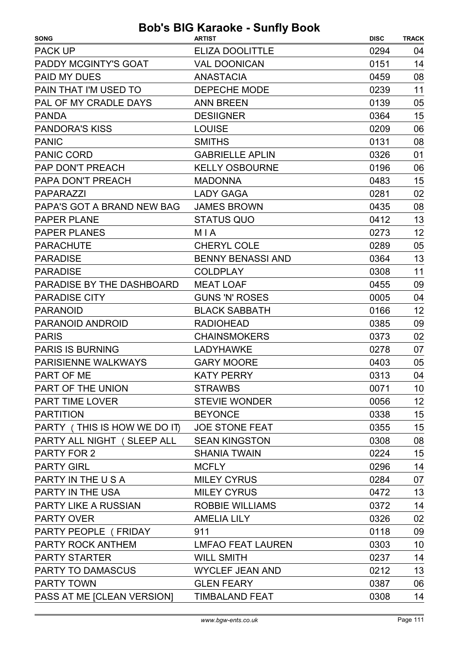| <b>SONG</b>                  | <b>ARTIST</b>            | <b>DISC</b> | <b>TRACK</b> |
|------------------------------|--------------------------|-------------|--------------|
| <b>PACK UP</b>               | <b>ELIZA DOOLITTLE</b>   | 0294        | 04           |
| PADDY MCGINTY'S GOAT         | <b>VAL DOONICAN</b>      | 0151        | 14           |
| <b>PAID MY DUES</b>          | <b>ANASTACIA</b>         | 0459        | 08           |
| PAIN THAT I'M USED TO        | DEPECHE MODE             | 0239        | 11           |
| PAL OF MY CRADLE DAYS        | <b>ANN BREEN</b>         | 0139        | 05           |
| <b>PANDA</b>                 | <b>DESIIGNER</b>         | 0364        | 15           |
| <b>PANDORA'S KISS</b>        | <b>LOUISE</b>            | 0209        | 06           |
| <b>PANIC</b>                 | <b>SMITHS</b>            | 0131        | 08           |
| <b>PANIC CORD</b>            | <b>GABRIELLE APLIN</b>   | 0326        | 01           |
| PAP DON'T PREACH             | <b>KELLY OSBOURNE</b>    | 0196        | 06           |
| PAPA DON'T PREACH            | <b>MADONNA</b>           | 0483        | 15           |
| <b>PAPARAZZI</b>             | <b>LADY GAGA</b>         | 0281        | 02           |
| PAPA'S GOT A BRAND NEW BAG   | <b>JAMES BROWN</b>       | 0435        | 08           |
| <b>PAPER PLANE</b>           | <b>STATUS QUO</b>        | 0412        | 13           |
| PAPER PLANES                 | <b>MIA</b>               | 0273        | 12           |
| <b>PARACHUTE</b>             | <b>CHERYL COLE</b>       | 0289        | 05           |
| <b>PARADISE</b>              | <b>BENNY BENASSI AND</b> | 0364        | 13           |
| <b>PARADISE</b>              | <b>COLDPLAY</b>          | 0308        | 11           |
| PARADISE BY THE DASHBOARD    | <b>MEAT LOAF</b>         | 0455        | 09           |
| <b>PARADISE CITY</b>         | <b>GUNS 'N' ROSES</b>    | 0005        | 04           |
| <b>PARANOID</b>              | <b>BLACK SABBATH</b>     | 0166        | 12           |
| PARANOID ANDROID             | <b>RADIOHEAD</b>         | 0385        | 09           |
| <b>PARIS</b>                 | <b>CHAINSMOKERS</b>      | 0373        | 02           |
| <b>PARIS IS BURNING</b>      | <b>LADYHAWKE</b>         | 0278        | 07           |
| PARISIENNE WALKWAYS          | <b>GARY MOORE</b>        | 0403        | 05           |
| PART OF ME                   | <b>KATY PERRY</b>        | 0313        | 04           |
| PART OF THE UNION            | <b>STRAWBS</b>           | 0071        | 10           |
| PART TIME LOVER              | <b>STEVIE WONDER</b>     | 0056        | 12           |
| <b>PARTITION</b>             | <b>BEYONCE</b>           | 0338        | 15           |
| PARTY (THIS IS HOW WE DO IT) | <b>JOE STONE FEAT</b>    | 0355        | 15           |
| PARTY ALL NIGHT (SLEEP ALL   | <b>SEAN KINGSTON</b>     | 0308        | 08           |
| <b>PARTY FOR 2</b>           | <b>SHANIA TWAIN</b>      | 0224        | 15           |
| <b>PARTY GIRL</b>            | <b>MCFLY</b>             | 0296        | 14           |
| PARTY IN THE USA             | <b>MILEY CYRUS</b>       | 0284        | 07           |
| PARTY IN THE USA             | <b>MILEY CYRUS</b>       | 0472        | 13           |
| PARTY LIKE A RUSSIAN         | <b>ROBBIE WILLIAMS</b>   | 0372        | 14           |
| <b>PARTY OVER</b>            | <b>AMELIA LILY</b>       | 0326        | 02           |
| PARTY PEOPLE (FRIDAY         | 911                      | 0118        | 09           |
| PARTY ROCK ANTHEM            | <b>LMFAO FEAT LAUREN</b> | 0303        | 10           |
| <b>PARTY STARTER</b>         | <b>WILL SMITH</b>        | 0237        | 14           |
| PARTY TO DAMASCUS            | <b>WYCLEF JEAN AND</b>   | 0212        | 13           |
| PARTY TOWN                   | <b>GLEN FEARY</b>        | 0387        | 06           |
| PASS AT ME [CLEAN VERSION]   | <b>TIMBALAND FEAT</b>    | 0308        | 14           |
|                              |                          |             |              |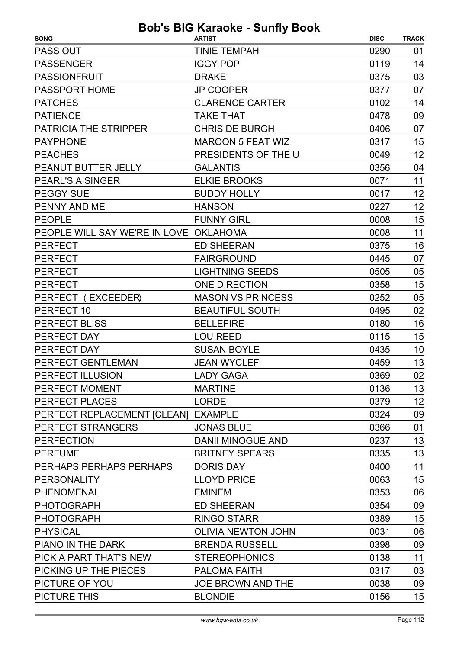| <b>SONG</b>                            | <b>ARTIST</b>             | <b>DISC</b> | <b>TRACK</b> |
|----------------------------------------|---------------------------|-------------|--------------|
| PASS OUT                               | <b>TINIE TEMPAH</b>       | 0290        | 01           |
| <b>PASSENGER</b>                       | <b>IGGY POP</b>           | 0119        | 14           |
| <b>PASSIONFRUIT</b>                    | <b>DRAKE</b>              | 0375        | 03           |
| PASSPORT HOME                          | <b>JP COOPER</b>          | 0377        | 07           |
| <b>PATCHES</b>                         | <b>CLARENCE CARTER</b>    | 0102        | 14           |
| <b>PATIENCE</b>                        | <b>TAKE THAT</b>          | 0478        | 09           |
| <b>PATRICIA THE STRIPPER</b>           | <b>CHRIS DE BURGH</b>     | 0406        | 07           |
| <b>PAYPHONE</b>                        | <b>MAROON 5 FEAT WIZ</b>  | 0317        | 15           |
| <b>PEACHES</b>                         | PRESIDENTS OF THE U       | 0049        | 12           |
| PEANUT BUTTER JELLY                    | <b>GALANTIS</b>           | 0356        | 04           |
| <b>PEARL'S A SINGER</b>                | <b>ELKIE BROOKS</b>       | 0071        | 11           |
| <b>PEGGY SUE</b>                       | <b>BUDDY HOLLY</b>        | 0017        | 12           |
| PENNY AND ME                           | <b>HANSON</b>             | 0227        | 12           |
| <b>PEOPLE</b>                          | <b>FUNNY GIRL</b>         | 0008        | 15           |
| PEOPLE WILL SAY WE'RE IN LOVE OKLAHOMA |                           | 0008        | 11           |
| <b>PERFECT</b>                         | <b>ED SHEERAN</b>         | 0375        | 16           |
| <b>PERFECT</b>                         | <b>FAIRGROUND</b>         | 0445        | 07           |
| <b>PERFECT</b>                         | <b>LIGHTNING SEEDS</b>    | 0505        | 05           |
| <b>PERFECT</b>                         | <b>ONE DIRECTION</b>      | 0358        | 15           |
| PERFECT (EXCEEDER)                     | <b>MASON VS PRINCESS</b>  | 0252        | 05           |
| PERFECT 10                             | <b>BEAUTIFUL SOUTH</b>    | 0495        | 02           |
| <b>PERFECT BLISS</b>                   | <b>BELLEFIRE</b>          | 0180        | 16           |
| PERFECT DAY                            | <b>LOU REED</b>           | 0115        | 15           |
| PERFECT DAY                            | <b>SUSAN BOYLE</b>        | 0435        | 10           |
| PERFECT GENTLEMAN                      | <b>JEAN WYCLEF</b>        | 0459        | 13           |
| PERFECT ILLUSION                       | <b>LADY GAGA</b>          | 0369        | 02           |
| PERFECT MOMENT                         | <b>MARTINE</b>            | 0136        | 13           |
| PERFECT PLACES                         | <b>LORDE</b>              | 0379        | 12           |
| PERFECT REPLACEMENT [CLEAN] EXAMPLE    |                           | 0324        | 09           |
| PERFECT STRANGERS                      | <b>JONAS BLUE</b>         | 0366        | 01           |
| <b>PERFECTION</b>                      | <b>DANII MINOGUE AND</b>  | 0237        | 13           |
| <b>PERFUME</b>                         | <b>BRITNEY SPEARS</b>     | 0335        | 13           |
| PERHAPS PERHAPS PERHAPS                | <b>DORIS DAY</b>          | 0400        | 11           |
| <b>PERSONALITY</b>                     | <b>LLOYD PRICE</b>        | 0063        | 15           |
| <b>PHENOMENAL</b>                      | <b>EMINEM</b>             | 0353        | 06           |
| <b>PHOTOGRAPH</b>                      | <b>ED SHEERAN</b>         | 0354        | 09           |
| <b>PHOTOGRAPH</b>                      | <b>RINGO STARR</b>        | 0389        | 15           |
| <b>PHYSICAL</b>                        | <b>OLIVIA NEWTON JOHN</b> | 0031        | 06           |
| PIANO IN THE DARK                      | <b>BRENDA RUSSELL</b>     | 0398        | 09           |
| PICK A PART THAT'S NEW                 | <b>STEREOPHONICS</b>      | 0138        | 11           |
| PICKING UP THE PIECES                  | <b>PALOMA FAITH</b>       | 0317        | 03           |
| PICTURE OF YOU                         | <b>JOE BROWN AND THE</b>  | 0038        | 09           |
| <b>PICTURE THIS</b>                    | <b>BLONDIE</b>            | 0156        | 15           |
|                                        |                           |             |              |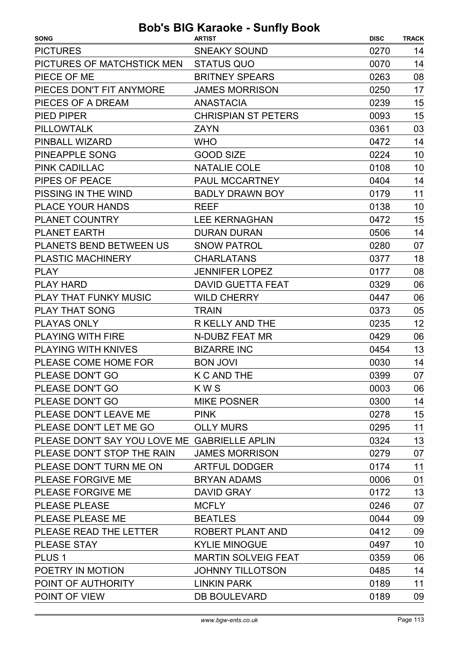| <b>SONG</b>                                  | <b>ARTIST</b>              | <b>DISC</b> | <b>TRACK</b> |
|----------------------------------------------|----------------------------|-------------|--------------|
| <b>PICTURES</b>                              | <b>SNEAKY SOUND</b>        | 0270        | 14           |
| PICTURES OF MATCHSTICK MEN                   | <b>STATUS QUO</b>          | 0070        | 14           |
| PIECE OF ME                                  | <b>BRITNEY SPEARS</b>      | 0263        | 08           |
| PIECES DON'T FIT ANYMORE                     | <b>JAMES MORRISON</b>      | 0250        | 17           |
| PIECES OF A DREAM                            | <b>ANASTACIA</b>           | 0239        | 15           |
| PIED PIPER                                   | <b>CHRISPIAN ST PETERS</b> | 0093        | 15           |
| <b>PILLOWTALK</b>                            | <b>ZAYN</b>                | 0361        | 03           |
| PINBALL WIZARD                               | <b>WHO</b>                 | 0472        | 14           |
| PINEAPPLE SONG                               | <b>GOOD SIZE</b>           | 0224        | 10           |
| <b>PINK CADILLAC</b>                         | <b>NATALIE COLE</b>        | 0108        | 10           |
| <b>PIPES OF PEACE</b>                        | PAUL MCCARTNEY             | 0404        | 14           |
| PISSING IN THE WIND                          | <b>BADLY DRAWN BOY</b>     | 0179        | 11           |
| <b>PLACE YOUR HANDS</b>                      | <b>REEF</b>                | 0138        | 10           |
| <b>PLANET COUNTRY</b>                        | <b>LEE KERNAGHAN</b>       | 0472        | 15           |
| <b>PLANET EARTH</b>                          | <b>DURAN DURAN</b>         | 0506        | 14           |
| PLANETS BEND BETWEEN US                      | <b>SNOW PATROL</b>         | 0280        | 07           |
| <b>PLASTIC MACHINERY</b>                     | <b>CHARLATANS</b>          | 0377        | 18           |
| <b>PLAY</b>                                  | <b>JENNIFER LOPEZ</b>      | 0177        | 08           |
| <b>PLAY HARD</b>                             | <b>DAVID GUETTA FEAT</b>   | 0329        | 06           |
| PLAY THAT FUNKY MUSIC                        | <b>WILD CHERRY</b>         | 0447        | 06           |
| PLAY THAT SONG                               | <b>TRAIN</b>               | 0373        | 05           |
| <b>PLAYAS ONLY</b>                           | R KELLY AND THE            | 0235        | 12           |
| <b>PLAYING WITH FIRE</b>                     | N-DUBZ FEAT MR             | 0429        | 06           |
| <b>PLAYING WITH KNIVES</b>                   | <b>BIZARRE INC</b>         | 0454        | 13           |
| PLEASE COME HOME FOR                         | <b>BON JOVI</b>            | 0030        | 14           |
| PLEASE DON'T GO                              | K C AND THE                | 0399        | 07           |
| PLEASE DON'T GO                              | KWS                        | 0003        | 06           |
| PLEASE DON'T GO                              | <b>MIKE POSNER</b>         | 0300        | 14           |
| PLEASE DON'T LEAVE ME                        | <b>PINK</b>                | 0278        | 15           |
| PLEASE DON'T LET ME GO OLLY MURS             |                            | 0295        | 11           |
| PLEASE DON'T SAY YOU LOVE ME GABRIELLE APLIN |                            | 0324        | 13           |
| PLEASE DON'T STOP THE RAIN JAMES MORRISON    |                            | 0279        | 07           |
| PLEASE DON'T TURN ME ON                      | <b>ARTFUL DODGER</b>       | 0174        | 11           |
| PLEASE FORGIVE ME                            | <b>BRYAN ADAMS</b>         | 0006        | 01           |
| PLEASE FORGIVE ME                            | <b>DAVID GRAY</b>          | 0172        | 13           |
| <b>PLEASE PLEASE</b>                         | <b>MCFLY</b>               | 0246        | 07           |
| PLEASE PLEASE ME                             | <b>BEATLES</b>             | 0044        | 09           |
| PLEASE READ THE LETTER                       | ROBERT PLANT AND           | 0412        | 09           |
| PLEASE STAY                                  | <b>KYLIE MINOGUE</b>       | 0497        | 10           |
| PLUS <sub>1</sub>                            | <b>MARTIN SOLVEIG FEAT</b> | 0359        | 06           |
| POETRY IN MOTION                             | <b>JOHNNY TILLOTSON</b>    | 0485        | 14           |
| POINT OF AUTHORITY                           | <b>LINKIN PARK</b>         | 0189        | 11           |
| POINT OF VIEW                                | <b>DB BOULEVARD</b>        | 0189        | 09           |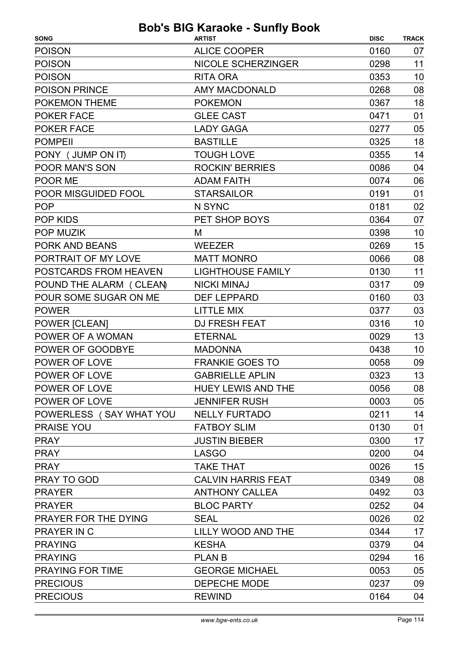| <b>SONG</b>              | <b>ARTIST</b>             | <b>DISC</b> | <b>TRACK</b> |
|--------------------------|---------------------------|-------------|--------------|
| <b>POISON</b>            | <b>ALICE COOPER</b>       | 0160        | 07           |
| <b>POISON</b>            | <b>NICOLE SCHERZINGER</b> | 0298        | 11           |
| <b>POISON</b>            | <b>RITA ORA</b>           | 0353        | 10           |
| <b>POISON PRINCE</b>     | <b>AMY MACDONALD</b>      | 0268        | 08           |
| POKEMON THEME            | <b>POKEMON</b>            | 0367        | 18           |
| <b>POKER FACE</b>        | <b>GLEE CAST</b>          | 0471        | 01           |
| POKER FACE               | <b>LADY GAGA</b>          | 0277        | 05           |
| <b>POMPEII</b>           | <b>BASTILLE</b>           | 0325        | 18           |
| PONY (JUMP ON IT)        | <b>TOUGH LOVE</b>         | 0355        | 14           |
| <b>POOR MAN'S SON</b>    | <b>ROCKIN' BERRIES</b>    | 0086        | 04           |
| POOR ME                  | <b>ADAM FAITH</b>         | 0074        | 06           |
| POOR MISGUIDED FOOL      | <b>STARSAILOR</b>         | 0191        | 01           |
| <b>POP</b>               | N SYNC                    | 0181        | 02           |
| POP KIDS                 | PET SHOP BOYS             | 0364        | 07           |
| POP MUZIK                | M                         | 0398        | 10           |
| PORK AND BEANS           | <b>WEEZER</b>             | 0269        | 15           |
| PORTRAIT OF MY LOVE      | <b>MATT MONRO</b>         | 0066        | 08           |
| POSTCARDS FROM HEAVEN    | <b>LIGHTHOUSE FAMILY</b>  | 0130        | 11           |
| POUND THE ALARM ( CLEAN) | <b>NICKI MINAJ</b>        | 0317        | 09           |
| POUR SOME SUGAR ON ME    | <b>DEF LEPPARD</b>        | 0160        | 03           |
| <b>POWER</b>             | <b>LITTLE MIX</b>         | 0377        | 03           |
| POWER [CLEAN]            | <b>DJ FRESH FEAT</b>      | 0316        | 10           |
| POWER OF A WOMAN         | <b>ETERNAL</b>            | 0029        | 13           |
| POWER OF GOODBYE         | <b>MADONNA</b>            | 0438        | 10           |
| POWER OF LOVE            | <b>FRANKIE GOES TO</b>    | 0058        | 09           |
| POWER OF LOVE            | <b>GABRIELLE APLIN</b>    | 0323        | 13           |
| POWER OF LOVE            | <b>HUEY LEWIS AND THE</b> | 0056        | 08           |
| POWER OF LOVE            | <b>JENNIFER RUSH</b>      | 0003        | 05           |
| POWERLESS (SAY WHAT YOU  | <b>NELLY FURTADO</b>      | 0211        | 14           |
| <b>PRAISE YOU</b>        | <b>FATBOY SLIM</b>        | 0130        | 01           |
| <b>PRAY</b>              | <b>JUSTIN BIEBER</b>      | 0300        | 17           |
| <b>PRAY</b>              | <b>LASGO</b>              | 0200        | 04           |
| <b>PRAY</b>              | <b>TAKE THAT</b>          | 0026        | 15           |
| PRAY TO GOD              | <b>CALVIN HARRIS FEAT</b> | 0349        | 08           |
| <b>PRAYER</b>            | <b>ANTHONY CALLEA</b>     | 0492        | 03           |
| <b>PRAYER</b>            | <b>BLOC PARTY</b>         | 0252        | 04           |
| PRAYER FOR THE DYING     | <b>SEAL</b>               | 0026        | 02           |
| PRAYER IN C              | LILLY WOOD AND THE        | 0344        | 17           |
| <b>PRAYING</b>           | <b>KESHA</b>              | 0379        | 04           |
| <b>PRAYING</b>           | <b>PLANB</b>              | 0294        | 16           |
| PRAYING FOR TIME         | <b>GEORGE MICHAEL</b>     | 0053        | 05           |
| <b>PRECIOUS</b>          | DEPECHE MODE              | 0237        | 09           |
| <b>PRECIOUS</b>          | <b>REWIND</b>             | 0164        | 04           |
|                          |                           |             |              |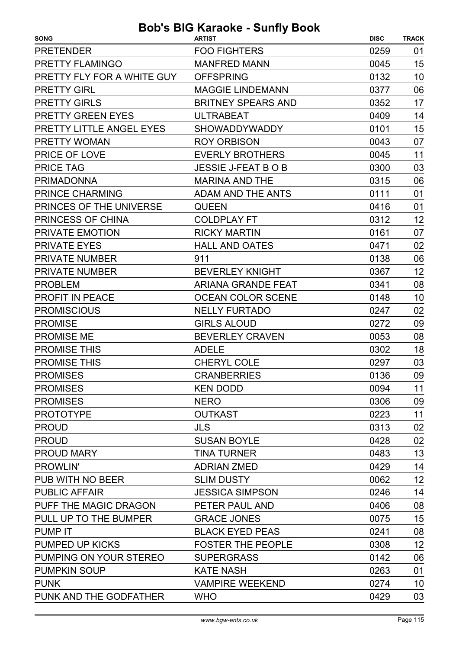| <b>SONG</b>                | <b>ARTIST</b>              | <b>DISC</b> | <b>TRACK</b> |
|----------------------------|----------------------------|-------------|--------------|
| <b>PRETENDER</b>           | <b>FOO FIGHTERS</b>        | 0259        | 01           |
| PRETTY FLAMINGO            | <b>MANFRED MANN</b>        | 0045        | 15           |
| PRETTY FLY FOR A WHITE GUY | <b>OFFSPRING</b>           | 0132        | 10           |
| <b>PRETTY GIRL</b>         | <b>MAGGIE LINDEMANN</b>    | 0377        | 06           |
| <b>PRETTY GIRLS</b>        | <b>BRITNEY SPEARS AND</b>  | 0352        | 17           |
| <b>PRETTY GREEN EYES</b>   | <b>ULTRABEAT</b>           | 0409        | 14           |
| PRETTY LITTLE ANGEL EYES   | <b>SHOWADDYWADDY</b>       | 0101        | 15           |
| PRETTY WOMAN               | <b>ROY ORBISON</b>         | 0043        | 07           |
| PRICE OF LOVE              | <b>EVERLY BROTHERS</b>     | 0045        | 11           |
| <b>PRICE TAG</b>           | <b>JESSIE J-FEAT B O B</b> | 0300        | 03           |
| <b>PRIMADONNA</b>          | <b>MARINA AND THE</b>      | 0315        | 06           |
| <b>PRINCE CHARMING</b>     | <b>ADAM AND THE ANTS</b>   | 0111        | 01           |
| PRINCES OF THE UNIVERSE    | <b>QUEEN</b>               | 0416        | 01           |
| PRINCESS OF CHINA          | <b>COLDPLAY FT</b>         | 0312        | 12           |
| PRIVATE EMOTION            | <b>RICKY MARTIN</b>        | 0161        | 07           |
| <b>PRIVATE EYES</b>        | <b>HALL AND OATES</b>      | 0471        | 02           |
| <b>PRIVATE NUMBER</b>      | 911                        | 0138        | 06           |
| <b>PRIVATE NUMBER</b>      | <b>BEVERLEY KNIGHT</b>     | 0367        | 12           |
| <b>PROBLEM</b>             | <b>ARIANA GRANDE FEAT</b>  | 0341        | 08           |
| PROFIT IN PEACE            | <b>OCEAN COLOR SCENE</b>   | 0148        | 10           |
| <b>PROMISCIOUS</b>         | <b>NELLY FURTADO</b>       | 0247        | 02           |
| <b>PROMISE</b>             | <b>GIRLS ALOUD</b>         | 0272        | 09           |
| <b>PROMISE ME</b>          | <b>BEVERLEY CRAVEN</b>     | 0053        | 08           |
| <b>PROMISE THIS</b>        | <b>ADELE</b>               | 0302        | 18           |
| <b>PROMISE THIS</b>        | <b>CHERYL COLE</b>         | 0297        | 03           |
| <b>PROMISES</b>            | <b>CRANBERRIES</b>         | 0136        | 09           |
| <b>PROMISES</b>            | <b>KEN DODD</b>            | 0094        | 11           |
| <b>PROMISES</b>            | <b>NERO</b>                | 0306        | 09           |
| <b>PROTOTYPE</b>           | <b>OUTKAST</b>             | 0223        | 11           |
| <b>PROUD</b>               | <b>JLS</b>                 | 0313        | 02           |
| <b>PROUD</b>               | <b>SUSAN BOYLE</b>         | 0428        | 02           |
| <b>PROUD MARY</b>          | <b>TINA TURNER</b>         | 0483        | 13           |
| PROWLIN'                   | <b>ADRIAN ZMED</b>         | 0429        | 14           |
| PUB WITH NO BEER           | <b>SLIM DUSTY</b>          | 0062        | 12           |
| <b>PUBLIC AFFAIR</b>       | <b>JESSICA SIMPSON</b>     | 0246        | 14           |
| PUFF THE MAGIC DRAGON      | PETER PAUL AND             | 0406        | 08           |
| PULL UP TO THE BUMPER      | <b>GRACE JONES</b>         | 0075        | 15           |
| <b>PUMP IT</b>             | <b>BLACK EYED PEAS</b>     | 0241        | 08           |
| PUMPED UP KICKS            | <b>FOSTER THE PEOPLE</b>   | 0308        | 12           |
| PUMPING ON YOUR STEREO     | <b>SUPERGRASS</b>          | 0142        | 06           |
| <b>PUMPKIN SOUP</b>        | <b>KATE NASH</b>           | 0263        | 01           |
| <b>PUNK</b>                | <b>VAMPIRE WEEKEND</b>     | 0274        | 10           |
| PUNK AND THE GODFATHER     | <b>WHO</b>                 | 0429        | 03           |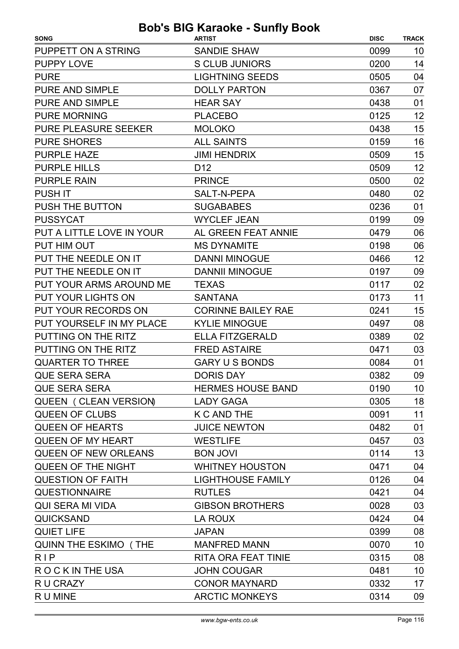| <b>SONG</b>                   | <b>ARTIST</b>              | <b>DISC</b> | <b>TRACK</b> |
|-------------------------------|----------------------------|-------------|--------------|
| PUPPETT ON A STRING           | <b>SANDIE SHAW</b>         | 0099        | 10           |
| <b>PUPPY LOVE</b>             | <b>S CLUB JUNIORS</b>      | 0200        | 14           |
| <b>PURE</b>                   | <b>LIGHTNING SEEDS</b>     | 0505        | 04           |
| <b>PURE AND SIMPLE</b>        | <b>DOLLY PARTON</b>        | 0367        | 07           |
| <b>PURE AND SIMPLE</b>        | <b>HEAR SAY</b>            | 0438        | 01           |
| <b>PURE MORNING</b>           | <b>PLACEBO</b>             | 0125        | 12           |
| <b>PURE PLEASURE SEEKER</b>   | <b>MOLOKO</b>              | 0438        | 15           |
| <b>PURE SHORES</b>            | <b>ALL SAINTS</b>          | 0159        | 16           |
| <b>PURPLE HAZE</b>            | <b>JIMI HENDRIX</b>        | 0509        | 15           |
| <b>PURPLE HILLS</b>           | D <sub>12</sub>            | 0509        | 12           |
| <b>PURPLE RAIN</b>            | <b>PRINCE</b>              | 0500        | 02           |
| <b>PUSH IT</b>                | SALT-N-PEPA                | 0480        | 02           |
| PUSH THE BUTTON               | <b>SUGABABES</b>           | 0236        | 01           |
| <b>PUSSYCAT</b>               | <b>WYCLEF JEAN</b>         | 0199        | 09           |
| PUT A LITTLE LOVE IN YOUR     | AL GREEN FEAT ANNIE        | 0479        | 06           |
| PUT HIM OUT                   | <b>MS DYNAMITE</b>         | 0198        | 06           |
| PUT THE NEEDLE ON IT          | <b>DANNI MINOGUE</b>       | 0466        | 12           |
| PUT THE NEEDLE ON IT          | <b>DANNII MINOGUE</b>      | 0197        | 09           |
| PUT YOUR ARMS AROUND ME       | <b>TEXAS</b>               | 0117        | 02           |
| <b>PUT YOUR LIGHTS ON</b>     | <b>SANTANA</b>             | 0173        | 11           |
| PUT YOUR RECORDS ON           | <b>CORINNE BAILEY RAE</b>  | 0241        | 15           |
| PUT YOURSELF IN MY PLACE      | <b>KYLIE MINOGUE</b>       | 0497        | 08           |
| PUTTING ON THE RITZ           | ELLA FITZGERALD            | 0389        | 02           |
| PUTTING ON THE RITZ           | <b>FRED ASTAIRE</b>        | 0471        | 03           |
| <b>QUARTER TO THREE</b>       | <b>GARY U S BONDS</b>      | 0084        | 01           |
| <b>QUE SERA SERA</b>          | <b>DORIS DAY</b>           | 0382        | 09           |
| <b>QUE SERA SERA</b>          | <b>HERMES HOUSE BAND</b>   | 0190        | 10           |
| <b>QUEEN ( CLEAN VERSION)</b> | <b>LADY GAGA</b>           | 0305        | 18           |
| <b>QUEEN OF CLUBS</b>         | K C AND THE                | 0091        | 11           |
| <b>QUEEN OF HEARTS</b>        | <b>JUICE NEWTON</b>        | 0482        | 01           |
| QUEEN OF MY HEART             | <b>WESTLIFE</b>            | 0457        | 03           |
| <b>QUEEN OF NEW ORLEANS</b>   | <b>BON JOVI</b>            | 0114        | 13           |
| QUEEN OF THE NIGHT            | <b>WHITNEY HOUSTON</b>     | 0471        | 04           |
| <b>QUESTION OF FAITH</b>      | <b>LIGHTHOUSE FAMILY</b>   | 0126        | 04           |
| <b>QUESTIONNAIRE</b>          | <b>RUTLES</b>              | 0421        | 04           |
| <b>QUI SERA MI VIDA</b>       | <b>GIBSON BROTHERS</b>     | 0028        | 03           |
| <b>QUICKSAND</b>              | <b>LA ROUX</b>             | 0424        | 04           |
| <b>QUIET LIFE</b>             | <b>JAPAN</b>               | 0399        | 08           |
| <b>QUINN THE ESKIMO (THE</b>  | <b>MANFRED MANN</b>        | 0070        | 10           |
| <b>RIP</b>                    | <b>RITA ORA FEAT TINIE</b> | 0315        | 08           |
| ROCK IN THE USA               | <b>JOHN COUGAR</b>         | 0481        | 10           |
| R U CRAZY                     | <b>CONOR MAYNARD</b>       | 0332        | 17           |
| R U MINE                      | <b>ARCTIC MONKEYS</b>      | 0314        | 09           |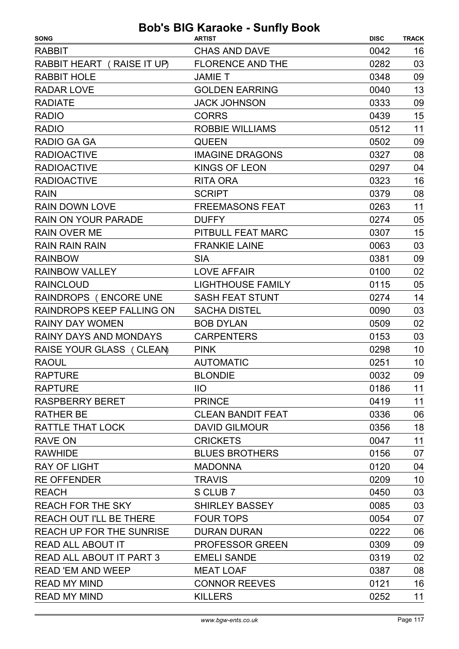| <b>SONG</b>                     | <b>ARTIST</b>            | <b>DISC</b> | <b>TRACK</b> |
|---------------------------------|--------------------------|-------------|--------------|
| <b>RABBIT</b>                   | <b>CHAS AND DAVE</b>     | 0042        | 16           |
| RABBIT HEART (RAISE IT UP)      | <b>FLORENCE AND THE</b>  | 0282        | 03           |
| <b>RABBIT HOLE</b>              | <b>JAMIE T</b>           | 0348        | 09           |
| <b>RADAR LOVE</b>               | <b>GOLDEN EARRING</b>    | 0040        | 13           |
| <b>RADIATE</b>                  | <b>JACK JOHNSON</b>      | 0333        | 09           |
| <b>RADIO</b>                    | <b>CORRS</b>             | 0439        | 15           |
| <b>RADIO</b>                    | <b>ROBBIE WILLIAMS</b>   | 0512        | 11           |
| RADIO GA GA                     | <b>QUEEN</b>             | 0502        | 09           |
| <b>RADIOACTIVE</b>              | <b>IMAGINE DRAGONS</b>   | 0327        | 08           |
| <b>RADIOACTIVE</b>              | <b>KINGS OF LEON</b>     | 0297        | 04           |
| <b>RADIOACTIVE</b>              | <b>RITA ORA</b>          | 0323        | 16           |
| <b>RAIN</b>                     | <b>SCRIPT</b>            | 0379        | 08           |
| <b>RAIN DOWN LOVE</b>           | <b>FREEMASONS FEAT</b>   | 0263        | 11           |
| <b>RAIN ON YOUR PARADE</b>      | <b>DUFFY</b>             | 0274        | 05           |
| <b>RAIN OVER ME</b>             | PITBULL FEAT MARC        | 0307        | 15           |
| <b>RAIN RAIN RAIN</b>           | <b>FRANKIE LAINE</b>     | 0063        | 03           |
| <b>RAINBOW</b>                  | <b>SIA</b>               | 0381        | 09           |
| <b>RAINBOW VALLEY</b>           | <b>LOVE AFFAIR</b>       | 0100        | 02           |
| <b>RAINCLOUD</b>                | <b>LIGHTHOUSE FAMILY</b> | 0115        | 05           |
| RAINDROPS (ENCORE UNE           | <b>SASH FEAT STUNT</b>   | 0274        | 14           |
| RAINDROPS KEEP FALLING ON       | <b>SACHA DISTEL</b>      | 0090        | 03           |
| <b>RAINY DAY WOMEN</b>          | <b>BOB DYLAN</b>         | 0509        | 02           |
| <b>RAINY DAYS AND MONDAYS</b>   | <b>CARPENTERS</b>        | 0153        | 03           |
| RAISE YOUR GLASS (CLEAN)        | <b>PINK</b>              | 0298        | 10           |
| <b>RAOUL</b>                    | <b>AUTOMATIC</b>         | 0251        | 10           |
| <b>RAPTURE</b>                  | <b>BLONDIE</b>           | 0032        | 09           |
| <b>RAPTURE</b>                  | $\overline{11}$          | 0186        | 11           |
| <b>RASPBERRY BERET</b>          | <b>PRINCE</b>            | 0419        | 11           |
| <b>RATHER BE</b>                | <b>CLEAN BANDIT FEAT</b> | 0336        | 06           |
| <b>RATTLE THAT LOCK</b>         | <b>DAVID GILMOUR</b>     | 0356        | 18           |
| <b>RAVE ON</b>                  | <b>CRICKETS</b>          | 0047        | 11           |
| <b>RAWHIDE</b>                  | <b>BLUES BROTHERS</b>    | 0156        | 07           |
| <b>RAY OF LIGHT</b>             | <b>MADONNA</b>           | 0120        | 04           |
| <b>RE OFFENDER</b>              | <b>TRAVIS</b>            | 0209        | 10           |
| <b>REACH</b>                    | S CLUB 7                 | 0450        | 03           |
| <b>REACH FOR THE SKY</b>        | <b>SHIRLEY BASSEY</b>    | 0085        | 03           |
| <b>REACH OUT I'LL BE THERE</b>  | <b>FOUR TOPS</b>         | 0054        | 07           |
| <b>REACH UP FOR THE SUNRISE</b> | <b>DURAN DURAN</b>       | 0222        | 06           |
| READ ALL ABOUT IT               | <b>PROFESSOR GREEN</b>   | 0309        | 09           |
| <b>READ ALL ABOUT IT PART 3</b> | <b>EMELI SANDE</b>       | 0319        | 02           |
| <b>READ 'EM AND WEEP</b>        | <b>MEAT LOAF</b>         | 0387        | 08           |
| <b>READ MY MIND</b>             | <b>CONNOR REEVES</b>     | 0121        | 16           |
| <b>READ MY MIND</b>             | <b>KILLERS</b>           | 0252        | 11           |
|                                 |                          |             |              |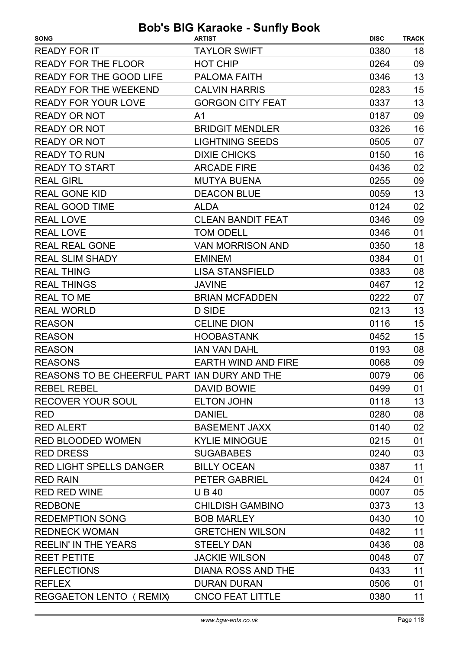| <b>SONG</b>                                  | <b>ARTIST</b>              | <b>DISC</b> | <b>TRACK</b> |
|----------------------------------------------|----------------------------|-------------|--------------|
| <b>READY FOR IT</b>                          | <b>TAYLOR SWIFT</b>        | 0380        | 18           |
| <b>READY FOR THE FLOOR</b>                   | <b>HOT CHIP</b>            | 0264        | 09           |
| <b>READY FOR THE GOOD LIFE</b>               | PALOMA FAITH               | 0346        | 13           |
| <b>READY FOR THE WEEKEND</b>                 | <b>CALVIN HARRIS</b>       | 0283        | 15           |
| <b>READY FOR YOUR LOVE</b>                   | <b>GORGON CITY FEAT</b>    | 0337        | 13           |
| <b>READY OR NOT</b>                          | A <sub>1</sub>             | 0187        | 09           |
| <b>READY OR NOT</b>                          | <b>BRIDGIT MENDLER</b>     | 0326        | 16           |
| <b>READY OR NOT</b>                          | <b>LIGHTNING SEEDS</b>     | 0505        | 07           |
| <b>READY TO RUN</b>                          | <b>DIXIE CHICKS</b>        | 0150        | 16           |
| <b>READY TO START</b>                        | <b>ARCADE FIRE</b>         | 0436        | 02           |
| <b>REAL GIRL</b>                             | <b>MUTYA BUENA</b>         | 0255        | 09           |
| <b>REAL GONE KID</b>                         | <b>DEACON BLUE</b>         | 0059        | 13           |
| <b>REAL GOOD TIME</b>                        | <b>ALDA</b>                | 0124        | 02           |
| <b>REAL LOVE</b>                             | <b>CLEAN BANDIT FEAT</b>   | 0346        | 09           |
| <b>REAL LOVE</b>                             | <b>TOM ODELL</b>           | 0346        | 01           |
| <b>REAL REAL GONE</b>                        | <b>VAN MORRISON AND</b>    | 0350        | 18           |
| <b>REAL SLIM SHADY</b>                       | <b>EMINEM</b>              | 0384        | 01           |
| <b>REAL THING</b>                            | <b>LISA STANSFIELD</b>     | 0383        | 08           |
| <b>REAL THINGS</b>                           | <b>JAVINE</b>              | 0467        | 12           |
| <b>REAL TO ME</b>                            | <b>BRIAN MCFADDEN</b>      | 0222        | 07           |
| <b>REAL WORLD</b>                            | <b>D SIDE</b>              | 0213        | 13           |
| <b>REASON</b>                                | <b>CELINE DION</b>         | 0116        | 15           |
| <b>REASON</b>                                | <b>HOOBASTANK</b>          | 0452        | 15           |
| <b>REASON</b>                                | <b>IAN VAN DAHL</b>        | 0193        | 08           |
| <b>REASONS</b>                               | <b>EARTH WIND AND FIRE</b> | 0068        | 09           |
| REASONS TO BE CHEERFUL PART IAN DURY AND THE |                            | 0079        | 06           |
| <b>REBEL REBEL</b>                           | DAVID BOWIE                | 0499        | 01           |
| <b>RECOVER YOUR SOUL</b>                     | <b>ELTON JOHN</b>          | 0118        | 13           |
| <b>RED</b>                                   | <b>DANIEL</b>              | 0280        | 08           |
| <b>RED ALERT</b>                             | <b>BASEMENT JAXX</b>       | 0140        | 02           |
| RED BLOODED WOMEN                            | <b>KYLIE MINOGUE</b>       | 0215        | 01           |
| <b>RED DRESS</b>                             | <b>SUGABABES</b>           | 0240        | 03           |
| <b>RED LIGHT SPELLS DANGER</b>               | <b>BILLY OCEAN</b>         | 0387        | 11           |
| <b>RED RAIN</b>                              | <b>PETER GABRIEL</b>       | 0424        | 01           |
| <b>RED RED WINE</b>                          | <b>UB40</b>                | 0007        | 05           |
| <b>REDBONE</b>                               | <b>CHILDISH GAMBINO</b>    | 0373        | 13           |
| <b>REDEMPTION SONG</b>                       | <b>BOB MARLEY</b>          | 0430        | 10           |
| <b>REDNECK WOMAN</b>                         | <b>GRETCHEN WILSON</b>     | 0482        | 11           |
| <b>REELIN' IN THE YEARS</b>                  | <b>STEELY DAN</b>          | 0436        | 08           |
| <b>REET PETITE</b>                           | <b>JACKIE WILSON</b>       | 0048        | 07           |
| <b>REFLECTIONS</b>                           | <b>DIANA ROSS AND THE</b>  | 0433        | 11           |
| <b>REFLEX</b>                                | <b>DURAN DURAN</b>         | 0506        | 01           |
| REGGAETON LENTO (REMIX)                      | <b>CNCO FEAT LITTLE</b>    | 0380        | 11           |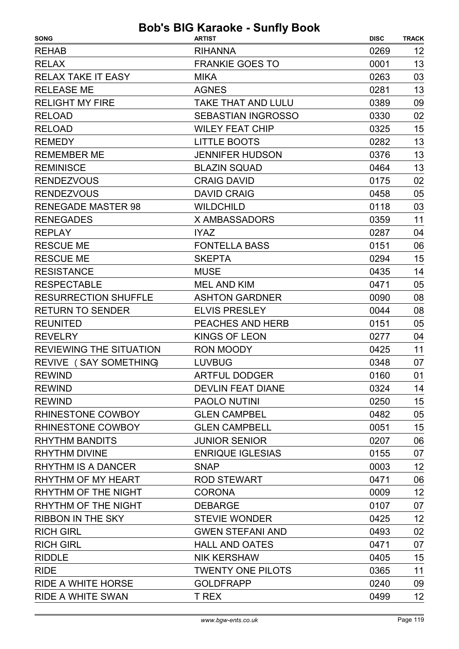| <b>SONG</b>                    | <b>ARTIST</b>             | <b>DISC</b> | <b>TRACK</b> |
|--------------------------------|---------------------------|-------------|--------------|
| <b>REHAB</b>                   | <b>RIHANNA</b>            | 0269        | 12           |
| <b>RELAX</b>                   | <b>FRANKIE GOES TO</b>    | 0001        | 13           |
| <b>RELAX TAKE IT EASY</b>      | <b>MIKA</b>               | 0263        | 03           |
| <b>RELEASE ME</b>              | <b>AGNES</b>              | 0281        | 13           |
| <b>RELIGHT MY FIRE</b>         | <b>TAKE THAT AND LULU</b> | 0389        | 09           |
| <b>RELOAD</b>                  | <b>SEBASTIAN INGROSSO</b> | 0330        | 02           |
| <b>RELOAD</b>                  | <b>WILEY FEAT CHIP</b>    | 0325        | 15           |
| <b>REMEDY</b>                  | <b>LITTLE BOOTS</b>       | 0282        | 13           |
| <b>REMEMBER ME</b>             | <b>JENNIFER HUDSON</b>    | 0376        | 13           |
| <b>REMINISCE</b>               | <b>BLAZIN SQUAD</b>       | 0464        | 13           |
| <b>RENDEZVOUS</b>              | <b>CRAIG DAVID</b>        | 0175        | 02           |
| <b>RENDEZVOUS</b>              | <b>DAVID CRAIG</b>        | 0458        | 05           |
| <b>RENEGADE MASTER 98</b>      | <b>WILDCHILD</b>          | 0118        | 03           |
| <b>RENEGADES</b>               | X AMBASSADORS             | 0359        | 11           |
| <b>REPLAY</b>                  | <b>IYAZ</b>               | 0287        | 04           |
| <b>RESCUE ME</b>               | <b>FONTELLA BASS</b>      | 0151        | 06           |
| <b>RESCUE ME</b>               | <b>SKEPTA</b>             | 0294        | 15           |
| <b>RESISTANCE</b>              | <b>MUSE</b>               | 0435        | 14           |
| <b>RESPECTABLE</b>             | <b>MEL AND KIM</b>        | 0471        | 05           |
| <b>RESURRECTION SHUFFLE</b>    | <b>ASHTON GARDNER</b>     | 0090        | 08           |
| <b>RETURN TO SENDER</b>        | <b>ELVIS PRESLEY</b>      | 0044        | 08           |
| <b>REUNITED</b>                | PEACHES AND HERB          | 0151        | 05           |
| <b>REVELRY</b>                 | <b>KINGS OF LEON</b>      | 0277        | 04           |
| <b>REVIEWING THE SITUATION</b> | <b>RON MOODY</b>          | 0425        | 11           |
| REVIVE (SAY SOMETHING)         | <b>LUVBUG</b>             | 0348        | 07           |
| <b>REWIND</b>                  | <b>ARTFUL DODGER</b>      | 0160        | 01           |
| <b>REWIND</b>                  | <b>DEVLIN FEAT DIANE</b>  | 0324        | 14           |
| <b>REWIND</b>                  | <b>PAOLO NUTINI</b>       | 0250        | 15           |
| RHINESTONE COWBOY              | <b>GLEN CAMPBEL</b>       | 0482        | 05           |
| RHINESTONE COWBOY              | <b>GLEN CAMPBELL</b>      | 0051        | 15           |
| <b>RHYTHM BANDITS</b>          | <b>JUNIOR SENIOR</b>      | 0207        | 06           |
| <b>RHYTHM DIVINE</b>           | <b>ENRIQUE IGLESIAS</b>   | 0155        | 07           |
| <b>RHYTHM IS A DANCER</b>      | <b>SNAP</b>               | 0003        | 12           |
| RHYTHM OF MY HEART             | <b>ROD STEWART</b>        | 0471        | 06           |
| RHYTHM OF THE NIGHT            | <b>CORONA</b>             | 0009        | 12           |
| RHYTHM OF THE NIGHT            | <b>DEBARGE</b>            | 0107        | 07           |
| <b>RIBBON IN THE SKY</b>       | <b>STEVIE WONDER</b>      | 0425        | 12           |
| <b>RICH GIRL</b>               | <b>GWEN STEFANI AND</b>   | 0493        | 02           |
| <b>RICH GIRL</b>               | <b>HALL AND OATES</b>     | 0471        | 07           |
| <b>RIDDLE</b>                  | <b>NIK KERSHAW</b>        | 0405        | 15           |
| <b>RIDE</b>                    | <b>TWENTY ONE PILOTS</b>  | 0365        | 11           |
| RIDE A WHITE HORSE             | <b>GOLDFRAPP</b>          | 0240        | 09           |
| <b>RIDE A WHITE SWAN</b>       | T REX                     | 0499        | 12           |
|                                |                           |             |              |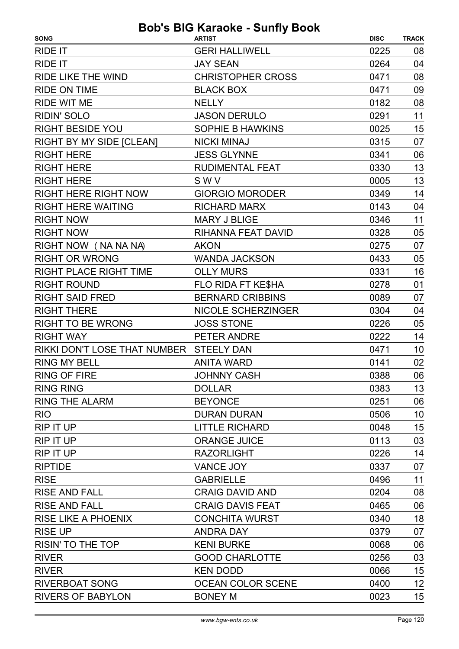| <b>SONG</b>                             | <b>ARTIST</b>             | <b>DISC</b> | <b>TRACK</b> |
|-----------------------------------------|---------------------------|-------------|--------------|
| <b>RIDE IT</b>                          | <b>GERI HALLIWELL</b>     | 0225        | 08           |
| <b>RIDE IT</b>                          | <b>JAY SEAN</b>           | 0264        | 04           |
| RIDE LIKE THE WIND                      | <b>CHRISTOPHER CROSS</b>  | 0471        | 08           |
| <b>RIDE ON TIME</b>                     | <b>BLACK BOX</b>          | 0471        | 09           |
| <b>RIDE WIT ME</b>                      | <b>NELLY</b>              | 0182        | 08           |
| <b>RIDIN' SOLO</b>                      | <b>JASON DERULO</b>       | 0291        | 11           |
| <b>RIGHT BESIDE YOU</b>                 | <b>SOPHIE B HAWKINS</b>   | 0025        | 15           |
| <b>RIGHT BY MY SIDE [CLEAN]</b>         | <b>NICKI MINAJ</b>        | 0315        | 07           |
| <b>RIGHT HERE</b>                       | <b>JESS GLYNNE</b>        | 0341        | 06           |
| <b>RIGHT HERE</b>                       | <b>RUDIMENTAL FEAT</b>    | 0330        | 13           |
| <b>RIGHT HERE</b>                       | SWV                       | 0005        | 13           |
| <b>RIGHT HERE RIGHT NOW</b>             | <b>GIORGIO MORODER</b>    | 0349        | 14           |
| <b>RIGHT HERE WAITING</b>               | <b>RICHARD MARX</b>       | 0143        | 04           |
| <b>RIGHT NOW</b>                        | <b>MARY J BLIGE</b>       | 0346        | 11           |
| <b>RIGHT NOW</b>                        | RIHANNA FEAT DAVID        | 0328        | 05           |
| RIGHT NOW (NA NA NA)                    | <b>AKON</b>               | 0275        | 07           |
| <b>RIGHT OR WRONG</b>                   | <b>WANDA JACKSON</b>      | 0433        | 05           |
| <b>RIGHT PLACE RIGHT TIME</b>           | <b>OLLY MURS</b>          | 0331        | 16           |
| <b>RIGHT ROUND</b>                      | <b>FLO RIDA FT KE\$HA</b> | 0278        | 01           |
| <b>RIGHT SAID FRED</b>                  | <b>BERNARD CRIBBINS</b>   | 0089        | 07           |
| <b>RIGHT THERE</b>                      | <b>NICOLE SCHERZINGER</b> | 0304        | 04           |
| <b>RIGHT TO BE WRONG</b>                | <b>JOSS STONE</b>         | 0226        | 05           |
| <b>RIGHT WAY</b>                        | PETER ANDRE               | 0222        | 14           |
| RIKKI DON'T LOSE THAT NUMBER STEELY DAN |                           | 0471        | 10           |
| <b>RING MY BELL</b>                     | <b>ANITA WARD</b>         | 0141        | 02           |
| RING OF FIRE                            | <b>JOHNNY CASH</b>        | 0388        | 06           |
| <b>RING RING</b>                        | <b>DOLLAR</b>             | 0383        | 13           |
| <b>RING THE ALARM</b>                   | <b>BEYONCE</b>            | 0251        | 06           |
| <b>RIO</b>                              | <b>DURAN DURAN</b>        | 0506        | 10           |
| RIP IT UP                               | <b>LITTLE RICHARD</b>     | 0048        | 15           |
| <b>RIP IT UP</b>                        | <b>ORANGE JUICE</b>       | 0113        | 03           |
| <b>RIP IT UP</b>                        | <b>RAZORLIGHT</b>         | 0226        | 14           |
| <b>RIPTIDE</b>                          | <b>VANCE JOY</b>          | 0337        | 07           |
| <b>RISE</b>                             | <b>GABRIELLE</b>          | 0496        | 11           |
| <b>RISE AND FALL</b>                    | <b>CRAIG DAVID AND</b>    | 0204        | 08           |
| <b>RISE AND FALL</b>                    | <b>CRAIG DAVIS FEAT</b>   | 0465        | 06           |
| <b>RISE LIKE A PHOENIX</b>              | <b>CONCHITA WURST</b>     | 0340        | 18           |
| <b>RISE UP</b>                          | ANDRA DAY                 | 0379        | 07           |
| <b>RISIN' TO THE TOP</b>                | <b>KENI BURKE</b>         | 0068        | 06           |
| <b>RIVER</b>                            | <b>GOOD CHARLOTTE</b>     | 0256        | 03           |
| <b>RIVER</b>                            | <b>KEN DODD</b>           | 0066        | 15           |
| <b>RIVERBOAT SONG</b>                   | <b>OCEAN COLOR SCENE</b>  | 0400        | 12           |
| <b>RIVERS OF BABYLON</b>                | <b>BONEY M</b>            | 0023        | 15           |
|                                         |                           |             |              |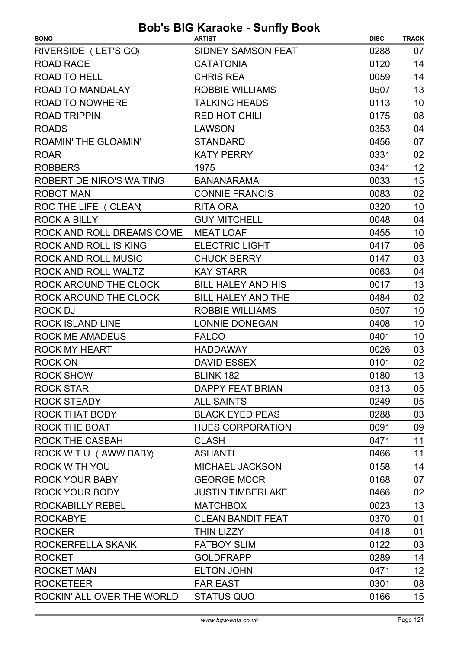| <b>SONG</b>                 | <b>ARTIST</b>             | <b>DISC</b> | <b>TRACK</b> |
|-----------------------------|---------------------------|-------------|--------------|
| RIVERSIDE (LET'S GO)        | <b>SIDNEY SAMSON FEAT</b> | 0288        | 07           |
| <b>ROAD RAGE</b>            | <b>CATATONIA</b>          | 0120        | 14           |
| ROAD TO HELL                | <b>CHRIS REA</b>          | 0059        | 14           |
| ROAD TO MANDALAY            | <b>ROBBIE WILLIAMS</b>    | 0507        | 13           |
| <b>ROAD TO NOWHERE</b>      | <b>TALKING HEADS</b>      | 0113        | 10           |
| <b>ROAD TRIPPIN</b>         | <b>RED HOT CHILI</b>      | 0175        | 08           |
| <b>ROADS</b>                | <b>LAWSON</b>             | 0353        | 04           |
| <b>ROAMIN' THE GLOAMIN'</b> | <b>STANDARD</b>           | 0456        | 07           |
| <b>ROAR</b>                 | <b>KATY PERRY</b>         | 0331        | 02           |
| <b>ROBBERS</b>              | 1975                      | 0341        | 12           |
| ROBERT DE NIRO'S WAITING    | <b>BANANARAMA</b>         | 0033        | 15           |
| <b>ROBOT MAN</b>            | <b>CONNIE FRANCIS</b>     | 0083        | 02           |
| ROC THE LIFE ( CLEAN)       | <b>RITA ORA</b>           | 0320        | 10           |
| <b>ROCK A BILLY</b>         | <b>GUY MITCHELL</b>       | 0048        | 04           |
| ROCK AND ROLL DREAMS COME   | <b>MEAT LOAF</b>          | 0455        | 10           |
| ROCK AND ROLL IS KING       | <b>ELECTRIC LIGHT</b>     | 0417        | 06           |
| <b>ROCK AND ROLL MUSIC</b>  | <b>CHUCK BERRY</b>        | 0147        | 03           |
| ROCK AND ROLL WALTZ         | <b>KAY STARR</b>          | 0063        | 04           |
| ROCK AROUND THE CLOCK       | <b>BILL HALEY AND HIS</b> | 0017        | 13           |
| ROCK AROUND THE CLOCK       | <b>BILL HALEY AND THE</b> | 0484        | 02           |
| ROCK DJ                     | <b>ROBBIE WILLIAMS</b>    | 0507        | 10           |
| <b>ROCK ISLAND LINE</b>     | <b>LONNIE DONEGAN</b>     | 0408        | 10           |
| <b>ROCK ME AMADEUS</b>      | <b>FALCO</b>              | 0401        | 10           |
| <b>ROCK MY HEART</b>        | <b>HADDAWAY</b>           | 0026        | 03           |
| <b>ROCK ON</b>              | <b>DAVID ESSEX</b>        | 0101        | 02           |
| <b>ROCK SHOW</b>            | BLINK 182                 | 0180        | 13           |
| <b>ROCK STAR</b>            | <b>DAPPY FEAT BRIAN</b>   | 0313        | 05           |
| <b>ROCK STEADY</b>          | <b>ALL SAINTS</b>         | 0249        | 05           |
| <b>ROCK THAT BODY</b>       | <b>BLACK EYED PEAS</b>    | 0288        | 03           |
| <b>ROCK THE BOAT</b>        | <b>HUES CORPORATION</b>   | 0091        | 09           |
| <b>ROCK THE CASBAH</b>      | <b>CLASH</b>              | 0471        | 11           |
| ROCK WIT U (AWW BABY)       | <b>ASHANTI</b>            | 0466        | 11           |
| <b>ROCK WITH YOU</b>        | <b>MICHAEL JACKSON</b>    | 0158        | 14           |
| <b>ROCK YOUR BABY</b>       | <b>GEORGE MCCR'</b>       | 0168        | 07           |
| ROCK YOUR BODY              | <b>JUSTIN TIMBERLAKE</b>  | 0466        | 02           |
| ROCKABILLY REBEL            | <b>MATCHBOX</b>           | 0023        | 13           |
| <b>ROCKABYE</b>             | <b>CLEAN BANDIT FEAT</b>  | 0370        | 01           |
| <b>ROCKER</b>               | <b>THIN LIZZY</b>         | 0418        | 01           |
| ROCKERFELLA SKANK           | <b>FATBOY SLIM</b>        | 0122        | 03           |
| <b>ROCKET</b>               | <b>GOLDFRAPP</b>          | 0289        | 14           |
| <b>ROCKET MAN</b>           | <b>ELTON JOHN</b>         | 0471        | 12           |
| <b>ROCKETEER</b>            | <b>FAR EAST</b>           | 0301        | 08           |
| ROCKIN' ALL OVER THE WORLD  | <b>STATUS QUO</b>         | 0166        | 15           |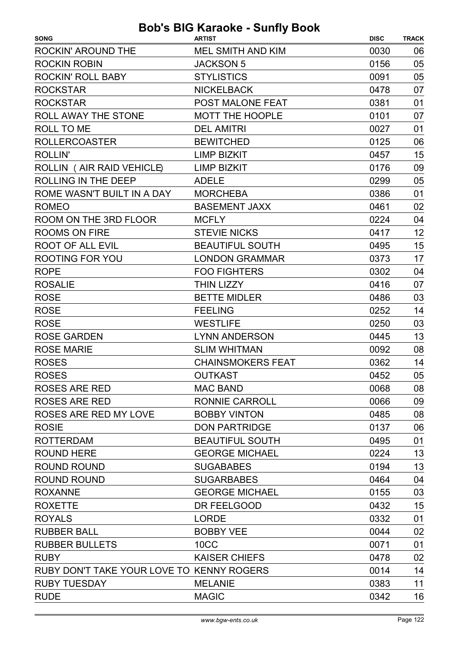| <b>SONG</b>                               | <b>ARTIST</b>   |                          | <b>DISC</b> | <b>TRACK</b> |
|-------------------------------------------|-----------------|--------------------------|-------------|--------------|
| ROCKIN' AROUND THE                        |                 | <b>MEL SMITH AND KIM</b> | 0030        | 06           |
| <b>ROCKIN ROBIN</b>                       |                 | <b>JACKSON 5</b>         | 0156        | 05           |
| <b>ROCKIN' ROLL BABY</b>                  |                 | <b>STYLISTICS</b>        | 0091        | 05           |
| <b>ROCKSTAR</b>                           |                 | <b>NICKELBACK</b>        | 0478        | 07           |
| <b>ROCKSTAR</b>                           |                 | <b>POST MALONE FEAT</b>  | 0381        | 01           |
| ROLL AWAY THE STONE                       |                 | <b>MOTT THE HOOPLE</b>   | 0101        | 07           |
| <b>ROLL TO ME</b>                         |                 | <b>DEL AMITRI</b>        | 0027        | 01           |
| <b>ROLLERCOASTER</b>                      |                 | <b>BEWITCHED</b>         | 0125        | 06           |
| <b>ROLLIN'</b>                            |                 | <b>LIMP BIZKIT</b>       | 0457        | 15           |
| ROLLIN (AIR RAID VEHICLE)                 |                 | <b>LIMP BIZKIT</b>       | 0176        | 09           |
| <b>ROLLING IN THE DEEP</b>                | <b>ADELE</b>    |                          | 0299        | 05           |
| ROME WASN'T BUILT IN A DAY                |                 | <b>MORCHEBA</b>          | 0386        | 01           |
| <b>ROMEO</b>                              |                 | <b>BASEMENT JAXX</b>     | 0461        | 02           |
| ROOM ON THE 3RD FLOOR                     | <b>MCFLY</b>    |                          | 0224        | 04           |
| <b>ROOMS ON FIRE</b>                      |                 | <b>STEVIE NICKS</b>      | 0417        | 12           |
| <b>ROOT OF ALL EVIL</b>                   |                 | <b>BEAUTIFUL SOUTH</b>   | 0495        | 15           |
| <b>ROOTING FOR YOU</b>                    |                 | <b>LONDON GRAMMAR</b>    | 0373        | 17           |
| <b>ROPE</b>                               |                 | <b>FOO FIGHTERS</b>      | 0302        | 04           |
| <b>ROSALIE</b>                            |                 | <b>THIN LIZZY</b>        | 0416        | 07           |
| <b>ROSE</b>                               |                 | <b>BETTE MIDLER</b>      | 0486        | 03           |
| <b>ROSE</b>                               | <b>FEELING</b>  |                          | 0252        | 14           |
| <b>ROSE</b>                               | <b>WESTLIFE</b> |                          | 0250        | 03           |
| <b>ROSE GARDEN</b>                        |                 | <b>LYNN ANDERSON</b>     | 0445        | 13           |
| <b>ROSE MARIE</b>                         |                 | <b>SLIM WHITMAN</b>      | 0092        | 08           |
| <b>ROSES</b>                              |                 | <b>CHAINSMOKERS FEAT</b> | 0362        | 14           |
| <b>ROSES</b>                              | <b>OUTKAST</b>  |                          | 0452        | 05           |
| <b>ROSES ARE RED</b>                      |                 | <b>MAC BAND</b>          | 0068        | 08           |
| <b>ROSES ARE RED</b>                      |                 | <b>RONNIE CARROLL</b>    | 0066        | 09           |
| ROSES ARE RED MY LOVE                     |                 | <b>BOBBY VINTON</b>      | 0485        | 08           |
| <b>ROSIE</b>                              |                 | <b>DON PARTRIDGE</b>     | 0137        | 06           |
| <b>ROTTERDAM</b>                          |                 | <b>BEAUTIFUL SOUTH</b>   | 0495        | 01           |
| <b>ROUND HERE</b>                         |                 | <b>GEORGE MICHAEL</b>    | 0224        | 13           |
| ROUND ROUND                               |                 | <b>SUGABABES</b>         | 0194        | 13           |
| <b>ROUND ROUND</b>                        |                 | <b>SUGARBABES</b>        | 0464        | 04           |
| <b>ROXANNE</b>                            |                 | <b>GEORGE MICHAEL</b>    | 0155        | 03           |
| <b>ROXETTE</b>                            |                 | DR FEELGOOD              | 0432        | 15           |
| <b>ROYALS</b>                             | <b>LORDE</b>    |                          | 0332        | 01           |
| <b>RUBBER BALL</b>                        |                 | <b>BOBBY VEE</b>         | 0044        | 02           |
| <b>RUBBER BULLETS</b>                     | 10CC            |                          | 0071        | 01           |
| <b>RUBY</b>                               |                 | <b>KAISER CHIEFS</b>     | 0478        | 02           |
| RUBY DON'T TAKE YOUR LOVE TO KENNY ROGERS |                 |                          | 0014        | 14           |
| <b>RUBY TUESDAY</b>                       | <b>MELANIE</b>  |                          | 0383        | 11           |
| <b>RUDE</b>                               | <b>MAGIC</b>    |                          | 0342        | 16           |
|                                           |                 |                          |             |              |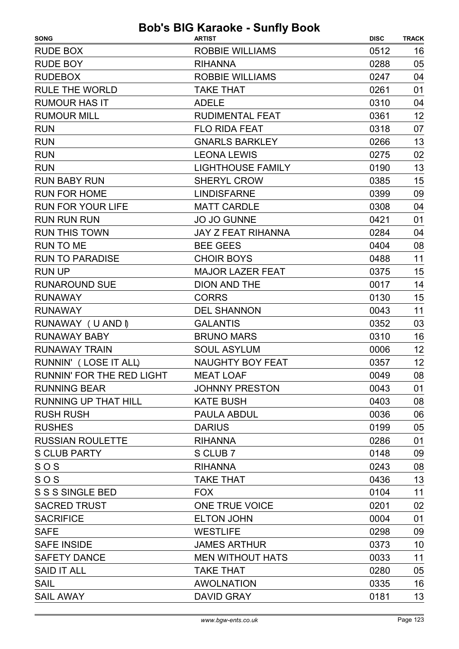| <b>RUDE BOX</b><br><b>ROBBIE WILLIAMS</b><br>0512         | 16 |
|-----------------------------------------------------------|----|
|                                                           |    |
| <b>RUDE BOY</b><br><b>RIHANNA</b><br>0288                 | 05 |
| <b>RUDEBOX</b><br><b>ROBBIE WILLIAMS</b><br>0247          | 04 |
| <b>RULE THE WORLD</b><br><b>TAKE THAT</b><br>0261         | 01 |
| <b>RUMOUR HAS IT</b><br><b>ADELE</b><br>0310              | 04 |
| <b>RUMOUR MILL</b><br><b>RUDIMENTAL FEAT</b><br>0361      | 12 |
| <b>RUN</b><br><b>FLO RIDA FEAT</b><br>0318                | 07 |
| <b>RUN</b><br><b>GNARLS BARKLEY</b><br>0266               | 13 |
| <b>RUN</b><br><b>LEONA LEWIS</b><br>0275                  | 02 |
| <b>RUN</b><br><b>LIGHTHOUSE FAMILY</b><br>0190            | 13 |
| SHERYL CROW<br><b>RUN BABY RUN</b><br>0385                | 15 |
| <b>RUN FOR HOME</b><br><b>LINDISFARNE</b><br>0399         | 09 |
| <b>RUN FOR YOUR LIFE</b><br><b>MATT CARDLE</b><br>0308    | 04 |
| <b>RUN RUN RUN</b><br><b>JO JO GUNNE</b><br>0421          | 01 |
| <b>RUN THIS TOWN</b><br><b>JAY Z FEAT RIHANNA</b><br>0284 | 04 |
| <b>RUN TO ME</b><br>0404<br><b>BEE GEES</b>               | 08 |
| <b>RUN TO PARADISE</b><br><b>CHOIR BOYS</b><br>0488       | 11 |
| <b>MAJOR LAZER FEAT</b><br><b>RUN UP</b><br>0375          | 15 |
| <b>RUNAROUND SUE</b><br><b>DION AND THE</b><br>0017       | 14 |
| <b>RUNAWAY</b><br><b>CORRS</b><br>0130                    | 15 |
| <b>RUNAWAY</b><br><b>DEL SHANNON</b><br>0043              | 11 |
| RUNAWAY (U AND I)<br><b>GALANTIS</b><br>0352              | 03 |
| <b>RUNAWAY BABY</b><br><b>BRUNO MARS</b><br>0310          | 16 |
| <b>RUNAWAY TRAIN</b><br><b>SOUL ASYLUM</b><br>0006        | 12 |
| <b>NAUGHTY BOY FEAT</b><br>RUNNIN' (LOSE IT ALL)<br>0357  | 12 |
| RUNNIN' FOR THE RED LIGHT<br><b>MEAT LOAF</b><br>0049     | 08 |
| <b>RUNNING BEAR</b><br><b>JOHNNY PRESTON</b><br>0043      | 01 |
| 0403<br><b>RUNNING UP THAT HILL</b><br><b>KATE BUSH</b>   | 08 |
| <b>RUSH RUSH</b><br>0036<br>PAULA ABDUL                   | 06 |
| <b>RUSHES</b><br><b>DARIUS</b><br>0199                    | 05 |
| <b>RUSSIAN ROULETTE</b><br>0286<br><b>RIHANNA</b>         | 01 |
| <b>S CLUB PARTY</b><br>S CLUB 7<br>0148                   | 09 |
| SOS<br><b>RIHANNA</b><br>0243                             | 08 |
| SOS<br><b>TAKE THAT</b><br>0436                           | 13 |
| S S S SINGLE BED<br><b>FOX</b><br>0104                    | 11 |
| <b>SACRED TRUST</b><br>ONE TRUE VOICE<br>0201             | 02 |
| <b>SACRIFICE</b><br><b>ELTON JOHN</b><br>0004             | 01 |
| <b>SAFE</b><br><b>WESTLIFE</b><br>0298                    | 09 |
| <b>SAFE INSIDE</b><br><b>JAMES ARTHUR</b><br>0373         | 10 |
| <b>SAFETY DANCE</b><br><b>MEN WITHOUT HATS</b><br>0033    | 11 |
| <b>SAID IT ALL</b><br><b>TAKE THAT</b><br>0280            | 05 |
| <b>SAIL</b><br><b>AWOLNATION</b><br>0335                  | 16 |
| <b>SAIL AWAY</b><br>DAVID GRAY<br>0181                    | 13 |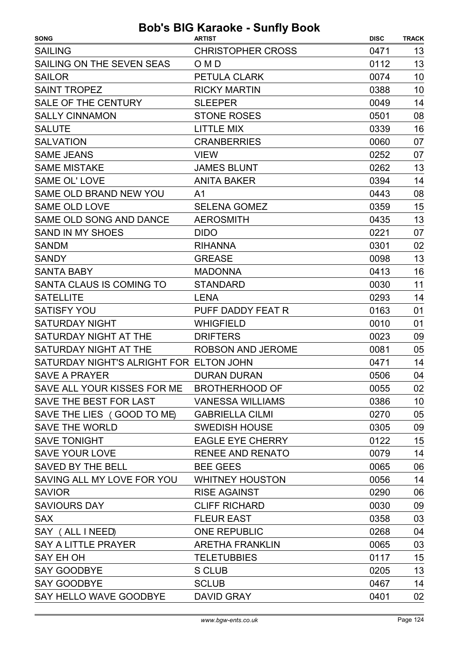| <b>SAILING</b><br><b>CHRISTOPHER CROSS</b><br>0471<br>13<br>13<br>SAILING ON THE SEVEN SEAS<br>O M D<br>0112<br>10<br><b>SAILOR</b><br>PETULA CLARK<br>0074<br><b>SAINT TROPEZ</b><br><b>RICKY MARTIN</b><br>10<br>0388<br>SALE OF THE CENTURY<br><b>SLEEPER</b><br>0049<br>14<br>08<br><b>SALLY CINNAMON</b><br>0501<br><b>STONE ROSES</b><br>16<br><b>LITTLE MIX</b><br>0339<br><b>SALUTE</b><br><b>CRANBERRIES</b><br>0060<br>07<br><b>SALVATION</b><br><b>SAME JEANS</b><br>0252<br>07<br><b>VIEW</b><br>13<br><b>SAME MISTAKE</b><br><b>JAMES BLUNT</b><br>0262<br><b>SAME OL' LOVE</b><br>0394<br>14<br><b>ANITA BAKER</b><br>SAME OLD BRAND NEW YOU<br>08<br>A <sub>1</sub><br>0443<br>15<br><b>SAME OLD LOVE</b><br>0359<br><b>SELENA GOMEZ</b><br>13<br>SAME OLD SONG AND DANCE<br><b>AEROSMITH</b><br>0435<br><b>SAND IN MY SHOES</b><br>07<br><b>DIDO</b><br>0221<br>02<br><b>SANDM</b><br><b>RIHANNA</b><br>0301<br>13<br><b>SANDY</b><br><b>GREASE</b><br>0098<br>16<br><b>SANTA BABY</b><br><b>MADONNA</b><br>0413<br>SANTA CLAUS IS COMING TO<br><b>STANDARD</b><br>11<br>0030<br><b>SATELLITE</b><br>0293<br>14<br><b>LENA</b><br><b>SATISFY YOU</b><br>PUFF DADDY FEAT R<br>0163<br>01<br><b>SATURDAY NIGHT</b><br>01<br><b>WHIGFIELD</b><br>0010<br>SATURDAY NIGHT AT THE<br><b>DRIFTERS</b><br>0023<br>09<br>SATURDAY NIGHT AT THE<br>0081<br>05<br><b>ROBSON AND JEROME</b><br>SATURDAY NIGHT'S ALRIGHT FOR ELTON JOHN<br>14<br>0471<br>0506<br>04<br><b>SAVE A PRAYER</b><br><b>DURAN DURAN</b><br>SAVE ALL YOUR KISSES FOR ME BROTHERHOOD OF<br>0055<br>02<br>10<br>SAVE THE BEST FOR LAST VANESSA WILLIAMS<br>0386<br>SAVE THE LIES (GOOD TO ME) GABRIELLA CILMI<br>0270<br>05<br>09<br><b>SAVE THE WORLD</b><br><b>SWEDISH HOUSE</b><br>0305<br>15<br><b>SAVE TONIGHT</b><br><b>EAGLE EYE CHERRY</b><br>0122<br>14<br>SAVE YOUR LOVE<br><b>RENEE AND RENATO</b><br>0079<br>SAVED BY THE BELL<br><b>BEE GEES</b><br>0065<br>06<br>SAVING ALL MY LOVE FOR YOU WHITNEY HOUSTON<br>14<br>0056<br><b>SAVIOR</b><br><b>RISE AGAINST</b><br>0290<br>06<br><b>SAVIOURS DAY</b><br><b>CLIFF RICHARD</b><br>0030<br>09<br>03<br><b>SAX</b><br><b>FLEUR EAST</b><br>0358<br>04<br><b>ONE REPUBLIC</b><br>0268<br>SAY (ALL INEED)<br>SAY A LITTLE PRAYER<br>03<br><b>ARETHA FRANKLIN</b><br>0065<br>15<br>SAY EH OH<br><b>TELETUBBIES</b><br>0117<br>13<br>SAY GOODBYE<br>S CLUB<br>0205 | <b>SONG</b> | <b>ARTIST</b> | <b>DISC</b> | <b>TRACK</b> |
|------------------------------------------------------------------------------------------------------------------------------------------------------------------------------------------------------------------------------------------------------------------------------------------------------------------------------------------------------------------------------------------------------------------------------------------------------------------------------------------------------------------------------------------------------------------------------------------------------------------------------------------------------------------------------------------------------------------------------------------------------------------------------------------------------------------------------------------------------------------------------------------------------------------------------------------------------------------------------------------------------------------------------------------------------------------------------------------------------------------------------------------------------------------------------------------------------------------------------------------------------------------------------------------------------------------------------------------------------------------------------------------------------------------------------------------------------------------------------------------------------------------------------------------------------------------------------------------------------------------------------------------------------------------------------------------------------------------------------------------------------------------------------------------------------------------------------------------------------------------------------------------------------------------------------------------------------------------------------------------------------------------------------------------------------------------------------------------------------------------------------------------------------------------------------------------------------------------------------------------------------------------------------------------------------------------------------------------------------------------------------------------------------|-------------|---------------|-------------|--------------|
|                                                                                                                                                                                                                                                                                                                                                                                                                                                                                                                                                                                                                                                                                                                                                                                                                                                                                                                                                                                                                                                                                                                                                                                                                                                                                                                                                                                                                                                                                                                                                                                                                                                                                                                                                                                                                                                                                                                                                                                                                                                                                                                                                                                                                                                                                                                                                                                                      |             |               |             |              |
|                                                                                                                                                                                                                                                                                                                                                                                                                                                                                                                                                                                                                                                                                                                                                                                                                                                                                                                                                                                                                                                                                                                                                                                                                                                                                                                                                                                                                                                                                                                                                                                                                                                                                                                                                                                                                                                                                                                                                                                                                                                                                                                                                                                                                                                                                                                                                                                                      |             |               |             |              |
|                                                                                                                                                                                                                                                                                                                                                                                                                                                                                                                                                                                                                                                                                                                                                                                                                                                                                                                                                                                                                                                                                                                                                                                                                                                                                                                                                                                                                                                                                                                                                                                                                                                                                                                                                                                                                                                                                                                                                                                                                                                                                                                                                                                                                                                                                                                                                                                                      |             |               |             |              |
|                                                                                                                                                                                                                                                                                                                                                                                                                                                                                                                                                                                                                                                                                                                                                                                                                                                                                                                                                                                                                                                                                                                                                                                                                                                                                                                                                                                                                                                                                                                                                                                                                                                                                                                                                                                                                                                                                                                                                                                                                                                                                                                                                                                                                                                                                                                                                                                                      |             |               |             |              |
|                                                                                                                                                                                                                                                                                                                                                                                                                                                                                                                                                                                                                                                                                                                                                                                                                                                                                                                                                                                                                                                                                                                                                                                                                                                                                                                                                                                                                                                                                                                                                                                                                                                                                                                                                                                                                                                                                                                                                                                                                                                                                                                                                                                                                                                                                                                                                                                                      |             |               |             |              |
|                                                                                                                                                                                                                                                                                                                                                                                                                                                                                                                                                                                                                                                                                                                                                                                                                                                                                                                                                                                                                                                                                                                                                                                                                                                                                                                                                                                                                                                                                                                                                                                                                                                                                                                                                                                                                                                                                                                                                                                                                                                                                                                                                                                                                                                                                                                                                                                                      |             |               |             |              |
|                                                                                                                                                                                                                                                                                                                                                                                                                                                                                                                                                                                                                                                                                                                                                                                                                                                                                                                                                                                                                                                                                                                                                                                                                                                                                                                                                                                                                                                                                                                                                                                                                                                                                                                                                                                                                                                                                                                                                                                                                                                                                                                                                                                                                                                                                                                                                                                                      |             |               |             |              |
|                                                                                                                                                                                                                                                                                                                                                                                                                                                                                                                                                                                                                                                                                                                                                                                                                                                                                                                                                                                                                                                                                                                                                                                                                                                                                                                                                                                                                                                                                                                                                                                                                                                                                                                                                                                                                                                                                                                                                                                                                                                                                                                                                                                                                                                                                                                                                                                                      |             |               |             |              |
|                                                                                                                                                                                                                                                                                                                                                                                                                                                                                                                                                                                                                                                                                                                                                                                                                                                                                                                                                                                                                                                                                                                                                                                                                                                                                                                                                                                                                                                                                                                                                                                                                                                                                                                                                                                                                                                                                                                                                                                                                                                                                                                                                                                                                                                                                                                                                                                                      |             |               |             |              |
|                                                                                                                                                                                                                                                                                                                                                                                                                                                                                                                                                                                                                                                                                                                                                                                                                                                                                                                                                                                                                                                                                                                                                                                                                                                                                                                                                                                                                                                                                                                                                                                                                                                                                                                                                                                                                                                                                                                                                                                                                                                                                                                                                                                                                                                                                                                                                                                                      |             |               |             |              |
|                                                                                                                                                                                                                                                                                                                                                                                                                                                                                                                                                                                                                                                                                                                                                                                                                                                                                                                                                                                                                                                                                                                                                                                                                                                                                                                                                                                                                                                                                                                                                                                                                                                                                                                                                                                                                                                                                                                                                                                                                                                                                                                                                                                                                                                                                                                                                                                                      |             |               |             |              |
|                                                                                                                                                                                                                                                                                                                                                                                                                                                                                                                                                                                                                                                                                                                                                                                                                                                                                                                                                                                                                                                                                                                                                                                                                                                                                                                                                                                                                                                                                                                                                                                                                                                                                                                                                                                                                                                                                                                                                                                                                                                                                                                                                                                                                                                                                                                                                                                                      |             |               |             |              |
|                                                                                                                                                                                                                                                                                                                                                                                                                                                                                                                                                                                                                                                                                                                                                                                                                                                                                                                                                                                                                                                                                                                                                                                                                                                                                                                                                                                                                                                                                                                                                                                                                                                                                                                                                                                                                                                                                                                                                                                                                                                                                                                                                                                                                                                                                                                                                                                                      |             |               |             |              |
|                                                                                                                                                                                                                                                                                                                                                                                                                                                                                                                                                                                                                                                                                                                                                                                                                                                                                                                                                                                                                                                                                                                                                                                                                                                                                                                                                                                                                                                                                                                                                                                                                                                                                                                                                                                                                                                                                                                                                                                                                                                                                                                                                                                                                                                                                                                                                                                                      |             |               |             |              |
|                                                                                                                                                                                                                                                                                                                                                                                                                                                                                                                                                                                                                                                                                                                                                                                                                                                                                                                                                                                                                                                                                                                                                                                                                                                                                                                                                                                                                                                                                                                                                                                                                                                                                                                                                                                                                                                                                                                                                                                                                                                                                                                                                                                                                                                                                                                                                                                                      |             |               |             |              |
|                                                                                                                                                                                                                                                                                                                                                                                                                                                                                                                                                                                                                                                                                                                                                                                                                                                                                                                                                                                                                                                                                                                                                                                                                                                                                                                                                                                                                                                                                                                                                                                                                                                                                                                                                                                                                                                                                                                                                                                                                                                                                                                                                                                                                                                                                                                                                                                                      |             |               |             |              |
|                                                                                                                                                                                                                                                                                                                                                                                                                                                                                                                                                                                                                                                                                                                                                                                                                                                                                                                                                                                                                                                                                                                                                                                                                                                                                                                                                                                                                                                                                                                                                                                                                                                                                                                                                                                                                                                                                                                                                                                                                                                                                                                                                                                                                                                                                                                                                                                                      |             |               |             |              |
|                                                                                                                                                                                                                                                                                                                                                                                                                                                                                                                                                                                                                                                                                                                                                                                                                                                                                                                                                                                                                                                                                                                                                                                                                                                                                                                                                                                                                                                                                                                                                                                                                                                                                                                                                                                                                                                                                                                                                                                                                                                                                                                                                                                                                                                                                                                                                                                                      |             |               |             |              |
|                                                                                                                                                                                                                                                                                                                                                                                                                                                                                                                                                                                                                                                                                                                                                                                                                                                                                                                                                                                                                                                                                                                                                                                                                                                                                                                                                                                                                                                                                                                                                                                                                                                                                                                                                                                                                                                                                                                                                                                                                                                                                                                                                                                                                                                                                                                                                                                                      |             |               |             |              |
|                                                                                                                                                                                                                                                                                                                                                                                                                                                                                                                                                                                                                                                                                                                                                                                                                                                                                                                                                                                                                                                                                                                                                                                                                                                                                                                                                                                                                                                                                                                                                                                                                                                                                                                                                                                                                                                                                                                                                                                                                                                                                                                                                                                                                                                                                                                                                                                                      |             |               |             |              |
|                                                                                                                                                                                                                                                                                                                                                                                                                                                                                                                                                                                                                                                                                                                                                                                                                                                                                                                                                                                                                                                                                                                                                                                                                                                                                                                                                                                                                                                                                                                                                                                                                                                                                                                                                                                                                                                                                                                                                                                                                                                                                                                                                                                                                                                                                                                                                                                                      |             |               |             |              |
|                                                                                                                                                                                                                                                                                                                                                                                                                                                                                                                                                                                                                                                                                                                                                                                                                                                                                                                                                                                                                                                                                                                                                                                                                                                                                                                                                                                                                                                                                                                                                                                                                                                                                                                                                                                                                                                                                                                                                                                                                                                                                                                                                                                                                                                                                                                                                                                                      |             |               |             |              |
|                                                                                                                                                                                                                                                                                                                                                                                                                                                                                                                                                                                                                                                                                                                                                                                                                                                                                                                                                                                                                                                                                                                                                                                                                                                                                                                                                                                                                                                                                                                                                                                                                                                                                                                                                                                                                                                                                                                                                                                                                                                                                                                                                                                                                                                                                                                                                                                                      |             |               |             |              |
|                                                                                                                                                                                                                                                                                                                                                                                                                                                                                                                                                                                                                                                                                                                                                                                                                                                                                                                                                                                                                                                                                                                                                                                                                                                                                                                                                                                                                                                                                                                                                                                                                                                                                                                                                                                                                                                                                                                                                                                                                                                                                                                                                                                                                                                                                                                                                                                                      |             |               |             |              |
|                                                                                                                                                                                                                                                                                                                                                                                                                                                                                                                                                                                                                                                                                                                                                                                                                                                                                                                                                                                                                                                                                                                                                                                                                                                                                                                                                                                                                                                                                                                                                                                                                                                                                                                                                                                                                                                                                                                                                                                                                                                                                                                                                                                                                                                                                                                                                                                                      |             |               |             |              |
|                                                                                                                                                                                                                                                                                                                                                                                                                                                                                                                                                                                                                                                                                                                                                                                                                                                                                                                                                                                                                                                                                                                                                                                                                                                                                                                                                                                                                                                                                                                                                                                                                                                                                                                                                                                                                                                                                                                                                                                                                                                                                                                                                                                                                                                                                                                                                                                                      |             |               |             |              |
|                                                                                                                                                                                                                                                                                                                                                                                                                                                                                                                                                                                                                                                                                                                                                                                                                                                                                                                                                                                                                                                                                                                                                                                                                                                                                                                                                                                                                                                                                                                                                                                                                                                                                                                                                                                                                                                                                                                                                                                                                                                                                                                                                                                                                                                                                                                                                                                                      |             |               |             |              |
|                                                                                                                                                                                                                                                                                                                                                                                                                                                                                                                                                                                                                                                                                                                                                                                                                                                                                                                                                                                                                                                                                                                                                                                                                                                                                                                                                                                                                                                                                                                                                                                                                                                                                                                                                                                                                                                                                                                                                                                                                                                                                                                                                                                                                                                                                                                                                                                                      |             |               |             |              |
|                                                                                                                                                                                                                                                                                                                                                                                                                                                                                                                                                                                                                                                                                                                                                                                                                                                                                                                                                                                                                                                                                                                                                                                                                                                                                                                                                                                                                                                                                                                                                                                                                                                                                                                                                                                                                                                                                                                                                                                                                                                                                                                                                                                                                                                                                                                                                                                                      |             |               |             |              |
|                                                                                                                                                                                                                                                                                                                                                                                                                                                                                                                                                                                                                                                                                                                                                                                                                                                                                                                                                                                                                                                                                                                                                                                                                                                                                                                                                                                                                                                                                                                                                                                                                                                                                                                                                                                                                                                                                                                                                                                                                                                                                                                                                                                                                                                                                                                                                                                                      |             |               |             |              |
|                                                                                                                                                                                                                                                                                                                                                                                                                                                                                                                                                                                                                                                                                                                                                                                                                                                                                                                                                                                                                                                                                                                                                                                                                                                                                                                                                                                                                                                                                                                                                                                                                                                                                                                                                                                                                                                                                                                                                                                                                                                                                                                                                                                                                                                                                                                                                                                                      |             |               |             |              |
|                                                                                                                                                                                                                                                                                                                                                                                                                                                                                                                                                                                                                                                                                                                                                                                                                                                                                                                                                                                                                                                                                                                                                                                                                                                                                                                                                                                                                                                                                                                                                                                                                                                                                                                                                                                                                                                                                                                                                                                                                                                                                                                                                                                                                                                                                                                                                                                                      |             |               |             |              |
|                                                                                                                                                                                                                                                                                                                                                                                                                                                                                                                                                                                                                                                                                                                                                                                                                                                                                                                                                                                                                                                                                                                                                                                                                                                                                                                                                                                                                                                                                                                                                                                                                                                                                                                                                                                                                                                                                                                                                                                                                                                                                                                                                                                                                                                                                                                                                                                                      |             |               |             |              |
|                                                                                                                                                                                                                                                                                                                                                                                                                                                                                                                                                                                                                                                                                                                                                                                                                                                                                                                                                                                                                                                                                                                                                                                                                                                                                                                                                                                                                                                                                                                                                                                                                                                                                                                                                                                                                                                                                                                                                                                                                                                                                                                                                                                                                                                                                                                                                                                                      |             |               |             |              |
|                                                                                                                                                                                                                                                                                                                                                                                                                                                                                                                                                                                                                                                                                                                                                                                                                                                                                                                                                                                                                                                                                                                                                                                                                                                                                                                                                                                                                                                                                                                                                                                                                                                                                                                                                                                                                                                                                                                                                                                                                                                                                                                                                                                                                                                                                                                                                                                                      |             |               |             |              |
|                                                                                                                                                                                                                                                                                                                                                                                                                                                                                                                                                                                                                                                                                                                                                                                                                                                                                                                                                                                                                                                                                                                                                                                                                                                                                                                                                                                                                                                                                                                                                                                                                                                                                                                                                                                                                                                                                                                                                                                                                                                                                                                                                                                                                                                                                                                                                                                                      |             |               |             |              |
|                                                                                                                                                                                                                                                                                                                                                                                                                                                                                                                                                                                                                                                                                                                                                                                                                                                                                                                                                                                                                                                                                                                                                                                                                                                                                                                                                                                                                                                                                                                                                                                                                                                                                                                                                                                                                                                                                                                                                                                                                                                                                                                                                                                                                                                                                                                                                                                                      |             |               |             |              |
|                                                                                                                                                                                                                                                                                                                                                                                                                                                                                                                                                                                                                                                                                                                                                                                                                                                                                                                                                                                                                                                                                                                                                                                                                                                                                                                                                                                                                                                                                                                                                                                                                                                                                                                                                                                                                                                                                                                                                                                                                                                                                                                                                                                                                                                                                                                                                                                                      |             |               |             |              |
|                                                                                                                                                                                                                                                                                                                                                                                                                                                                                                                                                                                                                                                                                                                                                                                                                                                                                                                                                                                                                                                                                                                                                                                                                                                                                                                                                                                                                                                                                                                                                                                                                                                                                                                                                                                                                                                                                                                                                                                                                                                                                                                                                                                                                                                                                                                                                                                                      |             |               |             |              |
|                                                                                                                                                                                                                                                                                                                                                                                                                                                                                                                                                                                                                                                                                                                                                                                                                                                                                                                                                                                                                                                                                                                                                                                                                                                                                                                                                                                                                                                                                                                                                                                                                                                                                                                                                                                                                                                                                                                                                                                                                                                                                                                                                                                                                                                                                                                                                                                                      |             |               |             |              |
|                                                                                                                                                                                                                                                                                                                                                                                                                                                                                                                                                                                                                                                                                                                                                                                                                                                                                                                                                                                                                                                                                                                                                                                                                                                                                                                                                                                                                                                                                                                                                                                                                                                                                                                                                                                                                                                                                                                                                                                                                                                                                                                                                                                                                                                                                                                                                                                                      |             |               |             |              |
|                                                                                                                                                                                                                                                                                                                                                                                                                                                                                                                                                                                                                                                                                                                                                                                                                                                                                                                                                                                                                                                                                                                                                                                                                                                                                                                                                                                                                                                                                                                                                                                                                                                                                                                                                                                                                                                                                                                                                                                                                                                                                                                                                                                                                                                                                                                                                                                                      | SAY GOODBYE | <b>SCLUB</b>  | 0467        | 14           |
| SAY HELLO WAVE GOODBYE<br>DAVID GRAY<br>0401<br>02                                                                                                                                                                                                                                                                                                                                                                                                                                                                                                                                                                                                                                                                                                                                                                                                                                                                                                                                                                                                                                                                                                                                                                                                                                                                                                                                                                                                                                                                                                                                                                                                                                                                                                                                                                                                                                                                                                                                                                                                                                                                                                                                                                                                                                                                                                                                                   |             |               |             |              |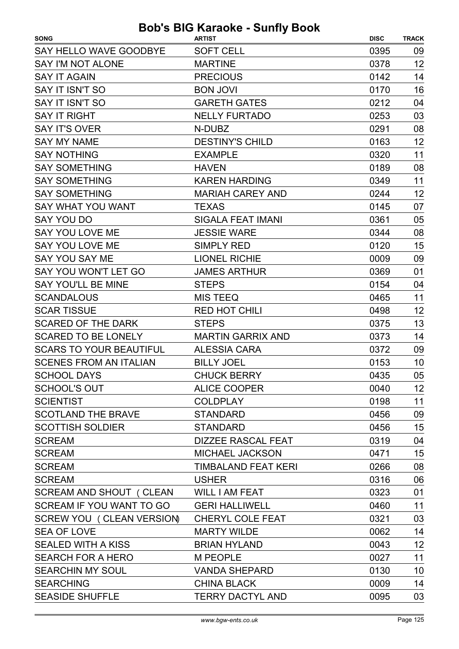| <b>SONG</b>                     | <b>ARTIST</b>              | <b>DISC</b> | <b>TRACK</b> |
|---------------------------------|----------------------------|-------------|--------------|
| SAY HELLO WAVE GOODBYE          | <b>SOFT CELL</b>           | 0395        | 09           |
| <b>SAY I'M NOT ALONE</b>        | <b>MARTINE</b>             | 0378        | 12           |
| <b>SAY IT AGAIN</b>             | <b>PRECIOUS</b>            | 0142        | 14           |
| <b>SAY IT ISN'T SO</b>          | <b>BON JOVI</b>            | 0170        | 16           |
| <b>SAY IT ISN'T SO</b>          | <b>GARETH GATES</b>        | 0212        | 04           |
| <b>SAY IT RIGHT</b>             | <b>NELLY FURTADO</b>       | 0253        | 03           |
| <b>SAY IT'S OVER</b>            | N-DUBZ                     | 0291        | 08           |
| <b>SAY MY NAME</b>              | <b>DESTINY'S CHILD</b>     | 0163        | 12           |
| <b>SAY NOTHING</b>              | <b>EXAMPLE</b>             | 0320        | 11           |
| <b>SAY SOMETHING</b>            | <b>HAVEN</b>               | 0189        | 08           |
| <b>SAY SOMETHING</b>            | <b>KAREN HARDING</b>       | 0349        | 11           |
| <b>SAY SOMETHING</b>            | <b>MARIAH CAREY AND</b>    | 0244        | 12           |
| <b>SAY WHAT YOU WANT</b>        | <b>TEXAS</b>               | 0145        | 07           |
| <b>SAY YOU DO</b>               | <b>SIGALA FEAT IMANI</b>   | 0361        | 05           |
| <b>SAY YOU LOVE ME</b>          | <b>JESSIE WARE</b>         | 0344        | 08           |
| <b>SAY YOU LOVE ME</b>          | <b>SIMPLY RED</b>          | 0120        | 15           |
| <b>SAY YOU SAY ME</b>           | <b>LIONEL RICHIE</b>       | 0009        | 09           |
| SAY YOU WON'T LET GO            | <b>JAMES ARTHUR</b>        | 0369        | 01           |
| <b>SAY YOU'LL BE MINE</b>       | <b>STEPS</b>               | 0154        | 04           |
| <b>SCANDALOUS</b>               | <b>MIS TEEQ</b>            | 0465        | 11           |
| <b>SCAR TISSUE</b>              | <b>RED HOT CHILI</b>       | 0498        | 12           |
| <b>SCARED OF THE DARK</b>       | <b>STEPS</b>               | 0375        | 13           |
| <b>SCARED TO BE LONELY</b>      | <b>MARTIN GARRIX AND</b>   | 0373        | 14           |
| <b>SCARS TO YOUR BEAUTIFUL</b>  | <b>ALESSIA CARA</b>        | 0372        | 09           |
| <b>SCENES FROM AN ITALIAN</b>   | <b>BILLY JOEL</b>          | 0153        | 10           |
| <b>SCHOOL DAYS</b>              | <b>CHUCK BERRY</b>         | 0435        | 05           |
| <b>SCHOOL'S OUT</b>             | <b>ALICE COOPER</b>        | 0040        | 12           |
| <b>SCIENTIST</b>                | <b>COLDPLAY</b>            | 0198        | 11           |
| <b>SCOTLAND THE BRAVE</b>       | <b>STANDARD</b>            | 0456        | 09           |
| <b>SCOTTISH SOLDIER</b>         | <b>STANDARD</b>            | 0456        | 15           |
| <b>SCREAM</b>                   | <b>DIZZEE RASCAL FEAT</b>  | 0319        | 04           |
| <b>SCREAM</b>                   | <b>MICHAEL JACKSON</b>     | 0471        | 15           |
| <b>SCREAM</b>                   | <b>TIMBALAND FEAT KERI</b> | 0266        | 08           |
| <b>SCREAM</b>                   | <b>USHER</b>               | 0316        | 06           |
| <b>SCREAM AND SHOUT ( CLEAN</b> | <b>WILL I AM FEAT</b>      | 0323        | 01           |
| SCREAM IF YOU WANT TO GO        | <b>GERI HALLIWELL</b>      | 0460        | 11           |
| SCREW YOU (CLEAN VERSION)       | <b>CHERYL COLE FEAT</b>    | 0321        | 03           |
| <b>SEA OF LOVE</b>              | <b>MARTY WILDE</b>         | 0062        | 14           |
| <b>SEALED WITH A KISS</b>       | <b>BRIAN HYLAND</b>        | 0043        | 12           |
| <b>SEARCH FOR A HERO</b>        | <b>M PEOPLE</b>            | 0027        | 11           |
| <b>SEARCHIN MY SOUL</b>         | <b>VANDA SHEPARD</b>       | 0130        | 10           |
| <b>SEARCHING</b>                | <b>CHINA BLACK</b>         | 0009        | 14           |
| <b>SEASIDE SHUFFLE</b>          | <b>TERRY DACTYL AND</b>    | 0095        | 03           |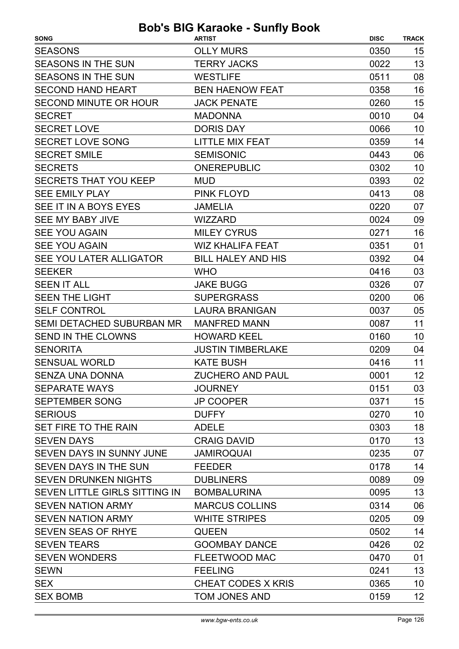| <b>SEASONS</b><br><b>OLLY MURS</b><br>0350<br>15<br>13<br><b>SEASONS IN THE SUN</b><br><b>TERRY JACKS</b><br>0022<br><b>SEASONS IN THE SUN</b><br><b>WESTLIFE</b><br>0511<br>08<br>16<br><b>SECOND HAND HEART</b><br><b>BEN HAENOW FEAT</b><br>0358<br>15<br>0260<br><b>SECOND MINUTE OR HOUR</b><br><b>JACK PENATE</b><br>04<br><b>SECRET</b><br><b>MADONNA</b><br>0010 |
|--------------------------------------------------------------------------------------------------------------------------------------------------------------------------------------------------------------------------------------------------------------------------------------------------------------------------------------------------------------------------|
|                                                                                                                                                                                                                                                                                                                                                                          |
|                                                                                                                                                                                                                                                                                                                                                                          |
|                                                                                                                                                                                                                                                                                                                                                                          |
|                                                                                                                                                                                                                                                                                                                                                                          |
|                                                                                                                                                                                                                                                                                                                                                                          |
|                                                                                                                                                                                                                                                                                                                                                                          |
| <b>SECRET LOVE</b><br><b>DORIS DAY</b><br>0066<br>10                                                                                                                                                                                                                                                                                                                     |
| <b>SECRET LOVE SONG</b><br><b>LITTLE MIX FEAT</b><br>0359<br>14                                                                                                                                                                                                                                                                                                          |
| <b>SECRET SMILE</b><br><b>SEMISONIC</b><br>0443<br>06                                                                                                                                                                                                                                                                                                                    |
| <b>SECRETS</b><br><b>ONEREPUBLIC</b><br>0302<br>10                                                                                                                                                                                                                                                                                                                       |
| 02<br><b>SECRETS THAT YOU KEEP</b><br>0393<br><b>MUD</b>                                                                                                                                                                                                                                                                                                                 |
| 08<br><b>SEE EMILY PLAY</b><br><b>PINK FLOYD</b><br>0413                                                                                                                                                                                                                                                                                                                 |
| SEE IT IN A BOYS EYES<br><b>JAMELIA</b><br>0220<br>07                                                                                                                                                                                                                                                                                                                    |
| <b>SEE MY BABY JIVE</b><br>09<br><b>WIZZARD</b><br>0024                                                                                                                                                                                                                                                                                                                  |
| 16<br><b>SEE YOU AGAIN</b><br><b>MILEY CYRUS</b><br>0271                                                                                                                                                                                                                                                                                                                 |
| <b>SEE YOU AGAIN</b><br>01<br><b>WIZ KHALIFA FEAT</b><br>0351                                                                                                                                                                                                                                                                                                            |
| SEE YOU LATER ALLIGATOR<br><b>BILL HALEY AND HIS</b><br>0392<br>04                                                                                                                                                                                                                                                                                                       |
| <b>SEEKER</b><br><b>WHO</b><br>0416<br>03                                                                                                                                                                                                                                                                                                                                |
| <b>SEEN IT ALL</b><br>0326<br>07<br><b>JAKE BUGG</b>                                                                                                                                                                                                                                                                                                                     |
| <b>SEEN THE LIGHT</b><br><b>SUPERGRASS</b><br>0200<br>06                                                                                                                                                                                                                                                                                                                 |
| <b>SELF CONTROL</b><br><b>LAURA BRANIGAN</b><br>05<br>0037                                                                                                                                                                                                                                                                                                               |
| SEMI DETACHED SUBURBAN MR<br><b>MANFRED MANN</b><br>11<br>0087                                                                                                                                                                                                                                                                                                           |
| <b>SEND IN THE CLOWNS</b><br><b>HOWARD KEEL</b><br>0160<br>10                                                                                                                                                                                                                                                                                                            |
| <b>SENORITA</b><br><b>JUSTIN TIMBERLAKE</b><br>0209<br>04                                                                                                                                                                                                                                                                                                                |
| 11<br><b>SENSUAL WORLD</b><br><b>KATE BUSH</b><br>0416                                                                                                                                                                                                                                                                                                                   |
| SENZA UNA DONNA<br><b>ZUCHERO AND PAUL</b><br>12<br>0001                                                                                                                                                                                                                                                                                                                 |
| 03<br><b>SEPARATE WAYS</b><br>0151<br><b>JOURNEY</b>                                                                                                                                                                                                                                                                                                                     |
| 15<br><b>SEPTEMBER SONG</b><br><b>JP COOPER</b><br>0371                                                                                                                                                                                                                                                                                                                  |
| 10<br><b>SERIOUS</b><br><b>DUFFY</b><br>0270                                                                                                                                                                                                                                                                                                                             |
| 18<br>SET FIRE TO THE RAIN<br>0303<br><b>ADELE</b>                                                                                                                                                                                                                                                                                                                       |
| 13<br><b>SEVEN DAYS</b><br><b>CRAIG DAVID</b><br>0170                                                                                                                                                                                                                                                                                                                    |
| SEVEN DAYS IN SUNNY JUNE<br>0235<br>07<br><b>JAMIROQUAI</b>                                                                                                                                                                                                                                                                                                              |
| 14<br>SEVEN DAYS IN THE SUN<br><b>FEEDER</b><br>0178                                                                                                                                                                                                                                                                                                                     |
| 09<br><b>SEVEN DRUNKEN NIGHTS</b><br>0089<br><b>DUBLINERS</b>                                                                                                                                                                                                                                                                                                            |
| 13<br>SEVEN LITTLE GIRLS SITTING IN<br><b>BOMBALURINA</b><br>0095                                                                                                                                                                                                                                                                                                        |
| <b>SEVEN NATION ARMY</b><br><b>MARCUS COLLINS</b><br>06<br>0314                                                                                                                                                                                                                                                                                                          |
| <b>SEVEN NATION ARMY</b><br><b>WHITE STRIPES</b><br>09<br>0205                                                                                                                                                                                                                                                                                                           |
| 14<br>SEVEN SEAS OF RHYE<br><b>QUEEN</b><br>0502                                                                                                                                                                                                                                                                                                                         |
| 02<br><b>SEVEN TEARS</b><br><b>GOOMBAY DANCE</b><br>0426                                                                                                                                                                                                                                                                                                                 |
| <b>SEVEN WONDERS</b><br><b>FLEETWOOD MAC</b><br>01<br>0470                                                                                                                                                                                                                                                                                                               |
| 13<br><b>SEWN</b><br><b>FEELING</b><br>0241                                                                                                                                                                                                                                                                                                                              |
| <b>SEX</b><br><b>CHEAT CODES X KRIS</b><br>10<br>0365                                                                                                                                                                                                                                                                                                                    |
| 12<br><b>SEX BOMB</b><br>TOM JONES AND<br>0159                                                                                                                                                                                                                                                                                                                           |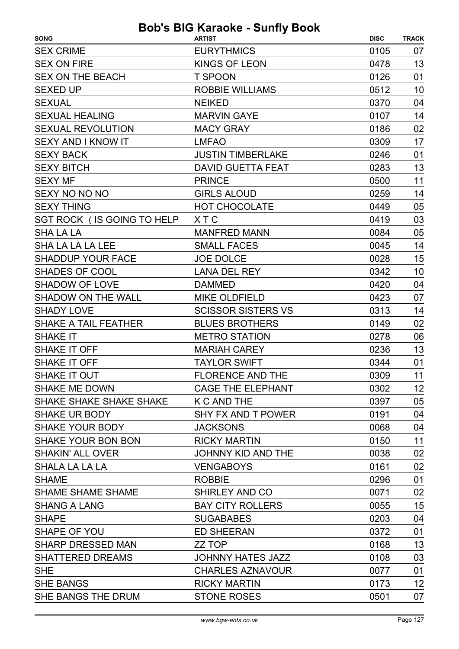| <b>SONG</b>                 | <b>ARTIST</b>             | <b>DISC</b> | <b>TRACK</b> |
|-----------------------------|---------------------------|-------------|--------------|
| <b>SEX CRIME</b>            | <b>EURYTHMICS</b>         | 0105        | 07           |
| <b>SEX ON FIRE</b>          | <b>KINGS OF LEON</b>      | 0478        | 13           |
| <b>SEX ON THE BEACH</b>     | <b>T SPOON</b>            | 0126        | 01           |
| <b>SEXED UP</b>             | <b>ROBBIE WILLIAMS</b>    | 0512        | 10           |
| <b>SEXUAL</b>               | <b>NEIKED</b>             | 0370        | 04           |
| <b>SEXUAL HEALING</b>       | <b>MARVIN GAYE</b>        | 0107        | 14           |
| <b>SEXUAL REVOLUTION</b>    | <b>MACY GRAY</b>          | 0186        | 02           |
| <b>SEXY AND I KNOW IT</b>   | <b>LMFAO</b>              | 0309        | 17           |
| <b>SEXY BACK</b>            | <b>JUSTIN TIMBERLAKE</b>  | 0246        | 01           |
| <b>SEXY BITCH</b>           | <b>DAVID GUETTA FEAT</b>  | 0283        | 13           |
| <b>SEXY MF</b>              | <b>PRINCE</b>             | 0500        | 11           |
| SEXY NO NO NO               | <b>GIRLS ALOUD</b>        | 0259        | 14           |
| <b>SEXY THING</b>           | HOT CHOCOLATE             | 0449        | 05           |
| SGT ROCK (IS GOING TO HELP  | XTC                       | 0419        | 03           |
| <b>SHA LA LA</b>            | <b>MANFRED MANN</b>       | 0084        | 05           |
| <b>SHA LA LA LA LEE</b>     | <b>SMALL FACES</b>        | 0045        | 14           |
| <b>SHADDUP YOUR FACE</b>    | <b>JOE DOLCE</b>          | 0028        | 15           |
| <b>SHADES OF COOL</b>       | <b>LANA DEL REY</b>       | 0342        | 10           |
| <b>SHADOW OF LOVE</b>       | <b>DAMMED</b>             | 0420        | 04           |
| <b>SHADOW ON THE WALL</b>   | <b>MIKE OLDFIELD</b>      | 0423        | 07           |
| <b>SHADY LOVE</b>           | <b>SCISSOR SISTERS VS</b> | 0313        | 14           |
| <b>SHAKE A TAIL FEATHER</b> | <b>BLUES BROTHERS</b>     | 0149        | 02           |
| <b>SHAKE IT</b>             | <b>METRO STATION</b>      | 0278        | 06           |
| SHAKE IT OFF                | <b>MARIAH CAREY</b>       | 0236        | 13           |
| <b>SHAKE IT OFF</b>         | <b>TAYLOR SWIFT</b>       | 0344        | 01           |
| SHAKE IT OUT                | <b>FLORENCE AND THE</b>   | 0309        | 11           |
| SHAKE ME DOWN               | CAGE THE ELEPHANT         | 0302        | 12           |
| SHAKE SHAKE SHAKE SHAKE     | K C AND THE               | 0397        | 05           |
| <b>SHAKE UR BODY</b>        | SHY FX AND T POWER        | 0191        | 04           |
| <b>SHAKE YOUR BODY</b>      | <b>JACKSONS</b>           | 0068        | 04           |
| SHAKE YOUR BON BON          | <b>RICKY MARTIN</b>       | 0150        | 11           |
| <b>SHAKIN' ALL OVER</b>     | JOHNNY KID AND THE        | 0038        | 02           |
| SHALA LA LA LA              | <b>VENGABOYS</b>          | 0161        | 02           |
| <b>SHAME</b>                | <b>ROBBIE</b>             | 0296        | 01           |
| <b>SHAME SHAME SHAME</b>    | SHIRLEY AND CO            | 0071        | 02           |
| <b>SHANG A LANG</b>         | <b>BAY CITY ROLLERS</b>   | 0055        | 15           |
| <b>SHAPE</b>                | <b>SUGABABES</b>          | 0203        | 04           |
| SHAPE OF YOU                | <b>ED SHEERAN</b>         | 0372        | 01           |
| <b>SHARP DRESSED MAN</b>    | ZZ TOP                    | 0168        | 13           |
| <b>SHATTERED DREAMS</b>     | <b>JOHNNY HATES JAZZ</b>  | 0108        | 03           |
| <b>SHE</b>                  | <b>CHARLES AZNAVOUR</b>   | 0077        | 01           |
| <b>SHE BANGS</b>            | <b>RICKY MARTIN</b>       | 0173        | 12           |
| SHE BANGS THE DRUM          | <b>STONE ROSES</b>        | 0501        | 07           |
|                             |                           |             |              |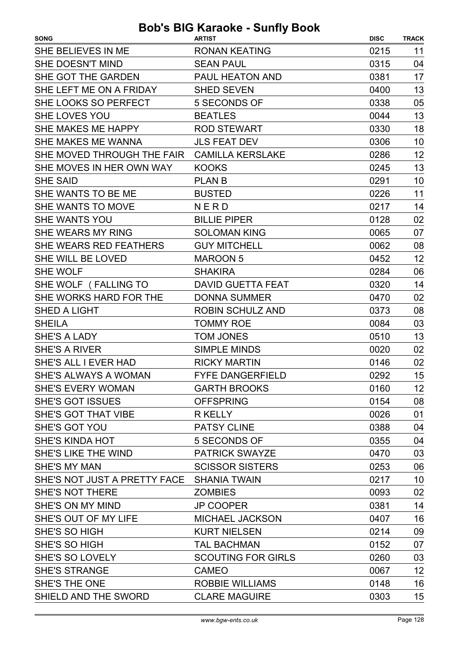| <b>SONG</b>                               | <b>ARTIST</b>             | <b>DISC</b> | <b>TRACK</b> |
|-------------------------------------------|---------------------------|-------------|--------------|
| SHE BELIEVES IN ME                        | <b>RONAN KEATING</b>      | 0215        | 11           |
| SHE DOESN'T MIND                          | <b>SEAN PAUL</b>          | 0315        | 04           |
| SHE GOT THE GARDEN                        | PAUL HEATON AND           | 0381        | 17           |
| SHE LEFT ME ON A FRIDAY                   | <b>SHED SEVEN</b>         | 0400        | 13           |
| SHE LOOKS SO PERFECT                      | 5 SECONDS OF              | 0338        | 05           |
| SHE LOVES YOU                             | <b>BEATLES</b>            | 0044        | 13           |
| SHE MAKES ME HAPPY                        | <b>ROD STEWART</b>        | 0330        | 18           |
| SHE MAKES ME WANNA                        | <b>JLS FEAT DEV</b>       | 0306        | 10           |
| SHE MOVED THROUGH THE FAIR                | <b>CAMILLA KERSLAKE</b>   | 0286        | 12           |
| SHE MOVES IN HER OWN WAY                  | <b>KOOKS</b>              | 0245        | 13           |
| <b>SHE SAID</b>                           | <b>PLAN B</b>             | 0291        | 10           |
| SHE WANTS TO BE ME                        | <b>BUSTED</b>             | 0226        | 11           |
| SHE WANTS TO MOVE                         | NERD                      | 0217        | 14           |
| <b>SHE WANTS YOU</b>                      | <b>BILLIE PIPER</b>       | 0128        | 02           |
| SHE WEARS MY RING                         | <b>SOLOMAN KING</b>       | 0065        | 07           |
| SHE WEARS RED FEATHERS                    | <b>GUY MITCHELL</b>       | 0062        | 08           |
| SHE WILL BE LOVED                         | <b>MAROON 5</b>           | 0452        | 12           |
| SHE WOLF                                  | <b>SHAKIRA</b>            | 0284        | 06           |
| SHE WOLF (FALLING TO                      | <b>DAVID GUETTA FEAT</b>  | 0320        | 14           |
| SHE WORKS HARD FOR THE                    | <b>DONNA SUMMER</b>       | 0470        | 02           |
| <b>SHED A LIGHT</b>                       | <b>ROBIN SCHULZ AND</b>   | 0373        | 08           |
| <b>SHEILA</b>                             | <b>TOMMY ROE</b>          | 0084        | 03           |
| SHE'S A LADY                              | <b>TOM JONES</b>          | 0510        | 13           |
| <b>SHE'S A RIVER</b>                      | <b>SIMPLE MINDS</b>       | 0020        | 02           |
| SHE'S ALL I EVER HAD                      | <b>RICKY MARTIN</b>       | 0146        | 02           |
| SHE'S ALWAYS A WOMAN                      | <b>FYFE DANGERFIELD</b>   | 0292        | 15           |
| <b>SHE'S EVERY WOMAN</b>                  | <b>GARTH BROOKS</b>       | 0160        | 12           |
| <b>SHE'S GOT ISSUES</b>                   | <b>OFFSPRING</b>          | 0154        | 08           |
| SHE'S GOT THAT VIBE                       | R KELLY                   | 0026        | 01           |
| <b>SHE'S GOT YOU</b>                      | PATSY CLINE               | 0388        | 04           |
| <b>SHE'S KINDA HOT</b>                    | 5 SECONDS OF              | 0355        | 04           |
| <b>SHE'S LIKE THE WIND</b>                | <b>PATRICK SWAYZE</b>     | 0470        | 03           |
| <b>SHE'S MY MAN</b>                       | <b>SCISSOR SISTERS</b>    | 0253        | 06           |
| SHE'S NOT JUST A PRETTY FACE SHANIA TWAIN |                           | 0217        | 10           |
| <b>SHE'S NOT THERE</b>                    | <b>ZOMBIES</b>            | 0093        | 02           |
| SHE'S ON MY MIND                          | <b>JP COOPER</b>          | 0381        | 14           |
| SHE'S OUT OF MY LIFE                      | <b>MICHAEL JACKSON</b>    | 0407        | 16           |
| SHE'S SO HIGH                             | <b>KURT NIELSEN</b>       | 0214        | 09           |
| SHE'S SO HIGH                             | <b>TAL BACHMAN</b>        | 0152        | 07           |
| SHE'S SO LOVELY                           | <b>SCOUTING FOR GIRLS</b> | 0260        | 03           |
| <b>SHE'S STRANGE</b>                      | <b>CAMEO</b>              | 0067        | 12           |
| SHE'S THE ONE                             | ROBBIE WILLIAMS           | 0148        | 16           |
| SHIELD AND THE SWORD                      | <b>CLARE MAGUIRE</b>      | 0303        | 15           |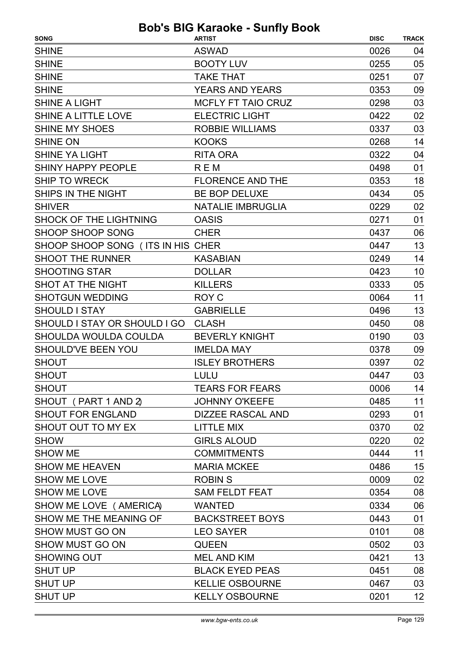| <b>SHINE</b><br><b>ASWAD</b><br>0026<br>04<br><b>SHINE</b><br><b>BOOTY LUV</b><br>05<br>0255<br><b>SHINE</b><br><b>TAKE THAT</b><br>07<br>0251<br>09<br><b>SHINE</b><br><b>YEARS AND YEARS</b><br>0353<br>03<br><b>MCFLY FT TAIO CRUZ</b><br>0298<br><b>SHINE A LIGHT</b><br>02<br>SHINE A LITTLE LOVE<br><b>ELECTRIC LIGHT</b><br>0422<br>03<br><b>SHINE MY SHOES</b><br><b>ROBBIE WILLIAMS</b><br>0337<br><b>SHINE ON</b><br><b>KOOKS</b><br>14<br>0268<br><b>SHINE YA LIGHT</b><br><b>RITA ORA</b><br>0322<br>04<br>01<br><b>SHINY HAPPY PEOPLE</b><br>R E M<br>0498<br>18<br><b>SHIP TO WRECK</b><br>0353<br><b>FLORENCE AND THE</b><br>05<br>SHIPS IN THE NIGHT<br><b>BE BOP DELUXE</b><br>0434<br><b>NATALIE IMBRUGLIA</b><br>02<br><b>SHIVER</b><br>0229<br><b>SHOCK OF THE LIGHTNING</b><br><b>OASIS</b><br>01<br>0271<br><b>SHOOP SHOOP SONG</b><br>06<br><b>CHER</b><br>0437<br>13<br>SHOOP SHOOP SONG (ITS IN HIS CHER<br>0447<br><b>SHOOT THE RUNNER</b><br>14<br><b>KASABIAN</b><br>0249<br><b>SHOOTING STAR</b><br>10<br><b>DOLLAR</b><br>0423<br>SHOT AT THE NIGHT<br>05<br><b>KILLERS</b><br>0333<br>11<br><b>SHOTGUN WEDDING</b><br>ROY C<br>0064<br><b>SHOULD I STAY</b><br><b>GABRIELLE</b><br>0496<br>13<br>08<br>SHOULD I STAY OR SHOULD I GO<br><b>CLASH</b><br>0450<br>SHOULDA WOULDA COULDA<br>0190<br>03<br><b>BEVERLY KNIGHT</b><br><b>SHOULD'VE BEEN YOU</b><br><b>IMELDA MAY</b><br>0378<br>09<br><b>ISLEY BROTHERS</b><br>02<br><b>SHOUT</b><br>0397<br>03<br><b>SHOUT</b><br>0447<br>LULU<br>0006<br>14<br><b>SHOUT</b><br><b>TEARS FOR FEARS</b><br>11<br>SHOUT (PART 1 AND 2)<br><b>JOHNNY O'KEEFE</b><br>0485<br><b>SHOUT FOR ENGLAND</b><br>DIZZEE RASCAL AND<br>01<br>0293<br>SHOUT OUT TO MY EX<br><b>LITTLE MIX</b><br>0370<br>02<br>02<br><b>SHOW</b><br><b>GIRLS ALOUD</b><br>0220<br>11<br><b>SHOW ME</b><br><b>COMMITMENTS</b><br>0444<br><b>MARIA MCKEE</b><br>15<br><b>SHOW ME HEAVEN</b><br>0486<br>02<br><b>SHOW ME LOVE</b><br><b>ROBIN S</b><br>0009<br><b>SHOW ME LOVE</b><br><b>SAM FELDT FEAT</b><br>0354<br>08<br>06<br>SHOW ME LOVE ( AMERICA)<br><b>WANTED</b><br>0334<br>01<br>SHOW ME THE MEANING OF<br><b>BACKSTREET BOYS</b><br>0443<br>08<br><b>SHOW MUST GO ON</b><br><b>LEO SAYER</b><br>0101<br><b>SHOW MUST GO ON</b><br>0502<br>03<br><b>QUEEN</b><br><b>SHOWING OUT</b><br><b>MEL AND KIM</b><br>13<br>0421<br>08<br><b>SHUT UP</b><br><b>BLACK EYED PEAS</b><br>0451<br><b>SHUT UP</b><br><b>KELLIE OSBOURNE</b><br>0467<br>03<br><b>SHUT UP</b><br><b>KELLY OSBOURNE</b><br>0201 | <b>SONG</b> | <b>ARTIST</b> | <b>DISC</b> | <b>TRACK</b> |
|----------------------------------------------------------------------------------------------------------------------------------------------------------------------------------------------------------------------------------------------------------------------------------------------------------------------------------------------------------------------------------------------------------------------------------------------------------------------------------------------------------------------------------------------------------------------------------------------------------------------------------------------------------------------------------------------------------------------------------------------------------------------------------------------------------------------------------------------------------------------------------------------------------------------------------------------------------------------------------------------------------------------------------------------------------------------------------------------------------------------------------------------------------------------------------------------------------------------------------------------------------------------------------------------------------------------------------------------------------------------------------------------------------------------------------------------------------------------------------------------------------------------------------------------------------------------------------------------------------------------------------------------------------------------------------------------------------------------------------------------------------------------------------------------------------------------------------------------------------------------------------------------------------------------------------------------------------------------------------------------------------------------------------------------------------------------------------------------------------------------------------------------------------------------------------------------------------------------------------------------------------------------------------------------------------------------------------------------------------------------------------------------------------------------------------------------------------------------------------------------------------------------------------------------------|-------------|---------------|-------------|--------------|
|                                                                                                                                                                                                                                                                                                                                                                                                                                                                                                                                                                                                                                                                                                                                                                                                                                                                                                                                                                                                                                                                                                                                                                                                                                                                                                                                                                                                                                                                                                                                                                                                                                                                                                                                                                                                                                                                                                                                                                                                                                                                                                                                                                                                                                                                                                                                                                                                                                                                                                                                                    |             |               |             |              |
|                                                                                                                                                                                                                                                                                                                                                                                                                                                                                                                                                                                                                                                                                                                                                                                                                                                                                                                                                                                                                                                                                                                                                                                                                                                                                                                                                                                                                                                                                                                                                                                                                                                                                                                                                                                                                                                                                                                                                                                                                                                                                                                                                                                                                                                                                                                                                                                                                                                                                                                                                    |             |               |             |              |
|                                                                                                                                                                                                                                                                                                                                                                                                                                                                                                                                                                                                                                                                                                                                                                                                                                                                                                                                                                                                                                                                                                                                                                                                                                                                                                                                                                                                                                                                                                                                                                                                                                                                                                                                                                                                                                                                                                                                                                                                                                                                                                                                                                                                                                                                                                                                                                                                                                                                                                                                                    |             |               |             |              |
|                                                                                                                                                                                                                                                                                                                                                                                                                                                                                                                                                                                                                                                                                                                                                                                                                                                                                                                                                                                                                                                                                                                                                                                                                                                                                                                                                                                                                                                                                                                                                                                                                                                                                                                                                                                                                                                                                                                                                                                                                                                                                                                                                                                                                                                                                                                                                                                                                                                                                                                                                    |             |               |             |              |
|                                                                                                                                                                                                                                                                                                                                                                                                                                                                                                                                                                                                                                                                                                                                                                                                                                                                                                                                                                                                                                                                                                                                                                                                                                                                                                                                                                                                                                                                                                                                                                                                                                                                                                                                                                                                                                                                                                                                                                                                                                                                                                                                                                                                                                                                                                                                                                                                                                                                                                                                                    |             |               |             |              |
|                                                                                                                                                                                                                                                                                                                                                                                                                                                                                                                                                                                                                                                                                                                                                                                                                                                                                                                                                                                                                                                                                                                                                                                                                                                                                                                                                                                                                                                                                                                                                                                                                                                                                                                                                                                                                                                                                                                                                                                                                                                                                                                                                                                                                                                                                                                                                                                                                                                                                                                                                    |             |               |             |              |
|                                                                                                                                                                                                                                                                                                                                                                                                                                                                                                                                                                                                                                                                                                                                                                                                                                                                                                                                                                                                                                                                                                                                                                                                                                                                                                                                                                                                                                                                                                                                                                                                                                                                                                                                                                                                                                                                                                                                                                                                                                                                                                                                                                                                                                                                                                                                                                                                                                                                                                                                                    |             |               |             |              |
|                                                                                                                                                                                                                                                                                                                                                                                                                                                                                                                                                                                                                                                                                                                                                                                                                                                                                                                                                                                                                                                                                                                                                                                                                                                                                                                                                                                                                                                                                                                                                                                                                                                                                                                                                                                                                                                                                                                                                                                                                                                                                                                                                                                                                                                                                                                                                                                                                                                                                                                                                    |             |               |             |              |
|                                                                                                                                                                                                                                                                                                                                                                                                                                                                                                                                                                                                                                                                                                                                                                                                                                                                                                                                                                                                                                                                                                                                                                                                                                                                                                                                                                                                                                                                                                                                                                                                                                                                                                                                                                                                                                                                                                                                                                                                                                                                                                                                                                                                                                                                                                                                                                                                                                                                                                                                                    |             |               |             |              |
|                                                                                                                                                                                                                                                                                                                                                                                                                                                                                                                                                                                                                                                                                                                                                                                                                                                                                                                                                                                                                                                                                                                                                                                                                                                                                                                                                                                                                                                                                                                                                                                                                                                                                                                                                                                                                                                                                                                                                                                                                                                                                                                                                                                                                                                                                                                                                                                                                                                                                                                                                    |             |               |             |              |
|                                                                                                                                                                                                                                                                                                                                                                                                                                                                                                                                                                                                                                                                                                                                                                                                                                                                                                                                                                                                                                                                                                                                                                                                                                                                                                                                                                                                                                                                                                                                                                                                                                                                                                                                                                                                                                                                                                                                                                                                                                                                                                                                                                                                                                                                                                                                                                                                                                                                                                                                                    |             |               |             |              |
|                                                                                                                                                                                                                                                                                                                                                                                                                                                                                                                                                                                                                                                                                                                                                                                                                                                                                                                                                                                                                                                                                                                                                                                                                                                                                                                                                                                                                                                                                                                                                                                                                                                                                                                                                                                                                                                                                                                                                                                                                                                                                                                                                                                                                                                                                                                                                                                                                                                                                                                                                    |             |               |             |              |
|                                                                                                                                                                                                                                                                                                                                                                                                                                                                                                                                                                                                                                                                                                                                                                                                                                                                                                                                                                                                                                                                                                                                                                                                                                                                                                                                                                                                                                                                                                                                                                                                                                                                                                                                                                                                                                                                                                                                                                                                                                                                                                                                                                                                                                                                                                                                                                                                                                                                                                                                                    |             |               |             |              |
|                                                                                                                                                                                                                                                                                                                                                                                                                                                                                                                                                                                                                                                                                                                                                                                                                                                                                                                                                                                                                                                                                                                                                                                                                                                                                                                                                                                                                                                                                                                                                                                                                                                                                                                                                                                                                                                                                                                                                                                                                                                                                                                                                                                                                                                                                                                                                                                                                                                                                                                                                    |             |               |             |              |
|                                                                                                                                                                                                                                                                                                                                                                                                                                                                                                                                                                                                                                                                                                                                                                                                                                                                                                                                                                                                                                                                                                                                                                                                                                                                                                                                                                                                                                                                                                                                                                                                                                                                                                                                                                                                                                                                                                                                                                                                                                                                                                                                                                                                                                                                                                                                                                                                                                                                                                                                                    |             |               |             |              |
|                                                                                                                                                                                                                                                                                                                                                                                                                                                                                                                                                                                                                                                                                                                                                                                                                                                                                                                                                                                                                                                                                                                                                                                                                                                                                                                                                                                                                                                                                                                                                                                                                                                                                                                                                                                                                                                                                                                                                                                                                                                                                                                                                                                                                                                                                                                                                                                                                                                                                                                                                    |             |               |             |              |
|                                                                                                                                                                                                                                                                                                                                                                                                                                                                                                                                                                                                                                                                                                                                                                                                                                                                                                                                                                                                                                                                                                                                                                                                                                                                                                                                                                                                                                                                                                                                                                                                                                                                                                                                                                                                                                                                                                                                                                                                                                                                                                                                                                                                                                                                                                                                                                                                                                                                                                                                                    |             |               |             |              |
|                                                                                                                                                                                                                                                                                                                                                                                                                                                                                                                                                                                                                                                                                                                                                                                                                                                                                                                                                                                                                                                                                                                                                                                                                                                                                                                                                                                                                                                                                                                                                                                                                                                                                                                                                                                                                                                                                                                                                                                                                                                                                                                                                                                                                                                                                                                                                                                                                                                                                                                                                    |             |               |             |              |
|                                                                                                                                                                                                                                                                                                                                                                                                                                                                                                                                                                                                                                                                                                                                                                                                                                                                                                                                                                                                                                                                                                                                                                                                                                                                                                                                                                                                                                                                                                                                                                                                                                                                                                                                                                                                                                                                                                                                                                                                                                                                                                                                                                                                                                                                                                                                                                                                                                                                                                                                                    |             |               |             |              |
|                                                                                                                                                                                                                                                                                                                                                                                                                                                                                                                                                                                                                                                                                                                                                                                                                                                                                                                                                                                                                                                                                                                                                                                                                                                                                                                                                                                                                                                                                                                                                                                                                                                                                                                                                                                                                                                                                                                                                                                                                                                                                                                                                                                                                                                                                                                                                                                                                                                                                                                                                    |             |               |             |              |
|                                                                                                                                                                                                                                                                                                                                                                                                                                                                                                                                                                                                                                                                                                                                                                                                                                                                                                                                                                                                                                                                                                                                                                                                                                                                                                                                                                                                                                                                                                                                                                                                                                                                                                                                                                                                                                                                                                                                                                                                                                                                                                                                                                                                                                                                                                                                                                                                                                                                                                                                                    |             |               |             |              |
|                                                                                                                                                                                                                                                                                                                                                                                                                                                                                                                                                                                                                                                                                                                                                                                                                                                                                                                                                                                                                                                                                                                                                                                                                                                                                                                                                                                                                                                                                                                                                                                                                                                                                                                                                                                                                                                                                                                                                                                                                                                                                                                                                                                                                                                                                                                                                                                                                                                                                                                                                    |             |               |             |              |
|                                                                                                                                                                                                                                                                                                                                                                                                                                                                                                                                                                                                                                                                                                                                                                                                                                                                                                                                                                                                                                                                                                                                                                                                                                                                                                                                                                                                                                                                                                                                                                                                                                                                                                                                                                                                                                                                                                                                                                                                                                                                                                                                                                                                                                                                                                                                                                                                                                                                                                                                                    |             |               |             |              |
|                                                                                                                                                                                                                                                                                                                                                                                                                                                                                                                                                                                                                                                                                                                                                                                                                                                                                                                                                                                                                                                                                                                                                                                                                                                                                                                                                                                                                                                                                                                                                                                                                                                                                                                                                                                                                                                                                                                                                                                                                                                                                                                                                                                                                                                                                                                                                                                                                                                                                                                                                    |             |               |             |              |
|                                                                                                                                                                                                                                                                                                                                                                                                                                                                                                                                                                                                                                                                                                                                                                                                                                                                                                                                                                                                                                                                                                                                                                                                                                                                                                                                                                                                                                                                                                                                                                                                                                                                                                                                                                                                                                                                                                                                                                                                                                                                                                                                                                                                                                                                                                                                                                                                                                                                                                                                                    |             |               |             |              |
|                                                                                                                                                                                                                                                                                                                                                                                                                                                                                                                                                                                                                                                                                                                                                                                                                                                                                                                                                                                                                                                                                                                                                                                                                                                                                                                                                                                                                                                                                                                                                                                                                                                                                                                                                                                                                                                                                                                                                                                                                                                                                                                                                                                                                                                                                                                                                                                                                                                                                                                                                    |             |               |             |              |
|                                                                                                                                                                                                                                                                                                                                                                                                                                                                                                                                                                                                                                                                                                                                                                                                                                                                                                                                                                                                                                                                                                                                                                                                                                                                                                                                                                                                                                                                                                                                                                                                                                                                                                                                                                                                                                                                                                                                                                                                                                                                                                                                                                                                                                                                                                                                                                                                                                                                                                                                                    |             |               |             |              |
|                                                                                                                                                                                                                                                                                                                                                                                                                                                                                                                                                                                                                                                                                                                                                                                                                                                                                                                                                                                                                                                                                                                                                                                                                                                                                                                                                                                                                                                                                                                                                                                                                                                                                                                                                                                                                                                                                                                                                                                                                                                                                                                                                                                                                                                                                                                                                                                                                                                                                                                                                    |             |               |             |              |
|                                                                                                                                                                                                                                                                                                                                                                                                                                                                                                                                                                                                                                                                                                                                                                                                                                                                                                                                                                                                                                                                                                                                                                                                                                                                                                                                                                                                                                                                                                                                                                                                                                                                                                                                                                                                                                                                                                                                                                                                                                                                                                                                                                                                                                                                                                                                                                                                                                                                                                                                                    |             |               |             |              |
|                                                                                                                                                                                                                                                                                                                                                                                                                                                                                                                                                                                                                                                                                                                                                                                                                                                                                                                                                                                                                                                                                                                                                                                                                                                                                                                                                                                                                                                                                                                                                                                                                                                                                                                                                                                                                                                                                                                                                                                                                                                                                                                                                                                                                                                                                                                                                                                                                                                                                                                                                    |             |               |             |              |
|                                                                                                                                                                                                                                                                                                                                                                                                                                                                                                                                                                                                                                                                                                                                                                                                                                                                                                                                                                                                                                                                                                                                                                                                                                                                                                                                                                                                                                                                                                                                                                                                                                                                                                                                                                                                                                                                                                                                                                                                                                                                                                                                                                                                                                                                                                                                                                                                                                                                                                                                                    |             |               |             |              |
|                                                                                                                                                                                                                                                                                                                                                                                                                                                                                                                                                                                                                                                                                                                                                                                                                                                                                                                                                                                                                                                                                                                                                                                                                                                                                                                                                                                                                                                                                                                                                                                                                                                                                                                                                                                                                                                                                                                                                                                                                                                                                                                                                                                                                                                                                                                                                                                                                                                                                                                                                    |             |               |             |              |
|                                                                                                                                                                                                                                                                                                                                                                                                                                                                                                                                                                                                                                                                                                                                                                                                                                                                                                                                                                                                                                                                                                                                                                                                                                                                                                                                                                                                                                                                                                                                                                                                                                                                                                                                                                                                                                                                                                                                                                                                                                                                                                                                                                                                                                                                                                                                                                                                                                                                                                                                                    |             |               |             |              |
|                                                                                                                                                                                                                                                                                                                                                                                                                                                                                                                                                                                                                                                                                                                                                                                                                                                                                                                                                                                                                                                                                                                                                                                                                                                                                                                                                                                                                                                                                                                                                                                                                                                                                                                                                                                                                                                                                                                                                                                                                                                                                                                                                                                                                                                                                                                                                                                                                                                                                                                                                    |             |               |             |              |
|                                                                                                                                                                                                                                                                                                                                                                                                                                                                                                                                                                                                                                                                                                                                                                                                                                                                                                                                                                                                                                                                                                                                                                                                                                                                                                                                                                                                                                                                                                                                                                                                                                                                                                                                                                                                                                                                                                                                                                                                                                                                                                                                                                                                                                                                                                                                                                                                                                                                                                                                                    |             |               |             |              |
|                                                                                                                                                                                                                                                                                                                                                                                                                                                                                                                                                                                                                                                                                                                                                                                                                                                                                                                                                                                                                                                                                                                                                                                                                                                                                                                                                                                                                                                                                                                                                                                                                                                                                                                                                                                                                                                                                                                                                                                                                                                                                                                                                                                                                                                                                                                                                                                                                                                                                                                                                    |             |               |             |              |
|                                                                                                                                                                                                                                                                                                                                                                                                                                                                                                                                                                                                                                                                                                                                                                                                                                                                                                                                                                                                                                                                                                                                                                                                                                                                                                                                                                                                                                                                                                                                                                                                                                                                                                                                                                                                                                                                                                                                                                                                                                                                                                                                                                                                                                                                                                                                                                                                                                                                                                                                                    |             |               |             |              |
|                                                                                                                                                                                                                                                                                                                                                                                                                                                                                                                                                                                                                                                                                                                                                                                                                                                                                                                                                                                                                                                                                                                                                                                                                                                                                                                                                                                                                                                                                                                                                                                                                                                                                                                                                                                                                                                                                                                                                                                                                                                                                                                                                                                                                                                                                                                                                                                                                                                                                                                                                    |             |               |             |              |
|                                                                                                                                                                                                                                                                                                                                                                                                                                                                                                                                                                                                                                                                                                                                                                                                                                                                                                                                                                                                                                                                                                                                                                                                                                                                                                                                                                                                                                                                                                                                                                                                                                                                                                                                                                                                                                                                                                                                                                                                                                                                                                                                                                                                                                                                                                                                                                                                                                                                                                                                                    |             |               |             |              |
|                                                                                                                                                                                                                                                                                                                                                                                                                                                                                                                                                                                                                                                                                                                                                                                                                                                                                                                                                                                                                                                                                                                                                                                                                                                                                                                                                                                                                                                                                                                                                                                                                                                                                                                                                                                                                                                                                                                                                                                                                                                                                                                                                                                                                                                                                                                                                                                                                                                                                                                                                    |             |               |             |              |
|                                                                                                                                                                                                                                                                                                                                                                                                                                                                                                                                                                                                                                                                                                                                                                                                                                                                                                                                                                                                                                                                                                                                                                                                                                                                                                                                                                                                                                                                                                                                                                                                                                                                                                                                                                                                                                                                                                                                                                                                                                                                                                                                                                                                                                                                                                                                                                                                                                                                                                                                                    |             |               |             |              |
|                                                                                                                                                                                                                                                                                                                                                                                                                                                                                                                                                                                                                                                                                                                                                                                                                                                                                                                                                                                                                                                                                                                                                                                                                                                                                                                                                                                                                                                                                                                                                                                                                                                                                                                                                                                                                                                                                                                                                                                                                                                                                                                                                                                                                                                                                                                                                                                                                                                                                                                                                    |             |               |             |              |
|                                                                                                                                                                                                                                                                                                                                                                                                                                                                                                                                                                                                                                                                                                                                                                                                                                                                                                                                                                                                                                                                                                                                                                                                                                                                                                                                                                                                                                                                                                                                                                                                                                                                                                                                                                                                                                                                                                                                                                                                                                                                                                                                                                                                                                                                                                                                                                                                                                                                                                                                                    |             |               |             | 12           |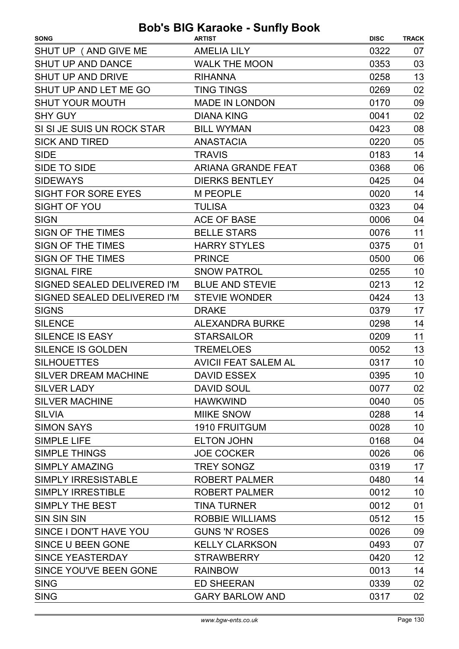| <b>SONG</b>                 | <b>ARTIST</b>               | <b>DISC</b> | <b>TRACK</b> |
|-----------------------------|-----------------------------|-------------|--------------|
| SHUT UP (AND GIVE ME        | <b>AMELIA LILY</b>          | 0322        | 07           |
| <b>SHUT UP AND DANCE</b>    | <b>WALK THE MOON</b>        | 0353        | 03           |
| <b>SHUT UP AND DRIVE</b>    | <b>RIHANNA</b>              | 0258        | 13           |
| SHUT UP AND LET ME GO       | <b>TING TINGS</b>           | 0269        | 02           |
| <b>SHUT YOUR MOUTH</b>      | <b>MADE IN LONDON</b>       | 0170        | 09           |
| <b>SHY GUY</b>              | <b>DIANA KING</b>           | 0041        | 02           |
| SI SI JE SUIS UN ROCK STAR  | <b>BILL WYMAN</b>           | 0423        | 08           |
| <b>SICK AND TIRED</b>       | <b>ANASTACIA</b>            | 0220        | 05           |
| <b>SIDE</b>                 | <b>TRAVIS</b>               | 0183        | 14           |
| SIDE TO SIDE                | <b>ARIANA GRANDE FEAT</b>   | 0368        | 06           |
| <b>SIDEWAYS</b>             | <b>DIERKS BENTLEY</b>       | 0425        | 04           |
| <b>SIGHT FOR SORE EYES</b>  | <b>M PEOPLE</b>             | 0020        | 14           |
| SIGHT OF YOU                | <b>TULISA</b>               | 0323        | 04           |
| <b>SIGN</b>                 | <b>ACE OF BASE</b>          | 0006        | 04           |
| <b>SIGN OF THE TIMES</b>    | <b>BELLE STARS</b>          | 0076        | 11           |
| <b>SIGN OF THE TIMES</b>    | <b>HARRY STYLES</b>         | 0375        | 01           |
| <b>SIGN OF THE TIMES</b>    | <b>PRINCE</b>               | 0500        | 06           |
| <b>SIGNAL FIRE</b>          | <b>SNOW PATROL</b>          | 0255        | 10           |
| SIGNED SEALED DELIVERED I'M | <b>BLUE AND STEVIE</b>      | 0213        | 12           |
| SIGNED SEALED DELIVERED I'M | <b>STEVIE WONDER</b>        | 0424        | 13           |
| <b>SIGNS</b>                | <b>DRAKE</b>                | 0379        | 17           |
| <b>SILENCE</b>              | <b>ALEXANDRA BURKE</b>      | 0298        | 14           |
| SILENCE IS EASY             | <b>STARSAILOR</b>           | 0209        | 11           |
| SILENCE IS GOLDEN           | <b>TREMELOES</b>            | 0052        | 13           |
| <b>SILHOUETTES</b>          | <b>AVICII FEAT SALEM AL</b> | 0317        | 10           |
| <b>SILVER DREAM MACHINE</b> | <b>DAVID ESSEX</b>          | 0395        | 10           |
| <b>SILVER LADY</b>          | DAVID SOUL                  | 0077        | 02           |
| <b>SILVER MACHINE</b>       | <b>HAWKWIND</b>             | 0040        | 05           |
| <b>SILVIA</b>               | <b>MIIKE SNOW</b>           | 0288        | 14           |
| <b>SIMON SAYS</b>           | 1910 FRUITGUM               | 0028        | 10           |
| <b>SIMPLE LIFE</b>          | <b>ELTON JOHN</b>           | 0168        | 04           |
| <b>SIMPLE THINGS</b>        | <b>JOE COCKER</b>           | 0026        | 06           |
| <b>SIMPLY AMAZING</b>       | <b>TREY SONGZ</b>           | 0319        | 17           |
| SIMPLY IRRESISTABLE         | <b>ROBERT PALMER</b>        | 0480        | 14           |
| <b>SIMPLY IRRESTIBLE</b>    | <b>ROBERT PALMER</b>        | 0012        | 10           |
| <b>SIMPLY THE BEST</b>      | <b>TINA TURNER</b>          | 0012        | 01           |
| <b>SIN SIN SIN</b>          | <b>ROBBIE WILLIAMS</b>      | 0512        | 15           |
| SINCE I DON'T HAVE YOU      | <b>GUNS 'N' ROSES</b>       | 0026        | 09           |
| SINCE U BEEN GONE           | <b>KELLY CLARKSON</b>       | 0493        | 07           |
| SINCE YEASTERDAY            | <b>STRAWBERRY</b>           | 0420        | 12           |
| SINCE YOU'VE BEEN GONE      | <b>RAINBOW</b>              | 0013        | 14           |
| <b>SING</b>                 | <b>ED SHEERAN</b>           | 0339        | 02           |
| <b>SING</b>                 | <b>GARY BARLOW AND</b>      | 0317        | 02           |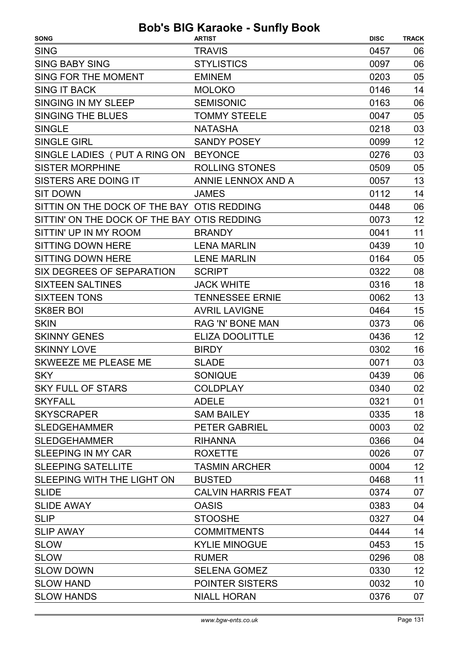| <b>SING</b><br><b>TRAVIS</b><br>0457<br>06<br><b>SING BABY SING</b><br><b>STYLISTICS</b><br>06<br>0097<br>SING FOR THE MOMENT<br>0203<br>05<br><b>EMINEM</b><br><b>SING IT BACK</b><br><b>MOLOKO</b><br>0146<br>14<br>SINGING IN MY SLEEP<br><b>SEMISONIC</b><br>0163<br>06<br><b>SINGING THE BLUES</b><br><b>TOMMY STEELE</b><br>0047<br>05<br>03<br><b>SINGLE</b><br><b>NATASHA</b><br>0218<br>12<br><b>SINGLE GIRL</b><br><b>SANDY POSEY</b><br>0099<br>SINGLE LADIES (PUT A RING ON<br><b>BEYONCE</b><br>0276<br>03<br><b>SISTER MORPHINE</b><br><b>ROLLING STONES</b><br>05<br>0509<br>13<br>SISTERS ARE DOING IT<br>ANNIE LENNOX AND A<br>0057<br>14<br><b>SIT DOWN</b><br><b>JAMES</b><br>0112<br>06<br>SITTIN ON THE DOCK OF THE BAY OTIS REDDING<br>0448<br>12<br>SITTIN' ON THE DOCK OF THE BAY OTIS REDDING<br>0073<br>11<br>SITTIN' UP IN MY ROOM<br><b>BRANDY</b><br>0041<br><b>SITTING DOWN HERE</b><br>0439<br>10<br><b>LENA MARLIN</b><br>05<br><b>SITTING DOWN HERE</b><br><b>LENE MARLIN</b><br>0164<br>SIX DEGREES OF SEPARATION<br>0322<br>08<br><b>SCRIPT</b><br><b>SIXTEEN SALTINES</b><br><b>JACK WHITE</b><br>18<br>0316<br>13<br><b>SIXTEEN TONS</b><br><b>TENNESSEE ERNIE</b><br>0062<br>15<br><b>AVRIL LAVIGNE</b><br>0464<br><b>SK8ER BOI</b><br><b>RAG 'N' BONE MAN</b><br>06<br>0373<br>12<br><b>ELIZA DOOLITTLE</b><br>0436<br>0302<br>16<br><b>BIRDY</b><br>0071<br>03<br><b>SLADE</b><br>0439<br>SONIQUE<br>06<br><b>SKY</b><br><b>COLDPLAY</b><br>0340<br>02<br><b>ADELE</b><br>0321<br>01<br><b>SAM BAILEY</b><br>18<br>0335<br>02<br>PETER GABRIEL<br>0003<br>04<br>0366<br><b>RIHANNA</b><br>0026<br>07<br><b>ROXETTE</b><br>12<br><b>TASMIN ARCHER</b><br>0004<br>SLEEPING WITH THE LIGHT ON<br>11<br><b>BUSTED</b><br>0468<br><b>SLIDE</b><br><b>CALVIN HARRIS FEAT</b><br>07<br>0374<br><b>SLIDE AWAY</b><br><b>OASIS</b><br>04<br>0383<br><b>SLIP</b><br><b>STOOSHE</b><br>0327<br>04<br><b>COMMITMENTS</b><br>14<br><b>SLIP AWAY</b><br>0444<br>15<br><b>SLOW</b><br><b>KYLIE MINOGUE</b><br>0453<br><b>SLOW</b><br><b>RUMER</b><br>08<br>0296<br>12<br><b>SLOW DOWN</b><br>0330<br><b>SELENA GOMEZ</b><br><b>SLOW HAND</b><br><b>POINTER SISTERS</b><br>0032<br>10 | <b>SONG</b>               | <b>ARTIST</b>      | <b>DISC</b> | <b>TRACK</b> |
|---------------------------------------------------------------------------------------------------------------------------------------------------------------------------------------------------------------------------------------------------------------------------------------------------------------------------------------------------------------------------------------------------------------------------------------------------------------------------------------------------------------------------------------------------------------------------------------------------------------------------------------------------------------------------------------------------------------------------------------------------------------------------------------------------------------------------------------------------------------------------------------------------------------------------------------------------------------------------------------------------------------------------------------------------------------------------------------------------------------------------------------------------------------------------------------------------------------------------------------------------------------------------------------------------------------------------------------------------------------------------------------------------------------------------------------------------------------------------------------------------------------------------------------------------------------------------------------------------------------------------------------------------------------------------------------------------------------------------------------------------------------------------------------------------------------------------------------------------------------------------------------------------------------------------------------------------------------------------------------------------------------------------------------------------------------------------------------------------------------------------------------------------------------------------------------------------------------|---------------------------|--------------------|-------------|--------------|
|                                                                                                                                                                                                                                                                                                                                                                                                                                                                                                                                                                                                                                                                                                                                                                                                                                                                                                                                                                                                                                                                                                                                                                                                                                                                                                                                                                                                                                                                                                                                                                                                                                                                                                                                                                                                                                                                                                                                                                                                                                                                                                                                                                                                               |                           |                    |             |              |
|                                                                                                                                                                                                                                                                                                                                                                                                                                                                                                                                                                                                                                                                                                                                                                                                                                                                                                                                                                                                                                                                                                                                                                                                                                                                                                                                                                                                                                                                                                                                                                                                                                                                                                                                                                                                                                                                                                                                                                                                                                                                                                                                                                                                               |                           |                    |             |              |
|                                                                                                                                                                                                                                                                                                                                                                                                                                                                                                                                                                                                                                                                                                                                                                                                                                                                                                                                                                                                                                                                                                                                                                                                                                                                                                                                                                                                                                                                                                                                                                                                                                                                                                                                                                                                                                                                                                                                                                                                                                                                                                                                                                                                               |                           |                    |             |              |
|                                                                                                                                                                                                                                                                                                                                                                                                                                                                                                                                                                                                                                                                                                                                                                                                                                                                                                                                                                                                                                                                                                                                                                                                                                                                                                                                                                                                                                                                                                                                                                                                                                                                                                                                                                                                                                                                                                                                                                                                                                                                                                                                                                                                               |                           |                    |             |              |
|                                                                                                                                                                                                                                                                                                                                                                                                                                                                                                                                                                                                                                                                                                                                                                                                                                                                                                                                                                                                                                                                                                                                                                                                                                                                                                                                                                                                                                                                                                                                                                                                                                                                                                                                                                                                                                                                                                                                                                                                                                                                                                                                                                                                               |                           |                    |             |              |
|                                                                                                                                                                                                                                                                                                                                                                                                                                                                                                                                                                                                                                                                                                                                                                                                                                                                                                                                                                                                                                                                                                                                                                                                                                                                                                                                                                                                                                                                                                                                                                                                                                                                                                                                                                                                                                                                                                                                                                                                                                                                                                                                                                                                               |                           |                    |             |              |
|                                                                                                                                                                                                                                                                                                                                                                                                                                                                                                                                                                                                                                                                                                                                                                                                                                                                                                                                                                                                                                                                                                                                                                                                                                                                                                                                                                                                                                                                                                                                                                                                                                                                                                                                                                                                                                                                                                                                                                                                                                                                                                                                                                                                               |                           |                    |             |              |
|                                                                                                                                                                                                                                                                                                                                                                                                                                                                                                                                                                                                                                                                                                                                                                                                                                                                                                                                                                                                                                                                                                                                                                                                                                                                                                                                                                                                                                                                                                                                                                                                                                                                                                                                                                                                                                                                                                                                                                                                                                                                                                                                                                                                               |                           |                    |             |              |
|                                                                                                                                                                                                                                                                                                                                                                                                                                                                                                                                                                                                                                                                                                                                                                                                                                                                                                                                                                                                                                                                                                                                                                                                                                                                                                                                                                                                                                                                                                                                                                                                                                                                                                                                                                                                                                                                                                                                                                                                                                                                                                                                                                                                               |                           |                    |             |              |
|                                                                                                                                                                                                                                                                                                                                                                                                                                                                                                                                                                                                                                                                                                                                                                                                                                                                                                                                                                                                                                                                                                                                                                                                                                                                                                                                                                                                                                                                                                                                                                                                                                                                                                                                                                                                                                                                                                                                                                                                                                                                                                                                                                                                               |                           |                    |             |              |
|                                                                                                                                                                                                                                                                                                                                                                                                                                                                                                                                                                                                                                                                                                                                                                                                                                                                                                                                                                                                                                                                                                                                                                                                                                                                                                                                                                                                                                                                                                                                                                                                                                                                                                                                                                                                                                                                                                                                                                                                                                                                                                                                                                                                               |                           |                    |             |              |
|                                                                                                                                                                                                                                                                                                                                                                                                                                                                                                                                                                                                                                                                                                                                                                                                                                                                                                                                                                                                                                                                                                                                                                                                                                                                                                                                                                                                                                                                                                                                                                                                                                                                                                                                                                                                                                                                                                                                                                                                                                                                                                                                                                                                               |                           |                    |             |              |
|                                                                                                                                                                                                                                                                                                                                                                                                                                                                                                                                                                                                                                                                                                                                                                                                                                                                                                                                                                                                                                                                                                                                                                                                                                                                                                                                                                                                                                                                                                                                                                                                                                                                                                                                                                                                                                                                                                                                                                                                                                                                                                                                                                                                               |                           |                    |             |              |
|                                                                                                                                                                                                                                                                                                                                                                                                                                                                                                                                                                                                                                                                                                                                                                                                                                                                                                                                                                                                                                                                                                                                                                                                                                                                                                                                                                                                                                                                                                                                                                                                                                                                                                                                                                                                                                                                                                                                                                                                                                                                                                                                                                                                               |                           |                    |             |              |
|                                                                                                                                                                                                                                                                                                                                                                                                                                                                                                                                                                                                                                                                                                                                                                                                                                                                                                                                                                                                                                                                                                                                                                                                                                                                                                                                                                                                                                                                                                                                                                                                                                                                                                                                                                                                                                                                                                                                                                                                                                                                                                                                                                                                               |                           |                    |             |              |
|                                                                                                                                                                                                                                                                                                                                                                                                                                                                                                                                                                                                                                                                                                                                                                                                                                                                                                                                                                                                                                                                                                                                                                                                                                                                                                                                                                                                                                                                                                                                                                                                                                                                                                                                                                                                                                                                                                                                                                                                                                                                                                                                                                                                               |                           |                    |             |              |
|                                                                                                                                                                                                                                                                                                                                                                                                                                                                                                                                                                                                                                                                                                                                                                                                                                                                                                                                                                                                                                                                                                                                                                                                                                                                                                                                                                                                                                                                                                                                                                                                                                                                                                                                                                                                                                                                                                                                                                                                                                                                                                                                                                                                               |                           |                    |             |              |
|                                                                                                                                                                                                                                                                                                                                                                                                                                                                                                                                                                                                                                                                                                                                                                                                                                                                                                                                                                                                                                                                                                                                                                                                                                                                                                                                                                                                                                                                                                                                                                                                                                                                                                                                                                                                                                                                                                                                                                                                                                                                                                                                                                                                               |                           |                    |             |              |
|                                                                                                                                                                                                                                                                                                                                                                                                                                                                                                                                                                                                                                                                                                                                                                                                                                                                                                                                                                                                                                                                                                                                                                                                                                                                                                                                                                                                                                                                                                                                                                                                                                                                                                                                                                                                                                                                                                                                                                                                                                                                                                                                                                                                               |                           |                    |             |              |
|                                                                                                                                                                                                                                                                                                                                                                                                                                                                                                                                                                                                                                                                                                                                                                                                                                                                                                                                                                                                                                                                                                                                                                                                                                                                                                                                                                                                                                                                                                                                                                                                                                                                                                                                                                                                                                                                                                                                                                                                                                                                                                                                                                                                               |                           |                    |             |              |
|                                                                                                                                                                                                                                                                                                                                                                                                                                                                                                                                                                                                                                                                                                                                                                                                                                                                                                                                                                                                                                                                                                                                                                                                                                                                                                                                                                                                                                                                                                                                                                                                                                                                                                                                                                                                                                                                                                                                                                                                                                                                                                                                                                                                               |                           |                    |             |              |
|                                                                                                                                                                                                                                                                                                                                                                                                                                                                                                                                                                                                                                                                                                                                                                                                                                                                                                                                                                                                                                                                                                                                                                                                                                                                                                                                                                                                                                                                                                                                                                                                                                                                                                                                                                                                                                                                                                                                                                                                                                                                                                                                                                                                               | <b>SKIN</b>               |                    |             |              |
|                                                                                                                                                                                                                                                                                                                                                                                                                                                                                                                                                                                                                                                                                                                                                                                                                                                                                                                                                                                                                                                                                                                                                                                                                                                                                                                                                                                                                                                                                                                                                                                                                                                                                                                                                                                                                                                                                                                                                                                                                                                                                                                                                                                                               | <b>SKINNY GENES</b>       |                    |             |              |
|                                                                                                                                                                                                                                                                                                                                                                                                                                                                                                                                                                                                                                                                                                                                                                                                                                                                                                                                                                                                                                                                                                                                                                                                                                                                                                                                                                                                                                                                                                                                                                                                                                                                                                                                                                                                                                                                                                                                                                                                                                                                                                                                                                                                               | <b>SKINNY LOVE</b>        |                    |             |              |
|                                                                                                                                                                                                                                                                                                                                                                                                                                                                                                                                                                                                                                                                                                                                                                                                                                                                                                                                                                                                                                                                                                                                                                                                                                                                                                                                                                                                                                                                                                                                                                                                                                                                                                                                                                                                                                                                                                                                                                                                                                                                                                                                                                                                               | SKWEEZE ME PLEASE ME      |                    |             |              |
|                                                                                                                                                                                                                                                                                                                                                                                                                                                                                                                                                                                                                                                                                                                                                                                                                                                                                                                                                                                                                                                                                                                                                                                                                                                                                                                                                                                                                                                                                                                                                                                                                                                                                                                                                                                                                                                                                                                                                                                                                                                                                                                                                                                                               |                           |                    |             |              |
|                                                                                                                                                                                                                                                                                                                                                                                                                                                                                                                                                                                                                                                                                                                                                                                                                                                                                                                                                                                                                                                                                                                                                                                                                                                                                                                                                                                                                                                                                                                                                                                                                                                                                                                                                                                                                                                                                                                                                                                                                                                                                                                                                                                                               | <b>SKY FULL OF STARS</b>  |                    |             |              |
|                                                                                                                                                                                                                                                                                                                                                                                                                                                                                                                                                                                                                                                                                                                                                                                                                                                                                                                                                                                                                                                                                                                                                                                                                                                                                                                                                                                                                                                                                                                                                                                                                                                                                                                                                                                                                                                                                                                                                                                                                                                                                                                                                                                                               | <b>SKYFALL</b>            |                    |             |              |
|                                                                                                                                                                                                                                                                                                                                                                                                                                                                                                                                                                                                                                                                                                                                                                                                                                                                                                                                                                                                                                                                                                                                                                                                                                                                                                                                                                                                                                                                                                                                                                                                                                                                                                                                                                                                                                                                                                                                                                                                                                                                                                                                                                                                               | <b>SKYSCRAPER</b>         |                    |             |              |
|                                                                                                                                                                                                                                                                                                                                                                                                                                                                                                                                                                                                                                                                                                                                                                                                                                                                                                                                                                                                                                                                                                                                                                                                                                                                                                                                                                                                                                                                                                                                                                                                                                                                                                                                                                                                                                                                                                                                                                                                                                                                                                                                                                                                               | <b>SLEDGEHAMMER</b>       |                    |             |              |
|                                                                                                                                                                                                                                                                                                                                                                                                                                                                                                                                                                                                                                                                                                                                                                                                                                                                                                                                                                                                                                                                                                                                                                                                                                                                                                                                                                                                                                                                                                                                                                                                                                                                                                                                                                                                                                                                                                                                                                                                                                                                                                                                                                                                               | <b>SLEDGEHAMMER</b>       |                    |             |              |
|                                                                                                                                                                                                                                                                                                                                                                                                                                                                                                                                                                                                                                                                                                                                                                                                                                                                                                                                                                                                                                                                                                                                                                                                                                                                                                                                                                                                                                                                                                                                                                                                                                                                                                                                                                                                                                                                                                                                                                                                                                                                                                                                                                                                               | <b>SLEEPING IN MY CAR</b> |                    |             |              |
|                                                                                                                                                                                                                                                                                                                                                                                                                                                                                                                                                                                                                                                                                                                                                                                                                                                                                                                                                                                                                                                                                                                                                                                                                                                                                                                                                                                                                                                                                                                                                                                                                                                                                                                                                                                                                                                                                                                                                                                                                                                                                                                                                                                                               | <b>SLEEPING SATELLITE</b> |                    |             |              |
|                                                                                                                                                                                                                                                                                                                                                                                                                                                                                                                                                                                                                                                                                                                                                                                                                                                                                                                                                                                                                                                                                                                                                                                                                                                                                                                                                                                                                                                                                                                                                                                                                                                                                                                                                                                                                                                                                                                                                                                                                                                                                                                                                                                                               |                           |                    |             |              |
|                                                                                                                                                                                                                                                                                                                                                                                                                                                                                                                                                                                                                                                                                                                                                                                                                                                                                                                                                                                                                                                                                                                                                                                                                                                                                                                                                                                                                                                                                                                                                                                                                                                                                                                                                                                                                                                                                                                                                                                                                                                                                                                                                                                                               |                           |                    |             |              |
|                                                                                                                                                                                                                                                                                                                                                                                                                                                                                                                                                                                                                                                                                                                                                                                                                                                                                                                                                                                                                                                                                                                                                                                                                                                                                                                                                                                                                                                                                                                                                                                                                                                                                                                                                                                                                                                                                                                                                                                                                                                                                                                                                                                                               |                           |                    |             |              |
|                                                                                                                                                                                                                                                                                                                                                                                                                                                                                                                                                                                                                                                                                                                                                                                                                                                                                                                                                                                                                                                                                                                                                                                                                                                                                                                                                                                                                                                                                                                                                                                                                                                                                                                                                                                                                                                                                                                                                                                                                                                                                                                                                                                                               |                           |                    |             |              |
|                                                                                                                                                                                                                                                                                                                                                                                                                                                                                                                                                                                                                                                                                                                                                                                                                                                                                                                                                                                                                                                                                                                                                                                                                                                                                                                                                                                                                                                                                                                                                                                                                                                                                                                                                                                                                                                                                                                                                                                                                                                                                                                                                                                                               |                           |                    |             |              |
|                                                                                                                                                                                                                                                                                                                                                                                                                                                                                                                                                                                                                                                                                                                                                                                                                                                                                                                                                                                                                                                                                                                                                                                                                                                                                                                                                                                                                                                                                                                                                                                                                                                                                                                                                                                                                                                                                                                                                                                                                                                                                                                                                                                                               |                           |                    |             |              |
|                                                                                                                                                                                                                                                                                                                                                                                                                                                                                                                                                                                                                                                                                                                                                                                                                                                                                                                                                                                                                                                                                                                                                                                                                                                                                                                                                                                                                                                                                                                                                                                                                                                                                                                                                                                                                                                                                                                                                                                                                                                                                                                                                                                                               |                           |                    |             |              |
|                                                                                                                                                                                                                                                                                                                                                                                                                                                                                                                                                                                                                                                                                                                                                                                                                                                                                                                                                                                                                                                                                                                                                                                                                                                                                                                                                                                                                                                                                                                                                                                                                                                                                                                                                                                                                                                                                                                                                                                                                                                                                                                                                                                                               |                           |                    |             |              |
|                                                                                                                                                                                                                                                                                                                                                                                                                                                                                                                                                                                                                                                                                                                                                                                                                                                                                                                                                                                                                                                                                                                                                                                                                                                                                                                                                                                                                                                                                                                                                                                                                                                                                                                                                                                                                                                                                                                                                                                                                                                                                                                                                                                                               |                           |                    |             |              |
|                                                                                                                                                                                                                                                                                                                                                                                                                                                                                                                                                                                                                                                                                                                                                                                                                                                                                                                                                                                                                                                                                                                                                                                                                                                                                                                                                                                                                                                                                                                                                                                                                                                                                                                                                                                                                                                                                                                                                                                                                                                                                                                                                                                                               | <b>SLOW HANDS</b>         | <b>NIALL HORAN</b> | 0376        | 07           |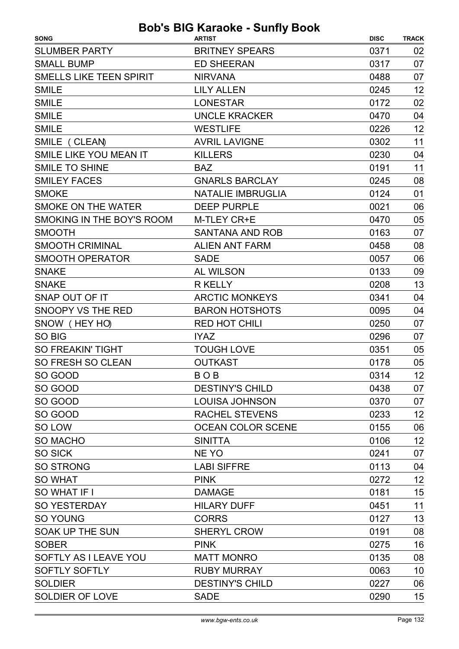| <b>SONG</b>                    | <b>ARTIST</b>            | <b>DISC</b> | <b>TRACK</b> |
|--------------------------------|--------------------------|-------------|--------------|
| <b>SLUMBER PARTY</b>           | <b>BRITNEY SPEARS</b>    | 0371        | 02           |
| <b>SMALL BUMP</b>              | <b>ED SHEERAN</b>        | 0317        | 07           |
| <b>SMELLS LIKE TEEN SPIRIT</b> | <b>NIRVANA</b>           | 0488        | 07           |
| <b>SMILE</b>                   | <b>LILY ALLEN</b>        | 0245        | 12           |
| <b>SMILE</b>                   | <b>LONESTAR</b>          | 0172        | 02           |
| <b>SMILE</b>                   | <b>UNCLE KRACKER</b>     | 0470        | 04           |
| <b>SMILE</b>                   | <b>WESTLIFE</b>          | 0226        | 12           |
| SMILE (CLEAN)                  | <b>AVRIL LAVIGNE</b>     | 0302        | 11           |
| SMILE LIKE YOU MEAN IT         | <b>KILLERS</b>           | 0230        | 04           |
| <b>SMILE TO SHINE</b>          | <b>BAZ</b>               | 0191        | 11           |
| <b>SMILEY FACES</b>            | <b>GNARLS BARCLAY</b>    | 0245        | 08           |
| <b>SMOKE</b>                   | <b>NATALIE IMBRUGLIA</b> | 0124        | 01           |
| SMOKE ON THE WATER             | <b>DEEP PURPLE</b>       | 0021        | 06           |
| SMOKING IN THE BOY'S ROOM      | M-TLEY CR+E              | 0470        | 05           |
| <b>SMOOTH</b>                  | <b>SANTANA AND ROB</b>   | 0163        | 07           |
| <b>SMOOTH CRIMINAL</b>         | <b>ALIEN ANT FARM</b>    | 0458        | 08           |
| <b>SMOOTH OPERATOR</b>         | <b>SADE</b>              | 0057        | 06           |
| <b>SNAKE</b>                   | <b>AL WILSON</b>         | 0133        | 09           |
| <b>SNAKE</b>                   | <b>R KELLY</b>           | 0208        | 13           |
| SNAP OUT OF IT                 | <b>ARCTIC MONKEYS</b>    | 0341        | 04           |
| SNOOPY VS THE RED              | <b>BARON HOTSHOTS</b>    | 0095        | 04           |
| SNOW (HEY HO)                  | <b>RED HOT CHILI</b>     | 0250        | 07           |
| SO BIG                         | <b>IYAZ</b>              | 0296        | 07           |
| <b>SO FREAKIN' TIGHT</b>       | <b>TOUGH LOVE</b>        | 0351        | 05           |
| <b>SO FRESH SO CLEAN</b>       | <b>OUTKAST</b>           | 0178        | 05           |
| SO GOOD                        | BOB                      | 0314        | 12           |
| SO GOOD                        | <b>DESTINY'S CHILD</b>   | 0438        | 07           |
| SO GOOD                        | <b>LOUISA JOHNSON</b>    | 0370        | 07           |
| SO GOOD                        | <b>RACHEL STEVENS</b>    | 0233        | 12           |
| SO LOW                         | <b>OCEAN COLOR SCENE</b> | 0155        | 06           |
| <b>SO MACHO</b>                | <b>SINITTA</b>           | 0106        | 12           |
| <b>SO SICK</b>                 | NE YO                    | 0241        | 07           |
| <b>SO STRONG</b>               | <b>LABI SIFFRE</b>       | 0113        | 04           |
| <b>SO WHAT</b>                 | <b>PINK</b>              | 0272        | 12           |
| SO WHAT IF I                   | <b>DAMAGE</b>            | 0181        | 15           |
| <b>SO YESTERDAY</b>            | <b>HILARY DUFF</b>       | 0451        | 11           |
| <b>SO YOUNG</b>                | <b>CORRS</b>             | 0127        | 13           |
| <b>SOAK UP THE SUN</b>         | <b>SHERYL CROW</b>       | 0191        | 08           |
| <b>SOBER</b>                   | <b>PINK</b>              | 0275        | 16           |
| SOFTLY AS I LEAVE YOU          | <b>MATT MONRO</b>        | 0135        | 08           |
| <b>SOFTLY SOFTLY</b>           | <b>RUBY MURRAY</b>       | 0063        | 10           |
| <b>SOLDIER</b>                 | <b>DESTINY'S CHILD</b>   | 0227        | 06           |
| <b>SOLDIER OF LOVE</b>         | <b>SADE</b>              | 0290        | 15           |
|                                |                          |             |              |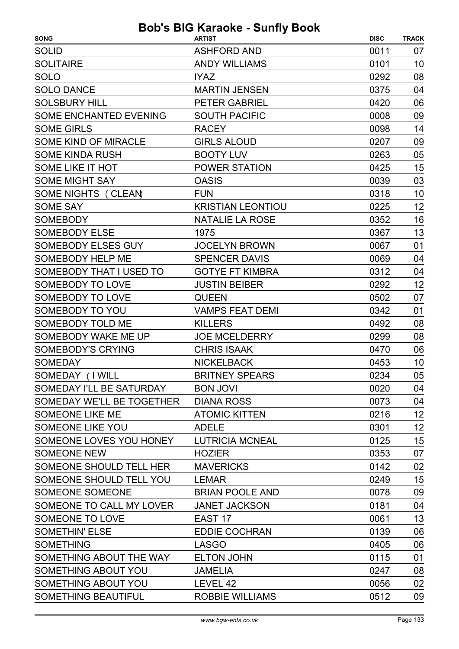| <b>SONG</b>                          | <b>ARTIST</b>            | <b>DISC</b> | <b>TRACK</b> |
|--------------------------------------|--------------------------|-------------|--------------|
| <b>SOLID</b>                         | <b>ASHFORD AND</b>       | 0011        | 07           |
| <b>SOLITAIRE</b>                     | <b>ANDY WILLIAMS</b>     | 0101        | 10           |
| <b>SOLO</b>                          | <b>IYAZ</b>              | 0292        | 08           |
| <b>SOLO DANCE</b>                    | <b>MARTIN JENSEN</b>     | 0375        | 04           |
| <b>SOLSBURY HILL</b>                 | <b>PETER GABRIEL</b>     | 0420        | 06           |
| SOME ENCHANTED EVENING               | <b>SOUTH PACIFIC</b>     | 0008        | 09           |
| <b>SOME GIRLS</b>                    | <b>RACEY</b>             | 0098        | 14           |
| SOME KIND OF MIRACLE                 | <b>GIRLS ALOUD</b>       | 0207        | 09           |
| <b>SOME KINDA RUSH</b>               | <b>BOOTY LUV</b>         | 0263        | 05           |
| SOME LIKE IT HOT                     | <b>POWER STATION</b>     | 0425        | 15           |
| <b>SOME MIGHT SAY</b>                | <b>OASIS</b>             | 0039        | 03           |
| SOME NIGHTS ( CLEAN)                 | <b>FUN</b>               | 0318        | 10           |
| <b>SOME SAY</b>                      | <b>KRISTIAN LEONTIOU</b> | 0225        | 12           |
| <b>SOMEBODY</b>                      | <b>NATALIE LA ROSE</b>   | 0352        | 16           |
| <b>SOMEBODY ELSE</b>                 | 1975                     | 0367        | 13           |
| <b>SOMEBODY ELSES GUY</b>            | <b>JOCELYN BROWN</b>     | 0067        | 01           |
| SOMEBODY HELP ME                     | <b>SPENCER DAVIS</b>     | 0069        | 04           |
| SOMEBODY THAT I USED TO              | <b>GOTYE FT KIMBRA</b>   | 0312        | 04           |
| SOMEBODY TO LOVE                     | <b>JUSTIN BEIBER</b>     | 0292        | 12           |
| SOMEBODY TO LOVE                     | <b>QUEEN</b>             | 0502        | 07           |
| SOMEBODY TO YOU                      | <b>VAMPS FEAT DEMI</b>   | 0342        | 01           |
| SOMEBODY TOLD ME                     | <b>KILLERS</b>           | 0492        | 08           |
| SOMEBODY WAKE ME UP                  | <b>JOE MCELDERRY</b>     | 0299        | 08           |
| <b>SOMEBODY'S CRYING</b>             | <b>CHRIS ISAAK</b>       | 0470        | 06           |
| <b>SOMEDAY</b>                       | <b>NICKELBACK</b>        | 0453        | 10           |
| SOMEDAY (I WILL                      | <b>BRITNEY SPEARS</b>    | 0234        | 05           |
| SOMEDAY I'LL BE SATURDAY BON JOVI    |                          | 0020        | 04           |
| SOMEDAY WE'LL BE TOGETHER DIANA ROSS |                          | 0073        | 04           |
| SOMEONE LIKE ME                      | <b>ATOMIC KITTEN</b>     | 0216        | 12           |
| SOMEONE LIKE YOU                     | ADELE                    | 0301        | 12           |
| SOMEONE LOVES YOU HONEY              | <b>LUTRICIA MCNEAL</b>   | 0125        | 15           |
| <b>SOMEONE NEW</b>                   | <b>HOZIER</b>            | 0353        | 07           |
| SOMEONE SHOULD TELL HER              | <b>MAVERICKS</b>         | 0142        | 02           |
| SOMEONE SHOULD TELL YOU              | <b>LEMAR</b>             | 0249        | 15           |
| SOMEONE SOMEONE                      | <b>BRIAN POOLE AND</b>   | 0078        | 09           |
| SOMEONE TO CALL MY LOVER             | <b>JANET JACKSON</b>     | 0181        | 04           |
| SOMEONE TO LOVE                      | EAST 17                  | 0061        | 13           |
| <b>SOMETHIN' ELSE</b>                | <b>EDDIE COCHRAN</b>     | 0139        | 06           |
| <b>SOMETHING</b>                     | <b>LASGO</b>             | 0405        | 06           |
| SOMETHING ABOUT THE WAY              | <b>ELTON JOHN</b>        | 0115        | 01           |
| SOMETHING ABOUT YOU                  | JAMELIA                  | 0247        | 08           |
| SOMETHING ABOUT YOU                  | LEVEL 42                 | 0056        | 02           |
| SOMETHING BEAUTIFUL                  | <b>ROBBIE WILLIAMS</b>   | 0512        | 09           |
|                                      |                          |             |              |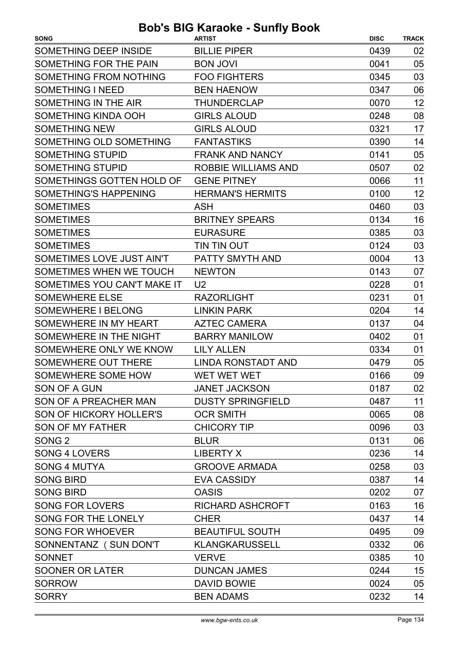| <b>SONG</b>                  | <b>ARTIST</b>             | <b>DISC</b> | <b>TRACK</b> |
|------------------------------|---------------------------|-------------|--------------|
| <b>SOMETHING DEEP INSIDE</b> | <b>BILLIE PIPER</b>       | 0439        | 02           |
| SOMETHING FOR THE PAIN       | <b>BON JOVI</b>           | 0041        | 05           |
| SOMETHING FROM NOTHING       | <b>FOO FIGHTERS</b>       | 0345        | 03           |
| <b>SOMETHING I NEED</b>      | <b>BEN HAENOW</b>         | 0347        | 06           |
| SOMETHING IN THE AIR         | <b>THUNDERCLAP</b>        | 0070        | 12           |
| SOMETHING KINDA OOH          | <b>GIRLS ALOUD</b>        | 0248        | 08           |
| <b>SOMETHING NEW</b>         | <b>GIRLS ALOUD</b>        | 0321        | 17           |
| SOMETHING OLD SOMETHING      | <b>FANTASTIKS</b>         | 0390        | 14           |
| <b>SOMETHING STUPID</b>      | <b>FRANK AND NANCY</b>    | 0141        | 05           |
| <b>SOMETHING STUPID</b>      | ROBBIE WILLIAMS AND       | 0507        | 02           |
| SOMETHINGS GOTTEN HOLD OF    | <b>GENE PITNEY</b>        | 0066        | 11           |
| <b>SOMETHING'S HAPPENING</b> | <b>HERMAN'S HERMITS</b>   | 0100        | 12           |
| <b>SOMETIMES</b>             | <b>ASH</b>                | 0460        | 03           |
| <b>SOMETIMES</b>             | <b>BRITNEY SPEARS</b>     | 0134        | 16           |
| <b>SOMETIMES</b>             | <b>EURASURE</b>           | 0385        | 03           |
| <b>SOMETIMES</b>             | TIN TIN OUT               | 0124        | 03           |
| SOMETIMES LOVE JUST AIN'T    | <b>PATTY SMYTH AND</b>    | 0004        | 13           |
| SOMETIMES WHEN WE TOUCH      | <b>NEWTON</b>             | 0143        | 07           |
| SOMETIMES YOU CAN'T MAKE IT  | U <sub>2</sub>            | 0228        | 01           |
| <b>SOMEWHERE ELSE</b>        | <b>RAZORLIGHT</b>         | 0231        | 01           |
| <b>SOMEWHERE I BELONG</b>    | <b>LINKIN PARK</b>        | 0204        | 14           |
| SOMEWHERE IN MY HEART        | <b>AZTEC CAMERA</b>       | 0137        | 04           |
| SOMEWHERE IN THE NIGHT       | <b>BARRY MANILOW</b>      | 0402        | 01           |
| SOMEWHERE ONLY WE KNOW       | <b>LILY ALLEN</b>         | 0334        | 01           |
| <b>SOMEWHERE OUT THERE</b>   | <b>LINDA RONSTADT AND</b> | 0479        | 05           |
| SOMEWHERE SOME HOW           | WET WET WET               | 0166        | 09           |
| SON OF A GUN                 | <b>JANET JACKSON</b>      | 0187        | 02           |
| SON OF A PREACHER MAN        | <b>DUSTY SPRINGFIELD</b>  | 0487        | 11           |
| SON OF HICKORY HOLLER'S      | <b>OCR SMITH</b>          | 0065        | 08           |
| <b>SON OF MY FATHER</b>      | <b>CHICORY TIP</b>        | 0096        | 03           |
| SONG <sub>2</sub>            | <b>BLUR</b>               | 0131        | 06           |
| SONG 4 LOVERS                | <b>LIBERTY X</b>          | 0236        | 14           |
| <b>SONG 4 MUTYA</b>          | <b>GROOVE ARMADA</b>      | 0258        | 03           |
| <b>SONG BIRD</b>             | <b>EVA CASSIDY</b>        | 0387        | 14           |
| <b>SONG BIRD</b>             | <b>OASIS</b>              | 0202        | 07           |
| <b>SONG FOR LOVERS</b>       | <b>RICHARD ASHCROFT</b>   | 0163        | 16           |
| SONG FOR THE LONELY          | <b>CHER</b>               | 0437        | 14           |
| <b>SONG FOR WHOEVER</b>      | <b>BEAUTIFUL SOUTH</b>    | 0495        | 09           |
| SONNENTANZ (SUN DON'T        | <b>KLANGKARUSSELL</b>     | 0332        | 06           |
| <b>SONNET</b>                | <b>VERVE</b>              | 0385        | 10           |
| SOONER OR LATER              | <b>DUNCAN JAMES</b>       | 0244        | 15           |
| <b>SORROW</b>                | <b>DAVID BOWIE</b>        | 0024        | 05           |
| <b>SORRY</b>                 | <b>BEN ADAMS</b>          | 0232        | 14           |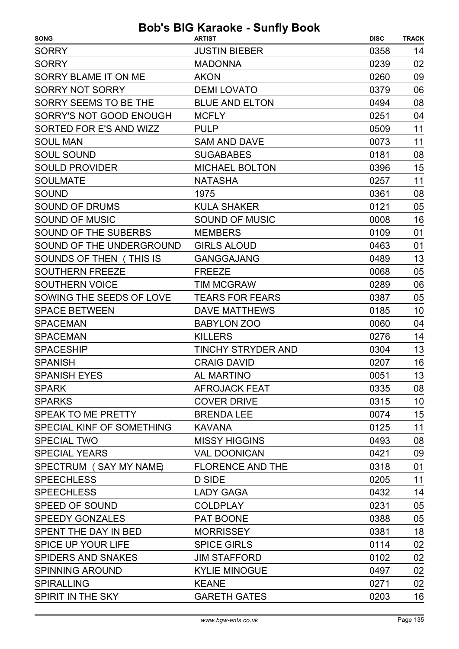| <b>JUSTIN BIEBER</b><br>0358<br>14<br>02<br><b>SORRY</b><br><b>MADONNA</b><br>0239<br><b>AKON</b><br>0260<br>09<br>SORRY BLAME IT ON ME<br><b>SORRY NOT SORRY</b><br><b>DEMI LOVATO</b><br>06<br>0379<br>SORRY SEEMS TO BE THE<br><b>BLUE AND ELTON</b><br>08<br>0494<br>04<br>SORRY'S NOT GOOD ENOUGH<br><b>MCFLY</b><br>0251<br>11<br>SORTED FOR E'S AND WIZZ<br>0509<br><b>PULP</b><br>11<br><b>SOUL MAN</b><br><b>SAM AND DAVE</b><br>0073<br><b>SOUL SOUND</b><br><b>SUGABABES</b><br>0181<br>08<br>15<br><b>SOULD PROVIDER</b><br><b>MICHAEL BOLTON</b><br>0396<br><b>SOULMATE</b><br>11<br><b>NATASHA</b><br>0257<br>08<br><b>SOUND</b><br>1975<br>0361<br><b>SOUND OF DRUMS</b><br>0121<br>05<br><b>KULA SHAKER</b><br><b>SOUND OF MUSIC</b><br><b>SOUND OF MUSIC</b><br>0008<br>16<br><b>SOUND OF THE SUBERBS</b><br><b>MEMBERS</b><br>0109<br>01<br>SOUND OF THE UNDERGROUND<br>01<br><b>GIRLS ALOUD</b><br>0463<br>SOUNDS OF THEN (THIS IS<br><b>GANGGAJANG</b><br>13<br>0489<br><b>SOUTHERN FREEZE</b><br><b>FREEZE</b><br>0068<br>05<br><b>SOUTHERN VOICE</b><br><b>TIM MCGRAW</b><br>06<br>0289<br>SOWING THE SEEDS OF LOVE<br><b>TEARS FOR FEARS</b><br>05<br>0387<br><b>SPACE BETWEEN</b><br><b>DAVE MATTHEWS</b><br>10<br>0185<br><b>SPACEMAN</b><br><b>BABYLON ZOO</b><br>0060<br>04<br><b>SPACEMAN</b><br><b>KILLERS</b><br>0276<br>14<br>13<br><b>SPACESHIP</b><br><b>TINCHY STRYDER AND</b><br>0304<br><b>CRAIG DAVID</b><br>16<br>0207<br>13<br>0051<br><b>SPANISH EYES</b><br><b>AL MARTINO</b><br>08<br><b>AFROJACK FEAT</b><br>0335<br>10<br><b>COVER DRIVE</b><br>0315<br>15<br><b>BRENDA LEE</b><br>0074<br>11<br><b>KAVANA</b><br>0125<br><b>MISSY HIGGINS</b><br>08<br>0493<br>09<br><b>VAL DOONICAN</b><br>0421<br>SPECTRUM (SAY MY NAME)<br>01<br><b>FLORENCE AND THE</b><br>0318<br>11<br>0205<br>D SIDE<br><b>LADY GAGA</b><br>0432<br>14<br>05<br><b>COLDPLAY</b><br>0231<br>PAT BOONE<br>05<br>0388<br>18<br><b>MORRISSEY</b><br>0381<br><b>SPICE GIRLS</b><br>0114<br>02<br>02<br><b>JIM STAFFORD</b><br>0102<br><b>KYLIE MINOGUE</b><br>02<br>0497<br><b>KEANE</b><br>0271<br>02 | <b>SONG</b>               | <b>ARTIST</b> | <b>DISC</b> | <b>TRACK</b> |
|-----------------------------------------------------------------------------------------------------------------------------------------------------------------------------------------------------------------------------------------------------------------------------------------------------------------------------------------------------------------------------------------------------------------------------------------------------------------------------------------------------------------------------------------------------------------------------------------------------------------------------------------------------------------------------------------------------------------------------------------------------------------------------------------------------------------------------------------------------------------------------------------------------------------------------------------------------------------------------------------------------------------------------------------------------------------------------------------------------------------------------------------------------------------------------------------------------------------------------------------------------------------------------------------------------------------------------------------------------------------------------------------------------------------------------------------------------------------------------------------------------------------------------------------------------------------------------------------------------------------------------------------------------------------------------------------------------------------------------------------------------------------------------------------------------------------------------------------------------------------------------------------------------------------------------------------------------------------------------------------------------------------------------------------------------------------------------------------------------------------------|---------------------------|---------------|-------------|--------------|
|                                                                                                                                                                                                                                                                                                                                                                                                                                                                                                                                                                                                                                                                                                                                                                                                                                                                                                                                                                                                                                                                                                                                                                                                                                                                                                                                                                                                                                                                                                                                                                                                                                                                                                                                                                                                                                                                                                                                                                                                                                                                                                                       | <b>SORRY</b>              |               |             |              |
|                                                                                                                                                                                                                                                                                                                                                                                                                                                                                                                                                                                                                                                                                                                                                                                                                                                                                                                                                                                                                                                                                                                                                                                                                                                                                                                                                                                                                                                                                                                                                                                                                                                                                                                                                                                                                                                                                                                                                                                                                                                                                                                       |                           |               |             |              |
|                                                                                                                                                                                                                                                                                                                                                                                                                                                                                                                                                                                                                                                                                                                                                                                                                                                                                                                                                                                                                                                                                                                                                                                                                                                                                                                                                                                                                                                                                                                                                                                                                                                                                                                                                                                                                                                                                                                                                                                                                                                                                                                       |                           |               |             |              |
|                                                                                                                                                                                                                                                                                                                                                                                                                                                                                                                                                                                                                                                                                                                                                                                                                                                                                                                                                                                                                                                                                                                                                                                                                                                                                                                                                                                                                                                                                                                                                                                                                                                                                                                                                                                                                                                                                                                                                                                                                                                                                                                       |                           |               |             |              |
|                                                                                                                                                                                                                                                                                                                                                                                                                                                                                                                                                                                                                                                                                                                                                                                                                                                                                                                                                                                                                                                                                                                                                                                                                                                                                                                                                                                                                                                                                                                                                                                                                                                                                                                                                                                                                                                                                                                                                                                                                                                                                                                       |                           |               |             |              |
|                                                                                                                                                                                                                                                                                                                                                                                                                                                                                                                                                                                                                                                                                                                                                                                                                                                                                                                                                                                                                                                                                                                                                                                                                                                                                                                                                                                                                                                                                                                                                                                                                                                                                                                                                                                                                                                                                                                                                                                                                                                                                                                       |                           |               |             |              |
|                                                                                                                                                                                                                                                                                                                                                                                                                                                                                                                                                                                                                                                                                                                                                                                                                                                                                                                                                                                                                                                                                                                                                                                                                                                                                                                                                                                                                                                                                                                                                                                                                                                                                                                                                                                                                                                                                                                                                                                                                                                                                                                       |                           |               |             |              |
|                                                                                                                                                                                                                                                                                                                                                                                                                                                                                                                                                                                                                                                                                                                                                                                                                                                                                                                                                                                                                                                                                                                                                                                                                                                                                                                                                                                                                                                                                                                                                                                                                                                                                                                                                                                                                                                                                                                                                                                                                                                                                                                       |                           |               |             |              |
|                                                                                                                                                                                                                                                                                                                                                                                                                                                                                                                                                                                                                                                                                                                                                                                                                                                                                                                                                                                                                                                                                                                                                                                                                                                                                                                                                                                                                                                                                                                                                                                                                                                                                                                                                                                                                                                                                                                                                                                                                                                                                                                       |                           |               |             |              |
|                                                                                                                                                                                                                                                                                                                                                                                                                                                                                                                                                                                                                                                                                                                                                                                                                                                                                                                                                                                                                                                                                                                                                                                                                                                                                                                                                                                                                                                                                                                                                                                                                                                                                                                                                                                                                                                                                                                                                                                                                                                                                                                       |                           |               |             |              |
|                                                                                                                                                                                                                                                                                                                                                                                                                                                                                                                                                                                                                                                                                                                                                                                                                                                                                                                                                                                                                                                                                                                                                                                                                                                                                                                                                                                                                                                                                                                                                                                                                                                                                                                                                                                                                                                                                                                                                                                                                                                                                                                       |                           |               |             |              |
|                                                                                                                                                                                                                                                                                                                                                                                                                                                                                                                                                                                                                                                                                                                                                                                                                                                                                                                                                                                                                                                                                                                                                                                                                                                                                                                                                                                                                                                                                                                                                                                                                                                                                                                                                                                                                                                                                                                                                                                                                                                                                                                       |                           |               |             |              |
|                                                                                                                                                                                                                                                                                                                                                                                                                                                                                                                                                                                                                                                                                                                                                                                                                                                                                                                                                                                                                                                                                                                                                                                                                                                                                                                                                                                                                                                                                                                                                                                                                                                                                                                                                                                                                                                                                                                                                                                                                                                                                                                       |                           |               |             |              |
|                                                                                                                                                                                                                                                                                                                                                                                                                                                                                                                                                                                                                                                                                                                                                                                                                                                                                                                                                                                                                                                                                                                                                                                                                                                                                                                                                                                                                                                                                                                                                                                                                                                                                                                                                                                                                                                                                                                                                                                                                                                                                                                       |                           |               |             |              |
|                                                                                                                                                                                                                                                                                                                                                                                                                                                                                                                                                                                                                                                                                                                                                                                                                                                                                                                                                                                                                                                                                                                                                                                                                                                                                                                                                                                                                                                                                                                                                                                                                                                                                                                                                                                                                                                                                                                                                                                                                                                                                                                       |                           |               |             |              |
|                                                                                                                                                                                                                                                                                                                                                                                                                                                                                                                                                                                                                                                                                                                                                                                                                                                                                                                                                                                                                                                                                                                                                                                                                                                                                                                                                                                                                                                                                                                                                                                                                                                                                                                                                                                                                                                                                                                                                                                                                                                                                                                       |                           |               |             |              |
|                                                                                                                                                                                                                                                                                                                                                                                                                                                                                                                                                                                                                                                                                                                                                                                                                                                                                                                                                                                                                                                                                                                                                                                                                                                                                                                                                                                                                                                                                                                                                                                                                                                                                                                                                                                                                                                                                                                                                                                                                                                                                                                       |                           |               |             |              |
|                                                                                                                                                                                                                                                                                                                                                                                                                                                                                                                                                                                                                                                                                                                                                                                                                                                                                                                                                                                                                                                                                                                                                                                                                                                                                                                                                                                                                                                                                                                                                                                                                                                                                                                                                                                                                                                                                                                                                                                                                                                                                                                       |                           |               |             |              |
|                                                                                                                                                                                                                                                                                                                                                                                                                                                                                                                                                                                                                                                                                                                                                                                                                                                                                                                                                                                                                                                                                                                                                                                                                                                                                                                                                                                                                                                                                                                                                                                                                                                                                                                                                                                                                                                                                                                                                                                                                                                                                                                       |                           |               |             |              |
|                                                                                                                                                                                                                                                                                                                                                                                                                                                                                                                                                                                                                                                                                                                                                                                                                                                                                                                                                                                                                                                                                                                                                                                                                                                                                                                                                                                                                                                                                                                                                                                                                                                                                                                                                                                                                                                                                                                                                                                                                                                                                                                       |                           |               |             |              |
|                                                                                                                                                                                                                                                                                                                                                                                                                                                                                                                                                                                                                                                                                                                                                                                                                                                                                                                                                                                                                                                                                                                                                                                                                                                                                                                                                                                                                                                                                                                                                                                                                                                                                                                                                                                                                                                                                                                                                                                                                                                                                                                       |                           |               |             |              |
|                                                                                                                                                                                                                                                                                                                                                                                                                                                                                                                                                                                                                                                                                                                                                                                                                                                                                                                                                                                                                                                                                                                                                                                                                                                                                                                                                                                                                                                                                                                                                                                                                                                                                                                                                                                                                                                                                                                                                                                                                                                                                                                       |                           |               |             |              |
|                                                                                                                                                                                                                                                                                                                                                                                                                                                                                                                                                                                                                                                                                                                                                                                                                                                                                                                                                                                                                                                                                                                                                                                                                                                                                                                                                                                                                                                                                                                                                                                                                                                                                                                                                                                                                                                                                                                                                                                                                                                                                                                       |                           |               |             |              |
|                                                                                                                                                                                                                                                                                                                                                                                                                                                                                                                                                                                                                                                                                                                                                                                                                                                                                                                                                                                                                                                                                                                                                                                                                                                                                                                                                                                                                                                                                                                                                                                                                                                                                                                                                                                                                                                                                                                                                                                                                                                                                                                       |                           |               |             |              |
|                                                                                                                                                                                                                                                                                                                                                                                                                                                                                                                                                                                                                                                                                                                                                                                                                                                                                                                                                                                                                                                                                                                                                                                                                                                                                                                                                                                                                                                                                                                                                                                                                                                                                                                                                                                                                                                                                                                                                                                                                                                                                                                       | <b>SPANISH</b>            |               |             |              |
|                                                                                                                                                                                                                                                                                                                                                                                                                                                                                                                                                                                                                                                                                                                                                                                                                                                                                                                                                                                                                                                                                                                                                                                                                                                                                                                                                                                                                                                                                                                                                                                                                                                                                                                                                                                                                                                                                                                                                                                                                                                                                                                       |                           |               |             |              |
|                                                                                                                                                                                                                                                                                                                                                                                                                                                                                                                                                                                                                                                                                                                                                                                                                                                                                                                                                                                                                                                                                                                                                                                                                                                                                                                                                                                                                                                                                                                                                                                                                                                                                                                                                                                                                                                                                                                                                                                                                                                                                                                       | <b>SPARK</b>              |               |             |              |
|                                                                                                                                                                                                                                                                                                                                                                                                                                                                                                                                                                                                                                                                                                                                                                                                                                                                                                                                                                                                                                                                                                                                                                                                                                                                                                                                                                                                                                                                                                                                                                                                                                                                                                                                                                                                                                                                                                                                                                                                                                                                                                                       | <b>SPARKS</b>             |               |             |              |
|                                                                                                                                                                                                                                                                                                                                                                                                                                                                                                                                                                                                                                                                                                                                                                                                                                                                                                                                                                                                                                                                                                                                                                                                                                                                                                                                                                                                                                                                                                                                                                                                                                                                                                                                                                                                                                                                                                                                                                                                                                                                                                                       | SPEAK TO ME PRETTY        |               |             |              |
|                                                                                                                                                                                                                                                                                                                                                                                                                                                                                                                                                                                                                                                                                                                                                                                                                                                                                                                                                                                                                                                                                                                                                                                                                                                                                                                                                                                                                                                                                                                                                                                                                                                                                                                                                                                                                                                                                                                                                                                                                                                                                                                       | SPECIAL KINF OF SOMETHING |               |             |              |
|                                                                                                                                                                                                                                                                                                                                                                                                                                                                                                                                                                                                                                                                                                                                                                                                                                                                                                                                                                                                                                                                                                                                                                                                                                                                                                                                                                                                                                                                                                                                                                                                                                                                                                                                                                                                                                                                                                                                                                                                                                                                                                                       | <b>SPECIAL TWO</b>        |               |             |              |
|                                                                                                                                                                                                                                                                                                                                                                                                                                                                                                                                                                                                                                                                                                                                                                                                                                                                                                                                                                                                                                                                                                                                                                                                                                                                                                                                                                                                                                                                                                                                                                                                                                                                                                                                                                                                                                                                                                                                                                                                                                                                                                                       | <b>SPECIAL YEARS</b>      |               |             |              |
|                                                                                                                                                                                                                                                                                                                                                                                                                                                                                                                                                                                                                                                                                                                                                                                                                                                                                                                                                                                                                                                                                                                                                                                                                                                                                                                                                                                                                                                                                                                                                                                                                                                                                                                                                                                                                                                                                                                                                                                                                                                                                                                       |                           |               |             |              |
|                                                                                                                                                                                                                                                                                                                                                                                                                                                                                                                                                                                                                                                                                                                                                                                                                                                                                                                                                                                                                                                                                                                                                                                                                                                                                                                                                                                                                                                                                                                                                                                                                                                                                                                                                                                                                                                                                                                                                                                                                                                                                                                       | <b>SPEECHLESS</b>         |               |             |              |
|                                                                                                                                                                                                                                                                                                                                                                                                                                                                                                                                                                                                                                                                                                                                                                                                                                                                                                                                                                                                                                                                                                                                                                                                                                                                                                                                                                                                                                                                                                                                                                                                                                                                                                                                                                                                                                                                                                                                                                                                                                                                                                                       | <b>SPEECHLESS</b>         |               |             |              |
|                                                                                                                                                                                                                                                                                                                                                                                                                                                                                                                                                                                                                                                                                                                                                                                                                                                                                                                                                                                                                                                                                                                                                                                                                                                                                                                                                                                                                                                                                                                                                                                                                                                                                                                                                                                                                                                                                                                                                                                                                                                                                                                       | SPEED OF SOUND            |               |             |              |
|                                                                                                                                                                                                                                                                                                                                                                                                                                                                                                                                                                                                                                                                                                                                                                                                                                                                                                                                                                                                                                                                                                                                                                                                                                                                                                                                                                                                                                                                                                                                                                                                                                                                                                                                                                                                                                                                                                                                                                                                                                                                                                                       | <b>SPEEDY GONZALES</b>    |               |             |              |
|                                                                                                                                                                                                                                                                                                                                                                                                                                                                                                                                                                                                                                                                                                                                                                                                                                                                                                                                                                                                                                                                                                                                                                                                                                                                                                                                                                                                                                                                                                                                                                                                                                                                                                                                                                                                                                                                                                                                                                                                                                                                                                                       | SPENT THE DAY IN BED      |               |             |              |
|                                                                                                                                                                                                                                                                                                                                                                                                                                                                                                                                                                                                                                                                                                                                                                                                                                                                                                                                                                                                                                                                                                                                                                                                                                                                                                                                                                                                                                                                                                                                                                                                                                                                                                                                                                                                                                                                                                                                                                                                                                                                                                                       | <b>SPICE UP YOUR LIFE</b> |               |             |              |
|                                                                                                                                                                                                                                                                                                                                                                                                                                                                                                                                                                                                                                                                                                                                                                                                                                                                                                                                                                                                                                                                                                                                                                                                                                                                                                                                                                                                                                                                                                                                                                                                                                                                                                                                                                                                                                                                                                                                                                                                                                                                                                                       | <b>SPIDERS AND SNAKES</b> |               |             |              |
|                                                                                                                                                                                                                                                                                                                                                                                                                                                                                                                                                                                                                                                                                                                                                                                                                                                                                                                                                                                                                                                                                                                                                                                                                                                                                                                                                                                                                                                                                                                                                                                                                                                                                                                                                                                                                                                                                                                                                                                                                                                                                                                       | <b>SPINNING AROUND</b>    |               |             |              |
|                                                                                                                                                                                                                                                                                                                                                                                                                                                                                                                                                                                                                                                                                                                                                                                                                                                                                                                                                                                                                                                                                                                                                                                                                                                                                                                                                                                                                                                                                                                                                                                                                                                                                                                                                                                                                                                                                                                                                                                                                                                                                                                       | <b>SPIRALLING</b>         |               |             |              |
| 16<br><b>GARETH GATES</b><br>0203                                                                                                                                                                                                                                                                                                                                                                                                                                                                                                                                                                                                                                                                                                                                                                                                                                                                                                                                                                                                                                                                                                                                                                                                                                                                                                                                                                                                                                                                                                                                                                                                                                                                                                                                                                                                                                                                                                                                                                                                                                                                                     | SPIRIT IN THE SKY         |               |             |              |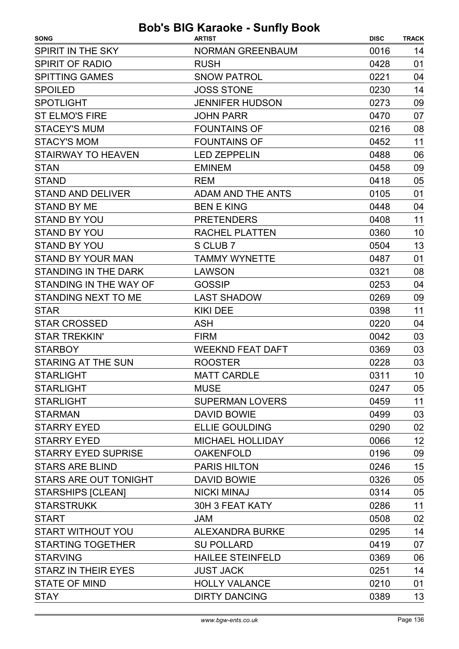| <b>SONG</b>                 | <b>ARTIST</b>            | <b>DISC</b> | <b>TRACK</b> |
|-----------------------------|--------------------------|-------------|--------------|
| SPIRIT IN THE SKY           | <b>NORMAN GREENBAUM</b>  | 0016        | 14           |
| <b>SPIRIT OF RADIO</b>      | <b>RUSH</b>              | 0428        | 01           |
| <b>SPITTING GAMES</b>       | <b>SNOW PATROL</b>       | 0221        | 04           |
| <b>SPOILED</b>              | <b>JOSS STONE</b>        | 0230        | 14           |
| <b>SPOTLIGHT</b>            | <b>JENNIFER HUDSON</b>   | 0273        | 09           |
| <b>ST ELMO'S FIRE</b>       | <b>JOHN PARR</b>         | 0470        | 07           |
| <b>STACEY'S MUM</b>         | <b>FOUNTAINS OF</b>      | 0216        | 08           |
| <b>STACY'S MOM</b>          | <b>FOUNTAINS OF</b>      | 0452        | 11           |
| <b>STAIRWAY TO HEAVEN</b>   | <b>LED ZEPPELIN</b>      | 0488        | 06           |
| <b>STAN</b>                 | <b>EMINEM</b>            | 0458        | 09           |
| <b>STAND</b>                | <b>REM</b>               | 0418        | 05           |
| <b>STAND AND DELIVER</b>    | <b>ADAM AND THE ANTS</b> | 0105        | 01           |
| <b>STAND BY ME</b>          | <b>BEN E KING</b>        | 0448        | 04           |
| <b>STAND BY YOU</b>         | <b>PRETENDERS</b>        | 0408        | 11           |
| <b>STAND BY YOU</b>         | <b>RACHEL PLATTEN</b>    | 0360        | 10           |
| <b>STAND BY YOU</b>         | S CLUB 7                 | 0504        | 13           |
| <b>STAND BY YOUR MAN</b>    | <b>TAMMY WYNETTE</b>     | 0487        | 01           |
| <b>STANDING IN THE DARK</b> | <b>LAWSON</b>            | 0321        | 08           |
| STANDING IN THE WAY OF      | <b>GOSSIP</b>            | 0253        | 04           |
| STANDING NEXT TO ME         | <b>LAST SHADOW</b>       | 0269        | 09           |
| <b>STAR</b>                 | <b>KIKI DEE</b>          | 0398        | 11           |
| <b>STAR CROSSED</b>         | <b>ASH</b>               | 0220        | 04           |
| <b>STAR TREKKIN'</b>        | <b>FIRM</b>              | 0042        | 03           |
| <b>STARBOY</b>              | <b>WEEKND FEAT DAFT</b>  | 0369        | 03           |
| STARING AT THE SUN          | <b>ROOSTER</b>           | 0228        | 03           |
| <b>STARLIGHT</b>            | <b>MATT CARDLE</b>       | 0311        | 10           |
| <b>STARLIGHT</b>            | <b>MUSE</b>              | 0247        | 05           |
| <b>STARLIGHT</b>            | <b>SUPERMAN LOVERS</b>   | 0459        | 11           |
| <b>STARMAN</b>              | <b>DAVID BOWIE</b>       | 0499        | 03           |
| <b>STARRY EYED</b>          | <b>ELLIE GOULDING</b>    | 0290        | 02           |
| <b>STARRY EYED</b>          | MICHAEL HOLLIDAY         | 0066        | 12           |
| <b>STARRY EYED SUPRISE</b>  | <b>OAKENFOLD</b>         | 0196        | 09           |
| <b>STARS ARE BLIND</b>      | <b>PARIS HILTON</b>      | 0246        | 15           |
| STARS ARE OUT TONIGHT       | <b>DAVID BOWIE</b>       | 0326        | 05           |
| STARSHIPS [CLEAN]           | <b>NICKI MINAJ</b>       | 0314        | 05           |
| <b>STARSTRUKK</b>           | 30H 3 FEAT KATY          | 0286        | 11           |
| <b>START</b>                | <b>JAM</b>               | 0508        | 02           |
| START WITHOUT YOU           | <b>ALEXANDRA BURKE</b>   | 0295        | 14           |
| <b>STARTING TOGETHER</b>    | <b>SU POLLARD</b>        | 0419        | 07           |
| <b>STARVING</b>             | <b>HAILEE STEINFELD</b>  | 0369        | 06           |
| STARZ IN THEIR EYES         | <b>JUST JACK</b>         | 0251        | 14           |
| <b>STATE OF MIND</b>        | <b>HOLLY VALANCE</b>     | 0210        | 01           |
| <b>STAY</b>                 | <b>DIRTY DANCING</b>     | 0389        | 13           |
|                             |                          |             |              |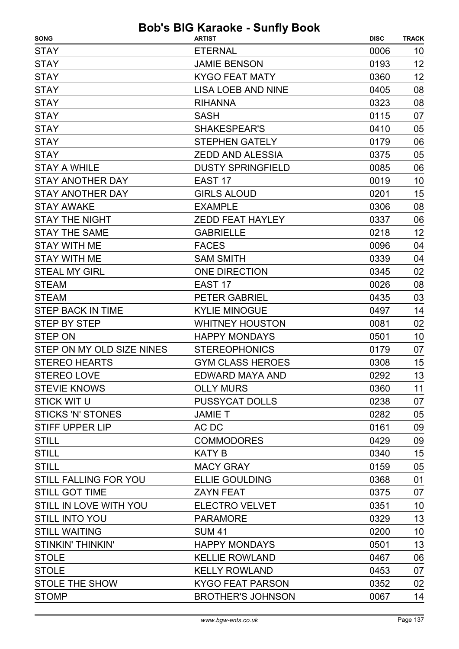| <b>SONG</b>                  | <b>ARTIST</b>             | <b>DISC</b> | <b>TRACK</b>   |
|------------------------------|---------------------------|-------------|----------------|
| <b>STAY</b>                  | <b>ETERNAL</b>            | 0006        | 10             |
| <b>STAY</b>                  | <b>JAMIE BENSON</b>       | 0193        | 12             |
| <b>STAY</b>                  | <b>KYGO FEAT MATY</b>     | 0360        | 12             |
| <b>STAY</b>                  | <b>LISA LOEB AND NINE</b> | 0405        | 08             |
| <b>STAY</b>                  | <b>RIHANNA</b>            | 0323        | 08             |
| <b>STAY</b>                  | <b>SASH</b>               | 0115        | 07             |
| <b>STAY</b>                  | SHAKESPEAR'S              | 0410        | 05             |
| <b>STAY</b>                  | <b>STEPHEN GATELY</b>     | 0179        | 06             |
| <b>STAY</b>                  | <b>ZEDD AND ALESSIA</b>   | 0375        | 05             |
| <b>STAY A WHILE</b>          | <b>DUSTY SPRINGFIELD</b>  | 0085        | 06             |
| <b>STAY ANOTHER DAY</b>      | EAST <sub>17</sub>        | 0019        | 10             |
| <b>STAY ANOTHER DAY</b>      | <b>GIRLS ALOUD</b>        | 0201        | 15             |
| <b>STAY AWAKE</b>            | <b>EXAMPLE</b>            | 0306        | 08             |
| <b>STAY THE NIGHT</b>        | <b>ZEDD FEAT HAYLEY</b>   | 0337        | 06             |
| <b>STAY THE SAME</b>         | <b>GABRIELLE</b>          | 0218        | 12             |
| <b>STAY WITH ME</b>          | <b>FACES</b>              | 0096        | 04             |
| <b>STAY WITH ME</b>          | <b>SAM SMITH</b>          | 0339        | 04             |
| <b>STEAL MY GIRL</b>         | <b>ONE DIRECTION</b>      | 0345        | 02             |
| <b>STEAM</b>                 | EAST <sub>17</sub>        | 0026        | 08             |
| <b>STEAM</b>                 | <b>PETER GABRIEL</b>      | 0435        | 03             |
| <b>STEP BACK IN TIME</b>     | <b>KYLIE MINOGUE</b>      | 0497        | 14             |
| <b>STEP BY STEP</b>          | <b>WHITNEY HOUSTON</b>    | 0081        | 02             |
| <b>STEP ON</b>               | <b>HAPPY MONDAYS</b>      | 0501        | 10             |
| STEP ON MY OLD SIZE NINES    | <b>STEREOPHONICS</b>      | 0179        | 07             |
| <b>STEREO HEARTS</b>         | <b>GYM CLASS HEROES</b>   | 0308        | 15             |
| <b>STEREO LOVE</b>           | EDWARD MAYA AND           | 0292        | $\frac{13}{1}$ |
| <b>STEVIE KNOWS</b>          | <b>OLLY MURS</b>          | 0360        | 11             |
| <b>STICK WIT U</b>           | <b>PUSSYCAT DOLLS</b>     | 0238        | 07             |
| <b>STICKS 'N' STONES</b>     | <b>JAMIE T</b>            | 0282        | 05             |
| <b>STIFF UPPER LIP</b>       | AC DC                     | 0161        | 09             |
| <b>STILL</b>                 | <b>COMMODORES</b>         | 0429        | 09             |
| <b>STILL</b>                 | <b>KATY B</b>             | 0340        | 15             |
| <b>STILL</b>                 | <b>MACY GRAY</b>          | 0159        | 05             |
| <b>STILL FALLING FOR YOU</b> | <b>ELLIE GOULDING</b>     | 0368        | 01             |
| <b>STILL GOT TIME</b>        | <b>ZAYN FEAT</b>          | 0375        | 07             |
| STILL IN LOVE WITH YOU       | <b>ELECTRO VELVET</b>     | 0351        | 10             |
| <b>STILL INTO YOU</b>        | <b>PARAMORE</b>           | 0329        | 13             |
| <b>STILL WAITING</b>         | <b>SUM 41</b>             | 0200        | 10             |
| <b>STINKIN' THINKIN'</b>     | <b>HAPPY MONDAYS</b>      | 0501        | 13             |
| <b>STOLE</b>                 | <b>KELLIE ROWLAND</b>     | 0467        | 06             |
| <b>STOLE</b>                 | <b>KELLY ROWLAND</b>      | 0453        | 07             |
| <b>STOLE THE SHOW</b>        | <b>KYGO FEAT PARSON</b>   | 0352        | 02             |
| <b>STOMP</b>                 | <b>BROTHER'S JOHNSON</b>  | 0067        | 14             |
|                              |                           |             |                |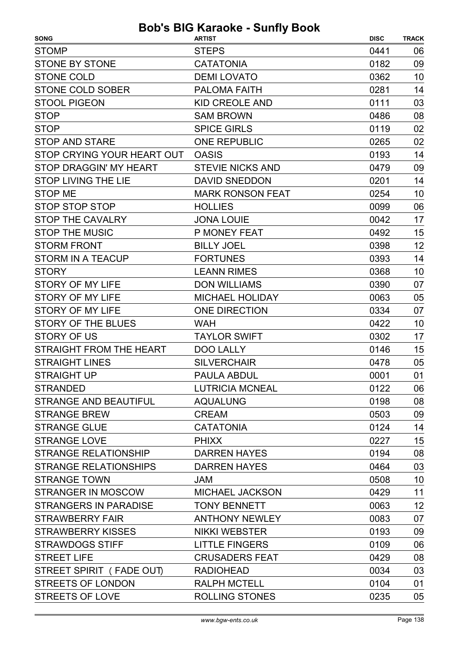| <b>SONG</b>                    | <b>ARTIST</b>           | <b>DISC</b> | <b>TRACK</b> |
|--------------------------------|-------------------------|-------------|--------------|
| <b>STOMP</b>                   | <b>STEPS</b>            | 0441        | 06           |
| <b>STONE BY STONE</b>          | <b>CATATONIA</b>        | 0182        | 09           |
| <b>STONE COLD</b>              | <b>DEMI LOVATO</b>      | 0362        | 10           |
| <b>STONE COLD SOBER</b>        | <b>PALOMA FAITH</b>     | 0281        | 14           |
| <b>STOOL PIGEON</b>            | <b>KID CREOLE AND</b>   | 0111        | 03           |
| <b>STOP</b>                    | <b>SAM BROWN</b>        | 0486        | 08           |
| <b>STOP</b>                    | <b>SPICE GIRLS</b>      | 0119        | 02           |
| <b>STOP AND STARE</b>          | <b>ONE REPUBLIC</b>     | 0265        | 02           |
| STOP CRYING YOUR HEART OUT     | <b>OASIS</b>            | 0193        | 14           |
| STOP DRAGGIN' MY HEART         | <b>STEVIE NICKS AND</b> | 0479        | 09           |
| <b>STOP LIVING THE LIE</b>     | <b>DAVID SNEDDON</b>    | 0201        | 14           |
| <b>STOP ME</b>                 | <b>MARK RONSON FEAT</b> | 0254        | 10           |
| <b>STOP STOP STOP</b>          | <b>HOLLIES</b>          | 0099        | 06           |
| <b>STOP THE CAVALRY</b>        | <b>JONA LOUIE</b>       | 0042        | 17           |
| <b>STOP THE MUSIC</b>          | P MONEY FEAT            | 0492        | 15           |
| <b>STORM FRONT</b>             | <b>BILLY JOEL</b>       | 0398        | 12           |
| <b>STORM IN A TEACUP</b>       | <b>FORTUNES</b>         | 0393        | 14           |
| <b>STORY</b>                   | <b>LEANN RIMES</b>      | 0368        | 10           |
| <b>STORY OF MY LIFE</b>        | <b>DON WILLIAMS</b>     | 0390        | 07           |
| <b>STORY OF MY LIFE</b>        | <b>MICHAEL HOLIDAY</b>  | 0063        | 05           |
| <b>STORY OF MY LIFE</b>        | <b>ONE DIRECTION</b>    | 0334        | 07           |
| <b>STORY OF THE BLUES</b>      | <b>WAH</b>              | 0422        | 10           |
| <b>STORY OF US</b>             | <b>TAYLOR SWIFT</b>     | 0302        | 17           |
| <b>STRAIGHT FROM THE HEART</b> | <b>DOO LALLY</b>        | 0146        | 15           |
| <b>STRAIGHT LINES</b>          | <b>SILVERCHAIR</b>      | 0478        | 05           |
| <b>STRAIGHT UP</b>             | PAULA ABDUL             | 0001        | 01           |
| <b>STRANDED</b>                | <b>LUTRICIA MCNEAL</b>  | 0122        | 06           |
| STRANGE AND BEAUTIFUL          | <b>AQUALUNG</b>         | 0198        | 08           |
| <b>STRANGE BREW</b>            | <b>CREAM</b>            | 0503        | 09           |
| <b>STRANGE GLUE</b>            | <b>CATATONIA</b>        | 0124        | 14           |
| <b>STRANGE LOVE</b>            | <b>PHIXX</b>            | 0227        | 15           |
| <b>STRANGE RELATIONSHIP</b>    | <b>DARREN HAYES</b>     | 0194        | 08           |
| <b>STRANGE RELATIONSHIPS</b>   | <b>DARREN HAYES</b>     | 0464        | 03           |
| <b>STRANGE TOWN</b>            | <b>JAM</b>              | 0508        | 10           |
| STRANGER IN MOSCOW             | <b>MICHAEL JACKSON</b>  | 0429        | 11           |
| STRANGERS IN PARADISE          | <b>TONY BENNETT</b>     | 0063        | 12           |
| <b>STRAWBERRY FAIR</b>         | <b>ANTHONY NEWLEY</b>   | 0083        | 07           |
| <b>STRAWBERRY KISSES</b>       | <b>NIKKI WEBSTER</b>    | 0193        | 09           |
| <b>STRAWDOGS STIFF</b>         | <b>LITTLE FINGERS</b>   | 0109        | 06           |
| <b>STREET LIFE</b>             | <b>CRUSADERS FEAT</b>   | 0429        | 08           |
| STREET SPIRIT (FADE OUT)       | <b>RADIOHEAD</b>        | 0034        | 03           |
| <b>STREETS OF LONDON</b>       | <b>RALPH MCTELL</b>     | 0104        | 01           |
| <b>STREETS OF LOVE</b>         | <b>ROLLING STONES</b>   | 0235        | 05           |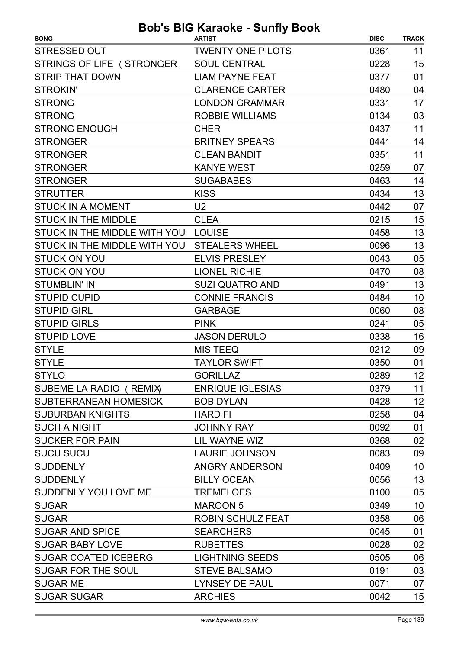| <b>SONG</b>                  | <b>ARTIST</b>            | <b>DISC</b> | <b>TRACK</b> |
|------------------------------|--------------------------|-------------|--------------|
| <b>STRESSED OUT</b>          | <b>TWENTY ONE PILOTS</b> | 0361        | 11           |
| STRINGS OF LIFE (STRONGER    | <b>SOUL CENTRAL</b>      | 0228        | 15           |
| <b>STRIP THAT DOWN</b>       | <b>LIAM PAYNE FEAT</b>   | 0377        | 01           |
| <b>STROKIN'</b>              | <b>CLARENCE CARTER</b>   | 0480        | 04           |
| <b>STRONG</b>                | <b>LONDON GRAMMAR</b>    | 0331        | 17           |
| <b>STRONG</b>                | <b>ROBBIE WILLIAMS</b>   | 0134        | 03           |
| <b>STRONG ENOUGH</b>         | <b>CHER</b>              | 0437        | 11           |
| <b>STRONGER</b>              | <b>BRITNEY SPEARS</b>    | 0441        | 14           |
| <b>STRONGER</b>              | <b>CLEAN BANDIT</b>      | 0351        | 11           |
| <b>STRONGER</b>              | <b>KANYE WEST</b>        | 0259        | 07           |
| <b>STRONGER</b>              | <b>SUGABABES</b>         | 0463        | 14           |
| <b>STRUTTER</b>              | <b>KISS</b>              | 0434        | 13           |
| <b>STUCK IN A MOMENT</b>     | U <sub>2</sub>           | 0442        | 07           |
| <b>STUCK IN THE MIDDLE</b>   | <b>CLEA</b>              | 0215        | 15           |
| STUCK IN THE MIDDLE WITH YOU | <b>LOUISE</b>            | 0458        | 13           |
| STUCK IN THE MIDDLE WITH YOU | <b>STEALERS WHEEL</b>    | 0096        | 13           |
| <b>STUCK ON YOU</b>          | <b>ELVIS PRESLEY</b>     | 0043        | 05           |
| <b>STUCK ON YOU</b>          | <b>LIONEL RICHIE</b>     | 0470        | 08           |
| <b>STUMBLIN' IN</b>          | <b>SUZI QUATRO AND</b>   | 0491        | 13           |
| <b>STUPID CUPID</b>          | <b>CONNIE FRANCIS</b>    | 0484        | 10           |
| <b>STUPID GIRL</b>           | <b>GARBAGE</b>           | 0060        | 08           |
| <b>STUPID GIRLS</b>          | <b>PINK</b>              | 0241        | 05           |
| <b>STUPID LOVE</b>           | <b>JASON DERULO</b>      | 0338        | 16           |
| <b>STYLE</b>                 | <b>MIS TEEQ</b>          | 0212        | 09           |
| <b>STYLE</b>                 | <b>TAYLOR SWIFT</b>      | 0350        | 01           |
| <b>STYLO</b>                 | <b>GORILLAZ</b>          | 0289        | 12           |
| SUBEME LA RADIO (REMIX)      | <b>ENRIQUE IGLESIAS</b>  | 0379        | 11           |
| SUBTERRANEAN HOMESICK        | <b>BOB DYLAN</b>         | 0428        | 12           |
| <b>SUBURBAN KNIGHTS</b>      | <b>HARD FI</b>           | 0258        | 04           |
| <b>SUCH A NIGHT</b>          | <b>JOHNNY RAY</b>        | 0092        | 01           |
| <b>SUCKER FOR PAIN</b>       | LIL WAYNE WIZ            | 0368        | 02           |
| <b>SUCU SUCU</b>             | <b>LAURIE JOHNSON</b>    | 0083        | 09           |
| <b>SUDDENLY</b>              | <b>ANGRY ANDERSON</b>    | 0409        | 10           |
| <b>SUDDENLY</b>              | <b>BILLY OCEAN</b>       | 0056        | 13           |
| SUDDENLY YOU LOVE ME         | <b>TREMELOES</b>         | 0100        | 05           |
| <b>SUGAR</b>                 | <b>MAROON 5</b>          | 0349        | 10           |
| <b>SUGAR</b>                 | <b>ROBIN SCHULZ FEAT</b> | 0358        | 06           |
| <b>SUGAR AND SPICE</b>       | <b>SEARCHERS</b>         | 0045        | 01           |
| <b>SUGAR BABY LOVE</b>       | <b>RUBETTES</b>          | 0028        | 02           |
| <b>SUGAR COATED ICEBERG</b>  | <b>LIGHTNING SEEDS</b>   | 0505        | 06           |
| <b>SUGAR FOR THE SOUL</b>    | <b>STEVE BALSAMO</b>     | 0191        | 03           |
| <b>SUGAR ME</b>              | <b>LYNSEY DE PAUL</b>    | 0071        | 07           |
| <b>SUGAR SUGAR</b>           | <b>ARCHIES</b>           | 0042        | 15           |
|                              |                          |             |              |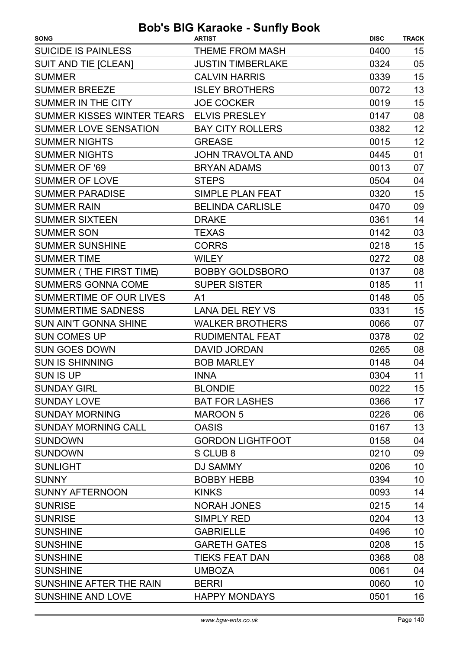#### SONG TRACK ARTIST Bob's BIG Karaoke - Sunfly Book DISC SUICIDE IS PAINLESS THEME FROM MASH 0400 15 SUIT AND TIE [CLEAN] 0324 JUSTIN TIMBERLAKE 05 SUMMER CALVIN HARRIS 0339 15 SUMMER BREEZE **13** ISLEY BROTHERS 13 0072 13 SUMMER IN THE CITY **SUMMER IN THE CITY 10E COCKER** 15 SUMMER KISSES WINTER TEARS ELVIS PRESLEY **CONTRACT 1988** 6147 08 SUMMER LOVE SENSATION BAY CITY ROLLERS 0382 12 SUMMER NIGHTS 0015 GREASE 12 SUMMER NIGHTS **CONSERVANT SUMMER NIGHTS** 01 SUMMER OF '69 BRYAN ADAMS 0013 07 SUMMER OF LOVE STEPS 6504 CHECK STEPS 0504 CHECK 04 SUMMER PARADISE SIMPLE PLAN FEAT 0320 15 SUMMER RAIN BELINDA CARLISLE 0470 09 SUMMER SIXTEEN DRAKE 0361 14 SUMMER SON **TEXAS** TEXAS 0142 03 SUMMER SUNSHINE CORRS 15 SUMMER TIME **120 CONTROLLEY 120 CONTROLLEY** 120 CONTROLLEY 120 CONTROLLEY 120 CONTROLLEY 120 CONTROLLEY SUMMER (THE FIRST TIME) BOBBY GOLDSBORO 08 0137 SUMMERS GONNA COME SUPER SISTER 1997 11 SUMMERTIME OF OUR LIVES A1 0148 05 SUMMERTIME SADNESS LANA DEL REY VS 15 SUN AIN'T GONNA SHINE WALKER BROTHERS 0066 07 SUN COMES UP 0378 RUDIMENTAL FEAT 02 SUN GOES DOWN DAVID JORDAN 0265 08 SUN IS SHINNING **DESCRIPTION BOB MARLEY 148** 04 SUN IS UP **10304** INNA 11 SUNDAY GIRL BLONDIE 60022 15 SUNDAY LOVE BAT FOR LASHES 0366 17 SUNDAY MORNING MAROON 5 0226 06 SUNDAY MORNING CALL CASIS CONSISTED AND THE CONSTRUCTED ON A 13 SUNDOWN GORDON LIGHTFOOT 0158 04 SUNDOWN SCLUB 8 0210 09 SUNLIGHT DJ SAMMY DO DATE: 0206 10 SUNNY BOBBY HEBB 0394 10 SUNNY AFTERNOON KINKS 60093 14 SUNRISE NORAH JONES 0215 14 SUNRISE SIMPLY RED 0204 13 SUNSHINE GABRIELLE 0496 10 SUNSHINE GARETH GATES 0208 15 SUNSHINE TIEKS FEAT DAN 0368 08 SUNSHINE UMBOZA UMBOZA 0061 04 SUNSHINE AFTER THE RAIN BERRI 10 10 10 SUNSHINE AND LOVE 0501 HAPPY MONDAYS 16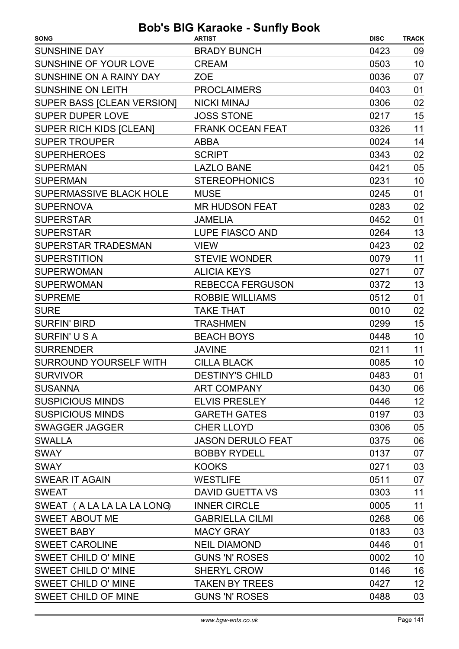| <b>SONG</b>                    | <b>ARTIST</b>            | <b>DISC</b> | <b>TRACK</b> |
|--------------------------------|--------------------------|-------------|--------------|
| <b>SUNSHINE DAY</b>            | <b>BRADY BUNCH</b>       | 0423        | 09           |
| SUNSHINE OF YOUR LOVE          | <b>CREAM</b>             | 0503        | 10           |
| SUNSHINE ON A RAINY DAY        | <b>ZOE</b>               | 0036        | 07           |
| <b>SUNSHINE ON LEITH</b>       | <b>PROCLAIMERS</b>       | 0403        | 01           |
| SUPER BASS [CLEAN VERSION]     | <b>NICKI MINAJ</b>       | 0306        | 02           |
| <b>SUPER DUPER LOVE</b>        | <b>JOSS STONE</b>        | 0217        | 15           |
| SUPER RICH KIDS [CLEAN]        | <b>FRANK OCEAN FEAT</b>  | 0326        | 11           |
| <b>SUPER TROUPER</b>           | <b>ABBA</b>              | 0024        | 14           |
| <b>SUPERHEROES</b>             | <b>SCRIPT</b>            | 0343        | 02           |
| <b>SUPERMAN</b>                | <b>LAZLO BANE</b>        | 0421        | 05           |
| <b>SUPERMAN</b>                | <b>STEREOPHONICS</b>     | 0231        | 10           |
| <b>SUPERMASSIVE BLACK HOLE</b> | <b>MUSE</b>              | 0245        | 01           |
| <b>SUPERNOVA</b>               | <b>MR HUDSON FEAT</b>    | 0283        | 02           |
| <b>SUPERSTAR</b>               | <b>JAMELIA</b>           | 0452        | 01           |
| <b>SUPERSTAR</b>               | <b>LUPE FIASCO AND</b>   | 0264        | 13           |
| <b>SUPERSTAR TRADESMAN</b>     | <b>VIEW</b>              | 0423        | 02           |
| <b>SUPERSTITION</b>            | <b>STEVIE WONDER</b>     | 0079        | 11           |
| <b>SUPERWOMAN</b>              | <b>ALICIA KEYS</b>       | 0271        | 07           |
| <b>SUPERWOMAN</b>              | <b>REBECCA FERGUSON</b>  | 0372        | 13           |
| <b>SUPREME</b>                 | <b>ROBBIE WILLIAMS</b>   | 0512        | 01           |
| <b>SURE</b>                    | <b>TAKE THAT</b>         | 0010        | 02           |
| <b>SURFIN' BIRD</b>            | <b>TRASHMEN</b>          | 0299        | 15           |
| SURFIN'USA                     | <b>BEACH BOYS</b>        | 0448        | 10           |
| <b>SURRENDER</b>               | <b>JAVINE</b>            | 0211        | 11           |
| <b>SURROUND YOURSELF WITH</b>  | <b>CILLA BLACK</b>       | 0085        | 10           |
| <b>SURVIVOR</b>                | <b>DESTINY'S CHILD</b>   | 0483        | 01           |
| <b>SUSANNA</b>                 | <b>ART COMPANY</b>       | 0430        | 06           |
| <b>SUSPICIOUS MINDS</b>        | <b>ELVIS PRESLEY</b>     | 0446        | 12           |
| <b>SUSPICIOUS MINDS</b>        | <b>GARETH GATES</b>      | 0197        | 03           |
| <b>SWAGGER JAGGER</b>          | <b>CHER LLOYD</b>        | 0306        | 05           |
| <b>SWALLA</b>                  | <b>JASON DERULO FEAT</b> | 0375        | 06           |
| <b>SWAY</b>                    | <b>BOBBY RYDELL</b>      | 0137        | 07           |
| <b>SWAY</b>                    | <b>KOOKS</b>             | 0271        | 03           |
| <b>SWEAR IT AGAIN</b>          | <b>WESTLIFE</b>          | 0511        | 07           |
| <b>SWEAT</b>                   | <b>DAVID GUETTA VS</b>   | 0303        | 11           |
| SWEAT (A LA LA LA LA LONG)     | <b>INNER CIRCLE</b>      | 0005        | 11           |
| <b>SWEET ABOUT ME</b>          | <b>GABRIELLA CILMI</b>   | 0268        | 06           |
| <b>SWEET BABY</b>              | <b>MACY GRAY</b>         | 0183        | 03           |
| <b>SWEET CAROLINE</b>          | <b>NEIL DIAMOND</b>      | 0446        | 01           |
| <b>SWEET CHILD O' MINE</b>     | <b>GUNS 'N' ROSES</b>    | 0002        | 10           |
| <b>SWEET CHILD O' MINE</b>     | <b>SHERYL CROW</b>       | 0146        | 16           |
| <b>SWEET CHILD O' MINE</b>     | <b>TAKEN BY TREES</b>    | 0427        | 12           |
| SWEET CHILD OF MINE            | <b>GUNS 'N' ROSES</b>    | 0488        | 03           |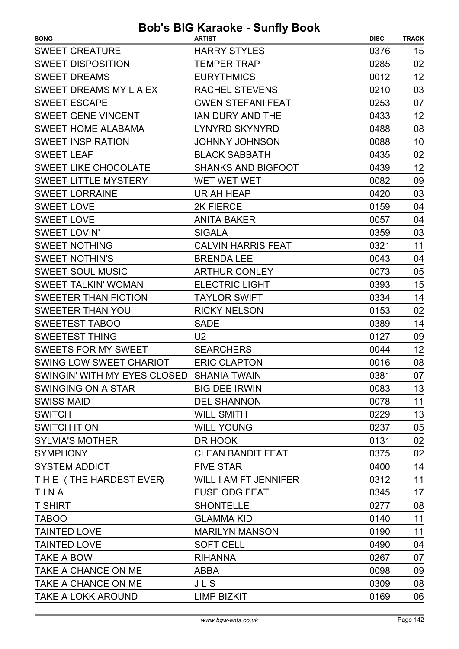| <b>SWEET CREATURE</b><br><b>HARRY STYLES</b><br>0376<br>15<br><b>SWEET DISPOSITION</b><br><b>TEMPER TRAP</b><br>0285<br>02<br>12<br><b>SWEET DREAMS</b><br><b>EURYTHMICS</b><br>0012<br>SWEET DREAMS MY L A EX<br><b>RACHEL STEVENS</b><br>03<br>0210<br><b>SWEET ESCAPE</b><br><b>GWEN STEFANI FEAT</b><br>07<br>0253<br>12<br><b>SWEET GENE VINCENT</b><br><b>IAN DURY AND THE</b><br>0433<br><b>SWEET HOME ALABAMA</b><br><b>LYNYRD SKYNYRD</b><br>0488<br>08<br><b>SWEET INSPIRATION</b><br><b>JOHNNY JOHNSON</b><br>0088<br>10<br><b>SWEET LEAF</b><br><b>BLACK SABBATH</b><br>02<br>0435<br>12<br><b>SHANKS AND BIGFOOT</b><br><b>SWEET LIKE CHOCOLATE</b><br>0439<br><b>SWEET LITTLE MYSTERY</b><br>09<br>WET WET WET<br>0082<br><b>SWEET LORRAINE</b><br><b>URIAH HEAP</b><br>0420<br>03<br><b>SWEET LOVE</b><br>2K FIERCE<br>0159<br>04<br><b>SWEET LOVE</b><br><b>ANITA BAKER</b><br>0057<br>04<br><b>SWEET LOVIN'</b><br>03<br><b>SIGALA</b><br>0359<br>11<br><b>SWEET NOTHING</b><br><b>CALVIN HARRIS FEAT</b><br>0321<br><b>SWEET NOTHIN'S</b><br><b>BRENDA LEE</b><br>0043<br>04<br><b>SWEET SOUL MUSIC</b><br><b>ARTHUR CONLEY</b><br>0073<br>05<br><b>SWEET TALKIN' WOMAN</b><br><b>ELECTRIC LIGHT</b><br>15<br>0393<br><b>SWEETER THAN FICTION</b><br><b>TAYLOR SWIFT</b><br>0334<br>14<br><b>SWEETER THAN YOU</b><br><b>RICKY NELSON</b><br>0153<br>02<br><b>SWEETEST TABOO</b><br><b>SADE</b><br>14<br>0389<br><b>SWEETEST THING</b><br>U <sub>2</sub><br>0127<br>09<br>12<br><b>SWEETS FOR MY SWEET</b><br><b>SEARCHERS</b><br>0044<br>SWING LOW SWEET CHARIOT<br><b>ERIC CLAPTON</b><br>0016<br>08<br>SWINGIN' WITH MY EYES CLOSED<br>0381<br>07<br><b>SHANIA TWAIN</b><br>0083<br>13<br><b>BIG DEE IRWIN</b><br>11<br><b>SWISS MAID</b><br><b>DEL SHANNON</b><br>0078<br>13<br><b>WILL SMITH</b><br><b>SWITCH</b><br>0229<br><b>WILL YOUNG</b><br>0237<br>05<br>DR HOOK<br>0131<br>02<br><b>SYLVIA'S MOTHER</b><br><b>CLEAN BANDIT FEAT</b><br>02<br>0375<br>14<br><b>FIVE STAR</b><br>0400<br>11<br>WILL I AM FT JENNIFER<br>0312<br>17<br><b>FUSE ODG FEAT</b><br>0345<br><b>T SHIRT</b><br><b>SHONTELLE</b><br>08<br>0277<br>11<br><b>GLAMMA KID</b><br>0140<br>11<br><b>TAINTED LOVE</b><br><b>MARILYN MANSON</b><br>0190<br><b>TAINTED LOVE</b><br><b>SOFT CELL</b><br>0490<br>04<br>TAKE A BOW<br><b>RIHANNA</b><br>07<br>0267<br>TAKE A CHANCE ON ME<br>09<br>ABBA<br>0098<br>TAKE A CHANCE ON ME<br>0309<br>08<br>JLS. | <b>SONG</b>            | <b>ARTIST</b>      | <b>DISC</b> | <b>TRACK</b> |
|------------------------------------------------------------------------------------------------------------------------------------------------------------------------------------------------------------------------------------------------------------------------------------------------------------------------------------------------------------------------------------------------------------------------------------------------------------------------------------------------------------------------------------------------------------------------------------------------------------------------------------------------------------------------------------------------------------------------------------------------------------------------------------------------------------------------------------------------------------------------------------------------------------------------------------------------------------------------------------------------------------------------------------------------------------------------------------------------------------------------------------------------------------------------------------------------------------------------------------------------------------------------------------------------------------------------------------------------------------------------------------------------------------------------------------------------------------------------------------------------------------------------------------------------------------------------------------------------------------------------------------------------------------------------------------------------------------------------------------------------------------------------------------------------------------------------------------------------------------------------------------------------------------------------------------------------------------------------------------------------------------------------------------------------------------------------------------------------------------------------------------------------------------------------------------------------------------------------------------------------------------------------------------------------------------------------------------------------------------------------------------------------------------------------------------------------------|------------------------|--------------------|-------------|--------------|
|                                                                                                                                                                                                                                                                                                                                                                                                                                                                                                                                                                                                                                                                                                                                                                                                                                                                                                                                                                                                                                                                                                                                                                                                                                                                                                                                                                                                                                                                                                                                                                                                                                                                                                                                                                                                                                                                                                                                                                                                                                                                                                                                                                                                                                                                                                                                                                                                                                                      |                        |                    |             |              |
|                                                                                                                                                                                                                                                                                                                                                                                                                                                                                                                                                                                                                                                                                                                                                                                                                                                                                                                                                                                                                                                                                                                                                                                                                                                                                                                                                                                                                                                                                                                                                                                                                                                                                                                                                                                                                                                                                                                                                                                                                                                                                                                                                                                                                                                                                                                                                                                                                                                      |                        |                    |             |              |
|                                                                                                                                                                                                                                                                                                                                                                                                                                                                                                                                                                                                                                                                                                                                                                                                                                                                                                                                                                                                                                                                                                                                                                                                                                                                                                                                                                                                                                                                                                                                                                                                                                                                                                                                                                                                                                                                                                                                                                                                                                                                                                                                                                                                                                                                                                                                                                                                                                                      |                        |                    |             |              |
|                                                                                                                                                                                                                                                                                                                                                                                                                                                                                                                                                                                                                                                                                                                                                                                                                                                                                                                                                                                                                                                                                                                                                                                                                                                                                                                                                                                                                                                                                                                                                                                                                                                                                                                                                                                                                                                                                                                                                                                                                                                                                                                                                                                                                                                                                                                                                                                                                                                      |                        |                    |             |              |
|                                                                                                                                                                                                                                                                                                                                                                                                                                                                                                                                                                                                                                                                                                                                                                                                                                                                                                                                                                                                                                                                                                                                                                                                                                                                                                                                                                                                                                                                                                                                                                                                                                                                                                                                                                                                                                                                                                                                                                                                                                                                                                                                                                                                                                                                                                                                                                                                                                                      |                        |                    |             |              |
|                                                                                                                                                                                                                                                                                                                                                                                                                                                                                                                                                                                                                                                                                                                                                                                                                                                                                                                                                                                                                                                                                                                                                                                                                                                                                                                                                                                                                                                                                                                                                                                                                                                                                                                                                                                                                                                                                                                                                                                                                                                                                                                                                                                                                                                                                                                                                                                                                                                      |                        |                    |             |              |
|                                                                                                                                                                                                                                                                                                                                                                                                                                                                                                                                                                                                                                                                                                                                                                                                                                                                                                                                                                                                                                                                                                                                                                                                                                                                                                                                                                                                                                                                                                                                                                                                                                                                                                                                                                                                                                                                                                                                                                                                                                                                                                                                                                                                                                                                                                                                                                                                                                                      |                        |                    |             |              |
|                                                                                                                                                                                                                                                                                                                                                                                                                                                                                                                                                                                                                                                                                                                                                                                                                                                                                                                                                                                                                                                                                                                                                                                                                                                                                                                                                                                                                                                                                                                                                                                                                                                                                                                                                                                                                                                                                                                                                                                                                                                                                                                                                                                                                                                                                                                                                                                                                                                      |                        |                    |             |              |
|                                                                                                                                                                                                                                                                                                                                                                                                                                                                                                                                                                                                                                                                                                                                                                                                                                                                                                                                                                                                                                                                                                                                                                                                                                                                                                                                                                                                                                                                                                                                                                                                                                                                                                                                                                                                                                                                                                                                                                                                                                                                                                                                                                                                                                                                                                                                                                                                                                                      |                        |                    |             |              |
|                                                                                                                                                                                                                                                                                                                                                                                                                                                                                                                                                                                                                                                                                                                                                                                                                                                                                                                                                                                                                                                                                                                                                                                                                                                                                                                                                                                                                                                                                                                                                                                                                                                                                                                                                                                                                                                                                                                                                                                                                                                                                                                                                                                                                                                                                                                                                                                                                                                      |                        |                    |             |              |
|                                                                                                                                                                                                                                                                                                                                                                                                                                                                                                                                                                                                                                                                                                                                                                                                                                                                                                                                                                                                                                                                                                                                                                                                                                                                                                                                                                                                                                                                                                                                                                                                                                                                                                                                                                                                                                                                                                                                                                                                                                                                                                                                                                                                                                                                                                                                                                                                                                                      |                        |                    |             |              |
|                                                                                                                                                                                                                                                                                                                                                                                                                                                                                                                                                                                                                                                                                                                                                                                                                                                                                                                                                                                                                                                                                                                                                                                                                                                                                                                                                                                                                                                                                                                                                                                                                                                                                                                                                                                                                                                                                                                                                                                                                                                                                                                                                                                                                                                                                                                                                                                                                                                      |                        |                    |             |              |
|                                                                                                                                                                                                                                                                                                                                                                                                                                                                                                                                                                                                                                                                                                                                                                                                                                                                                                                                                                                                                                                                                                                                                                                                                                                                                                                                                                                                                                                                                                                                                                                                                                                                                                                                                                                                                                                                                                                                                                                                                                                                                                                                                                                                                                                                                                                                                                                                                                                      |                        |                    |             |              |
|                                                                                                                                                                                                                                                                                                                                                                                                                                                                                                                                                                                                                                                                                                                                                                                                                                                                                                                                                                                                                                                                                                                                                                                                                                                                                                                                                                                                                                                                                                                                                                                                                                                                                                                                                                                                                                                                                                                                                                                                                                                                                                                                                                                                                                                                                                                                                                                                                                                      |                        |                    |             |              |
|                                                                                                                                                                                                                                                                                                                                                                                                                                                                                                                                                                                                                                                                                                                                                                                                                                                                                                                                                                                                                                                                                                                                                                                                                                                                                                                                                                                                                                                                                                                                                                                                                                                                                                                                                                                                                                                                                                                                                                                                                                                                                                                                                                                                                                                                                                                                                                                                                                                      |                        |                    |             |              |
|                                                                                                                                                                                                                                                                                                                                                                                                                                                                                                                                                                                                                                                                                                                                                                                                                                                                                                                                                                                                                                                                                                                                                                                                                                                                                                                                                                                                                                                                                                                                                                                                                                                                                                                                                                                                                                                                                                                                                                                                                                                                                                                                                                                                                                                                                                                                                                                                                                                      |                        |                    |             |              |
|                                                                                                                                                                                                                                                                                                                                                                                                                                                                                                                                                                                                                                                                                                                                                                                                                                                                                                                                                                                                                                                                                                                                                                                                                                                                                                                                                                                                                                                                                                                                                                                                                                                                                                                                                                                                                                                                                                                                                                                                                                                                                                                                                                                                                                                                                                                                                                                                                                                      |                        |                    |             |              |
|                                                                                                                                                                                                                                                                                                                                                                                                                                                                                                                                                                                                                                                                                                                                                                                                                                                                                                                                                                                                                                                                                                                                                                                                                                                                                                                                                                                                                                                                                                                                                                                                                                                                                                                                                                                                                                                                                                                                                                                                                                                                                                                                                                                                                                                                                                                                                                                                                                                      |                        |                    |             |              |
|                                                                                                                                                                                                                                                                                                                                                                                                                                                                                                                                                                                                                                                                                                                                                                                                                                                                                                                                                                                                                                                                                                                                                                                                                                                                                                                                                                                                                                                                                                                                                                                                                                                                                                                                                                                                                                                                                                                                                                                                                                                                                                                                                                                                                                                                                                                                                                                                                                                      |                        |                    |             |              |
|                                                                                                                                                                                                                                                                                                                                                                                                                                                                                                                                                                                                                                                                                                                                                                                                                                                                                                                                                                                                                                                                                                                                                                                                                                                                                                                                                                                                                                                                                                                                                                                                                                                                                                                                                                                                                                                                                                                                                                                                                                                                                                                                                                                                                                                                                                                                                                                                                                                      |                        |                    |             |              |
|                                                                                                                                                                                                                                                                                                                                                                                                                                                                                                                                                                                                                                                                                                                                                                                                                                                                                                                                                                                                                                                                                                                                                                                                                                                                                                                                                                                                                                                                                                                                                                                                                                                                                                                                                                                                                                                                                                                                                                                                                                                                                                                                                                                                                                                                                                                                                                                                                                                      |                        |                    |             |              |
|                                                                                                                                                                                                                                                                                                                                                                                                                                                                                                                                                                                                                                                                                                                                                                                                                                                                                                                                                                                                                                                                                                                                                                                                                                                                                                                                                                                                                                                                                                                                                                                                                                                                                                                                                                                                                                                                                                                                                                                                                                                                                                                                                                                                                                                                                                                                                                                                                                                      |                        |                    |             |              |
|                                                                                                                                                                                                                                                                                                                                                                                                                                                                                                                                                                                                                                                                                                                                                                                                                                                                                                                                                                                                                                                                                                                                                                                                                                                                                                                                                                                                                                                                                                                                                                                                                                                                                                                                                                                                                                                                                                                                                                                                                                                                                                                                                                                                                                                                                                                                                                                                                                                      |                        |                    |             |              |
|                                                                                                                                                                                                                                                                                                                                                                                                                                                                                                                                                                                                                                                                                                                                                                                                                                                                                                                                                                                                                                                                                                                                                                                                                                                                                                                                                                                                                                                                                                                                                                                                                                                                                                                                                                                                                                                                                                                                                                                                                                                                                                                                                                                                                                                                                                                                                                                                                                                      |                        |                    |             |              |
|                                                                                                                                                                                                                                                                                                                                                                                                                                                                                                                                                                                                                                                                                                                                                                                                                                                                                                                                                                                                                                                                                                                                                                                                                                                                                                                                                                                                                                                                                                                                                                                                                                                                                                                                                                                                                                                                                                                                                                                                                                                                                                                                                                                                                                                                                                                                                                                                                                                      |                        |                    |             |              |
|                                                                                                                                                                                                                                                                                                                                                                                                                                                                                                                                                                                                                                                                                                                                                                                                                                                                                                                                                                                                                                                                                                                                                                                                                                                                                                                                                                                                                                                                                                                                                                                                                                                                                                                                                                                                                                                                                                                                                                                                                                                                                                                                                                                                                                                                                                                                                                                                                                                      |                        |                    |             |              |
|                                                                                                                                                                                                                                                                                                                                                                                                                                                                                                                                                                                                                                                                                                                                                                                                                                                                                                                                                                                                                                                                                                                                                                                                                                                                                                                                                                                                                                                                                                                                                                                                                                                                                                                                                                                                                                                                                                                                                                                                                                                                                                                                                                                                                                                                                                                                                                                                                                                      | SWINGING ON A STAR     |                    |             |              |
|                                                                                                                                                                                                                                                                                                                                                                                                                                                                                                                                                                                                                                                                                                                                                                                                                                                                                                                                                                                                                                                                                                                                                                                                                                                                                                                                                                                                                                                                                                                                                                                                                                                                                                                                                                                                                                                                                                                                                                                                                                                                                                                                                                                                                                                                                                                                                                                                                                                      |                        |                    |             |              |
|                                                                                                                                                                                                                                                                                                                                                                                                                                                                                                                                                                                                                                                                                                                                                                                                                                                                                                                                                                                                                                                                                                                                                                                                                                                                                                                                                                                                                                                                                                                                                                                                                                                                                                                                                                                                                                                                                                                                                                                                                                                                                                                                                                                                                                                                                                                                                                                                                                                      |                        |                    |             |              |
|                                                                                                                                                                                                                                                                                                                                                                                                                                                                                                                                                                                                                                                                                                                                                                                                                                                                                                                                                                                                                                                                                                                                                                                                                                                                                                                                                                                                                                                                                                                                                                                                                                                                                                                                                                                                                                                                                                                                                                                                                                                                                                                                                                                                                                                                                                                                                                                                                                                      | SWITCH IT ON           |                    |             |              |
|                                                                                                                                                                                                                                                                                                                                                                                                                                                                                                                                                                                                                                                                                                                                                                                                                                                                                                                                                                                                                                                                                                                                                                                                                                                                                                                                                                                                                                                                                                                                                                                                                                                                                                                                                                                                                                                                                                                                                                                                                                                                                                                                                                                                                                                                                                                                                                                                                                                      |                        |                    |             |              |
|                                                                                                                                                                                                                                                                                                                                                                                                                                                                                                                                                                                                                                                                                                                                                                                                                                                                                                                                                                                                                                                                                                                                                                                                                                                                                                                                                                                                                                                                                                                                                                                                                                                                                                                                                                                                                                                                                                                                                                                                                                                                                                                                                                                                                                                                                                                                                                                                                                                      | <b>SYMPHONY</b>        |                    |             |              |
|                                                                                                                                                                                                                                                                                                                                                                                                                                                                                                                                                                                                                                                                                                                                                                                                                                                                                                                                                                                                                                                                                                                                                                                                                                                                                                                                                                                                                                                                                                                                                                                                                                                                                                                                                                                                                                                                                                                                                                                                                                                                                                                                                                                                                                                                                                                                                                                                                                                      | <b>SYSTEM ADDICT</b>   |                    |             |              |
|                                                                                                                                                                                                                                                                                                                                                                                                                                                                                                                                                                                                                                                                                                                                                                                                                                                                                                                                                                                                                                                                                                                                                                                                                                                                                                                                                                                                                                                                                                                                                                                                                                                                                                                                                                                                                                                                                                                                                                                                                                                                                                                                                                                                                                                                                                                                                                                                                                                      | THE (THE HARDEST EVER) |                    |             |              |
|                                                                                                                                                                                                                                                                                                                                                                                                                                                                                                                                                                                                                                                                                                                                                                                                                                                                                                                                                                                                                                                                                                                                                                                                                                                                                                                                                                                                                                                                                                                                                                                                                                                                                                                                                                                                                                                                                                                                                                                                                                                                                                                                                                                                                                                                                                                                                                                                                                                      | TINA                   |                    |             |              |
|                                                                                                                                                                                                                                                                                                                                                                                                                                                                                                                                                                                                                                                                                                                                                                                                                                                                                                                                                                                                                                                                                                                                                                                                                                                                                                                                                                                                                                                                                                                                                                                                                                                                                                                                                                                                                                                                                                                                                                                                                                                                                                                                                                                                                                                                                                                                                                                                                                                      |                        |                    |             |              |
|                                                                                                                                                                                                                                                                                                                                                                                                                                                                                                                                                                                                                                                                                                                                                                                                                                                                                                                                                                                                                                                                                                                                                                                                                                                                                                                                                                                                                                                                                                                                                                                                                                                                                                                                                                                                                                                                                                                                                                                                                                                                                                                                                                                                                                                                                                                                                                                                                                                      | <b>TABOO</b>           |                    |             |              |
|                                                                                                                                                                                                                                                                                                                                                                                                                                                                                                                                                                                                                                                                                                                                                                                                                                                                                                                                                                                                                                                                                                                                                                                                                                                                                                                                                                                                                                                                                                                                                                                                                                                                                                                                                                                                                                                                                                                                                                                                                                                                                                                                                                                                                                                                                                                                                                                                                                                      |                        |                    |             |              |
|                                                                                                                                                                                                                                                                                                                                                                                                                                                                                                                                                                                                                                                                                                                                                                                                                                                                                                                                                                                                                                                                                                                                                                                                                                                                                                                                                                                                                                                                                                                                                                                                                                                                                                                                                                                                                                                                                                                                                                                                                                                                                                                                                                                                                                                                                                                                                                                                                                                      |                        |                    |             |              |
|                                                                                                                                                                                                                                                                                                                                                                                                                                                                                                                                                                                                                                                                                                                                                                                                                                                                                                                                                                                                                                                                                                                                                                                                                                                                                                                                                                                                                                                                                                                                                                                                                                                                                                                                                                                                                                                                                                                                                                                                                                                                                                                                                                                                                                                                                                                                                                                                                                                      |                        |                    |             |              |
|                                                                                                                                                                                                                                                                                                                                                                                                                                                                                                                                                                                                                                                                                                                                                                                                                                                                                                                                                                                                                                                                                                                                                                                                                                                                                                                                                                                                                                                                                                                                                                                                                                                                                                                                                                                                                                                                                                                                                                                                                                                                                                                                                                                                                                                                                                                                                                                                                                                      |                        |                    |             |              |
|                                                                                                                                                                                                                                                                                                                                                                                                                                                                                                                                                                                                                                                                                                                                                                                                                                                                                                                                                                                                                                                                                                                                                                                                                                                                                                                                                                                                                                                                                                                                                                                                                                                                                                                                                                                                                                                                                                                                                                                                                                                                                                                                                                                                                                                                                                                                                                                                                                                      |                        |                    |             |              |
|                                                                                                                                                                                                                                                                                                                                                                                                                                                                                                                                                                                                                                                                                                                                                                                                                                                                                                                                                                                                                                                                                                                                                                                                                                                                                                                                                                                                                                                                                                                                                                                                                                                                                                                                                                                                                                                                                                                                                                                                                                                                                                                                                                                                                                                                                                                                                                                                                                                      | TAKE A LOKK AROUND     | <b>LIMP BIZKIT</b> | 0169        | 06           |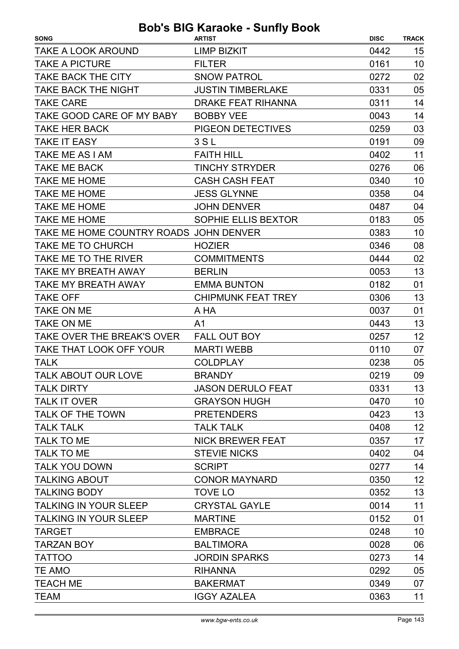| <b>SONG</b>                            | <b>ARTIST</b>             | <b>DISC</b> | <b>TRACK</b>    |
|----------------------------------------|---------------------------|-------------|-----------------|
| <b>TAKE A LOOK AROUND</b>              | <b>LIMP BIZKIT</b>        | 0442        | 15              |
| <b>TAKE A PICTURE</b>                  | <b>FILTER</b>             | 0161        | 10              |
| <b>TAKE BACK THE CITY</b>              | <b>SNOW PATROL</b>        | 0272        | 02              |
| <b>TAKE BACK THE NIGHT</b>             | <b>JUSTIN TIMBERLAKE</b>  | 0331        | 05              |
| <b>TAKE CARE</b>                       | <b>DRAKE FEAT RIHANNA</b> | 0311        | 14              |
| TAKE GOOD CARE OF MY BABY              | <b>BOBBY VEE</b>          | 0043        | 14              |
| <b>TAKE HER BACK</b>                   | <b>PIGEON DETECTIVES</b>  | 0259        | 03              |
| <b>TAKE IT EASY</b>                    | 3 S L                     | 0191        | 09              |
| <b>TAKE ME AS I AM</b>                 | <b>FAITH HILL</b>         | 0402        | 11              |
| <b>TAKE ME BACK</b>                    | <b>TINCHY STRYDER</b>     | 0276        | 06              |
| <b>TAKE ME HOME</b>                    | <b>CASH CASH FEAT</b>     | 0340        | 10              |
| <b>TAKE ME HOME</b>                    | <b>JESS GLYNNE</b>        | 0358        | 04              |
| <b>TAKE ME HOME</b>                    | <b>JOHN DENVER</b>        | 0487        | 04              |
| <b>TAKE ME HOME</b>                    | SOPHIE ELLIS BEXTOR       | 0183        | 05              |
| TAKE ME HOME COUNTRY ROADS JOHN DENVER |                           | 0383        | 10              |
| TAKE ME TO CHURCH                      | <b>HOZIER</b>             | 0346        | 08              |
| TAKE ME TO THE RIVER                   | <b>COMMITMENTS</b>        | 0444        | 02              |
| <b>TAKE MY BREATH AWAY</b>             | <b>BERLIN</b>             | 0053        | 13              |
| <b>TAKE MY BREATH AWAY</b>             | <b>EMMA BUNTON</b>        | 0182        | 01              |
| <b>TAKE OFF</b>                        | <b>CHIPMUNK FEAT TREY</b> | 0306        | 13              |
| <b>TAKE ON ME</b>                      | A HA                      | 0037        | 01              |
| <b>TAKE ON ME</b>                      | A <sub>1</sub>            | 0443        | 13              |
| TAKE OVER THE BREAK'S OVER             | <b>FALL OUT BOY</b>       | 0257        | 12              |
| TAKE THAT LOOK OFF YOUR                | <b>MARTI WEBB</b>         | 0110        | 07              |
| <b>TALK</b>                            | <b>COLDPLAY</b>           | 0238        | 05              |
| <b>TALK ABOUT OUR LOVE</b>             | <b>BRANDY</b>             | 0219        | 09              |
| <b>TALK DIRTY</b>                      | <b>JASON DERULO FEAT</b>  | 0331        | 13              |
| <b>TALK IT OVER</b>                    | <b>GRAYSON HUGH</b>       | 0470        | 10 <sup>°</sup> |
| TALK OF THE TOWN                       | <b>PRETENDERS</b>         | 0423        | 13              |
| <b>TALK TALK</b>                       | <b>TALK TALK</b>          | 0408        | 12              |
| TALK TO ME                             | <b>NICK BREWER FEAT</b>   | 0357        | 17              |
| <b>TALK TO ME</b>                      | <b>STEVIE NICKS</b>       | 0402        | 04              |
| TALK YOU DOWN                          | <b>SCRIPT</b>             | 0277        | 14              |
| <b>TALKING ABOUT</b>                   | <b>CONOR MAYNARD</b>      | 0350        | 12              |
| <b>TALKING BODY</b>                    | <b>TOVE LO</b>            | 0352        | 13              |
| <b>TALKING IN YOUR SLEEP</b>           | <b>CRYSTAL GAYLE</b>      | 0014        | 11              |
| <b>TALKING IN YOUR SLEEP</b>           | <b>MARTINE</b>            | 0152        | 01              |
| <b>TARGET</b>                          | <b>EMBRACE</b>            | 0248        | 10 <sup>°</sup> |
| <b>TARZAN BOY</b>                      | <b>BALTIMORA</b>          | 0028        | 06              |
| <b>TATTOO</b>                          | <b>JORDIN SPARKS</b>      | 0273        | 14              |
| TE AMO                                 | <b>RIHANNA</b>            | 0292        | 05              |
| <b>TEACH ME</b>                        | <b>BAKERMAT</b>           | 0349        | 07              |
| <b>TEAM</b>                            | <b>IGGY AZALEA</b>        | 0363        | 11              |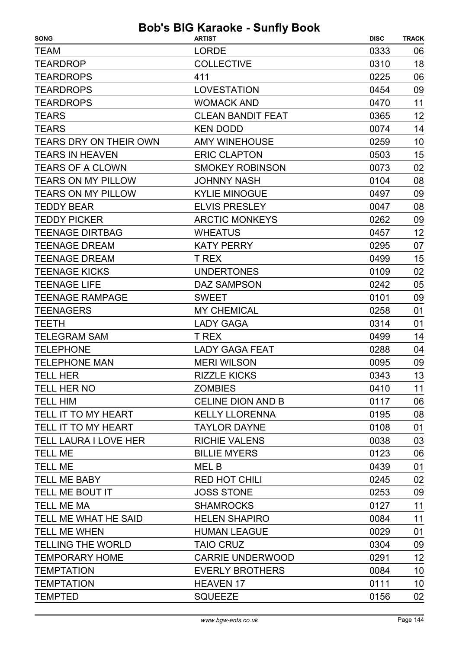| <b>SONG</b>                   | <b>ARTIST</b>            | <b>DISC</b> | <b>TRACK</b> |
|-------------------------------|--------------------------|-------------|--------------|
| <b>TEAM</b>                   | <b>LORDE</b>             | 0333        | 06           |
| <b>TEARDROP</b>               | <b>COLLECTIVE</b>        | 0310        | 18           |
| <b>TEARDROPS</b>              | 411                      | 0225        | 06           |
| <b>TEARDROPS</b>              | <b>LOVESTATION</b>       | 0454        | 09           |
| <b>TEARDROPS</b>              | <b>WOMACK AND</b>        | 0470        | 11           |
| <b>TEARS</b>                  | <b>CLEAN BANDIT FEAT</b> | 0365        | 12           |
| <b>TEARS</b>                  | <b>KEN DODD</b>          | 0074        | 14           |
| <b>TEARS DRY ON THEIR OWN</b> | <b>AMY WINEHOUSE</b>     | 0259        | 10           |
| <b>TEARS IN HEAVEN</b>        | <b>ERIC CLAPTON</b>      | 0503        | 15           |
| <b>TEARS OF A CLOWN</b>       | <b>SMOKEY ROBINSON</b>   | 0073        | 02           |
| <b>TEARS ON MY PILLOW</b>     | <b>JOHNNY NASH</b>       | 0104        | 08           |
| <b>TEARS ON MY PILLOW</b>     | <b>KYLIE MINOGUE</b>     | 0497        | 09           |
| <b>TEDDY BEAR</b>             | <b>ELVIS PRESLEY</b>     | 0047        | 08           |
| <b>TEDDY PICKER</b>           | <b>ARCTIC MONKEYS</b>    | 0262        | 09           |
| <b>TEENAGE DIRTBAG</b>        | <b>WHEATUS</b>           | 0457        | 12           |
| <b>TEENAGE DREAM</b>          | <b>KATY PERRY</b>        | 0295        | 07           |
| <b>TEENAGE DREAM</b>          | <b>T REX</b>             | 0499        | 15           |
| <b>TEENAGE KICKS</b>          | <b>UNDERTONES</b>        | 0109        | 02           |
| <b>TEENAGE LIFE</b>           | DAZ SAMPSON              | 0242        | 05           |
| <b>TEENAGE RAMPAGE</b>        | <b>SWEET</b>             | 0101        | 09           |
| <b>TEENAGERS</b>              | <b>MY CHEMICAL</b>       | 0258        | 01           |
| <b>TEETH</b>                  | <b>LADY GAGA</b>         | 0314        | 01           |
| <b>TELEGRAM SAM</b>           | T REX                    | 0499        | 14           |
| <b>TELEPHONE</b>              | <b>LADY GAGA FEAT</b>    | 0288        | 04           |
| <b>TELEPHONE MAN</b>          | <b>MERI WILSON</b>       | 0095        | 09           |
| <b>TELL HER</b>               | <b>RIZZLE KICKS</b>      | 0343        | 13           |
| TELL HER NO                   | <b>ZOMBIES</b>           | 0410        | 11           |
| <b>TELL HIM</b>               | <b>CELINE DION AND B</b> | 0117        | 06           |
| TELL IT TO MY HEART           | <b>KELLY LLORENNA</b>    | 0195        | 08           |
| TELL IT TO MY HEART           | <b>TAYLOR DAYNE</b>      | 0108        | 01           |
| <b>TELL LAURA I LOVE HER</b>  | <b>RICHIE VALENS</b>     | 0038        | 03           |
| <b>TELL ME</b>                | <b>BILLIE MYERS</b>      | 0123        | 06           |
| <b>TELL ME</b>                | <b>MELB</b>              | 0439        | 01           |
| TELL ME BABY                  | <b>RED HOT CHILI</b>     | 0245        | 02           |
| TELL ME BOUT IT               | <b>JOSS STONE</b>        | 0253        | 09           |
| <b>TELL ME MA</b>             | <b>SHAMROCKS</b>         | 0127        | 11           |
| TELL ME WHAT HE SAID          | <b>HELEN SHAPIRO</b>     | 0084        | 11           |
| <b>TELL ME WHEN</b>           | <b>HUMAN LEAGUE</b>      | 0029        | 01           |
| <b>TELLING THE WORLD</b>      | <b>TAIO CRUZ</b>         | 0304        | 09           |
| <b>TEMPORARY HOME</b>         | <b>CARRIE UNDERWOOD</b>  | 0291        | 12           |
| <b>TEMPTATION</b>             | <b>EVERLY BROTHERS</b>   | 0084        | 10           |
| <b>TEMPTATION</b>             | <b>HEAVEN 17</b>         | 0111        | 10           |
| <b>TEMPTED</b>                | <b>SQUEEZE</b>           | 0156        | 02           |
|                               |                          |             |              |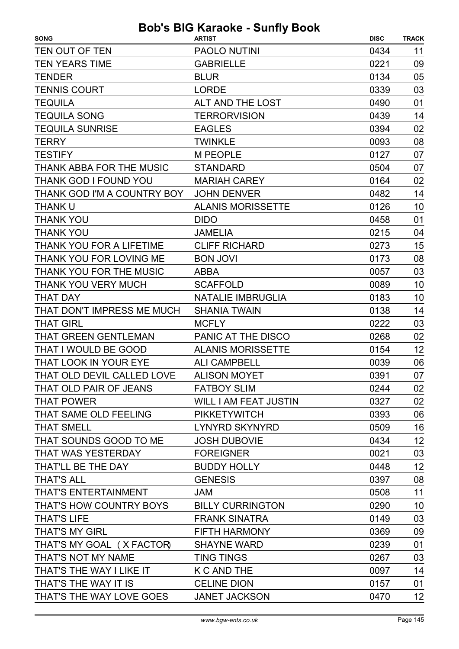| TEN OUT OF TEN<br>PAOLO NUTINI<br>0434<br><b>GABRIELLE</b><br>0221<br><b>TEN YEARS TIME</b><br>0134<br><b>TENDER</b><br><b>BLUR</b><br>0339<br>03<br><b>TENNIS COURT</b><br><b>LORDE</b><br><b>TEQUILA</b><br>0490<br>01<br>ALT AND THE LOST<br><b>TEQUILA SONG</b><br><b>TERRORVISION</b><br>0439<br><b>TEQUILA SUNRISE</b><br><b>EAGLES</b><br>0394<br>0093<br><b>TERRY</b><br><b>TWINKLE</b><br>07<br><b>M PEOPLE</b><br>0127<br><b>TESTIFY</b><br>0504<br>THANK ABBA FOR THE MUSIC<br><b>STANDARD</b><br><b>THANK GOD I FOUND YOU</b><br><b>MARIAH CAREY</b><br>0164<br>THANK GOD I'M A COUNTRY BOY<br><b>JOHN DENVER</b><br>0482<br><b>ALANIS MORISSETTE</b><br>0126<br><b>THANK U</b><br>01<br><b>THANK YOU</b><br><b>DIDO</b><br>0458<br><b>THANK YOU</b><br>04<br><b>JAMELIA</b><br>0215<br>THANK YOU FOR A LIFETIME<br><b>CLIFF RICHARD</b><br>0273<br>THANK YOU FOR LOVING ME<br><b>BON JOVI</b><br>0173<br>THANK YOU FOR THE MUSIC<br><b>ABBA</b><br>0057<br><b>THANK YOU VERY MUCH</b><br>0089<br><b>SCAFFOLD</b><br><b>THAT DAY</b><br><b>NATALIE IMBRUGLIA</b><br>0183<br>THAT DON'T IMPRESS ME MUCH<br>14<br><b>SHANIA TWAIN</b><br>0138<br><b>THAT GIRL</b><br><b>MCFLY</b><br>0222<br>0268<br><b>THAT GREEN GENTLEMAN</b><br><b>PANIC AT THE DISCO</b><br>THAT I WOULD BE GOOD<br><b>ALANIS MORISSETTE</b><br>0154<br>THAT LOOK IN YOUR EYE<br><b>ALI CAMPBELL</b><br>0039<br>THAT OLD DEVIL CALLED LOVE<br><b>ALISON MOYET</b><br>0391<br>07<br>THAT OLD PAIR OF JEANS<br><b>FATBOY SLIM</b><br>0244<br>0327<br><b>THAT POWER</b><br>WILL I AM FEAT JUSTIN<br><b>PIKKETYWITCH</b><br>0393<br>THAT SAME OLD FEELING<br><b>THAT SMELL</b><br>LYNYRD SKYNYRD<br>0509<br>0434<br>THAT SOUNDS GOOD TO ME<br><b>JOSH DUBOVIE</b><br>THAT WAS YESTERDAY<br>0021<br><b>FOREIGNER</b><br>THAT'LL BE THE DAY<br>0448<br><b>BUDDY HOLLY</b><br><b>GENESIS</b><br><b>THAT'S ALL</b><br>0397<br>THAT'S ENTERTAINMENT<br>0508<br>JAM<br>THAT'S HOW COUNTRY BOYS<br><b>BILLY CURRINGTON</b><br>0290<br>03<br><b>FRANK SINATRA</b><br><b>THAT'S LIFE</b><br>0149<br>09<br><b>THAT'S MY GIRL</b><br>FIFTH HARMONY<br>0369<br>THAT'S MY GOAL (X FACTOR)<br>0239<br>01<br><b>SHAYNE WARD</b><br>THAT'S NOT MY NAME<br><b>TING TINGS</b><br>0267<br>14<br>THAT'S THE WAY I LIKE IT<br>K C AND THE<br>0097 | <b>SONG</b>          | <b>ARTIST</b>      | <b>DISC</b> | <b>TRACK</b> |
|---------------------------------------------------------------------------------------------------------------------------------------------------------------------------------------------------------------------------------------------------------------------------------------------------------------------------------------------------------------------------------------------------------------------------------------------------------------------------------------------------------------------------------------------------------------------------------------------------------------------------------------------------------------------------------------------------------------------------------------------------------------------------------------------------------------------------------------------------------------------------------------------------------------------------------------------------------------------------------------------------------------------------------------------------------------------------------------------------------------------------------------------------------------------------------------------------------------------------------------------------------------------------------------------------------------------------------------------------------------------------------------------------------------------------------------------------------------------------------------------------------------------------------------------------------------------------------------------------------------------------------------------------------------------------------------------------------------------------------------------------------------------------------------------------------------------------------------------------------------------------------------------------------------------------------------------------------------------------------------------------------------------------------------------------------------------------------------------------------------------------------------------------------------------------------------------------------------------------------------------------------------------------------------------------------|----------------------|--------------------|-------------|--------------|
|                                                                                                                                                                                                                                                                                                                                                                                                                                                                                                                                                                                                                                                                                                                                                                                                                                                                                                                                                                                                                                                                                                                                                                                                                                                                                                                                                                                                                                                                                                                                                                                                                                                                                                                                                                                                                                                                                                                                                                                                                                                                                                                                                                                                                                                                                                         |                      |                    |             | 11           |
|                                                                                                                                                                                                                                                                                                                                                                                                                                                                                                                                                                                                                                                                                                                                                                                                                                                                                                                                                                                                                                                                                                                                                                                                                                                                                                                                                                                                                                                                                                                                                                                                                                                                                                                                                                                                                                                                                                                                                                                                                                                                                                                                                                                                                                                                                                         |                      |                    |             | 09           |
|                                                                                                                                                                                                                                                                                                                                                                                                                                                                                                                                                                                                                                                                                                                                                                                                                                                                                                                                                                                                                                                                                                                                                                                                                                                                                                                                                                                                                                                                                                                                                                                                                                                                                                                                                                                                                                                                                                                                                                                                                                                                                                                                                                                                                                                                                                         |                      |                    |             | 05           |
|                                                                                                                                                                                                                                                                                                                                                                                                                                                                                                                                                                                                                                                                                                                                                                                                                                                                                                                                                                                                                                                                                                                                                                                                                                                                                                                                                                                                                                                                                                                                                                                                                                                                                                                                                                                                                                                                                                                                                                                                                                                                                                                                                                                                                                                                                                         |                      |                    |             |              |
|                                                                                                                                                                                                                                                                                                                                                                                                                                                                                                                                                                                                                                                                                                                                                                                                                                                                                                                                                                                                                                                                                                                                                                                                                                                                                                                                                                                                                                                                                                                                                                                                                                                                                                                                                                                                                                                                                                                                                                                                                                                                                                                                                                                                                                                                                                         |                      |                    |             |              |
|                                                                                                                                                                                                                                                                                                                                                                                                                                                                                                                                                                                                                                                                                                                                                                                                                                                                                                                                                                                                                                                                                                                                                                                                                                                                                                                                                                                                                                                                                                                                                                                                                                                                                                                                                                                                                                                                                                                                                                                                                                                                                                                                                                                                                                                                                                         |                      |                    |             | 14           |
|                                                                                                                                                                                                                                                                                                                                                                                                                                                                                                                                                                                                                                                                                                                                                                                                                                                                                                                                                                                                                                                                                                                                                                                                                                                                                                                                                                                                                                                                                                                                                                                                                                                                                                                                                                                                                                                                                                                                                                                                                                                                                                                                                                                                                                                                                                         |                      |                    |             | 02           |
|                                                                                                                                                                                                                                                                                                                                                                                                                                                                                                                                                                                                                                                                                                                                                                                                                                                                                                                                                                                                                                                                                                                                                                                                                                                                                                                                                                                                                                                                                                                                                                                                                                                                                                                                                                                                                                                                                                                                                                                                                                                                                                                                                                                                                                                                                                         |                      |                    |             | 08           |
|                                                                                                                                                                                                                                                                                                                                                                                                                                                                                                                                                                                                                                                                                                                                                                                                                                                                                                                                                                                                                                                                                                                                                                                                                                                                                                                                                                                                                                                                                                                                                                                                                                                                                                                                                                                                                                                                                                                                                                                                                                                                                                                                                                                                                                                                                                         |                      |                    |             |              |
|                                                                                                                                                                                                                                                                                                                                                                                                                                                                                                                                                                                                                                                                                                                                                                                                                                                                                                                                                                                                                                                                                                                                                                                                                                                                                                                                                                                                                                                                                                                                                                                                                                                                                                                                                                                                                                                                                                                                                                                                                                                                                                                                                                                                                                                                                                         |                      |                    |             | 07           |
|                                                                                                                                                                                                                                                                                                                                                                                                                                                                                                                                                                                                                                                                                                                                                                                                                                                                                                                                                                                                                                                                                                                                                                                                                                                                                                                                                                                                                                                                                                                                                                                                                                                                                                                                                                                                                                                                                                                                                                                                                                                                                                                                                                                                                                                                                                         |                      |                    |             | 02           |
|                                                                                                                                                                                                                                                                                                                                                                                                                                                                                                                                                                                                                                                                                                                                                                                                                                                                                                                                                                                                                                                                                                                                                                                                                                                                                                                                                                                                                                                                                                                                                                                                                                                                                                                                                                                                                                                                                                                                                                                                                                                                                                                                                                                                                                                                                                         |                      |                    |             | 14           |
|                                                                                                                                                                                                                                                                                                                                                                                                                                                                                                                                                                                                                                                                                                                                                                                                                                                                                                                                                                                                                                                                                                                                                                                                                                                                                                                                                                                                                                                                                                                                                                                                                                                                                                                                                                                                                                                                                                                                                                                                                                                                                                                                                                                                                                                                                                         |                      |                    |             | 10           |
|                                                                                                                                                                                                                                                                                                                                                                                                                                                                                                                                                                                                                                                                                                                                                                                                                                                                                                                                                                                                                                                                                                                                                                                                                                                                                                                                                                                                                                                                                                                                                                                                                                                                                                                                                                                                                                                                                                                                                                                                                                                                                                                                                                                                                                                                                                         |                      |                    |             |              |
|                                                                                                                                                                                                                                                                                                                                                                                                                                                                                                                                                                                                                                                                                                                                                                                                                                                                                                                                                                                                                                                                                                                                                                                                                                                                                                                                                                                                                                                                                                                                                                                                                                                                                                                                                                                                                                                                                                                                                                                                                                                                                                                                                                                                                                                                                                         |                      |                    |             |              |
|                                                                                                                                                                                                                                                                                                                                                                                                                                                                                                                                                                                                                                                                                                                                                                                                                                                                                                                                                                                                                                                                                                                                                                                                                                                                                                                                                                                                                                                                                                                                                                                                                                                                                                                                                                                                                                                                                                                                                                                                                                                                                                                                                                                                                                                                                                         |                      |                    |             | 15           |
|                                                                                                                                                                                                                                                                                                                                                                                                                                                                                                                                                                                                                                                                                                                                                                                                                                                                                                                                                                                                                                                                                                                                                                                                                                                                                                                                                                                                                                                                                                                                                                                                                                                                                                                                                                                                                                                                                                                                                                                                                                                                                                                                                                                                                                                                                                         |                      |                    |             | 08           |
|                                                                                                                                                                                                                                                                                                                                                                                                                                                                                                                                                                                                                                                                                                                                                                                                                                                                                                                                                                                                                                                                                                                                                                                                                                                                                                                                                                                                                                                                                                                                                                                                                                                                                                                                                                                                                                                                                                                                                                                                                                                                                                                                                                                                                                                                                                         |                      |                    |             | 03           |
|                                                                                                                                                                                                                                                                                                                                                                                                                                                                                                                                                                                                                                                                                                                                                                                                                                                                                                                                                                                                                                                                                                                                                                                                                                                                                                                                                                                                                                                                                                                                                                                                                                                                                                                                                                                                                                                                                                                                                                                                                                                                                                                                                                                                                                                                                                         |                      |                    |             | 10           |
|                                                                                                                                                                                                                                                                                                                                                                                                                                                                                                                                                                                                                                                                                                                                                                                                                                                                                                                                                                                                                                                                                                                                                                                                                                                                                                                                                                                                                                                                                                                                                                                                                                                                                                                                                                                                                                                                                                                                                                                                                                                                                                                                                                                                                                                                                                         |                      |                    |             | 10           |
|                                                                                                                                                                                                                                                                                                                                                                                                                                                                                                                                                                                                                                                                                                                                                                                                                                                                                                                                                                                                                                                                                                                                                                                                                                                                                                                                                                                                                                                                                                                                                                                                                                                                                                                                                                                                                                                                                                                                                                                                                                                                                                                                                                                                                                                                                                         |                      |                    |             |              |
|                                                                                                                                                                                                                                                                                                                                                                                                                                                                                                                                                                                                                                                                                                                                                                                                                                                                                                                                                                                                                                                                                                                                                                                                                                                                                                                                                                                                                                                                                                                                                                                                                                                                                                                                                                                                                                                                                                                                                                                                                                                                                                                                                                                                                                                                                                         |                      |                    |             | 03           |
|                                                                                                                                                                                                                                                                                                                                                                                                                                                                                                                                                                                                                                                                                                                                                                                                                                                                                                                                                                                                                                                                                                                                                                                                                                                                                                                                                                                                                                                                                                                                                                                                                                                                                                                                                                                                                                                                                                                                                                                                                                                                                                                                                                                                                                                                                                         |                      |                    |             | 02           |
|                                                                                                                                                                                                                                                                                                                                                                                                                                                                                                                                                                                                                                                                                                                                                                                                                                                                                                                                                                                                                                                                                                                                                                                                                                                                                                                                                                                                                                                                                                                                                                                                                                                                                                                                                                                                                                                                                                                                                                                                                                                                                                                                                                                                                                                                                                         |                      |                    |             | 12           |
|                                                                                                                                                                                                                                                                                                                                                                                                                                                                                                                                                                                                                                                                                                                                                                                                                                                                                                                                                                                                                                                                                                                                                                                                                                                                                                                                                                                                                                                                                                                                                                                                                                                                                                                                                                                                                                                                                                                                                                                                                                                                                                                                                                                                                                                                                                         |                      |                    |             | 06           |
|                                                                                                                                                                                                                                                                                                                                                                                                                                                                                                                                                                                                                                                                                                                                                                                                                                                                                                                                                                                                                                                                                                                                                                                                                                                                                                                                                                                                                                                                                                                                                                                                                                                                                                                                                                                                                                                                                                                                                                                                                                                                                                                                                                                                                                                                                                         |                      |                    |             |              |
|                                                                                                                                                                                                                                                                                                                                                                                                                                                                                                                                                                                                                                                                                                                                                                                                                                                                                                                                                                                                                                                                                                                                                                                                                                                                                                                                                                                                                                                                                                                                                                                                                                                                                                                                                                                                                                                                                                                                                                                                                                                                                                                                                                                                                                                                                                         |                      |                    |             | 02           |
|                                                                                                                                                                                                                                                                                                                                                                                                                                                                                                                                                                                                                                                                                                                                                                                                                                                                                                                                                                                                                                                                                                                                                                                                                                                                                                                                                                                                                                                                                                                                                                                                                                                                                                                                                                                                                                                                                                                                                                                                                                                                                                                                                                                                                                                                                                         |                      |                    |             | 02           |
|                                                                                                                                                                                                                                                                                                                                                                                                                                                                                                                                                                                                                                                                                                                                                                                                                                                                                                                                                                                                                                                                                                                                                                                                                                                                                                                                                                                                                                                                                                                                                                                                                                                                                                                                                                                                                                                                                                                                                                                                                                                                                                                                                                                                                                                                                                         |                      |                    |             | 06           |
|                                                                                                                                                                                                                                                                                                                                                                                                                                                                                                                                                                                                                                                                                                                                                                                                                                                                                                                                                                                                                                                                                                                                                                                                                                                                                                                                                                                                                                                                                                                                                                                                                                                                                                                                                                                                                                                                                                                                                                                                                                                                                                                                                                                                                                                                                                         |                      |                    |             | 16           |
|                                                                                                                                                                                                                                                                                                                                                                                                                                                                                                                                                                                                                                                                                                                                                                                                                                                                                                                                                                                                                                                                                                                                                                                                                                                                                                                                                                                                                                                                                                                                                                                                                                                                                                                                                                                                                                                                                                                                                                                                                                                                                                                                                                                                                                                                                                         |                      |                    |             | 12           |
|                                                                                                                                                                                                                                                                                                                                                                                                                                                                                                                                                                                                                                                                                                                                                                                                                                                                                                                                                                                                                                                                                                                                                                                                                                                                                                                                                                                                                                                                                                                                                                                                                                                                                                                                                                                                                                                                                                                                                                                                                                                                                                                                                                                                                                                                                                         |                      |                    |             | 03           |
|                                                                                                                                                                                                                                                                                                                                                                                                                                                                                                                                                                                                                                                                                                                                                                                                                                                                                                                                                                                                                                                                                                                                                                                                                                                                                                                                                                                                                                                                                                                                                                                                                                                                                                                                                                                                                                                                                                                                                                                                                                                                                                                                                                                                                                                                                                         |                      |                    |             | 12           |
|                                                                                                                                                                                                                                                                                                                                                                                                                                                                                                                                                                                                                                                                                                                                                                                                                                                                                                                                                                                                                                                                                                                                                                                                                                                                                                                                                                                                                                                                                                                                                                                                                                                                                                                                                                                                                                                                                                                                                                                                                                                                                                                                                                                                                                                                                                         |                      |                    |             | 08           |
|                                                                                                                                                                                                                                                                                                                                                                                                                                                                                                                                                                                                                                                                                                                                                                                                                                                                                                                                                                                                                                                                                                                                                                                                                                                                                                                                                                                                                                                                                                                                                                                                                                                                                                                                                                                                                                                                                                                                                                                                                                                                                                                                                                                                                                                                                                         |                      |                    |             | 11           |
|                                                                                                                                                                                                                                                                                                                                                                                                                                                                                                                                                                                                                                                                                                                                                                                                                                                                                                                                                                                                                                                                                                                                                                                                                                                                                                                                                                                                                                                                                                                                                                                                                                                                                                                                                                                                                                                                                                                                                                                                                                                                                                                                                                                                                                                                                                         |                      |                    |             | 10           |
|                                                                                                                                                                                                                                                                                                                                                                                                                                                                                                                                                                                                                                                                                                                                                                                                                                                                                                                                                                                                                                                                                                                                                                                                                                                                                                                                                                                                                                                                                                                                                                                                                                                                                                                                                                                                                                                                                                                                                                                                                                                                                                                                                                                                                                                                                                         |                      |                    |             |              |
|                                                                                                                                                                                                                                                                                                                                                                                                                                                                                                                                                                                                                                                                                                                                                                                                                                                                                                                                                                                                                                                                                                                                                                                                                                                                                                                                                                                                                                                                                                                                                                                                                                                                                                                                                                                                                                                                                                                                                                                                                                                                                                                                                                                                                                                                                                         |                      |                    |             |              |
|                                                                                                                                                                                                                                                                                                                                                                                                                                                                                                                                                                                                                                                                                                                                                                                                                                                                                                                                                                                                                                                                                                                                                                                                                                                                                                                                                                                                                                                                                                                                                                                                                                                                                                                                                                                                                                                                                                                                                                                                                                                                                                                                                                                                                                                                                                         |                      |                    |             |              |
|                                                                                                                                                                                                                                                                                                                                                                                                                                                                                                                                                                                                                                                                                                                                                                                                                                                                                                                                                                                                                                                                                                                                                                                                                                                                                                                                                                                                                                                                                                                                                                                                                                                                                                                                                                                                                                                                                                                                                                                                                                                                                                                                                                                                                                                                                                         |                      |                    |             | 03           |
|                                                                                                                                                                                                                                                                                                                                                                                                                                                                                                                                                                                                                                                                                                                                                                                                                                                                                                                                                                                                                                                                                                                                                                                                                                                                                                                                                                                                                                                                                                                                                                                                                                                                                                                                                                                                                                                                                                                                                                                                                                                                                                                                                                                                                                                                                                         |                      |                    |             |              |
|                                                                                                                                                                                                                                                                                                                                                                                                                                                                                                                                                                                                                                                                                                                                                                                                                                                                                                                                                                                                                                                                                                                                                                                                                                                                                                                                                                                                                                                                                                                                                                                                                                                                                                                                                                                                                                                                                                                                                                                                                                                                                                                                                                                                                                                                                                         | THAT'S THE WAY IT IS | <b>CELINE DION</b> | 0157        | 01           |
| THAT'S THE WAY LOVE GOES<br><b>JANET JACKSON</b><br>0470                                                                                                                                                                                                                                                                                                                                                                                                                                                                                                                                                                                                                                                                                                                                                                                                                                                                                                                                                                                                                                                                                                                                                                                                                                                                                                                                                                                                                                                                                                                                                                                                                                                                                                                                                                                                                                                                                                                                                                                                                                                                                                                                                                                                                                                |                      |                    |             | 12           |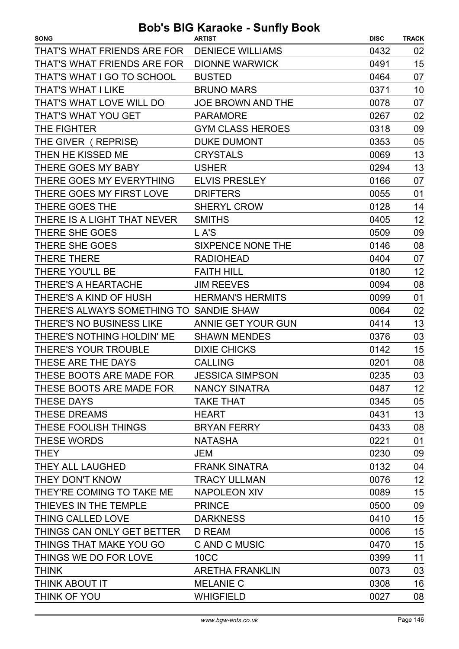| <b>SONG</b>                             | <b>ARTIST</b>            | <b>DISC</b> | <b>TRACK</b> |
|-----------------------------------------|--------------------------|-------------|--------------|
| THAT'S WHAT FRIENDS ARE FOR             | <b>DENIECE WILLIAMS</b>  | 0432        | 02           |
| THAT'S WHAT FRIENDS ARE FOR             | <b>DIONNE WARWICK</b>    | 0491        | 15           |
| THAT'S WHAT I GO TO SCHOOL              | <b>BUSTED</b>            | 0464        | 07           |
| <b>THAT'S WHAT I LIKE</b>               | <b>BRUNO MARS</b>        | 0371        | 10           |
| THAT'S WHAT LOVE WILL DO                | <b>JOE BROWN AND THE</b> | 0078        | 07           |
| <b>THAT'S WHAT YOU GET</b>              | <b>PARAMORE</b>          | 0267        | 02           |
| THE FIGHTER                             | <b>GYM CLASS HEROES</b>  | 0318        | 09           |
| THE GIVER (REPRISE)                     | <b>DUKE DUMONT</b>       | 0353        | 05           |
| THEN HE KISSED ME                       | <b>CRYSTALS</b>          | 0069        | 13           |
| THERE GOES MY BABY                      | <b>USHER</b>             | 0294        | 13           |
| THERE GOES MY EVERYTHING                | <b>ELVIS PRESLEY</b>     | 0166        | 07           |
| THERE GOES MY FIRST LOVE                | <b>DRIFTERS</b>          | 0055        | 01           |
| THERE GOES THE                          | <b>SHERYL CROW</b>       | 0128        | 14           |
| THERE IS A LIGHT THAT NEVER             | <b>SMITHS</b>            | 0405        | 12           |
| THERE SHE GOES                          | L A'S                    | 0509        | 09           |
| THERE SHE GOES                          | <b>SIXPENCE NONE THE</b> | 0146        | 08           |
| THERE THERE                             | <b>RADIOHEAD</b>         | 0404        | 07           |
| THERE YOU'LL BE                         | <b>FAITH HILL</b>        | 0180        | 12           |
| THERE'S A HEARTACHE                     | <b>JIM REEVES</b>        | 0094        | 08           |
| THERE'S A KIND OF HUSH                  | <b>HERMAN'S HERMITS</b>  | 0099        | 01           |
| THERE'S ALWAYS SOMETHING TO SANDIE SHAW |                          | 0064        | 02           |
| THERE'S NO BUSINESS LIKE                | ANNIE GET YOUR GUN       | 0414        | 13           |
| THERE'S NOTHING HOLDIN' ME              | <b>SHAWN MENDES</b>      | 0376        | 03           |
| <b>THERE'S YOUR TROUBLE</b>             | <b>DIXIE CHICKS</b>      | 0142        | 15           |
| THESE ARE THE DAYS                      | <b>CALLING</b>           | 0201        | 08           |
| THESE BOOTS ARE MADE FOR                | <b>JESSICA SIMPSON</b>   | 0235        | 03           |
| THESE BOOTS ARE MADE FOR                | <b>NANCY SINATRA</b>     | 0487        | 12           |
| <b>THESE DAYS</b>                       | <b>TAKE THAT</b>         | 0345        | 05           |
| <b>THESE DREAMS</b>                     | <b>HEART</b>             | 0431        | 13           |
| THESE FOOLISH THINGS                    | <b>BRYAN FERRY</b>       | 0433        | 08           |
| <b>THESE WORDS</b>                      | <b>NATASHA</b>           | 0221        | 01           |
| <b>THEY</b>                             | <b>JEM</b>               | 0230        | 09           |
| THEY ALL LAUGHED                        | <b>FRANK SINATRA</b>     | 0132        | 04           |
| THEY DON'T KNOW                         | <b>TRACY ULLMAN</b>      | 0076        | 12           |
| THEY'RE COMING TO TAKE ME               | <b>NAPOLEON XIV</b>      | 0089        | 15           |
| THIEVES IN THE TEMPLE                   | <b>PRINCE</b>            | 0500        | 09           |
| THING CALLED LOVE                       | <b>DARKNESS</b>          | 0410        | 15           |
| THINGS CAN ONLY GET BETTER              | <b>D REAM</b>            | 0006        | 15           |
| THINGS THAT MAKE YOU GO                 | C AND C MUSIC            | 0470        | 15           |
| THINGS WE DO FOR LOVE                   | 10CC                     | 0399        | 11           |
| <b>THINK</b>                            | <b>ARETHA FRANKLIN</b>   | 0073        | 03           |
| THINK ABOUT IT                          | <b>MELANIE C</b>         | 0308        | 16           |
| THINK OF YOU                            | <b>WHIGFIELD</b>         | 0027        | 08           |
|                                         |                          |             |              |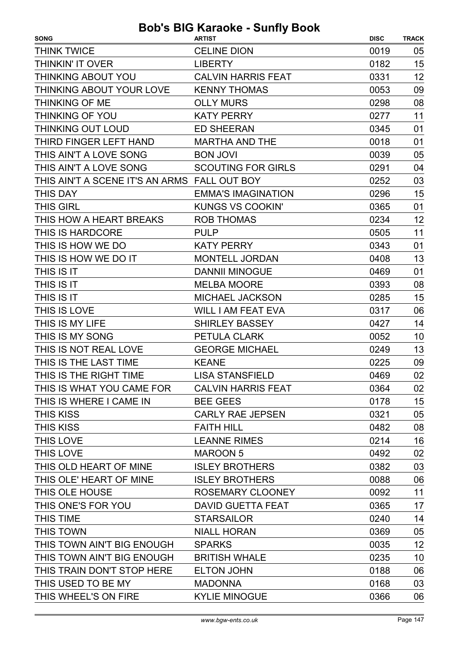| <b>CELINE DION</b><br>0019<br>05<br>15<br><b>LIBERTY</b><br>0182<br>12<br>0331<br><b>CALVIN HARRIS FEAT</b><br><b>KENNY THOMAS</b><br>09<br>0053<br>08<br><b>OLLY MURS</b><br>0298<br>11<br><b>KATY PERRY</b><br>0277<br>01<br><b>ED SHEERAN</b><br>0345<br>0018<br>01<br><b>MARTHA AND THE</b><br><b>BON JOVI</b><br>05<br>0039<br><b>SCOUTING FOR GIRLS</b><br>04<br>0291<br>03<br>THIS AIN'T A SCENE IT'S AN ARMS FALL OUT BOY<br>0252<br>15<br><b>EMMA'S IMAGINATION</b><br>0296<br><b>KUNGS VS COOKIN'</b><br>0365<br>01<br>12<br><b>ROB THOMAS</b><br>0234<br>11<br><b>PULP</b><br>0505<br><b>KATY PERRY</b><br>0343<br>01<br><b>MONTELL JORDAN</b><br>13<br>0408<br><b>DANNII MINOGUE</b><br>0469<br>01<br><b>MELBA MOORE</b><br>08<br>0393<br>15<br><b>MICHAEL JACKSON</b><br>0285<br><b>WILL I AM FEAT EVA</b><br>0317<br>06<br>14<br><b>SHIRLEY BASSEY</b><br>0427<br>PETULA CLARK<br>0052<br>10<br>13<br><b>GEORGE MICHAEL</b><br>0249<br><b>KEANE</b><br>0225<br>09<br>02<br>THIS IS THE RIGHT TIME<br>0469<br><b>LISA STANSFIELD</b><br>THIS IS WHAT YOU CAME FOR CALVIN HARRIS FEAT<br>0364<br>02<br>15<br><b>BEE GEES</b><br>0178<br><b>CARLY RAE JEPSEN</b><br>0321<br>05<br>08<br><b>THIS KISS</b><br><b>FAITH HILL</b><br>0482<br>16<br><b>THIS LOVE</b><br><b>LEANNE RIMES</b><br>0214<br><b>THIS LOVE</b><br><b>MAROON 5</b><br>0492<br>02<br>03<br>THIS OLD HEART OF MINE<br><b>ISLEY BROTHERS</b><br>0382<br>THIS OLE' HEART OF MINE<br>0088<br>06<br><b>ISLEY BROTHERS</b><br>11<br>THIS OLE HOUSE<br>ROSEMARY CLOONEY<br>0092<br>17<br>THIS ONE'S FOR YOU<br><b>DAVID GUETTA FEAT</b><br>0365<br>14<br><b>THIS TIME</b><br><b>STARSAILOR</b><br>0240<br>THIS TOWN<br><b>NIALL HORAN</b><br>0369<br>05<br>12<br>THIS TOWN AIN'T BIG ENOUGH<br><b>SPARKS</b><br>0035 | <b>SONG</b>                | <b>ARTIST</b> | <b>DISC</b> | <b>TRACK</b> |
|--------------------------------------------------------------------------------------------------------------------------------------------------------------------------------------------------------------------------------------------------------------------------------------------------------------------------------------------------------------------------------------------------------------------------------------------------------------------------------------------------------------------------------------------------------------------------------------------------------------------------------------------------------------------------------------------------------------------------------------------------------------------------------------------------------------------------------------------------------------------------------------------------------------------------------------------------------------------------------------------------------------------------------------------------------------------------------------------------------------------------------------------------------------------------------------------------------------------------------------------------------------------------------------------------------------------------------------------------------------------------------------------------------------------------------------------------------------------------------------------------------------------------------------------------------------------------------------------------------------------------------------------------------------------------------------------------------------------------------------------------------------------------------------------|----------------------------|---------------|-------------|--------------|
|                                                                                                                                                                                                                                                                                                                                                                                                                                                                                                                                                                                                                                                                                                                                                                                                                                                                                                                                                                                                                                                                                                                                                                                                                                                                                                                                                                                                                                                                                                                                                                                                                                                                                                                                                                                            | <b>THINK TWICE</b>         |               |             |              |
|                                                                                                                                                                                                                                                                                                                                                                                                                                                                                                                                                                                                                                                                                                                                                                                                                                                                                                                                                                                                                                                                                                                                                                                                                                                                                                                                                                                                                                                                                                                                                                                                                                                                                                                                                                                            | <b>THINKIN' IT OVER</b>    |               |             |              |
|                                                                                                                                                                                                                                                                                                                                                                                                                                                                                                                                                                                                                                                                                                                                                                                                                                                                                                                                                                                                                                                                                                                                                                                                                                                                                                                                                                                                                                                                                                                                                                                                                                                                                                                                                                                            | <b>THINKING ABOUT YOU</b>  |               |             |              |
|                                                                                                                                                                                                                                                                                                                                                                                                                                                                                                                                                                                                                                                                                                                                                                                                                                                                                                                                                                                                                                                                                                                                                                                                                                                                                                                                                                                                                                                                                                                                                                                                                                                                                                                                                                                            | THINKING ABOUT YOUR LOVE   |               |             |              |
|                                                                                                                                                                                                                                                                                                                                                                                                                                                                                                                                                                                                                                                                                                                                                                                                                                                                                                                                                                                                                                                                                                                                                                                                                                                                                                                                                                                                                                                                                                                                                                                                                                                                                                                                                                                            | <b>THINKING OF ME</b>      |               |             |              |
|                                                                                                                                                                                                                                                                                                                                                                                                                                                                                                                                                                                                                                                                                                                                                                                                                                                                                                                                                                                                                                                                                                                                                                                                                                                                                                                                                                                                                                                                                                                                                                                                                                                                                                                                                                                            | <b>THINKING OF YOU</b>     |               |             |              |
|                                                                                                                                                                                                                                                                                                                                                                                                                                                                                                                                                                                                                                                                                                                                                                                                                                                                                                                                                                                                                                                                                                                                                                                                                                                                                                                                                                                                                                                                                                                                                                                                                                                                                                                                                                                            | THINKING OUT LOUD          |               |             |              |
|                                                                                                                                                                                                                                                                                                                                                                                                                                                                                                                                                                                                                                                                                                                                                                                                                                                                                                                                                                                                                                                                                                                                                                                                                                                                                                                                                                                                                                                                                                                                                                                                                                                                                                                                                                                            | THIRD FINGER LEFT HAND     |               |             |              |
|                                                                                                                                                                                                                                                                                                                                                                                                                                                                                                                                                                                                                                                                                                                                                                                                                                                                                                                                                                                                                                                                                                                                                                                                                                                                                                                                                                                                                                                                                                                                                                                                                                                                                                                                                                                            | THIS AIN'T A LOVE SONG     |               |             |              |
|                                                                                                                                                                                                                                                                                                                                                                                                                                                                                                                                                                                                                                                                                                                                                                                                                                                                                                                                                                                                                                                                                                                                                                                                                                                                                                                                                                                                                                                                                                                                                                                                                                                                                                                                                                                            | THIS AIN'T A LOVE SONG     |               |             |              |
|                                                                                                                                                                                                                                                                                                                                                                                                                                                                                                                                                                                                                                                                                                                                                                                                                                                                                                                                                                                                                                                                                                                                                                                                                                                                                                                                                                                                                                                                                                                                                                                                                                                                                                                                                                                            |                            |               |             |              |
|                                                                                                                                                                                                                                                                                                                                                                                                                                                                                                                                                                                                                                                                                                                                                                                                                                                                                                                                                                                                                                                                                                                                                                                                                                                                                                                                                                                                                                                                                                                                                                                                                                                                                                                                                                                            | THIS DAY                   |               |             |              |
|                                                                                                                                                                                                                                                                                                                                                                                                                                                                                                                                                                                                                                                                                                                                                                                                                                                                                                                                                                                                                                                                                                                                                                                                                                                                                                                                                                                                                                                                                                                                                                                                                                                                                                                                                                                            | <b>THIS GIRL</b>           |               |             |              |
|                                                                                                                                                                                                                                                                                                                                                                                                                                                                                                                                                                                                                                                                                                                                                                                                                                                                                                                                                                                                                                                                                                                                                                                                                                                                                                                                                                                                                                                                                                                                                                                                                                                                                                                                                                                            | THIS HOW A HEART BREAKS    |               |             |              |
|                                                                                                                                                                                                                                                                                                                                                                                                                                                                                                                                                                                                                                                                                                                                                                                                                                                                                                                                                                                                                                                                                                                                                                                                                                                                                                                                                                                                                                                                                                                                                                                                                                                                                                                                                                                            | THIS IS HARDCORE           |               |             |              |
|                                                                                                                                                                                                                                                                                                                                                                                                                                                                                                                                                                                                                                                                                                                                                                                                                                                                                                                                                                                                                                                                                                                                                                                                                                                                                                                                                                                                                                                                                                                                                                                                                                                                                                                                                                                            | THIS IS HOW WE DO          |               |             |              |
|                                                                                                                                                                                                                                                                                                                                                                                                                                                                                                                                                                                                                                                                                                                                                                                                                                                                                                                                                                                                                                                                                                                                                                                                                                                                                                                                                                                                                                                                                                                                                                                                                                                                                                                                                                                            | THIS IS HOW WE DO IT       |               |             |              |
|                                                                                                                                                                                                                                                                                                                                                                                                                                                                                                                                                                                                                                                                                                                                                                                                                                                                                                                                                                                                                                                                                                                                                                                                                                                                                                                                                                                                                                                                                                                                                                                                                                                                                                                                                                                            | THIS IS IT                 |               |             |              |
|                                                                                                                                                                                                                                                                                                                                                                                                                                                                                                                                                                                                                                                                                                                                                                                                                                                                                                                                                                                                                                                                                                                                                                                                                                                                                                                                                                                                                                                                                                                                                                                                                                                                                                                                                                                            | THIS IS IT                 |               |             |              |
|                                                                                                                                                                                                                                                                                                                                                                                                                                                                                                                                                                                                                                                                                                                                                                                                                                                                                                                                                                                                                                                                                                                                                                                                                                                                                                                                                                                                                                                                                                                                                                                                                                                                                                                                                                                            | THIS IS IT                 |               |             |              |
|                                                                                                                                                                                                                                                                                                                                                                                                                                                                                                                                                                                                                                                                                                                                                                                                                                                                                                                                                                                                                                                                                                                                                                                                                                                                                                                                                                                                                                                                                                                                                                                                                                                                                                                                                                                            | THIS IS LOVE               |               |             |              |
|                                                                                                                                                                                                                                                                                                                                                                                                                                                                                                                                                                                                                                                                                                                                                                                                                                                                                                                                                                                                                                                                                                                                                                                                                                                                                                                                                                                                                                                                                                                                                                                                                                                                                                                                                                                            | THIS IS MY LIFE            |               |             |              |
|                                                                                                                                                                                                                                                                                                                                                                                                                                                                                                                                                                                                                                                                                                                                                                                                                                                                                                                                                                                                                                                                                                                                                                                                                                                                                                                                                                                                                                                                                                                                                                                                                                                                                                                                                                                            | THIS IS MY SONG            |               |             |              |
|                                                                                                                                                                                                                                                                                                                                                                                                                                                                                                                                                                                                                                                                                                                                                                                                                                                                                                                                                                                                                                                                                                                                                                                                                                                                                                                                                                                                                                                                                                                                                                                                                                                                                                                                                                                            | THIS IS NOT REAL LOVE      |               |             |              |
|                                                                                                                                                                                                                                                                                                                                                                                                                                                                                                                                                                                                                                                                                                                                                                                                                                                                                                                                                                                                                                                                                                                                                                                                                                                                                                                                                                                                                                                                                                                                                                                                                                                                                                                                                                                            | THIS IS THE LAST TIME      |               |             |              |
|                                                                                                                                                                                                                                                                                                                                                                                                                                                                                                                                                                                                                                                                                                                                                                                                                                                                                                                                                                                                                                                                                                                                                                                                                                                                                                                                                                                                                                                                                                                                                                                                                                                                                                                                                                                            |                            |               |             |              |
|                                                                                                                                                                                                                                                                                                                                                                                                                                                                                                                                                                                                                                                                                                                                                                                                                                                                                                                                                                                                                                                                                                                                                                                                                                                                                                                                                                                                                                                                                                                                                                                                                                                                                                                                                                                            |                            |               |             |              |
|                                                                                                                                                                                                                                                                                                                                                                                                                                                                                                                                                                                                                                                                                                                                                                                                                                                                                                                                                                                                                                                                                                                                                                                                                                                                                                                                                                                                                                                                                                                                                                                                                                                                                                                                                                                            | THIS IS WHERE I CAME IN    |               |             |              |
|                                                                                                                                                                                                                                                                                                                                                                                                                                                                                                                                                                                                                                                                                                                                                                                                                                                                                                                                                                                                                                                                                                                                                                                                                                                                                                                                                                                                                                                                                                                                                                                                                                                                                                                                                                                            | <b>THIS KISS</b>           |               |             |              |
|                                                                                                                                                                                                                                                                                                                                                                                                                                                                                                                                                                                                                                                                                                                                                                                                                                                                                                                                                                                                                                                                                                                                                                                                                                                                                                                                                                                                                                                                                                                                                                                                                                                                                                                                                                                            |                            |               |             |              |
|                                                                                                                                                                                                                                                                                                                                                                                                                                                                                                                                                                                                                                                                                                                                                                                                                                                                                                                                                                                                                                                                                                                                                                                                                                                                                                                                                                                                                                                                                                                                                                                                                                                                                                                                                                                            |                            |               |             |              |
|                                                                                                                                                                                                                                                                                                                                                                                                                                                                                                                                                                                                                                                                                                                                                                                                                                                                                                                                                                                                                                                                                                                                                                                                                                                                                                                                                                                                                                                                                                                                                                                                                                                                                                                                                                                            |                            |               |             |              |
|                                                                                                                                                                                                                                                                                                                                                                                                                                                                                                                                                                                                                                                                                                                                                                                                                                                                                                                                                                                                                                                                                                                                                                                                                                                                                                                                                                                                                                                                                                                                                                                                                                                                                                                                                                                            |                            |               |             |              |
|                                                                                                                                                                                                                                                                                                                                                                                                                                                                                                                                                                                                                                                                                                                                                                                                                                                                                                                                                                                                                                                                                                                                                                                                                                                                                                                                                                                                                                                                                                                                                                                                                                                                                                                                                                                            |                            |               |             |              |
|                                                                                                                                                                                                                                                                                                                                                                                                                                                                                                                                                                                                                                                                                                                                                                                                                                                                                                                                                                                                                                                                                                                                                                                                                                                                                                                                                                                                                                                                                                                                                                                                                                                                                                                                                                                            |                            |               |             |              |
|                                                                                                                                                                                                                                                                                                                                                                                                                                                                                                                                                                                                                                                                                                                                                                                                                                                                                                                                                                                                                                                                                                                                                                                                                                                                                                                                                                                                                                                                                                                                                                                                                                                                                                                                                                                            |                            |               |             |              |
|                                                                                                                                                                                                                                                                                                                                                                                                                                                                                                                                                                                                                                                                                                                                                                                                                                                                                                                                                                                                                                                                                                                                                                                                                                                                                                                                                                                                                                                                                                                                                                                                                                                                                                                                                                                            |                            |               |             |              |
|                                                                                                                                                                                                                                                                                                                                                                                                                                                                                                                                                                                                                                                                                                                                                                                                                                                                                                                                                                                                                                                                                                                                                                                                                                                                                                                                                                                                                                                                                                                                                                                                                                                                                                                                                                                            |                            |               |             |              |
|                                                                                                                                                                                                                                                                                                                                                                                                                                                                                                                                                                                                                                                                                                                                                                                                                                                                                                                                                                                                                                                                                                                                                                                                                                                                                                                                                                                                                                                                                                                                                                                                                                                                                                                                                                                            |                            |               |             |              |
| 10<br><b>BRITISH WHALE</b><br>0235                                                                                                                                                                                                                                                                                                                                                                                                                                                                                                                                                                                                                                                                                                                                                                                                                                                                                                                                                                                                                                                                                                                                                                                                                                                                                                                                                                                                                                                                                                                                                                                                                                                                                                                                                         | THIS TOWN AIN'T BIG ENOUGH |               |             |              |
| THIS TRAIN DON'T STOP HERE<br><b>ELTON JOHN</b><br>0188<br>06                                                                                                                                                                                                                                                                                                                                                                                                                                                                                                                                                                                                                                                                                                                                                                                                                                                                                                                                                                                                                                                                                                                                                                                                                                                                                                                                                                                                                                                                                                                                                                                                                                                                                                                              |                            |               |             |              |
| <b>MADONNA</b><br>0168<br>03                                                                                                                                                                                                                                                                                                                                                                                                                                                                                                                                                                                                                                                                                                                                                                                                                                                                                                                                                                                                                                                                                                                                                                                                                                                                                                                                                                                                                                                                                                                                                                                                                                                                                                                                                               | THIS USED TO BE MY         |               |             |              |
| 06<br><b>KYLIE MINOGUE</b><br>0366                                                                                                                                                                                                                                                                                                                                                                                                                                                                                                                                                                                                                                                                                                                                                                                                                                                                                                                                                                                                                                                                                                                                                                                                                                                                                                                                                                                                                                                                                                                                                                                                                                                                                                                                                         | THIS WHEEL'S ON FIRE       |               |             |              |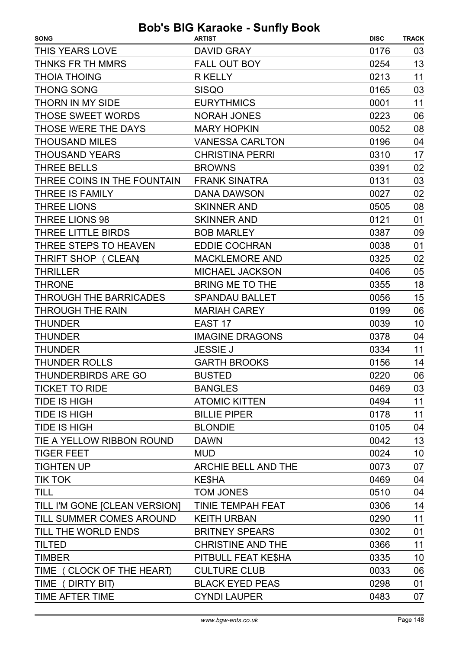| <b>THIS YEARS LOVE</b><br><b>DAVID GRAY</b><br>0176<br>03<br>THNKS FR TH MMRS<br><b>FALL OUT BOY</b><br>13<br>0254<br>11<br><b>THOIA THOING</b><br><b>R KELLY</b><br>0213<br><b>THONG SONG</b><br>03<br><b>SISQO</b><br>0165<br>11<br>THORN IN MY SIDE<br><b>EURYTHMICS</b><br>0001<br><b>THOSE SWEET WORDS</b><br><b>NORAH JONES</b><br>0223<br>06<br>THOSE WERE THE DAYS<br><b>MARY HOPKIN</b><br>08<br>0052<br><b>THOUSAND MILES</b><br><b>VANESSA CARLTON</b><br>0196<br>04<br><b>THOUSAND YEARS</b><br><b>CHRISTINA PERRI</b><br>0310<br>17<br><b>THREE BELLS</b><br><b>BROWNS</b><br>0391<br>02<br>THREE COINS IN THE FOUNTAIN<br><b>FRANK SINATRA</b><br>0131<br>03<br><b>THREE IS FAMILY</b><br>02<br><b>DANA DAWSON</b><br>0027<br><b>THREE LIONS</b><br><b>SKINNER AND</b><br>0505<br>08<br>THREE LIONS 98<br><b>SKINNER AND</b><br>0121<br>01<br>THREE LITTLE BIRDS<br><b>BOB MARLEY</b><br>09<br>0387<br>THREE STEPS TO HEAVEN<br><b>EDDIE COCHRAN</b><br>01<br>0038<br><b>MACKLEMORE AND</b><br>02<br>THRIFT SHOP (CLEAN)<br>0325<br>05<br><b>THRILLER</b><br><b>MICHAEL JACKSON</b><br>0406<br>18<br><b>THRONE</b><br><b>BRING ME TO THE</b><br>0355<br><b>THROUGH THE BARRICADES</b><br><b>SPANDAU BALLET</b><br>0056<br>15<br><b>THROUGH THE RAIN</b><br><b>MARIAH CAREY</b><br>0199<br>06<br>10<br><b>THUNDER</b><br>EAST 17<br>0039<br><b>THUNDER</b><br><b>IMAGINE DRAGONS</b><br>0378<br>04<br>11<br><b>THUNDER</b><br><b>JESSIE J</b><br>0334<br><b>THUNDER ROLLS</b><br><b>GARTH BROOKS</b><br>14<br>0156<br><b>THUNDERBIRDS ARE GO</b><br><b>BUSTED</b><br>0220<br>06<br><b>BANGLES</b><br>0469<br>03<br>11<br><b>ATOMIC KITTEN</b><br>0494<br>11<br><b>BILLIE PIPER</b><br>0178<br><b>TIDE IS HIGH</b><br><b>BLONDIE</b><br>04<br>0105<br>13<br><b>DAWN</b><br>0042<br>10<br><b>TIGER FEET</b><br><b>MUD</b><br>0024<br>07<br><b>TIGHTEN UP</b><br>ARCHIE BELL AND THE<br>0073<br><b>TIK TOK</b><br>0469<br>KE\$HA<br>04<br><b>TILL</b><br>04<br><b>TOM JONES</b><br>0510<br>TINIE TEMPAH FEAT<br>14<br>TILL I'M GONE [CLEAN VERSION]<br>0306 | <b>SONG</b>               | <b>ARTIST</b>      | <b>DISC</b> | <b>TRACK</b> |
|-----------------------------------------------------------------------------------------------------------------------------------------------------------------------------------------------------------------------------------------------------------------------------------------------------------------------------------------------------------------------------------------------------------------------------------------------------------------------------------------------------------------------------------------------------------------------------------------------------------------------------------------------------------------------------------------------------------------------------------------------------------------------------------------------------------------------------------------------------------------------------------------------------------------------------------------------------------------------------------------------------------------------------------------------------------------------------------------------------------------------------------------------------------------------------------------------------------------------------------------------------------------------------------------------------------------------------------------------------------------------------------------------------------------------------------------------------------------------------------------------------------------------------------------------------------------------------------------------------------------------------------------------------------------------------------------------------------------------------------------------------------------------------------------------------------------------------------------------------------------------------------------------------------------------------------------------------------------------------------------------------------------------------------------------------------------------|---------------------------|--------------------|-------------|--------------|
|                                                                                                                                                                                                                                                                                                                                                                                                                                                                                                                                                                                                                                                                                                                                                                                                                                                                                                                                                                                                                                                                                                                                                                                                                                                                                                                                                                                                                                                                                                                                                                                                                                                                                                                                                                                                                                                                                                                                                                                                                                                                       |                           |                    |             |              |
|                                                                                                                                                                                                                                                                                                                                                                                                                                                                                                                                                                                                                                                                                                                                                                                                                                                                                                                                                                                                                                                                                                                                                                                                                                                                                                                                                                                                                                                                                                                                                                                                                                                                                                                                                                                                                                                                                                                                                                                                                                                                       |                           |                    |             |              |
|                                                                                                                                                                                                                                                                                                                                                                                                                                                                                                                                                                                                                                                                                                                                                                                                                                                                                                                                                                                                                                                                                                                                                                                                                                                                                                                                                                                                                                                                                                                                                                                                                                                                                                                                                                                                                                                                                                                                                                                                                                                                       |                           |                    |             |              |
|                                                                                                                                                                                                                                                                                                                                                                                                                                                                                                                                                                                                                                                                                                                                                                                                                                                                                                                                                                                                                                                                                                                                                                                                                                                                                                                                                                                                                                                                                                                                                                                                                                                                                                                                                                                                                                                                                                                                                                                                                                                                       |                           |                    |             |              |
|                                                                                                                                                                                                                                                                                                                                                                                                                                                                                                                                                                                                                                                                                                                                                                                                                                                                                                                                                                                                                                                                                                                                                                                                                                                                                                                                                                                                                                                                                                                                                                                                                                                                                                                                                                                                                                                                                                                                                                                                                                                                       |                           |                    |             |              |
|                                                                                                                                                                                                                                                                                                                                                                                                                                                                                                                                                                                                                                                                                                                                                                                                                                                                                                                                                                                                                                                                                                                                                                                                                                                                                                                                                                                                                                                                                                                                                                                                                                                                                                                                                                                                                                                                                                                                                                                                                                                                       |                           |                    |             |              |
|                                                                                                                                                                                                                                                                                                                                                                                                                                                                                                                                                                                                                                                                                                                                                                                                                                                                                                                                                                                                                                                                                                                                                                                                                                                                                                                                                                                                                                                                                                                                                                                                                                                                                                                                                                                                                                                                                                                                                                                                                                                                       |                           |                    |             |              |
|                                                                                                                                                                                                                                                                                                                                                                                                                                                                                                                                                                                                                                                                                                                                                                                                                                                                                                                                                                                                                                                                                                                                                                                                                                                                                                                                                                                                                                                                                                                                                                                                                                                                                                                                                                                                                                                                                                                                                                                                                                                                       |                           |                    |             |              |
|                                                                                                                                                                                                                                                                                                                                                                                                                                                                                                                                                                                                                                                                                                                                                                                                                                                                                                                                                                                                                                                                                                                                                                                                                                                                                                                                                                                                                                                                                                                                                                                                                                                                                                                                                                                                                                                                                                                                                                                                                                                                       |                           |                    |             |              |
|                                                                                                                                                                                                                                                                                                                                                                                                                                                                                                                                                                                                                                                                                                                                                                                                                                                                                                                                                                                                                                                                                                                                                                                                                                                                                                                                                                                                                                                                                                                                                                                                                                                                                                                                                                                                                                                                                                                                                                                                                                                                       |                           |                    |             |              |
|                                                                                                                                                                                                                                                                                                                                                                                                                                                                                                                                                                                                                                                                                                                                                                                                                                                                                                                                                                                                                                                                                                                                                                                                                                                                                                                                                                                                                                                                                                                                                                                                                                                                                                                                                                                                                                                                                                                                                                                                                                                                       |                           |                    |             |              |
|                                                                                                                                                                                                                                                                                                                                                                                                                                                                                                                                                                                                                                                                                                                                                                                                                                                                                                                                                                                                                                                                                                                                                                                                                                                                                                                                                                                                                                                                                                                                                                                                                                                                                                                                                                                                                                                                                                                                                                                                                                                                       |                           |                    |             |              |
|                                                                                                                                                                                                                                                                                                                                                                                                                                                                                                                                                                                                                                                                                                                                                                                                                                                                                                                                                                                                                                                                                                                                                                                                                                                                                                                                                                                                                                                                                                                                                                                                                                                                                                                                                                                                                                                                                                                                                                                                                                                                       |                           |                    |             |              |
|                                                                                                                                                                                                                                                                                                                                                                                                                                                                                                                                                                                                                                                                                                                                                                                                                                                                                                                                                                                                                                                                                                                                                                                                                                                                                                                                                                                                                                                                                                                                                                                                                                                                                                                                                                                                                                                                                                                                                                                                                                                                       |                           |                    |             |              |
|                                                                                                                                                                                                                                                                                                                                                                                                                                                                                                                                                                                                                                                                                                                                                                                                                                                                                                                                                                                                                                                                                                                                                                                                                                                                                                                                                                                                                                                                                                                                                                                                                                                                                                                                                                                                                                                                                                                                                                                                                                                                       |                           |                    |             |              |
|                                                                                                                                                                                                                                                                                                                                                                                                                                                                                                                                                                                                                                                                                                                                                                                                                                                                                                                                                                                                                                                                                                                                                                                                                                                                                                                                                                                                                                                                                                                                                                                                                                                                                                                                                                                                                                                                                                                                                                                                                                                                       |                           |                    |             |              |
|                                                                                                                                                                                                                                                                                                                                                                                                                                                                                                                                                                                                                                                                                                                                                                                                                                                                                                                                                                                                                                                                                                                                                                                                                                                                                                                                                                                                                                                                                                                                                                                                                                                                                                                                                                                                                                                                                                                                                                                                                                                                       |                           |                    |             |              |
|                                                                                                                                                                                                                                                                                                                                                                                                                                                                                                                                                                                                                                                                                                                                                                                                                                                                                                                                                                                                                                                                                                                                                                                                                                                                                                                                                                                                                                                                                                                                                                                                                                                                                                                                                                                                                                                                                                                                                                                                                                                                       |                           |                    |             |              |
|                                                                                                                                                                                                                                                                                                                                                                                                                                                                                                                                                                                                                                                                                                                                                                                                                                                                                                                                                                                                                                                                                                                                                                                                                                                                                                                                                                                                                                                                                                                                                                                                                                                                                                                                                                                                                                                                                                                                                                                                                                                                       |                           |                    |             |              |
|                                                                                                                                                                                                                                                                                                                                                                                                                                                                                                                                                                                                                                                                                                                                                                                                                                                                                                                                                                                                                                                                                                                                                                                                                                                                                                                                                                                                                                                                                                                                                                                                                                                                                                                                                                                                                                                                                                                                                                                                                                                                       |                           |                    |             |              |
|                                                                                                                                                                                                                                                                                                                                                                                                                                                                                                                                                                                                                                                                                                                                                                                                                                                                                                                                                                                                                                                                                                                                                                                                                                                                                                                                                                                                                                                                                                                                                                                                                                                                                                                                                                                                                                                                                                                                                                                                                                                                       |                           |                    |             |              |
|                                                                                                                                                                                                                                                                                                                                                                                                                                                                                                                                                                                                                                                                                                                                                                                                                                                                                                                                                                                                                                                                                                                                                                                                                                                                                                                                                                                                                                                                                                                                                                                                                                                                                                                                                                                                                                                                                                                                                                                                                                                                       |                           |                    |             |              |
|                                                                                                                                                                                                                                                                                                                                                                                                                                                                                                                                                                                                                                                                                                                                                                                                                                                                                                                                                                                                                                                                                                                                                                                                                                                                                                                                                                                                                                                                                                                                                                                                                                                                                                                                                                                                                                                                                                                                                                                                                                                                       |                           |                    |             |              |
|                                                                                                                                                                                                                                                                                                                                                                                                                                                                                                                                                                                                                                                                                                                                                                                                                                                                                                                                                                                                                                                                                                                                                                                                                                                                                                                                                                                                                                                                                                                                                                                                                                                                                                                                                                                                                                                                                                                                                                                                                                                                       |                           |                    |             |              |
|                                                                                                                                                                                                                                                                                                                                                                                                                                                                                                                                                                                                                                                                                                                                                                                                                                                                                                                                                                                                                                                                                                                                                                                                                                                                                                                                                                                                                                                                                                                                                                                                                                                                                                                                                                                                                                                                                                                                                                                                                                                                       |                           |                    |             |              |
|                                                                                                                                                                                                                                                                                                                                                                                                                                                                                                                                                                                                                                                                                                                                                                                                                                                                                                                                                                                                                                                                                                                                                                                                                                                                                                                                                                                                                                                                                                                                                                                                                                                                                                                                                                                                                                                                                                                                                                                                                                                                       |                           |                    |             |              |
|                                                                                                                                                                                                                                                                                                                                                                                                                                                                                                                                                                                                                                                                                                                                                                                                                                                                                                                                                                                                                                                                                                                                                                                                                                                                                                                                                                                                                                                                                                                                                                                                                                                                                                                                                                                                                                                                                                                                                                                                                                                                       | <b>TICKET TO RIDE</b>     |                    |             |              |
|                                                                                                                                                                                                                                                                                                                                                                                                                                                                                                                                                                                                                                                                                                                                                                                                                                                                                                                                                                                                                                                                                                                                                                                                                                                                                                                                                                                                                                                                                                                                                                                                                                                                                                                                                                                                                                                                                                                                                                                                                                                                       | <b>TIDE IS HIGH</b>       |                    |             |              |
|                                                                                                                                                                                                                                                                                                                                                                                                                                                                                                                                                                                                                                                                                                                                                                                                                                                                                                                                                                                                                                                                                                                                                                                                                                                                                                                                                                                                                                                                                                                                                                                                                                                                                                                                                                                                                                                                                                                                                                                                                                                                       | <b>TIDE IS HIGH</b>       |                    |             |              |
|                                                                                                                                                                                                                                                                                                                                                                                                                                                                                                                                                                                                                                                                                                                                                                                                                                                                                                                                                                                                                                                                                                                                                                                                                                                                                                                                                                                                                                                                                                                                                                                                                                                                                                                                                                                                                                                                                                                                                                                                                                                                       |                           |                    |             |              |
|                                                                                                                                                                                                                                                                                                                                                                                                                                                                                                                                                                                                                                                                                                                                                                                                                                                                                                                                                                                                                                                                                                                                                                                                                                                                                                                                                                                                                                                                                                                                                                                                                                                                                                                                                                                                                                                                                                                                                                                                                                                                       | TIE A YELLOW RIBBON ROUND |                    |             |              |
|                                                                                                                                                                                                                                                                                                                                                                                                                                                                                                                                                                                                                                                                                                                                                                                                                                                                                                                                                                                                                                                                                                                                                                                                                                                                                                                                                                                                                                                                                                                                                                                                                                                                                                                                                                                                                                                                                                                                                                                                                                                                       |                           |                    |             |              |
|                                                                                                                                                                                                                                                                                                                                                                                                                                                                                                                                                                                                                                                                                                                                                                                                                                                                                                                                                                                                                                                                                                                                                                                                                                                                                                                                                                                                                                                                                                                                                                                                                                                                                                                                                                                                                                                                                                                                                                                                                                                                       |                           |                    |             |              |
|                                                                                                                                                                                                                                                                                                                                                                                                                                                                                                                                                                                                                                                                                                                                                                                                                                                                                                                                                                                                                                                                                                                                                                                                                                                                                                                                                                                                                                                                                                                                                                                                                                                                                                                                                                                                                                                                                                                                                                                                                                                                       |                           |                    |             |              |
|                                                                                                                                                                                                                                                                                                                                                                                                                                                                                                                                                                                                                                                                                                                                                                                                                                                                                                                                                                                                                                                                                                                                                                                                                                                                                                                                                                                                                                                                                                                                                                                                                                                                                                                                                                                                                                                                                                                                                                                                                                                                       |                           |                    |             |              |
|                                                                                                                                                                                                                                                                                                                                                                                                                                                                                                                                                                                                                                                                                                                                                                                                                                                                                                                                                                                                                                                                                                                                                                                                                                                                                                                                                                                                                                                                                                                                                                                                                                                                                                                                                                                                                                                                                                                                                                                                                                                                       |                           |                    |             |              |
|                                                                                                                                                                                                                                                                                                                                                                                                                                                                                                                                                                                                                                                                                                                                                                                                                                                                                                                                                                                                                                                                                                                                                                                                                                                                                                                                                                                                                                                                                                                                                                                                                                                                                                                                                                                                                                                                                                                                                                                                                                                                       | TILL SUMMER COMES AROUND  | <b>KEITH URBAN</b> | 0290        | 11           |
| TILL THE WORLD ENDS<br><b>BRITNEY SPEARS</b><br>0302<br>01                                                                                                                                                                                                                                                                                                                                                                                                                                                                                                                                                                                                                                                                                                                                                                                                                                                                                                                                                                                                                                                                                                                                                                                                                                                                                                                                                                                                                                                                                                                                                                                                                                                                                                                                                                                                                                                                                                                                                                                                            |                           |                    |             |              |
| 11<br><b>TILTED</b><br><b>CHRISTINE AND THE</b><br>0366                                                                                                                                                                                                                                                                                                                                                                                                                                                                                                                                                                                                                                                                                                                                                                                                                                                                                                                                                                                                                                                                                                                                                                                                                                                                                                                                                                                                                                                                                                                                                                                                                                                                                                                                                                                                                                                                                                                                                                                                               |                           |                    |             |              |
| 10<br><b>TIMBER</b><br>PITBULL FEAT KE\$HA<br>0335                                                                                                                                                                                                                                                                                                                                                                                                                                                                                                                                                                                                                                                                                                                                                                                                                                                                                                                                                                                                                                                                                                                                                                                                                                                                                                                                                                                                                                                                                                                                                                                                                                                                                                                                                                                                                                                                                                                                                                                                                    |                           |                    |             |              |
| <b>CULTURE CLUB</b><br>0033<br>06                                                                                                                                                                                                                                                                                                                                                                                                                                                                                                                                                                                                                                                                                                                                                                                                                                                                                                                                                                                                                                                                                                                                                                                                                                                                                                                                                                                                                                                                                                                                                                                                                                                                                                                                                                                                                                                                                                                                                                                                                                     | TIME (CLOCK OF THE HEART) |                    |             |              |
| <b>BLACK EYED PEAS</b><br>0298<br>01                                                                                                                                                                                                                                                                                                                                                                                                                                                                                                                                                                                                                                                                                                                                                                                                                                                                                                                                                                                                                                                                                                                                                                                                                                                                                                                                                                                                                                                                                                                                                                                                                                                                                                                                                                                                                                                                                                                                                                                                                                  | TIME (DIRTY BIT)          |                    |             |              |
| TIME AFTER TIME<br><b>CYNDI LAUPER</b><br>07<br>0483                                                                                                                                                                                                                                                                                                                                                                                                                                                                                                                                                                                                                                                                                                                                                                                                                                                                                                                                                                                                                                                                                                                                                                                                                                                                                                                                                                                                                                                                                                                                                                                                                                                                                                                                                                                                                                                                                                                                                                                                                  |                           |                    |             |              |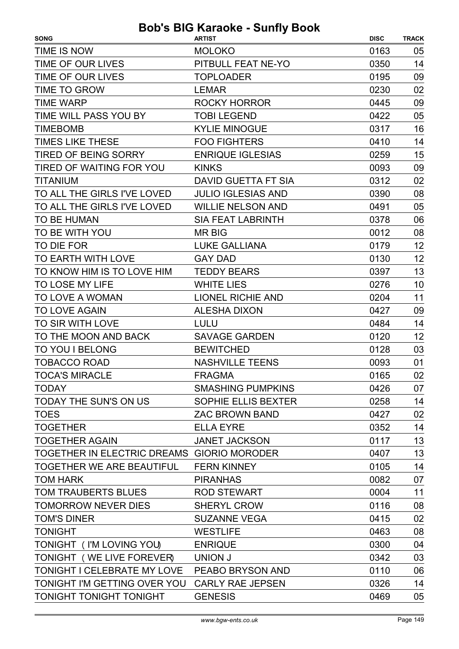| TIME IS NOW<br><b>MOLOKO</b><br>0163                             | 05 |
|------------------------------------------------------------------|----|
|                                                                  |    |
| TIME OF OUR LIVES<br>PITBULL FEAT NE-YO<br>0350                  | 14 |
| TIME OF OUR LIVES<br>0195<br><b>TOPLOADER</b>                    | 09 |
| TIME TO GROW<br><b>LEMAR</b><br>0230                             | 02 |
| <b>TIME WARP</b><br><b>ROCKY HORROR</b><br>0445                  | 09 |
| TIME WILL PASS YOU BY<br><b>TOBI LEGEND</b><br>0422              | 05 |
| <b>KYLIE MINOGUE</b><br><b>TIMEBOMB</b><br>0317                  | 16 |
| <b>TIMES LIKE THESE</b><br><b>FOO FIGHTERS</b><br>0410           | 14 |
| <b>TIRED OF BEING SORRY</b><br><b>ENRIQUE IGLESIAS</b><br>0259   | 15 |
| TIRED OF WAITING FOR YOU<br>0093<br><b>KINKS</b>                 | 09 |
| <b>TITANIUM</b><br>0312<br>DAVID GUETTA FT SIA                   | 02 |
| TO ALL THE GIRLS I'VE LOVED<br><b>JULIO IGLESIAS AND</b><br>0390 | 08 |
| TO ALL THE GIRLS I'VE LOVED<br><b>WILLIE NELSON AND</b><br>0491  | 05 |
| TO BE HUMAN<br><b>SIA FEAT LABRINTH</b><br>0378                  | 06 |
| TO BE WITH YOU<br><b>MR BIG</b><br>0012                          | 08 |
| TO DIE FOR<br><b>LUKE GALLIANA</b><br>0179                       | 12 |
| TO EARTH WITH LOVE<br><b>GAY DAD</b><br>0130                     | 12 |
| TO KNOW HIM IS TO LOVE HIM<br><b>TEDDY BEARS</b><br>0397         | 13 |
| TO LOSE MY LIFE<br><b>WHITE LIES</b><br>0276                     | 10 |
| TO LOVE A WOMAN<br><b>LIONEL RICHIE AND</b><br>0204              | 11 |
| <b>TO LOVE AGAIN</b><br><b>ALESHA DIXON</b><br>0427              | 09 |
| TO SIR WITH LOVE<br>LULU<br>0484                                 | 14 |
| TO THE MOON AND BACK<br>0120<br><b>SAVAGE GARDEN</b>             | 12 |
| <b>BEWITCHED</b><br>TO YOU I BELONG<br>0128                      | 03 |
| <b>NASHVILLE TEENS</b><br><b>TOBACCO ROAD</b><br>0093            | 01 |
| <b>TOCA'S MIRACLE</b><br><b>FRAGMA</b><br>0165                   | 02 |
| <b>SMASHING PUMPKINS</b><br><b>TODAY</b><br>0426                 | 07 |
| TODAY THE SUN'S ON US<br>SOPHIE ELLIS BEXTER<br>0258             | 14 |
| <b>TOES</b><br><b>ZAC BROWN BAND</b><br>0427                     | 02 |
| <b>TOGETHER</b><br><b>ELLA EYRE</b><br>0352                      | 14 |
| <b>TOGETHER AGAIN</b><br><b>JANET JACKSON</b><br>0117            | 13 |
| TOGETHER IN ELECTRIC DREAMS GIORIO MORODER<br>0407               | 13 |
| TOGETHER WE ARE BEAUTIFUL<br><b>FERN KINNEY</b><br>0105          | 14 |
| <b>TOM HARK</b><br><b>PIRANHAS</b><br>0082                       | 07 |
| TOM TRAUBERTS BLUES<br><b>ROD STEWART</b><br>0004                | 11 |
| <b>TOMORROW NEVER DIES</b><br><b>SHERYL CROW</b><br>0116         | 08 |
| <b>TOM'S DINER</b><br><b>SUZANNE VEGA</b><br>0415                | 02 |
| <b>WESTLIFE</b><br>0463<br><b>TONIGHT</b>                        | 08 |
| TONIGHT ( I'M LOVING YOU)<br><b>ENRIQUE</b><br>0300              | 04 |
| TONIGHT (WE LIVE FOREVER)<br><b>UNION J</b><br>0342              | 03 |
| TONIGHT I CELEBRATE MY LOVE<br>PEABO BRYSON AND<br>0110          | 06 |
| TONIGHT I'M GETTING OVER YOU<br><b>CARLY RAE JEPSEN</b><br>0326  | 14 |
| <b>TONIGHT TONIGHT TONIGHT</b><br><b>GENESIS</b><br>0469         | 05 |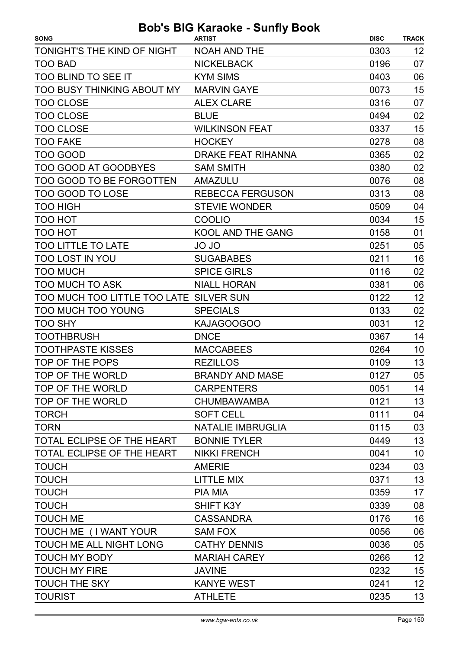| TONIGHT'S THE KIND OF NIGHT<br>0303<br><b>NOAH AND THE</b><br>12<br><b>NICKELBACK</b><br>07<br><b>TOO BAD</b><br>0196<br><b>TOO BLIND TO SEE IT</b><br><b>KYM SIMS</b><br>0403<br>06<br>15<br><b>TOO BUSY THINKING ABOUT MY</b><br><b>MARVIN GAYE</b><br>0073<br><b>TOO CLOSE</b><br><b>ALEX CLARE</b><br>07<br>0316<br><b>TOO CLOSE</b><br>02<br><b>BLUE</b><br>0494<br>15<br><b>TOO CLOSE</b><br>0337<br><b>WILKINSON FEAT</b><br><b>TOO FAKE</b><br>08<br><b>HOCKEY</b><br>0278<br>TOO GOOD<br><b>DRAKE FEAT RIHANNA</b><br>0365<br>02<br>02<br>TOO GOOD AT GOODBYES<br><b>SAM SMITH</b><br>0380<br>08<br>TOO GOOD TO BE FORGOTTEN<br>0076<br>AMAZULU<br>08<br>TOO GOOD TO LOSE<br>0313<br><b>REBECCA FERGUSON</b><br><b>TOO HIGH</b><br><b>STEVIE WONDER</b><br>0509<br>04<br>TOO HOT<br><b>COOLIO</b><br>15<br>0034<br>TOO HOT<br><b>KOOL AND THE GANG</b><br>01<br>0158<br><b>TOO LITTLE TO LATE</b><br>05<br>OL OL<br>0251<br>16<br><b>TOO LOST IN YOU</b><br>0211<br><b>SUGABABES</b><br><b>TOO MUCH</b><br><b>SPICE GIRLS</b><br>0116<br>02<br><b>TOO MUCH TO ASK</b><br><b>NIALL HORAN</b><br>06<br>0381<br>TOO MUCH TOO LITTLE TOO LATE SILVER SUN<br>12<br>0122<br>02<br><b>TOO MUCH TOO YOUNG</b><br><b>SPECIALS</b><br>0133<br>12<br><b>TOO SHY</b><br>KAJAGOOGOO<br>0031<br>14<br><b>TOOTHBRUSH</b><br><b>DNCE</b><br>0367<br><b>TOOTHPASTE KISSES</b><br>10<br><b>MACCABEES</b><br>0264<br>TOP OF THE POPS<br>13<br><b>REZILLOS</b><br>0109 |
|-------------------------------------------------------------------------------------------------------------------------------------------------------------------------------------------------------------------------------------------------------------------------------------------------------------------------------------------------------------------------------------------------------------------------------------------------------------------------------------------------------------------------------------------------------------------------------------------------------------------------------------------------------------------------------------------------------------------------------------------------------------------------------------------------------------------------------------------------------------------------------------------------------------------------------------------------------------------------------------------------------------------------------------------------------------------------------------------------------------------------------------------------------------------------------------------------------------------------------------------------------------------------------------------------------------------------------------------------------------------------------------------------------------------------------------------------------------|
|                                                                                                                                                                                                                                                                                                                                                                                                                                                                                                                                                                                                                                                                                                                                                                                                                                                                                                                                                                                                                                                                                                                                                                                                                                                                                                                                                                                                                                                             |
|                                                                                                                                                                                                                                                                                                                                                                                                                                                                                                                                                                                                                                                                                                                                                                                                                                                                                                                                                                                                                                                                                                                                                                                                                                                                                                                                                                                                                                                             |
|                                                                                                                                                                                                                                                                                                                                                                                                                                                                                                                                                                                                                                                                                                                                                                                                                                                                                                                                                                                                                                                                                                                                                                                                                                                                                                                                                                                                                                                             |
|                                                                                                                                                                                                                                                                                                                                                                                                                                                                                                                                                                                                                                                                                                                                                                                                                                                                                                                                                                                                                                                                                                                                                                                                                                                                                                                                                                                                                                                             |
|                                                                                                                                                                                                                                                                                                                                                                                                                                                                                                                                                                                                                                                                                                                                                                                                                                                                                                                                                                                                                                                                                                                                                                                                                                                                                                                                                                                                                                                             |
|                                                                                                                                                                                                                                                                                                                                                                                                                                                                                                                                                                                                                                                                                                                                                                                                                                                                                                                                                                                                                                                                                                                                                                                                                                                                                                                                                                                                                                                             |
|                                                                                                                                                                                                                                                                                                                                                                                                                                                                                                                                                                                                                                                                                                                                                                                                                                                                                                                                                                                                                                                                                                                                                                                                                                                                                                                                                                                                                                                             |
|                                                                                                                                                                                                                                                                                                                                                                                                                                                                                                                                                                                                                                                                                                                                                                                                                                                                                                                                                                                                                                                                                                                                                                                                                                                                                                                                                                                                                                                             |
|                                                                                                                                                                                                                                                                                                                                                                                                                                                                                                                                                                                                                                                                                                                                                                                                                                                                                                                                                                                                                                                                                                                                                                                                                                                                                                                                                                                                                                                             |
|                                                                                                                                                                                                                                                                                                                                                                                                                                                                                                                                                                                                                                                                                                                                                                                                                                                                                                                                                                                                                                                                                                                                                                                                                                                                                                                                                                                                                                                             |
|                                                                                                                                                                                                                                                                                                                                                                                                                                                                                                                                                                                                                                                                                                                                                                                                                                                                                                                                                                                                                                                                                                                                                                                                                                                                                                                                                                                                                                                             |
|                                                                                                                                                                                                                                                                                                                                                                                                                                                                                                                                                                                                                                                                                                                                                                                                                                                                                                                                                                                                                                                                                                                                                                                                                                                                                                                                                                                                                                                             |
|                                                                                                                                                                                                                                                                                                                                                                                                                                                                                                                                                                                                                                                                                                                                                                                                                                                                                                                                                                                                                                                                                                                                                                                                                                                                                                                                                                                                                                                             |
|                                                                                                                                                                                                                                                                                                                                                                                                                                                                                                                                                                                                                                                                                                                                                                                                                                                                                                                                                                                                                                                                                                                                                                                                                                                                                                                                                                                                                                                             |
|                                                                                                                                                                                                                                                                                                                                                                                                                                                                                                                                                                                                                                                                                                                                                                                                                                                                                                                                                                                                                                                                                                                                                                                                                                                                                                                                                                                                                                                             |
|                                                                                                                                                                                                                                                                                                                                                                                                                                                                                                                                                                                                                                                                                                                                                                                                                                                                                                                                                                                                                                                                                                                                                                                                                                                                                                                                                                                                                                                             |
|                                                                                                                                                                                                                                                                                                                                                                                                                                                                                                                                                                                                                                                                                                                                                                                                                                                                                                                                                                                                                                                                                                                                                                                                                                                                                                                                                                                                                                                             |
|                                                                                                                                                                                                                                                                                                                                                                                                                                                                                                                                                                                                                                                                                                                                                                                                                                                                                                                                                                                                                                                                                                                                                                                                                                                                                                                                                                                                                                                             |
|                                                                                                                                                                                                                                                                                                                                                                                                                                                                                                                                                                                                                                                                                                                                                                                                                                                                                                                                                                                                                                                                                                                                                                                                                                                                                                                                                                                                                                                             |
|                                                                                                                                                                                                                                                                                                                                                                                                                                                                                                                                                                                                                                                                                                                                                                                                                                                                                                                                                                                                                                                                                                                                                                                                                                                                                                                                                                                                                                                             |
|                                                                                                                                                                                                                                                                                                                                                                                                                                                                                                                                                                                                                                                                                                                                                                                                                                                                                                                                                                                                                                                                                                                                                                                                                                                                                                                                                                                                                                                             |
|                                                                                                                                                                                                                                                                                                                                                                                                                                                                                                                                                                                                                                                                                                                                                                                                                                                                                                                                                                                                                                                                                                                                                                                                                                                                                                                                                                                                                                                             |
|                                                                                                                                                                                                                                                                                                                                                                                                                                                                                                                                                                                                                                                                                                                                                                                                                                                                                                                                                                                                                                                                                                                                                                                                                                                                                                                                                                                                                                                             |
|                                                                                                                                                                                                                                                                                                                                                                                                                                                                                                                                                                                                                                                                                                                                                                                                                                                                                                                                                                                                                                                                                                                                                                                                                                                                                                                                                                                                                                                             |
|                                                                                                                                                                                                                                                                                                                                                                                                                                                                                                                                                                                                                                                                                                                                                                                                                                                                                                                                                                                                                                                                                                                                                                                                                                                                                                                                                                                                                                                             |
| TOP OF THE WORLD<br>0127<br>05<br><b>BRANDY AND MASE</b>                                                                                                                                                                                                                                                                                                                                                                                                                                                                                                                                                                                                                                                                                                                                                                                                                                                                                                                                                                                                                                                                                                                                                                                                                                                                                                                                                                                                    |
| TOP OF THE WORLD<br><b>CARPENTERS</b><br>0051<br>14                                                                                                                                                                                                                                                                                                                                                                                                                                                                                                                                                                                                                                                                                                                                                                                                                                                                                                                                                                                                                                                                                                                                                                                                                                                                                                                                                                                                         |
| 13<br>TOP OF THE WORLD<br><b>CHUMBAWAMBA</b><br>0121                                                                                                                                                                                                                                                                                                                                                                                                                                                                                                                                                                                                                                                                                                                                                                                                                                                                                                                                                                                                                                                                                                                                                                                                                                                                                                                                                                                                        |
| 04<br><b>SOFT CELL</b><br>0111<br><b>TORCH</b>                                                                                                                                                                                                                                                                                                                                                                                                                                                                                                                                                                                                                                                                                                                                                                                                                                                                                                                                                                                                                                                                                                                                                                                                                                                                                                                                                                                                              |
| NATALIE IMBRUGLIA<br><b>TORN</b><br>0115<br>03                                                                                                                                                                                                                                                                                                                                                                                                                                                                                                                                                                                                                                                                                                                                                                                                                                                                                                                                                                                                                                                                                                                                                                                                                                                                                                                                                                                                              |
| 13<br>TOTAL ECLIPSE OF THE HEART<br><b>BONNIE TYLER</b><br>0449                                                                                                                                                                                                                                                                                                                                                                                                                                                                                                                                                                                                                                                                                                                                                                                                                                                                                                                                                                                                                                                                                                                                                                                                                                                                                                                                                                                             |
| 10<br>TOTAL ECLIPSE OF THE HEART<br>0041<br><b>NIKKI FRENCH</b>                                                                                                                                                                                                                                                                                                                                                                                                                                                                                                                                                                                                                                                                                                                                                                                                                                                                                                                                                                                                                                                                                                                                                                                                                                                                                                                                                                                             |
| 03<br><b>TOUCH</b><br><b>AMERIE</b><br>0234                                                                                                                                                                                                                                                                                                                                                                                                                                                                                                                                                                                                                                                                                                                                                                                                                                                                                                                                                                                                                                                                                                                                                                                                                                                                                                                                                                                                                 |
| 13<br><b>TOUCH</b><br><b>LITTLE MIX</b><br>0371                                                                                                                                                                                                                                                                                                                                                                                                                                                                                                                                                                                                                                                                                                                                                                                                                                                                                                                                                                                                                                                                                                                                                                                                                                                                                                                                                                                                             |
| 17<br><b>TOUCH</b><br><b>PIA MIA</b><br>0359                                                                                                                                                                                                                                                                                                                                                                                                                                                                                                                                                                                                                                                                                                                                                                                                                                                                                                                                                                                                                                                                                                                                                                                                                                                                                                                                                                                                                |
| <b>TOUCH</b><br>0339<br>08<br><b>SHIFT K3Y</b>                                                                                                                                                                                                                                                                                                                                                                                                                                                                                                                                                                                                                                                                                                                                                                                                                                                                                                                                                                                                                                                                                                                                                                                                                                                                                                                                                                                                              |
| <b>TOUCH ME</b><br>16<br><b>CASSANDRA</b><br>0176                                                                                                                                                                                                                                                                                                                                                                                                                                                                                                                                                                                                                                                                                                                                                                                                                                                                                                                                                                                                                                                                                                                                                                                                                                                                                                                                                                                                           |
| TOUCH ME (I WANT YOUR<br>0056<br>06<br><b>SAM FOX</b>                                                                                                                                                                                                                                                                                                                                                                                                                                                                                                                                                                                                                                                                                                                                                                                                                                                                                                                                                                                                                                                                                                                                                                                                                                                                                                                                                                                                       |
| TOUCH ME ALL NIGHT LONG<br><b>CATHY DENNIS</b><br>0036<br>05                                                                                                                                                                                                                                                                                                                                                                                                                                                                                                                                                                                                                                                                                                                                                                                                                                                                                                                                                                                                                                                                                                                                                                                                                                                                                                                                                                                                |
| 12<br><b>TOUCH MY BODY</b><br><b>MARIAH CAREY</b><br>0266                                                                                                                                                                                                                                                                                                                                                                                                                                                                                                                                                                                                                                                                                                                                                                                                                                                                                                                                                                                                                                                                                                                                                                                                                                                                                                                                                                                                   |
| 15<br><b>TOUCH MY FIRE</b><br><b>JAVINE</b><br>0232                                                                                                                                                                                                                                                                                                                                                                                                                                                                                                                                                                                                                                                                                                                                                                                                                                                                                                                                                                                                                                                                                                                                                                                                                                                                                                                                                                                                         |
| 12<br><b>TOUCH THE SKY</b><br><b>KANYE WEST</b><br>0241                                                                                                                                                                                                                                                                                                                                                                                                                                                                                                                                                                                                                                                                                                                                                                                                                                                                                                                                                                                                                                                                                                                                                                                                                                                                                                                                                                                                     |
| 13<br><b>TOURIST</b><br><b>ATHLETE</b><br>0235                                                                                                                                                                                                                                                                                                                                                                                                                                                                                                                                                                                                                                                                                                                                                                                                                                                                                                                                                                                                                                                                                                                                                                                                                                                                                                                                                                                                              |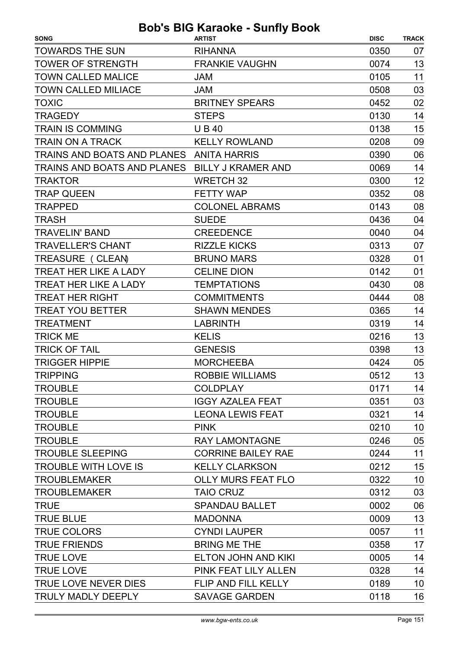| <b>TOWARDS THE SUN</b><br><b>RIHANNA</b><br>0350<br>07<br><b>TOWER OF STRENGTH</b><br>13<br><b>FRANKIE VAUGHN</b><br>0074<br>11<br><b>TOWN CALLED MALICE</b><br>0105<br><b>JAM</b><br><b>TOWN CALLED MILIACE</b><br>0508<br>03<br><b>JAM</b><br><b>BRITNEY SPEARS</b><br>02<br><b>TOXIC</b><br>0452<br>14<br><b>TRAGEDY</b><br>0130<br><b>STEPS</b><br>15<br><b>TRAIN IS COMMING</b><br>0138<br><b>UB40</b><br>09<br><b>TRAIN ON A TRACK</b><br>0208<br><b>KELLY ROWLAND</b><br>TRAINS AND BOATS AND PLANES ANITA HARRIS<br>0390<br>06<br>14<br>TRAINS AND BOATS AND PLANES BILLY J KRAMER AND<br>0069<br>12<br><b>WRETCH 32</b><br>0300<br><b>TRAKTOR</b><br>08<br><b>FETTY WAP</b><br>0352<br><b>TRAP QUEEN</b><br><b>COLONEL ABRAMS</b><br>0143<br>08<br><b>TRAPPED</b><br><b>SUEDE</b><br>0436<br>04<br><b>TRASH</b><br><b>TRAVELIN' BAND</b><br>04<br><b>CREEDENCE</b><br>0040<br><b>TRAVELLER'S CHANT</b><br><b>RIZZLE KICKS</b><br>07<br>0313<br>01<br>TREASURE (CLEAN)<br><b>BRUNO MARS</b><br>0328<br><b>TREAT HER LIKE A LADY</b><br><b>CELINE DION</b><br>0142<br>01<br><b>TREAT HER LIKE A LADY</b><br><b>TEMPTATIONS</b><br>08<br>0430<br><b>TREAT HER RIGHT</b><br><b>COMMITMENTS</b><br>08<br>0444<br>14<br><b>TREAT YOU BETTER</b><br><b>SHAWN MENDES</b><br>0365<br><b>TREATMENT</b><br>14<br><b>LABRINTH</b><br>0319<br>13<br><b>TRICK ME</b><br><b>KELIS</b><br>0216<br>13<br><b>TRICK OF TAIL</b><br><b>GENESIS</b><br>0398<br><b>TRIGGER HIPPIE</b><br><b>MORCHEEBA</b><br>0424<br>05 |
|------------------------------------------------------------------------------------------------------------------------------------------------------------------------------------------------------------------------------------------------------------------------------------------------------------------------------------------------------------------------------------------------------------------------------------------------------------------------------------------------------------------------------------------------------------------------------------------------------------------------------------------------------------------------------------------------------------------------------------------------------------------------------------------------------------------------------------------------------------------------------------------------------------------------------------------------------------------------------------------------------------------------------------------------------------------------------------------------------------------------------------------------------------------------------------------------------------------------------------------------------------------------------------------------------------------------------------------------------------------------------------------------------------------------------------------------------------------------------------------------------------|
|                                                                                                                                                                                                                                                                                                                                                                                                                                                                                                                                                                                                                                                                                                                                                                                                                                                                                                                                                                                                                                                                                                                                                                                                                                                                                                                                                                                                                                                                                                            |
|                                                                                                                                                                                                                                                                                                                                                                                                                                                                                                                                                                                                                                                                                                                                                                                                                                                                                                                                                                                                                                                                                                                                                                                                                                                                                                                                                                                                                                                                                                            |
|                                                                                                                                                                                                                                                                                                                                                                                                                                                                                                                                                                                                                                                                                                                                                                                                                                                                                                                                                                                                                                                                                                                                                                                                                                                                                                                                                                                                                                                                                                            |
|                                                                                                                                                                                                                                                                                                                                                                                                                                                                                                                                                                                                                                                                                                                                                                                                                                                                                                                                                                                                                                                                                                                                                                                                                                                                                                                                                                                                                                                                                                            |
|                                                                                                                                                                                                                                                                                                                                                                                                                                                                                                                                                                                                                                                                                                                                                                                                                                                                                                                                                                                                                                                                                                                                                                                                                                                                                                                                                                                                                                                                                                            |
|                                                                                                                                                                                                                                                                                                                                                                                                                                                                                                                                                                                                                                                                                                                                                                                                                                                                                                                                                                                                                                                                                                                                                                                                                                                                                                                                                                                                                                                                                                            |
|                                                                                                                                                                                                                                                                                                                                                                                                                                                                                                                                                                                                                                                                                                                                                                                                                                                                                                                                                                                                                                                                                                                                                                                                                                                                                                                                                                                                                                                                                                            |
|                                                                                                                                                                                                                                                                                                                                                                                                                                                                                                                                                                                                                                                                                                                                                                                                                                                                                                                                                                                                                                                                                                                                                                                                                                                                                                                                                                                                                                                                                                            |
|                                                                                                                                                                                                                                                                                                                                                                                                                                                                                                                                                                                                                                                                                                                                                                                                                                                                                                                                                                                                                                                                                                                                                                                                                                                                                                                                                                                                                                                                                                            |
|                                                                                                                                                                                                                                                                                                                                                                                                                                                                                                                                                                                                                                                                                                                                                                                                                                                                                                                                                                                                                                                                                                                                                                                                                                                                                                                                                                                                                                                                                                            |
|                                                                                                                                                                                                                                                                                                                                                                                                                                                                                                                                                                                                                                                                                                                                                                                                                                                                                                                                                                                                                                                                                                                                                                                                                                                                                                                                                                                                                                                                                                            |
|                                                                                                                                                                                                                                                                                                                                                                                                                                                                                                                                                                                                                                                                                                                                                                                                                                                                                                                                                                                                                                                                                                                                                                                                                                                                                                                                                                                                                                                                                                            |
|                                                                                                                                                                                                                                                                                                                                                                                                                                                                                                                                                                                                                                                                                                                                                                                                                                                                                                                                                                                                                                                                                                                                                                                                                                                                                                                                                                                                                                                                                                            |
|                                                                                                                                                                                                                                                                                                                                                                                                                                                                                                                                                                                                                                                                                                                                                                                                                                                                                                                                                                                                                                                                                                                                                                                                                                                                                                                                                                                                                                                                                                            |
|                                                                                                                                                                                                                                                                                                                                                                                                                                                                                                                                                                                                                                                                                                                                                                                                                                                                                                                                                                                                                                                                                                                                                                                                                                                                                                                                                                                                                                                                                                            |
|                                                                                                                                                                                                                                                                                                                                                                                                                                                                                                                                                                                                                                                                                                                                                                                                                                                                                                                                                                                                                                                                                                                                                                                                                                                                                                                                                                                                                                                                                                            |
|                                                                                                                                                                                                                                                                                                                                                                                                                                                                                                                                                                                                                                                                                                                                                                                                                                                                                                                                                                                                                                                                                                                                                                                                                                                                                                                                                                                                                                                                                                            |
|                                                                                                                                                                                                                                                                                                                                                                                                                                                                                                                                                                                                                                                                                                                                                                                                                                                                                                                                                                                                                                                                                                                                                                                                                                                                                                                                                                                                                                                                                                            |
|                                                                                                                                                                                                                                                                                                                                                                                                                                                                                                                                                                                                                                                                                                                                                                                                                                                                                                                                                                                                                                                                                                                                                                                                                                                                                                                                                                                                                                                                                                            |
|                                                                                                                                                                                                                                                                                                                                                                                                                                                                                                                                                                                                                                                                                                                                                                                                                                                                                                                                                                                                                                                                                                                                                                                                                                                                                                                                                                                                                                                                                                            |
|                                                                                                                                                                                                                                                                                                                                                                                                                                                                                                                                                                                                                                                                                                                                                                                                                                                                                                                                                                                                                                                                                                                                                                                                                                                                                                                                                                                                                                                                                                            |
|                                                                                                                                                                                                                                                                                                                                                                                                                                                                                                                                                                                                                                                                                                                                                                                                                                                                                                                                                                                                                                                                                                                                                                                                                                                                                                                                                                                                                                                                                                            |
|                                                                                                                                                                                                                                                                                                                                                                                                                                                                                                                                                                                                                                                                                                                                                                                                                                                                                                                                                                                                                                                                                                                                                                                                                                                                                                                                                                                                                                                                                                            |
|                                                                                                                                                                                                                                                                                                                                                                                                                                                                                                                                                                                                                                                                                                                                                                                                                                                                                                                                                                                                                                                                                                                                                                                                                                                                                                                                                                                                                                                                                                            |
|                                                                                                                                                                                                                                                                                                                                                                                                                                                                                                                                                                                                                                                                                                                                                                                                                                                                                                                                                                                                                                                                                                                                                                                                                                                                                                                                                                                                                                                                                                            |
| 13<br><b>TRIPPING</b><br>ROBBIE WILLIAMS<br>0512                                                                                                                                                                                                                                                                                                                                                                                                                                                                                                                                                                                                                                                                                                                                                                                                                                                                                                                                                                                                                                                                                                                                                                                                                                                                                                                                                                                                                                                           |
| <b>TROUBLE</b><br><b>COLDPLAY</b><br>0171<br>14                                                                                                                                                                                                                                                                                                                                                                                                                                                                                                                                                                                                                                                                                                                                                                                                                                                                                                                                                                                                                                                                                                                                                                                                                                                                                                                                                                                                                                                            |
| 03<br><b>TROUBLE</b><br><b>IGGY AZALEA FEAT</b><br>0351                                                                                                                                                                                                                                                                                                                                                                                                                                                                                                                                                                                                                                                                                                                                                                                                                                                                                                                                                                                                                                                                                                                                                                                                                                                                                                                                                                                                                                                    |
| 14<br>0321<br><b>TROUBLE</b><br><b>LEONA LEWIS FEAT</b>                                                                                                                                                                                                                                                                                                                                                                                                                                                                                                                                                                                                                                                                                                                                                                                                                                                                                                                                                                                                                                                                                                                                                                                                                                                                                                                                                                                                                                                    |
| 10<br><b>TROUBLE</b><br><b>PINK</b><br>0210                                                                                                                                                                                                                                                                                                                                                                                                                                                                                                                                                                                                                                                                                                                                                                                                                                                                                                                                                                                                                                                                                                                                                                                                                                                                                                                                                                                                                                                                |
| <b>TROUBLE</b><br>05<br><b>RAY LAMONTAGNE</b><br>0246                                                                                                                                                                                                                                                                                                                                                                                                                                                                                                                                                                                                                                                                                                                                                                                                                                                                                                                                                                                                                                                                                                                                                                                                                                                                                                                                                                                                                                                      |
| <b>TROUBLE SLEEPING</b><br>11<br><b>CORRINE BAILEY RAE</b><br>0244                                                                                                                                                                                                                                                                                                                                                                                                                                                                                                                                                                                                                                                                                                                                                                                                                                                                                                                                                                                                                                                                                                                                                                                                                                                                                                                                                                                                                                         |
| 15<br><b>TROUBLE WITH LOVE IS</b><br><b>KELLY CLARKSON</b><br>0212                                                                                                                                                                                                                                                                                                                                                                                                                                                                                                                                                                                                                                                                                                                                                                                                                                                                                                                                                                                                                                                                                                                                                                                                                                                                                                                                                                                                                                         |
| 10<br><b>TROUBLEMAKER</b><br><b>OLLY MURS FEAT FLO</b><br>0322                                                                                                                                                                                                                                                                                                                                                                                                                                                                                                                                                                                                                                                                                                                                                                                                                                                                                                                                                                                                                                                                                                                                                                                                                                                                                                                                                                                                                                             |
| <b>TROUBLEMAKER</b><br><b>TAIO CRUZ</b><br>0312<br>03                                                                                                                                                                                                                                                                                                                                                                                                                                                                                                                                                                                                                                                                                                                                                                                                                                                                                                                                                                                                                                                                                                                                                                                                                                                                                                                                                                                                                                                      |
| 06<br><b>SPANDAU BALLET</b><br>0002<br><b>TRUE</b>                                                                                                                                                                                                                                                                                                                                                                                                                                                                                                                                                                                                                                                                                                                                                                                                                                                                                                                                                                                                                                                                                                                                                                                                                                                                                                                                                                                                                                                         |
| 13<br><b>TRUE BLUE</b><br>0009<br><b>MADONNA</b>                                                                                                                                                                                                                                                                                                                                                                                                                                                                                                                                                                                                                                                                                                                                                                                                                                                                                                                                                                                                                                                                                                                                                                                                                                                                                                                                                                                                                                                           |
| 11<br><b>TRUE COLORS</b><br><b>CYNDI LAUPER</b><br>0057                                                                                                                                                                                                                                                                                                                                                                                                                                                                                                                                                                                                                                                                                                                                                                                                                                                                                                                                                                                                                                                                                                                                                                                                                                                                                                                                                                                                                                                    |
| 17<br><b>TRUE FRIENDS</b><br><b>BRING ME THE</b><br>0358                                                                                                                                                                                                                                                                                                                                                                                                                                                                                                                                                                                                                                                                                                                                                                                                                                                                                                                                                                                                                                                                                                                                                                                                                                                                                                                                                                                                                                                   |
| 14<br><b>TRUE LOVE</b><br>ELTON JOHN AND KIKI<br>0005                                                                                                                                                                                                                                                                                                                                                                                                                                                                                                                                                                                                                                                                                                                                                                                                                                                                                                                                                                                                                                                                                                                                                                                                                                                                                                                                                                                                                                                      |
| <b>TRUE LOVE</b><br>PINK FEAT LILY ALLEN<br>0328<br>14                                                                                                                                                                                                                                                                                                                                                                                                                                                                                                                                                                                                                                                                                                                                                                                                                                                                                                                                                                                                                                                                                                                                                                                                                                                                                                                                                                                                                                                     |
| 10<br><b>TRUE LOVE NEVER DIES</b><br>FLIP AND FILL KELLY<br>0189                                                                                                                                                                                                                                                                                                                                                                                                                                                                                                                                                                                                                                                                                                                                                                                                                                                                                                                                                                                                                                                                                                                                                                                                                                                                                                                                                                                                                                           |
| <b>TRULY MADLY DEEPLY</b><br>0118<br>16<br><b>SAVAGE GARDEN</b>                                                                                                                                                                                                                                                                                                                                                                                                                                                                                                                                                                                                                                                                                                                                                                                                                                                                                                                                                                                                                                                                                                                                                                                                                                                                                                                                                                                                                                            |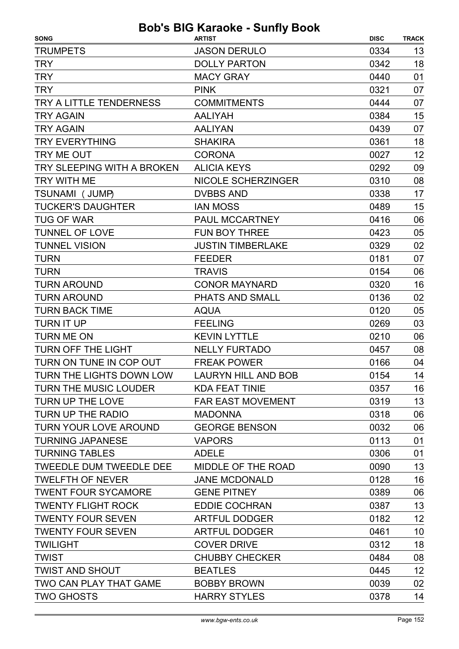| <b>SONG</b>                  | <b>ARTIST</b>              | <b>DISC</b> | <b>TRACK</b> |
|------------------------------|----------------------------|-------------|--------------|
| <b>TRUMPETS</b>              | <b>JASON DERULO</b>        | 0334        | 13           |
| <b>TRY</b>                   | <b>DOLLY PARTON</b>        | 0342        | 18           |
| <b>TRY</b>                   | <b>MACY GRAY</b>           | 0440        | 01           |
| <b>TRY</b>                   | <b>PINK</b>                | 0321        | 07           |
| TRY A LITTLE TENDERNESS      | <b>COMMITMENTS</b>         | 0444        | 07           |
| <b>TRY AGAIN</b>             | <b>AALIYAH</b>             | 0384        | 15           |
| <b>TRY AGAIN</b>             | <b>AALIYAN</b>             | 0439        | 07           |
| <b>TRY EVERYTHING</b>        | <b>SHAKIRA</b>             | 0361        | 18           |
| TRY ME OUT                   | <b>CORONA</b>              | 0027        | 12           |
| TRY SLEEPING WITH A BROKEN   | <b>ALICIA KEYS</b>         | 0292        | 09           |
| <b>TRY WITH ME</b>           | NICOLE SCHERZINGER         | 0310        | 08           |
| TSUNAMI (JUMP)               | <b>DVBBS AND</b>           | 0338        | 17           |
| <b>TUCKER'S DAUGHTER</b>     | <b>IAN MOSS</b>            | 0489        | 15           |
| <b>TUG OF WAR</b>            | <b>PAUL MCCARTNEY</b>      | 0416        | 06           |
| <b>TUNNEL OF LOVE</b>        | <b>FUN BOY THREE</b>       | 0423        | 05           |
| <b>TUNNEL VISION</b>         | <b>JUSTIN TIMBERLAKE</b>   | 0329        | 02           |
| <b>TURN</b>                  | <b>FEEDER</b>              | 0181        | 07           |
| <b>TURN</b>                  | <b>TRAVIS</b>              | 0154        | 06           |
| <b>TURN AROUND</b>           | <b>CONOR MAYNARD</b>       | 0320        | 16           |
| <b>TURN AROUND</b>           | PHATS AND SMALL            | 0136        | 02           |
| <b>TURN BACK TIME</b>        | <b>AQUA</b>                | 0120        | 05           |
| <b>TURN IT UP</b>            | <b>FEELING</b>             | 0269        | 03           |
| <b>TURN ME ON</b>            | <b>KEVIN LYTTLE</b>        | 0210        | 06           |
| <b>TURN OFF THE LIGHT</b>    | <b>NELLY FURTADO</b>       | 0457        | 08           |
| TURN ON TUNE IN COP OUT      | <b>FREAK POWER</b>         | 0166        | 04           |
| TURN THE LIGHTS DOWN LOW     | <b>LAURYN HILL AND BOB</b> | 0154        | 14           |
| <b>TURN THE MUSIC LOUDER</b> | <b>KDA FEAT TINIE</b>      | 0357        | 16           |
| TURN UP THE LOVE             | <b>FAR EAST MOVEMENT</b>   | 0319        | 13           |
| TURN UP THE RADIO            | <b>MADONNA</b>             | 0318        | 06           |
| <b>TURN YOUR LOVE AROUND</b> | <b>GEORGE BENSON</b>       | 0032        | 06           |
| <b>TURNING JAPANESE</b>      | <b>VAPORS</b>              | 0113        | 01           |
| <b>TURNING TABLES</b>        | <b>ADELE</b>               | 0306        | 01           |
| TWEEDLE DUM TWEEDLE DEE      | MIDDLE OF THE ROAD         | 0090        | 13           |
| <b>TWELFTH OF NEVER</b>      | <b>JANE MCDONALD</b>       | 0128        | 16           |
| <b>TWENT FOUR SYCAMORE</b>   | <b>GENE PITNEY</b>         | 0389        | 06           |
| <b>TWENTY FLIGHT ROCK</b>    | <b>EDDIE COCHRAN</b>       | 0387        | 13           |
| <b>TWENTY FOUR SEVEN</b>     | <b>ARTFUL DODGER</b>       | 0182        | 12           |
| <b>TWENTY FOUR SEVEN</b>     | <b>ARTFUL DODGER</b>       | 0461        | 10           |
| <b>TWILIGHT</b>              | <b>COVER DRIVE</b>         | 0312        | 18           |
| <b>TWIST</b>                 | <b>CHUBBY CHECKER</b>      | 0484        | 08           |
| <b>TWIST AND SHOUT</b>       | <b>BEATLES</b>             | 0445        | 12           |
| TWO CAN PLAY THAT GAME       | <b>BOBBY BROWN</b>         | 0039        | 02           |
| <b>TWO GHOSTS</b>            | <b>HARRY STYLES</b>        | 0378        | 14           |
|                              |                            |             |              |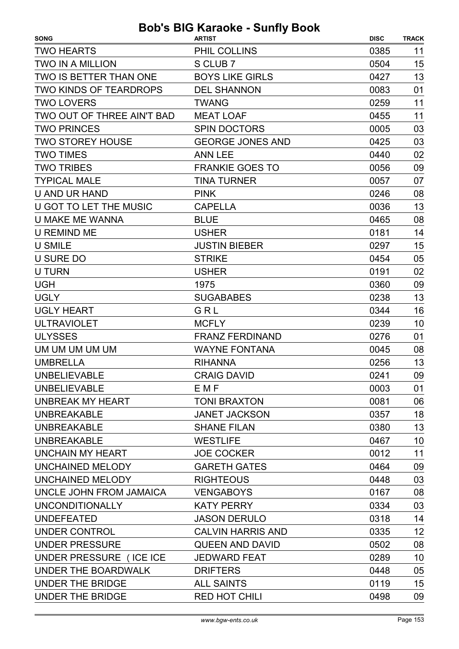| <b>SONG</b>                   | <b>ARTIST</b>            | <b>DISC</b> | <b>TRACK</b> |
|-------------------------------|--------------------------|-------------|--------------|
| <b>TWO HEARTS</b>             | PHIL COLLINS             | 0385        | 11           |
| <b>TWO IN A MILLION</b>       | S CLUB 7                 | 0504        | 15           |
| TWO IS BETTER THAN ONE        | <b>BOYS LIKE GIRLS</b>   | 0427        | 13           |
| <b>TWO KINDS OF TEARDROPS</b> | <b>DEL SHANNON</b>       | 0083        | 01           |
| <b>TWO LOVERS</b>             | <b>TWANG</b>             | 0259        | 11           |
| TWO OUT OF THREE AIN'T BAD    | <b>MEAT LOAF</b>         | 0455        | 11           |
| <b>TWO PRINCES</b>            | <b>SPIN DOCTORS</b>      | 0005        | 03           |
| <b>TWO STOREY HOUSE</b>       | <b>GEORGE JONES AND</b>  | 0425        | 03           |
| <b>TWO TIMES</b>              | <b>ANN LEE</b>           | 0440        | 02           |
| <b>TWO TRIBES</b>             | <b>FRANKIE GOES TO</b>   | 0056        | 09           |
| <b>TYPICAL MALE</b>           | <b>TINA TURNER</b>       | 0057        | 07           |
| <b>U AND UR HAND</b>          | <b>PINK</b>              | 0246        | 08           |
| U GOT TO LET THE MUSIC        | <b>CAPELLA</b>           | 0036        | 13           |
| <b>U MAKE ME WANNA</b>        | <b>BLUE</b>              | 0465        | 08           |
| <b>U REMIND ME</b>            | <b>USHER</b>             | 0181        | 14           |
| <b>U SMILE</b>                | <b>JUSTIN BIEBER</b>     | 0297        | 15           |
| U SURE DO                     | <b>STRIKE</b>            | 0454        | 05           |
| <b>U TURN</b>                 | <b>USHER</b>             | 0191        | 02           |
| <b>UGH</b>                    | 1975                     | 0360        | 09           |
| <b>UGLY</b>                   | <b>SUGABABES</b>         | 0238        | 13           |
| <b>UGLY HEART</b>             | GRL                      | 0344        | 16           |
| <b>ULTRAVIOLET</b>            | <b>MCFLY</b>             | 0239        | 10           |
| <b>ULYSSES</b>                | <b>FRANZ FERDINAND</b>   | 0276        | 01           |
| UM UM UM UM UM                | <b>WAYNE FONTANA</b>     | 0045        | 08           |
| <b>UMBRELLA</b>               | <b>RIHANNA</b>           | 0256        | 13           |
| <b>UNBELIEVABLE</b>           | <b>CRAIG DAVID</b>       | 0241        | 09           |
| <b>UNBELIEVABLE</b>           | E M F                    | 0003        | 01           |
| UNBREAK MY HEART              | <b>TONI BRAXTON</b>      | 0081        | 06           |
| <b>UNBREAKABLE</b>            | <b>JANET JACKSON</b>     | 0357        | 18           |
| <b>UNBREAKABLE</b>            | <b>SHANE FILAN</b>       | 0380        | 13           |
| <b>UNBREAKABLE</b>            | <b>WESTLIFE</b>          | 0467        | 10           |
| UNCHAIN MY HEART              | <b>JOE COCKER</b>        | 0012        | 11           |
| UNCHAINED MELODY              | <b>GARETH GATES</b>      | 0464        | 09           |
| UNCHAINED MELODY              | <b>RIGHTEOUS</b>         | 0448        | 03           |
| UNCLE JOHN FROM JAMAICA       | <b>VENGABOYS</b>         | 0167        | 08           |
| <b>UNCONDITIONALLY</b>        | <b>KATY PERRY</b>        | 0334        | 03           |
| <b>UNDEFEATED</b>             | <b>JASON DERULO</b>      | 0318        | 14           |
| UNDER CONTROL                 | <b>CALVIN HARRIS AND</b> | 0335        | 12           |
| <b>UNDER PRESSURE</b>         | <b>QUEEN AND DAVID</b>   | 0502        | 08           |
| UNDER PRESSURE (ICE ICE       | <b>JEDWARD FEAT</b>      | 0289        | 10           |
| UNDER THE BOARDWALK           | <b>DRIFTERS</b>          | 0448        | 05           |
| UNDER THE BRIDGE              | <b>ALL SAINTS</b>        | 0119        | 15           |
| UNDER THE BRIDGE              | <b>RED HOT CHILI</b>     | 0498        | 09           |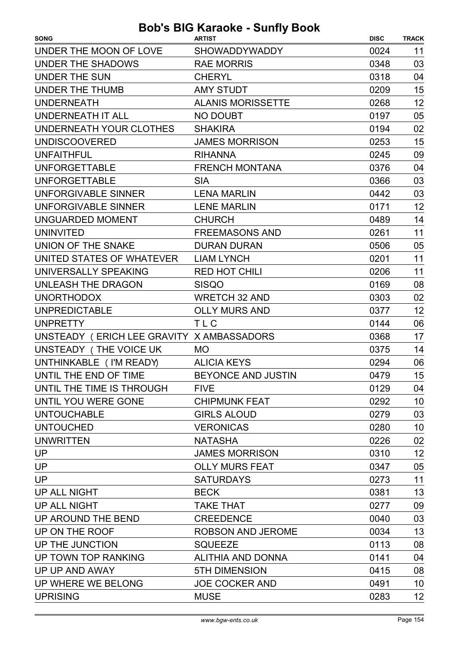#### SONG TRACK ARTIST Bob's BIG Karaoke - Sunfly Book DISC UNDER THE MOON OF LOVE SHOWADDYWADDY 0024 11 UNDER THE SHADOWS RAE MORRIS CONSUMING A 2348 03 UNDER THE SUN CHERYL CHERYL CHERYL 20318 04 UNDER THE THUMB **AMY STUDT** 15 0209 15 UNDERNEATH ALANIS MORISSETTE 0268 12 UNDERNEATH IT ALL NO DOUBT 0197 05 UNDERNEATH YOUR CLOTHES 0194 SHAKIRA 02 UNDISCOOVERED **JAMES MORRISON 15** 0253 15 UNFAITHFUL 0245 RIHANNA 09 UNFORGETTABLE 0376 FRENCH MONTANA 04 UNFORGETTABLE SIA SIA 0366 03 UNFORGIVABLE SINNER LENA MARLIN 1999 1991 1992 1993 UNFORGIVABLE SINNER 0171 LENE MARLIN 12 UNGUARDED MOMENT CHURCH CHURCH 0489 14 UNINVITED **EREEMASONS AND** 0261 11 UNION OF THE SNAKE DURAN DURAN DURAN 0506 05 UNITED STATES OF WHATEVER LIAM LYNCH 11 11 0201 11 UNIVERSALLY SPEAKING RED HOT CHILI 11 0206 11 UNLEASH THE DRAGON 0169 SISQO 08 UNORTHODOX WRETCH 32 AND 0303 02 UNPREDICTABLE 0377 OLLY MURS AND 12 UNPRETTY TLC 0144 06 UNSTEADY (ERICH LEE GRAVITY X AMBASSADORS 0368 17 UNSTEADY (THE VOICE UK MO 14 UNTHINKABLE ( I'M READY) ALICIA KEYS **0294**06 UNTIL THE END OF TIME BEYONCE AND JUSTIN 0479 15 UNTIL THE TIME IS THROUGH FIVE FIGHT CONTROLLER THE CONTROLLER CONTROLLER THE CONTROLLER OF A GALI CONTROLLER UNTIL YOU WERE GONE CHIPMUNK FEAT 0292 10 UNTOUCHABLE GIRLS ALOUD 0279 03 UNTOUCHED 0280 VERONICAS 10 UNWRITTEN 0226 NATASHA 02 UP 0310 JAMES MORRISON 12 UP 0347 OLLY MURS FEAT 05 UP SATURDAYS 0273 11 UP ALL NIGHT BECK BECK 0381 13 UP ALL NIGHT 0277 TAKE THAT 09 UP AROUND THE BEND 0040 CREEDENCE 03 UP ON THE ROOF ROBSON AND JEROME 0034 13 UP THE JUNCTION SQUEEZE 0113 08 UP TOWN TOP RANKING ALITHIA AND DONNA 60141 04 UP UP AND AWAY **5TH DIMENSION** 0415 08 UP WHERE WE BELONG UP USE COCKER AND UP WHERE WE BELONG UPRISING MUSE MODE 60283 12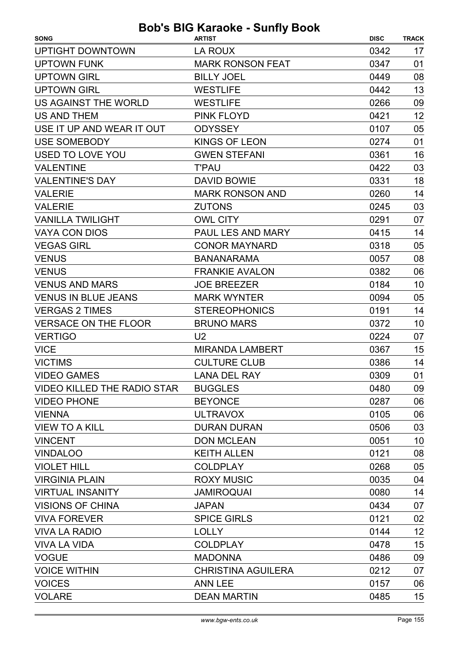| <b>SONG</b>                        | <b>ARTIST</b>             | <b>DISC</b> | <b>TRACK</b> |
|------------------------------------|---------------------------|-------------|--------------|
| <b>UPTIGHT DOWNTOWN</b>            | LA ROUX                   | 0342        | 17           |
| <b>UPTOWN FUNK</b>                 | <b>MARK RONSON FEAT</b>   | 0347        | 01           |
| <b>UPTOWN GIRL</b>                 | <b>BILLY JOEL</b>         | 0449        | 08           |
| <b>UPTOWN GIRL</b>                 | <b>WESTLIFE</b>           | 0442        | 13           |
| US AGAINST THE WORLD               | <b>WESTLIFE</b>           | 0266        | 09           |
| <b>US AND THEM</b>                 | <b>PINK FLOYD</b>         | 0421        | 12           |
| USE IT UP AND WEAR IT OUT          | <b>ODYSSEY</b>            | 0107        | 05           |
| USE SOMEBODY                       | <b>KINGS OF LEON</b>      | 0274        | 01           |
| <b>USED TO LOVE YOU</b>            | <b>GWEN STEFANI</b>       | 0361        | 16           |
| <b>VALENTINE</b>                   | <b>T'PAU</b>              | 0422        | 03           |
| <b>VALENTINE'S DAY</b>             | <b>DAVID BOWIE</b>        | 0331        | 18           |
| <b>VALERIE</b>                     | <b>MARK RONSON AND</b>    | 0260        | 14           |
| <b>VALERIE</b>                     | <b>ZUTONS</b>             | 0245        | 03           |
| <b>VANILLA TWILIGHT</b>            | <b>OWL CITY</b>           | 0291        | 07           |
| <b>VAYA CON DIOS</b>               | <b>PAUL LES AND MARY</b>  | 0415        | 14           |
| <b>VEGAS GIRL</b>                  | <b>CONOR MAYNARD</b>      | 0318        | 05           |
| <b>VENUS</b>                       | <b>BANANARAMA</b>         | 0057        | 08           |
| <b>VENUS</b>                       | <b>FRANKIE AVALON</b>     | 0382        | 06           |
| <b>VENUS AND MARS</b>              | <b>JOE BREEZER</b>        | 0184        | 10           |
| <b>VENUS IN BLUE JEANS</b>         | <b>MARK WYNTER</b>        | 0094        | 05           |
| <b>VERGAS 2 TIMES</b>              | <b>STEREOPHONICS</b>      | 0191        | 14           |
| <b>VERSACE ON THE FLOOR</b>        | <b>BRUNO MARS</b>         | 0372        | 10           |
| <b>VERTIGO</b>                     | U <sub>2</sub>            | 0224        | 07           |
| <b>VICE</b>                        | <b>MIRANDA LAMBERT</b>    | 0367        | 15           |
| <b>VICTIMS</b>                     | <b>CULTURE CLUB</b>       | 0386        | 14           |
| <b>VIDEO GAMES</b>                 | LANA DEL RAY              | 0309        | 01           |
| <b>VIDEO KILLED THE RADIO STAR</b> | <b>BUGGLES</b>            | 0480        | 09           |
| <b>VIDEO PHONE</b>                 | <b>BEYONCE</b>            | 0287        | 06           |
| <b>VIENNA</b>                      | <b>ULTRAVOX</b>           | 0105        | 06           |
| <b>VIEW TO A KILL</b>              | <b>DURAN DURAN</b>        | 0506        | 03           |
| <b>VINCENT</b>                     | <b>DON MCLEAN</b>         | 0051        | 10           |
| <b>VINDALOO</b>                    | <b>KEITH ALLEN</b>        | 0121        | 08           |
| <b>VIOLET HILL</b>                 | <b>COLDPLAY</b>           | 0268        | 05           |
| <b>VIRGINIA PLAIN</b>              | <b>ROXY MUSIC</b>         | 0035        | 04           |
| <b>VIRTUAL INSANITY</b>            | <b>JAMIROQUAI</b>         | 0080        | 14           |
| <b>VISIONS OF CHINA</b>            | <b>JAPAN</b>              | 0434        | 07           |
| <b>VIVA FOREVER</b>                | <b>SPICE GIRLS</b>        | 0121        | 02           |
| <b>VIVA LA RADIO</b>               | <b>LOLLY</b>              | 0144        | 12           |
| <b>VIVA LA VIDA</b>                | <b>COLDPLAY</b>           | 0478        | 15           |
| <b>VOGUE</b>                       | <b>MADONNA</b>            | 0486        | 09           |
| <b>VOICE WITHIN</b>                | <b>CHRISTINA AGUILERA</b> | 0212        | 07           |
| <b>VOICES</b>                      | <b>ANN LEE</b>            | 0157        | 06           |
| <b>VOLARE</b>                      | <b>DEAN MARTIN</b>        | 0485        | 15           |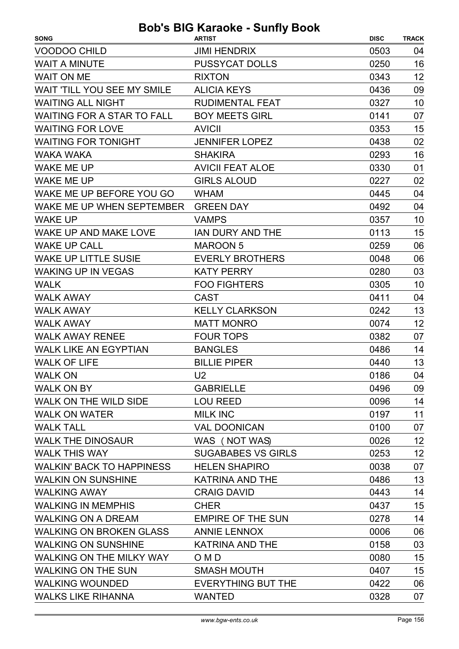| <b>JIMI HENDRIX</b><br>0503<br>04<br>16<br><b>PUSSYCAT DOLLS</b><br>0250<br>12<br><b>RIXTON</b><br>0343<br><b>ALICIA KEYS</b><br>0436<br>09<br>10<br><b>RUDIMENTAL FEAT</b><br>0327<br>07<br><b>BOY MEETS GIRL</b><br>0141<br>15<br><b>AVICII</b><br>0353<br>02<br>0438<br><b>JENNIFER LOPEZ</b><br>16<br><b>SHAKIRA</b><br>0293<br>01<br><b>AVICII FEAT ALOE</b><br>0330<br>02<br><b>GIRLS ALOUD</b><br>0227<br>04<br><b>WHAM</b><br>0445<br>0492<br>04<br><b>GREEN DAY</b><br>10<br><b>VAMPS</b><br>0357<br>15<br>0113<br><b>IAN DURY AND THE</b><br>06<br>0259<br><b>MAROON 5</b><br>06<br><b>EVERLY BROTHERS</b><br>0048<br>03<br><b>KATY PERRY</b><br>0280<br><b>FOO FIGHTERS</b><br>10<br>0305<br><b>CAST</b><br>04<br>0411<br>13<br><b>KELLY CLARKSON</b><br>0242<br><b>MATT MONRO</b><br>12<br>0074<br>07<br><b>FOUR TOPS</b><br>0382<br><b>BANGLES</b><br>14<br>0486<br>13<br><b>BILLIE PIPER</b><br>0440<br><b>WALK ON</b><br>U <sub>2</sub><br>0186<br>04<br>0496<br>09<br><b>GABRIELLE</b><br>14<br><b>LOU REED</b><br>0096<br>11<br>0197<br><b>MILK INC</b><br>VAL DOONICAN<br>07<br>0100<br>12<br>WAS (NOT WAS)<br>0026<br>12<br><b>SUGABABES VS GIRLS</b><br>0253<br>07<br><b>HELEN SHAPIRO</b><br>0038<br>13<br>0486<br><b>KATRINA AND THE</b><br>14<br><b>CRAIG DAVID</b><br>0443<br>15<br><b>CHER</b><br>0437 | <b>SONG</b>                       | <b>ARTIST</b>            | <b>DISC</b> | <b>TRACK</b> |
|---------------------------------------------------------------------------------------------------------------------------------------------------------------------------------------------------------------------------------------------------------------------------------------------------------------------------------------------------------------------------------------------------------------------------------------------------------------------------------------------------------------------------------------------------------------------------------------------------------------------------------------------------------------------------------------------------------------------------------------------------------------------------------------------------------------------------------------------------------------------------------------------------------------------------------------------------------------------------------------------------------------------------------------------------------------------------------------------------------------------------------------------------------------------------------------------------------------------------------------------------------------------------------------------------------------------------------|-----------------------------------|--------------------------|-------------|--------------|
|                                                                                                                                                                                                                                                                                                                                                                                                                                                                                                                                                                                                                                                                                                                                                                                                                                                                                                                                                                                                                                                                                                                                                                                                                                                                                                                                 | VOODOO CHILD                      |                          |             |              |
|                                                                                                                                                                                                                                                                                                                                                                                                                                                                                                                                                                                                                                                                                                                                                                                                                                                                                                                                                                                                                                                                                                                                                                                                                                                                                                                                 | <b>WAIT A MINUTE</b>              |                          |             |              |
|                                                                                                                                                                                                                                                                                                                                                                                                                                                                                                                                                                                                                                                                                                                                                                                                                                                                                                                                                                                                                                                                                                                                                                                                                                                                                                                                 | <b>WAIT ON ME</b>                 |                          |             |              |
|                                                                                                                                                                                                                                                                                                                                                                                                                                                                                                                                                                                                                                                                                                                                                                                                                                                                                                                                                                                                                                                                                                                                                                                                                                                                                                                                 | WAIT 'TILL YOU SEE MY SMILE       |                          |             |              |
|                                                                                                                                                                                                                                                                                                                                                                                                                                                                                                                                                                                                                                                                                                                                                                                                                                                                                                                                                                                                                                                                                                                                                                                                                                                                                                                                 | <b>WAITING ALL NIGHT</b>          |                          |             |              |
|                                                                                                                                                                                                                                                                                                                                                                                                                                                                                                                                                                                                                                                                                                                                                                                                                                                                                                                                                                                                                                                                                                                                                                                                                                                                                                                                 | <b>WAITING FOR A STAR TO FALL</b> |                          |             |              |
|                                                                                                                                                                                                                                                                                                                                                                                                                                                                                                                                                                                                                                                                                                                                                                                                                                                                                                                                                                                                                                                                                                                                                                                                                                                                                                                                 | <b>WAITING FOR LOVE</b>           |                          |             |              |
|                                                                                                                                                                                                                                                                                                                                                                                                                                                                                                                                                                                                                                                                                                                                                                                                                                                                                                                                                                                                                                                                                                                                                                                                                                                                                                                                 | <b>WAITING FOR TONIGHT</b>        |                          |             |              |
|                                                                                                                                                                                                                                                                                                                                                                                                                                                                                                                                                                                                                                                                                                                                                                                                                                                                                                                                                                                                                                                                                                                                                                                                                                                                                                                                 | <b>WAKA WAKA</b>                  |                          |             |              |
|                                                                                                                                                                                                                                                                                                                                                                                                                                                                                                                                                                                                                                                                                                                                                                                                                                                                                                                                                                                                                                                                                                                                                                                                                                                                                                                                 | <b>WAKE ME UP</b>                 |                          |             |              |
|                                                                                                                                                                                                                                                                                                                                                                                                                                                                                                                                                                                                                                                                                                                                                                                                                                                                                                                                                                                                                                                                                                                                                                                                                                                                                                                                 | <b>WAKE ME UP</b>                 |                          |             |              |
|                                                                                                                                                                                                                                                                                                                                                                                                                                                                                                                                                                                                                                                                                                                                                                                                                                                                                                                                                                                                                                                                                                                                                                                                                                                                                                                                 | WAKE ME UP BEFORE YOU GO          |                          |             |              |
|                                                                                                                                                                                                                                                                                                                                                                                                                                                                                                                                                                                                                                                                                                                                                                                                                                                                                                                                                                                                                                                                                                                                                                                                                                                                                                                                 | WAKE ME UP WHEN SEPTEMBER         |                          |             |              |
|                                                                                                                                                                                                                                                                                                                                                                                                                                                                                                                                                                                                                                                                                                                                                                                                                                                                                                                                                                                                                                                                                                                                                                                                                                                                                                                                 | <b>WAKE UP</b>                    |                          |             |              |
|                                                                                                                                                                                                                                                                                                                                                                                                                                                                                                                                                                                                                                                                                                                                                                                                                                                                                                                                                                                                                                                                                                                                                                                                                                                                                                                                 | <b>WAKE UP AND MAKE LOVE</b>      |                          |             |              |
|                                                                                                                                                                                                                                                                                                                                                                                                                                                                                                                                                                                                                                                                                                                                                                                                                                                                                                                                                                                                                                                                                                                                                                                                                                                                                                                                 | <b>WAKE UP CALL</b>               |                          |             |              |
|                                                                                                                                                                                                                                                                                                                                                                                                                                                                                                                                                                                                                                                                                                                                                                                                                                                                                                                                                                                                                                                                                                                                                                                                                                                                                                                                 | <b>WAKE UP LITTLE SUSIE</b>       |                          |             |              |
|                                                                                                                                                                                                                                                                                                                                                                                                                                                                                                                                                                                                                                                                                                                                                                                                                                                                                                                                                                                                                                                                                                                                                                                                                                                                                                                                 | <b>WAKING UP IN VEGAS</b>         |                          |             |              |
|                                                                                                                                                                                                                                                                                                                                                                                                                                                                                                                                                                                                                                                                                                                                                                                                                                                                                                                                                                                                                                                                                                                                                                                                                                                                                                                                 | <b>WALK</b>                       |                          |             |              |
|                                                                                                                                                                                                                                                                                                                                                                                                                                                                                                                                                                                                                                                                                                                                                                                                                                                                                                                                                                                                                                                                                                                                                                                                                                                                                                                                 | <b>WALK AWAY</b>                  |                          |             |              |
|                                                                                                                                                                                                                                                                                                                                                                                                                                                                                                                                                                                                                                                                                                                                                                                                                                                                                                                                                                                                                                                                                                                                                                                                                                                                                                                                 | <b>WALK AWAY</b>                  |                          |             |              |
|                                                                                                                                                                                                                                                                                                                                                                                                                                                                                                                                                                                                                                                                                                                                                                                                                                                                                                                                                                                                                                                                                                                                                                                                                                                                                                                                 | <b>WALK AWAY</b>                  |                          |             |              |
|                                                                                                                                                                                                                                                                                                                                                                                                                                                                                                                                                                                                                                                                                                                                                                                                                                                                                                                                                                                                                                                                                                                                                                                                                                                                                                                                 | <b>WALK AWAY RENEE</b>            |                          |             |              |
|                                                                                                                                                                                                                                                                                                                                                                                                                                                                                                                                                                                                                                                                                                                                                                                                                                                                                                                                                                                                                                                                                                                                                                                                                                                                                                                                 | <b>WALK LIKE AN EGYPTIAN</b>      |                          |             |              |
|                                                                                                                                                                                                                                                                                                                                                                                                                                                                                                                                                                                                                                                                                                                                                                                                                                                                                                                                                                                                                                                                                                                                                                                                                                                                                                                                 | <b>WALK OF LIFE</b>               |                          |             |              |
|                                                                                                                                                                                                                                                                                                                                                                                                                                                                                                                                                                                                                                                                                                                                                                                                                                                                                                                                                                                                                                                                                                                                                                                                                                                                                                                                 |                                   |                          |             |              |
|                                                                                                                                                                                                                                                                                                                                                                                                                                                                                                                                                                                                                                                                                                                                                                                                                                                                                                                                                                                                                                                                                                                                                                                                                                                                                                                                 | WALK ON BY                        |                          |             |              |
|                                                                                                                                                                                                                                                                                                                                                                                                                                                                                                                                                                                                                                                                                                                                                                                                                                                                                                                                                                                                                                                                                                                                                                                                                                                                                                                                 | WALK ON THE WILD SIDE             |                          |             |              |
|                                                                                                                                                                                                                                                                                                                                                                                                                                                                                                                                                                                                                                                                                                                                                                                                                                                                                                                                                                                                                                                                                                                                                                                                                                                                                                                                 | <b>WALK ON WATER</b>              |                          |             |              |
|                                                                                                                                                                                                                                                                                                                                                                                                                                                                                                                                                                                                                                                                                                                                                                                                                                                                                                                                                                                                                                                                                                                                                                                                                                                                                                                                 | <b>WALK TALL</b>                  |                          |             |              |
|                                                                                                                                                                                                                                                                                                                                                                                                                                                                                                                                                                                                                                                                                                                                                                                                                                                                                                                                                                                                                                                                                                                                                                                                                                                                                                                                 | WALK THE DINOSAUR                 |                          |             |              |
|                                                                                                                                                                                                                                                                                                                                                                                                                                                                                                                                                                                                                                                                                                                                                                                                                                                                                                                                                                                                                                                                                                                                                                                                                                                                                                                                 | <b>WALK THIS WAY</b>              |                          |             |              |
|                                                                                                                                                                                                                                                                                                                                                                                                                                                                                                                                                                                                                                                                                                                                                                                                                                                                                                                                                                                                                                                                                                                                                                                                                                                                                                                                 | <b>WALKIN' BACK TO HAPPINESS</b>  |                          |             |              |
|                                                                                                                                                                                                                                                                                                                                                                                                                                                                                                                                                                                                                                                                                                                                                                                                                                                                                                                                                                                                                                                                                                                                                                                                                                                                                                                                 | <b>WALKIN ON SUNSHINE</b>         |                          |             |              |
|                                                                                                                                                                                                                                                                                                                                                                                                                                                                                                                                                                                                                                                                                                                                                                                                                                                                                                                                                                                                                                                                                                                                                                                                                                                                                                                                 | <b>WALKING AWAY</b>               |                          |             |              |
|                                                                                                                                                                                                                                                                                                                                                                                                                                                                                                                                                                                                                                                                                                                                                                                                                                                                                                                                                                                                                                                                                                                                                                                                                                                                                                                                 | <b>WALKING IN MEMPHIS</b>         |                          |             |              |
|                                                                                                                                                                                                                                                                                                                                                                                                                                                                                                                                                                                                                                                                                                                                                                                                                                                                                                                                                                                                                                                                                                                                                                                                                                                                                                                                 | <b>WALKING ON A DREAM</b>         | <b>EMPIRE OF THE SUN</b> | 0278        | 14           |
| <b>ANNIE LENNOX</b><br>0006<br>06                                                                                                                                                                                                                                                                                                                                                                                                                                                                                                                                                                                                                                                                                                                                                                                                                                                                                                                                                                                                                                                                                                                                                                                                                                                                                               | <b>WALKING ON BROKEN GLASS</b>    |                          |             |              |
| 03<br><b>KATRINA AND THE</b><br>0158                                                                                                                                                                                                                                                                                                                                                                                                                                                                                                                                                                                                                                                                                                                                                                                                                                                                                                                                                                                                                                                                                                                                                                                                                                                                                            | <b>WALKING ON SUNSHINE</b>        |                          |             |              |
| 15<br>0080<br>O M D                                                                                                                                                                                                                                                                                                                                                                                                                                                                                                                                                                                                                                                                                                                                                                                                                                                                                                                                                                                                                                                                                                                                                                                                                                                                                                             | WALKING ON THE MILKY WAY          |                          |             |              |
| 15<br>0407<br>SMASH MOUTH                                                                                                                                                                                                                                                                                                                                                                                                                                                                                                                                                                                                                                                                                                                                                                                                                                                                                                                                                                                                                                                                                                                                                                                                                                                                                                       | <b>WALKING ON THE SUN</b>         |                          |             |              |
| <b>EVERYTHING BUT THE</b><br>0422<br>06                                                                                                                                                                                                                                                                                                                                                                                                                                                                                                                                                                                                                                                                                                                                                                                                                                                                                                                                                                                                                                                                                                                                                                                                                                                                                         | <b>WALKING WOUNDED</b>            |                          |             |              |
| 07<br><b>WANTED</b><br>0328                                                                                                                                                                                                                                                                                                                                                                                                                                                                                                                                                                                                                                                                                                                                                                                                                                                                                                                                                                                                                                                                                                                                                                                                                                                                                                     | <b>WALKS LIKE RIHANNA</b>         |                          |             |              |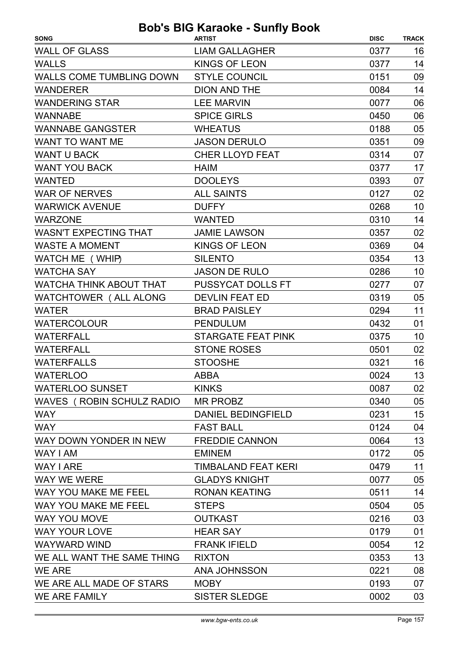| <b>SONG</b>                    | <b>ARTIST</b>              | <b>DISC</b> | <b>TRACK</b> |
|--------------------------------|----------------------------|-------------|--------------|
| <b>WALL OF GLASS</b>           | <b>LIAM GALLAGHER</b>      | 0377        | 16           |
| <b>WALLS</b>                   | <b>KINGS OF LEON</b>       | 0377        | 14           |
| WALLS COME TUMBLING DOWN       | <b>STYLE COUNCIL</b>       | 0151        | 09           |
| <b>WANDERER</b>                | <b>DION AND THE</b>        | 0084        | 14           |
| <b>WANDERING STAR</b>          | <b>LEE MARVIN</b>          | 0077        | 06           |
| <b>WANNABE</b>                 | <b>SPICE GIRLS</b>         | 0450        | 06           |
| <b>WANNABE GANGSTER</b>        | <b>WHEATUS</b>             | 0188        | 05           |
| WANT TO WANT ME                | <b>JASON DERULO</b>        | 0351        | 09           |
| <b>WANT U BACK</b>             | <b>CHER LLOYD FEAT</b>     | 0314        | 07           |
| <b>WANT YOU BACK</b>           | <b>HAIM</b>                | 0377        | 17           |
| <b>WANTED</b>                  | <b>DOOLEYS</b>             | 0393        | 07           |
| <b>WAR OF NERVES</b>           | <b>ALL SAINTS</b>          | 0127        | 02           |
| <b>WARWICK AVENUE</b>          | <b>DUFFY</b>               | 0268        | 10           |
| <b>WARZONE</b>                 | <b>WANTED</b>              | 0310        | 14           |
| <b>WASN'T EXPECTING THAT</b>   | <b>JAMIE LAWSON</b>        | 0357        | 02           |
| <b>WASTE A MOMENT</b>          | <b>KINGS OF LEON</b>       | 0369        | 04           |
| WATCH ME (WHIP)                | <b>SILENTO</b>             | 0354        | 13           |
| <b>WATCHA SAY</b>              | <b>JASON DE RULO</b>       | 0286        | 10           |
| <b>WATCHA THINK ABOUT THAT</b> | <b>PUSSYCAT DOLLS FT</b>   | 0277        | 07           |
| WATCHTOWER (ALL ALONG          | <b>DEVLIN FEAT ED</b>      | 0319        | 05           |
| <b>WATER</b>                   | <b>BRAD PAISLEY</b>        | 0294        | 11           |
| <b>WATERCOLOUR</b>             | <b>PENDULUM</b>            | 0432        | 01           |
| <b>WATERFALL</b>               | <b>STARGATE FEAT PINK</b>  | 0375        | 10           |
| <b>WATERFALL</b>               | <b>STONE ROSES</b>         | 0501        | 02           |
| <b>WATERFALLS</b>              | <b>STOOSHE</b>             | 0321        | 16           |
| <b>WATERLOO</b>                | <b>ABBA</b>                | 0024        | 13           |
| <b>WATERLOO SUNSET</b>         | <b>KINKS</b>               | 0087        | 02           |
| WAVES (ROBIN SCHULZ RADIO      | MR PROBZ                   | 0340        | 05           |
| <b>WAY</b>                     | <b>DANIEL BEDINGFIELD</b>  | 0231        | 15           |
| <b>WAY</b>                     | <b>FAST BALL</b>           | 0124        | 04           |
| WAY DOWN YONDER IN NEW         | <b>FREDDIE CANNON</b>      | 0064        | 13           |
| WAY I AM                       | <b>EMINEM</b>              | 0172        | 05           |
| <b>WAY I ARE</b>               | <b>TIMBALAND FEAT KERI</b> | 0479        | 11           |
| <b>WAY WE WERE</b>             | <b>GLADYS KNIGHT</b>       | 0077        | 05           |
| WAY YOU MAKE ME FEEL           | <b>RONAN KEATING</b>       | 0511        | 14           |
| WAY YOU MAKE ME FEEL           | <b>STEPS</b>               | 0504        | 05           |
| <b>WAY YOU MOVE</b>            | <b>OUTKAST</b>             | 0216        | 03           |
| <b>WAY YOUR LOVE</b>           | <b>HEAR SAY</b>            | 0179        | 01           |
| <b>WAYWARD WIND</b>            | <b>FRANK IFIELD</b>        | 0054        | 12           |
| WE ALL WANT THE SAME THING     | <b>RIXTON</b>              | 0353        | 13           |
| <b>WE ARE</b>                  | ANA JOHNSSON               | 0221        | 08           |
| WE ARE ALL MADE OF STARS       | <b>MOBY</b>                | 0193        | 07           |
| WE ARE FAMILY                  | <b>SISTER SLEDGE</b>       | 0002        | 03           |
|                                |                            |             |              |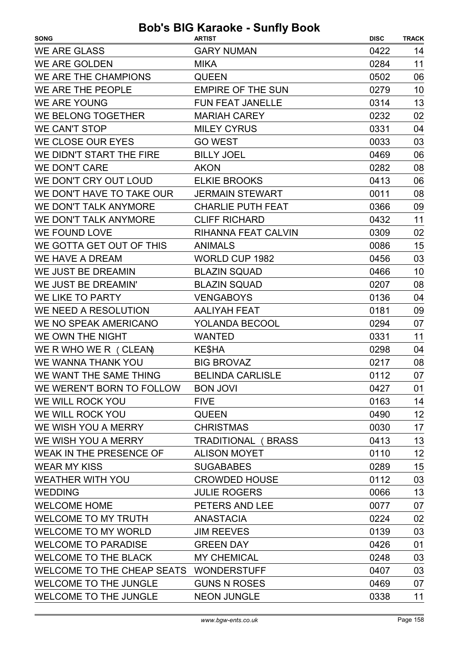| <b>SONG</b>                            | <b>ARTIST</b>            | <b>DISC</b> | <b>TRACK</b> |
|----------------------------------------|--------------------------|-------------|--------------|
| <b>WE ARE GLASS</b>                    | <b>GARY NUMAN</b>        | 0422        | 14           |
| <b>WE ARE GOLDEN</b>                   | <b>MIKA</b>              | 0284        | 11           |
| WE ARE THE CHAMPIONS                   | <b>QUEEN</b>             | 0502        | 06           |
| WE ARE THE PEOPLE                      | <b>EMPIRE OF THE SUN</b> | 0279        | 10           |
| <b>WE ARE YOUNG</b>                    | <b>FUN FEAT JANELLE</b>  | 0314        | 13           |
| WE BELONG TOGETHER                     | <b>MARIAH CAREY</b>      | 0232        | 02           |
| <b>WE CAN'T STOP</b>                   | <b>MILEY CYRUS</b>       | 0331        | 04           |
| WE CLOSE OUR EYES                      | <b>GO WEST</b>           | 0033        | 03           |
| WE DIDN'T START THE FIRE               | <b>BILLY JOEL</b>        | 0469        | 06           |
| <b>WE DON'T CARE</b>                   | <b>AKON</b>              | 0282        | 08           |
| WE DON'T CRY OUT LOUD                  | <b>ELKIE BROOKS</b>      | 0413        | 06           |
| WE DON'T HAVE TO TAKE OUR              | <b>JERMAIN STEWART</b>   | 0011        | 08           |
| WE DON'T TALK ANYMORE                  | <b>CHARLIE PUTH FEAT</b> | 0366        | 09           |
| WE DON'T TALK ANYMORE                  | <b>CLIFF RICHARD</b>     | 0432        | 11           |
| <b>WE FOUND LOVE</b>                   | RIHANNA FEAT CALVIN      | 0309        | 02           |
| WE GOTTA GET OUT OF THIS               | <b>ANIMALS</b>           | 0086        | 15           |
| WE HAVE A DREAM                        | <b>WORLD CUP 1982</b>    | 0456        | 03           |
| WE JUST BE DREAMIN                     | <b>BLAZIN SQUAD</b>      | 0466        | 10           |
| WE JUST BE DREAMIN'                    | <b>BLAZIN SQUAD</b>      | 0207        | 08           |
| WE LIKE TO PARTY                       | <b>VENGABOYS</b>         | 0136        | 04           |
| WE NEED A RESOLUTION                   | <b>AALIYAH FEAT</b>      | 0181        | 09           |
| WE NO SPEAK AMERICANO                  | <b>YOLANDA BECOOL</b>    | 0294        | 07           |
| WE OWN THE NIGHT                       | <b>WANTED</b>            | 0331        | 11           |
| WE R WHO WE R ( CLEAN)                 | KE\$HA                   | 0298        | 04           |
| WE WANNA THANK YOU                     | <b>BIG BROVAZ</b>        | 0217        | 08           |
| WE WANT THE SAME THING                 | <b>BELINDA CARLISLE</b>  | 0112        | 07           |
| WE WEREN'T BORN TO FOLLOW BON JOVI     |                          | 0427        | 01           |
| WE WILL ROCK YOU                       | <b>FIVE</b>              | 0163        | 14           |
| WE WILL ROCK YOU                       | <b>QUEEN</b>             | 0490        | 12           |
| WE WISH YOU A MERRY                    | <b>CHRISTMAS</b>         | 0030        | 17           |
| WE WISH YOU A MERRY                    | TRADITIONAL (BRASS       | 0413        | 13           |
| WEAK IN THE PRESENCE OF                | <b>ALISON MOYET</b>      | 0110        | 12           |
| <b>WEAR MY KISS</b>                    | <b>SUGABABES</b>         | 0289        | 15           |
| <b>WEATHER WITH YOU</b>                | <b>CROWDED HOUSE</b>     | 0112        | 03           |
| <b>WEDDING</b>                         | <b>JULIE ROGERS</b>      | 0066        | 13           |
| <b>WELCOME HOME</b>                    | PETERS AND LEE           | 0077        | 07           |
| WELCOME TO MY TRUTH                    | <b>ANASTACIA</b>         | 0224        | 02           |
| WELCOME TO MY WORLD                    | <b>JIM REEVES</b>        | 0139        | 03           |
| <b>WELCOME TO PARADISE</b>             | <b>GREEN DAY</b>         | 0426        | 01           |
| <b>WELCOME TO THE BLACK</b>            | <b>MY CHEMICAL</b>       | 0248        | 03           |
| WELCOME TO THE CHEAP SEATS WONDERSTUFF |                          | 0407        | 03           |
| <b>WELCOME TO THE JUNGLE</b>           | <b>GUNS N ROSES</b>      | 0469        | 07           |
| WELCOME TO THE JUNGLE                  | <b>NEON JUNGLE</b>       | 0338        | 11           |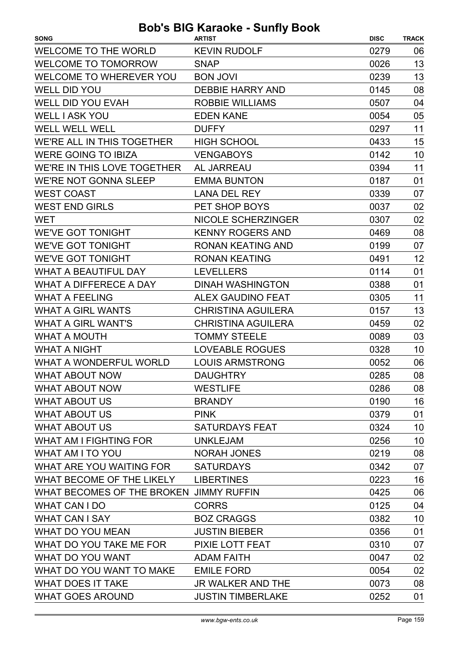| <b>SONG</b>                             | <b>ARTIST</b>             | <b>DISC</b> | <b>TRACK</b> |
|-----------------------------------------|---------------------------|-------------|--------------|
| <b>WELCOME TO THE WORLD</b>             | <b>KEVIN RUDOLF</b>       | 0279        | 06           |
| <b>WELCOME TO TOMORROW</b>              | <b>SNAP</b>               | 0026        | 13           |
| WELCOME TO WHEREVER YOU                 | <b>BON JOVI</b>           | 0239        | 13           |
| <b>WELL DID YOU</b>                     | <b>DEBBIE HARRY AND</b>   | 0145        | 08           |
| <b>WELL DID YOU EVAH</b>                | <b>ROBBIE WILLIAMS</b>    | 0507        | 04           |
| <b>WELL I ASK YOU</b>                   | <b>EDEN KANE</b>          | 0054        | 05           |
| <b>WELL WELL WELL</b>                   | <b>DUFFY</b>              | 0297        | 11           |
| WE'RE ALL IN THIS TOGETHER              | <b>HIGH SCHOOL</b>        | 0433        | 15           |
| <b>WERE GOING TO IBIZA</b>              | <b>VENGABOYS</b>          | 0142        | 10           |
| WE'RE IN THIS LOVE TOGETHER             | <b>AL JARREAU</b>         | 0394        | 11           |
| <b>WE'RE NOT GONNA SLEEP</b>            | <b>EMMA BUNTON</b>        | 0187        | 01           |
| <b>WEST COAST</b>                       | <b>LANA DEL REY</b>       | 0339        | 07           |
| <b>WEST END GIRLS</b>                   | PET SHOP BOYS             | 0037        | 02           |
| <b>WET</b>                              | <b>NICOLE SCHERZINGER</b> | 0307        | 02           |
| <b>WE'VE GOT TONIGHT</b>                | <b>KENNY ROGERS AND</b>   | 0469        | 08           |
| <b>WE'VE GOT TONIGHT</b>                | <b>RONAN KEATING AND</b>  | 0199        | 07           |
| <b>WE'VE GOT TONIGHT</b>                | <b>RONAN KEATING</b>      | 0491        | 12           |
| <b>WHAT A BEAUTIFUL DAY</b>             | <b>LEVELLERS</b>          | 0114        | 01           |
| <b>WHAT A DIFFERECE A DAY</b>           | <b>DINAH WASHINGTON</b>   | 0388        | 01           |
| <b>WHAT A FEELING</b>                   | <b>ALEX GAUDINO FEAT</b>  | 0305        | 11           |
| <b>WHAT A GIRL WANTS</b>                | <b>CHRISTINA AGUILERA</b> | 0157        | 13           |
| <b>WHAT A GIRL WANT'S</b>               | <b>CHRISTINA AGUILERA</b> | 0459        | 02           |
| <b>WHAT A MOUTH</b>                     | <b>TOMMY STEELE</b>       | 0089        | 03           |
| <b>WHAT A NIGHT</b>                     | <b>LOVEABLE ROGUES</b>    | 0328        | 10           |
| <b>WHAT A WONDERFUL WORLD</b>           | <b>LOUIS ARMSTRONG</b>    | 0052        | 06           |
| <b>WHAT ABOUT NOW</b>                   | <b>DAUGHTRY</b>           | 0285        | 08           |
| <b>WHAT ABOUT NOW</b>                   | <b>WESTLIFE</b>           | 0286        | 08           |
| <b>WHAT ABOUT US</b>                    | <b>BRANDY</b>             | 0190        | 16           |
| <b>WHAT ABOUT US</b>                    | <b>PINK</b>               | 0379        | 01           |
| <b>WHAT ABOUT US</b>                    | <b>SATURDAYS FEAT</b>     | 0324        | 10           |
| <b>WHAT AM I FIGHTING FOR</b>           | <b>UNKLEJAM</b>           | 0256        | 10           |
| <b>WHAT AM I TO YOU</b>                 | <b>NORAH JONES</b>        | 0219        | 08           |
| WHAT ARE YOU WAITING FOR                | <b>SATURDAYS</b>          | 0342        | 07           |
| WHAT BECOME OF THE LIKELY               | <b>LIBERTINES</b>         | 0223        | 16           |
| WHAT BECOMES OF THE BROKEN JIMMY RUFFIN |                           | 0425        | 06           |
| WHAT CAN I DO                           | <b>CORRS</b>              | 0125        | 04           |
| <b>WHAT CAN I SAY</b>                   | <b>BOZ CRAGGS</b>         | 0382        | 10           |
| <b>WHAT DO YOU MEAN</b>                 | <b>JUSTIN BIEBER</b>      | 0356        | 01           |
| WHAT DO YOU TAKE ME FOR                 | PIXIE LOTT FEAT           | 0310        | 07           |
| WHAT DO YOU WANT                        | <b>ADAM FAITH</b>         | 0047        | 02           |
| WHAT DO YOU WANT TO MAKE                | <b>EMILE FORD</b>         | 0054        | 02           |
| <b>WHAT DOES IT TAKE</b>                | <b>JR WALKER AND THE</b>  | 0073        | 08           |
| <b>WHAT GOES AROUND</b>                 | <b>JUSTIN TIMBERLAKE</b>  | 0252        | 01           |
|                                         |                           |             |              |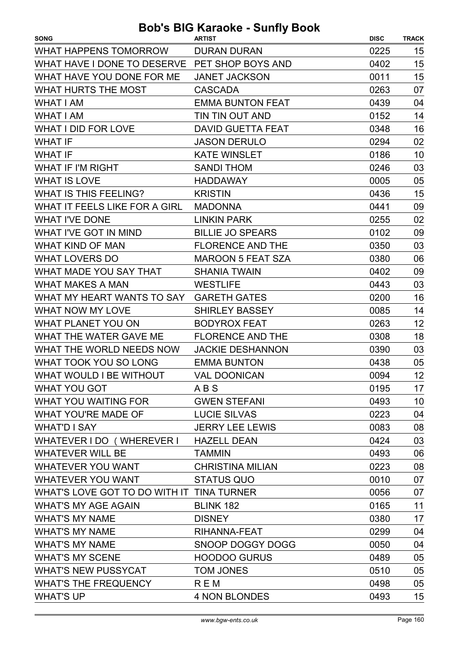| <b>SONG</b>                                   | <b>ARTIST</b>            | <b>DISC</b> | <b>TRACK</b> |
|-----------------------------------------------|--------------------------|-------------|--------------|
| <b>WHAT HAPPENS TOMORROW</b>                  | <b>DURAN DURAN</b>       | 0225        | 15           |
| WHAT HAVE I DONE TO DESERVE PET SHOP BOYS AND |                          | 0402        | 15           |
| WHAT HAVE YOU DONE FOR ME                     | <b>JANET JACKSON</b>     | 0011        | 15           |
| <b>WHAT HURTS THE MOST</b>                    | <b>CASCADA</b>           | 0263        | 07           |
| <b>WHAT I AM</b>                              | <b>EMMA BUNTON FEAT</b>  | 0439        | 04           |
| <b>WHAT I AM</b>                              | TIN TIN OUT AND          | 0152        | 14           |
| <b>WHAT I DID FOR LOVE</b>                    | <b>DAVID GUETTA FEAT</b> | 0348        | 16           |
| <b>WHAT IF</b>                                | <b>JASON DERULO</b>      | 0294        | 02           |
| <b>WHAT IF</b>                                | <b>KATE WINSLET</b>      | 0186        | 10           |
| WHAT IF I'M RIGHT                             | <b>SANDI THOM</b>        | 0246        | 03           |
| <b>WHAT IS LOVE</b>                           | <b>HADDAWAY</b>          | 0005        | 05           |
| <b>WHAT IS THIS FEELING?</b>                  | <b>KRISTIN</b>           | 0436        | 15           |
| WHAT IT FEELS LIKE FOR A GIRL                 | <b>MADONNA</b>           | 0441        | 09           |
| <b>WHAT I'VE DONE</b>                         | <b>LINKIN PARK</b>       | 0255        | 02           |
| WHAT I'VE GOT IN MIND                         | <b>BILLIE JO SPEARS</b>  | 0102        | 09           |
| <b>WHAT KIND OF MAN</b>                       | <b>FLORENCE AND THE</b>  | 0350        | 03           |
| <b>WHAT LOVERS DO</b>                         | <b>MAROON 5 FEAT SZA</b> | 0380        | 06           |
| WHAT MADE YOU SAY THAT                        | <b>SHANIA TWAIN</b>      | 0402        | 09           |
| <b>WHAT MAKES A MAN</b>                       | <b>WESTLIFE</b>          | 0443        | 03           |
| WHAT MY HEART WANTS TO SAY                    | <b>GARETH GATES</b>      | 0200        | 16           |
| <b>WHAT NOW MY LOVE</b>                       | <b>SHIRLEY BASSEY</b>    | 0085        | 14           |
| <b>WHAT PLANET YOU ON</b>                     | <b>BODYROX FEAT</b>      | 0263        | 12           |
| WHAT THE WATER GAVE ME                        | <b>FLORENCE AND THE</b>  | 0308        | 18           |
| WHAT THE WORLD NEEDS NOW                      | <b>JACKIE DESHANNON</b>  | 0390        | 03           |
| <b>WHAT TOOK YOU SO LONG</b>                  | <b>EMMA BUNTON</b>       | 0438        | 05           |
| <b>WHAT WOULD I BE WITHOUT</b>                | <b>VAL DOONICAN</b>      | 0094        | 12           |
| <b>WHAT YOU GOT</b>                           | <b>ABS</b>               | 0195        | 17           |
| <b>WHAT YOU WAITING FOR</b>                   | <b>GWEN STEFANI</b>      | 0493        | 10           |
| <b>WHAT YOU'RE MADE OF</b>                    | <b>LUCIE SILVAS</b>      | 0223        | 04           |
| <b>WHAT'D I SAY</b>                           | <b>JERRY LEE LEWIS</b>   | 0083        | 08           |
| WHATEVER I DO (WHEREVER I                     | <b>HAZELL DEAN</b>       | 0424        | 03           |
| <b>WHATEVER WILL BE</b>                       | <b>TAMMIN</b>            | 0493        | 06           |
| <b>WHATEVER YOU WANT</b>                      | <b>CHRISTINA MILIAN</b>  | 0223        | 08           |
| <b>WHATEVER YOU WANT</b>                      | <b>STATUS QUO</b>        | 0010        | 07           |
| WHAT'S LOVE GOT TO DO WITH IT TINA TURNER     |                          | 0056        | 07           |
| <b>WHAT'S MY AGE AGAIN</b>                    | <b>BLINK 182</b>         | 0165        | 11           |
| <b>WHAT'S MY NAME</b>                         | <b>DISNEY</b>            | 0380        | 17           |
| <b>WHAT'S MY NAME</b>                         | RIHANNA-FEAT             | 0299        | 04           |
| <b>WHAT'S MY NAME</b>                         | SNOOP DOGGY DOGG         | 0050        | 04           |
| <b>WHAT'S MY SCENE</b>                        | <b>HOODOO GURUS</b>      | 0489        | 05           |
| <b>WHAT'S NEW PUSSYCAT</b>                    | <b>TOM JONES</b>         | 0510        | 05           |
| <b>WHAT'S THE FREQUENCY</b>                   | <b>REM</b>               | 0498        | 05           |
| <b>WHAT'S UP</b>                              | <b>4 NON BLONDES</b>     | 0493        | 15           |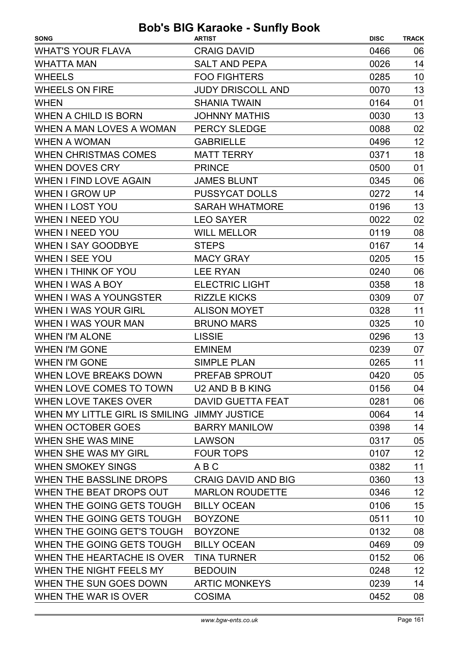| <b>CRAIG DAVID</b><br>0466<br>06<br><b>SALT AND PEPA</b><br>0026<br>14<br><b>FOO FIGHTERS</b><br>0285<br>10<br>13<br><b>WHEELS ON FIRE</b><br><b>JUDY DRISCOLL AND</b><br>0070<br>0164<br>01<br><b>WHEN</b><br><b>SHANIA TWAIN</b><br>0030<br>13<br><b>JOHNNY MATHIS</b><br>WHEN A MAN LOVES A WOMAN<br><b>PERCY SLEDGE</b><br>0088<br>02<br>12<br>0496<br><b>GABRIELLE</b><br><b>MATT TERRY</b><br>18<br><b>WHEN CHRISTMAS COMES</b><br>0371<br>01<br><b>PRINCE</b><br>0500<br><b>WHEN I FIND LOVE AGAIN</b><br><b>JAMES BLUNT</b><br>0345<br>06<br><b>PUSSYCAT DOLLS</b><br>14<br>0272<br>13<br><b>SARAH WHATMORE</b><br>0196<br>02<br><b>LEO SAYER</b><br>0022<br><b>WILL MELLOR</b><br>0119<br>08<br>14<br><b>WHEN I SAY GOODBYE</b><br><b>STEPS</b><br>0167<br>15<br><b>MACY GRAY</b><br>0205<br><b>LEE RYAN</b><br>06<br>0240<br>18<br>WHEN I WAS A BOY<br><b>ELECTRIC LIGHT</b><br>0358<br><b>RIZZLE KICKS</b><br>0309<br>07<br>WHEN I WAS A YOUNGSTER<br><b>WHEN I WAS YOUR GIRL</b><br><b>ALISON MOYET</b><br>0328<br>11<br><b>BRUNO MARS</b><br>0325<br>10<br>13<br><b>LISSIE</b><br>0296<br>07<br><b>EMINEM</b><br>0239<br>11<br><b>SIMPLE PLAN</b><br>0265<br>WHEN LOVE BREAKS DOWN<br>0420<br>05<br>PREFAB SPROUT<br>WHEN LOVE COMES TO TOWN U2 AND B B KING<br>0156<br>04<br>DAVID GUETTA FEAT<br>0281<br>06<br>14<br>WHEN MY LITTLE GIRL IS SMILING JIMMY JUSTICE<br>0064<br><b>BARRY MANILOW</b><br>0398<br>14<br>05<br><b>LAWSON</b><br>0317<br>12<br><b>FOUR TOPS</b><br>0107<br>11<br>ABC<br>0382<br>13<br>0360<br><b>CRAIG DAVID AND BIG</b><br>12<br><b>MARLON ROUDETTE</b><br>0346<br>15<br><b>BILLY OCEAN</b><br>0106<br>10<br><b>BOYZONE</b><br>0511<br><b>BOYZONE</b><br>0132<br>08<br><b>BILLY OCEAN</b><br>0469<br>09<br><b>TINA TURNER</b><br>06<br>0152<br><b>BEDOUIN</b><br>0248<br><b>ARTIC MONKEYS</b><br>0239<br>14 | <b>SONG</b>                | <b>ARTIST</b> | <b>DISC</b> | <b>TRACK</b> |
|------------------------------------------------------------------------------------------------------------------------------------------------------------------------------------------------------------------------------------------------------------------------------------------------------------------------------------------------------------------------------------------------------------------------------------------------------------------------------------------------------------------------------------------------------------------------------------------------------------------------------------------------------------------------------------------------------------------------------------------------------------------------------------------------------------------------------------------------------------------------------------------------------------------------------------------------------------------------------------------------------------------------------------------------------------------------------------------------------------------------------------------------------------------------------------------------------------------------------------------------------------------------------------------------------------------------------------------------------------------------------------------------------------------------------------------------------------------------------------------------------------------------------------------------------------------------------------------------------------------------------------------------------------------------------------------------------------------------------------------------------------------------------------------------------------------------------------------------------|----------------------------|---------------|-------------|--------------|
|                                                                                                                                                                                                                                                                                                                                                                                                                                                                                                                                                                                                                                                                                                                                                                                                                                                                                                                                                                                                                                                                                                                                                                                                                                                                                                                                                                                                                                                                                                                                                                                                                                                                                                                                                                                                                                                      | <b>WHAT'S YOUR FLAVA</b>   |               |             |              |
|                                                                                                                                                                                                                                                                                                                                                                                                                                                                                                                                                                                                                                                                                                                                                                                                                                                                                                                                                                                                                                                                                                                                                                                                                                                                                                                                                                                                                                                                                                                                                                                                                                                                                                                                                                                                                                                      | <b>WHATTA MAN</b>          |               |             |              |
|                                                                                                                                                                                                                                                                                                                                                                                                                                                                                                                                                                                                                                                                                                                                                                                                                                                                                                                                                                                                                                                                                                                                                                                                                                                                                                                                                                                                                                                                                                                                                                                                                                                                                                                                                                                                                                                      | <b>WHEELS</b>              |               |             |              |
|                                                                                                                                                                                                                                                                                                                                                                                                                                                                                                                                                                                                                                                                                                                                                                                                                                                                                                                                                                                                                                                                                                                                                                                                                                                                                                                                                                                                                                                                                                                                                                                                                                                                                                                                                                                                                                                      |                            |               |             |              |
|                                                                                                                                                                                                                                                                                                                                                                                                                                                                                                                                                                                                                                                                                                                                                                                                                                                                                                                                                                                                                                                                                                                                                                                                                                                                                                                                                                                                                                                                                                                                                                                                                                                                                                                                                                                                                                                      |                            |               |             |              |
|                                                                                                                                                                                                                                                                                                                                                                                                                                                                                                                                                                                                                                                                                                                                                                                                                                                                                                                                                                                                                                                                                                                                                                                                                                                                                                                                                                                                                                                                                                                                                                                                                                                                                                                                                                                                                                                      | WHEN A CHILD IS BORN       |               |             |              |
|                                                                                                                                                                                                                                                                                                                                                                                                                                                                                                                                                                                                                                                                                                                                                                                                                                                                                                                                                                                                                                                                                                                                                                                                                                                                                                                                                                                                                                                                                                                                                                                                                                                                                                                                                                                                                                                      |                            |               |             |              |
|                                                                                                                                                                                                                                                                                                                                                                                                                                                                                                                                                                                                                                                                                                                                                                                                                                                                                                                                                                                                                                                                                                                                                                                                                                                                                                                                                                                                                                                                                                                                                                                                                                                                                                                                                                                                                                                      | <b>WHEN A WOMAN</b>        |               |             |              |
|                                                                                                                                                                                                                                                                                                                                                                                                                                                                                                                                                                                                                                                                                                                                                                                                                                                                                                                                                                                                                                                                                                                                                                                                                                                                                                                                                                                                                                                                                                                                                                                                                                                                                                                                                                                                                                                      |                            |               |             |              |
|                                                                                                                                                                                                                                                                                                                                                                                                                                                                                                                                                                                                                                                                                                                                                                                                                                                                                                                                                                                                                                                                                                                                                                                                                                                                                                                                                                                                                                                                                                                                                                                                                                                                                                                                                                                                                                                      | <b>WHEN DOVES CRY</b>      |               |             |              |
|                                                                                                                                                                                                                                                                                                                                                                                                                                                                                                                                                                                                                                                                                                                                                                                                                                                                                                                                                                                                                                                                                                                                                                                                                                                                                                                                                                                                                                                                                                                                                                                                                                                                                                                                                                                                                                                      |                            |               |             |              |
|                                                                                                                                                                                                                                                                                                                                                                                                                                                                                                                                                                                                                                                                                                                                                                                                                                                                                                                                                                                                                                                                                                                                                                                                                                                                                                                                                                                                                                                                                                                                                                                                                                                                                                                                                                                                                                                      | <b>WHEN I GROW UP</b>      |               |             |              |
|                                                                                                                                                                                                                                                                                                                                                                                                                                                                                                                                                                                                                                                                                                                                                                                                                                                                                                                                                                                                                                                                                                                                                                                                                                                                                                                                                                                                                                                                                                                                                                                                                                                                                                                                                                                                                                                      | <b>WHEN I LOST YOU</b>     |               |             |              |
|                                                                                                                                                                                                                                                                                                                                                                                                                                                                                                                                                                                                                                                                                                                                                                                                                                                                                                                                                                                                                                                                                                                                                                                                                                                                                                                                                                                                                                                                                                                                                                                                                                                                                                                                                                                                                                                      | <b>WHEN I NEED YOU</b>     |               |             |              |
|                                                                                                                                                                                                                                                                                                                                                                                                                                                                                                                                                                                                                                                                                                                                                                                                                                                                                                                                                                                                                                                                                                                                                                                                                                                                                                                                                                                                                                                                                                                                                                                                                                                                                                                                                                                                                                                      | <b>WHEN I NEED YOU</b>     |               |             |              |
|                                                                                                                                                                                                                                                                                                                                                                                                                                                                                                                                                                                                                                                                                                                                                                                                                                                                                                                                                                                                                                                                                                                                                                                                                                                                                                                                                                                                                                                                                                                                                                                                                                                                                                                                                                                                                                                      |                            |               |             |              |
|                                                                                                                                                                                                                                                                                                                                                                                                                                                                                                                                                                                                                                                                                                                                                                                                                                                                                                                                                                                                                                                                                                                                                                                                                                                                                                                                                                                                                                                                                                                                                                                                                                                                                                                                                                                                                                                      | <b>WHEN I SEE YOU</b>      |               |             |              |
|                                                                                                                                                                                                                                                                                                                                                                                                                                                                                                                                                                                                                                                                                                                                                                                                                                                                                                                                                                                                                                                                                                                                                                                                                                                                                                                                                                                                                                                                                                                                                                                                                                                                                                                                                                                                                                                      | <b>WHEN I THINK OF YOU</b> |               |             |              |
|                                                                                                                                                                                                                                                                                                                                                                                                                                                                                                                                                                                                                                                                                                                                                                                                                                                                                                                                                                                                                                                                                                                                                                                                                                                                                                                                                                                                                                                                                                                                                                                                                                                                                                                                                                                                                                                      |                            |               |             |              |
|                                                                                                                                                                                                                                                                                                                                                                                                                                                                                                                                                                                                                                                                                                                                                                                                                                                                                                                                                                                                                                                                                                                                                                                                                                                                                                                                                                                                                                                                                                                                                                                                                                                                                                                                                                                                                                                      |                            |               |             |              |
|                                                                                                                                                                                                                                                                                                                                                                                                                                                                                                                                                                                                                                                                                                                                                                                                                                                                                                                                                                                                                                                                                                                                                                                                                                                                                                                                                                                                                                                                                                                                                                                                                                                                                                                                                                                                                                                      |                            |               |             |              |
|                                                                                                                                                                                                                                                                                                                                                                                                                                                                                                                                                                                                                                                                                                                                                                                                                                                                                                                                                                                                                                                                                                                                                                                                                                                                                                                                                                                                                                                                                                                                                                                                                                                                                                                                                                                                                                                      | <b>WHEN I WAS YOUR MAN</b> |               |             |              |
|                                                                                                                                                                                                                                                                                                                                                                                                                                                                                                                                                                                                                                                                                                                                                                                                                                                                                                                                                                                                                                                                                                                                                                                                                                                                                                                                                                                                                                                                                                                                                                                                                                                                                                                                                                                                                                                      | <b>WHEN I'M ALONE</b>      |               |             |              |
|                                                                                                                                                                                                                                                                                                                                                                                                                                                                                                                                                                                                                                                                                                                                                                                                                                                                                                                                                                                                                                                                                                                                                                                                                                                                                                                                                                                                                                                                                                                                                                                                                                                                                                                                                                                                                                                      | <b>WHEN I'M GONE</b>       |               |             |              |
|                                                                                                                                                                                                                                                                                                                                                                                                                                                                                                                                                                                                                                                                                                                                                                                                                                                                                                                                                                                                                                                                                                                                                                                                                                                                                                                                                                                                                                                                                                                                                                                                                                                                                                                                                                                                                                                      | <b>WHEN I'M GONE</b>       |               |             |              |
|                                                                                                                                                                                                                                                                                                                                                                                                                                                                                                                                                                                                                                                                                                                                                                                                                                                                                                                                                                                                                                                                                                                                                                                                                                                                                                                                                                                                                                                                                                                                                                                                                                                                                                                                                                                                                                                      |                            |               |             |              |
|                                                                                                                                                                                                                                                                                                                                                                                                                                                                                                                                                                                                                                                                                                                                                                                                                                                                                                                                                                                                                                                                                                                                                                                                                                                                                                                                                                                                                                                                                                                                                                                                                                                                                                                                                                                                                                                      |                            |               |             |              |
|                                                                                                                                                                                                                                                                                                                                                                                                                                                                                                                                                                                                                                                                                                                                                                                                                                                                                                                                                                                                                                                                                                                                                                                                                                                                                                                                                                                                                                                                                                                                                                                                                                                                                                                                                                                                                                                      | WHEN LOVE TAKES OVER       |               |             |              |
|                                                                                                                                                                                                                                                                                                                                                                                                                                                                                                                                                                                                                                                                                                                                                                                                                                                                                                                                                                                                                                                                                                                                                                                                                                                                                                                                                                                                                                                                                                                                                                                                                                                                                                                                                                                                                                                      |                            |               |             |              |
|                                                                                                                                                                                                                                                                                                                                                                                                                                                                                                                                                                                                                                                                                                                                                                                                                                                                                                                                                                                                                                                                                                                                                                                                                                                                                                                                                                                                                                                                                                                                                                                                                                                                                                                                                                                                                                                      | WHEN OCTOBER GOES          |               |             |              |
|                                                                                                                                                                                                                                                                                                                                                                                                                                                                                                                                                                                                                                                                                                                                                                                                                                                                                                                                                                                                                                                                                                                                                                                                                                                                                                                                                                                                                                                                                                                                                                                                                                                                                                                                                                                                                                                      | WHEN SHE WAS MINE          |               |             |              |
|                                                                                                                                                                                                                                                                                                                                                                                                                                                                                                                                                                                                                                                                                                                                                                                                                                                                                                                                                                                                                                                                                                                                                                                                                                                                                                                                                                                                                                                                                                                                                                                                                                                                                                                                                                                                                                                      | WHEN SHE WAS MY GIRL       |               |             |              |
|                                                                                                                                                                                                                                                                                                                                                                                                                                                                                                                                                                                                                                                                                                                                                                                                                                                                                                                                                                                                                                                                                                                                                                                                                                                                                                                                                                                                                                                                                                                                                                                                                                                                                                                                                                                                                                                      | <b>WHEN SMOKEY SINGS</b>   |               |             |              |
| 12                                                                                                                                                                                                                                                                                                                                                                                                                                                                                                                                                                                                                                                                                                                                                                                                                                                                                                                                                                                                                                                                                                                                                                                                                                                                                                                                                                                                                                                                                                                                                                                                                                                                                                                                                                                                                                                   | WHEN THE BASSLINE DROPS    |               |             |              |
|                                                                                                                                                                                                                                                                                                                                                                                                                                                                                                                                                                                                                                                                                                                                                                                                                                                                                                                                                                                                                                                                                                                                                                                                                                                                                                                                                                                                                                                                                                                                                                                                                                                                                                                                                                                                                                                      | WHEN THE BEAT DROPS OUT    |               |             |              |
|                                                                                                                                                                                                                                                                                                                                                                                                                                                                                                                                                                                                                                                                                                                                                                                                                                                                                                                                                                                                                                                                                                                                                                                                                                                                                                                                                                                                                                                                                                                                                                                                                                                                                                                                                                                                                                                      | WHEN THE GOING GETS TOUGH  |               |             |              |
|                                                                                                                                                                                                                                                                                                                                                                                                                                                                                                                                                                                                                                                                                                                                                                                                                                                                                                                                                                                                                                                                                                                                                                                                                                                                                                                                                                                                                                                                                                                                                                                                                                                                                                                                                                                                                                                      | WHEN THE GOING GETS TOUGH  |               |             |              |
|                                                                                                                                                                                                                                                                                                                                                                                                                                                                                                                                                                                                                                                                                                                                                                                                                                                                                                                                                                                                                                                                                                                                                                                                                                                                                                                                                                                                                                                                                                                                                                                                                                                                                                                                                                                                                                                      | WHEN THE GOING GET'S TOUGH |               |             |              |
|                                                                                                                                                                                                                                                                                                                                                                                                                                                                                                                                                                                                                                                                                                                                                                                                                                                                                                                                                                                                                                                                                                                                                                                                                                                                                                                                                                                                                                                                                                                                                                                                                                                                                                                                                                                                                                                      | WHEN THE GOING GETS TOUGH  |               |             |              |
|                                                                                                                                                                                                                                                                                                                                                                                                                                                                                                                                                                                                                                                                                                                                                                                                                                                                                                                                                                                                                                                                                                                                                                                                                                                                                                                                                                                                                                                                                                                                                                                                                                                                                                                                                                                                                                                      | WHEN THE HEARTACHE IS OVER |               |             |              |
|                                                                                                                                                                                                                                                                                                                                                                                                                                                                                                                                                                                                                                                                                                                                                                                                                                                                                                                                                                                                                                                                                                                                                                                                                                                                                                                                                                                                                                                                                                                                                                                                                                                                                                                                                                                                                                                      | WHEN THE NIGHT FEELS MY    |               |             |              |
|                                                                                                                                                                                                                                                                                                                                                                                                                                                                                                                                                                                                                                                                                                                                                                                                                                                                                                                                                                                                                                                                                                                                                                                                                                                                                                                                                                                                                                                                                                                                                                                                                                                                                                                                                                                                                                                      | WHEN THE SUN GOES DOWN     |               |             |              |
|                                                                                                                                                                                                                                                                                                                                                                                                                                                                                                                                                                                                                                                                                                                                                                                                                                                                                                                                                                                                                                                                                                                                                                                                                                                                                                                                                                                                                                                                                                                                                                                                                                                                                                                                                                                                                                                      | WHEN THE WAR IS OVER       | <b>COSIMA</b> | 0452        | 08           |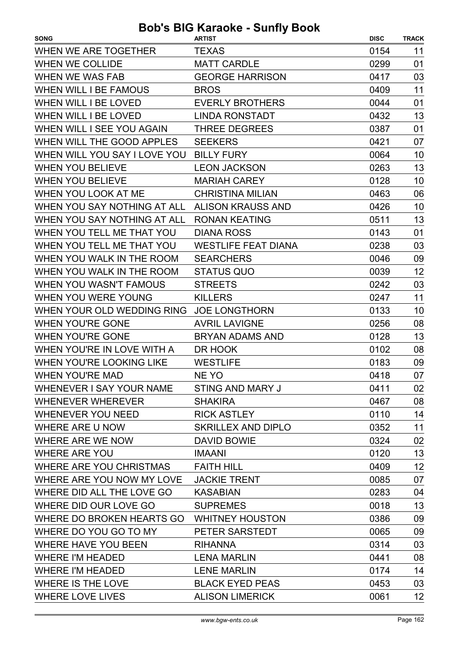| <b>SONG</b>                                   | <b>ARTIST</b>              | <b>DISC</b> | <b>TRACK</b> |
|-----------------------------------------------|----------------------------|-------------|--------------|
| WHEN WE ARE TOGETHER                          | <b>TEXAS</b>               | 0154        | 11           |
| <b>WHEN WE COLLIDE</b>                        | <b>MATT CARDLE</b>         | 0299        | 01           |
| <b>WHEN WE WAS FAB</b>                        | <b>GEORGE HARRISON</b>     | 0417        | 03           |
| <b>WHEN WILL I BE FAMOUS</b>                  | <b>BROS</b>                | 0409        | 11           |
| <b>WHEN WILL I BE LOVED</b>                   | <b>EVERLY BROTHERS</b>     | 0044        | 01           |
| <b>WHEN WILL I BE LOVED</b>                   | <b>LINDA RONSTADT</b>      | 0432        | 13           |
| WHEN WILL I SEE YOU AGAIN                     | <b>THREE DEGREES</b>       | 0387        | 01           |
| WHEN WILL THE GOOD APPLES                     | <b>SEEKERS</b>             | 0421        | 07           |
| WHEN WILL YOU SAY I LOVE YOU                  | <b>BILLY FURY</b>          | 0064        | 10           |
| <b>WHEN YOU BELIEVE</b>                       | <b>LEON JACKSON</b>        | 0263        | 13           |
| <b>WHEN YOU BELIEVE</b>                       | <b>MARIAH CAREY</b>        | 0128        | 10           |
| WHEN YOU LOOK AT ME                           | <b>CHRISTINA MILIAN</b>    | 0463        | 06           |
| WHEN YOU SAY NOTHING AT ALL ALISON KRAUSS AND |                            | 0426        | 10           |
| WHEN YOU SAY NOTHING AT ALL                   | <b>RONAN KEATING</b>       | 0511        | 13           |
| WHEN YOU TELL ME THAT YOU                     | <b>DIANA ROSS</b>          | 0143        | 01           |
| WHEN YOU TELL ME THAT YOU                     | <b>WESTLIFE FEAT DIANA</b> | 0238        | 03           |
| WHEN YOU WALK IN THE ROOM                     | <b>SEARCHERS</b>           | 0046        | 09           |
| WHEN YOU WALK IN THE ROOM                     | <b>STATUS QUO</b>          | 0039        | 12           |
| WHEN YOU WASN'T FAMOUS                        | <b>STREETS</b>             | 0242        | 03           |
| WHEN YOU WERE YOUNG                           | <b>KILLERS</b>             | 0247        | 11           |
| WHEN YOUR OLD WEDDING RING                    | <b>JOE LONGTHORN</b>       | 0133        | 10           |
| <b>WHEN YOU'RE GONE</b>                       | <b>AVRIL LAVIGNE</b>       | 0256        | 08           |
| <b>WHEN YOU'RE GONE</b>                       | <b>BRYAN ADAMS AND</b>     | 0128        | 13           |
| WHEN YOU'RE IN LOVE WITH A                    | DR HOOK                    | 0102        | 08           |
| WHEN YOU'RE LOOKING LIKE                      | <b>WESTLIFE</b>            | 0183        | 09           |
| <b>WHEN YOU'RE MAD</b>                        | NE YO                      | 0418        | 07           |
| WHENEVER I SAY YOUR NAME                      | STING AND MARY J           | 0411        | 02           |
| <b>WHENEVER WHEREVER</b>                      | <b>SHAKIRA</b>             | 0467        | 08           |
| <b>WHENEVER YOU NEED</b>                      | <b>RICK ASTLEY</b>         | 0110        | 14           |
| WHERE ARE U NOW                               | <b>SKRILLEX AND DIPLO</b>  | 0352        | 11           |
| WHERE ARE WE NOW                              | DAVID BOWIE                | 0324        | 02           |
| <b>WHERE ARE YOU</b>                          | <b>IMAANI</b>              | 0120        | 13           |
| WHERE ARE YOU CHRISTMAS                       | <b>FAITH HILL</b>          | 0409        | 12           |
| WHERE ARE YOU NOW MY LOVE JACKIE TRENT        |                            | 0085        | 07           |
| WHERE DID ALL THE LOVE GO                     | <b>KASABIAN</b>            | 0283        | 04           |
| WHERE DID OUR LOVE GO                         | <b>SUPREMES</b>            | 0018        | 13           |
| WHERE DO BROKEN HEARTS GO  WHITNEY HOUSTON    |                            | 0386        | 09           |
| WHERE DO YOU GO TO MY                         | PETER SARSTEDT             | 0065        | 09           |
| <b>WHERE HAVE YOU BEEN</b>                    | <b>RIHANNA</b>             | 0314        | 03           |
| <b>WHERE I'M HEADED</b>                       | <b>LENA MARLIN</b>         | 0441        | 08           |
| <b>WHERE I'M HEADED</b>                       | <b>LENE MARLIN</b>         | 0174        | 14           |
| <b>WHERE IS THE LOVE</b>                      | <b>BLACK EYED PEAS</b>     | 0453        | 03           |
|                                               |                            |             |              |
| <b>WHERE LOVE LIVES</b>                       | <b>ALISON LIMERICK</b>     | 0061        | 12           |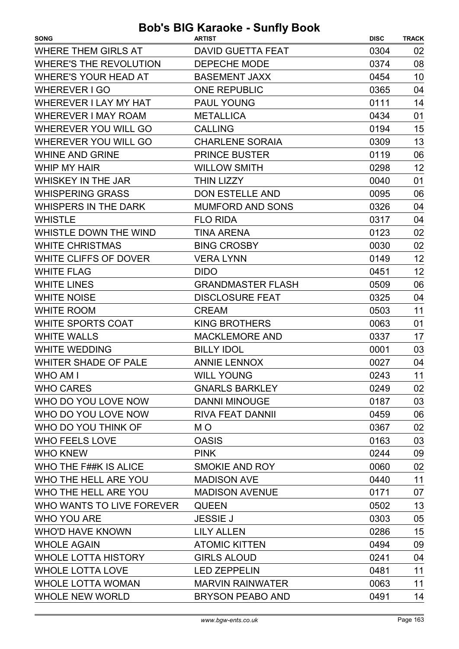| <b>SONG</b>                   | <b>ARTIST</b>            | <b>DISC</b> | <b>TRACK</b> |
|-------------------------------|--------------------------|-------------|--------------|
| <b>WHERE THEM GIRLS AT</b>    | <b>DAVID GUETTA FEAT</b> | 0304        | 02           |
| <b>WHERE'S THE REVOLUTION</b> | <b>DEPECHE MODE</b>      | 0374        | 08           |
| <b>WHERE'S YOUR HEAD AT</b>   | <b>BASEMENT JAXX</b>     | 0454        | 10           |
| <b>WHEREVER I GO</b>          | <b>ONE REPUBLIC</b>      | 0365        | 04           |
| <b>WHEREVER I LAY MY HAT</b>  | <b>PAUL YOUNG</b>        | 0111        | 14           |
| <b>WHEREVER I MAY ROAM</b>    | <b>METALLICA</b>         | 0434        | 01           |
| WHEREVER YOU WILL GO          | <b>CALLING</b>           | 0194        | 15           |
| WHEREVER YOU WILL GO          | <b>CHARLENE SORAIA</b>   | 0309        | 13           |
| <b>WHINE AND GRINE</b>        | <b>PRINCE BUSTER</b>     | 0119        | 06           |
| WHIP MY HAIR                  | <b>WILLOW SMITH</b>      | 0298        | 12           |
| <b>WHISKEY IN THE JAR</b>     | <b>THIN LIZZY</b>        | 0040        | 01           |
| <b>WHISPERING GRASS</b>       | DON ESTELLE AND          | 0095        | 06           |
| <b>WHISPERS IN THE DARK</b>   | <b>MUMFORD AND SONS</b>  | 0326        | 04           |
| <b>WHISTLE</b>                | <b>FLO RIDA</b>          | 0317        | 04           |
| WHISTLE DOWN THE WIND         | <b>TINA ARENA</b>        | 0123        | 02           |
| <b>WHITE CHRISTMAS</b>        | <b>BING CROSBY</b>       | 0030        | 02           |
| WHITE CLIFFS OF DOVER         | <b>VERA LYNN</b>         | 0149        | 12           |
| <b>WHITE FLAG</b>             | <b>DIDO</b>              | 0451        | 12           |
| <b>WHITE LINES</b>            | <b>GRANDMASTER FLASH</b> | 0509        | 06           |
| <b>WHITE NOISE</b>            | <b>DISCLOSURE FEAT</b>   | 0325        | 04           |
| <b>WHITE ROOM</b>             | <b>CREAM</b>             | 0503        | 11           |
| <b>WHITE SPORTS COAT</b>      | <b>KING BROTHERS</b>     | 0063        | 01           |
| <b>WHITE WALLS</b>            | <b>MACKLEMORE AND</b>    | 0337        | 17           |
| <b>WHITE WEDDING</b>          | <b>BILLY IDOL</b>        | 0001        | 03           |
| <b>WHITER SHADE OF PALE</b>   | <b>ANNIE LENNOX</b>      | 0027        | 04           |
| WHO AM I                      | <b>WILL YOUNG</b>        | 0243        | 11           |
| <b>WHO CARES</b>              | <b>GNARLS BARKLEY</b>    | 0249        | 02           |
| WHO DO YOU LOVE NOW           | <b>DANNI MINOUGE</b>     | 0187        | 03           |
| WHO DO YOU LOVE NOW           | <b>RIVA FEAT DANNII</b>  | 0459        | 06           |
| WHO DO YOU THINK OF           | M O                      | 0367        | 02           |
| <b>WHO FEELS LOVE</b>         | <b>OASIS</b>             | 0163        | 03           |
| <b>WHO KNEW</b>               | <b>PINK</b>              | 0244        | 09           |
| WHO THE F##K IS ALICE         | SMOKIE AND ROY           | 0060        | 02           |
| WHO THE HELL ARE YOU          | <b>MADISON AVE</b>       | 0440        | 11           |
| WHO THE HELL ARE YOU          | <b>MADISON AVENUE</b>    | 0171        | 07           |
| WHO WANTS TO LIVE FOREVER     | <b>QUEEN</b>             | 0502        | 13           |
| <b>WHO YOU ARE</b>            | <b>JESSIE J</b>          | 0303        | 05           |
| <b>WHO'D HAVE KNOWN</b>       | <b>LILY ALLEN</b>        | 0286        | 15           |
| <b>WHOLE AGAIN</b>            | <b>ATOMIC KITTEN</b>     | 0494        | 09           |
| <b>WHOLE LOTTA HISTORY</b>    | <b>GIRLS ALOUD</b>       | 0241        | 04           |
| <b>WHOLE LOTTA LOVE</b>       | <b>LED ZEPPELIN</b>      | 0481        | 11           |
| <b>WHOLE LOTTA WOMAN</b>      | <b>MARVIN RAINWATER</b>  | 0063        | 11           |
| <b>WHOLE NEW WORLD</b>        | <b>BRYSON PEABO AND</b>  | 0491        | 14           |
|                               |                          |             |              |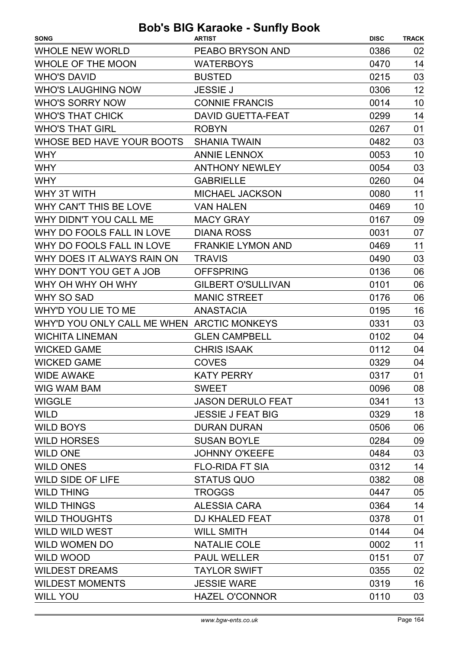| <b>SONG</b>                                | <b>ARTIST</b>             | <b>DISC</b> | <b>TRACK</b> |
|--------------------------------------------|---------------------------|-------------|--------------|
| <b>WHOLE NEW WORLD</b>                     | PEABO BRYSON AND          | 0386        | 02           |
| <b>WHOLE OF THE MOON</b>                   | <b>WATERBOYS</b>          | 0470        | 14           |
| <b>WHO'S DAVID</b>                         | <b>BUSTED</b>             | 0215        | 03           |
| <b>WHO'S LAUGHING NOW</b>                  | <b>JESSIE J</b>           | 0306        | 12           |
| <b>WHO'S SORRY NOW</b>                     | <b>CONNIE FRANCIS</b>     | 0014        | 10           |
| <b>WHO'S THAT CHICK</b>                    | <b>DAVID GUETTA-FEAT</b>  | 0299        | 14           |
| <b>WHO'S THAT GIRL</b>                     | <b>ROBYN</b>              | 0267        | 01           |
| WHOSE BED HAVE YOUR BOOTS                  | <b>SHANIA TWAIN</b>       | 0482        | 03           |
| <b>WHY</b>                                 | <b>ANNIE LENNOX</b>       | 0053        | 10           |
| <b>WHY</b>                                 | <b>ANTHONY NEWLEY</b>     | 0054        | 03           |
| <b>WHY</b>                                 | <b>GABRIELLE</b>          | 0260        | 04           |
| WHY 3T WITH                                | MICHAEL JACKSON           | 0080        | 11           |
| WHY CAN'T THIS BE LOVE                     | <b>VAN HALEN</b>          | 0469        | 10           |
| WHY DIDN'T YOU CALL ME                     | <b>MACY GRAY</b>          | 0167        | 09           |
| WHY DO FOOLS FALL IN LOVE                  | <b>DIANA ROSS</b>         | 0031        | 07           |
| WHY DO FOOLS FALL IN LOVE                  | <b>FRANKIE LYMON AND</b>  | 0469        | 11           |
| WHY DOES IT ALWAYS RAIN ON                 | <b>TRAVIS</b>             | 0490        | 03           |
| WHY DON'T YOU GET A JOB                    | <b>OFFSPRING</b>          | 0136        | 06           |
| WHY OH WHY OH WHY                          | <b>GILBERT O'SULLIVAN</b> | 0101        | 06           |
| <b>WHY SO SAD</b>                          | <b>MANIC STREET</b>       | 0176        | 06           |
| WHY'D YOU LIE TO ME                        | <b>ANASTACIA</b>          | 0195        | 16           |
| WHY'D YOU ONLY CALL ME WHEN ARCTIC MONKEYS |                           | 0331        | 03           |
| <b>WICHITA LINEMAN</b>                     | <b>GLEN CAMPBELL</b>      | 0102        | 04           |
| <b>WICKED GAME</b>                         | <b>CHRIS ISAAK</b>        | 0112        | 04           |
| <b>WICKED GAME</b>                         | <b>COVES</b>              | 0329        | 04           |
| <b>WIDE AWAKE</b>                          | <b>KATY PERRY</b>         | 0317        | 01           |
| <b>WIG WAM BAM</b>                         | <b>SWEET</b>              | 0096        | 08           |
| <b>WIGGLE</b>                              | <b>JASON DERULO FEAT</b>  | 0341        | 13           |
| <b>WILD</b>                                | <b>JESSIE J FEAT BIG</b>  | 0329        | 18           |
| <b>WILD BOYS</b>                           | <b>DURAN DURAN</b>        | 0506        | 06           |
| <b>WILD HORSES</b>                         | <b>SUSAN BOYLE</b>        | 0284        | 09           |
| <b>WILD ONE</b>                            | <b>JOHNNY O'KEEFE</b>     | 0484        | 03           |
| <b>WILD ONES</b>                           | <b>FLO-RIDA FT SIA</b>    | 0312        | 14           |
| <b>WILD SIDE OF LIFE</b>                   | <b>STATUS QUO</b>         | 0382        | 08           |
| <b>WILD THING</b>                          | <b>TROGGS</b>             | 0447        | 05           |
| <b>WILD THINGS</b>                         | <b>ALESSIA CARA</b>       | 0364        | 14           |
| <b>WILD THOUGHTS</b>                       | <b>DJ KHALED FEAT</b>     | 0378        | 01           |
| <b>WILD WILD WEST</b>                      | <b>WILL SMITH</b>         | 0144        | 04           |
| <b>WILD WOMEN DO</b>                       | <b>NATALIE COLE</b>       | 0002        | 11           |
| <b>WILD WOOD</b>                           | <b>PAUL WELLER</b>        | 0151        | 07           |
| <b>WILDEST DREAMS</b>                      | <b>TAYLOR SWIFT</b>       | 0355        | 02           |
| <b>WILDEST MOMENTS</b>                     | <b>JESSIE WARE</b>        | 0319        | 16           |
| <b>WILL YOU</b>                            | <b>HAZEL O'CONNOR</b>     | 0110        | 03           |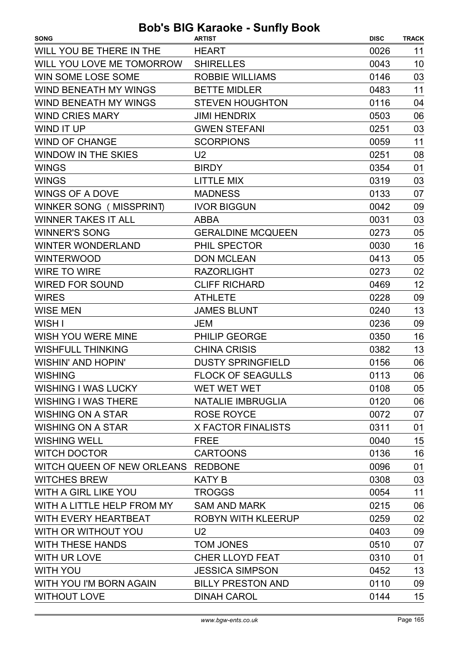| <b>SONG</b>                  | <b>ARTIST</b>             | <b>DISC</b> | <b>TRACK</b> |
|------------------------------|---------------------------|-------------|--------------|
| WILL YOU BE THERE IN THE     | <b>HEART</b>              | 0026        | 11           |
| WILL YOU LOVE ME TOMORROW    | <b>SHIRELLES</b>          | 0043        | 10           |
| <b>WIN SOME LOSE SOME</b>    | <b>ROBBIE WILLIAMS</b>    | 0146        | 03           |
| <b>WIND BENEATH MY WINGS</b> | <b>BETTE MIDLER</b>       | 0483        | 11           |
| <b>WIND BENEATH MY WINGS</b> | <b>STEVEN HOUGHTON</b>    | 0116        | 04           |
| <b>WIND CRIES MARY</b>       | <b>JIMI HENDRIX</b>       | 0503        | 06           |
| <b>WIND IT UP</b>            | <b>GWEN STEFANI</b>       | 0251        | 03           |
| <b>WIND OF CHANGE</b>        | <b>SCORPIONS</b>          | 0059        | 11           |
| <b>WINDOW IN THE SKIES</b>   | U <sub>2</sub>            | 0251        | 08           |
| <b>WINGS</b>                 | <b>BIRDY</b>              | 0354        | 01           |
| <b>WINGS</b>                 | <b>LITTLE MIX</b>         | 0319        | 03           |
| <b>WINGS OF A DOVE</b>       | <b>MADNESS</b>            | 0133        | 07           |
| WINKER SONG (MISSPRINT)      | <b>IVOR BIGGUN</b>        | 0042        | 09           |
| <b>WINNER TAKES IT ALL</b>   | <b>ABBA</b>               | 0031        | 03           |
| <b>WINNER'S SONG</b>         | <b>GERALDINE MCQUEEN</b>  | 0273        | 05           |
| <b>WINTER WONDERLAND</b>     | PHIL SPECTOR              | 0030        | 16           |
| <b>WINTERWOOD</b>            | <b>DON MCLEAN</b>         | 0413        | 05           |
| <b>WIRE TO WIRE</b>          | <b>RAZORLIGHT</b>         | 0273        | 02           |
| <b>WIRED FOR SOUND</b>       | <b>CLIFF RICHARD</b>      | 0469        | 12           |
| <b>WIRES</b>                 | <b>ATHLETE</b>            | 0228        | 09           |
| <b>WISE MEN</b>              | <b>JAMES BLUNT</b>        | 0240        | 13           |
| WISH I                       | <b>JEM</b>                | 0236        | 09           |
| <b>WISH YOU WERE MINE</b>    | <b>PHILIP GEORGE</b>      | 0350        | 16           |
| <b>WISHFULL THINKING</b>     | <b>CHINA CRISIS</b>       | 0382        | 13           |
| <b>WISHIN' AND HOPIN'</b>    | <b>DUSTY SPRINGFIELD</b>  | 0156        | 06           |
| <b>WISHING</b>               | <b>FLOCK OF SEAGULLS</b>  | 0113        | 06           |
| <b>WISHING I WAS LUCKY</b>   | WET WET WET               | 0108        | 05           |
| <b>WISHING I WAS THERE</b>   | <b>NATALIE IMBRUGLIA</b>  | 0120        | 06           |
| <b>WISHING ON A STAR</b>     | <b>ROSE ROYCE</b>         | 0072        | 07           |
| <b>WISHING ON A STAR</b>     | <b>X FACTOR FINALISTS</b> | 0311        | 01           |
| <b>WISHING WELL</b>          | <b>FREE</b>               | 0040        | 15           |
| <b>WITCH DOCTOR</b>          | <b>CARTOONS</b>           | 0136        | 16           |
| WITCH QUEEN OF NEW ORLEANS   | <b>REDBONE</b>            | 0096        | 01           |
| <b>WITCHES BREW</b>          | <b>KATY B</b>             | 0308        | 03           |
| WITH A GIRL LIKE YOU         | <b>TROGGS</b>             | 0054        | 11           |
| WITH A LITTLE HELP FROM MY   | <b>SAM AND MARK</b>       | 0215        | 06           |
| WITH EVERY HEARTBEAT         | <b>ROBYN WITH KLEERUP</b> | 0259        | 02           |
| WITH OR WITHOUT YOU          | U <sub>2</sub>            | 0403        | 09           |
| <b>WITH THESE HANDS</b>      | <b>TOM JONES</b>          | 0510        | 07           |
| <b>WITH UR LOVE</b>          | <b>CHER LLOYD FEAT</b>    | 0310        | 01           |
| <b>WITH YOU</b>              | <b>JESSICA SIMPSON</b>    | 0452        | 13           |
| WITH YOU I'M BORN AGAIN      | <b>BILLY PRESTON AND</b>  | 0110        | 09           |
| <b>WITHOUT LOVE</b>          | <b>DINAH CAROL</b>        | 0144        | 15           |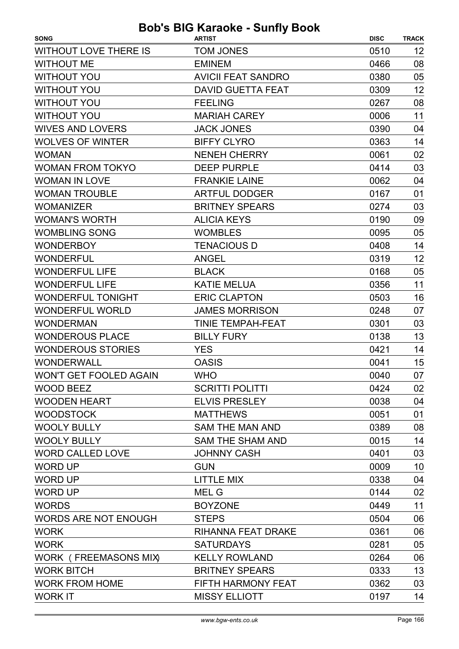| <b>SONG</b>                   | <b>ARTIST</b>             | <b>DISC</b> | <b>TRACK</b> |
|-------------------------------|---------------------------|-------------|--------------|
| <b>WITHOUT LOVE THERE IS</b>  | <b>TOM JONES</b>          | 0510        | 12           |
| <b>WITHOUT ME</b>             | <b>EMINEM</b>             | 0466        | 08           |
| <b>WITHOUT YOU</b>            | <b>AVICII FEAT SANDRO</b> | 0380        | 05           |
| <b>WITHOUT YOU</b>            | <b>DAVID GUETTA FEAT</b>  | 0309        | 12           |
| <b>WITHOUT YOU</b>            | <b>FEELING</b>            | 0267        | 08           |
| <b>WITHOUT YOU</b>            | <b>MARIAH CAREY</b>       | 0006        | 11           |
| <b>WIVES AND LOVERS</b>       | <b>JACK JONES</b>         | 0390        | 04           |
| <b>WOLVES OF WINTER</b>       | <b>BIFFY CLYRO</b>        | 0363        | 14           |
| <b>WOMAN</b>                  | <b>NENEH CHERRY</b>       | 0061        | 02           |
| <b>WOMAN FROM TOKYO</b>       | <b>DEEP PURPLE</b>        | 0414        | 03           |
| <b>WOMAN IN LOVE</b>          | <b>FRANKIE LAINE</b>      | 0062        | 04           |
| <b>WOMAN TROUBLE</b>          | <b>ARTFUL DODGER</b>      | 0167        | 01           |
| <b>WOMANIZER</b>              | <b>BRITNEY SPEARS</b>     | 0274        | 03           |
| <b>WOMAN'S WORTH</b>          | <b>ALICIA KEYS</b>        | 0190        | 09           |
| <b>WOMBLING SONG</b>          | <b>WOMBLES</b>            | 0095        | 05           |
| <b>WONDERBOY</b>              | <b>TENACIOUS D</b>        | 0408        | 14           |
| <b>WONDERFUL</b>              | <b>ANGEL</b>              | 0319        | 12           |
| <b>WONDERFUL LIFE</b>         | <b>BLACK</b>              | 0168        | 05           |
| <b>WONDERFUL LIFE</b>         | <b>KATIE MELUA</b>        | 0356        | 11           |
| <b>WONDERFUL TONIGHT</b>      | <b>ERIC CLAPTON</b>       | 0503        | 16           |
| <b>WONDERFUL WORLD</b>        | <b>JAMES MORRISON</b>     | 0248        | 07           |
| <b>WONDERMAN</b>              | TINIE TEMPAH-FEAT         | 0301        | 03           |
| <b>WONDEROUS PLACE</b>        | <b>BILLY FURY</b>         | 0138        | 13           |
| <b>WONDEROUS STORIES</b>      | <b>YES</b>                | 0421        | 14           |
| <b>WONDERWALL</b>             | <b>OASIS</b>              | 0041        | 15           |
| <b>WON'T GET FOOLED AGAIN</b> | <b>WHO</b>                | 0040        | 07           |
| WOOD BEEZ                     | <b>SCRITTI POLITTI</b>    | 0424        | 02           |
| <b>WOODEN HEART</b>           | <b>ELVIS PRESLEY</b>      | 0038        | 04           |
| <b>WOODSTOCK</b>              | <b>MATTHEWS</b>           | 0051        | 01           |
| <b>WOOLY BULLY</b>            | <b>SAM THE MAN AND</b>    | 0389        | 08           |
| <b>WOOLY BULLY</b>            | <b>SAM THE SHAM AND</b>   | 0015        | 14           |
| <b>WORD CALLED LOVE</b>       | <b>JOHNNY CASH</b>        | 0401        | 03           |
| <b>WORD UP</b>                | <b>GUN</b>                | 0009        | 10           |
| <b>WORD UP</b>                | <b>LITTLE MIX</b>         | 0338        | 04           |
| <b>WORD UP</b>                | <b>MEL G</b>              | 0144        | 02           |
| <b>WORDS</b>                  | <b>BOYZONE</b>            | 0449        | 11           |
| <b>WORDS ARE NOT ENOUGH</b>   | <b>STEPS</b>              | 0504        | 06           |
| <b>WORK</b>                   | RIHANNA FEAT DRAKE        | 0361        | 06           |
| <b>WORK</b>                   | <b>SATURDAYS</b>          | 0281        | 05           |
| WORK (FREEMASONS MIX)         | <b>KELLY ROWLAND</b>      | 0264        | 06           |
| <b>WORK BITCH</b>             | <b>BRITNEY SPEARS</b>     | 0333        | 13           |
| <b>WORK FROM HOME</b>         | FIFTH HARMONY FEAT        | 0362        | 03           |
| <b>WORK IT</b>                | <b>MISSY ELLIOTT</b>      | 0197        | 14           |
|                               |                           |             |              |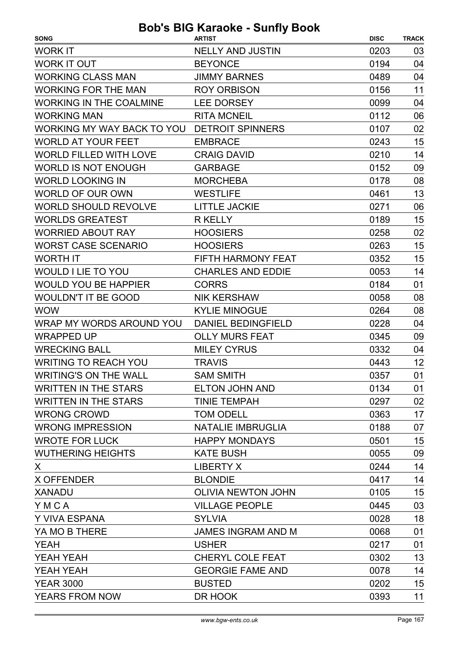| <b>WORK IT</b><br><b>NELLY AND JUSTIN</b><br>0203<br>03<br><b>WORK IT OUT</b><br>04<br><b>BEYONCE</b><br>0194<br><b>WORKING CLASS MAN</b><br><b>JIMMY BARNES</b><br>0489<br>04<br>11<br><b>WORKING FOR THE MAN</b><br><b>ROY ORBISON</b><br>0156<br><b>WORKING IN THE COALMINE</b><br><b>LEE DORSEY</b><br>0099<br>04<br><b>RITA MCNEIL</b><br>0112<br>06<br><b>WORKING MAN</b><br>WORKING MY WAY BACK TO YOU DETROIT SPINNERS<br>02<br>0107<br>15<br><b>WORLD AT YOUR FEET</b><br>0243<br><b>EMBRACE</b><br><b>WORLD FILLED WITH LOVE</b><br><b>CRAIG DAVID</b><br>0210<br>14<br><b>WORLD IS NOT ENOUGH</b><br>09<br><b>GARBAGE</b><br>0152<br>08<br><b>WORLD LOOKING IN</b><br><b>MORCHEBA</b><br>0178<br>13<br><b>WORLD OF OUR OWN</b><br><b>WESTLIFE</b><br>0461<br>06<br><b>WORLD SHOULD REVOLVE</b><br><b>LITTLE JACKIE</b><br>0271<br>15<br><b>WORLDS GREATEST</b><br><b>R KELLY</b><br>0189<br><b>WORRIED ABOUT RAY</b><br><b>HOOSIERS</b><br>02<br>0258<br><b>WORST CASE SCENARIO</b><br><b>HOOSIERS</b><br>0263<br>15<br>15<br><b>WORTH IT</b><br>FIFTH HARMONY FEAT<br>0352<br><b>WOULD I LIE TO YOU</b><br><b>CHARLES AND EDDIE</b><br>0053<br>14<br><b>WOULD YOU BE HAPPIER</b><br>01<br><b>CORRS</b><br>0184<br><b>WOULDN'T IT BE GOOD</b><br>08<br><b>NIK KERSHAW</b><br>0058<br><b>WOW</b><br><b>KYLIE MINOGUE</b><br>0264<br>08<br>04<br>WRAP MY WORDS AROUND YOU<br><b>DANIEL BEDINGFIELD</b><br>0228<br><b>OLLY MURS FEAT</b><br>0345<br>09<br><b>WRAPPED UP</b><br><b>MILEY CYRUS</b><br><b>WRECKING BALL</b><br>0332<br>04<br>12<br><b>WRITING TO REACH YOU</b><br>0443<br><b>TRAVIS</b><br><b>WRITING'S ON THE WALL</b><br><b>SAM SMITH</b><br>0357<br>01<br>ELTON JOHN AND<br>0134<br>01<br><b>TINIE TEMPAH</b><br>02<br>0297<br>17<br><b>TOM ODELL</b><br>0363<br>07<br><b>NATALIE IMBRUGLIA</b><br>0188<br>15<br><b>HAPPY MONDAYS</b><br>0501<br>09<br><b>WUTHERING HEIGHTS</b><br><b>KATE BUSH</b><br>0055<br>14<br>LIBERTY X<br>0244<br>X.<br>14<br><b>BLONDIE</b><br>0417<br>X OFFENDER<br>15<br><b>OLIVIA NEWTON JOHN</b><br>0105 | <b>SONG</b>                 | <b>ARTIST</b> | <b>DISC</b> | <b>TRACK</b> |
|----------------------------------------------------------------------------------------------------------------------------------------------------------------------------------------------------------------------------------------------------------------------------------------------------------------------------------------------------------------------------------------------------------------------------------------------------------------------------------------------------------------------------------------------------------------------------------------------------------------------------------------------------------------------------------------------------------------------------------------------------------------------------------------------------------------------------------------------------------------------------------------------------------------------------------------------------------------------------------------------------------------------------------------------------------------------------------------------------------------------------------------------------------------------------------------------------------------------------------------------------------------------------------------------------------------------------------------------------------------------------------------------------------------------------------------------------------------------------------------------------------------------------------------------------------------------------------------------------------------------------------------------------------------------------------------------------------------------------------------------------------------------------------------------------------------------------------------------------------------------------------------------------------------------------------------------------------------------------------------------------------------------------------------------------------------|-----------------------------|---------------|-------------|--------------|
|                                                                                                                                                                                                                                                                                                                                                                                                                                                                                                                                                                                                                                                                                                                                                                                                                                                                                                                                                                                                                                                                                                                                                                                                                                                                                                                                                                                                                                                                                                                                                                                                                                                                                                                                                                                                                                                                                                                                                                                                                                                                |                             |               |             |              |
|                                                                                                                                                                                                                                                                                                                                                                                                                                                                                                                                                                                                                                                                                                                                                                                                                                                                                                                                                                                                                                                                                                                                                                                                                                                                                                                                                                                                                                                                                                                                                                                                                                                                                                                                                                                                                                                                                                                                                                                                                                                                |                             |               |             |              |
|                                                                                                                                                                                                                                                                                                                                                                                                                                                                                                                                                                                                                                                                                                                                                                                                                                                                                                                                                                                                                                                                                                                                                                                                                                                                                                                                                                                                                                                                                                                                                                                                                                                                                                                                                                                                                                                                                                                                                                                                                                                                |                             |               |             |              |
|                                                                                                                                                                                                                                                                                                                                                                                                                                                                                                                                                                                                                                                                                                                                                                                                                                                                                                                                                                                                                                                                                                                                                                                                                                                                                                                                                                                                                                                                                                                                                                                                                                                                                                                                                                                                                                                                                                                                                                                                                                                                |                             |               |             |              |
|                                                                                                                                                                                                                                                                                                                                                                                                                                                                                                                                                                                                                                                                                                                                                                                                                                                                                                                                                                                                                                                                                                                                                                                                                                                                                                                                                                                                                                                                                                                                                                                                                                                                                                                                                                                                                                                                                                                                                                                                                                                                |                             |               |             |              |
|                                                                                                                                                                                                                                                                                                                                                                                                                                                                                                                                                                                                                                                                                                                                                                                                                                                                                                                                                                                                                                                                                                                                                                                                                                                                                                                                                                                                                                                                                                                                                                                                                                                                                                                                                                                                                                                                                                                                                                                                                                                                |                             |               |             |              |
|                                                                                                                                                                                                                                                                                                                                                                                                                                                                                                                                                                                                                                                                                                                                                                                                                                                                                                                                                                                                                                                                                                                                                                                                                                                                                                                                                                                                                                                                                                                                                                                                                                                                                                                                                                                                                                                                                                                                                                                                                                                                |                             |               |             |              |
|                                                                                                                                                                                                                                                                                                                                                                                                                                                                                                                                                                                                                                                                                                                                                                                                                                                                                                                                                                                                                                                                                                                                                                                                                                                                                                                                                                                                                                                                                                                                                                                                                                                                                                                                                                                                                                                                                                                                                                                                                                                                |                             |               |             |              |
|                                                                                                                                                                                                                                                                                                                                                                                                                                                                                                                                                                                                                                                                                                                                                                                                                                                                                                                                                                                                                                                                                                                                                                                                                                                                                                                                                                                                                                                                                                                                                                                                                                                                                                                                                                                                                                                                                                                                                                                                                                                                |                             |               |             |              |
|                                                                                                                                                                                                                                                                                                                                                                                                                                                                                                                                                                                                                                                                                                                                                                                                                                                                                                                                                                                                                                                                                                                                                                                                                                                                                                                                                                                                                                                                                                                                                                                                                                                                                                                                                                                                                                                                                                                                                                                                                                                                |                             |               |             |              |
|                                                                                                                                                                                                                                                                                                                                                                                                                                                                                                                                                                                                                                                                                                                                                                                                                                                                                                                                                                                                                                                                                                                                                                                                                                                                                                                                                                                                                                                                                                                                                                                                                                                                                                                                                                                                                                                                                                                                                                                                                                                                |                             |               |             |              |
|                                                                                                                                                                                                                                                                                                                                                                                                                                                                                                                                                                                                                                                                                                                                                                                                                                                                                                                                                                                                                                                                                                                                                                                                                                                                                                                                                                                                                                                                                                                                                                                                                                                                                                                                                                                                                                                                                                                                                                                                                                                                |                             |               |             |              |
|                                                                                                                                                                                                                                                                                                                                                                                                                                                                                                                                                                                                                                                                                                                                                                                                                                                                                                                                                                                                                                                                                                                                                                                                                                                                                                                                                                                                                                                                                                                                                                                                                                                                                                                                                                                                                                                                                                                                                                                                                                                                |                             |               |             |              |
|                                                                                                                                                                                                                                                                                                                                                                                                                                                                                                                                                                                                                                                                                                                                                                                                                                                                                                                                                                                                                                                                                                                                                                                                                                                                                                                                                                                                                                                                                                                                                                                                                                                                                                                                                                                                                                                                                                                                                                                                                                                                |                             |               |             |              |
|                                                                                                                                                                                                                                                                                                                                                                                                                                                                                                                                                                                                                                                                                                                                                                                                                                                                                                                                                                                                                                                                                                                                                                                                                                                                                                                                                                                                                                                                                                                                                                                                                                                                                                                                                                                                                                                                                                                                                                                                                                                                |                             |               |             |              |
|                                                                                                                                                                                                                                                                                                                                                                                                                                                                                                                                                                                                                                                                                                                                                                                                                                                                                                                                                                                                                                                                                                                                                                                                                                                                                                                                                                                                                                                                                                                                                                                                                                                                                                                                                                                                                                                                                                                                                                                                                                                                |                             |               |             |              |
|                                                                                                                                                                                                                                                                                                                                                                                                                                                                                                                                                                                                                                                                                                                                                                                                                                                                                                                                                                                                                                                                                                                                                                                                                                                                                                                                                                                                                                                                                                                                                                                                                                                                                                                                                                                                                                                                                                                                                                                                                                                                |                             |               |             |              |
|                                                                                                                                                                                                                                                                                                                                                                                                                                                                                                                                                                                                                                                                                                                                                                                                                                                                                                                                                                                                                                                                                                                                                                                                                                                                                                                                                                                                                                                                                                                                                                                                                                                                                                                                                                                                                                                                                                                                                                                                                                                                |                             |               |             |              |
|                                                                                                                                                                                                                                                                                                                                                                                                                                                                                                                                                                                                                                                                                                                                                                                                                                                                                                                                                                                                                                                                                                                                                                                                                                                                                                                                                                                                                                                                                                                                                                                                                                                                                                                                                                                                                                                                                                                                                                                                                                                                |                             |               |             |              |
|                                                                                                                                                                                                                                                                                                                                                                                                                                                                                                                                                                                                                                                                                                                                                                                                                                                                                                                                                                                                                                                                                                                                                                                                                                                                                                                                                                                                                                                                                                                                                                                                                                                                                                                                                                                                                                                                                                                                                                                                                                                                |                             |               |             |              |
|                                                                                                                                                                                                                                                                                                                                                                                                                                                                                                                                                                                                                                                                                                                                                                                                                                                                                                                                                                                                                                                                                                                                                                                                                                                                                                                                                                                                                                                                                                                                                                                                                                                                                                                                                                                                                                                                                                                                                                                                                                                                |                             |               |             |              |
|                                                                                                                                                                                                                                                                                                                                                                                                                                                                                                                                                                                                                                                                                                                                                                                                                                                                                                                                                                                                                                                                                                                                                                                                                                                                                                                                                                                                                                                                                                                                                                                                                                                                                                                                                                                                                                                                                                                                                                                                                                                                |                             |               |             |              |
|                                                                                                                                                                                                                                                                                                                                                                                                                                                                                                                                                                                                                                                                                                                                                                                                                                                                                                                                                                                                                                                                                                                                                                                                                                                                                                                                                                                                                                                                                                                                                                                                                                                                                                                                                                                                                                                                                                                                                                                                                                                                |                             |               |             |              |
|                                                                                                                                                                                                                                                                                                                                                                                                                                                                                                                                                                                                                                                                                                                                                                                                                                                                                                                                                                                                                                                                                                                                                                                                                                                                                                                                                                                                                                                                                                                                                                                                                                                                                                                                                                                                                                                                                                                                                                                                                                                                |                             |               |             |              |
|                                                                                                                                                                                                                                                                                                                                                                                                                                                                                                                                                                                                                                                                                                                                                                                                                                                                                                                                                                                                                                                                                                                                                                                                                                                                                                                                                                                                                                                                                                                                                                                                                                                                                                                                                                                                                                                                                                                                                                                                                                                                |                             |               |             |              |
|                                                                                                                                                                                                                                                                                                                                                                                                                                                                                                                                                                                                                                                                                                                                                                                                                                                                                                                                                                                                                                                                                                                                                                                                                                                                                                                                                                                                                                                                                                                                                                                                                                                                                                                                                                                                                                                                                                                                                                                                                                                                |                             |               |             |              |
|                                                                                                                                                                                                                                                                                                                                                                                                                                                                                                                                                                                                                                                                                                                                                                                                                                                                                                                                                                                                                                                                                                                                                                                                                                                                                                                                                                                                                                                                                                                                                                                                                                                                                                                                                                                                                                                                                                                                                                                                                                                                | <b>WRITTEN IN THE STARS</b> |               |             |              |
|                                                                                                                                                                                                                                                                                                                                                                                                                                                                                                                                                                                                                                                                                                                                                                                                                                                                                                                                                                                                                                                                                                                                                                                                                                                                                                                                                                                                                                                                                                                                                                                                                                                                                                                                                                                                                                                                                                                                                                                                                                                                | <b>WRITTEN IN THE STARS</b> |               |             |              |
|                                                                                                                                                                                                                                                                                                                                                                                                                                                                                                                                                                                                                                                                                                                                                                                                                                                                                                                                                                                                                                                                                                                                                                                                                                                                                                                                                                                                                                                                                                                                                                                                                                                                                                                                                                                                                                                                                                                                                                                                                                                                | <b>WRONG CROWD</b>          |               |             |              |
|                                                                                                                                                                                                                                                                                                                                                                                                                                                                                                                                                                                                                                                                                                                                                                                                                                                                                                                                                                                                                                                                                                                                                                                                                                                                                                                                                                                                                                                                                                                                                                                                                                                                                                                                                                                                                                                                                                                                                                                                                                                                | <b>WRONG IMPRESSION</b>     |               |             |              |
|                                                                                                                                                                                                                                                                                                                                                                                                                                                                                                                                                                                                                                                                                                                                                                                                                                                                                                                                                                                                                                                                                                                                                                                                                                                                                                                                                                                                                                                                                                                                                                                                                                                                                                                                                                                                                                                                                                                                                                                                                                                                | <b>WROTE FOR LUCK</b>       |               |             |              |
|                                                                                                                                                                                                                                                                                                                                                                                                                                                                                                                                                                                                                                                                                                                                                                                                                                                                                                                                                                                                                                                                                                                                                                                                                                                                                                                                                                                                                                                                                                                                                                                                                                                                                                                                                                                                                                                                                                                                                                                                                                                                |                             |               |             |              |
|                                                                                                                                                                                                                                                                                                                                                                                                                                                                                                                                                                                                                                                                                                                                                                                                                                                                                                                                                                                                                                                                                                                                                                                                                                                                                                                                                                                                                                                                                                                                                                                                                                                                                                                                                                                                                                                                                                                                                                                                                                                                |                             |               |             |              |
|                                                                                                                                                                                                                                                                                                                                                                                                                                                                                                                                                                                                                                                                                                                                                                                                                                                                                                                                                                                                                                                                                                                                                                                                                                                                                                                                                                                                                                                                                                                                                                                                                                                                                                                                                                                                                                                                                                                                                                                                                                                                |                             |               |             |              |
|                                                                                                                                                                                                                                                                                                                                                                                                                                                                                                                                                                                                                                                                                                                                                                                                                                                                                                                                                                                                                                                                                                                                                                                                                                                                                                                                                                                                                                                                                                                                                                                                                                                                                                                                                                                                                                                                                                                                                                                                                                                                | <b>XANADU</b>               |               |             |              |
| 03<br><b>VILLAGE PEOPLE</b><br>0445                                                                                                                                                                                                                                                                                                                                                                                                                                                                                                                                                                                                                                                                                                                                                                                                                                                                                                                                                                                                                                                                                                                                                                                                                                                                                                                                                                                                                                                                                                                                                                                                                                                                                                                                                                                                                                                                                                                                                                                                                            | YMCA                        |               |             |              |
| 18<br>Y VIVA ESPANA<br><b>SYLVIA</b><br>0028                                                                                                                                                                                                                                                                                                                                                                                                                                                                                                                                                                                                                                                                                                                                                                                                                                                                                                                                                                                                                                                                                                                                                                                                                                                                                                                                                                                                                                                                                                                                                                                                                                                                                                                                                                                                                                                                                                                                                                                                                   |                             |               |             |              |
| 01<br>0068<br><b>JAMES INGRAM AND M</b>                                                                                                                                                                                                                                                                                                                                                                                                                                                                                                                                                                                                                                                                                                                                                                                                                                                                                                                                                                                                                                                                                                                                                                                                                                                                                                                                                                                                                                                                                                                                                                                                                                                                                                                                                                                                                                                                                                                                                                                                                        | YA MO B THERE               |               |             |              |
| 01<br><b>USHER</b><br>0217                                                                                                                                                                                                                                                                                                                                                                                                                                                                                                                                                                                                                                                                                                                                                                                                                                                                                                                                                                                                                                                                                                                                                                                                                                                                                                                                                                                                                                                                                                                                                                                                                                                                                                                                                                                                                                                                                                                                                                                                                                     | <b>YEAH</b>                 |               |             |              |
| 13<br><b>CHERYL COLE FEAT</b><br>0302<br>YEAH YEAH                                                                                                                                                                                                                                                                                                                                                                                                                                                                                                                                                                                                                                                                                                                                                                                                                                                                                                                                                                                                                                                                                                                                                                                                                                                                                                                                                                                                                                                                                                                                                                                                                                                                                                                                                                                                                                                                                                                                                                                                             |                             |               |             |              |
| <b>GEORGIE FAME AND</b><br>0078<br>14                                                                                                                                                                                                                                                                                                                                                                                                                                                                                                                                                                                                                                                                                                                                                                                                                                                                                                                                                                                                                                                                                                                                                                                                                                                                                                                                                                                                                                                                                                                                                                                                                                                                                                                                                                                                                                                                                                                                                                                                                          | YEAH YEAH                   |               |             |              |
| 15<br><b>BUSTED</b><br>0202                                                                                                                                                                                                                                                                                                                                                                                                                                                                                                                                                                                                                                                                                                                                                                                                                                                                                                                                                                                                                                                                                                                                                                                                                                                                                                                                                                                                                                                                                                                                                                                                                                                                                                                                                                                                                                                                                                                                                                                                                                    | <b>YEAR 3000</b>            |               |             |              |
| 11<br>DR HOOK<br>0393                                                                                                                                                                                                                                                                                                                                                                                                                                                                                                                                                                                                                                                                                                                                                                                                                                                                                                                                                                                                                                                                                                                                                                                                                                                                                                                                                                                                                                                                                                                                                                                                                                                                                                                                                                                                                                                                                                                                                                                                                                          | <b>YEARS FROM NOW</b>       |               |             |              |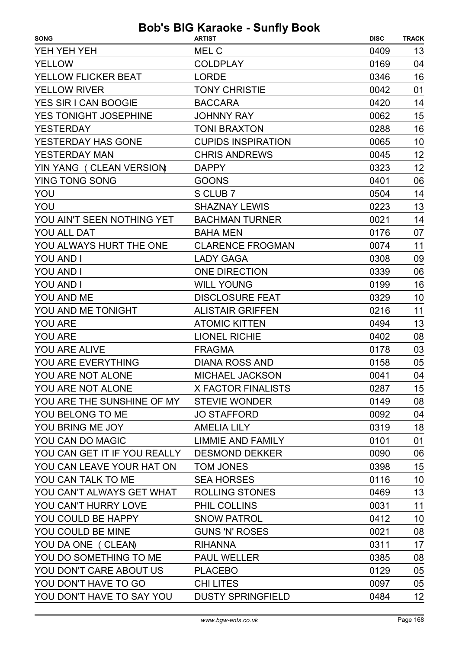| YEH YEH YEH<br>MEL C<br>0409<br>13<br><b>YELLOW</b><br><b>COLDPLAY</b><br>0169<br>04<br>YELLOW FLICKER BEAT<br><b>LORDE</b><br>16<br>0346<br><b>YELLOW RIVER</b><br><b>TONY CHRISTIE</b><br>01<br>0042<br>YES SIR I CAN BOOGIE<br>14<br><b>BACCARA</b><br>0420<br>15<br>YES TONIGHT JOSEPHINE<br><b>JOHNNY RAY</b><br>0062<br>16<br><b>YESTERDAY</b><br><b>TONI BRAXTON</b><br>0288<br><b>CUPIDS INSPIRATION</b><br>0065<br>10<br><b>CHRIS ANDREWS</b><br>12<br>0045<br>12<br>YIN YANG ( CLEAN VERSION)<br><b>DAPPY</b><br>0323<br>YING TONG SONG<br>0401<br>06<br><b>GOONS</b><br>YOU<br>S CLUB 7<br>14<br>0504<br>YOU<br>13<br><b>SHAZNAY LEWIS</b><br>0223<br><b>BACHMAN TURNER</b><br>14<br>YOU AIN'T SEEN NOTHING YET<br>0021<br>YOU ALL DAT<br><b>BAHA MEN</b><br>0176<br>07<br><b>CLARENCE FROGMAN</b><br>YOU ALWAYS HURT THE ONE<br>0074<br>11<br><b>YOU AND I</b><br><b>LADY GAGA</b><br>0308<br>09<br><b>YOU AND I</b><br><b>ONE DIRECTION</b><br>0339<br>06<br><b>YOU AND I</b><br><b>WILL YOUNG</b><br>16<br>0199<br>YOU AND ME<br><b>DISCLOSURE FEAT</b><br>10<br>0329<br>YOU AND ME TONIGHT<br><b>ALISTAIR GRIFFEN</b><br>11<br>0216<br><b>YOU ARE</b><br><b>ATOMIC KITTEN</b><br>13<br>0494<br><b>YOU ARE</b><br><b>LIONEL RICHIE</b><br>0402<br>08<br>YOU ARE ALIVE<br><b>FRAGMA</b><br>03<br>0178<br><b>DIANA ROSS AND</b><br>05<br>0158<br>YOU ARE NOT ALONE<br>04<br><b>MICHAEL JACKSON</b><br>0041<br>YOU ARE NOT ALONE X FACTOR FINALISTS<br>0287<br>15<br>YOU ARE THE SUNSHINE OF MY STEVIE WONDER<br>0149<br>08<br>0092<br>04<br>JO STAFFORD<br><b>AMELIA LILY</b><br>0319<br>18<br>01<br>YOU CAN DO MAGIC LIMMIE AND FAMILY<br>0101<br>YOU CAN GET IT IF YOU REALLY DESMOND DEKKER<br>0090<br>06<br>15<br>YOU CAN LEAVE YOUR HAT ON TOM JONES<br>0398<br><b>SEA HORSES</b><br>0116<br>10<br>13<br>YOU CAN'T ALWAYS GET WHAT ROLLING STONES<br>0469<br>11<br>YOU CAN'T HURRY LOVE PHIL COLLINS<br>0031<br>YOU COULD BE HAPPY<br><b>SNOW PATROL</b><br>10<br>0412<br>YOU COULD BE MINE<br><b>GUNS 'N' ROSES</b><br>0021<br>08<br>17<br>YOU DA ONE ( CLEAN)<br>RIHANNA<br>0311 | <b>SONG</b>                        | <b>ARTIST</b> | <b>DISC</b> | <b>TRACK</b> |
|-----------------------------------------------------------------------------------------------------------------------------------------------------------------------------------------------------------------------------------------------------------------------------------------------------------------------------------------------------------------------------------------------------------------------------------------------------------------------------------------------------------------------------------------------------------------------------------------------------------------------------------------------------------------------------------------------------------------------------------------------------------------------------------------------------------------------------------------------------------------------------------------------------------------------------------------------------------------------------------------------------------------------------------------------------------------------------------------------------------------------------------------------------------------------------------------------------------------------------------------------------------------------------------------------------------------------------------------------------------------------------------------------------------------------------------------------------------------------------------------------------------------------------------------------------------------------------------------------------------------------------------------------------------------------------------------------------------------------------------------------------------------------------------------------------------------------------------------------------------------------------------------------------------------------------------------------------------------------------------------------------------------------------------------------------------------------------------------------------|------------------------------------|---------------|-------------|--------------|
|                                                                                                                                                                                                                                                                                                                                                                                                                                                                                                                                                                                                                                                                                                                                                                                                                                                                                                                                                                                                                                                                                                                                                                                                                                                                                                                                                                                                                                                                                                                                                                                                                                                                                                                                                                                                                                                                                                                                                                                                                                                                                                     |                                    |               |             |              |
|                                                                                                                                                                                                                                                                                                                                                                                                                                                                                                                                                                                                                                                                                                                                                                                                                                                                                                                                                                                                                                                                                                                                                                                                                                                                                                                                                                                                                                                                                                                                                                                                                                                                                                                                                                                                                                                                                                                                                                                                                                                                                                     |                                    |               |             |              |
|                                                                                                                                                                                                                                                                                                                                                                                                                                                                                                                                                                                                                                                                                                                                                                                                                                                                                                                                                                                                                                                                                                                                                                                                                                                                                                                                                                                                                                                                                                                                                                                                                                                                                                                                                                                                                                                                                                                                                                                                                                                                                                     |                                    |               |             |              |
|                                                                                                                                                                                                                                                                                                                                                                                                                                                                                                                                                                                                                                                                                                                                                                                                                                                                                                                                                                                                                                                                                                                                                                                                                                                                                                                                                                                                                                                                                                                                                                                                                                                                                                                                                                                                                                                                                                                                                                                                                                                                                                     |                                    |               |             |              |
|                                                                                                                                                                                                                                                                                                                                                                                                                                                                                                                                                                                                                                                                                                                                                                                                                                                                                                                                                                                                                                                                                                                                                                                                                                                                                                                                                                                                                                                                                                                                                                                                                                                                                                                                                                                                                                                                                                                                                                                                                                                                                                     |                                    |               |             |              |
|                                                                                                                                                                                                                                                                                                                                                                                                                                                                                                                                                                                                                                                                                                                                                                                                                                                                                                                                                                                                                                                                                                                                                                                                                                                                                                                                                                                                                                                                                                                                                                                                                                                                                                                                                                                                                                                                                                                                                                                                                                                                                                     |                                    |               |             |              |
|                                                                                                                                                                                                                                                                                                                                                                                                                                                                                                                                                                                                                                                                                                                                                                                                                                                                                                                                                                                                                                                                                                                                                                                                                                                                                                                                                                                                                                                                                                                                                                                                                                                                                                                                                                                                                                                                                                                                                                                                                                                                                                     |                                    |               |             |              |
|                                                                                                                                                                                                                                                                                                                                                                                                                                                                                                                                                                                                                                                                                                                                                                                                                                                                                                                                                                                                                                                                                                                                                                                                                                                                                                                                                                                                                                                                                                                                                                                                                                                                                                                                                                                                                                                                                                                                                                                                                                                                                                     | YESTERDAY HAS GONE                 |               |             |              |
|                                                                                                                                                                                                                                                                                                                                                                                                                                                                                                                                                                                                                                                                                                                                                                                                                                                                                                                                                                                                                                                                                                                                                                                                                                                                                                                                                                                                                                                                                                                                                                                                                                                                                                                                                                                                                                                                                                                                                                                                                                                                                                     | <b>YESTERDAY MAN</b>               |               |             |              |
|                                                                                                                                                                                                                                                                                                                                                                                                                                                                                                                                                                                                                                                                                                                                                                                                                                                                                                                                                                                                                                                                                                                                                                                                                                                                                                                                                                                                                                                                                                                                                                                                                                                                                                                                                                                                                                                                                                                                                                                                                                                                                                     |                                    |               |             |              |
|                                                                                                                                                                                                                                                                                                                                                                                                                                                                                                                                                                                                                                                                                                                                                                                                                                                                                                                                                                                                                                                                                                                                                                                                                                                                                                                                                                                                                                                                                                                                                                                                                                                                                                                                                                                                                                                                                                                                                                                                                                                                                                     |                                    |               |             |              |
|                                                                                                                                                                                                                                                                                                                                                                                                                                                                                                                                                                                                                                                                                                                                                                                                                                                                                                                                                                                                                                                                                                                                                                                                                                                                                                                                                                                                                                                                                                                                                                                                                                                                                                                                                                                                                                                                                                                                                                                                                                                                                                     |                                    |               |             |              |
|                                                                                                                                                                                                                                                                                                                                                                                                                                                                                                                                                                                                                                                                                                                                                                                                                                                                                                                                                                                                                                                                                                                                                                                                                                                                                                                                                                                                                                                                                                                                                                                                                                                                                                                                                                                                                                                                                                                                                                                                                                                                                                     |                                    |               |             |              |
|                                                                                                                                                                                                                                                                                                                                                                                                                                                                                                                                                                                                                                                                                                                                                                                                                                                                                                                                                                                                                                                                                                                                                                                                                                                                                                                                                                                                                                                                                                                                                                                                                                                                                                                                                                                                                                                                                                                                                                                                                                                                                                     |                                    |               |             |              |
|                                                                                                                                                                                                                                                                                                                                                                                                                                                                                                                                                                                                                                                                                                                                                                                                                                                                                                                                                                                                                                                                                                                                                                                                                                                                                                                                                                                                                                                                                                                                                                                                                                                                                                                                                                                                                                                                                                                                                                                                                                                                                                     |                                    |               |             |              |
|                                                                                                                                                                                                                                                                                                                                                                                                                                                                                                                                                                                                                                                                                                                                                                                                                                                                                                                                                                                                                                                                                                                                                                                                                                                                                                                                                                                                                                                                                                                                                                                                                                                                                                                                                                                                                                                                                                                                                                                                                                                                                                     |                                    |               |             |              |
|                                                                                                                                                                                                                                                                                                                                                                                                                                                                                                                                                                                                                                                                                                                                                                                                                                                                                                                                                                                                                                                                                                                                                                                                                                                                                                                                                                                                                                                                                                                                                                                                                                                                                                                                                                                                                                                                                                                                                                                                                                                                                                     |                                    |               |             |              |
|                                                                                                                                                                                                                                                                                                                                                                                                                                                                                                                                                                                                                                                                                                                                                                                                                                                                                                                                                                                                                                                                                                                                                                                                                                                                                                                                                                                                                                                                                                                                                                                                                                                                                                                                                                                                                                                                                                                                                                                                                                                                                                     |                                    |               |             |              |
|                                                                                                                                                                                                                                                                                                                                                                                                                                                                                                                                                                                                                                                                                                                                                                                                                                                                                                                                                                                                                                                                                                                                                                                                                                                                                                                                                                                                                                                                                                                                                                                                                                                                                                                                                                                                                                                                                                                                                                                                                                                                                                     |                                    |               |             |              |
|                                                                                                                                                                                                                                                                                                                                                                                                                                                                                                                                                                                                                                                                                                                                                                                                                                                                                                                                                                                                                                                                                                                                                                                                                                                                                                                                                                                                                                                                                                                                                                                                                                                                                                                                                                                                                                                                                                                                                                                                                                                                                                     |                                    |               |             |              |
|                                                                                                                                                                                                                                                                                                                                                                                                                                                                                                                                                                                                                                                                                                                                                                                                                                                                                                                                                                                                                                                                                                                                                                                                                                                                                                                                                                                                                                                                                                                                                                                                                                                                                                                                                                                                                                                                                                                                                                                                                                                                                                     |                                    |               |             |              |
|                                                                                                                                                                                                                                                                                                                                                                                                                                                                                                                                                                                                                                                                                                                                                                                                                                                                                                                                                                                                                                                                                                                                                                                                                                                                                                                                                                                                                                                                                                                                                                                                                                                                                                                                                                                                                                                                                                                                                                                                                                                                                                     |                                    |               |             |              |
|                                                                                                                                                                                                                                                                                                                                                                                                                                                                                                                                                                                                                                                                                                                                                                                                                                                                                                                                                                                                                                                                                                                                                                                                                                                                                                                                                                                                                                                                                                                                                                                                                                                                                                                                                                                                                                                                                                                                                                                                                                                                                                     |                                    |               |             |              |
|                                                                                                                                                                                                                                                                                                                                                                                                                                                                                                                                                                                                                                                                                                                                                                                                                                                                                                                                                                                                                                                                                                                                                                                                                                                                                                                                                                                                                                                                                                                                                                                                                                                                                                                                                                                                                                                                                                                                                                                                                                                                                                     |                                    |               |             |              |
|                                                                                                                                                                                                                                                                                                                                                                                                                                                                                                                                                                                                                                                                                                                                                                                                                                                                                                                                                                                                                                                                                                                                                                                                                                                                                                                                                                                                                                                                                                                                                                                                                                                                                                                                                                                                                                                                                                                                                                                                                                                                                                     | YOU ARE EVERYTHING                 |               |             |              |
|                                                                                                                                                                                                                                                                                                                                                                                                                                                                                                                                                                                                                                                                                                                                                                                                                                                                                                                                                                                                                                                                                                                                                                                                                                                                                                                                                                                                                                                                                                                                                                                                                                                                                                                                                                                                                                                                                                                                                                                                                                                                                                     |                                    |               |             |              |
|                                                                                                                                                                                                                                                                                                                                                                                                                                                                                                                                                                                                                                                                                                                                                                                                                                                                                                                                                                                                                                                                                                                                                                                                                                                                                                                                                                                                                                                                                                                                                                                                                                                                                                                                                                                                                                                                                                                                                                                                                                                                                                     |                                    |               |             |              |
|                                                                                                                                                                                                                                                                                                                                                                                                                                                                                                                                                                                                                                                                                                                                                                                                                                                                                                                                                                                                                                                                                                                                                                                                                                                                                                                                                                                                                                                                                                                                                                                                                                                                                                                                                                                                                                                                                                                                                                                                                                                                                                     |                                    |               |             |              |
|                                                                                                                                                                                                                                                                                                                                                                                                                                                                                                                                                                                                                                                                                                                                                                                                                                                                                                                                                                                                                                                                                                                                                                                                                                                                                                                                                                                                                                                                                                                                                                                                                                                                                                                                                                                                                                                                                                                                                                                                                                                                                                     | YOU BELONG TO ME                   |               |             |              |
|                                                                                                                                                                                                                                                                                                                                                                                                                                                                                                                                                                                                                                                                                                                                                                                                                                                                                                                                                                                                                                                                                                                                                                                                                                                                                                                                                                                                                                                                                                                                                                                                                                                                                                                                                                                                                                                                                                                                                                                                                                                                                                     | YOU BRING ME JOY                   |               |             |              |
|                                                                                                                                                                                                                                                                                                                                                                                                                                                                                                                                                                                                                                                                                                                                                                                                                                                                                                                                                                                                                                                                                                                                                                                                                                                                                                                                                                                                                                                                                                                                                                                                                                                                                                                                                                                                                                                                                                                                                                                                                                                                                                     |                                    |               |             |              |
|                                                                                                                                                                                                                                                                                                                                                                                                                                                                                                                                                                                                                                                                                                                                                                                                                                                                                                                                                                                                                                                                                                                                                                                                                                                                                                                                                                                                                                                                                                                                                                                                                                                                                                                                                                                                                                                                                                                                                                                                                                                                                                     |                                    |               |             |              |
|                                                                                                                                                                                                                                                                                                                                                                                                                                                                                                                                                                                                                                                                                                                                                                                                                                                                                                                                                                                                                                                                                                                                                                                                                                                                                                                                                                                                                                                                                                                                                                                                                                                                                                                                                                                                                                                                                                                                                                                                                                                                                                     |                                    |               |             |              |
|                                                                                                                                                                                                                                                                                                                                                                                                                                                                                                                                                                                                                                                                                                                                                                                                                                                                                                                                                                                                                                                                                                                                                                                                                                                                                                                                                                                                                                                                                                                                                                                                                                                                                                                                                                                                                                                                                                                                                                                                                                                                                                     | YOU CAN TALK TO ME                 |               |             |              |
|                                                                                                                                                                                                                                                                                                                                                                                                                                                                                                                                                                                                                                                                                                                                                                                                                                                                                                                                                                                                                                                                                                                                                                                                                                                                                                                                                                                                                                                                                                                                                                                                                                                                                                                                                                                                                                                                                                                                                                                                                                                                                                     |                                    |               |             |              |
|                                                                                                                                                                                                                                                                                                                                                                                                                                                                                                                                                                                                                                                                                                                                                                                                                                                                                                                                                                                                                                                                                                                                                                                                                                                                                                                                                                                                                                                                                                                                                                                                                                                                                                                                                                                                                                                                                                                                                                                                                                                                                                     |                                    |               |             |              |
|                                                                                                                                                                                                                                                                                                                                                                                                                                                                                                                                                                                                                                                                                                                                                                                                                                                                                                                                                                                                                                                                                                                                                                                                                                                                                                                                                                                                                                                                                                                                                                                                                                                                                                                                                                                                                                                                                                                                                                                                                                                                                                     |                                    |               |             |              |
|                                                                                                                                                                                                                                                                                                                                                                                                                                                                                                                                                                                                                                                                                                                                                                                                                                                                                                                                                                                                                                                                                                                                                                                                                                                                                                                                                                                                                                                                                                                                                                                                                                                                                                                                                                                                                                                                                                                                                                                                                                                                                                     |                                    |               |             |              |
|                                                                                                                                                                                                                                                                                                                                                                                                                                                                                                                                                                                                                                                                                                                                                                                                                                                                                                                                                                                                                                                                                                                                                                                                                                                                                                                                                                                                                                                                                                                                                                                                                                                                                                                                                                                                                                                                                                                                                                                                                                                                                                     |                                    |               |             |              |
|                                                                                                                                                                                                                                                                                                                                                                                                                                                                                                                                                                                                                                                                                                                                                                                                                                                                                                                                                                                                                                                                                                                                                                                                                                                                                                                                                                                                                                                                                                                                                                                                                                                                                                                                                                                                                                                                                                                                                                                                                                                                                                     | YOU DO SOMETHING TO ME PAUL WELLER |               | 0385        | 08           |
| 05<br>YOU DON'T CARE ABOUT US PLACEBO<br>0129                                                                                                                                                                                                                                                                                                                                                                                                                                                                                                                                                                                                                                                                                                                                                                                                                                                                                                                                                                                                                                                                                                                                                                                                                                                                                                                                                                                                                                                                                                                                                                                                                                                                                                                                                                                                                                                                                                                                                                                                                                                       |                                    |               |             |              |
| YOU DON'T HAVE TO GO<br><b>CHILITES</b><br>0097<br>05                                                                                                                                                                                                                                                                                                                                                                                                                                                                                                                                                                                                                                                                                                                                                                                                                                                                                                                                                                                                                                                                                                                                                                                                                                                                                                                                                                                                                                                                                                                                                                                                                                                                                                                                                                                                                                                                                                                                                                                                                                               |                                    |               |             |              |
| 12<br>YOU DON'T HAVE TO SAY YOU DUSTY SPRINGFIELD<br>0484                                                                                                                                                                                                                                                                                                                                                                                                                                                                                                                                                                                                                                                                                                                                                                                                                                                                                                                                                                                                                                                                                                                                                                                                                                                                                                                                                                                                                                                                                                                                                                                                                                                                                                                                                                                                                                                                                                                                                                                                                                           |                                    |               |             |              |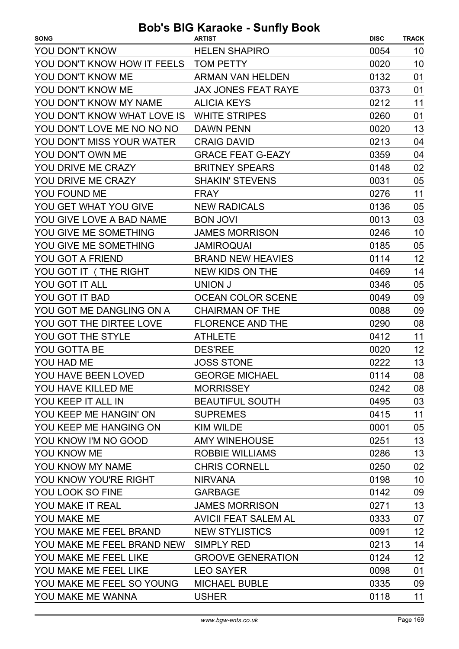| <b>SONG</b>                               | <b>ARTIST</b>               | <b>DISC</b> | <b>TRACK</b> |
|-------------------------------------------|-----------------------------|-------------|--------------|
| YOU DON'T KNOW                            | <b>HELEN SHAPIRO</b>        | 0054        | 10           |
| YOU DON'T KNOW HOW IT FEELS               | <b>TOM PETTY</b>            | 0020        | 10           |
| YOU DON'T KNOW ME                         | <b>ARMAN VAN HELDEN</b>     | 0132        | 01           |
| YOU DON'T KNOW ME                         | <b>JAX JONES FEAT RAYE</b>  | 0373        | 01           |
| YOU DON'T KNOW MY NAME                    | <b>ALICIA KEYS</b>          | 0212        | 11           |
| YOU DON'T KNOW WHAT LOVE IS WHITE STRIPES |                             | 0260        | 01           |
| YOU DON'T LOVE ME NO NO NO                | <b>DAWN PENN</b>            | 0020        | 13           |
| YOU DON'T MISS YOUR WATER                 | <b>CRAIG DAVID</b>          | 0213        | 04           |
| YOU DON'T OWN ME                          | <b>GRACE FEAT G-EAZY</b>    | 0359        | 04           |
| YOU DRIVE ME CRAZY                        | <b>BRITNEY SPEARS</b>       | 0148        | 02           |
| YOU DRIVE ME CRAZY                        | <b>SHAKIN' STEVENS</b>      | 0031        | 05           |
| YOU FOUND ME                              | <b>FRAY</b>                 | 0276        | 11           |
| YOU GET WHAT YOU GIVE                     | <b>NEW RADICALS</b>         | 0136        | 05           |
| YOU GIVE LOVE A BAD NAME                  | <b>BON JOVI</b>             | 0013        | 03           |
| YOU GIVE ME SOMETHING                     | <b>JAMES MORRISON</b>       | 0246        | 10           |
| YOU GIVE ME SOMETHING                     | <b>JAMIROQUAI</b>           | 0185        | 05           |
| YOU GOT A FRIEND                          | <b>BRAND NEW HEAVIES</b>    | 0114        | 12           |
| YOU GOT IT (THE RIGHT                     | <b>NEW KIDS ON THE</b>      | 0469        | 14           |
| YOU GOT IT ALL                            | <b>UNION J</b>              | 0346        | 05           |
| YOU GOT IT BAD                            | <b>OCEAN COLOR SCENE</b>    | 0049        | 09           |
| YOU GOT ME DANGLING ON A                  | <b>CHAIRMAN OF THE</b>      | 0088        | 09           |
| YOU GOT THE DIRTEE LOVE                   | <b>FLORENCE AND THE</b>     | 0290        | 08           |
| YOU GOT THE STYLE                         | <b>ATHLETE</b>              | 0412        | 11           |
| YOU GOTTA BE                              | <b>DES'REE</b>              | 0020        | 12           |
| YOU HAD ME                                | <b>JOSS STONE</b>           | 0222        | 13           |
| YOU HAVE BEEN LOVED                       | <b>GEORGE MICHAEL</b>       | 0114        | 08           |
| YOU HAVE KILLED ME                        | <b>MORRISSEY</b>            | 0242        | 08           |
| YOU KEEP IT ALL IN                        | <b>BEAUTIFUL SOUTH</b>      | 0495        | 03           |
| YOU KEEP ME HANGIN' ON                    | <b>SUPREMES</b>             | 0415        | 11           |
| YOU KEEP ME HANGING ON                    | <b>KIM WILDE</b>            | 0001        | 05           |
| YOU KNOW I'M NO GOOD                      | <b>AMY WINEHOUSE</b>        | 0251        | 13           |
| YOU KNOW ME                               | <b>ROBBIE WILLIAMS</b>      | 0286        | 13           |
| YOU KNOW MY NAME                          | <b>CHRIS CORNELL</b>        | 0250        | 02           |
| YOU KNOW YOU'RE RIGHT                     | <b>NIRVANA</b>              | 0198        | 10           |
| YOU LOOK SO FINE                          | <b>GARBAGE</b>              | 0142        | 09           |
| YOU MAKE IT REAL                          | <b>JAMES MORRISON</b>       | 0271        | 13           |
| YOU MAKE ME                               | <b>AVICII FEAT SALEM AL</b> | 0333        | 07           |
| YOU MAKE ME FEEL BRAND                    | <b>NEW STYLISTICS</b>       | 0091        | 12           |
| YOU MAKE ME FEEL BRAND NEW SIMPLY RED     |                             | 0213        | 14           |
| YOU MAKE ME FEEL LIKE                     | <b>GROOVE GENERATION</b>    | 0124        | 12           |
| YOU MAKE ME FEEL LIKE                     | <b>LEO SAYER</b>            | 0098        | 01           |
| YOU MAKE ME FEEL SO YOUNG                 | <b>MICHAEL BUBLE</b>        | 0335        | 09           |
| YOU MAKE ME WANNA                         | <b>USHER</b>                | 0118        | 11           |
|                                           |                             |             |              |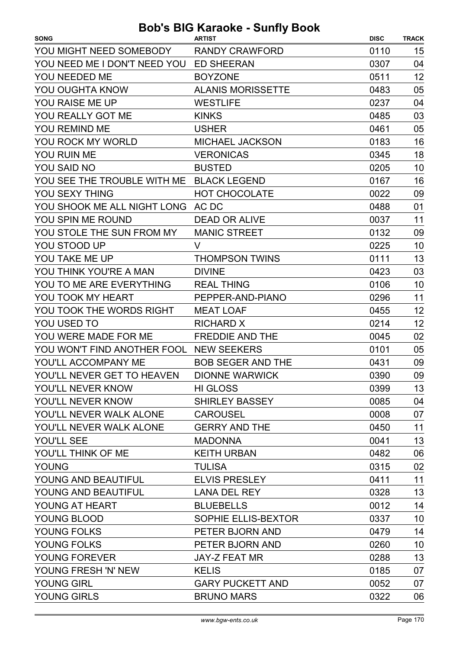| <b>SONG</b>                              | <b>ARTIST</b>            | <b>DISC</b> | <b>TRACK</b> |
|------------------------------------------|--------------------------|-------------|--------------|
| YOU MIGHT NEED SOMEBODY                  | <b>RANDY CRAWFORD</b>    | 0110        | 15           |
| YOU NEED ME I DON'T NEED YOU ED SHEERAN  |                          | 0307        | 04           |
| YOU NEEDED ME                            | <b>BOYZONE</b>           | 0511        | 12           |
| <b>YOU OUGHTA KNOW</b>                   | <b>ALANIS MORISSETTE</b> | 0483        | 05           |
| YOU RAISE ME UP                          | <b>WESTLIFE</b>          | 0237        | 04           |
| YOU REALLY GOT ME                        | <b>KINKS</b>             | 0485        | 03           |
| YOU REMIND ME                            | <b>USHER</b>             | 0461        | 05           |
| YOU ROCK MY WORLD                        | <b>MICHAEL JACKSON</b>   | 0183        | 16           |
| YOU RUIN ME                              | <b>VERONICAS</b>         | 0345        | 18           |
| YOU SAID NO                              | <b>BUSTED</b>            | 0205        | 10           |
| YOU SEE THE TROUBLE WITH ME BLACK LEGEND |                          | 0167        | 16           |
| YOU SEXY THING                           | <b>HOT CHOCOLATE</b>     | 0022        | 09           |
| YOU SHOOK ME ALL NIGHT LONG AC DC        |                          | 0488        | 01           |
| YOU SPIN ME ROUND                        | <b>DEAD OR ALIVE</b>     | 0037        | 11           |
| YOU STOLE THE SUN FROM MY                | <b>MANIC STREET</b>      | 0132        | 09           |
| YOU STOOD UP                             | V                        | 0225        | 10           |
| YOU TAKE ME UP                           | <b>THOMPSON TWINS</b>    | 0111        | 13           |
| YOU THINK YOU'RE A MAN                   | <b>DIVINE</b>            | 0423        | 03           |
| YOU TO ME ARE EVERYTHING                 | <b>REAL THING</b>        | 0106        | 10           |
| YOU TOOK MY HEART                        | PEPPER-AND-PIANO         | 0296        | 11           |
| YOU TOOK THE WORDS RIGHT                 | <b>MEAT LOAF</b>         | 0455        | 12           |
| YOU USED TO                              | <b>RICHARD X</b>         | 0214        | 12           |
| YOU WERE MADE FOR ME                     | <b>FREDDIE AND THE</b>   | 0045        | 02           |
| YOU WON'T FIND ANOTHER FOOL NEW SEEKERS  |                          | 0101        | 05           |
| YOU'LL ACCOMPANY ME                      | <b>BOB SEGER AND THE</b> | 0431        | 09           |
| YOU'LL NEVER GET TO HEAVEN               | <b>DIONNE WARWICK</b>    | 0390        | 09           |
| YOU'LL NEVER KNOW                        | HI GLOSS                 | 0399        | 13           |
| YOU'LL NEVER KNOW                        | <b>SHIRLEY BASSEY</b>    | 0085        | 04           |
| YOU'LL NEVER WALK ALONE                  | <b>CAROUSEL</b>          | 0008        | 07           |
| YOU'LL NEVER WALK ALONE                  | <b>GERRY AND THE</b>     | 0450        | 11           |
| YOU'LL SEE                               | <b>MADONNA</b>           | 0041        | 13           |
| YOU'LL THINK OF ME                       | <b>KEITH URBAN</b>       | 0482        | 06           |
| <b>YOUNG</b>                             | <b>TULISA</b>            | 0315        | 02           |
| YOUNG AND BEAUTIFUL                      | <b>ELVIS PRESLEY</b>     | 0411        | 11           |
| YOUNG AND BEAUTIFUL                      | <b>LANA DEL REY</b>      | 0328        | 13           |
| YOUNG AT HEART                           | <b>BLUEBELLS</b>         | 0012        | 14           |
| YOUNG BLOOD                              | SOPHIE ELLIS-BEXTOR      | 0337        | 10           |
| YOUNG FOLKS                              | PETER BJORN AND          | 0479        | 14           |
| YOUNG FOLKS                              | PETER BJORN AND          | 0260        | 10           |
| YOUNG FOREVER                            | <b>JAY-Z FEAT MR</b>     | 0288        | 13           |
| YOUNG FRESH 'N' NEW                      | <b>KELIS</b>             | 0185        | 07           |
| <b>YOUNG GIRL</b>                        | <b>GARY PUCKETT AND</b>  | 0052        | 07           |
| YOUNG GIRLS                              | <b>BRUNO MARS</b>        | 0322        | 06           |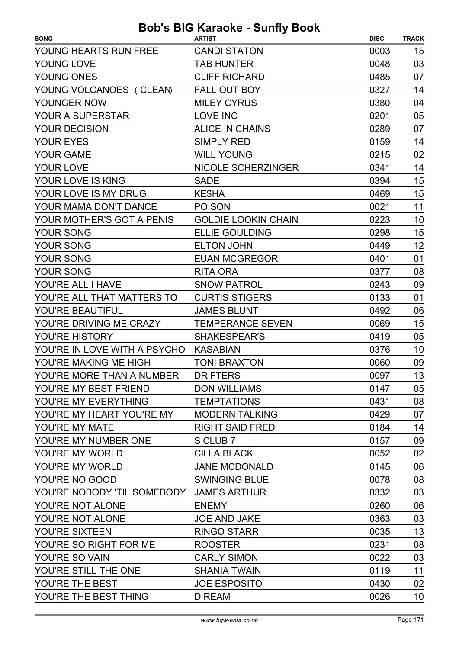| <b>YOUNG HEARTS RUN FREE</b><br><b>CANDI STATON</b><br>0003<br>15<br>YOUNG LOVE<br><b>TAB HUNTER</b><br>03<br>0048<br>YOUNG ONES<br>0485<br>07<br><b>CLIFF RICHARD</b><br>YOUNG VOLCANOES (CLEAN)<br><b>FALL OUT BOY</b><br>14<br>0327<br>YOUNGER NOW<br><b>MILEY CYRUS</b><br>0380<br>04<br>05<br><b>YOUR A SUPERSTAR</b><br><b>LOVE INC</b><br>0201<br>YOUR DECISION<br><b>ALICE IN CHAINS</b><br>0289<br>07<br><b>YOUR EYES</b><br><b>SIMPLY RED</b><br>14<br>0159<br><b>WILL YOUNG</b><br><b>YOUR GAME</b><br>02<br>0215<br>NICOLE SCHERZINGER<br>14<br><b>YOUR LOVE</b><br>0341<br>15<br>YOUR LOVE IS KING<br>0394<br><b>SADE</b><br>YOUR LOVE IS MY DRUG<br>15<br>KE\$HA<br>0469<br>11<br>YOUR MAMA DON'T DANCE<br>0021<br><b>POISON</b><br>YOUR MOTHER'S GOT A PENIS<br><b>GOLDIE LOOKIN CHAIN</b><br>0223<br>10<br><b>YOUR SONG</b><br><b>ELLIE GOULDING</b><br>15<br>0298<br>12<br><b>YOUR SONG</b><br><b>ELTON JOHN</b><br>0449<br><b>YOUR SONG</b><br>01<br><b>EUAN MCGREGOR</b><br>0401<br>YOUR SONG<br><b>RITA ORA</b><br>0377<br>08<br>YOU'RE ALL I HAVE<br><b>SNOW PATROL</b><br>09<br>0243<br>YOU'RE ALL THAT MATTERS TO<br><b>CURTIS STIGERS</b><br>0133<br>01<br>YOU'RE BEAUTIFUL<br><b>JAMES BLUNT</b><br>06<br>0492<br>15<br>YOU'RE DRIVING ME CRAZY<br><b>TEMPERANCE SEVEN</b><br>0069<br>YOU'RE HISTORY<br>05<br>SHAKESPEAR'S<br>0419<br>YOU'RE IN LOVE WITH A PSYCHO<br><b>KASABIAN</b><br>10<br>0376<br>YOU'RE MAKING ME HIGH<br>09<br><b>TONI BRAXTON</b><br>0060<br>13<br>YOU'RE MORE THAN A NUMBER<br>0097<br><b>DRIFTERS</b><br>05<br>YOU'RE MY BEST FRIEND<br><b>DON WILLIAMS</b><br>0147<br>08<br>YOU'RE MY EVERYTHING<br><b>TEMPTATIONS</b><br>0431<br>YOU'RE MY HEART YOU'RE MY<br>07<br><b>MODERN TALKING</b><br>0429<br>YOU'RE MY MATE<br><b>RIGHT SAID FRED</b><br>14<br>0184<br>YOU'RE MY NUMBER ONE<br>09<br>S CLUB 7<br>0157<br>02<br>YOU'RE MY WORLD<br><b>CILLA BLACK</b><br>0052<br>06<br>YOU'RE MY WORLD<br><b>JANE MCDONALD</b><br>0145<br>08<br>YOU'RE NO GOOD<br><b>SWINGING BLUE</b><br>0078<br>YOU'RE NOBODY 'TIL SOMEBODY JAMES ARTHUR<br>03<br>0332<br>06<br>YOU'RE NOT ALONE<br><b>ENEMY</b><br>0260<br>03<br>YOU'RE NOT ALONE<br>0363<br><b>JOE AND JAKE</b><br>13<br>YOU'RE SIXTEEN<br>0035<br><b>RINGO STARR</b><br>08<br>YOU'RE SO RIGHT FOR ME<br>0231<br><b>ROOSTER</b><br>YOU'RE SO VAIN<br><b>CARLY SIMON</b><br>03<br>0022<br>11<br>YOU'RE STILL THE ONE<br>0119<br><b>SHANIA TWAIN</b><br>YOU'RE THE BEST<br><b>JOE ESPOSITO</b><br>02<br>0430<br>10<br>YOU'RE THE BEST THING<br>D REAM | <b>SONG</b> | <b>ARTIST</b> | <b>DISC</b> | <b>TRACK</b> |
|-----------------------------------------------------------------------------------------------------------------------------------------------------------------------------------------------------------------------------------------------------------------------------------------------------------------------------------------------------------------------------------------------------------------------------------------------------------------------------------------------------------------------------------------------------------------------------------------------------------------------------------------------------------------------------------------------------------------------------------------------------------------------------------------------------------------------------------------------------------------------------------------------------------------------------------------------------------------------------------------------------------------------------------------------------------------------------------------------------------------------------------------------------------------------------------------------------------------------------------------------------------------------------------------------------------------------------------------------------------------------------------------------------------------------------------------------------------------------------------------------------------------------------------------------------------------------------------------------------------------------------------------------------------------------------------------------------------------------------------------------------------------------------------------------------------------------------------------------------------------------------------------------------------------------------------------------------------------------------------------------------------------------------------------------------------------------------------------------------------------------------------------------------------------------------------------------------------------------------------------------------------------------------------------------------------------------------------------------------------------------------------------------------------------------------------------------------------------------------------------------------------------------------------------------------|-------------|---------------|-------------|--------------|
|                                                                                                                                                                                                                                                                                                                                                                                                                                                                                                                                                                                                                                                                                                                                                                                                                                                                                                                                                                                                                                                                                                                                                                                                                                                                                                                                                                                                                                                                                                                                                                                                                                                                                                                                                                                                                                                                                                                                                                                                                                                                                                                                                                                                                                                                                                                                                                                                                                                                                                                                                     |             |               |             |              |
|                                                                                                                                                                                                                                                                                                                                                                                                                                                                                                                                                                                                                                                                                                                                                                                                                                                                                                                                                                                                                                                                                                                                                                                                                                                                                                                                                                                                                                                                                                                                                                                                                                                                                                                                                                                                                                                                                                                                                                                                                                                                                                                                                                                                                                                                                                                                                                                                                                                                                                                                                     |             |               |             |              |
|                                                                                                                                                                                                                                                                                                                                                                                                                                                                                                                                                                                                                                                                                                                                                                                                                                                                                                                                                                                                                                                                                                                                                                                                                                                                                                                                                                                                                                                                                                                                                                                                                                                                                                                                                                                                                                                                                                                                                                                                                                                                                                                                                                                                                                                                                                                                                                                                                                                                                                                                                     |             |               |             |              |
|                                                                                                                                                                                                                                                                                                                                                                                                                                                                                                                                                                                                                                                                                                                                                                                                                                                                                                                                                                                                                                                                                                                                                                                                                                                                                                                                                                                                                                                                                                                                                                                                                                                                                                                                                                                                                                                                                                                                                                                                                                                                                                                                                                                                                                                                                                                                                                                                                                                                                                                                                     |             |               |             |              |
|                                                                                                                                                                                                                                                                                                                                                                                                                                                                                                                                                                                                                                                                                                                                                                                                                                                                                                                                                                                                                                                                                                                                                                                                                                                                                                                                                                                                                                                                                                                                                                                                                                                                                                                                                                                                                                                                                                                                                                                                                                                                                                                                                                                                                                                                                                                                                                                                                                                                                                                                                     |             |               |             |              |
|                                                                                                                                                                                                                                                                                                                                                                                                                                                                                                                                                                                                                                                                                                                                                                                                                                                                                                                                                                                                                                                                                                                                                                                                                                                                                                                                                                                                                                                                                                                                                                                                                                                                                                                                                                                                                                                                                                                                                                                                                                                                                                                                                                                                                                                                                                                                                                                                                                                                                                                                                     |             |               |             |              |
|                                                                                                                                                                                                                                                                                                                                                                                                                                                                                                                                                                                                                                                                                                                                                                                                                                                                                                                                                                                                                                                                                                                                                                                                                                                                                                                                                                                                                                                                                                                                                                                                                                                                                                                                                                                                                                                                                                                                                                                                                                                                                                                                                                                                                                                                                                                                                                                                                                                                                                                                                     |             |               |             |              |
|                                                                                                                                                                                                                                                                                                                                                                                                                                                                                                                                                                                                                                                                                                                                                                                                                                                                                                                                                                                                                                                                                                                                                                                                                                                                                                                                                                                                                                                                                                                                                                                                                                                                                                                                                                                                                                                                                                                                                                                                                                                                                                                                                                                                                                                                                                                                                                                                                                                                                                                                                     |             |               |             |              |
|                                                                                                                                                                                                                                                                                                                                                                                                                                                                                                                                                                                                                                                                                                                                                                                                                                                                                                                                                                                                                                                                                                                                                                                                                                                                                                                                                                                                                                                                                                                                                                                                                                                                                                                                                                                                                                                                                                                                                                                                                                                                                                                                                                                                                                                                                                                                                                                                                                                                                                                                                     |             |               |             |              |
|                                                                                                                                                                                                                                                                                                                                                                                                                                                                                                                                                                                                                                                                                                                                                                                                                                                                                                                                                                                                                                                                                                                                                                                                                                                                                                                                                                                                                                                                                                                                                                                                                                                                                                                                                                                                                                                                                                                                                                                                                                                                                                                                                                                                                                                                                                                                                                                                                                                                                                                                                     |             |               |             |              |
|                                                                                                                                                                                                                                                                                                                                                                                                                                                                                                                                                                                                                                                                                                                                                                                                                                                                                                                                                                                                                                                                                                                                                                                                                                                                                                                                                                                                                                                                                                                                                                                                                                                                                                                                                                                                                                                                                                                                                                                                                                                                                                                                                                                                                                                                                                                                                                                                                                                                                                                                                     |             |               |             |              |
|                                                                                                                                                                                                                                                                                                                                                                                                                                                                                                                                                                                                                                                                                                                                                                                                                                                                                                                                                                                                                                                                                                                                                                                                                                                                                                                                                                                                                                                                                                                                                                                                                                                                                                                                                                                                                                                                                                                                                                                                                                                                                                                                                                                                                                                                                                                                                                                                                                                                                                                                                     |             |               |             |              |
|                                                                                                                                                                                                                                                                                                                                                                                                                                                                                                                                                                                                                                                                                                                                                                                                                                                                                                                                                                                                                                                                                                                                                                                                                                                                                                                                                                                                                                                                                                                                                                                                                                                                                                                                                                                                                                                                                                                                                                                                                                                                                                                                                                                                                                                                                                                                                                                                                                                                                                                                                     |             |               |             |              |
|                                                                                                                                                                                                                                                                                                                                                                                                                                                                                                                                                                                                                                                                                                                                                                                                                                                                                                                                                                                                                                                                                                                                                                                                                                                                                                                                                                                                                                                                                                                                                                                                                                                                                                                                                                                                                                                                                                                                                                                                                                                                                                                                                                                                                                                                                                                                                                                                                                                                                                                                                     |             |               |             |              |
|                                                                                                                                                                                                                                                                                                                                                                                                                                                                                                                                                                                                                                                                                                                                                                                                                                                                                                                                                                                                                                                                                                                                                                                                                                                                                                                                                                                                                                                                                                                                                                                                                                                                                                                                                                                                                                                                                                                                                                                                                                                                                                                                                                                                                                                                                                                                                                                                                                                                                                                                                     |             |               |             |              |
|                                                                                                                                                                                                                                                                                                                                                                                                                                                                                                                                                                                                                                                                                                                                                                                                                                                                                                                                                                                                                                                                                                                                                                                                                                                                                                                                                                                                                                                                                                                                                                                                                                                                                                                                                                                                                                                                                                                                                                                                                                                                                                                                                                                                                                                                                                                                                                                                                                                                                                                                                     |             |               |             |              |
|                                                                                                                                                                                                                                                                                                                                                                                                                                                                                                                                                                                                                                                                                                                                                                                                                                                                                                                                                                                                                                                                                                                                                                                                                                                                                                                                                                                                                                                                                                                                                                                                                                                                                                                                                                                                                                                                                                                                                                                                                                                                                                                                                                                                                                                                                                                                                                                                                                                                                                                                                     |             |               |             |              |
|                                                                                                                                                                                                                                                                                                                                                                                                                                                                                                                                                                                                                                                                                                                                                                                                                                                                                                                                                                                                                                                                                                                                                                                                                                                                                                                                                                                                                                                                                                                                                                                                                                                                                                                                                                                                                                                                                                                                                                                                                                                                                                                                                                                                                                                                                                                                                                                                                                                                                                                                                     |             |               |             |              |
|                                                                                                                                                                                                                                                                                                                                                                                                                                                                                                                                                                                                                                                                                                                                                                                                                                                                                                                                                                                                                                                                                                                                                                                                                                                                                                                                                                                                                                                                                                                                                                                                                                                                                                                                                                                                                                                                                                                                                                                                                                                                                                                                                                                                                                                                                                                                                                                                                                                                                                                                                     |             |               |             |              |
|                                                                                                                                                                                                                                                                                                                                                                                                                                                                                                                                                                                                                                                                                                                                                                                                                                                                                                                                                                                                                                                                                                                                                                                                                                                                                                                                                                                                                                                                                                                                                                                                                                                                                                                                                                                                                                                                                                                                                                                                                                                                                                                                                                                                                                                                                                                                                                                                                                                                                                                                                     |             |               |             |              |
|                                                                                                                                                                                                                                                                                                                                                                                                                                                                                                                                                                                                                                                                                                                                                                                                                                                                                                                                                                                                                                                                                                                                                                                                                                                                                                                                                                                                                                                                                                                                                                                                                                                                                                                                                                                                                                                                                                                                                                                                                                                                                                                                                                                                                                                                                                                                                                                                                                                                                                                                                     |             |               |             |              |
|                                                                                                                                                                                                                                                                                                                                                                                                                                                                                                                                                                                                                                                                                                                                                                                                                                                                                                                                                                                                                                                                                                                                                                                                                                                                                                                                                                                                                                                                                                                                                                                                                                                                                                                                                                                                                                                                                                                                                                                                                                                                                                                                                                                                                                                                                                                                                                                                                                                                                                                                                     |             |               |             |              |
|                                                                                                                                                                                                                                                                                                                                                                                                                                                                                                                                                                                                                                                                                                                                                                                                                                                                                                                                                                                                                                                                                                                                                                                                                                                                                                                                                                                                                                                                                                                                                                                                                                                                                                                                                                                                                                                                                                                                                                                                                                                                                                                                                                                                                                                                                                                                                                                                                                                                                                                                                     |             |               |             |              |
|                                                                                                                                                                                                                                                                                                                                                                                                                                                                                                                                                                                                                                                                                                                                                                                                                                                                                                                                                                                                                                                                                                                                                                                                                                                                                                                                                                                                                                                                                                                                                                                                                                                                                                                                                                                                                                                                                                                                                                                                                                                                                                                                                                                                                                                                                                                                                                                                                                                                                                                                                     |             |               |             |              |
|                                                                                                                                                                                                                                                                                                                                                                                                                                                                                                                                                                                                                                                                                                                                                                                                                                                                                                                                                                                                                                                                                                                                                                                                                                                                                                                                                                                                                                                                                                                                                                                                                                                                                                                                                                                                                                                                                                                                                                                                                                                                                                                                                                                                                                                                                                                                                                                                                                                                                                                                                     |             |               |             |              |
|                                                                                                                                                                                                                                                                                                                                                                                                                                                                                                                                                                                                                                                                                                                                                                                                                                                                                                                                                                                                                                                                                                                                                                                                                                                                                                                                                                                                                                                                                                                                                                                                                                                                                                                                                                                                                                                                                                                                                                                                                                                                                                                                                                                                                                                                                                                                                                                                                                                                                                                                                     |             |               |             |              |
|                                                                                                                                                                                                                                                                                                                                                                                                                                                                                                                                                                                                                                                                                                                                                                                                                                                                                                                                                                                                                                                                                                                                                                                                                                                                                                                                                                                                                                                                                                                                                                                                                                                                                                                                                                                                                                                                                                                                                                                                                                                                                                                                                                                                                                                                                                                                                                                                                                                                                                                                                     |             |               |             |              |
|                                                                                                                                                                                                                                                                                                                                                                                                                                                                                                                                                                                                                                                                                                                                                                                                                                                                                                                                                                                                                                                                                                                                                                                                                                                                                                                                                                                                                                                                                                                                                                                                                                                                                                                                                                                                                                                                                                                                                                                                                                                                                                                                                                                                                                                                                                                                                                                                                                                                                                                                                     |             |               |             |              |
|                                                                                                                                                                                                                                                                                                                                                                                                                                                                                                                                                                                                                                                                                                                                                                                                                                                                                                                                                                                                                                                                                                                                                                                                                                                                                                                                                                                                                                                                                                                                                                                                                                                                                                                                                                                                                                                                                                                                                                                                                                                                                                                                                                                                                                                                                                                                                                                                                                                                                                                                                     |             |               |             |              |
|                                                                                                                                                                                                                                                                                                                                                                                                                                                                                                                                                                                                                                                                                                                                                                                                                                                                                                                                                                                                                                                                                                                                                                                                                                                                                                                                                                                                                                                                                                                                                                                                                                                                                                                                                                                                                                                                                                                                                                                                                                                                                                                                                                                                                                                                                                                                                                                                                                                                                                                                                     |             |               |             |              |
|                                                                                                                                                                                                                                                                                                                                                                                                                                                                                                                                                                                                                                                                                                                                                                                                                                                                                                                                                                                                                                                                                                                                                                                                                                                                                                                                                                                                                                                                                                                                                                                                                                                                                                                                                                                                                                                                                                                                                                                                                                                                                                                                                                                                                                                                                                                                                                                                                                                                                                                                                     |             |               |             |              |
|                                                                                                                                                                                                                                                                                                                                                                                                                                                                                                                                                                                                                                                                                                                                                                                                                                                                                                                                                                                                                                                                                                                                                                                                                                                                                                                                                                                                                                                                                                                                                                                                                                                                                                                                                                                                                                                                                                                                                                                                                                                                                                                                                                                                                                                                                                                                                                                                                                                                                                                                                     |             |               |             |              |
|                                                                                                                                                                                                                                                                                                                                                                                                                                                                                                                                                                                                                                                                                                                                                                                                                                                                                                                                                                                                                                                                                                                                                                                                                                                                                                                                                                                                                                                                                                                                                                                                                                                                                                                                                                                                                                                                                                                                                                                                                                                                                                                                                                                                                                                                                                                                                                                                                                                                                                                                                     |             |               |             |              |
|                                                                                                                                                                                                                                                                                                                                                                                                                                                                                                                                                                                                                                                                                                                                                                                                                                                                                                                                                                                                                                                                                                                                                                                                                                                                                                                                                                                                                                                                                                                                                                                                                                                                                                                                                                                                                                                                                                                                                                                                                                                                                                                                                                                                                                                                                                                                                                                                                                                                                                                                                     |             |               |             |              |
|                                                                                                                                                                                                                                                                                                                                                                                                                                                                                                                                                                                                                                                                                                                                                                                                                                                                                                                                                                                                                                                                                                                                                                                                                                                                                                                                                                                                                                                                                                                                                                                                                                                                                                                                                                                                                                                                                                                                                                                                                                                                                                                                                                                                                                                                                                                                                                                                                                                                                                                                                     |             |               |             |              |
|                                                                                                                                                                                                                                                                                                                                                                                                                                                                                                                                                                                                                                                                                                                                                                                                                                                                                                                                                                                                                                                                                                                                                                                                                                                                                                                                                                                                                                                                                                                                                                                                                                                                                                                                                                                                                                                                                                                                                                                                                                                                                                                                                                                                                                                                                                                                                                                                                                                                                                                                                     |             |               |             |              |
|                                                                                                                                                                                                                                                                                                                                                                                                                                                                                                                                                                                                                                                                                                                                                                                                                                                                                                                                                                                                                                                                                                                                                                                                                                                                                                                                                                                                                                                                                                                                                                                                                                                                                                                                                                                                                                                                                                                                                                                                                                                                                                                                                                                                                                                                                                                                                                                                                                                                                                                                                     |             |               |             |              |
|                                                                                                                                                                                                                                                                                                                                                                                                                                                                                                                                                                                                                                                                                                                                                                                                                                                                                                                                                                                                                                                                                                                                                                                                                                                                                                                                                                                                                                                                                                                                                                                                                                                                                                                                                                                                                                                                                                                                                                                                                                                                                                                                                                                                                                                                                                                                                                                                                                                                                                                                                     |             |               |             |              |
|                                                                                                                                                                                                                                                                                                                                                                                                                                                                                                                                                                                                                                                                                                                                                                                                                                                                                                                                                                                                                                                                                                                                                                                                                                                                                                                                                                                                                                                                                                                                                                                                                                                                                                                                                                                                                                                                                                                                                                                                                                                                                                                                                                                                                                                                                                                                                                                                                                                                                                                                                     |             |               |             |              |
|                                                                                                                                                                                                                                                                                                                                                                                                                                                                                                                                                                                                                                                                                                                                                                                                                                                                                                                                                                                                                                                                                                                                                                                                                                                                                                                                                                                                                                                                                                                                                                                                                                                                                                                                                                                                                                                                                                                                                                                                                                                                                                                                                                                                                                                                                                                                                                                                                                                                                                                                                     |             |               |             |              |
|                                                                                                                                                                                                                                                                                                                                                                                                                                                                                                                                                                                                                                                                                                                                                                                                                                                                                                                                                                                                                                                                                                                                                                                                                                                                                                                                                                                                                                                                                                                                                                                                                                                                                                                                                                                                                                                                                                                                                                                                                                                                                                                                                                                                                                                                                                                                                                                                                                                                                                                                                     |             |               |             |              |
|                                                                                                                                                                                                                                                                                                                                                                                                                                                                                                                                                                                                                                                                                                                                                                                                                                                                                                                                                                                                                                                                                                                                                                                                                                                                                                                                                                                                                                                                                                                                                                                                                                                                                                                                                                                                                                                                                                                                                                                                                                                                                                                                                                                                                                                                                                                                                                                                                                                                                                                                                     |             |               |             |              |
|                                                                                                                                                                                                                                                                                                                                                                                                                                                                                                                                                                                                                                                                                                                                                                                                                                                                                                                                                                                                                                                                                                                                                                                                                                                                                                                                                                                                                                                                                                                                                                                                                                                                                                                                                                                                                                                                                                                                                                                                                                                                                                                                                                                                                                                                                                                                                                                                                                                                                                                                                     |             |               | 0026        |              |